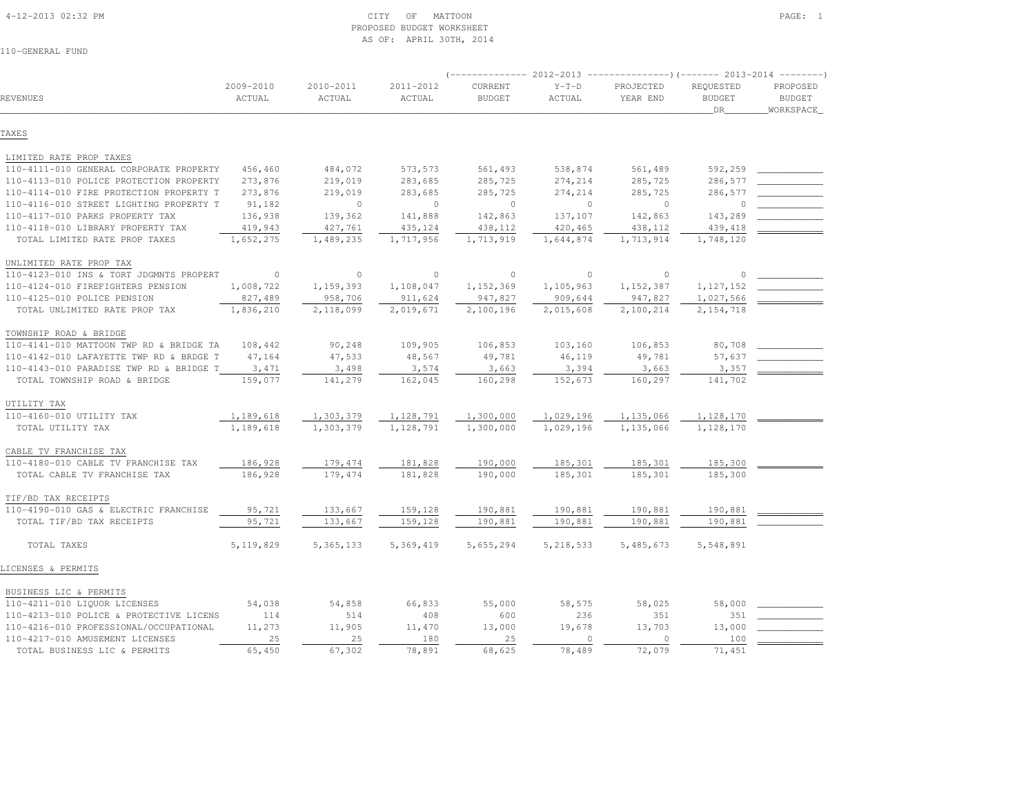#### 4-12-2013 02:32 PM CITY OF MATTOON PAGE: 1 PROPOSED BUDGET WORKSHEETAS OF: APRIL 30TH, 2014

|                                                                    |                     |                     |                     |                          | 2012-2013         | ----------------) (------- 2013-2014 ---------) |                                  |                                        |
|--------------------------------------------------------------------|---------------------|---------------------|---------------------|--------------------------|-------------------|-------------------------------------------------|----------------------------------|----------------------------------------|
| REVENUES                                                           | 2009-2010<br>ACTUAL | 2010-2011<br>ACTUAL | 2011-2012<br>ACTUAL | CURRENT<br><b>BUDGET</b> | $Y-T-D$<br>ACTUAL | PROJECTED<br>YEAR END                           | REQUESTED<br><b>BUDGET</b><br>DR | PROPOSED<br><b>BUDGET</b><br>WORKSPACE |
| TAXES                                                              |                     |                     |                     |                          |                   |                                                 |                                  |                                        |
|                                                                    |                     |                     |                     |                          |                   |                                                 |                                  |                                        |
| LIMITED RATE PROP TAXES<br>110-4111-010 GENERAL CORPORATE PROPERTY | 456,460             | 484,072             | 573,573             | 561,493                  | 538,874           | 561,489                                         | 592,259                          |                                        |
| 110-4113-010 POLICE PROTECTION PROPERTY                            | 273,876             | 219,019             | 283,685             | 285,725                  | 274,214           | 285,725                                         | 286,577                          |                                        |
| 110-4114-010 FIRE PROTECTION PROPERTY T                            | 273,876             | 219,019             | 283,685             | 285,725                  | 274,214           | 285,725                                         | 286,577                          |                                        |
| 110-4116-010 STREET LIGHTING PROPERTY T                            | 91,182              | $\Omega$            | $\Omega$            | $\circ$                  | $\circ$           | $\circ$                                         | $\circ$                          |                                        |
| 110-4117-010 PARKS PROPERTY TAX                                    | 136,938             | 139,362             | 141,888             | 142,863                  | 137,107           | 142,863                                         | 143,289                          |                                        |
| 110-4118-010 LIBRARY PROPERTY TAX                                  | 419,943             | 427,761             | 435,124             |                          | 420,465           | 438,112                                         | 439,418                          |                                        |
| TOTAL LIMITED RATE PROP TAXES                                      | 1,652,275           | 1,489,235           | 1,717,956           | 438,112<br>1,713,919     | 1,644,874         | 1,713,914                                       | 1,748,120                        |                                        |
| UNLIMITED RATE PROP TAX                                            |                     |                     |                     |                          |                   |                                                 |                                  |                                        |
| 110-4123-010 INS & TORT JDGMNTS PROPERT                            | $\circ$             | $\circ$             | $\circ$             | $\circ$                  | $\circ$           | $\circ$                                         | $\Omega$                         |                                        |
| 110-4124-010 FIREFIGHTERS PENSION                                  | 1,008,722           | 1,159,393           | 1,108,047           | 1,152,369                | 1,105,963         | 1, 152, 387                                     | 1, 127, 152                      |                                        |
| 110-4125-010 POLICE PENSION                                        | 827,489             | 958,706             | 911,624             | 947,827                  | 909,644           | 947,827                                         | 1,027,566                        |                                        |
| TOTAL UNLIMITED RATE PROP TAX                                      | 1,836,210           | 2,118,099           | 2,019,671           | 2,100,196                | 2,015,608         | 2,100,214                                       | 2, 154, 718                      |                                        |
| TOWNSHIP ROAD & BRIDGE                                             |                     |                     |                     |                          |                   |                                                 |                                  |                                        |
| 110-4141-010 MATTOON TWP RD & BRIDGE TA                            | 108,442             | 90,248              | 109,905             | 106,853                  | 103,160           | 106,853                                         | 80,708                           |                                        |
| 110-4142-010 LAFAYETTE TWP RD & BRDGE T                            | 47,164              | 47,533              | 48,567              | 49,781                   | 46,119            | 49,781                                          | 57,637                           |                                        |
| 110-4143-010 PARADISE TWP RD & BRIDGE T                            | 3,471               | 3,498               | 3,574               | 3,663                    | 3,394             | 3,663                                           | 3,357                            |                                        |
| TOTAL TOWNSHIP ROAD & BRIDGE                                       | 159,077             | 141,279             | 162,045             | 160,298                  | 152,673           | 160,297                                         | 141,702                          |                                        |
| UTILITY TAX                                                        |                     |                     |                     |                          |                   |                                                 |                                  |                                        |
| 110-4160-010 UTILITY TAX                                           | 1,189,618           | 1,303,379           | 1,128,791           | 1,300,000                | 1,029,196         | 1,135,066                                       | 1,128,170                        |                                        |
| TOTAL UTILITY TAX                                                  | 1,189,618           | 1,303,379           | 1,128,791           | 1,300,000                | 1,029,196         | 1,135,066                                       | 1,128,170                        |                                        |
| CABLE TV FRANCHISE TAX                                             |                     |                     |                     |                          |                   |                                                 |                                  |                                        |
| 110-4180-010 CABLE TV FRANCHISE TAX                                | 186,928             | 179,474             | 181,828             | 190,000                  | 185,301           | 185,301                                         | 185,300                          |                                        |
| TOTAL CABLE TV FRANCHISE TAX                                       | 186,928             | 179,474             | 181,828             | 190,000                  | 185,301           | 185,301                                         | 185,300                          |                                        |
| TIF/BD TAX RECEIPTS                                                |                     |                     |                     |                          |                   |                                                 |                                  |                                        |
| 110-4190-010 GAS & ELECTRIC FRANCHISE                              | 95,721              | 133,667             | 159,128             | 190,881                  | 190,881           | 190,881                                         | 190,881                          |                                        |
| TOTAL TIF/BD TAX RECEIPTS                                          | 95,721              | 133,667             | 159,128             | 190,881                  | 190,881           | 190,881                                         | 190,881                          |                                        |
| TOTAL TAXES                                                        | 5, 119, 829         | 5, 365, 133         | 5,369,419           | 5,655,294                | 5, 218, 533       | 5,485,673                                       | 5,548,891                        |                                        |
| LICENSES & PERMITS                                                 |                     |                     |                     |                          |                   |                                                 |                                  |                                        |
| BUSINESS LIC & PERMITS                                             |                     |                     |                     |                          |                   |                                                 |                                  |                                        |
| 110-4211-010 LIQUOR LICENSES                                       | 54,038              | 54,858              | 66,833              | 55,000                   | 58,575            | 58,025                                          | 58,000                           |                                        |
| 110-4213-010 POLICE & PROTECTIVE LICENS                            | 114                 | 514                 | 408                 | 600                      | 236               | 351                                             | 351                              |                                        |
| 110-4216-010 PROFESSIONAL/OCCUPATIONAL                             | 11,273              | 11,905              | 11,470              | 13,000                   | 19,678            | 13,703                                          | 13,000                           |                                        |
| 110-4217-010 AMUSEMENT LICENSES                                    | 25                  | 25                  | 180                 | 25                       | $\circ$           | $\circ$                                         | 100                              |                                        |
| TOTAL BUSINESS LIC & PERMITS                                       | 65,450              | 67,302              | 78,891              | 68,625                   | 78,489            | 72,079                                          | 71,451                           |                                        |
|                                                                    |                     |                     |                     |                          |                   |                                                 |                                  |                                        |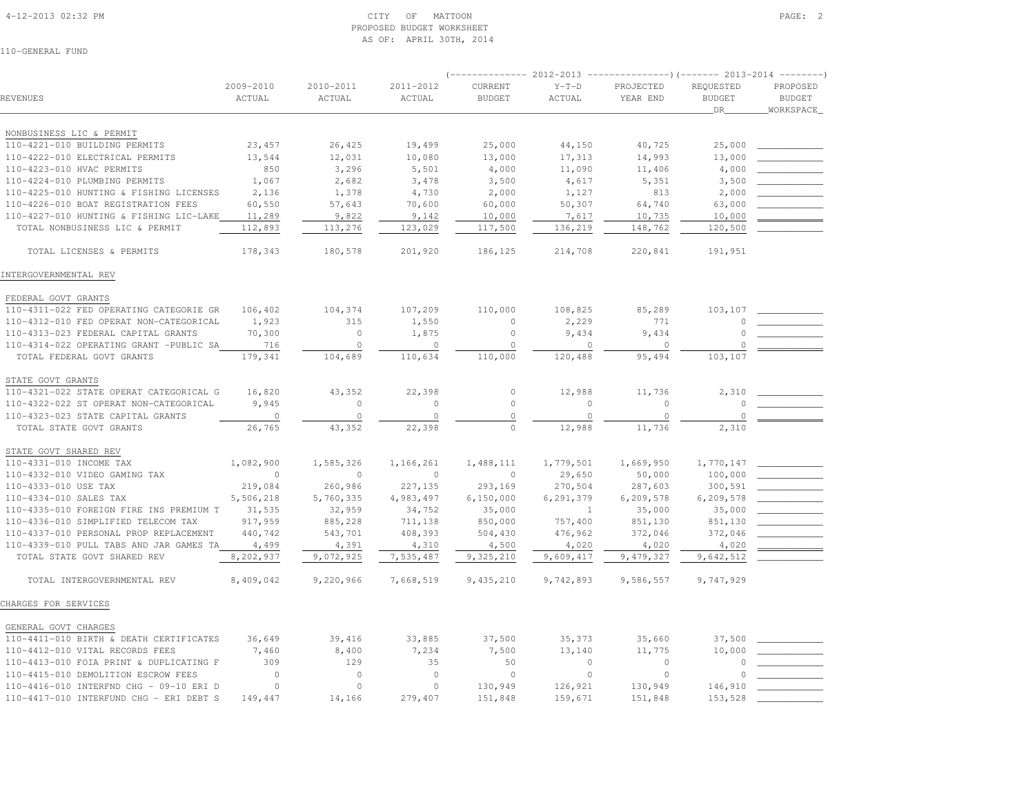#### 4-12-2013 02:32 PM CITY OF MATTOON PAGE: 2 PROPOSED BUDGET WORKSHEETAS OF: APRIL 30TH, 2014

|                                         |                     |                     |                     | $(----------2012-2013$ ---------------)(------- 2013-2014 --------) |                   |                       |                                     |                                         |
|-----------------------------------------|---------------------|---------------------|---------------------|---------------------------------------------------------------------|-------------------|-----------------------|-------------------------------------|-----------------------------------------|
| REVENUES                                | 2009-2010<br>ACTUAL | 2010-2011<br>ACTUAL | 2011-2012<br>ACTUAL | CURRENT<br><b>BUDGET</b>                                            | $Y-T-D$<br>ACTUAL | PROJECTED<br>YEAR END | REQUESTED<br><b>BUDGET</b><br>$DR_$ | PROPOSED<br><b>BUDGET</b><br>WORKSPACE_ |
| NONBUSINESS LIC & PERMIT                |                     |                     |                     |                                                                     |                   |                       |                                     |                                         |
| 110-4221-010 BUILDING PERMITS           | 23,457              | 26,425              | 19,499              | 25,000                                                              | 44,150            | 40,725                | 25,000                              |                                         |
| 110-4222-010 ELECTRICAL PERMITS         | 13,544              | 12,031              | 10,080              | 13,000                                                              | 17,313            | 14,993                | 13,000                              |                                         |
| 110-4223-010 HVAC PERMITS               | 850                 | 3,296               | 5,501               | 4,000                                                               | 11,090            | 11,406                | 4,000                               |                                         |
| 110-4224-010 PLUMBING PERMITS           | 1,067               | 2,682               | 3,478               | 3,500                                                               | 4,617             | 5,351                 | 3,500                               |                                         |
| 110-4225-010 HUNTING & FISHING LICENSES | 2,136               | 1,378               | 4,730               | 2,000                                                               | 1,127             | 813                   | 2,000                               |                                         |
| 110-4226-010 BOAT REGISTRATION FEES     | 60,550              | 57,643              | 70,600              | 60,000                                                              | 50,307            | 64,740                | 63,000                              |                                         |
| 110-4227-010 HUNTING & FISHING LIC-LAKE | 11,289              | 9,822               | 9,142               | 10,000                                                              | 7,617             | 10,735                | 10,000                              |                                         |
| TOTAL NONBUSINESS LIC & PERMIT          | 112,893             | 113,276             | 123,029             | 117,500                                                             | 136,219           | 148,762               | 120,500                             |                                         |
| TOTAL LICENSES & PERMITS                | 178,343             | 180,578             | 201,920             | 186,125                                                             | 214,708           | 220,841               | 191,951                             |                                         |
| INTERGOVERNMENTAL REV                   |                     |                     |                     |                                                                     |                   |                       |                                     |                                         |
| FEDERAL GOVT GRANTS                     |                     |                     |                     |                                                                     |                   |                       |                                     |                                         |
| 110-4311-022 FED OPERATING CATEGORIE GR | 106,402             | 104,374             | 107,209             | 110,000                                                             | 108,825           | 85,289                | 103,107                             |                                         |
| 110-4312-010 FED OPERAT NON-CATEGORICAL | 1,923               | 315                 | 1,550               | $\circ$                                                             | 2,229             | 771                   | $\cup$                              |                                         |
| 110-4313-023 FEDERAL CAPITAL GRANTS     | 70,300              | $\circ$             | 1,875               | $\mathbb O$                                                         | 9,434             | 9,434                 | $\Omega$                            |                                         |
| 110-4314-022 OPERATING GRANT -PUBLIC SA | 716                 | $\circ$             | $\circ$             | $\mathbb O$                                                         | $\circ$           | $\mathbb O$           | $\Omega$                            |                                         |
| TOTAL FEDERAL GOVT GRANTS               | 179,341             | 104,689             | 110,634             | 110,000                                                             | 120,488           | 95,494                | 103,107                             |                                         |
| STATE GOVT GRANTS                       |                     |                     |                     |                                                                     |                   |                       |                                     |                                         |
| 110-4321-022 STATE OPERAT CATEGORICAL G | 16,820              | 43,352              | 22,398              | $\circ$                                                             | 12,988            | 11,736                | 2,310                               |                                         |
| 110-4322-022 ST OPERAT NON-CATEGORICAL  | 9,945               | $\bigcap$           | $\Omega$            | $\circ$                                                             | $\Omega$          | $\circ$               | $\circ$                             |                                         |
| 110-4323-023 STATE CAPITAL GRANTS       | $\circ$             | $\circ$             | $\mathbb O$         | $\mathbb O$                                                         | $\circ$           | $\circ$               | $\circ$                             |                                         |
| TOTAL STATE GOVT GRANTS                 | 26,765              | 43,352              | 22,398              | $\circ$                                                             | 12,988            | 11,736                | 2,310                               |                                         |
| STATE GOVT SHARED REV                   |                     |                     |                     |                                                                     |                   |                       |                                     |                                         |
| 110-4331-010 INCOME TAX                 | 1,082,900           | 1,585,326           | 1,166,261           | 1,488,111                                                           | 1,779,501         | 1,669,950             | 1,770,147                           |                                         |
| 110-4332-010 VIDEO GAMING TAX           | $\Omega$            | $\bigcap$           | $\circ$             | $\mathbf{0}$                                                        | 29,650            | 50,000                | 100,000                             |                                         |
| 110-4333-010 USE TAX                    | 219,084             | 260,986             | 227,135             | 293,169                                                             | 270,504           | 287,603               | 300,591                             |                                         |
| 110-4334-010 SALES TAX                  | 5,506,218           | 5,760,335           | 4,983,497           | 6, 150, 000                                                         | 6,291,379         | 6,209,578             | 6,209,578                           |                                         |
| 110-4335-010 FOREIGN FIRE INS PREMIUM T | 31,535              | 32,959              | 34,752              | 35,000                                                              | $\overline{1}$    | 35,000                | 35,000                              |                                         |
| 110-4336-010 SIMPLIFIED TELECOM TAX     | 917,959             | 885,228             | 711,138             | 850,000                                                             | 757,400           | 851,130               | 851,130                             |                                         |
| 110-4337-010 PERSONAL PROP REPLACEMENT  | 440,742             | 543,701             | 408,393             | 504,430                                                             | 476,962           | 372,046               | 372,046                             |                                         |
| 110-4339-010 PULL TABS AND JAR GAMES TA | 4,499               | 4,391               | 4,310               | 4,500                                                               | 4,020             | 4,020                 | 4,020                               |                                         |
| TOTAL STATE GOVT SHARED REV             | 8,202,937           | 9,072,925           | 7,535,487           | 9,325,210                                                           | 9,609,417         | 9,479,327             | 9,642,512                           |                                         |
| TOTAL INTERGOVERNMENTAL REV             | 8,409,042           | 9,220,966           | 7,668,519           | 9,435,210                                                           | 9,742,893         | 9,586,557             | 9,747,929                           |                                         |
| CHARGES FOR SERVICES                    |                     |                     |                     |                                                                     |                   |                       |                                     |                                         |
| GENERAL GOVT CHARGES                    |                     |                     |                     |                                                                     |                   |                       |                                     |                                         |
| 110-4411-010 BIRTH & DEATH CERTIFICATES | 36,649              | 39,416              | 33,885              | 37,500                                                              | 35,373            | 35,660                | 37,500                              |                                         |
| 110-4412-010 VITAL RECORDS FEES         | 7,460               | 8,400               | 7,234               | 7,500                                                               | 13,140            | 11,775                | 10,000                              |                                         |
| 110-4413-010 FOIA PRINT & DUPLICATING F | 309                 | 129                 | 35                  | 50                                                                  | $\circ$           | $\overline{0}$        | $\Omega$                            |                                         |
| 110-4415-010 DEMOLITION ESCROW FEES     | $\circ$             | $\circ$             | $\circ$             | $\circ$                                                             | $\circ$           | $\circ$               |                                     |                                         |
| 110-4416-010 INTERFND CHG - 09-10 ERI D | $\Omega$            | $\Omega$            | $\circ$             | 130,949                                                             | 126,921           | 130,949               | 146,910                             |                                         |
| 110-4417-010 INTERFUND CHG - ERI DEBT S | 149,447             | 14,166              | 279,407             | 151,848                                                             | 159,671           | 151,848               | 153,528                             |                                         |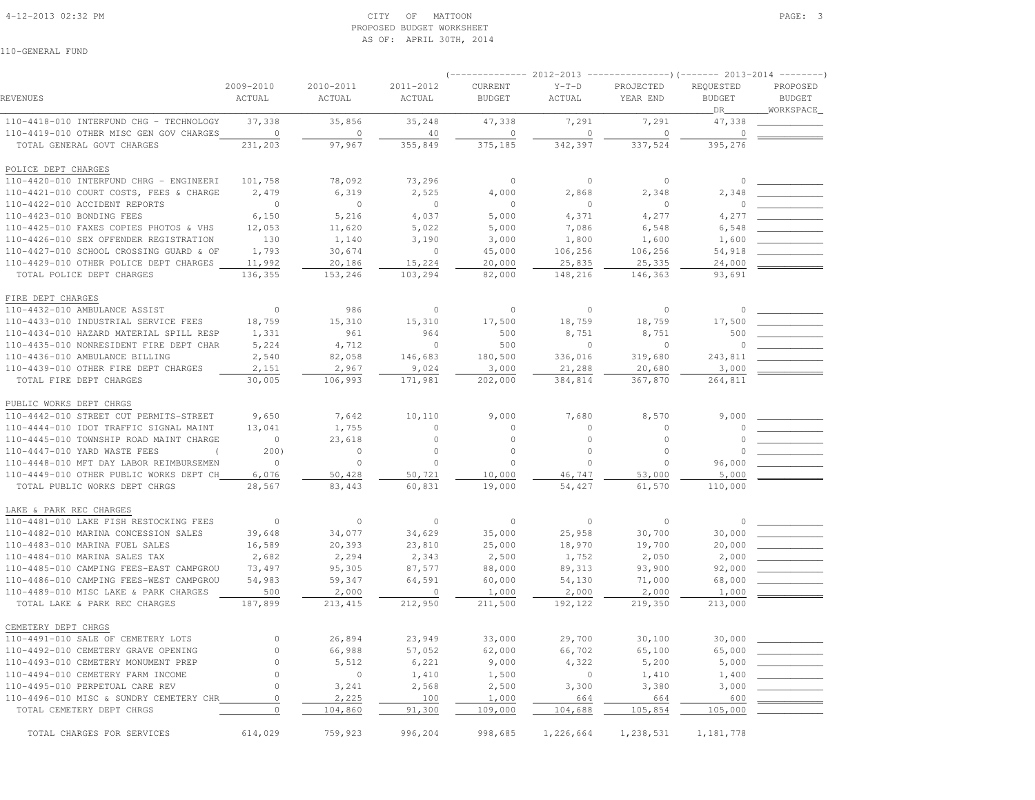## 4-12-2013 02:32 PM CITY OF MATTOON PAGE: 3 PROPOSED BUDGET WORKSHEETAS OF: APRIL 30TH, 2014

|                                                                                    |                     |                     |                     |                          |                   | $(---------- 2012-2013$ ----------------) (------- 2013-2014 -------- |                            |                           |
|------------------------------------------------------------------------------------|---------------------|---------------------|---------------------|--------------------------|-------------------|-----------------------------------------------------------------------|----------------------------|---------------------------|
| REVENUES                                                                           | 2009-2010<br>ACTUAL | 2010-2011<br>ACTUAL | 2011-2012<br>ACTUAL | CURRENT<br><b>BUDGET</b> | $Y-T-D$<br>ACTUAL | PROJECTED<br>YEAR END                                                 | REQUESTED<br><b>BUDGET</b> | PROPOSED<br><b>BUDGET</b> |
|                                                                                    | 37,338              |                     | 35,248              | 47,338                   | 7,291             | 7,291                                                                 | DR_                        | _WORKSPACE_               |
| 110-4418-010 INTERFUND CHG - TECHNOLOGY<br>110-4419-010 OTHER MISC GEN GOV CHARGES | $\overline{0}$      | 35,856<br>$\circ$   | 40                  | $\circ$                  | $\circ$           | $\circ$                                                               | 47,338<br>$\circ$          |                           |
| TOTAL GENERAL GOVT CHARGES                                                         | 231,203             | 97,967              | 355,849             | 375,185                  | 342,397           | 337,524                                                               | 395,276                    |                           |
|                                                                                    |                     |                     |                     |                          |                   |                                                                       |                            |                           |
| POLICE DEPT CHARGES                                                                |                     |                     |                     |                          |                   |                                                                       |                            |                           |
| 110-4420-010 INTERFUND CHRG - ENGINEERI                                            | 101,758             | 78,092              | 73,296              | $\circ$                  | $\overline{0}$    | $\Omega$                                                              | $\circ$                    |                           |
| 110-4421-010 COURT COSTS, FEES & CHARGE                                            | 2,479               | 6,319               | 2,525               | 4,000                    | 2,868             | 2,348                                                                 | 2,348                      |                           |
| 110-4422-010 ACCIDENT REPORTS                                                      | $\overline{0}$      | $\bigcirc$          | $\overline{0}$      | $\circ$                  | $\circ$           | $\bigcap$                                                             | $\mathbb O$                |                           |
| 110-4423-010 BONDING FEES                                                          | 6,150               | 5,216               | 4,037               | 5,000                    | 4,371             | 4,277                                                                 | 4,277                      |                           |
| 110-4425-010 FAXES COPIES PHOTOS & VHS                                             | 12,053              | 11,620              | 5,022               | 5,000                    | 7,086             | 6,548                                                                 | 6,548                      |                           |
| 110-4426-010 SEX OFFENDER REGISTRATION                                             | 130                 | 1,140               | 3,190               | 3,000                    | 1,800             | 1,600                                                                 | 1,600                      |                           |
| 110-4427-010 SCHOOL CROSSING GUARD & OF                                            | 1,793               | 30,674              | $\overline{0}$      | 45,000                   | 106,256           | 106,256                                                               | 54,918                     |                           |
| 110-4429-010 OTHER POLICE DEPT CHARGES                                             | 11,992              | 20,186              | 15,224              | 20,000                   | 25,835            | 25,335                                                                | 24,000                     |                           |
| TOTAL POLICE DEPT CHARGES                                                          | 136,355             | 153,246             | 103,294             | 82,000                   | 148,216           | 146,363                                                               | 93,691                     |                           |
|                                                                                    |                     |                     |                     |                          |                   |                                                                       |                            |                           |
| FIRE DEPT CHARGES<br>110-4432-010 AMBULANCE ASSIST                                 | $\circ$             |                     | $\circ$             |                          | $\circ$           | $\circ$                                                               | $\circ$                    |                           |
|                                                                                    | 18,759              | 986<br>15,310       | 15,310              | $\circ$                  |                   |                                                                       |                            |                           |
| 110-4433-010 INDUSTRIAL SERVICE FEES                                               |                     | 961                 |                     | 17,500                   | 18,759            | 18,759                                                                | 17,500                     |                           |
| 110-4434-010 HAZARD MATERIAL SPILL RESP<br>110-4435-010 NONRESIDENT FIRE DEPT CHAR | 1,331               |                     | 964<br>$\circ$      | 500<br>500               | 8,751<br>$\circ$  | 8,751<br>$\cap$                                                       | 500<br>$\circ$             |                           |
| 110-4436-010 AMBULANCE BILLING                                                     | 5,224<br>2,540      | 4,712<br>82,058     | 146,683             | 180,500                  | 336,016           | 319,680                                                               | 243,811                    |                           |
| 110-4439-010 OTHER FIRE DEPT CHARGES                                               | 2,151               | 2,967               | 9,024               | 3,000                    | 21,288            | 20,680                                                                | 3,000                      |                           |
| TOTAL FIRE DEPT CHARGES                                                            | 30,005              | 106,993             | 171,981             | 202,000                  | 384,814           | 367,870                                                               | 264,811                    |                           |
|                                                                                    |                     |                     |                     |                          |                   |                                                                       |                            |                           |
| PUBLIC WORKS DEPT CHRGS                                                            |                     |                     |                     |                          |                   |                                                                       |                            |                           |
| 110-4442-010 STREET CUT PERMITS-STREET                                             | 9,650               | 7,642               | 10,110              | 9,000                    | 7,680             | 8,570                                                                 | 9,000                      |                           |
| 110-4444-010 IDOT TRAFFIC SIGNAL MAINT                                             | 13,041              | 1,755               | $\circ$             | $\circ$                  | $\circ$           | $\circ$                                                               | $\Omega$                   |                           |
| 110-4445-010 TOWNSHIP ROAD MAINT CHARGE                                            | $\overline{0}$      | 23,618              | $\circ$             | $\circ$                  | $\circ$           | $\Omega$                                                              | $\cap$                     |                           |
| 110-4447-010 YARD WASTE FEES<br>$\sqrt{2}$                                         | 200)                | $\circ$             | $\circ$             | $\circ$                  | $\circ$           | $\circ$                                                               |                            |                           |
| 110-4448-010 MFT DAY LABOR REIMBURSEMEN                                            | $\overline{0}$      | $\circ$             | $\circ$             | $\circ$                  | $\circ$           | $\circ$                                                               | 96,000                     |                           |
| 110-4449-010 OTHER PUBLIC WORKS DEPT CH                                            | 6,076               | 50,428              | 50,721              | 10,000                   | 46,747            | 53,000                                                                | 5,000                      |                           |
| TOTAL PUBLIC WORKS DEPT CHRGS                                                      | 28,567              | 83,443              | 60,831              | 19,000                   | 54,427            | 61,570                                                                | 110,000                    |                           |
| LAKE & PARK REC CHARGES                                                            |                     |                     |                     |                          |                   |                                                                       |                            |                           |
| 110-4481-010 LAKE FISH RESTOCKING FEES                                             | $\overline{0}$      | $\circ$             | $\overline{0}$      | $\circ$                  | $\overline{0}$    | $\circ$                                                               | $\circ$                    |                           |
| 110-4482-010 MARINA CONCESSION SALES                                               | 39,648              | 34,077              | 34,629              | 35,000                   | 25,958            | 30,700                                                                | 30,000                     |                           |
| 110-4483-010 MARINA FUEL SALES                                                     | 16,589              | 20,393              | 23,810              | 25,000                   | 18,970            | 19,700                                                                | 20,000                     |                           |
| 110-4484-010 MARINA SALES TAX                                                      | 2,682               | 2,294               | 2,343               | 2,500                    | 1,752             | 2,050                                                                 | 2,000                      |                           |
| 110-4485-010 CAMPING FEES-EAST CAMPGROU                                            | 73,497              | 95,305              | 87,577              | 88,000                   | 89,313            | 93,900                                                                | 92,000                     |                           |
| 110-4486-010 CAMPING FEES-WEST CAMPGROU                                            | 54,983              | 59,347              | 64,591              | 60,000                   | 54,130            | 71,000                                                                | 68,000                     |                           |
| 110-4489-010 MISC LAKE & PARK CHARGES                                              | 500                 | 2,000               | $\overline{0}$      | 1,000                    | 2,000             | 2,000                                                                 | 1,000                      |                           |
| TOTAL LAKE & PARK REC CHARGES                                                      | 187,899             | 213, 415            | 212,950             | 211,500                  | 192,122           | 219,350                                                               | 213,000                    |                           |
| CEMETERY DEPT CHRGS                                                                |                     |                     |                     |                          |                   |                                                                       |                            |                           |
| 110-4491-010 SALE OF CEMETERY LOTS                                                 | $\circ$             | 26,894              | 23,949              | 33,000                   | 29,700            |                                                                       | 30,000                     |                           |
| 110-4492-010 CEMETERY GRAVE OPENING                                                | $\circ$             | 66,988              | 57,052              | 62,000                   | 66,702            | 30,100<br>65,100                                                      | 65,000                     |                           |
| 110-4493-010 CEMETERY MONUMENT PREP                                                | $\Omega$            | 5,512               | 6,221               | 9,000                    | 4,322             | 5,200                                                                 | 5,000                      |                           |
| 110-4494-010 CEMETERY FARM INCOME                                                  | $\circ$             | $\overline{0}$      | 1,410               | 1,500                    | $\circ$           | 1,410                                                                 | 1,400                      |                           |
| 110-4495-010 PERPETUAL CARE REV                                                    | $\Omega$            | 3,241               | 2,568               | 2,500                    | 3,300             | 3,380                                                                 | 3,000                      |                           |
| 110-4496-010 MISC & SUNDRY CEMETERY CHR                                            | $\circ$             | 2,225               | 100                 | 1,000                    | 664               | 664                                                                   | 600                        |                           |
| TOTAL CEMETERY DEPT CHRGS                                                          | $\circ$             | 104,860             | 91,300              | 109,000                  | 104,688           | 105,854                                                               | 105,000                    |                           |
|                                                                                    |                     |                     |                     |                          |                   |                                                                       |                            |                           |
| TOTAL CHARGES FOR SERVICES                                                         | 614,029             | 759,923             | 996,204             | 998,685                  | 1,226,664         | 1,238,531                                                             | 1,181,778                  |                           |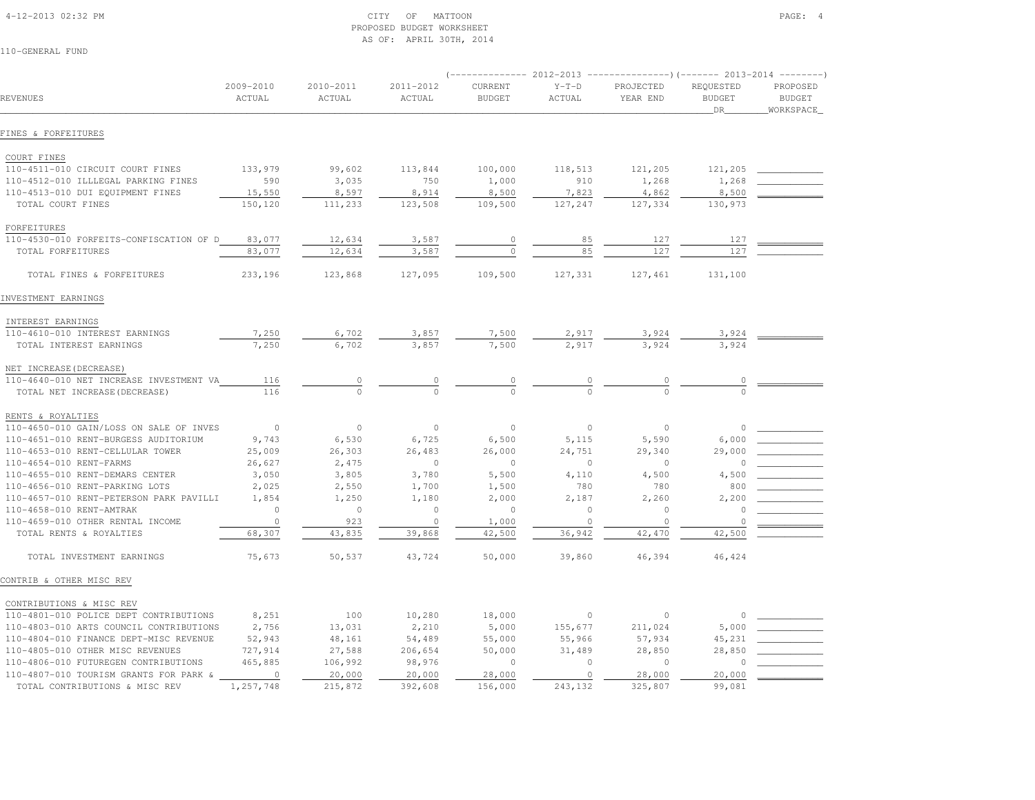#### 4-12-2013 02:32 PM CITY OF MATTOON PAGE: 4 PROPOSED BUDGET WORKSHEETAS OF: APRIL 30TH, 2014

|                                         |                     |                     |                     |                          |                   | $(---------- 2012-2013$ ---------------)(------- 2013-2014 -------) |                                  |                                        |
|-----------------------------------------|---------------------|---------------------|---------------------|--------------------------|-------------------|---------------------------------------------------------------------|----------------------------------|----------------------------------------|
| REVENUES                                | 2009-2010<br>ACTUAL | 2010-2011<br>ACTUAL | 2011-2012<br>ACTUAL | CURRENT<br><b>BUDGET</b> | $Y-T-D$<br>ACTUAL | PROJECTED<br>YEAR END                                               | REQUESTED<br><b>BUDGET</b><br>DR | PROPOSED<br><b>BUDGET</b><br>WORKSPACE |
| FINES & FORFEITURES                     |                     |                     |                     |                          |                   |                                                                     |                                  |                                        |
| COURT FINES                             |                     |                     |                     |                          |                   |                                                                     |                                  |                                        |
| 110-4511-010 CIRCUIT COURT FINES        | 133,979             | 99,602              | 113,844             | 100,000                  | 118,513           | 121,205                                                             | 121,205                          |                                        |
| 110-4512-010 ILLLEGAL PARKING FINES     | 590                 | 3,035               | 750                 | 1,000                    | 910               | 1,268                                                               | 1,268                            |                                        |
| 110-4513-010 DUI EQUIPMENT FINES        | 15,550              | 8,597               | 8,914               | 8,500                    | 7,823             | 4,862                                                               | 8,500                            |                                        |
| TOTAL COURT FINES                       | 150,120             | 111,233             | 123,508             | 109,500                  | 127,247           | 127,334                                                             | 130,973                          |                                        |
| FORFEITURES                             |                     |                     |                     |                          |                   |                                                                     |                                  |                                        |
| 110-4530-010 FORFEITS-CONFISCATION OF D | 83,077              | 12,634              | 3,587               | $\circ$                  | 85                | 127                                                                 | 127                              |                                        |
| TOTAL FORFEITURES                       | 83,077              | 12,634              | 3,587               | $\Omega$                 | 85                | 127                                                                 | 127                              |                                        |
|                                         |                     |                     |                     |                          |                   |                                                                     |                                  |                                        |
| TOTAL FINES & FORFEITURES               | 233,196             | 123,868             | 127,095             | 109,500                  | 127,331           | 127,461                                                             | 131,100                          |                                        |
| INVESTMENT EARNINGS                     |                     |                     |                     |                          |                   |                                                                     |                                  |                                        |
| INTEREST EARNINGS                       |                     |                     |                     |                          |                   |                                                                     |                                  |                                        |
| 110-4610-010 INTEREST EARNINGS          | 7,250               | 6,702               | 3,857               | 7,500                    | 2,917             | 3,924                                                               | 3,924                            |                                        |
| TOTAL INTEREST EARNINGS                 | 7,250               | 6,702               | 3,857               | 7,500                    | 2,917             | 3.924                                                               | 3,924                            |                                        |
| NET INCREASE (DECREASE)                 |                     |                     |                     |                          |                   |                                                                     |                                  |                                        |
| 110-4640-010 NET INCREASE INVESTMENT VA | 116                 | 0                   | $\circ$             | $\overline{\phantom{a}}$ |                   |                                                                     |                                  |                                        |
| TOTAL NET INCREASE (DECREASE)           | 116                 | $\Omega$            |                     | $\Omega$                 |                   |                                                                     |                                  |                                        |
| RENTS & ROYALTIES                       |                     |                     |                     |                          |                   |                                                                     |                                  |                                        |
| 110-4650-010 GAIN/LOSS ON SALE OF INVES | $\overline{0}$      | $\circ$             | $\circ$             | $\circ$                  | $\circ$           | $\circ$                                                             | $\circ$                          |                                        |
| 110-4651-010 RENT-BURGESS AUDITORIUM    | 9,743               | 6,530               | 6,725               | 6,500                    | 5,115             | 5,590                                                               | 6,000                            |                                        |
| 110-4653-010 RENT-CELLULAR TOWER        | 25,009              | 26,303              | 26,483              | 26,000                   | 24,751            | 29,340                                                              | 29,000                           |                                        |
| 110-4654-010 RENT-FARMS                 | 26,627              | 2,475               | $\circ$             | $\circ$                  | $\Omega$          | $\Omega$                                                            | $\Omega$                         |                                        |
| 110-4655-010 RENT-DEMARS CENTER         | 3,050               | 3,805               | 3,780               | 5,500                    | 4,110             | 4,500                                                               | 4,500                            |                                        |
| 110-4656-010 RENT-PARKING LOTS          | 2,025               | 2,550               | 1,700               | 1,500                    | 780               | 780                                                                 | 800                              |                                        |
| 110-4657-010 RENT-PETERSON PARK PAVILLI | 1,854               | 1,250               | 1,180               | 2,000                    | 2,187             | 2,260                                                               | 2,200                            |                                        |
| 110-4658-010 RENT-AMTRAK                | $\circ$             | $\circ$             | $\circ$             | $\circ$                  | $\circ$           | $\overline{0}$                                                      |                                  |                                        |
| 110-4659-010 OTHER RENTAL INCOME        | $\circ$             | 923                 | $\circ$             | 1,000                    | $\circ$           | $\Omega$                                                            | $\circ$                          |                                        |
| TOTAL RENTS & ROYALTIES                 | 68,307              | 43,835              | 39,868              | 42,500                   | 36,942            | 42,470                                                              | 42,500                           |                                        |
| TOTAL INVESTMENT EARNINGS               | 75,673              | 50,537              | 43,724              | 50,000                   | 39,860            | 46,394                                                              | 46,424                           |                                        |
| CONTRIB & OTHER MISC REV                |                     |                     |                     |                          |                   |                                                                     |                                  |                                        |
| CONTRIBUTIONS & MISC REV                |                     |                     |                     |                          |                   |                                                                     |                                  |                                        |
| 110-4801-010 POLICE DEPT CONTRIBUTIONS  | 8,251               | 100                 | 10,280              | 18,000                   | $\circ$           | $\circ$                                                             | $\circ$                          |                                        |
| 110-4803-010 ARTS COUNCIL CONTRIBUTIONS | 2,756               | 13,031              | 2,210               | 5,000                    | 155,677           | 211,024                                                             | 5,000                            |                                        |
| 110-4804-010 FINANCE DEPT-MISC REVENUE  | 52,943              | 48,161              | 54,489              | 55,000                   | 55,966            | 57,934                                                              | 45,231                           |                                        |
| 110-4805-010 OTHER MISC REVENUES        | 727,914             | 27,588              | 206,654             | 50,000                   | 31,489            | 28,850                                                              | 28,850                           |                                        |
| 110-4806-010 FUTUREGEN CONTRIBUTIONS    | 465,885             | 106,992             | 98,976              | $\mathbf{0}$             | $\circ$           | $\overline{0}$                                                      | $\cap$                           |                                        |
| 110-4807-010 TOURISM GRANTS FOR PARK &  | $\overline{0}$      | 20,000              | 20,000              | 28,000                   | $\circ$           | 28,000                                                              | 20,000                           |                                        |
| TOTAL CONTRIBUTIONS & MISC REV          | 1,257,748           | 215,872             | 392,608             | 156,000                  | 243,132           | 325,807                                                             | 99,081                           |                                        |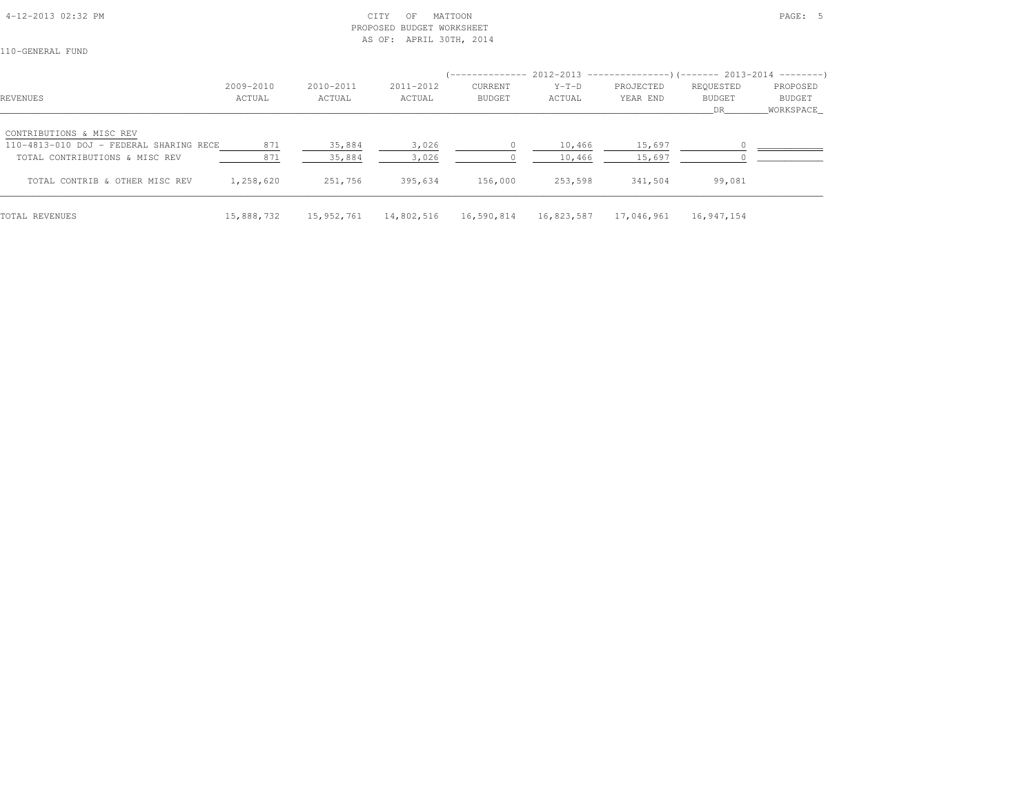## 4-12-2013 02:32 PM CITY OF MATTOON PAGE: 5 PROPOSED BUDGET WORKSHEETAS OF: APRIL 30TH, 2014

|                                         |            |            |            | -------------  |            |            | $2012-2013$ ----------------)(------- 2013-2014 --------) |           |
|-----------------------------------------|------------|------------|------------|----------------|------------|------------|-----------------------------------------------------------|-----------|
|                                         | 2009-2010  | 2010-2011  | 2011-2012  | <b>CURRENT</b> | $Y-T-D$    | PROJECTED  | REQUESTED                                                 | PROPOSED  |
| REVENUES                                | ACTUAL     | ACTUAL     | ACTUAL     | <b>BUDGET</b>  | ACTUAL     | YEAR END   | <b>BUDGET</b>                                             | BUDGET    |
|                                         |            |            |            |                |            |            | DR.                                                       | WORKSPACE |
| CONTRIBUTIONS & MISC REV                |            |            |            |                |            |            |                                                           |           |
| 110-4813-010 DOJ - FEDERAL SHARING RECE | 871        | 35,884     | 3,026      |                | 10,466     | 15,697     |                                                           |           |
| TOTAL CONTRIBUTIONS & MISC REV          | 871        | 35,884     | 3,026      |                | 10,466     | 15,697     |                                                           |           |
| TOTAL CONTRIB & OTHER MISC REV          | 1,258,620  | 251,756    | 395,634    | 156,000        | 253,598    | 341,504    | 99,081                                                    |           |
| TOTAL REVENUES                          | 15,888,732 | 15,952,761 | 14,802,516 | 16,590,814     | 16,823,587 | 17,046,961 | 16,947,154                                                |           |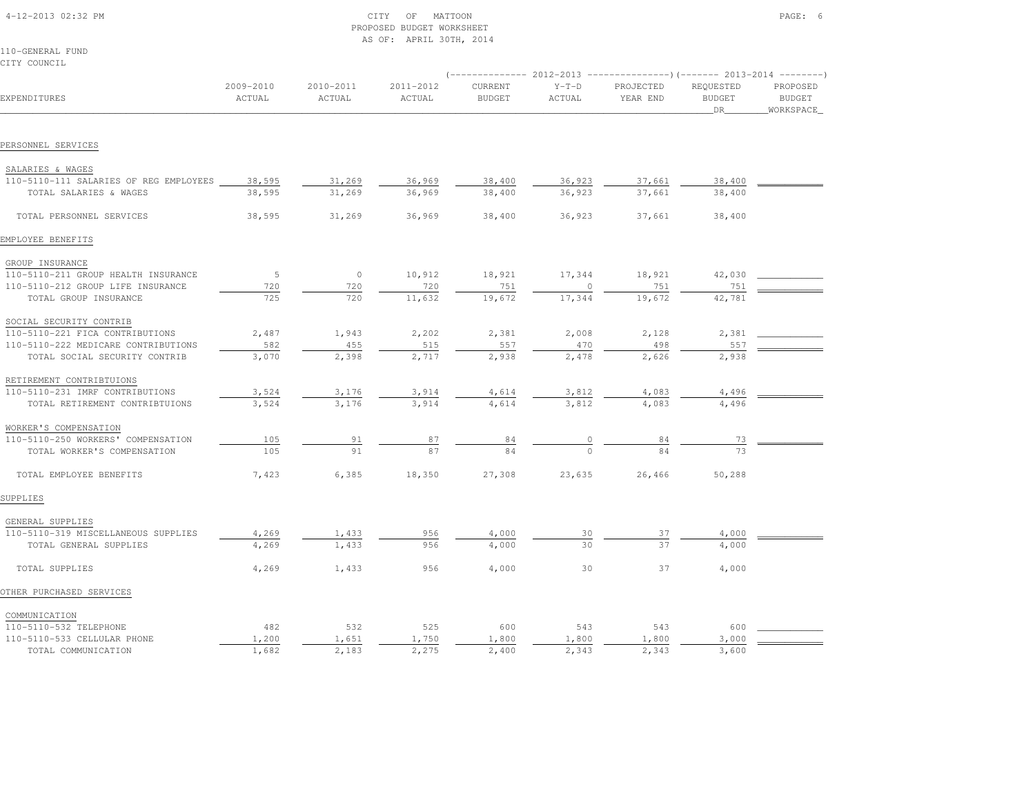| 4-12-2013 02:32 PM |  |
|--------------------|--|

# $\begin{array}{ccc} \text{CITY} & \text{OF} & \text{MATTOON} \end{array}$  PROPOSED BUDGET WORKSHEETAS OF: APRIL 30TH, 2014

110-GENERAL FUNDCITY COUNCIL

|                                        |                     |                     |                     |                          |                   | $($ -------------- 2012-2013 ----------------) (------- 2013-2014 ---------) |                                  |                                        |
|----------------------------------------|---------------------|---------------------|---------------------|--------------------------|-------------------|------------------------------------------------------------------------------|----------------------------------|----------------------------------------|
| EXPENDITURES                           | 2009-2010<br>ACTUAL | 2010-2011<br>ACTUAL | 2011-2012<br>ACTUAL | CURRENT<br><b>BUDGET</b> | $Y-T-D$<br>ACTUAL | PROJECTED<br>YEAR END                                                        | REQUESTED<br><b>BUDGET</b><br>DR | PROPOSED<br><b>BUDGET</b><br>WORKSPACE |
|                                        |                     |                     |                     |                          |                   |                                                                              |                                  |                                        |
| PERSONNEL SERVICES                     |                     |                     |                     |                          |                   |                                                                              |                                  |                                        |
| SALARIES & WAGES                       |                     |                     |                     |                          |                   |                                                                              |                                  |                                        |
| 110-5110-111 SALARIES OF REG EMPLOYEES | 38,595              | 31,269              | 36,969              | 38,400                   | 36,923            | 37,661                                                                       | 38,400                           |                                        |
| TOTAL SALARIES & WAGES                 | 38,595              | 31,269              | 36,969              | 38,400                   | 36,923            | 37,661                                                                       | 38,400                           |                                        |
| TOTAL PERSONNEL SERVICES               | 38,595              | 31,269              | 36,969              | 38,400                   | 36,923            | 37,661                                                                       | 38,400                           |                                        |
| EMPLOYEE BENEFITS                      |                     |                     |                     |                          |                   |                                                                              |                                  |                                        |
| GROUP INSURANCE                        |                     |                     |                     |                          |                   |                                                                              |                                  |                                        |
| 110-5110-211 GROUP HEALTH INSURANCE    | 5                   | $\circ$             | 10,912              | 18,921                   | 17,344            | 18,921                                                                       | 42,030                           |                                        |
| 110-5110-212 GROUP LIFE INSURANCE      | 720                 | 720                 | 720                 | 751                      |                   | 751                                                                          | 751                              |                                        |
| TOTAL GROUP INSURANCE                  | 725                 | 720                 | 11,632              | 19,672                   | 17,344            | 19,672                                                                       | 42,781                           |                                        |
| SOCIAL SECURITY CONTRIB                |                     |                     |                     |                          |                   |                                                                              |                                  |                                        |
| 110-5110-221 FICA CONTRIBUTIONS        | 2,487               | 1,943               | 2,202               | 2,381                    | 2,008             | 2,128                                                                        | 2,381                            |                                        |
| 110-5110-222 MEDICARE CONTRIBUTIONS    | 582                 | 455                 | 515                 | 557                      | 470               | 498                                                                          | 557                              |                                        |
| TOTAL SOCIAL SECURITY CONTRIB          | 3,070               | 2,398               | 2,717               | 2,938                    | 2,478             | 2,626                                                                        | 2,938                            |                                        |
| RETIREMENT CONTRIBTUIONS               |                     |                     |                     |                          |                   |                                                                              |                                  |                                        |
| 110-5110-231 IMRF CONTRIBUTIONS        | 3,524               | 3,176               | 3,914               | 4,614                    | 3,812             | 4,083                                                                        | 4,496                            |                                        |
| TOTAL RETIREMENT CONTRIBTUIONS         | 3,524               | 3,176               | 3,914               | 4,614                    | 3,812             | 4,083                                                                        | 4,496                            |                                        |
| WORKER'S COMPENSATION                  |                     |                     |                     |                          |                   |                                                                              |                                  |                                        |
| 110-5110-250 WORKERS' COMPENSATION     | 105                 | 91                  | 87                  | 84                       |                   | 84                                                                           | 73                               |                                        |
| TOTAL WORKER'S COMPENSATION            | 105                 | 91                  | 87                  |                          |                   |                                                                              |                                  |                                        |
| TOTAL EMPLOYEE BENEFITS                | 7,423               | 6,385               | 18,350              | 27,308                   | 23,635            | 26,466                                                                       | 50,288                           |                                        |
| SUPPLIES                               |                     |                     |                     |                          |                   |                                                                              |                                  |                                        |
| GENERAL SUPPLIES                       |                     |                     |                     |                          |                   |                                                                              |                                  |                                        |
| 110-5110-319 MISCELLANEOUS SUPPLIES    | 4,269               | 1,433               | 956                 | 4,000                    | 30                | 37                                                                           | 4,000                            |                                        |
| TOTAL GENERAL SUPPLIES                 | 4,269               | 1,433               | 956                 | 4,000                    | 30                | 37                                                                           | 4,000                            |                                        |
| TOTAL SUPPLIES                         | 4,269               | 1,433               | 956                 | 4,000                    | 30                | 37                                                                           | 4,000                            |                                        |
| OTHER PURCHASED SERVICES               |                     |                     |                     |                          |                   |                                                                              |                                  |                                        |
| COMMUNICATION                          |                     |                     |                     |                          |                   |                                                                              |                                  |                                        |
| 110-5110-532 TELEPHONE                 | 482                 | 532                 | 525                 | 600                      | 543               | 543                                                                          | 600                              |                                        |
| 110-5110-533 CELLULAR PHONE            | 1,200               | 1,651               | 1,750               | 1,800                    | 1,800             | 1,800                                                                        | 3,000                            |                                        |

TOTAL COMMUNICATION 1,682 2,183 2,275 2,400 2,343 2,343 3,600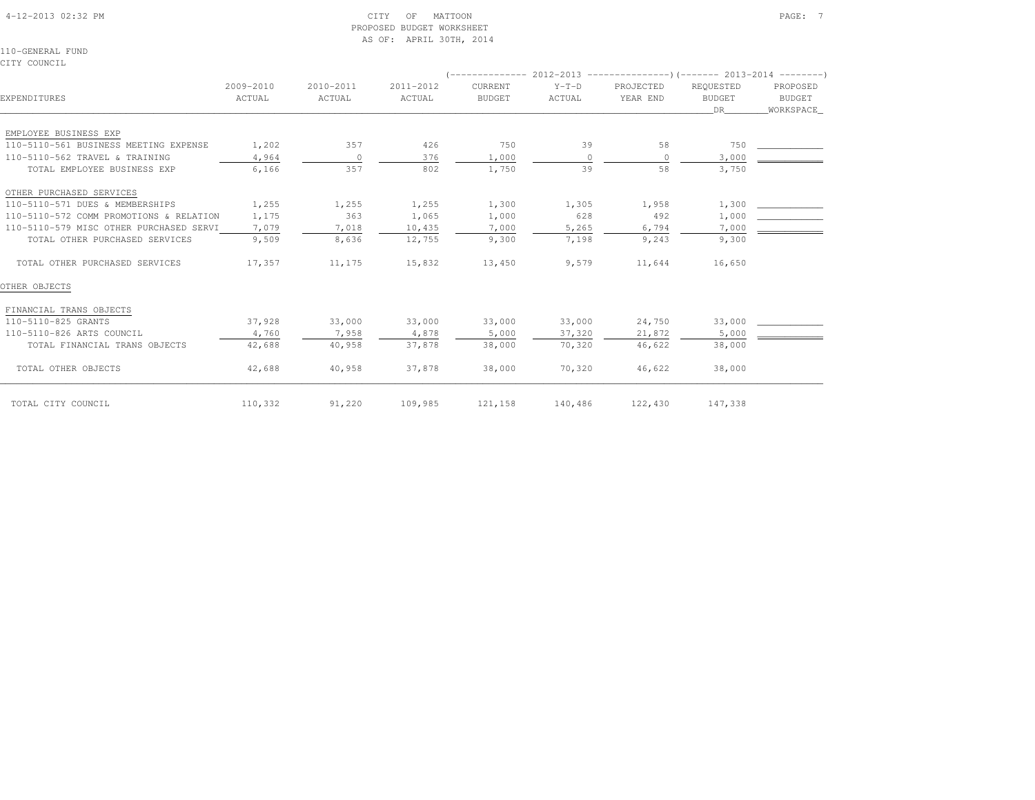#### 4-12-2013 02:32 PM CITY OF MATTOON PAGE: 7 PROPOSED BUDGET WORKSHEETAS OF: APRIL 30TH, 2014

110-GENERAL FUNDCITY COUNCIL

|                                         |                     |                     |                     | ( -------------          |                   | 2012-2013 ---------------------- (-------- 2013-2014 ------------ |                                  |                                        |
|-----------------------------------------|---------------------|---------------------|---------------------|--------------------------|-------------------|-------------------------------------------------------------------|----------------------------------|----------------------------------------|
| EXPENDITURES                            | 2009-2010<br>ACTUAL | 2010-2011<br>ACTUAL | 2011-2012<br>ACTUAL | CURRENT<br><b>BUDGET</b> | $Y-T-D$<br>ACTUAL | PROJECTED<br>YEAR END                                             | REQUESTED<br><b>BUDGET</b><br>DR | PROPOSED<br><b>BUDGET</b><br>WORKSPACE |
|                                         |                     |                     |                     |                          |                   |                                                                   |                                  |                                        |
| EMPLOYEE BUSINESS EXP                   |                     |                     |                     |                          |                   |                                                                   |                                  |                                        |
| 110-5110-561 BUSINESS MEETING EXPENSE   | 1,202               | 357                 | 426                 | 750                      | 39                | 58                                                                | 750                              |                                        |
| 110-5110-562 TRAVEL & TRAINING          | 4,964               | $\circ$             | 376                 | 1,000                    | $\circ$           | $\Omega$                                                          | 3,000                            |                                        |
| TOTAL EMPLOYEE BUSINESS EXP             | 6,166               | 357                 | 802                 | 1,750                    | 39                | 58                                                                | 3,750                            |                                        |
| OTHER PURCHASED SERVICES                |                     |                     |                     |                          |                   |                                                                   |                                  |                                        |
| 110-5110-571 DUES & MEMBERSHIPS         | 1,255               | 1,255               | 1,255               | 1,300                    | 1,305             | 1,958                                                             | 1,300                            |                                        |
| 110-5110-572 COMM PROMOTIONS & RELATION | 1,175               | 363                 | 1,065               | 1,000                    | 628               | 492                                                               | 1,000                            |                                        |
| 110-5110-579 MISC OTHER PURCHASED SERVI | 7,079               | 7,018               | 10,435              | 7,000                    | 5,265             | 6,794                                                             | 7,000                            |                                        |
| TOTAL OTHER PURCHASED SERVICES          | 9,509               | 8,636               | 12,755              | 9,300                    | 7,198             | 9,243                                                             | 9,300                            |                                        |
| TOTAL OTHER PURCHASED SERVICES          | 17,357              | 11,175              | 15,832              | 13,450                   | 9,579             | 11,644                                                            | 16,650                           |                                        |
| OTHER OBJECTS                           |                     |                     |                     |                          |                   |                                                                   |                                  |                                        |
| FINANCIAL TRANS OBJECTS                 |                     |                     |                     |                          |                   |                                                                   |                                  |                                        |
| 110-5110-825 GRANTS                     | 37,928              | 33,000              | 33,000              | 33,000                   | 33,000            | 24,750                                                            | 33,000                           |                                        |
| 110-5110-826 ARTS COUNCIL               | 4,760               | 7,958               | 4,878               | 5,000                    | 37,320            | 21,872                                                            | 5,000                            |                                        |
| TOTAL FINANCIAL TRANS OBJECTS           | 42,688              | 40,958              | 37,878              | 38,000                   | 70,320            | 46,622                                                            | 38,000                           |                                        |
| TOTAL OTHER OBJECTS                     | 42,688              | 40,958              | 37,878              | 38,000                   | 70,320            | 46,622                                                            | 38,000                           |                                        |
| TOTAL CITY COUNCIL                      | 110,332             | 91,220              | 109,985             | 121,158                  | 140,486           | 122,430                                                           | 147,338                          |                                        |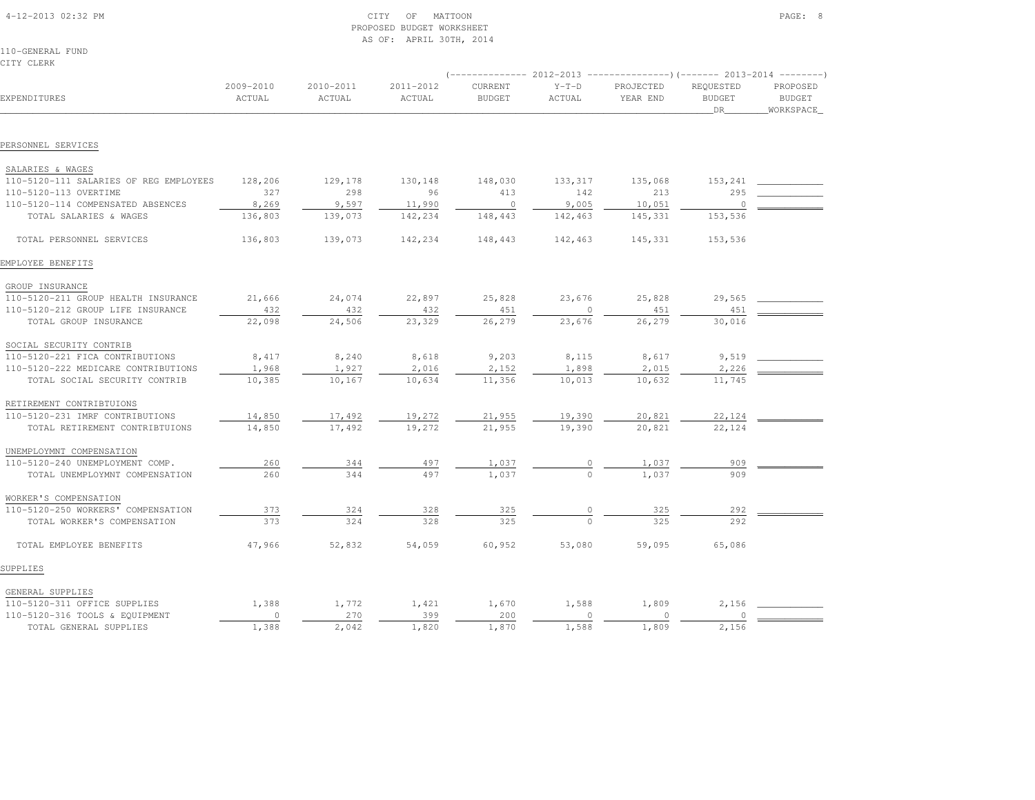| 4-12-2013 02:32 PM |  |
|--------------------|--|

# $\begin{array}{ccc} \textrm{CITY} & \textrm{OF} & \textrm{MATION} \end{array}$  PROPOSED BUDGET WORKSHEETAS OF: APRIL 30TH, 2014

110-GENERAL FUNDCITY CLERK

|                                        |                     |                     |                     | -------------            | 2012-2013         | ----------------)(------- 2013-2014 ---------) |                                  |                                        |
|----------------------------------------|---------------------|---------------------|---------------------|--------------------------|-------------------|------------------------------------------------|----------------------------------|----------------------------------------|
| EXPENDITURES                           | 2009-2010<br>ACTUAL | 2010-2011<br>ACTUAL | 2011-2012<br>ACTUAL | CURRENT<br><b>BUDGET</b> | $Y-T-D$<br>ACTUAL | PROJECTED<br>YEAR END                          | REQUESTED<br><b>BUDGET</b><br>DR | PROPOSED<br><b>BUDGET</b><br>WORKSPACE |
|                                        |                     |                     |                     |                          |                   |                                                |                                  |                                        |
| PERSONNEL SERVICES                     |                     |                     |                     |                          |                   |                                                |                                  |                                        |
| SALARIES & WAGES                       |                     |                     |                     |                          |                   |                                                |                                  |                                        |
| 110-5120-111 SALARIES OF REG EMPLOYEES | 128,206             | 129,178             | 130,148             | 148,030                  | 133,317           | 135,068                                        | 153,241                          |                                        |
| 110-5120-113 OVERTIME                  | 327                 | 298                 | 96                  | 413                      | 142               | 213                                            | 295                              |                                        |
| 110-5120-114 COMPENSATED ABSENCES      | 8,269               | 9,597               | 11,990              | $\overline{0}$           | 9,005             | 10,051                                         | $\circ$                          |                                        |
| TOTAL SALARIES & WAGES                 | 136,803             | 139,073             | 142,234             | 148,443                  | 142,463           | 145,331                                        | 153,536                          |                                        |
| TOTAL PERSONNEL SERVICES               | 136,803             | 139,073             | 142,234             | 148,443                  | 142,463           | 145,331                                        | 153,536                          |                                        |
| EMPLOYEE BENEFITS                      |                     |                     |                     |                          |                   |                                                |                                  |                                        |
| GROUP INSURANCE                        |                     |                     |                     |                          |                   |                                                |                                  |                                        |
| 110-5120-211 GROUP HEALTH INSURANCE    | 21,666              | 24,074              | 22,897              | 25,828                   | 23,676            | 25,828                                         | 29,565                           |                                        |
| 110-5120-212 GROUP LIFE INSURANCE      | 432                 | 432                 | 432                 | 451                      | $\circ$           | 451                                            | 451                              |                                        |
| TOTAL GROUP INSURANCE                  | 22,098              | 24,506              | 23,329              | 26,279                   | 23,676            | 26,279                                         | 30,016                           |                                        |
| SOCIAL SECURITY CONTRIB                |                     |                     |                     |                          |                   |                                                |                                  |                                        |
| 110-5120-221 FICA CONTRIBUTIONS        | 8,417               | 8,240               | 8,618               | 9,203                    | 8,115             | 8,617                                          | 9,519                            |                                        |
| 110-5120-222 MEDICARE CONTRIBUTIONS    | 1,968               | 1,927               | 2,016               | 2,152                    | 1,898             | 2,015                                          | 2,226                            |                                        |
| TOTAL SOCIAL SECURITY CONTRIB          | 10,385              | 10,167              | 10,634              | 11,356                   | 10,013            | 10,632                                         | 11,745                           |                                        |
| RETIREMENT CONTRIBTUIONS               |                     |                     |                     |                          |                   |                                                |                                  |                                        |
| 110-5120-231 IMRF CONTRIBUTIONS        | 14,850              | 17,492              | 19,272              | 21,955                   | 19,390            | 20,821                                         | 22,124                           |                                        |
| TOTAL RETIREMENT CONTRIBTUIONS         | 14,850              | 17,492              | 19,272              | 21,955                   | 19,390            | 20,821                                         | 22,124                           |                                        |
| UNEMPLOYMNT COMPENSATION               |                     |                     |                     |                          |                   |                                                |                                  |                                        |
| 110-5120-240 UNEMPLOYMENT COMP.        | 260                 | 344                 | 497                 | 1,037                    |                   | 1,037                                          | 909                              |                                        |
| TOTAL UNEMPLOYMNT COMPENSATION         | 260                 | 344                 | 497                 | 1,037                    |                   | 1,037                                          | 909                              |                                        |
| WORKER'S COMPENSATION                  |                     |                     |                     |                          |                   |                                                |                                  |                                        |
| 110-5120-250 WORKERS' COMPENSATION     | 373                 | 324                 | 328                 | 325                      |                   | 325                                            | 292                              |                                        |
| TOTAL WORKER'S COMPENSATION            | 373                 | 324                 | 328                 | 325                      | $\Omega$          | 325                                            | 292                              |                                        |
| TOTAL EMPLOYEE BENEFITS                | 47,966              | 52,832              | 54,059              | 60,952                   | 53,080            | 59,095                                         | 65,086                           |                                        |
| SUPPLIES                               |                     |                     |                     |                          |                   |                                                |                                  |                                        |
| GENERAL SUPPLIES                       |                     |                     |                     |                          |                   |                                                |                                  |                                        |
| 110-5120-311 OFFICE SUPPLIES           | 1,388               | 1,772               | 1,421               | 1,670                    | 1,588             | 1,809                                          | 2,156                            |                                        |
| 110-5120-316 TOOLS & EQUIPMENT         | $\circ$             | 270                 | 399                 | 200                      | $\circ$           | $\circ$                                        | $\circ$                          |                                        |
| TOTAL GENERAL SUPPLIES                 | 1,388               | 2,042               | 1,820               | 1,870                    | 1,588             | 1,809                                          | 2,156                            |                                        |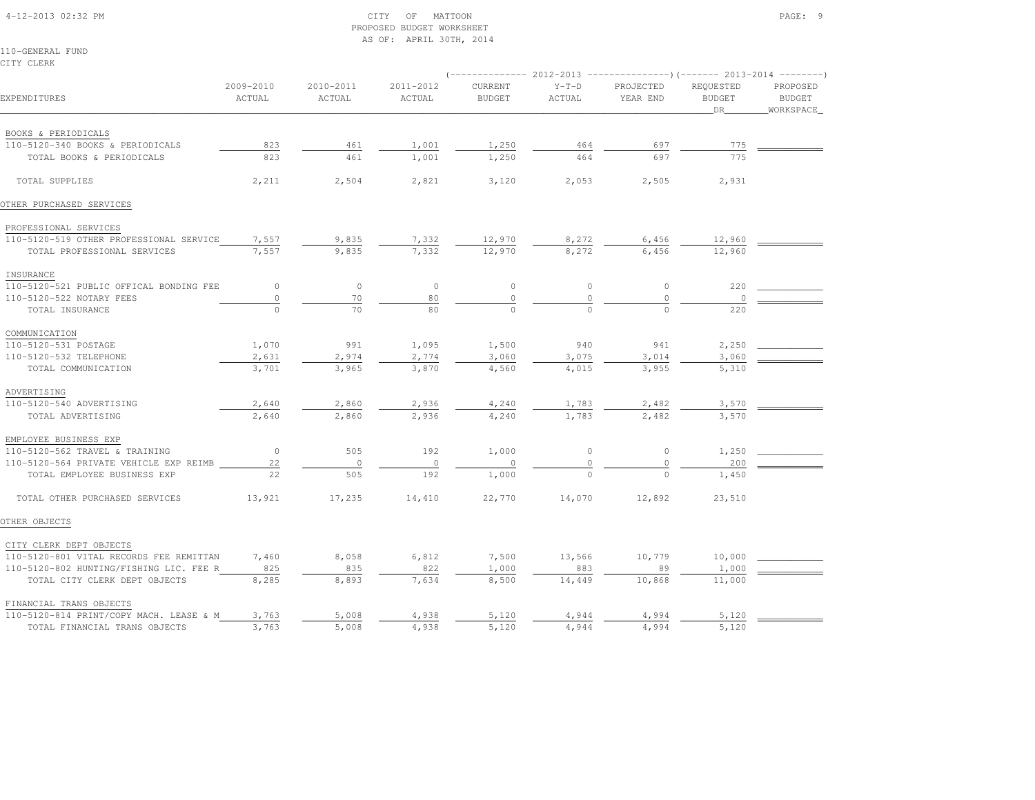# 4-12-2013 02:32 PM CITY OF MATTOON PAGE: 9 PROPOSED BUDGET WORKSHEETAS OF: APRIL 30TH, 2014

110-GENERAL FUNDCITY CLERK

| EXPENDITURES                            | 2009-2010<br>ACTUAL | 2010-2011<br>ACTUAL | 2011-2012<br>ACTUAL | CURRENT<br><b>BUDGET</b> | $Y-T-D$<br>ACTUAL | PROJECTED<br>YEAR END | REQUESTED<br><b>BUDGET</b><br>DR | PROPOSED<br><b>BUDGET</b><br>WORKSPACE |  |
|-----------------------------------------|---------------------|---------------------|---------------------|--------------------------|-------------------|-----------------------|----------------------------------|----------------------------------------|--|
| BOOKS & PERIODICALS                     |                     |                     |                     |                          |                   |                       |                                  |                                        |  |
| 110-5120-340 BOOKS & PERIODICALS        | 823                 | 461                 | 1,001               | 1,250                    | 464               | 697                   | 775                              |                                        |  |
| TOTAL BOOKS & PERIODICALS               | 823                 | 461                 | 1,001               | 1,250                    | 464               | 697                   | 775                              |                                        |  |
| TOTAL SUPPLIES                          | 2,211               | 2,504               | 2,821               | 3,120                    | 2,053             | 2,505                 | 2,931                            |                                        |  |
| OTHER PURCHASED SERVICES                |                     |                     |                     |                          |                   |                       |                                  |                                        |  |
| PROFESSIONAL SERVICES                   |                     |                     |                     |                          |                   |                       |                                  |                                        |  |
| 110-5120-519 OTHER PROFESSIONAL SERVICE | 7,557               | 9,835               | 7,332               | 12,970                   | 8,272             | 6,456                 | 12,960                           |                                        |  |
| TOTAL PROFESSIONAL SERVICES             | 7,557               | 9,835               | 7,332               | 12,970                   | 8,272             | 6,456                 | 12,960                           |                                        |  |
| INSURANCE                               |                     |                     |                     |                          |                   |                       |                                  |                                        |  |
| 110-5120-521 PUBLIC OFFICAL BONDING FEE | $\circ$             | $\circ$             | $\circ$             | $\mathbb O$              | $\circ$           | $\circ$               | 220                              |                                        |  |
| 110-5120-522 NOTARY FEES                | $\circ$             | 70                  | 80                  | $\mathbb O$              | $\mathbb O$       | $\circ$               | $\circ$                          |                                        |  |
| TOTAL INSURANCE                         | $\circ$             | 70                  | 80                  | $\circ$                  | $\Omega$          | $\Omega$              | 220                              |                                        |  |
| COMMUNICATION                           |                     |                     |                     |                          |                   |                       |                                  |                                        |  |
| 110-5120-531 POSTAGE                    | 1,070               | 991                 | 1,095               | 1,500                    | 940               | 941                   | 2,250                            |                                        |  |
| 110-5120-532 TELEPHONE                  | 2,631               | 2,974               | 2,774               | 3,060                    | 3,075             | 3,014                 | 3,060                            |                                        |  |
| TOTAL COMMUNICATION                     | 3,701               | 3,965               | 3,870               | 4,560                    | 4,015             | 3,955                 | 5,310                            |                                        |  |
| ADVERTISING                             |                     |                     |                     |                          |                   |                       |                                  |                                        |  |
| 110-5120-540 ADVERTISING                | 2,640               | 2,860               | 2,936               | 4,240                    | 1,783             | 2,482                 | 3,570                            |                                        |  |
| TOTAL ADVERTISING                       | 2,640               | 2,860               | 2,936               | 4,240                    | 1,783             | 2,482                 | 3,570                            |                                        |  |
| EMPLOYEE BUSINESS EXP                   |                     |                     |                     |                          |                   |                       |                                  |                                        |  |
| 110-5120-562 TRAVEL & TRAINING          | $\circ$             | 505                 | 192                 | 1,000                    | $\circ$           | $\circ$               | 1,250                            |                                        |  |
| 110-5120-564 PRIVATE VEHICLE EXP REIMB  | 22                  | $\circ$             | $\circ$             | $\circ$                  | $\circ$           | $\circ$               | 200                              |                                        |  |
| TOTAL EMPLOYEE BUSINESS EXP             | 22                  | 505                 | 192                 | 1,000                    | $\Omega$          | $\cap$                | 1,450                            |                                        |  |
| TOTAL OTHER PURCHASED SERVICES          | 13,921              | 17,235              | 14,410              | 22,770                   | 14,070            | 12,892                | 23,510                           |                                        |  |
| OTHER OBJECTS                           |                     |                     |                     |                          |                   |                       |                                  |                                        |  |
| CITY CLERK DEPT OBJECTS                 |                     |                     |                     |                          |                   |                       |                                  |                                        |  |
| 110-5120-801 VITAL RECORDS FEE REMITTAN | 7,460               | 8,058               | 6,812               | 7,500                    | 13,566            | 10,779                | 10,000                           |                                        |  |
| 110-5120-802 HUNTING/FISHING LIC. FEE R | 825                 | 835                 | 822                 | 1,000                    | 883               | 89                    | 1,000                            |                                        |  |
| TOTAL CITY CLERK DEPT OBJECTS           | 8,285               | 8,893               | 7,634               | 8,500                    | 14,449            | 10,868                | 11,000                           |                                        |  |
| FINANCIAL TRANS OBJECTS                 |                     |                     |                     |                          |                   |                       |                                  |                                        |  |
| 110-5120-814 PRINT/COPY MACH. LEASE & M | 3,763               | 5,008               | 4,938               | 5,120                    | 4,944             | 4,994                 | 5,120                            |                                        |  |
| TOTAL FINANCIAL TRANS OBJECTS           | 3,763               | 5,008               | 4,938               | 5,120                    | 4,944             | 4,994                 | 5,120                            |                                        |  |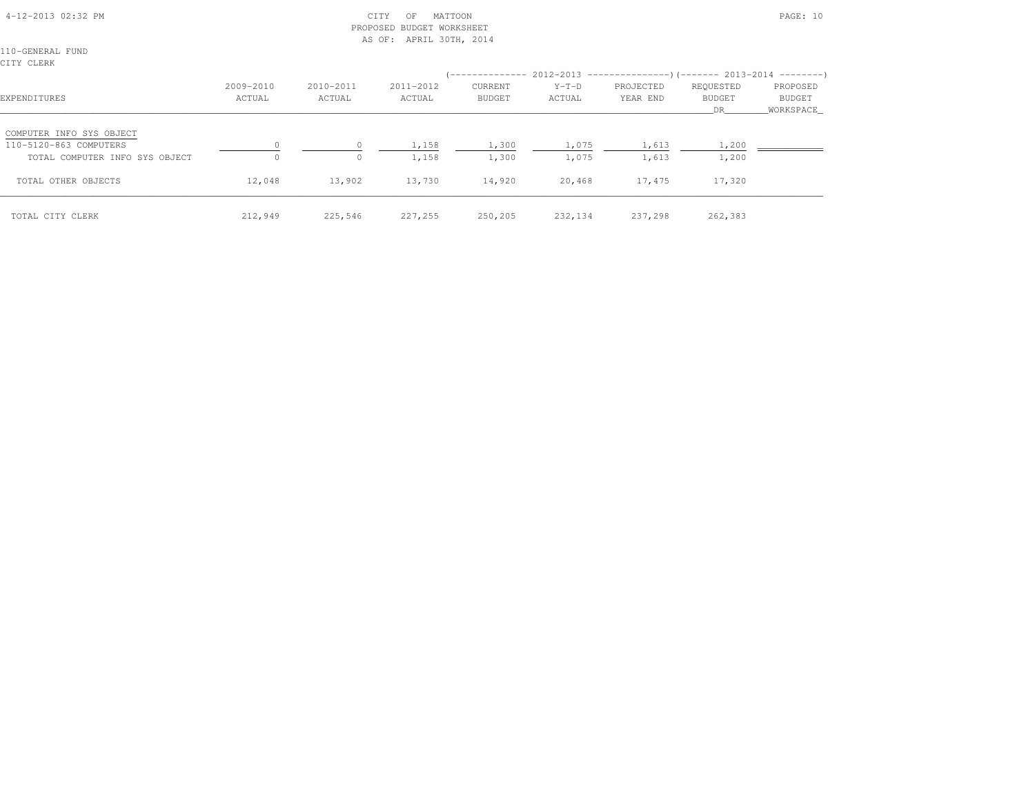# 4-12-2013 02:32 PM CITY OF MATTOON PAGE: 10 PROPOSED BUDGET WORKSHEETAS OF: APRIL 30TH, 2014

110-GENERAL FUNDCITY CLERK

| EXPENDITURES                                                                         | 2009-2010<br>ACTUAL | 2010-2011<br>ACTUAL | 2011-2012<br>ACTUAL | CURRENT<br><b>BUDGET</b> | $Y-T-D$<br>ACTUAL | (-------------- 2012-2013 ----------------) (------- 2013-2014 ---------)<br>PROJECTED<br>YEAR END | REQUESTED<br><b>BUDGET</b><br>DR | PROPOSED<br>BUDGET<br>WORKSPACE |
|--------------------------------------------------------------------------------------|---------------------|---------------------|---------------------|--------------------------|-------------------|----------------------------------------------------------------------------------------------------|----------------------------------|---------------------------------|
| COMPUTER INFO SYS OBJECT<br>110-5120-863 COMPUTERS<br>TOTAL COMPUTER INFO SYS OBJECT |                     | $\circ$             | 1,158<br>1,158      | 1,300<br>1,300           | 1,075<br>1,075    | 1,613<br>1,613                                                                                     | 1,200<br>1,200                   |                                 |
| TOTAL OTHER OBJECTS                                                                  | 12,048              | 13,902              | 13,730              | 14,920                   | 20,468            | 17,475                                                                                             | 17,320                           |                                 |
| TOTAL CITY CLERK                                                                     | 212,949             | 225,546             | 227,255             | 250,205                  | 232,134           | 237,298                                                                                            | 262,383                          |                                 |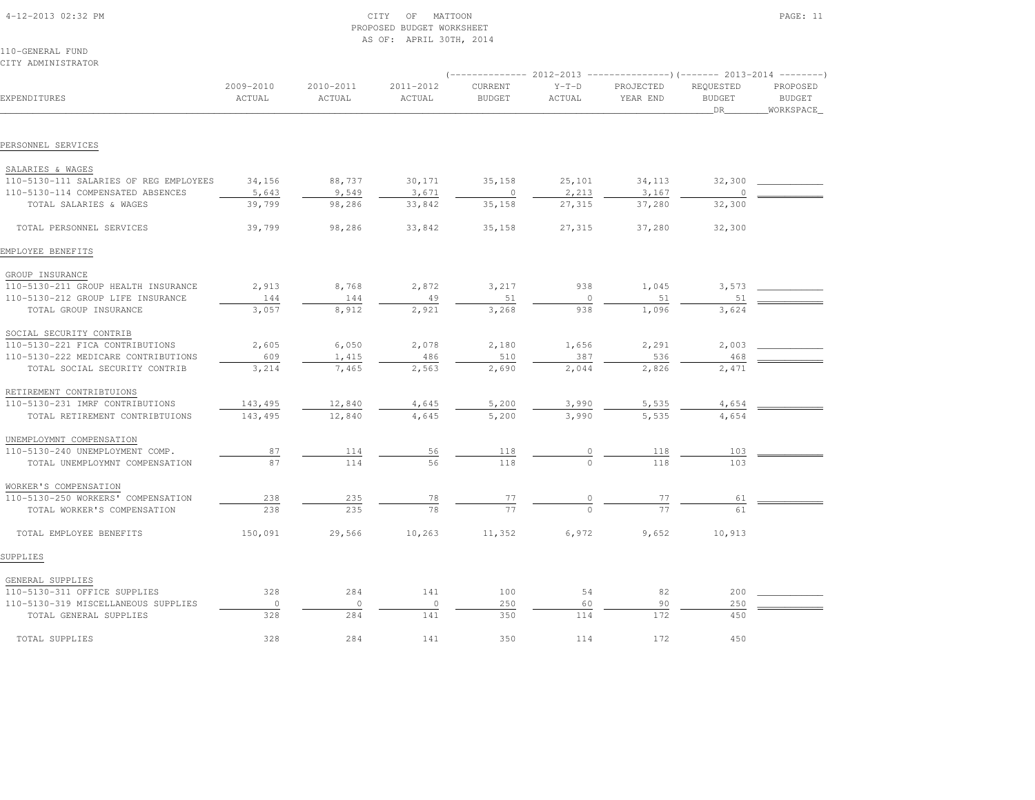| 4-12-2013 02:32 PM |  |  |  |  |
|--------------------|--|--|--|--|
| 110-GENERAL FUND   |  |  |  |  |

CITY ADMINISTRATOR

|                                        |                     |                     |                     |                          |                   | (-------------- 2012-2013 ----------------)(------- 2013-2014 ---------) |                                  |                                        |
|----------------------------------------|---------------------|---------------------|---------------------|--------------------------|-------------------|--------------------------------------------------------------------------|----------------------------------|----------------------------------------|
| EXPENDITURES                           | 2009-2010<br>ACTUAL | 2010-2011<br>ACTUAL | 2011-2012<br>ACTUAL | CURRENT<br><b>BUDGET</b> | $Y-T-D$<br>ACTUAL | PROJECTED<br>YEAR END                                                    | REQUESTED<br><b>BUDGET</b><br>DR | PROPOSED<br><b>BUDGET</b><br>WORKSPACE |
|                                        |                     |                     |                     |                          |                   |                                                                          |                                  |                                        |
| PERSONNEL SERVICES                     |                     |                     |                     |                          |                   |                                                                          |                                  |                                        |
| SALARIES & WAGES                       |                     |                     |                     |                          |                   |                                                                          |                                  |                                        |
| 110-5130-111 SALARIES OF REG EMPLOYEES | 34,156              | 88,737              | 30,171              | 35,158                   | 25,101            | 34,113                                                                   | 32,300                           |                                        |
| 110-5130-114 COMPENSATED ABSENCES      | 5,643               | 9,549               | 3,671               | $\circ$                  | 2,213             | 3,167                                                                    | $\Omega$                         |                                        |
| TOTAL SALARIES & WAGES                 | 39,799              | 98,286              | 33,842              | 35,158                   | 27,315            | 37,280                                                                   | 32,300                           |                                        |
| TOTAL PERSONNEL SERVICES               | 39,799              | 98,286              | 33,842              | 35,158                   | 27,315            | 37,280                                                                   | 32,300                           |                                        |
| EMPLOYEE BENEFITS                      |                     |                     |                     |                          |                   |                                                                          |                                  |                                        |
| GROUP INSURANCE                        |                     |                     |                     |                          |                   |                                                                          |                                  |                                        |
| 110-5130-211 GROUP HEALTH INSURANCE    | 2,913               | 8,768               | 2,872               | 3,217                    | 938               | 1,045                                                                    | 3,573                            |                                        |
| 110-5130-212 GROUP LIFE INSURANCE      | 144                 | 144                 | 49                  | 51                       | $\mathbf{0}$      | 51                                                                       | 51                               |                                        |
| TOTAL GROUP INSURANCE                  | 3,057               | 8,912               | 2,921               | 3,268                    | 938               | 1,096                                                                    | 3,624                            |                                        |
| SOCIAL SECURITY CONTRIB                |                     |                     |                     |                          |                   |                                                                          |                                  |                                        |
| 110-5130-221 FICA CONTRIBUTIONS        | 2,605               | 6,050               | 2,078               | 2,180                    | 1,656             | 2,291                                                                    | 2,003                            |                                        |
| 110-5130-222 MEDICARE CONTRIBUTIONS    | 609                 | 1,415               | 486                 | 510                      | 387               | 536                                                                      | 468                              |                                        |
| TOTAL SOCIAL SECURITY CONTRIB          | 3,214               | 7,465               | 2,563               | 2,690                    | 2,044             | 2,826                                                                    | 2,471                            |                                        |
| RETIREMENT CONTRIBTUIONS               |                     |                     |                     |                          |                   |                                                                          |                                  |                                        |
| 110-5130-231 IMRF CONTRIBUTIONS        | 143,495             | 12,840              | 4,645               | 5,200                    | 3,990             | 5,535                                                                    | 4,654                            |                                        |
| TOTAL RETIREMENT CONTRIBTUIONS         | 143,495             | 12,840              | 4,645               | 5,200                    | 3,990             | 5,535                                                                    | 4,654                            |                                        |
| UNEMPLOYMNT COMPENSATION               |                     |                     |                     |                          |                   |                                                                          |                                  |                                        |
| 110-5130-240 UNEMPLOYMENT COMP.        | 87                  | 114                 | 56                  | 118                      |                   | 118                                                                      | 103                              |                                        |
| TOTAL UNEMPLOYMNT COMPENSATION         | 87                  | 114                 | 56                  | 118                      |                   | 118                                                                      | 103                              |                                        |
| WORKER'S COMPENSATION                  |                     |                     |                     |                          |                   |                                                                          |                                  |                                        |
| 110-5130-250 WORKERS' COMPENSATION     | 238                 | 235                 | 78                  | 77                       |                   | 77                                                                       | 61                               |                                        |
| TOTAL WORKER'S COMPENSATION            | 238                 | 235                 | 78                  | 77                       |                   | 77                                                                       | 61                               |                                        |
| TOTAL EMPLOYEE BENEFITS                | 150,091             | 29,566              | 10,263              | 11,352                   | 6,972             | 9,652                                                                    | 10,913                           |                                        |
| SUPPLIES                               |                     |                     |                     |                          |                   |                                                                          |                                  |                                        |
| GENERAL SUPPLIES                       |                     |                     |                     |                          |                   |                                                                          |                                  |                                        |
| 110-5130-311 OFFICE SUPPLIES           | 328                 | 284                 | 141                 | 100                      | 54                | 82                                                                       | 200                              |                                        |
| 110-5130-319 MISCELLANEOUS SUPPLIES    | $\circ$             | $\circ$             | $\circ$             | 250                      | 60                | 90                                                                       | 250                              |                                        |
| TOTAL GENERAL SUPPLIES                 | 328                 | 284                 | 141                 | 350                      | 114               | 172                                                                      | 450                              |                                        |
| TOTAL SUPPLIES                         | 328                 | 284                 | 141                 | 350                      | 114               | 172                                                                      | 450                              |                                        |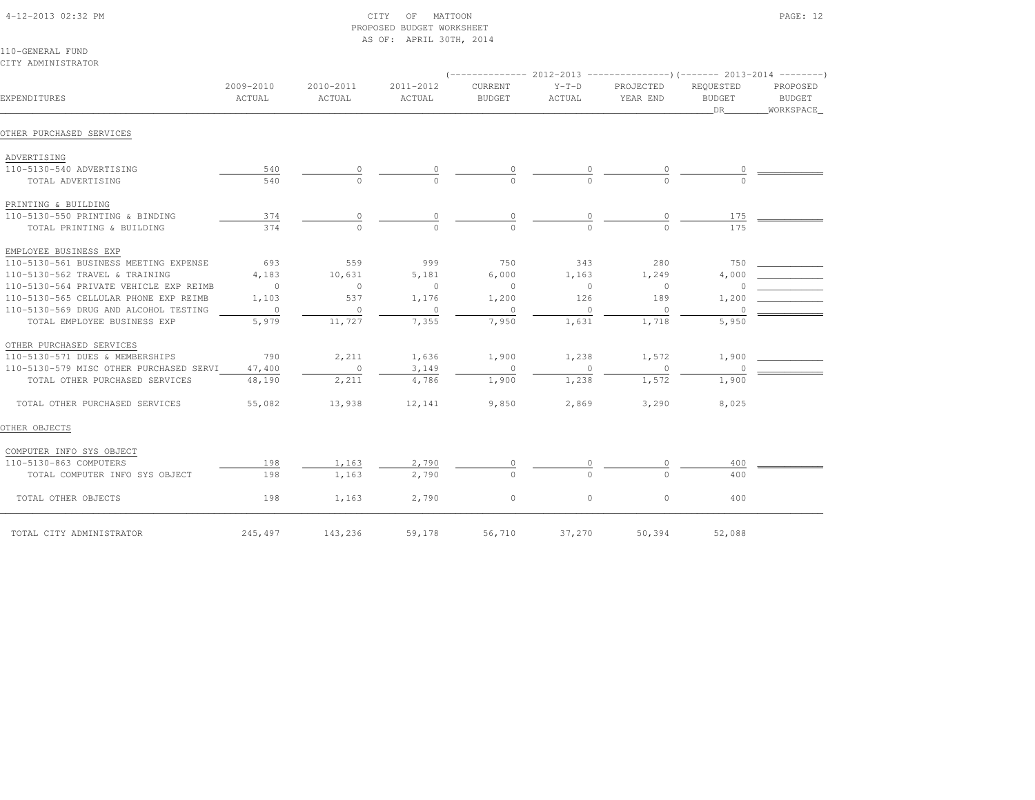| 4-12-2013 02:32 PM |  |
|--------------------|--|

# $\text{CITY}$  of MATTOON  $\text{PAGE: } 12$  PROPOSED BUDGET WORKSHEETAS OF: APRIL 30TH, 2014

110-GENERAL FUNDCITY ADMINISTRATOR

| 2009-2010<br>2010-2011<br>2011-2012<br>CURRENT<br>$Y-T-D$<br>EXPENDITURES<br>ACTUAL<br>ACTUAL<br>ACTUAL<br><b>BUDGET</b><br>ACTUAL<br>OTHER PURCHASED SERVICES<br>ADVERTISING<br>110-5130-540 ADVERTISING<br>540<br>540<br>TOTAL ADVERTISING<br>PRINTING & BUILDING<br>110-5130-550 PRINTING & BINDING<br>374<br>0<br>0<br>0<br>0<br>374<br>TOTAL PRINTING & BUILDING<br>EMPLOYEE BUSINESS EXP<br>110-5130-561 BUSINESS MEETING EXPENSE<br>693<br>559<br>999<br>750<br>343<br>110-5130-562 TRAVEL & TRAINING<br>4,183<br>10,631<br>5,181<br>6,000<br>1,163<br>110-5130-564 PRIVATE VEHICLE EXP REIMB<br>$\overline{0}$<br>$\circ$<br>$\circ$<br>$\circ$<br>$\circ$<br>110-5130-565 CELLULAR PHONE EXP REIMB<br>1,103<br>537<br>1,176<br>1,200<br>126<br>110-5130-569 DRUG AND ALCOHOL TESTING<br>$\overline{\phantom{0}}$<br>$\circ$<br>$\mathbf{0}$<br>$\circ$<br>$\circ$<br>5,979<br>11,727<br>7,355<br>7,950<br>1,631<br>TOTAL EMPLOYEE BUSINESS EXP<br>OTHER PURCHASED SERVICES<br>790<br>2,211<br>1,900<br>1,238<br>110-5130-571 DUES & MEMBERSHIPS<br>1,636<br>110-5130-579 MISC OTHER PURCHASED SERVI<br>47,400<br>$\overline{0}$<br>3,149<br>$\circ$<br>$\Omega$<br>4,786<br>TOTAL OTHER PURCHASED SERVICES<br>1,238<br>48,190<br>2,211<br>1,900<br>55,082<br>13,938<br>9,850<br>2,869<br>TOTAL OTHER PURCHASED SERVICES<br>12,141 |                       |                                  |                                 |          |          |                |         |  |
|--------------------------------------------------------------------------------------------------------------------------------------------------------------------------------------------------------------------------------------------------------------------------------------------------------------------------------------------------------------------------------------------------------------------------------------------------------------------------------------------------------------------------------------------------------------------------------------------------------------------------------------------------------------------------------------------------------------------------------------------------------------------------------------------------------------------------------------------------------------------------------------------------------------------------------------------------------------------------------------------------------------------------------------------------------------------------------------------------------------------------------------------------------------------------------------------------------------------------------------------------------------------------------------------------------------------------------------------|-----------------------|----------------------------------|---------------------------------|----------|----------|----------------|---------|--|
|                                                                                                                                                                                                                                                                                                                                                                                                                                                                                                                                                                                                                                                                                                                                                                                                                                                                                                                                                                                                                                                                                                                                                                                                                                                                                                                                            | PROJECTED<br>YEAR END | REQUESTED<br><b>BUDGET</b><br>DR | PROPOSED<br>BUDGET<br>WORKSPACE |          |          |                |         |  |
|                                                                                                                                                                                                                                                                                                                                                                                                                                                                                                                                                                                                                                                                                                                                                                                                                                                                                                                                                                                                                                                                                                                                                                                                                                                                                                                                            |                       |                                  |                                 |          |          |                |         |  |
|                                                                                                                                                                                                                                                                                                                                                                                                                                                                                                                                                                                                                                                                                                                                                                                                                                                                                                                                                                                                                                                                                                                                                                                                                                                                                                                                            |                       |                                  |                                 |          |          |                |         |  |
|                                                                                                                                                                                                                                                                                                                                                                                                                                                                                                                                                                                                                                                                                                                                                                                                                                                                                                                                                                                                                                                                                                                                                                                                                                                                                                                                            |                       |                                  |                                 |          |          |                |         |  |
|                                                                                                                                                                                                                                                                                                                                                                                                                                                                                                                                                                                                                                                                                                                                                                                                                                                                                                                                                                                                                                                                                                                                                                                                                                                                                                                                            |                       |                                  |                                 |          |          |                |         |  |
|                                                                                                                                                                                                                                                                                                                                                                                                                                                                                                                                                                                                                                                                                                                                                                                                                                                                                                                                                                                                                                                                                                                                                                                                                                                                                                                                            |                       |                                  |                                 |          |          |                |         |  |
|                                                                                                                                                                                                                                                                                                                                                                                                                                                                                                                                                                                                                                                                                                                                                                                                                                                                                                                                                                                                                                                                                                                                                                                                                                                                                                                                            |                       |                                  |                                 |          |          |                | 175     |  |
|                                                                                                                                                                                                                                                                                                                                                                                                                                                                                                                                                                                                                                                                                                                                                                                                                                                                                                                                                                                                                                                                                                                                                                                                                                                                                                                                            |                       |                                  |                                 |          |          |                | 175     |  |
|                                                                                                                                                                                                                                                                                                                                                                                                                                                                                                                                                                                                                                                                                                                                                                                                                                                                                                                                                                                                                                                                                                                                                                                                                                                                                                                                            |                       |                                  |                                 |          |          |                |         |  |
|                                                                                                                                                                                                                                                                                                                                                                                                                                                                                                                                                                                                                                                                                                                                                                                                                                                                                                                                                                                                                                                                                                                                                                                                                                                                                                                                            |                       |                                  |                                 |          |          | 280            | 750     |  |
|                                                                                                                                                                                                                                                                                                                                                                                                                                                                                                                                                                                                                                                                                                                                                                                                                                                                                                                                                                                                                                                                                                                                                                                                                                                                                                                                            |                       |                                  |                                 |          |          | 1,249          | 4,000   |  |
|                                                                                                                                                                                                                                                                                                                                                                                                                                                                                                                                                                                                                                                                                                                                                                                                                                                                                                                                                                                                                                                                                                                                                                                                                                                                                                                                            |                       |                                  |                                 |          |          | $\overline{0}$ | $\circ$ |  |
|                                                                                                                                                                                                                                                                                                                                                                                                                                                                                                                                                                                                                                                                                                                                                                                                                                                                                                                                                                                                                                                                                                                                                                                                                                                                                                                                            |                       |                                  |                                 |          |          | 189            | 1,200   |  |
|                                                                                                                                                                                                                                                                                                                                                                                                                                                                                                                                                                                                                                                                                                                                                                                                                                                                                                                                                                                                                                                                                                                                                                                                                                                                                                                                            |                       |                                  |                                 |          |          | $\circ$        | 0       |  |
|                                                                                                                                                                                                                                                                                                                                                                                                                                                                                                                                                                                                                                                                                                                                                                                                                                                                                                                                                                                                                                                                                                                                                                                                                                                                                                                                            |                       |                                  |                                 |          |          | 1,718          | 5,950   |  |
|                                                                                                                                                                                                                                                                                                                                                                                                                                                                                                                                                                                                                                                                                                                                                                                                                                                                                                                                                                                                                                                                                                                                                                                                                                                                                                                                            |                       |                                  |                                 |          |          |                |         |  |
|                                                                                                                                                                                                                                                                                                                                                                                                                                                                                                                                                                                                                                                                                                                                                                                                                                                                                                                                                                                                                                                                                                                                                                                                                                                                                                                                            |                       |                                  |                                 |          |          | 1,572          | 1,900   |  |
|                                                                                                                                                                                                                                                                                                                                                                                                                                                                                                                                                                                                                                                                                                                                                                                                                                                                                                                                                                                                                                                                                                                                                                                                                                                                                                                                            |                       |                                  |                                 |          |          | $\Omega$       | $\cap$  |  |
|                                                                                                                                                                                                                                                                                                                                                                                                                                                                                                                                                                                                                                                                                                                                                                                                                                                                                                                                                                                                                                                                                                                                                                                                                                                                                                                                            |                       |                                  |                                 |          |          | 1,572          | 1,900   |  |
|                                                                                                                                                                                                                                                                                                                                                                                                                                                                                                                                                                                                                                                                                                                                                                                                                                                                                                                                                                                                                                                                                                                                                                                                                                                                                                                                            |                       |                                  |                                 |          |          | 3,290          | 8,025   |  |
| OTHER OBJECTS                                                                                                                                                                                                                                                                                                                                                                                                                                                                                                                                                                                                                                                                                                                                                                                                                                                                                                                                                                                                                                                                                                                                                                                                                                                                                                                              |                       |                                  |                                 |          |          |                |         |  |
| COMPUTER INFO SYS OBJECT                                                                                                                                                                                                                                                                                                                                                                                                                                                                                                                                                                                                                                                                                                                                                                                                                                                                                                                                                                                                                                                                                                                                                                                                                                                                                                                   |                       |                                  |                                 |          |          |                |         |  |
| 110-5130-863 COMPUTERS                                                                                                                                                                                                                                                                                                                                                                                                                                                                                                                                                                                                                                                                                                                                                                                                                                                                                                                                                                                                                                                                                                                                                                                                                                                                                                                     | 198                   | 1,163                            | 2,790                           | 0        |          | 0              | 400     |  |
| TOTAL COMPUTER INFO SYS OBJECT                                                                                                                                                                                                                                                                                                                                                                                                                                                                                                                                                                                                                                                                                                                                                                                                                                                                                                                                                                                                                                                                                                                                                                                                                                                                                                             | 198                   | 1,163                            | 2,790                           | $\Omega$ | $\Omega$ | $\cap$         | 400     |  |
| TOTAL OTHER OBJECTS                                                                                                                                                                                                                                                                                                                                                                                                                                                                                                                                                                                                                                                                                                                                                                                                                                                                                                                                                                                                                                                                                                                                                                                                                                                                                                                        | 198                   | 1,163                            | 2,790                           | $\circ$  | $\circ$  | $\circ$        | 400     |  |
| TOTAL CITY ADMINISTRATOR                                                                                                                                                                                                                                                                                                                                                                                                                                                                                                                                                                                                                                                                                                                                                                                                                                                                                                                                                                                                                                                                                                                                                                                                                                                                                                                   | 245,497               | 143,236                          | 59,178                          | 56,710   | 37,270   | 50,394         | 52,088  |  |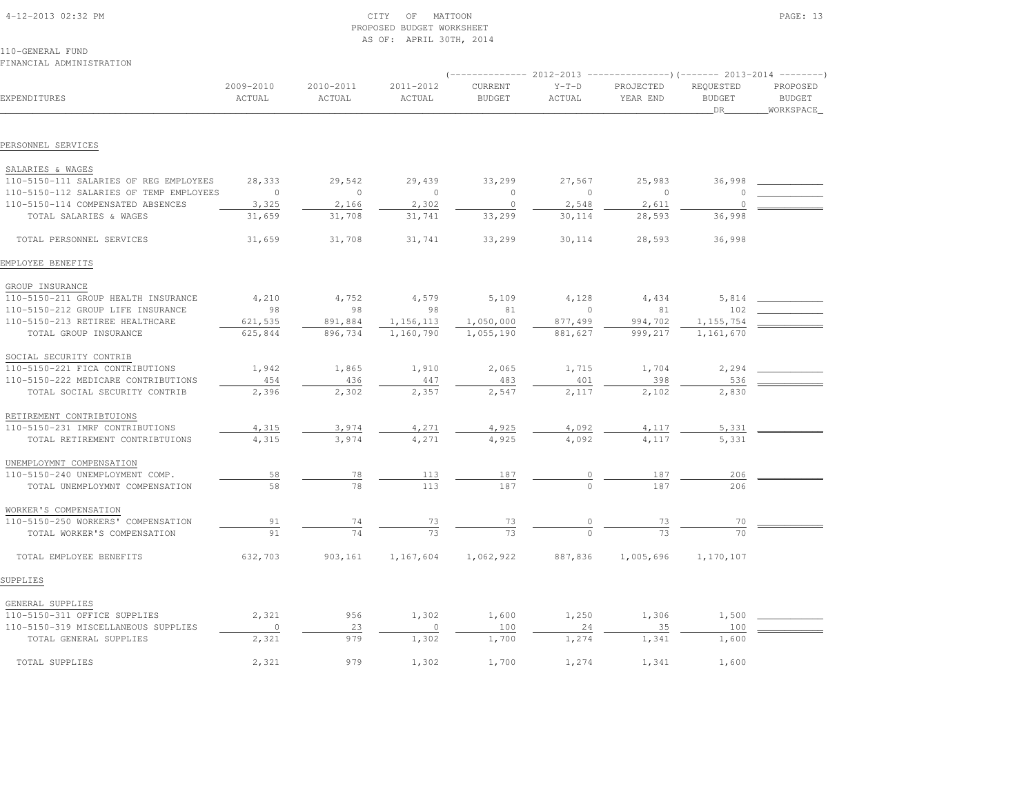| 4-12-2013 02:32 PM |
|--------------------|
|--------------------|

# $\text{CITY}$  OF MATTOON PAGE: 13 PROPOSED BUDGET WORKSHEETAS OF: APRIL 30TH, 2014

110-GENERAL FUNDFINANCIAL ADMINISTRATION

# (-------------- 2012-2013 ---------------)(------- 2013-2014 --------) 2009-2010 2010-2011 2011-2012 CURRENT Y-T-D PROJECTED REQUESTED PROPOSED**BUDGET** EXPENDITURES ACTUAL ACTUAL ACTUAL BUDGET ACTUAL YEAR END BUDGET BUDGETWORKSPACE \_\_\_\_\_\_\_\_\_\_\_\_\_\_\_\_\_\_\_\_\_\_\_\_\_\_\_\_\_\_\_\_\_\_\_\_\_\_\_\_\_\_\_\_\_\_\_\_\_\_\_\_\_\_\_\_\_\_\_\_\_\_\_\_\_\_\_\_\_\_\_\_\_\_\_\_\_\_\_\_\_\_\_\_\_\_\_\_\_\_\_\_\_\_\_\_\_\_\_\_\_\_\_\_\_\_\_\_\_\_\_\_\_\_\_\_\_\_\_\_\_\_\_\_\_\_\_\_\_\_DR\_\_\_\_\_\_\_\_WORKSPACE\_PERSONNEL SERVICES SALARIES & WAGES 110-5150-111 SALARIES OF REG EMPLOYEES 28,333 29,542 29,439 33,299 27,567 25,983 36,998 \_\_\_\_\_\_\_\_\_\_\_\_ 110-5150-112 SALARIES OF TEMP EMPLOYEES 0 0 0 0 0 0 0 \_\_\_\_\_\_\_\_\_\_\_\_110-5150-114 COMPENSATED ABSENCES  $\frac{3,325}{2,166}$   $\frac{2,166}{2,302}$   $\frac{0}{2,548}$   $\frac{2,548}{2,611}$   $\frac{0}{2,202}$ TOTAL SALARIES & WAGES 31,659 31,708 31,741 33,299 30,114 28,593 36,998 TOTAL PERSONNEL SERVICES 31,659 31,708 31,741 33,299 30,114 28,593 36,998EMPLOYEE BENEFITS GROUP INSURANCE110-5150-211 GROUP HEALTH INSURANCE 4,210 4,752 4,579 5,109 4,128 4,434 5,814 5,814 110-5150-212 GROUP LIFE INSURANCE 98 98 98 81 0 81 102 \_\_\_\_\_\_\_\_\_\_\_\_110-5150-213 RETIREE HEALTHCARE 621,535 891,884 1,156,113 1,050,000 877,499 994,702 1,155,754 TOTAL GROUP INSURANCE 625,844 896,734 1,160,790 1,055,190 881,627 999,217 1,161,670 SOCIAL SECURITY CONTRIB 110-5150-221 FICA CONTRIBUTIONS 1,942 1,865 1,910 2,065 1,715 1,704 2,294 \_\_\_\_\_\_\_\_\_\_\_\_ 110-5150-222 MEDICARE CONTRIBUTIONS 454 436 447 483 401 398 536 \_\_\_\_\_\_\_\_\_\_\_\_TOTAL SOCIAL SECURITY CONTRIB 2,396 2,302 2,357 2,547 2,547 2,117 2,102 2,830 RETIREMENT CONTRIBTUIONS110-5150-231 IMRF CONTRIBUTIONS 110-5150-231 IMRF CONTRIBUTIONS  $\begin{array}{cccccccc} 4,315 & .3974 & .4,271 & .4,925 & .4,092 & .4,117 & .5,331 & .117 \end{array}$  UNEMPLOYMNT COMPENSATION110-5150-240 UNEMPLOYMENT COMP. 110-5150-240 UNEMPLOYMENT COMP. 58 78 113 187 0 187 206 \_\_\_\_\_\_\_\_\_\_\_\_ TOTAL UNEMPLOYMNT COMPENSATION 58 78 113 187 0 187 206 WORKER'S COMPENSATION110-5150-250 WORKERS' COMPENSATION 110-5150-250 WORKERS' COMPENSATION 91 74 73 73 0 73 70 \_\_\_\_\_\_\_\_\_\_\_\_ $\frac{70}{70}$  TOTAL WORKER'S COMPENSATION 91 74 73 73 0 73 70 TOTAL EMPLOYEE BENEFITS 632,703 903,161 1,167,604 1,062,922 887,836 1,005,696 1,170,107SUPPLIES GENERAL SUPPLIES110-5150-311 OFFICE SUPPLIES 2,321 956 1,302 1,600 1,250 1,306 1,500 2000 1,500 110-5150-319 MISCELLANEOUS SUPPLIES 0 23 0 100 24 35 100 \_\_\_\_\_\_\_\_\_\_\_\_TOTAL GENERAL SUPPLIES 2,321 979 1,302 1,700 1,274 1,341 1,600

TOTAL SUPPLIES 2,321 979 1,302 1,700 1,274 1,341 1,600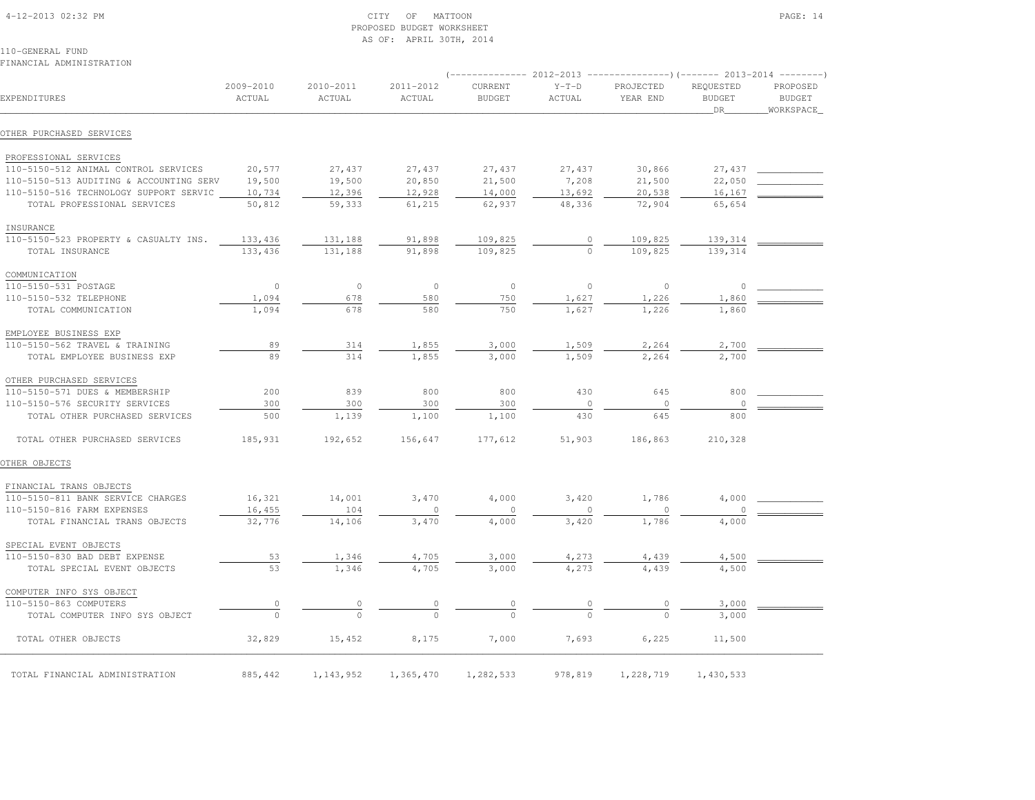4-12-2013 02:32 PM CITY OF MATTOON PAGE: 14

# PROPOSED BUDGET WORKSHEETAS OF: APRIL 30TH, 2014

|                                         |                     |                     |                     | (-------------- 2012-2013 |                   |                       |                                  |                                        |
|-----------------------------------------|---------------------|---------------------|---------------------|---------------------------|-------------------|-----------------------|----------------------------------|----------------------------------------|
| EXPENDITURES                            | 2009-2010<br>ACTUAL | 2010-2011<br>ACTUAL | 2011-2012<br>ACTUAL | CURRENT<br><b>BUDGET</b>  | $Y-T-D$<br>ACTUAL | PROJECTED<br>YEAR END | REQUESTED<br><b>BUDGET</b><br>DR | PROPOSED<br><b>BUDGET</b><br>WORKSPACE |
| OTHER PURCHASED SERVICES                |                     |                     |                     |                           |                   |                       |                                  |                                        |
| PROFESSIONAL SERVICES                   |                     |                     |                     |                           |                   |                       |                                  |                                        |
| 110-5150-512 ANIMAL CONTROL SERVICES    | 20,577              | 27,437              | 27,437              | 27,437                    | 27,437            | 30,866                | 27,437                           |                                        |
| 110-5150-513 AUDITING & ACCOUNTING SERV | 19,500              | 19,500              | 20,850              | 21,500                    | 7,208             | 21,500                | 22,050                           |                                        |
| 110-5150-516 TECHNOLOGY SUPPORT SERVIC  | 10,734              | 12,396              | 12,928              | 14,000                    | 13,692            | 20,538                | 16,167                           |                                        |
| TOTAL PROFESSIONAL SERVICES             | 50,812              | 59,333              | 61,215              | 62,937                    | 48,336            | 72,904                | 65,654                           |                                        |
| INSURANCE                               |                     |                     |                     |                           |                   |                       |                                  |                                        |
| 110-5150-523 PROPERTY & CASUALTY INS.   | 133,436             | 131,188             | 91,898              | 109,825                   | $\circ$           | 109,825               | 139,314                          |                                        |
| TOTAL INSURANCE                         | 133,436             | 131,188             | 91,898              | 109,825                   | $\circ$           | 109,825               | 139,314                          |                                        |
| COMMUNICATION                           |                     |                     |                     |                           |                   |                       |                                  |                                        |
| 110-5150-531 POSTAGE                    | $\circ$             | $\circ$             | $\circ$             | $\circ$                   | $\mathbf{0}$      | $\circ$               | $\circ$                          |                                        |
| 110-5150-532 TELEPHONE                  | 1,094               | 678                 | 580                 | 750                       | 1,627             | 1,226                 | 1,860                            |                                        |
| TOTAL COMMUNICATION                     | 1,094               | 678                 | 580                 | 750                       | 1,627             | 1,226                 | 1,860                            |                                        |
| EMPLOYEE BUSINESS EXP                   |                     |                     |                     |                           |                   |                       |                                  |                                        |
| 110-5150-562 TRAVEL & TRAINING          | 89                  | 314                 | 1,855               | 3,000                     | 1,509             | 2,264                 | 2,700                            |                                        |
| TOTAL EMPLOYEE BUSINESS EXP             | 89                  | 314                 | 1,855               | 3,000                     | 1,509             | 2,264                 | 2,700                            |                                        |
| OTHER PURCHASED SERVICES                |                     |                     |                     |                           |                   |                       |                                  |                                        |
| 110-5150-571 DUES & MEMBERSHIP          | 200                 | 839                 | 800                 | 800                       | 430               | 645                   | 800                              |                                        |
| 110-5150-576 SECURITY SERVICES          | 300                 | 300                 | 300                 | 300                       | $\circ$           | $\circ$               | $\circ$                          |                                        |
| TOTAL OTHER PURCHASED SERVICES          | 500                 | 1,139               | 1,100               | 1,100                     | 430               | 645                   | 800                              |                                        |
| TOTAL OTHER PURCHASED SERVICES          | 185,931             | 192,652             | 156,647             | 177,612                   | 51,903            | 186,863               | 210,328                          |                                        |
| OTHER OBJECTS                           |                     |                     |                     |                           |                   |                       |                                  |                                        |
| FINANCIAL TRANS OBJECTS                 |                     |                     |                     |                           |                   |                       |                                  |                                        |
| 110-5150-811 BANK SERVICE CHARGES       | 16,321              | 14,001              | 3,470               | 4,000                     | 3,420             | 1,786                 | 4,000                            |                                        |
| 110-5150-816 FARM EXPENSES              | 16,455              | 104                 | $\circ$             | $\circ$                   | $\circ$           | $\circ$               |                                  |                                        |
| TOTAL FINANCIAL TRANS OBJECTS           | 32,776              | 14,106              | 3,470               | 4,000                     | 3,420             | 1,786                 | 4,000                            |                                        |
| SPECIAL EVENT OBJECTS                   |                     |                     |                     |                           |                   |                       |                                  |                                        |
| 110-5150-830 BAD DEBT EXPENSE           | 53                  | 1,346               | 4,705               | 3,000                     | 4,273             | 4,439                 | 4,500                            |                                        |
| TOTAL SPECIAL EVENT OBJECTS             | 53                  | 1,346               | 4,705               | 3,000                     | 4,273             | 4,439                 | 4,500                            |                                        |
| COMPUTER INFO SYS OBJECT                |                     |                     |                     |                           |                   |                       |                                  |                                        |
| 110-5150-863 COMPUTERS                  | 0                   |                     |                     |                           |                   |                       | 3,000                            |                                        |
| TOTAL COMPUTER INFO SYS OBJECT          | $\Omega$            | $\Omega$            |                     |                           |                   |                       | 3,000                            |                                        |
| TOTAL OTHER OBJECTS                     | 32,829              | 15,452              | 8,175               | 7,000                     | 7,693             | 6,225                 | 11,500                           |                                        |
| TOTAL FINANCIAL ADMINISTRATION          | 885,442             | 1, 143, 952         | 1,365,470           | 1,282,533                 | 978,819           | 1,228,719             | 1,430,533                        |                                        |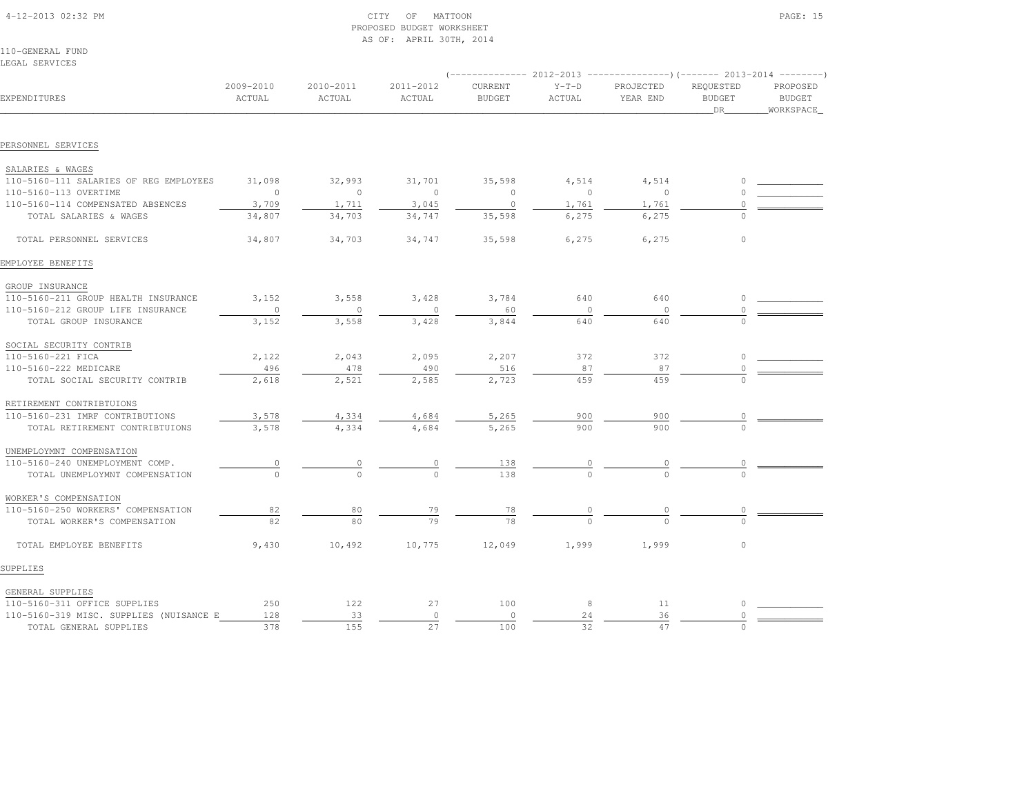| 4-12-2013 02:32 PM |  |
|--------------------|--|
|                    |  |

# $\begin{array}{ccc} \text{CITY} & \text{OF} & \text{MATION} \end{array}$  PROPOSED BUDGET WORKSHEETAS OF: APRIL 30TH, 2014

110-GENERAL FUNDLEGAL SERVICES

|                                         | $($ -------------- 2012-2013 ----------------) (------- 2013-2014 --------) |                     |                     |                          |                   |                       |                                         |                                        |  |
|-----------------------------------------|-----------------------------------------------------------------------------|---------------------|---------------------|--------------------------|-------------------|-----------------------|-----------------------------------------|----------------------------------------|--|
| EXPENDITURES                            | 2009-2010<br>ACTUAL                                                         | 2010-2011<br>ACTUAL | 2011-2012<br>ACTUAL | CURRENT<br><b>BUDGET</b> | $Y-T-D$<br>ACTUAL | PROJECTED<br>YEAR END | REQUESTED<br><b>BUDGET</b><br><b>DR</b> | PROPOSED<br><b>BUDGET</b><br>WORKSPACE |  |
|                                         |                                                                             |                     |                     |                          |                   |                       |                                         |                                        |  |
| PERSONNEL SERVICES                      |                                                                             |                     |                     |                          |                   |                       |                                         |                                        |  |
| SALARIES & WAGES                        |                                                                             |                     |                     |                          |                   |                       |                                         |                                        |  |
| 110-5160-111 SALARIES OF REG EMPLOYEES  | 31,098                                                                      | 32,993              | 31,701              | 35,598                   | 4,514             | 4,514                 |                                         |                                        |  |
| 110-5160-113 OVERTIME                   | $\overline{0}$                                                              | $\circ$             | $\overline{0}$      | $\circ$                  | $\circ$           | $\overline{0}$        | $\Omega$                                |                                        |  |
| 110-5160-114 COMPENSATED ABSENCES       | 3,709                                                                       | 1,711               | 3,045               | $\circ$                  | 1,761             | 1,761                 |                                         |                                        |  |
| TOTAL SALARIES & WAGES                  | 34,807                                                                      | 34,703              | 34,747              | 35,598                   | 6,275             | 6,275                 |                                         |                                        |  |
| TOTAL PERSONNEL SERVICES                | 34,807                                                                      | 34,703              | 34,747              | 35,598                   | 6,275             | 6,275                 | $\circ$                                 |                                        |  |
| EMPLOYEE BENEFITS                       |                                                                             |                     |                     |                          |                   |                       |                                         |                                        |  |
| GROUP INSURANCE                         |                                                                             |                     |                     |                          |                   |                       |                                         |                                        |  |
| 110-5160-211 GROUP HEALTH INSURANCE     | 3,152                                                                       | 3,558               | 3,428               | 3,784                    | 640               | 640                   | $\circ$                                 |                                        |  |
| 110-5160-212 GROUP LIFE INSURANCE       | $\circ$                                                                     | $\circ$             | $\circ$             | 60                       | $\Omega$          | $\overline{0}$        |                                         |                                        |  |
| TOTAL GROUP INSURANCE                   | 3,152                                                                       | 3,558               | 3,428               | 3,844                    | 640               | 640                   | $\cap$                                  |                                        |  |
| SOCIAL SECURITY CONTRIB                 |                                                                             |                     |                     |                          |                   |                       |                                         |                                        |  |
| 110-5160-221 FICA                       | 2,122                                                                       | 2,043               | 2,095               | 2,207                    | 372               | 372                   | $\Omega$                                |                                        |  |
| 110-5160-222 MEDICARE                   | 496                                                                         | 478                 | 490                 | 516                      | 87                | 87                    | $\Omega$                                |                                        |  |
| TOTAL SOCIAL SECURITY CONTRIB           | 2,618                                                                       | 2,521               | 2,585               | 2,723                    | 459               | 459                   | $\cap$                                  |                                        |  |
| RETIREMENT CONTRIBTUIONS                |                                                                             |                     |                     |                          |                   |                       |                                         |                                        |  |
| 110-5160-231 IMRF CONTRIBUTIONS         | 3,578                                                                       | 4,334               | 4,684               | 5,265                    | 900               | 900                   |                                         |                                        |  |
| TOTAL RETIREMENT CONTRIBTUIONS          | 3,578                                                                       | 4,334               | 4,684               | 5,265                    | 900               | 900                   |                                         |                                        |  |
| UNEMPLOYMNT COMPENSATION                |                                                                             |                     |                     |                          |                   |                       |                                         |                                        |  |
| 110-5160-240 UNEMPLOYMENT COMP.         | 0                                                                           | 0                   |                     | 138                      |                   | 0                     | 0                                       |                                        |  |
| TOTAL UNEMPLOYMNT COMPENSATION          | $\cap$                                                                      | $\Omega$            | $\cap$              | 138                      |                   |                       |                                         |                                        |  |
| WORKER'S COMPENSATION                   |                                                                             |                     |                     |                          |                   |                       |                                         |                                        |  |
| 110-5160-250 WORKERS' COMPENSATION      | 82                                                                          | 80                  | 79                  | 78                       |                   |                       |                                         |                                        |  |
| TOTAL WORKER'S COMPENSATION             | 82                                                                          | 80                  | 79                  | 78                       |                   |                       |                                         |                                        |  |
| TOTAL EMPLOYEE BENEFITS                 | 9,430                                                                       | 10,492              | 10,775              | 12,049                   | 1,999             | 1,999                 | $\circ$                                 |                                        |  |
| SUPPLIES                                |                                                                             |                     |                     |                          |                   |                       |                                         |                                        |  |
| GENERAL SUPPLIES                        |                                                                             |                     |                     |                          |                   |                       |                                         |                                        |  |
| 110-5160-311 OFFICE SUPPLIES            | 250                                                                         | 122                 | 27                  | 100                      | 8                 | 11                    | $\Omega$                                |                                        |  |
| 110-5160-319 MISC. SUPPLIES (NUISANCE E | 128                                                                         | 33                  | $\circ$             | $\circ$                  | 24                | 36                    | $\circ$                                 |                                        |  |

TOTAL GENERAL SUPPLIES 378 155 27 100 32 47 0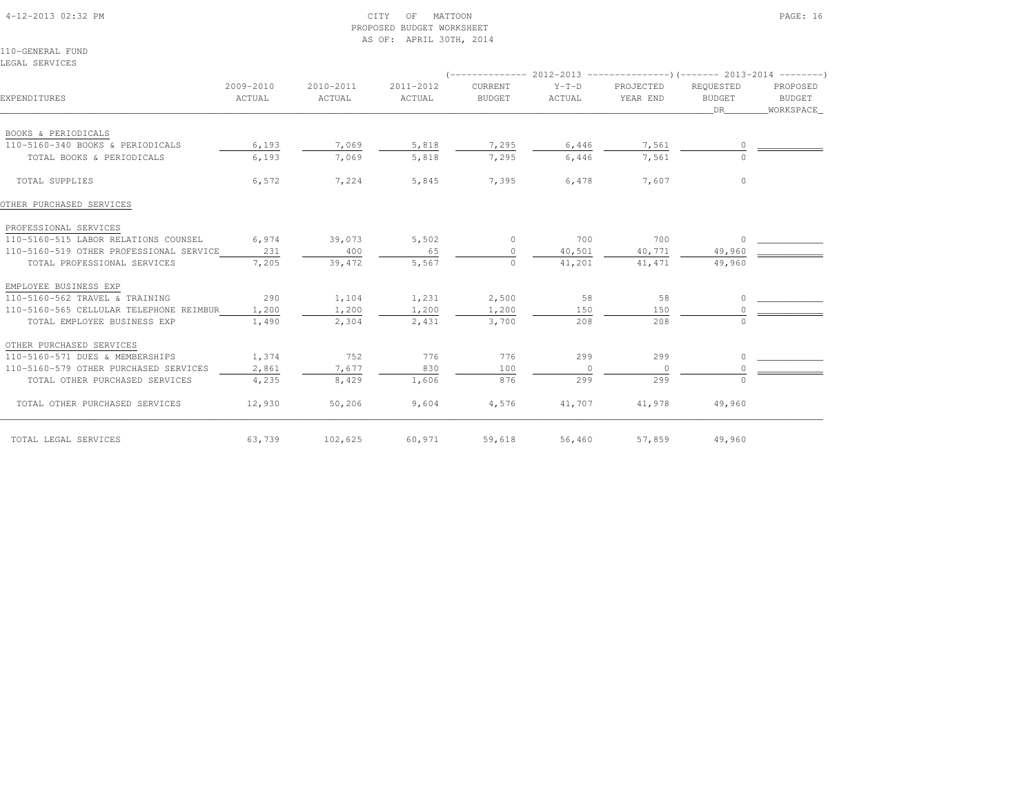#### 4-12-2013 02:32 PM CITY OF MATTOON PAGE: 16 PROPOSED BUDGET WORKSHEETAS OF: APRIL 30TH, 2014

110-GENERAL FUNDLEGAL SERVICES

| EXPENDITURES                            | 2009-2010<br>ACTUAL | 2010-2011<br>ACTUAL | 2011-2012<br>ACTUAL | CURRENT<br><b>BUDGET</b> | $Y-T-D$<br>ACTUAL | PROJECTED<br>YEAR END | REQUESTED<br><b>BUDGET</b><br>DR. | PROPOSED<br><b>BUDGET</b><br>WORKSPACE_ |
|-----------------------------------------|---------------------|---------------------|---------------------|--------------------------|-------------------|-----------------------|-----------------------------------|-----------------------------------------|
| BOOKS & PERIODICALS                     |                     |                     |                     |                          |                   |                       |                                   |                                         |
| 110-5160-340 BOOKS & PERIODICALS        | 6,193               | 7,069               | 5,818               | 7,295                    | 6,446             | 7,561                 |                                   |                                         |
| TOTAL BOOKS & PERIODICALS               | 6,193               | 7,069               | 5,818               | 7,295                    | 6,446             | 7,561                 | $\bigcap$                         |                                         |
| TOTAL SUPPLIES                          | 6,572               | 7,224               | 5,845               | 7,395                    | 6,478             | 7,607                 | $\Omega$                          |                                         |
| OTHER PURCHASED SERVICES                |                     |                     |                     |                          |                   |                       |                                   |                                         |
| PROFESSIONAL SERVICES                   |                     |                     |                     |                          |                   |                       |                                   |                                         |
| 110-5160-515 LABOR RELATIONS COUNSEL    | 6,974               | 39,073              | 5,502               | $\Omega$                 | 700               | 700                   | - 0                               |                                         |
| 110-5160-519 OTHER PROFESSIONAL SERVICE | 231                 | 400                 | 65                  | $\circ$                  | 40,501            | 40,771                | 49,960                            |                                         |
| TOTAL PROFESSIONAL SERVICES             | 7,205               | 39,472              | 5,567               | $\Omega$                 | 41,201            | 41, 471               | 49,960                            |                                         |
| EMPLOYEE BUSINESS EXP                   |                     |                     |                     |                          |                   |                       |                                   |                                         |
| 110-5160-562 TRAVEL & TRAINING          | 290                 | 1,104               | 1,231               | 2,500                    | 58                | 58                    | $\cap$                            |                                         |
| 110-5160-565 CELLULAR TELEPHONE REIMBUR | 1,200               | 1,200               | 1,200               | 1,200                    | 150               | 150                   |                                   |                                         |
| TOTAL EMPLOYEE BUSINESS EXP             | 1,490               | 2,304               | 2,431               | 3,700                    | 208               | 208                   | $\cap$                            |                                         |
| OTHER PURCHASED SERVICES                |                     |                     |                     |                          |                   |                       |                                   |                                         |
| 110-5160-571 DUES & MEMBERSHIPS         | 1,374               | 752                 | 776                 | 776                      | 299               | 299                   | $\cap$                            |                                         |
| 110-5160-579 OTHER PURCHASED SERVICES   | 2,861               | 7,677               | 830                 | 100                      | $\Omega$          | $\Omega$              |                                   |                                         |
| TOTAL OTHER PURCHASED SERVICES          | 4,235               | 8,429               | 1,606               | 876                      | 299               | 299                   | $\cap$                            |                                         |
| TOTAL OTHER PURCHASED SERVICES          | 12,930              | 50,206              | 9,604               | 4,576                    | 41,707            | 41,978                | 49,960                            |                                         |
| TOTAL LEGAL SERVICES                    | 63,739              | 102,625             | 60,971              | 59,618                   | 56,460            | 57,859                | 49,960                            |                                         |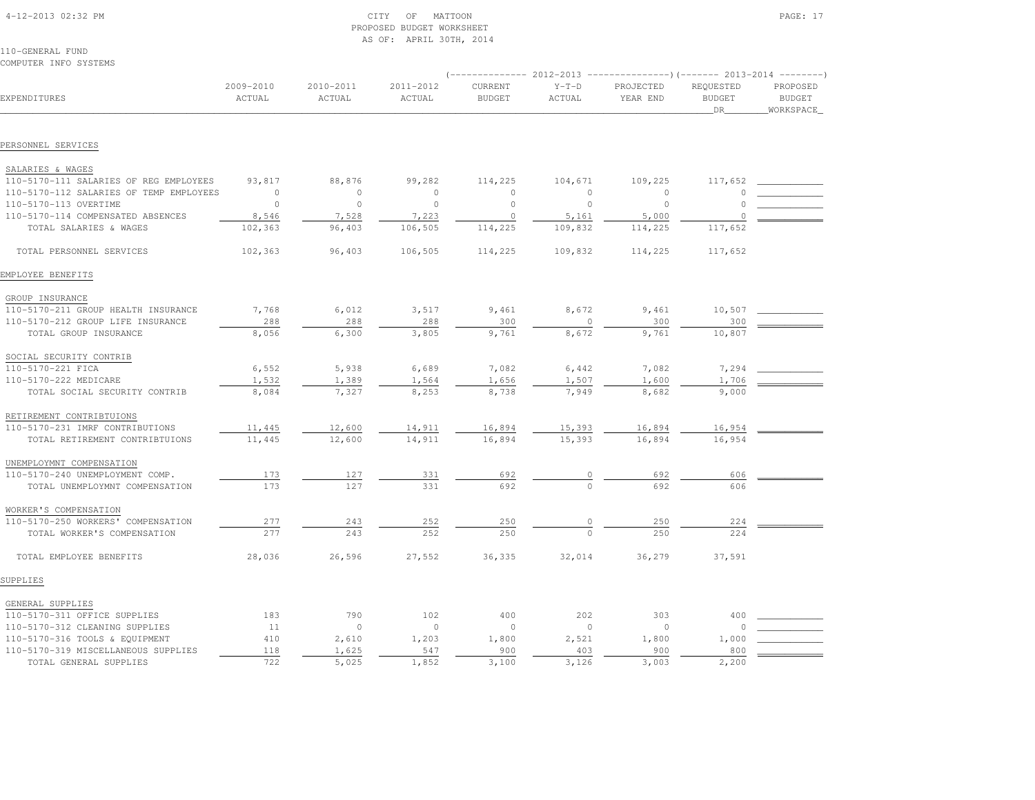| 4-12-2013 02:32 PM |  |
|--------------------|--|

# $17$  OF MATTOON PAGE: 17 PROPOSED BUDGET WORKSHEETAS OF: APRIL 30TH, 2014

110-GENERAL FUNDCOMPUTER INFO SYSTEMS

|                                         |                     |                     | $(----------2012-2013$ ---------------) (------- 2013-2014 -------) |                          |                   |                       |                                         |                                        |
|-----------------------------------------|---------------------|---------------------|---------------------------------------------------------------------|--------------------------|-------------------|-----------------------|-----------------------------------------|----------------------------------------|
| EXPENDITURES                            | 2009-2010<br>ACTUAL | 2010-2011<br>ACTUAL | 2011-2012<br>ACTUAL                                                 | CURRENT<br><b>BUDGET</b> | $Y-T-D$<br>ACTUAL | PROJECTED<br>YEAR END | REQUESTED<br><b>BUDGET</b><br><b>DR</b> | PROPOSED<br><b>BUDGET</b><br>WORKSPACE |
|                                         |                     |                     |                                                                     |                          |                   |                       |                                         |                                        |
| PERSONNEL SERVICES                      |                     |                     |                                                                     |                          |                   |                       |                                         |                                        |
| SALARIES & WAGES                        |                     |                     |                                                                     |                          |                   |                       |                                         |                                        |
| 110-5170-111 SALARIES OF REG EMPLOYEES  | 93,817              | 88,876              | 99,282                                                              | 114,225                  | 104,671           | 109,225               | 117,652                                 |                                        |
| 110-5170-112 SALARIES OF TEMP EMPLOYEES | $\overline{0}$      | $\circ$             | $\circ$                                                             | $\circ$                  | $\circ$           | $\circ$               |                                         |                                        |
| 110-5170-113 OVERTIME                   | $\overline{0}$      | $\circ$             | $\circ$                                                             | $\mathbb O$              | $\circ$           | $\circ$               |                                         |                                        |
| 110-5170-114 COMPENSATED ABSENCES       | 8,546               | 7,528               | 7,223                                                               | $\circ$                  | 5,161             | 5,000                 |                                         |                                        |
| TOTAL SALARIES & WAGES                  | 102,363             | 96,403              | 106,505                                                             | 114,225                  | 109,832           | 114,225               | 117,652                                 |                                        |
| TOTAL PERSONNEL SERVICES                | 102,363             | 96,403              | 106,505                                                             | 114,225                  | 109,832           | 114,225               | 117,652                                 |                                        |
| EMPLOYEE BENEFITS                       |                     |                     |                                                                     |                          |                   |                       |                                         |                                        |
| GROUP INSURANCE                         |                     |                     |                                                                     |                          |                   |                       |                                         |                                        |
| 110-5170-211 GROUP HEALTH INSURANCE     | 7,768               | 6,012               | 3,517                                                               | 9,461                    | 8,672             | 9,461                 | 10,507                                  |                                        |
| 110-5170-212 GROUP LIFE INSURANCE       | 288                 | 288                 | 288                                                                 | 300                      | $\circ$           | 300                   | 300                                     |                                        |
| TOTAL GROUP INSURANCE                   | 8,056               | 6,300               | 3,805                                                               | 9,761                    | 8,672             | 9,761                 | 10,807                                  |                                        |
| SOCIAL SECURITY CONTRIB                 |                     |                     |                                                                     |                          |                   |                       |                                         |                                        |
| 110-5170-221 FICA                       | 6,552               | 5,938               | 6,689                                                               | 7,082                    | 6,442             | 7,082                 | 7,294                                   |                                        |
| 110-5170-222 MEDICARE                   | 1,532               | 1,389               | 1,564                                                               | 1,656                    | 1,507             | 1,600                 | 1,706                                   |                                        |
| TOTAL SOCIAL SECURITY CONTRIB           | 8,084               | 7,327               | 8,253                                                               | 8,738                    | 7,949             | 8,682                 | 9,000                                   |                                        |
| RETIREMENT CONTRIBTUIONS                |                     |                     |                                                                     |                          |                   |                       |                                         |                                        |
| 110-5170-231 IMRF CONTRIBUTIONS         | 11,445              | 12,600              | 14,911                                                              | 16,894                   | 15,393            | 16,894                | 16,954                                  |                                        |
| TOTAL RETIREMENT CONTRIBTUIONS          | 11,445              | 12,600              | 14,911                                                              | 16,894                   | 15,393            | 16,894                | 16,954                                  |                                        |
| UNEMPLOYMNT COMPENSATION                |                     |                     |                                                                     |                          |                   |                       |                                         |                                        |
| 110-5170-240 UNEMPLOYMENT COMP.         | 173                 | 127                 | 331                                                                 | 692                      | 0                 | 692                   | 606                                     |                                        |
| TOTAL UNEMPLOYMNT COMPENSATION          | 173                 | 127                 | 331                                                                 | 692                      | $\Omega$          | 692                   | 606                                     |                                        |
| WORKER'S COMPENSATION                   |                     |                     |                                                                     |                          |                   |                       |                                         |                                        |
| 110-5170-250 WORKERS' COMPENSATION      | 277                 | 243                 | 252                                                                 | 250                      | 0                 | 250                   | 224                                     |                                        |
| TOTAL WORKER'S COMPENSATION             | 277                 | 243                 | 252                                                                 | 250                      | $\Omega$          | 250                   | 224                                     |                                        |
| TOTAL EMPLOYEE BENEFITS                 | 28,036              | 26,596              | 27,552                                                              | 36,335                   | 32,014            | 36,279                | 37,591                                  |                                        |
| SUPPLIES                                |                     |                     |                                                                     |                          |                   |                       |                                         |                                        |
| GENERAL SUPPLIES                        |                     |                     |                                                                     |                          |                   |                       |                                         |                                        |
| 110-5170-311 OFFICE SUPPLIES            | 183                 | 790                 | 102                                                                 | 400                      | 202               | 303                   | 400                                     |                                        |
| 110-5170-312 CLEANING SUPPLIES          | 11                  | $\circ$             | $\circ$                                                             | $\circ$                  | $\circ$           | $\circ$               | 0                                       |                                        |
| 110-5170-316 TOOLS & EQUIPMENT          | 410                 | 2,610               | 1,203                                                               | 1,800                    | 2,521             | 1,800                 | 1,000                                   |                                        |
| 110-5170-319 MISCELLANEOUS SUPPLIES     | $1\,1\,8$           | 1,625               | 547                                                                 | 900                      | 403               | 900                   | 800                                     |                                        |
| TOTAL GENERAL SUPPLIES                  | 722                 | 5,025               | 1,852                                                               | 3,100                    | 3,126             | 3,003                 | 2,200                                   |                                        |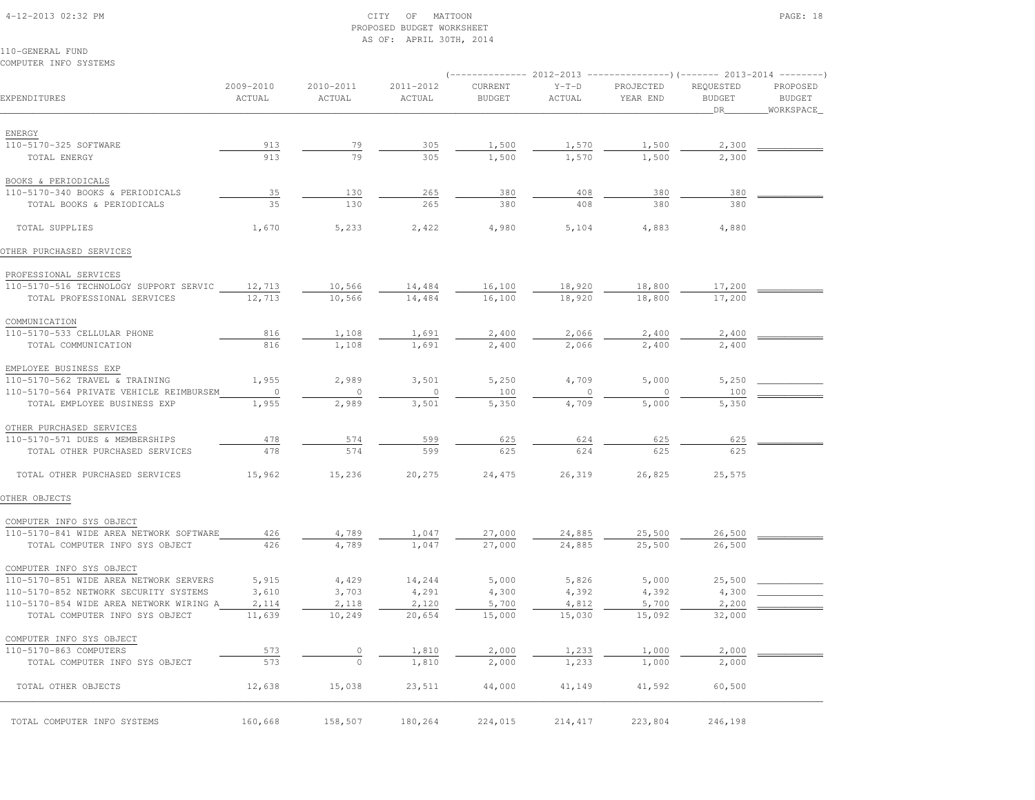#### 4-12-2013 02:32 PM CITY OF MATTOON PAGE: 18 PROPOSED BUDGET WORKSHEETAS OF: APRIL 30TH, 2014

| COMPUTER INFO SYSTEMS                   |                         |                     |                     |                          |                   |                       |                                   |                                        |
|-----------------------------------------|-------------------------|---------------------|---------------------|--------------------------|-------------------|-----------------------|-----------------------------------|----------------------------------------|
| EXPENDITURES                            | $2009 - 2010$<br>ACTUAL | 2010-2011<br>ACTUAL | 2011-2012<br>ACTUAL | CURRENT<br><b>BUDGET</b> | $Y-T-D$<br>ACTUAL | PROJECTED<br>YEAR END | REQUESTED<br><b>BUDGET</b><br>DR. | PROPOSED<br><b>BUDGET</b><br>WORKSPACE |
| ENERGY                                  |                         |                     |                     |                          |                   |                       |                                   |                                        |
| 110-5170-325 SOFTWARE                   | 913                     | 79                  | 305                 | 1,500                    | 1,570             | 1,500                 | 2,300                             |                                        |
| TOTAL ENERGY                            | 913                     | 79                  | 305                 | 1,500                    | 1,570             | 1,500                 | 2,300                             |                                        |
| BOOKS & PERIODICALS                     |                         |                     |                     |                          |                   |                       |                                   |                                        |
| 110-5170-340 BOOKS & PERIODICALS        | 35                      | 130                 | 265                 | 380                      | 408               | 380                   | 380                               |                                        |
| TOTAL BOOKS & PERIODICALS               | 35                      | 130                 | 265                 | 380                      | 408               | 380                   | 380                               |                                        |
| TOTAL SUPPLIES                          | 1,670                   | 5,233               | 2,422               | 4,980                    | 5,104             | 4,883                 | 4,880                             |                                        |
| OTHER PURCHASED SERVICES                |                         |                     |                     |                          |                   |                       |                                   |                                        |
| PROFESSIONAL SERVICES                   |                         |                     |                     |                          |                   |                       |                                   |                                        |
| 110-5170-516 TECHNOLOGY SUPPORT SERVIC  | 12,713                  | 10,566              | 14,484              | 16,100                   | 18,920            | 18,800                | 17,200                            |                                        |
| TOTAL PROFESSIONAL SERVICES             | 12,713                  | 10,566              | 14,484              | 16,100                   | 18,920            | 18,800                | 17,200                            |                                        |
| COMMUNICATION                           |                         |                     |                     |                          |                   |                       |                                   |                                        |
| 110-5170-533 CELLULAR PHONE             | 816                     | 1,108               | 1,691               | 2,400                    | 2,066             | 2,400                 | 2,400                             |                                        |
| TOTAL COMMUNICATION                     | 816                     | 1,108               | 1,691               | 2,400                    | 2,066             | 2,400                 | 2,400                             |                                        |
| EMPLOYEE BUSINESS EXP                   |                         |                     |                     |                          |                   |                       |                                   |                                        |
| 110-5170-562 TRAVEL & TRAINING          | 1,955                   | 2,989               | 3,501               | 5,250                    | 4,709             | 5,000                 | 5,250                             |                                        |
| 110-5170-564 PRIVATE VEHICLE REIMBURSEM | $\circ$                 | $\circ$             | $\circ$             | 100                      |                   | $\circ$               | 100                               |                                        |
| TOTAL EMPLOYEE BUSINESS EXP             | 1,955                   | 2,989               | 3,501               | 5,350                    | 4,709             | 5,000                 | 5,350                             |                                        |
| OTHER PURCHASED SERVICES                |                         |                     |                     |                          |                   |                       |                                   |                                        |
| 110-5170-571 DUES & MEMBERSHIPS         | 478                     | 574                 | 599                 | 625                      | 624               | 625                   | 625                               |                                        |
| TOTAL OTHER PURCHASED SERVICES          | 478                     | 574                 | 599                 | 625                      | 624               | 625                   | 625                               |                                        |
| TOTAL OTHER PURCHASED SERVICES          | 15,962                  | 15,236              | 20,275              | 24,475                   | 26,319            | 26,825                | 25,575                            |                                        |
| OTHER OBJECTS                           |                         |                     |                     |                          |                   |                       |                                   |                                        |
| COMPUTER INFO SYS OBJECT                |                         |                     |                     |                          |                   |                       |                                   |                                        |
| 110-5170-841 WIDE AREA NETWORK SOFTWARE | 426                     | 4,789               | 1,047               | 27,000                   | 24,885            | 25,500                | 26,500                            |                                        |
| TOTAL COMPUTER INFO SYS OBJECT          | 426                     | 4,789               | 1,047               | 27,000                   | 24,885            | 25,500                | 26,500                            |                                        |
| COMPUTER INFO SYS OBJECT                |                         |                     |                     |                          |                   |                       |                                   |                                        |
| 110-5170-851 WIDE AREA NETWORK SERVERS  | 5,915                   | 4,429               | 14,244              | 5,000                    | 5,826             | 5,000                 | 25,500                            |                                        |
| 110-5170-852 NETWORK SECURITY SYSTEMS   | 3,610                   | 3,703               | 4,291               | 4,300                    | 4,392             | 4,392                 | 4,300                             |                                        |
| 110-5170-854 WIDE AREA NETWORK WIRING A | 2,114                   | 2,118               | 2,120               | 5,700                    | 4,812             | 5,700                 | 2,200                             |                                        |
| TOTAL COMPUTER INFO SYS OBJECT          | 11,639                  | 10,249              | 20,654              | 15,000                   | 15,030            | 15,092                | 32,000                            |                                        |
| COMPUTER INFO SYS OBJECT                |                         |                     |                     |                          |                   |                       |                                   |                                        |
| 110-5170-863 COMPUTERS                  | 573                     |                     | 1,810               | 2,000                    | 1,233             | 1,000                 | 2,000                             |                                        |
| TOTAL COMPUTER INFO SYS OBJECT          | 573                     | $\circ$             | 1,810               | 2,000                    | 1,233             | 1,000                 | 2,000                             |                                        |
| TOTAL OTHER OBJECTS                     | 12,638                  | 15,038              | 23,511              | 44,000                   | 41,149            | 41,592                | 60,500                            |                                        |
| TOTAL COMPUTER INFO SYSTEMS             | 160,668                 | 158,507             | 180,264             | 224,015                  | 214, 417          | 223,804               | 246,198                           |                                        |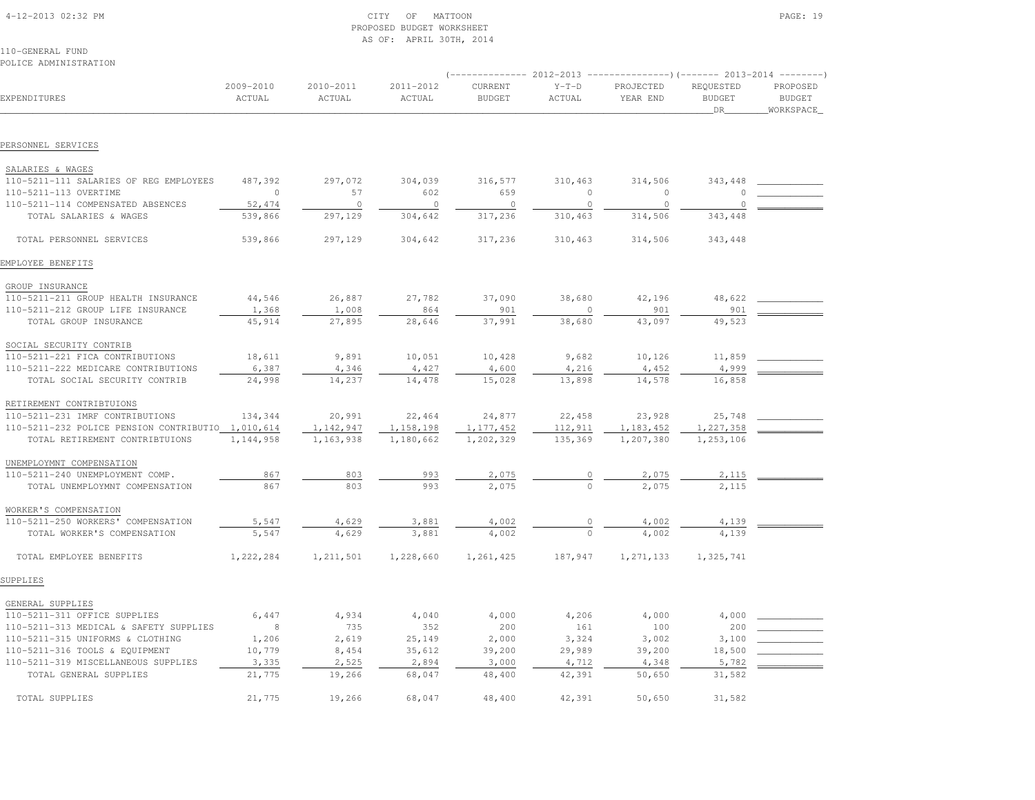| 4-12-2013 02:32 PM |  |
|--------------------|--|

# $\begin{array}{ccc} \text{CITY} & \text{OF} & \text{MATION} \end{array}$  PROPOSED BUDGET WORKSHEETAS OF: APRIL 30TH, 2014

110-GENERAL FUNDPOLICE ADMINISTRATION

|                                                             |                     |                     |                           | ------------- 2012-2013 ----------------) (------- 2013-2014 --------) |                    |                       |                                  |                                        |
|-------------------------------------------------------------|---------------------|---------------------|---------------------------|------------------------------------------------------------------------|--------------------|-----------------------|----------------------------------|----------------------------------------|
| EXPENDITURES                                                | 2009-2010<br>ACTUAL | 2010-2011<br>ACTUAL | 2011-2012<br>ACTUAL       | CURRENT<br><b>BUDGET</b>                                               | $Y-T-D$<br>ACTUAL  | PROJECTED<br>YEAR END | REQUESTED<br><b>BUDGET</b><br>DR | PROPOSED<br><b>BUDGET</b><br>WORKSPACE |
| PERSONNEL SERVICES                                          |                     |                     |                           |                                                                        |                    |                       |                                  |                                        |
|                                                             |                     |                     |                           |                                                                        |                    |                       |                                  |                                        |
| SALARIES & WAGES                                            |                     |                     |                           |                                                                        |                    |                       |                                  |                                        |
| 110-5211-111 SALARIES OF REG EMPLOYEES                      | 487,392             | 297,072             | 304,039                   | 316,577                                                                | 310,463            | 314,506               | 343,448                          |                                        |
| 110-5211-113 OVERTIME                                       | $\overline{0}$      | 57                  | 602                       | 659                                                                    | $\Omega$           | $\Omega$              | $\cap$                           |                                        |
| 110-5211-114 COMPENSATED ABSENCES<br>TOTAL SALARIES & WAGES | 52,474<br>539,866   | $\circ$<br>297,129  | $\overline{0}$<br>304,642 | $\circ$<br>317,236                                                     | $\circ$<br>310,463 | $\circ$<br>314,506    | $\circ$<br>343,448               |                                        |
|                                                             |                     |                     |                           |                                                                        |                    |                       |                                  |                                        |
| TOTAL PERSONNEL SERVICES                                    | 539,866             | 297,129             | 304,642                   | 317,236                                                                | 310,463            | 314,506               | 343,448                          |                                        |
| EMPLOYEE BENEFITS                                           |                     |                     |                           |                                                                        |                    |                       |                                  |                                        |
| GROUP INSURANCE                                             |                     |                     |                           |                                                                        |                    |                       |                                  |                                        |
| 110-5211-211 GROUP HEALTH INSURANCE                         | 44,546              | 26,887              | 27,782                    | 37,090                                                                 | 38,680             | 42,196                | 48,622                           |                                        |
| 110-5211-212 GROUP LIFE INSURANCE                           | 1,368               | 1,008               | 864                       | 901                                                                    | $\circ$            | 901                   | 901                              |                                        |
| TOTAL GROUP INSURANCE                                       | 45,914              | 27,895              | 28,646                    | 37,991                                                                 | 38,680             | 43,097                | 49,523                           |                                        |
| SOCIAL SECURITY CONTRIB                                     |                     |                     |                           |                                                                        |                    |                       |                                  |                                        |
| 110-5211-221 FICA CONTRIBUTIONS                             | 18,611              | 9,891               | 10,051                    | 10,428                                                                 | 9,682              | 10,126                | 11,859                           |                                        |
| 110-5211-222 MEDICARE CONTRIBUTIONS                         | 6,387               | 4,346               | 4,427                     | 4,600                                                                  | 4,216              | 4,452                 | 4,999                            |                                        |
| TOTAL SOCIAL SECURITY CONTRIB                               | 24,998              | 14,237              | 14,478                    | 15,028                                                                 | 13,898             | 14,578                | 16,858                           |                                        |
| RETIREMENT CONTRIBTUIONS                                    |                     |                     |                           |                                                                        |                    |                       |                                  |                                        |
| 110-5211-231 IMRF CONTRIBUTIONS                             | 134,344             | 20,991              | 22,464                    | 24,877                                                                 | 22,458             | 23,928                | 25,748                           |                                        |
| 110-5211-232 POLICE PENSION CONTRIBUTIO 1,010,614           |                     | 1,142,947           | 1,158,198                 | 1, 177, 452                                                            | 112,911            | 1,183,452             | 1,227,358                        |                                        |
| TOTAL RETIREMENT CONTRIBTUIONS                              | 1,144,958           | 1,163,938           | 1,180,662                 | 1,202,329                                                              | 135,369            | 1,207,380             | 1,253,106                        |                                        |
| UNEMPLOYMNT COMPENSATION                                    |                     |                     |                           |                                                                        |                    |                       |                                  |                                        |
| 110-5211-240 UNEMPLOYMENT COMP.                             | 867                 | 803                 | 993                       | 2,075                                                                  |                    | 2,075                 | 2,115                            |                                        |
| TOTAL UNEMPLOYMNT COMPENSATION                              | 867                 | 803                 | 993                       | 2,075                                                                  |                    | 2,075                 | 2,115                            |                                        |
| WORKER'S COMPENSATION                                       |                     |                     |                           |                                                                        |                    |                       |                                  |                                        |
| 110-5211-250 WORKERS' COMPENSATION                          | 5,547               | 4,629               | 3,881                     | 4,002                                                                  |                    | 4,002                 | 4,139                            |                                        |
| TOTAL WORKER'S COMPENSATION                                 | 5,547               | 4,629               | 3,881                     | 4,002                                                                  |                    | 4,002                 | 4,139                            |                                        |
| TOTAL EMPLOYEE BENEFITS                                     | 1,222,284           | 1, 211, 501         | 1,228,660                 | 1,261,425                                                              | 187,947            | 1,271,133             | 1,325,741                        |                                        |
| SUPPLIES                                                    |                     |                     |                           |                                                                        |                    |                       |                                  |                                        |
| GENERAL SUPPLIES                                            |                     |                     |                           |                                                                        |                    |                       |                                  |                                        |
| 110-5211-311 OFFICE SUPPLIES                                | 6,447               | 4,934               | 4,040                     | 4,000                                                                  | 4,206              | 4,000                 | 4,000                            |                                        |
| 110-5211-313 MEDICAL & SAFETY SUPPLIES                      | 8 <sup>8</sup>      | 735                 | 352                       | 200                                                                    | 161                | 100                   | 200                              |                                        |
| 110-5211-315 UNIFORMS & CLOTHING                            | 1,206               | 2,619               | 25,149                    | 2,000                                                                  | 3,324              | 3,002                 | 3,100                            |                                        |
| 110-5211-316 TOOLS & EQUIPMENT                              | 10,779              | 8,454               | 35,612                    | 39,200                                                                 | 29,989             | 39,200                | 18,500                           |                                        |
| 110-5211-319 MISCELLANEOUS SUPPLIES                         | 3,335               | 2,525               | 2,894                     | 3,000                                                                  | 4,712              | 4,348                 | 5,782                            |                                        |
| TOTAL GENERAL SUPPLIES                                      | 21,775              | 19,266              | 68,047                    | 48,400                                                                 | 42,391             | 50,650                | 31,582                           |                                        |
| TOTAL SUPPLIES                                              | 21,775              | 19,266              | 68,047                    | 48,400                                                                 | 42,391             | 50,650                | 31,582                           |                                        |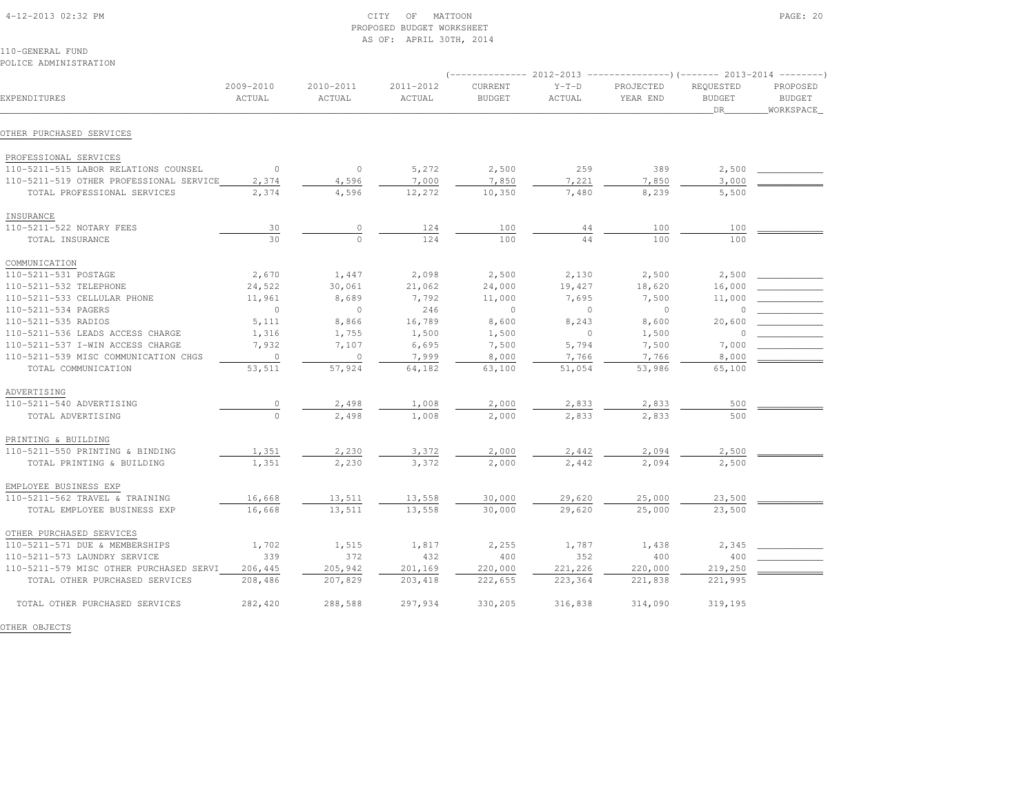| 4-12-2013 02:32 PM |  |  |
|--------------------|--|--|

#### $\text{CITY}$  of MATTOON PAGE: 20 PROPOSED BUDGET WORKSHEETAS OF: APRIL 30TH, 2014

110-GENERAL FUNDPOLICE ADMINISTRATION

| FULLUL ADMINIJINAIIUN                   |                     |                     |                     |                          |                   |                       |                                  |                                        |
|-----------------------------------------|---------------------|---------------------|---------------------|--------------------------|-------------------|-----------------------|----------------------------------|----------------------------------------|
| EXPENDITURES                            | 2009-2010<br>ACTUAL | 2010-2011<br>ACTUAL | 2011-2012<br>ACTUAL | CURRENT<br><b>BUDGET</b> | $Y-T-D$<br>ACTUAL | PROJECTED<br>YEAR END | REQUESTED<br><b>BUDGET</b><br>DR | PROPOSED<br><b>BUDGET</b><br>WORKSPACE |
| OTHER PURCHASED SERVICES                |                     |                     |                     |                          |                   |                       |                                  |                                        |
| PROFESSIONAL SERVICES                   |                     |                     |                     |                          |                   |                       |                                  |                                        |
| 110-5211-515 LABOR RELATIONS COUNSEL    | $\circ$             | $\circ$             | 5,272               | 2,500                    | 259               | 389                   | 2,500                            |                                        |
| 110-5211-519 OTHER PROFESSIONAL SERVICE | 2,374               | 4,596               | 7,000               | 7,850                    | 7,221             | 7,850                 | 3,000                            |                                        |
| TOTAL PROFESSIONAL SERVICES             | 2,374               | 4,596               | 12,272              | 10,350                   | 7,480             | 8,239                 | 5,500                            |                                        |
| INSURANCE                               |                     |                     |                     |                          |                   |                       |                                  |                                        |
| 110-5211-522 NOTARY FEES                | 30                  | $\circ$             | 124                 | 100                      | 44                | 100                   | 100                              |                                        |
| TOTAL INSURANCE                         | 30                  | $\circ$             | 124                 | 100                      | 44                | 100                   | 100                              |                                        |
| COMMUNICATION                           |                     |                     |                     |                          |                   |                       |                                  |                                        |
| 110-5211-531 POSTAGE                    | 2,670               | 1,447               | 2,098               | 2,500                    | 2,130             | 2,500                 | 2,500                            |                                        |
| 110-5211-532 TELEPHONE                  | 24,522              | 30,061              | 21,062              | 24,000                   | 19,427            | 18,620                | 16,000                           |                                        |
| 110-5211-533 CELLULAR PHONE             | 11,961              | 8,689               | 7,792               | 11,000                   | 7,695             | 7,500                 | 11,000                           |                                        |
| 110-5211-534 PAGERS                     | $\Omega$            | $\circ$             | 246                 | $\Omega$                 | $\Omega$          | $\Omega$              | $\cap$                           |                                        |
| 110-5211-535 RADIOS                     | 5,111               | 8,866               | 16,789              | 8,600                    | 8,243             | 8,600                 | 20,600                           |                                        |
| 110-5211-536 LEADS ACCESS CHARGE        | 1,316               | 1,755               | 1,500               | 1,500                    | $\mathbf{0}$      | 1,500                 | -C                               |                                        |
| 110-5211-537 I-WIN ACCESS CHARGE        | 7,932               | 7,107               | 6,695               | 7,500                    | 5,794             | 7,500                 | 7,000                            |                                        |
| 110-5211-539 MISC COMMUNICATION CHGS    | $\circ$             | $\circ$             | 7,999               | 8,000                    | 7,766             | 7,766                 | 8,000                            |                                        |
| TOTAL COMMUNICATION                     | 53,511              | 57,924              | 64,182              | 63,100                   | 51,054            | 53,986                | 65,100                           |                                        |
| ADVERTISING                             |                     |                     |                     |                          |                   |                       |                                  |                                        |
| 110-5211-540 ADVERTISING                | $\circ$             | 2,498               | 1,008               | 2,000                    | 2,833             | 2,833                 | 500                              |                                        |
| TOTAL ADVERTISING                       | $\circ$             | 2,498               | 1,008               | 2,000                    | 2,833             | 2,833                 | 500                              |                                        |
| PRINTING & BUILDING                     |                     |                     |                     |                          |                   |                       |                                  |                                        |
| 110-5211-550 PRINTING & BINDING         | 1,351               | 2,230               | 3,372               | 2,000                    | 2,442             | 2,094                 | 2,500                            |                                        |
| TOTAL PRINTING & BUILDING               | 1,351               | 2,230               | 3,372               | 2,000                    | 2,442             | 2,094                 | 2,500                            |                                        |
| EMPLOYEE BUSINESS EXP                   |                     |                     |                     |                          |                   |                       |                                  |                                        |
| 110-5211-562 TRAVEL & TRAINING          | 16,668              | 13,511              | 13,558              | 30,000                   | 29,620            | 25,000                | 23,500                           |                                        |
| TOTAL EMPLOYEE BUSINESS EXP             | 16,668              | 13,511              | 13,558              | 30,000                   | 29,620            | 25,000                | 23,500                           |                                        |
| OTHER PURCHASED SERVICES                |                     |                     |                     |                          |                   |                       |                                  |                                        |
| 110-5211-571 DUE & MEMBERSHIPS          | 1,702               | 1,515               | 1,817               | 2,255                    | 1,787             | 1,438                 | 2,345                            |                                        |
| 110-5211-573 LAUNDRY SERVICE            | 339                 | 372                 | 432                 | 400                      | 352               | 400                   | 400                              |                                        |
| 110-5211-579 MISC OTHER PURCHASED SERVI | 206,445             | 205,942             | 201,169             | 220,000                  | 221,226           | 220,000               | 219,250                          |                                        |
| TOTAL OTHER PURCHASED SERVICES          | 208,486             | 207,829             | 203, 418            | 222,655                  | 223,364           | 221,838               | 221,995                          |                                        |
| TOTAL OTHER PURCHASED SERVICES          | 282,420             | 288,588             | 297,934             | 330,205                  | 316,838           | 314,090               | 319,195                          |                                        |

OTHER OBJECTS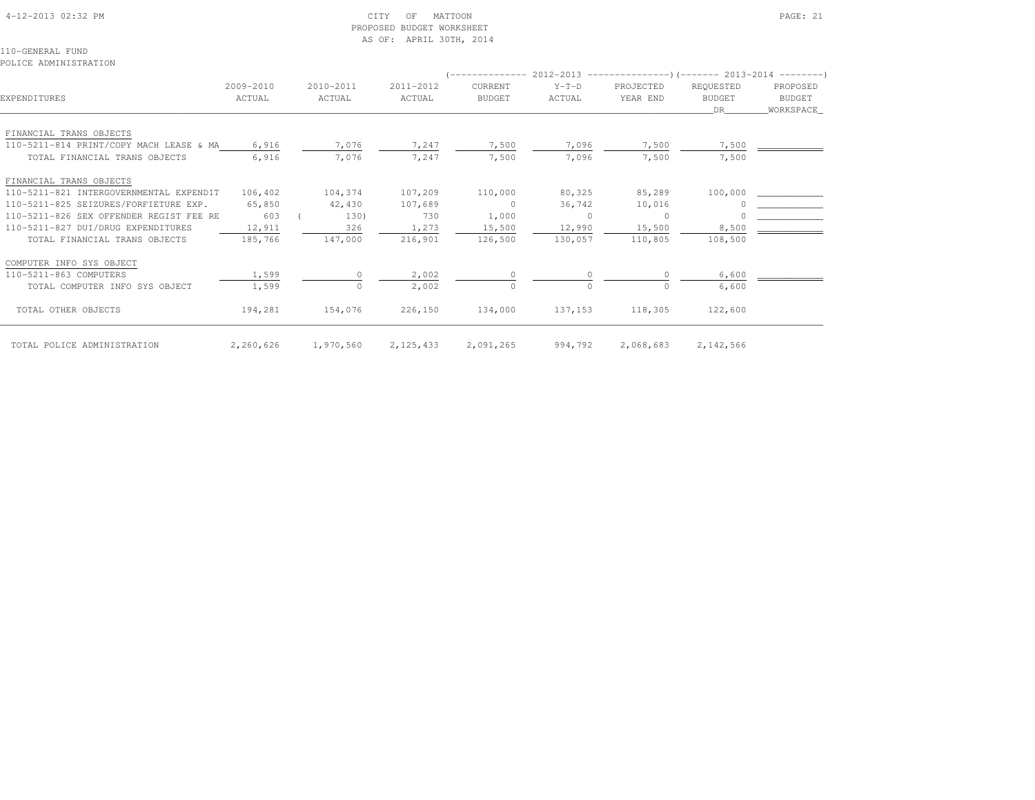# 4-12-2013 02:32 PM CITY OF MATTOON PAGE: 21 PROPOSED BUDGET WORKSHEETAS OF: APRIL 30TH, 2014

110-GENERAL FUNDPOLICE ADMINISTRATION

| EXPENDITURES                            | 2009-2010<br>ACTUAL | 2010-2011<br>ACTUAL | 2011-2012<br>ACTUAL | <b>CURRENT</b><br><b>BUDGET</b> | $Y-T-D$<br>ACTUAL | $(-----12012 - 2012 - 2013$ $-----2013$ $(-----2013 - 2013 - 2014$<br>PROJECTED<br>YEAR END | REQUESTED<br><b>BUDGET</b><br>DR | PROPOSED<br>BUDGET<br>WORKSPACE |
|-----------------------------------------|---------------------|---------------------|---------------------|---------------------------------|-------------------|---------------------------------------------------------------------------------------------|----------------------------------|---------------------------------|
| FINANCIAL TRANS OBJECTS                 |                     |                     |                     |                                 |                   |                                                                                             |                                  |                                 |
| 110-5211-814 PRINT/COPY MACH LEASE & MA | 6,916               | 7,076               | 7,247               | 7,500                           | 7,096             | 7,500                                                                                       | 7,500                            |                                 |
| TOTAL FINANCIAL TRANS OBJECTS           | 6,916               | 7,076               | 7,247               | 7,500                           | 7,096             | 7,500                                                                                       | 7,500                            |                                 |
| FINANCIAL TRANS OBJECTS                 |                     |                     |                     |                                 |                   |                                                                                             |                                  |                                 |
| 110-5211-821 INTERGOVERNMENTAL EXPENDIT | 106,402             | 104,374             | 107,209             | 110,000                         | 80,325            | 85,289                                                                                      | 100,000                          |                                 |
| 110-5211-825 SEIZURES/FORFIETURE EXP.   | 65,850              | 42,430              | 107,689             | $\circ$                         | 36,742            | 10,016                                                                                      |                                  |                                 |
| 110-5211-826 SEX OFFENDER REGIST FEE RE | 603                 | 130)                | 730                 | 1,000                           | $\circ$           | $\circ$                                                                                     |                                  |                                 |
| 110-5211-827 DUI/DRUG EXPENDITURES      | 12,911              | 326                 | 1,273               | 15,500                          | 12,990            | 15,500                                                                                      | 8,500                            |                                 |
| TOTAL FINANCIAL TRANS OBJECTS           | 185,766             | 147,000             | 216,901             | 126,500                         | 130,057           | 110,805                                                                                     | 108,500                          |                                 |
| COMPUTER INFO SYS OBJECT                |                     |                     |                     |                                 |                   |                                                                                             |                                  |                                 |
| 110-5211-863 COMPUTERS                  | 1,599               | $\Omega$            | 2,002               |                                 |                   |                                                                                             | 6,600                            |                                 |
| TOTAL COMPUTER INFO SYS OBJECT          | 1,599               | $\circ$             | 2,002               | $\circ$                         | $\Omega$          | $\Omega$                                                                                    | 6,600                            |                                 |
| TOTAL OTHER OBJECTS                     | 194,281             | 154,076             | 226,150             | 134,000                         | 137,153           | 118,305                                                                                     | 122,600                          |                                 |
| TOTAL POLICE ADMINISTRATION             | 2,260,626           | 1,970,560           | 2,125,433           | 2,091,265                       | 994,792           | 2,068,683                                                                                   | 2, 142, 566                      |                                 |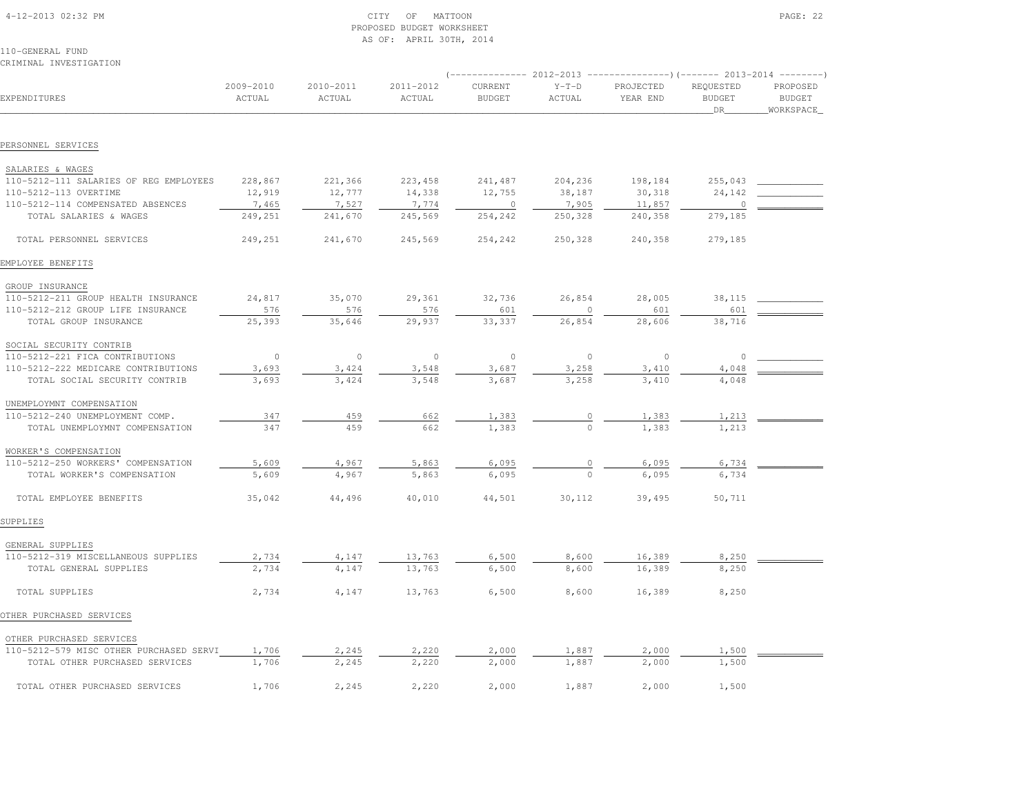| 4-12-2013 02:32 PM |  |
|--------------------|--|
|                    |  |

# 4-12-2013 OF MATTOON PAGE: 22 PROPOSED BUDGET WORKSHEETAS OF: APRIL 30TH, 2014

| CRIMINAL INVESTIGATION                  |                     |                     |                     |                          |                   |                                                                                                     |                                  |                                         |
|-----------------------------------------|---------------------|---------------------|---------------------|--------------------------|-------------------|-----------------------------------------------------------------------------------------------------|----------------------------------|-----------------------------------------|
| EXPENDITURES                            | 2009-2010<br>ACTUAL | 2010-2011<br>ACTUAL | 2011-2012<br>ACTUAL | CURRENT<br><b>BUDGET</b> | $Y-T-D$<br>ACTUAL | $(-$ ------------- 2012-2013 ----------------)(------- 2013-2014 --------)<br>PROJECTED<br>YEAR END | REQUESTED<br><b>BUDGET</b><br>DR | PROPOSED<br><b>BUDGET</b><br>WORKSPACE_ |
|                                         |                     |                     |                     |                          |                   |                                                                                                     |                                  |                                         |
| PERSONNEL SERVICES                      |                     |                     |                     |                          |                   |                                                                                                     |                                  |                                         |
| SALARIES & WAGES                        |                     |                     |                     |                          |                   |                                                                                                     |                                  |                                         |
| 110-5212-111 SALARIES OF REG EMPLOYEES  | 228,867             | 221,366             | 223,458             | 241,487                  | 204,236           | 198,184                                                                                             | 255,043                          |                                         |
| 110-5212-113 OVERTIME                   | 12,919              | 12,777              | 14,338              | 12,755                   | 38,187            | 30,318                                                                                              | 24,142                           |                                         |
| 110-5212-114 COMPENSATED ABSENCES       | 7,465               | 7,527               | 7,774               | $\circ$                  | 7,905             | 11,857                                                                                              | $\Omega$                         |                                         |
| TOTAL SALARIES & WAGES                  | 249,251             | 241,670             | 245,569             | 254,242                  | 250,328           | 240,358                                                                                             | 279,185                          |                                         |
| TOTAL PERSONNEL SERVICES                | 249,251             | 241,670             | 245,569             | 254,242                  | 250,328           | 240,358                                                                                             | 279,185                          |                                         |
| EMPLOYEE BENEFITS                       |                     |                     |                     |                          |                   |                                                                                                     |                                  |                                         |
| GROUP INSURANCE                         |                     |                     |                     |                          |                   |                                                                                                     |                                  |                                         |
| 110-5212-211 GROUP HEALTH INSURANCE     | 24,817              | 35,070              | 29,361              | 32,736                   | 26,854            | 28,005                                                                                              | 38,115                           |                                         |
| 110-5212-212 GROUP LIFE INSURANCE       | 576                 | 576                 | 576                 | 601                      | $\mathbf 0$       | 601                                                                                                 | 601                              |                                         |
| TOTAL GROUP INSURANCE                   | 25,393              | 35,646              | 29,937              | 33,337                   | 26,854            | 28,606                                                                                              | 38,716                           |                                         |
| SOCIAL SECURITY CONTRIB                 |                     |                     |                     |                          |                   |                                                                                                     |                                  |                                         |
| 110-5212-221 FICA CONTRIBUTIONS         | $\circ$             | $\circ$             | $\circ$             | $\circ$                  | $\circ$           | $\circ$                                                                                             | $\circ$                          |                                         |
| 110-5212-222 MEDICARE CONTRIBUTIONS     | 3,693               | 3,424               | 3,548               | 3,687                    | 3,258             | 3,410                                                                                               | 4,048                            |                                         |
| TOTAL SOCIAL SECURITY CONTRIB           | 3,693               | 3,424               | 3,548               | 3,687                    | 3,258             | 3,410                                                                                               | 4,048                            |                                         |
| UNEMPLOYMNT COMPENSATION                |                     |                     |                     |                          |                   |                                                                                                     |                                  |                                         |
| 110-5212-240 UNEMPLOYMENT COMP.         | 347                 | 459                 | 662                 | 1,383                    | $\circ$           | 1,383                                                                                               | 1,213                            |                                         |
| TOTAL UNEMPLOYMNT COMPENSATION          | 347                 | 459                 | 662                 | 1,383                    | $\circ$           | 1,383                                                                                               | 1,213                            |                                         |
| WORKER'S COMPENSATION                   |                     |                     |                     |                          |                   |                                                                                                     |                                  |                                         |
| 110-5212-250 WORKERS' COMPENSATION      | 5,609               | 4,967               | 5,863               | 6,095                    | 0                 | 6,095                                                                                               | 6,734                            |                                         |
| TOTAL WORKER'S COMPENSATION             | 5,609               | 4,967               | 5,863               | 6,095                    | $\Omega$          | 6,095                                                                                               | 6,734                            |                                         |
| TOTAL EMPLOYEE BENEFITS                 | 35,042              | 44,496              | 40,010              | 44,501                   | 30,112            | 39,495                                                                                              | 50,711                           |                                         |
| SUPPLIES                                |                     |                     |                     |                          |                   |                                                                                                     |                                  |                                         |
| GENERAL SUPPLIES                        |                     |                     |                     |                          |                   |                                                                                                     |                                  |                                         |
| 110-5212-319 MISCELLANEOUS SUPPLIES     | 2,734               | 4,147               | 13,763              | 6,500                    | 8,600             | 16,389                                                                                              | 8,250                            |                                         |
| TOTAL GENERAL SUPPLIES                  | 2,734               | 4,147               | 13,763              | 6,500                    | 8,600             | 16,389                                                                                              | 8,250                            |                                         |
| TOTAL SUPPLIES                          | 2,734               | 4,147               | 13,763              | 6,500                    | 8,600             | 16,389                                                                                              | 8,250                            |                                         |
| OTHER PURCHASED SERVICES                |                     |                     |                     |                          |                   |                                                                                                     |                                  |                                         |
| OTHER PURCHASED SERVICES                |                     |                     |                     |                          |                   |                                                                                                     |                                  |                                         |
| 110-5212-579 MISC OTHER PURCHASED SERVI | 1,706               | 2,245               | 2,220               | 2,000                    | 1,887             | 2,000                                                                                               | 1,500                            |                                         |
| TOTAL OTHER PURCHASED SERVICES          | 1,706               | 2,245               | 2,220               | 2,000                    | 1,887             | 2,000                                                                                               | 1,500                            |                                         |
| TOTAL OTHER PURCHASED SERVICES          | 1,706               | 2,245               | 2,220               | 2,000                    | 1,887             | 2,000                                                                                               | 1,500                            |                                         |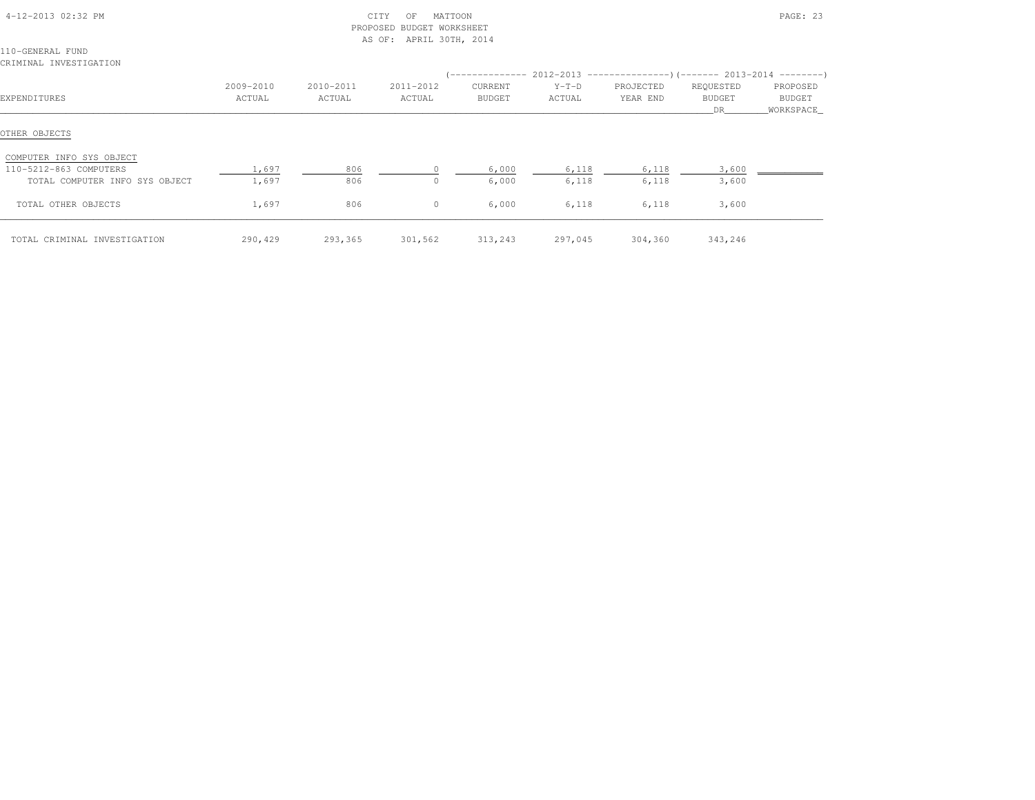|                                                                                      |                     |                     | PROPOSED BUDGET WORKSHEET<br>AS OF: APRIL 30TH, 2014 |                   |                                                                                          |                       |                           |                                 |
|--------------------------------------------------------------------------------------|---------------------|---------------------|------------------------------------------------------|-------------------|------------------------------------------------------------------------------------------|-----------------------|---------------------------|---------------------------------|
| 110-GENERAL FUND<br>CRIMINAL INVESTIGATION                                           |                     |                     |                                                      |                   |                                                                                          |                       |                           |                                 |
| EXPENDITURES                                                                         | 2009-2010<br>ACTUAL | 2010-2011<br>ACTUAL | 2011-2012<br>ACTUAL                                  | CURRENT<br>BUDGET | $(----------2012-2013$ ---------------) (------- 2013-2014 -------)<br>$Y-T-D$<br>ACTUAL | PROJECTED<br>YEAR END | REQUESTED<br>BUDGET<br>DR | PROPOSED<br>BUDGET<br>WORKSPACE |
| OTHER OBJECTS                                                                        |                     |                     |                                                      |                   |                                                                                          |                       |                           |                                 |
| COMPUTER INFO SYS OBJECT<br>110-5212-863 COMPUTERS<br>TOTAL COMPUTER INFO SYS OBJECT | 1,697<br>1,697      | 806<br>806          | $\Omega$                                             | 6,000<br>6,000    | 6,118<br>6,118                                                                           | 6,118<br>6,118        | 3,600<br>3,600            |                                 |
| TOTAL OTHER OBJECTS                                                                  | 1,697               | 806                 | $\circ$                                              | 6,000             | 6,118                                                                                    | 6,118                 | 3,600                     |                                 |
| TOTAL CRIMINAL INVESTIGATION                                                         | 290,429             | 293,365             | 301,562                                              | 313,243           | 297,045                                                                                  | 304,360               | 343,246                   |                                 |

4-12-2013 02:32 PM CITY OF MATTOON PAGE: 23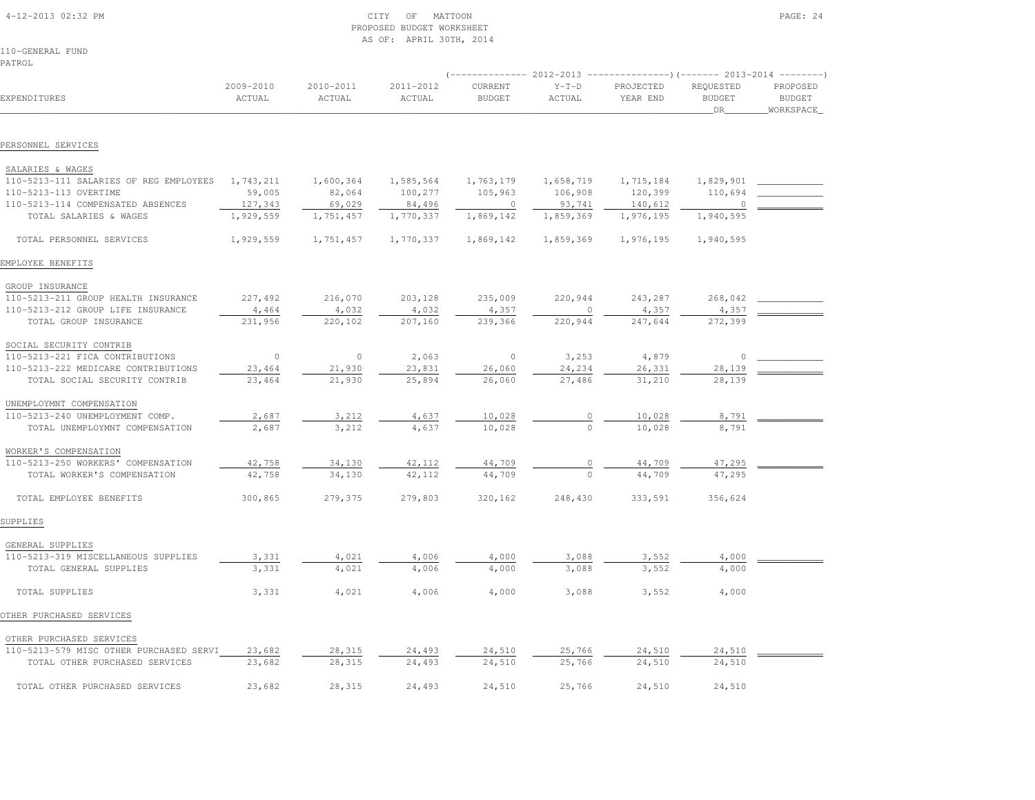|                                                                      |           |           | AS OF: APRIL 30TH, 2014 |               |                  |                                                                            |               |               |
|----------------------------------------------------------------------|-----------|-----------|-------------------------|---------------|------------------|----------------------------------------------------------------------------|---------------|---------------|
| 110-GENERAL FUND                                                     |           |           |                         |               |                  |                                                                            |               |               |
| PATROL                                                               |           |           |                         |               |                  |                                                                            |               |               |
|                                                                      |           |           |                         |               |                  | $($ -------------- 2012-2013 ----------------) (------- 2013-2014 -------- |               |               |
|                                                                      | 2009-2010 | 2010-2011 | 2011-2012               | CURRENT       | $Y-T-D$          | PROJECTED                                                                  | REQUESTED     | PROPOSED      |
| EXPENDITURES                                                         | ACTUAL    | ACTUAL    | ACTUAL                  | <b>BUDGET</b> | ACTUAL           | YEAR END                                                                   | <b>BUDGET</b> | <b>BUDGET</b> |
|                                                                      |           |           |                         |               |                  |                                                                            | DR            | WORKSPACE     |
|                                                                      |           |           |                         |               |                  |                                                                            |               |               |
| PERSONNEL SERVICES                                                   |           |           |                         |               |                  |                                                                            |               |               |
| SALARIES & WAGES                                                     |           |           |                         |               |                  |                                                                            |               |               |
| 110-5213-111 SALARIES OF REG EMPLOYEES                               | 1,743,211 | 1,600,364 | 1,585,564               | 1,763,179     | 1,658,719        | 1,715,184                                                                  | 1,829,901     |               |
| 110-5213-113 OVERTIME                                                | 59,005    | 82,064    | 100,277                 | 105,963       | 106,908          | 120,399                                                                    | 110,694       |               |
| 110-5213-114 COMPENSATED ABSENCES                                    | 127,343   | 69,029    | 84,496                  | $\circ$       | 93,741           | 140,612                                                                    | $\Omega$      |               |
| TOTAL SALARIES & WAGES                                               | 1,929,559 | 1,751,457 | 1,770,337               | 1,869,142     | 1,859,369        | 1,976,195                                                                  | 1,940,595     |               |
|                                                                      |           |           |                         |               |                  |                                                                            |               |               |
| TOTAL PERSONNEL SERVICES                                             | 1,929,559 | 1,751,457 | 1,770,337               | 1,869,142     | 1,859,369        | 1,976,195                                                                  | 1,940,595     |               |
| EMPLOYEE BENEFITS                                                    |           |           |                         |               |                  |                                                                            |               |               |
| GROUP INSURANCE                                                      |           |           |                         |               |                  |                                                                            |               |               |
| 110-5213-211 GROUP HEALTH INSURANCE                                  | 227,492   | 216,070   | 203,128                 | 235,009       | 220,944          | 243,287                                                                    | 268,042       |               |
| 110-5213-212 GROUP LIFE INSURANCE                                    | 4,464     | 4,032     | 4,032                   | 4,357         |                  | 4,357                                                                      | 4,357         |               |
| TOTAL GROUP INSURANCE                                                | 231,956   | 220,102   | 207,160                 | 239,366       | 220,944          | 247,644                                                                    | 272,399       |               |
| SOCIAL SECURITY CONTRIB                                              |           |           |                         |               |                  |                                                                            |               |               |
| 110-5213-221 FICA CONTRIBUTIONS                                      | $\circ$   | $\circ$   | 2,063                   | $\circ$       | 3,253            | 4,879                                                                      | 0             |               |
|                                                                      | 23,464    | 21,930    |                         | 26,060        |                  |                                                                            | 28,139        |               |
| 110-5213-222 MEDICARE CONTRIBUTIONS<br>TOTAL SOCIAL SECURITY CONTRIB | 23,464    | 21,930    | 23,831<br>25,894        | 26,060        | 24,234<br>27,486 | 26,331<br>31,210                                                           | 28,139        |               |
|                                                                      |           |           |                         |               |                  |                                                                            |               |               |
| UNEMPLOYMNT COMPENSATION                                             |           |           |                         |               |                  |                                                                            |               |               |
| 110-5213-240 UNEMPLOYMENT COMP.                                      | 2,687     | 3,212     | 4,637                   | 10,028        |                  | 10,028                                                                     | 8,791         |               |
| TOTAL UNEMPLOYMNT COMPENSATION                                       | 2,687     | 3,212     | 4,637                   | 10,028        | $\cap$           | 10,028                                                                     | 8,791         |               |
| WORKER'S COMPENSATION                                                |           |           |                         |               |                  |                                                                            |               |               |
| 110-5213-250 WORKERS' COMPENSATION                                   | 42,758    | 34,130    | 42,112                  | 44,709        |                  | 44,709                                                                     | 47,295        |               |
| TOTAL WORKER'S COMPENSATION                                          | 42,758    | 34,130    | 42,112                  | 44,709        | $\Omega$         | 44,709                                                                     | 47,295        |               |
|                                                                      |           |           |                         |               |                  |                                                                            |               |               |
| TOTAL EMPLOYEE BENEFITS                                              | 300,865   | 279,375   | 279,803                 | 320,162       | 248,430          | 333,591                                                                    | 356,624       |               |
| SUPPLIES                                                             |           |           |                         |               |                  |                                                                            |               |               |
| GENERAL SUPPLIES                                                     |           |           |                         |               |                  |                                                                            |               |               |
| 110-5213-319 MISCELLANEOUS SUPPLIES                                  | 3,331     | 4,021     | 4,006                   | 4,000         | 3,088            | 3,552                                                                      | 4,000         |               |
| TOTAL GENERAL SUPPLIES                                               | 3,331     | 4,021     | 4,006                   | 4,000         | 3,088            | 3,552                                                                      | 4,000         |               |
| TOTAL SUPPLIES                                                       | 3,331     | 4,021     | 4,006                   | 4,000         | 3,088            | 3,552                                                                      | 4,000         |               |
| OTHER PURCHASED SERVICES                                             |           |           |                         |               |                  |                                                                            |               |               |
|                                                                      |           |           |                         |               |                  |                                                                            |               |               |
| OTHER PURCHASED SERVICES<br>110-5213-579 MISC OTHER PURCHASED SERVI  | 23,682    | 28,315    | 24,493                  | 24,510        | 25,766           | 24,510                                                                     | 24,510        |               |
| TOTAL OTHER PURCHASED SERVICES                                       | 23,682    | 28,315    | 24,493                  | 24,510        | 25,766           | 24,510                                                                     | 24,510        |               |
|                                                                      |           |           |                         |               |                  |                                                                            |               |               |
| TOTAL OTHER PURCHASED SERVICES                                       | 23,682    | 28,315    | 24,493                  | 24,510        | 25,766           | 24,510                                                                     | 24,510        |               |

 4-12-2013 02:32 PM CITY OF MATTOON PAGE: 24PROPOSED BUDGET WORKSHEET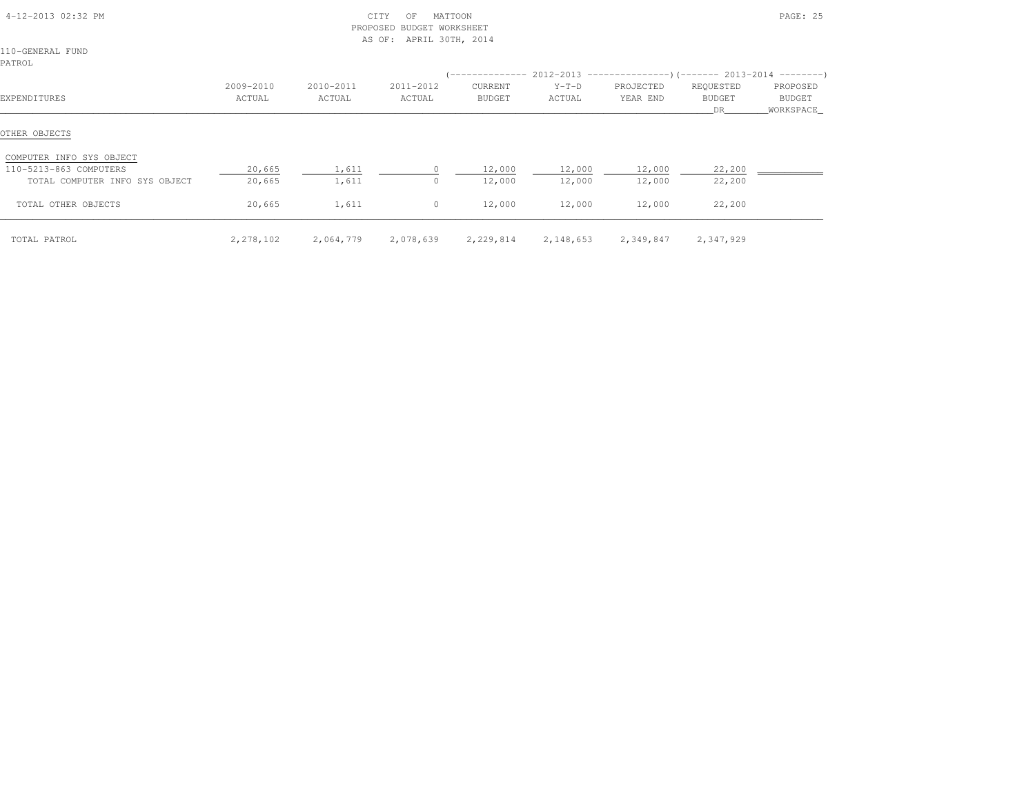| 4-12-2013 02:32 PM<br>110-GENERAL FUND |                     |                     | CITY<br>OF<br>PROPOSED<br>BUDGET WORKSHEET<br>AS OF: APRIL 30TH, 2014 | MATTOON           |                   |                                                                               |                                  | PAGE: 25                          |
|----------------------------------------|---------------------|---------------------|-----------------------------------------------------------------------|-------------------|-------------------|-------------------------------------------------------------------------------|----------------------------------|-----------------------------------|
| PATROL                                 |                     |                     |                                                                       |                   |                   | $(-$ -------------- 2012-2013 -----------------)(------- 2013-2014 ---------) |                                  |                                   |
| EXPENDITURES                           | 2009-2010<br>ACTUAL | 2010-2011<br>ACTUAL | 2011-2012<br>ACTUAL                                                   | CURRENT<br>BUDGET | $Y-T-D$<br>ACTUAL | PROJECTED<br>YEAR END                                                         | REQUESTED<br><b>BUDGET</b><br>DR | PROPOSED<br>BUDGET<br>_WORKSPACE_ |
| OTHER OBJECTS                          |                     |                     |                                                                       |                   |                   |                                                                               |                                  |                                   |
| COMPUTER INFO SYS OBJECT               |                     |                     |                                                                       |                   |                   |                                                                               |                                  |                                   |
| 110-5213-863 COMPUTERS                 | 20,665              | 1,611               | $\circ$                                                               | 12,000            | 12,000            | 12,000                                                                        | 22,200                           |                                   |
| TOTAL COMPUTER INFO SYS OBJECT         | 20,665              | 1,611               | $\circ$                                                               | 12,000            | 12,000            | 12,000                                                                        | 22,200                           |                                   |
| TOTAL OTHER OBJECTS                    | 20,665              | 1,611               | $\circ$                                                               | 12,000            | 12,000            | 12,000                                                                        | 22,200                           |                                   |
| TOTAL PATROL                           | 2,278,102           | 2,064,779           | 2,078,639                                                             |                   |                   | 2,229,814 2,148,653 2,349,847                                                 | 2,347,929                        |                                   |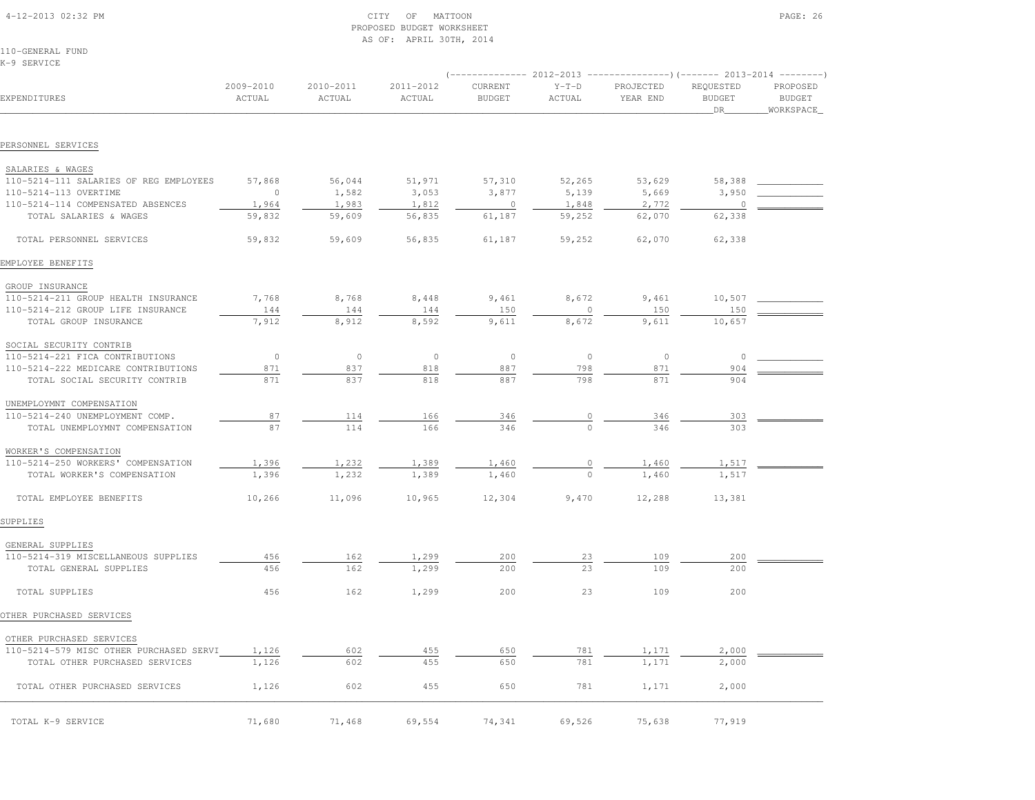| 4-12-2013 02:32 PM |  |  |
|--------------------|--|--|

# $\begin{array}{ccc} \text{CITY} & \text{OF} & \text{MATTON} \end{array}$  PROPOSED BUDGET WORKSHEETAS OF: APRIL 30TH, 2014

110-GENERAL FUNDK-9 SERVICE

|                                                            |                     |                     |                     |                          |                   | $(----------2012-2013$ ---------------) (------- 2013-2014 -------) |                                   |                                        |
|------------------------------------------------------------|---------------------|---------------------|---------------------|--------------------------|-------------------|---------------------------------------------------------------------|-----------------------------------|----------------------------------------|
| EXPENDITURES                                               | 2009-2010<br>ACTUAL | 2010-2011<br>ACTUAL | 2011-2012<br>ACTUAL | CURRENT<br><b>BUDGET</b> | $Y-T-D$<br>ACTUAL | PROJECTED<br>YEAR END                                               | REQUESTED<br><b>BUDGET</b><br>DR. | PROPOSED<br><b>BUDGET</b><br>WORKSPACE |
| PERSONNEL SERVICES                                         |                     |                     |                     |                          |                   |                                                                     |                                   |                                        |
|                                                            |                     |                     |                     |                          |                   |                                                                     |                                   |                                        |
| SALARIES & WAGES                                           |                     |                     |                     |                          |                   |                                                                     |                                   |                                        |
| 110-5214-111 SALARIES OF REG EMPLOYEES                     | 57,868              | 56,044              | 51,971              | 57,310                   | 52,265            | 53,629                                                              | 58,388                            |                                        |
| 110-5214-113 OVERTIME<br>110-5214-114 COMPENSATED ABSENCES | $\circ$<br>1,964    | 1,582<br>1,983      | 3,053<br>1,812      | 3,877<br>$\circ$         | 5,139<br>1,848    | 5,669<br>2,772                                                      | 3,950<br>$\circ$                  |                                        |
| TOTAL SALARIES & WAGES                                     | 59,832              | 59,609              | 56,835              | 61,187                   | 59,252            | 62,070                                                              | 62,338                            |                                        |
|                                                            |                     |                     |                     |                          |                   |                                                                     |                                   |                                        |
| TOTAL PERSONNEL SERVICES                                   | 59,832              | 59,609              | 56,835              | 61,187                   | 59,252            | 62,070                                                              | 62,338                            |                                        |
| EMPLOYEE BENEFITS                                          |                     |                     |                     |                          |                   |                                                                     |                                   |                                        |
| GROUP INSURANCE                                            |                     |                     |                     |                          |                   |                                                                     |                                   |                                        |
| 110-5214-211 GROUP HEALTH INSURANCE                        | 7,768               | 8,768               | 8,448               | 9,461                    | 8,672             | 9,461                                                               | 10,507                            |                                        |
| 110-5214-212 GROUP LIFE INSURANCE                          | 144                 | 144                 | 144                 | 150                      | 0                 | 150                                                                 | 150                               |                                        |
| TOTAL GROUP INSURANCE                                      | 7,912               | 8,912               | 8,592               | 9,611                    | 8,672             | 9,611                                                               | 10,657                            |                                        |
| SOCIAL SECURITY CONTRIB                                    |                     |                     |                     |                          |                   |                                                                     |                                   |                                        |
| 110-5214-221 FICA CONTRIBUTIONS                            | $\circ$             | $\circ$             | $\circ$             | $\circ$                  | $\circ$           | $\circ$                                                             | $\circ$                           |                                        |
| 110-5214-222 MEDICARE CONTRIBUTIONS                        | 871                 | 837                 | 818                 | 887                      | 798               | 871                                                                 | 904                               |                                        |
| TOTAL SOCIAL SECURITY CONTRIB                              | 871                 | 837                 | 818                 | 887                      | 798               | 871                                                                 | 904                               |                                        |
| UNEMPLOYMNT COMPENSATION                                   |                     |                     |                     |                          |                   |                                                                     |                                   |                                        |
| 110-5214-240 UNEMPLOYMENT COMP.                            | 87                  | 114                 | 166                 | 346                      | $\overline{0}$    | 346                                                                 | 303                               |                                        |
| TOTAL UNEMPLOYMNT COMPENSATION                             | 87                  | 114                 | 166                 | 346                      |                   | 346                                                                 | 303                               |                                        |
| WORKER'S COMPENSATION                                      |                     |                     |                     |                          |                   |                                                                     |                                   |                                        |
| 110-5214-250 WORKERS' COMPENSATION                         | 1,396               | 1,232               | 1,389               | 1,460                    |                   | 1,460                                                               | 1,517                             |                                        |
| TOTAL WORKER'S COMPENSATION                                | 1,396               | 1,232               | 1,389               | 1,460                    | $\Omega$          | 1,460                                                               | 1,517                             |                                        |
| TOTAL EMPLOYEE BENEFITS                                    | 10,266              | 11,096              | 10,965              | 12,304                   | 9,470             | 12,288                                                              | 13,381                            |                                        |
| SUPPLIES                                                   |                     |                     |                     |                          |                   |                                                                     |                                   |                                        |
| GENERAL SUPPLIES                                           |                     |                     |                     |                          |                   |                                                                     |                                   |                                        |
| 110-5214-319 MISCELLANEOUS SUPPLIES                        | 456                 | 162                 | 1,299               | 200                      | 23                | 109                                                                 | 200                               |                                        |
| TOTAL GENERAL SUPPLIES                                     | 456                 | 162                 | 1,299               | 200                      | 23                | 109                                                                 | 200                               |                                        |
| TOTAL SUPPLIES                                             | 456                 | 162                 | 1,299               | 200                      | 23                | 109                                                                 | 200                               |                                        |
| OTHER PURCHASED SERVICES                                   |                     |                     |                     |                          |                   |                                                                     |                                   |                                        |
| OTHER PURCHASED SERVICES                                   |                     |                     |                     |                          |                   |                                                                     |                                   |                                        |
| 110-5214-579 MISC OTHER PURCHASED SERVI                    | 1,126               | 602                 | 455                 | 650                      | 781               | 1,171                                                               | 2,000                             |                                        |
| TOTAL OTHER PURCHASED SERVICES                             | 1,126               | 602                 | 455                 | 650                      | 781               | 1,171                                                               | 2,000                             |                                        |
| TOTAL OTHER PURCHASED SERVICES                             | 1,126               | 602                 | 455                 | 650                      | 781               | 1,171                                                               | 2,000                             |                                        |
| TOTAL K-9 SERVICE                                          | 71,680              | 71,468              | 69,554              | 74,341                   | 69,526            | 75,638                                                              | 77,919                            |                                        |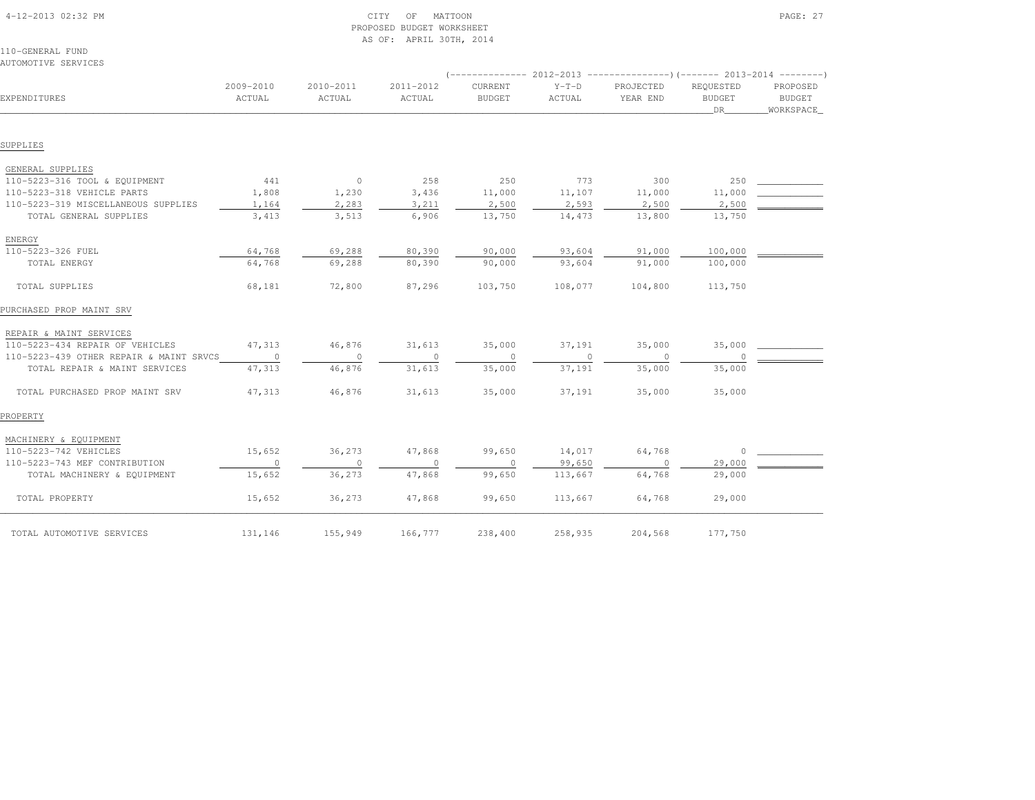| 110-GENERAL FUND<br>AUTOMOTIVE SERVICES |                     |                     |                     |                                              |                   |                                                                                    |                                  |                                        |
|-----------------------------------------|---------------------|---------------------|---------------------|----------------------------------------------|-------------------|------------------------------------------------------------------------------------|----------------------------------|----------------------------------------|
| EXPENDITURES                            | 2009-2010<br>ACTUAL | 2010-2011<br>ACTUAL | 2011-2012<br>ACTUAL | ( --------------<br>CURRENT<br><b>BUDGET</b> | $Y-T-D$<br>ACTUAL | $2012-2013$ ----------------)(------- 2013-2014 --------)<br>PROJECTED<br>YEAR END | REQUESTED<br><b>BUDGET</b><br>DR | PROPOSED<br><b>BUDGET</b><br>WORKSPACE |
|                                         |                     |                     |                     |                                              |                   |                                                                                    |                                  |                                        |
| SUPPLIES                                |                     |                     |                     |                                              |                   |                                                                                    |                                  |                                        |
| GENERAL SUPPLIES                        |                     |                     |                     |                                              |                   |                                                                                    |                                  |                                        |
| 110-5223-316 TOOL & EQUIPMENT           | 441                 | $\overline{0}$      | 258                 | 250                                          | 773               | 300                                                                                | 250                              |                                        |
| 110-5223-318 VEHICLE PARTS              | 1,808               | 1,230               | 3,436               | 11,000                                       | 11,107            | 11,000                                                                             | 11,000                           |                                        |
| 110-5223-319 MISCELLANEOUS SUPPLIES     | 1,164               | 2,283               | 3,211               | 2,500                                        | 2,593             | 2,500                                                                              | 2,500                            |                                        |
| TOTAL GENERAL SUPPLIES                  | 3,413               | 3,513               | 6,906               | 13,750                                       | 14,473            | 13,800                                                                             | 13,750                           |                                        |
| ENERGY                                  |                     |                     |                     |                                              |                   |                                                                                    |                                  |                                        |
| 110-5223-326 FUEL                       | 64,768              | 69,288              | 80,390              | 90,000                                       | 93,604            | 91,000                                                                             | 100,000                          |                                        |
| TOTAL ENERGY                            | 64,768              | 69,288              | 80,390              | 90,000                                       | 93,604            | 91,000                                                                             | 100,000                          |                                        |
| TOTAL SUPPLIES                          | 68,181              | 72,800              | 87,296              | 103,750                                      | 108,077           | 104,800                                                                            | 113,750                          |                                        |
| PURCHASED PROP MAINT SRV                |                     |                     |                     |                                              |                   |                                                                                    |                                  |                                        |
| REPAIR & MAINT SERVICES                 |                     |                     |                     |                                              |                   |                                                                                    |                                  |                                        |
| 110-5223-434 REPAIR OF VEHICLES         | 47,313              | 46,876              | 31,613              | 35,000                                       | 37,191            | 35,000                                                                             | 35,000                           |                                        |
| 110-5223-439 OTHER REPAIR & MAINT SRVCS | $\circ$             | $\circ$             | $\circ$             | $\circ$                                      | $\circ$           | $\circ$                                                                            | $\circ$                          |                                        |
| TOTAL REPAIR & MAINT SERVICES           | 47,313              | 46,876              | 31,613              | 35,000                                       | 37,191            | 35,000                                                                             | 35,000                           |                                        |
| TOTAL PURCHASED PROP MAINT SRV          | 47,313              | 46,876              | 31,613              | 35,000                                       | 37,191            | 35,000                                                                             | 35,000                           |                                        |
| PROPERTY                                |                     |                     |                     |                                              |                   |                                                                                    |                                  |                                        |
| MACHINERY & EQUIPMENT                   |                     |                     |                     |                                              |                   |                                                                                    |                                  |                                        |
| 110-5223-742 VEHICLES                   | 15,652              | 36,273              | 47,868              | 99,650                                       | 14,017            | 64,768                                                                             | $\circ$                          |                                        |
| 110-5223-743 MEF CONTRIBUTION           | $\circ$             | $\circ$             | $\circ$             | $\circ$                                      | 99,650            | $\Omega$                                                                           | 29,000                           |                                        |
| TOTAL MACHINERY & EQUIPMENT             | 15,652              | 36,273              | 47,868              | 99,650                                       | 113,667           | 64,768                                                                             | 29,000                           |                                        |
| TOTAL PROPERTY                          | 15,652              | 36,273              | 47,868              | 99,650                                       | 113,667           | 64,768                                                                             | 29,000                           |                                        |
| TOTAL AUTOMOTIVE SERVICES               | 131,146             | 155,949             | 166,777             | 238,400                                      | 258,935           | 204,568                                                                            | 177,750                          |                                        |

 4-12-2013 02:32 PM CITY OF MATTOON PAGE: 27PROPOSED BUDGET WORKSHEET

AS OF: APRIL 30TH, 2014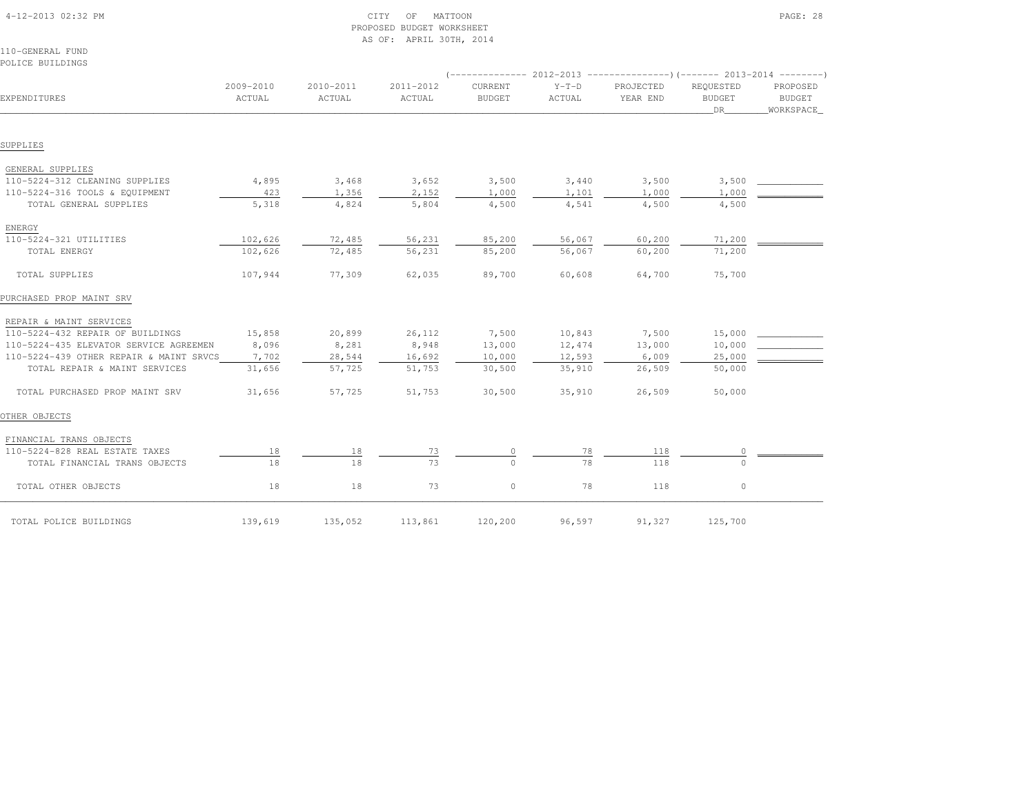| 110-GENERAL FUND                        |                     |                     | AS OF: APRIL SUIH, ZUIS |                                 |                   |                                                                             |                                  |                                        |
|-----------------------------------------|---------------------|---------------------|-------------------------|---------------------------------|-------------------|-----------------------------------------------------------------------------|----------------------------------|----------------------------------------|
| POLICE BUILDINGS                        |                     |                     |                         |                                 |                   |                                                                             |                                  |                                        |
|                                         |                     |                     |                         |                                 |                   | $($ -------------- 2012-2013 ----------------) (------- 2013-2014 --------) |                                  |                                        |
| EXPENDITURES                            | 2009-2010<br>ACTUAL | 2010-2011<br>ACTUAL | 2011-2012<br>ACTUAL     | <b>CURRENT</b><br><b>BUDGET</b> | $Y-T-D$<br>ACTUAL | PROJECTED<br>YEAR END                                                       | REQUESTED<br><b>BUDGET</b><br>DR | PROPOSED<br><b>BUDGET</b><br>WORKSPACE |
|                                         |                     |                     |                         |                                 |                   |                                                                             |                                  |                                        |
| SUPPLIES                                |                     |                     |                         |                                 |                   |                                                                             |                                  |                                        |
| GENERAL SUPPLIES                        |                     |                     |                         |                                 |                   |                                                                             |                                  |                                        |
| 110-5224-312 CLEANING SUPPLIES          | 4,895               | 3,468               | 3,652                   | 3,500                           | 3,440             | 3,500                                                                       | 3,500                            |                                        |
| 110-5224-316 TOOLS & EQUIPMENT          | 423                 | 1,356               | 2,152                   | 1,000                           | 1,101             | 1,000                                                                       | 1,000                            |                                        |
| TOTAL GENERAL SUPPLIES                  | 5,318               | 4,824               | 5,804                   | 4,500                           | 4,541             | 4,500                                                                       | 4,500                            |                                        |
| ENERGY                                  |                     |                     |                         |                                 |                   |                                                                             |                                  |                                        |
| 110-5224-321 UTILITIES                  | 102,626             | 72,485              | 56,231                  | 85,200                          | 56,067            | 60,200                                                                      | 71,200                           |                                        |
| TOTAL ENERGY                            | 102,626             | 72,485              | 56,231                  | 85,200                          | 56,067            | 60,200                                                                      | 71,200                           |                                        |
| TOTAL SUPPLIES                          | 107,944             | 77,309              | 62,035                  | 89,700                          | 60,608            | 64,700                                                                      | 75,700                           |                                        |
| PURCHASED PROP MAINT SRV                |                     |                     |                         |                                 |                   |                                                                             |                                  |                                        |
| REPAIR & MAINT SERVICES                 |                     |                     |                         |                                 |                   |                                                                             |                                  |                                        |
| 110-5224-432 REPAIR OF BUILDINGS        | 15,858              | 20,899              | 26,112                  | 7,500                           | 10,843            | 7,500                                                                       | 15,000                           |                                        |
| 110-5224-435 ELEVATOR SERVICE AGREEMEN  | 8,096               | 8,281               | 8,948                   | 13,000                          | 12,474            | 13,000                                                                      | 10,000                           |                                        |
| 110-5224-439 OTHER REPAIR & MAINT SRVCS | 7,702               | 28,544              | 16,692                  | 10,000                          | 12,593            | 6,009                                                                       | 25,000                           |                                        |
| TOTAL REPAIR & MAINT SERVICES           | 31,656              | 57,725              | 51,753                  | 30,500                          | 35,910            | 26,509                                                                      | 50,000                           |                                        |
| TOTAL PURCHASED PROP MAINT SRV          | 31,656              | 57,725              | 51,753                  | 30,500                          | 35,910            | 26,509                                                                      | 50,000                           |                                        |
| OTHER OBJECTS                           |                     |                     |                         |                                 |                   |                                                                             |                                  |                                        |
| FINANCIAL TRANS OBJECTS                 |                     |                     |                         |                                 |                   |                                                                             |                                  |                                        |
| 110-5224-828 REAL ESTATE TAXES          | 18                  | 18                  | 73                      |                                 | 78                | 118                                                                         | 0                                |                                        |
| TOTAL FINANCIAL TRANS OBJECTS           | 18                  | 18                  | 73                      |                                 | 78                | 118                                                                         | $\Omega$                         |                                        |
| TOTAL OTHER OBJECTS                     | 18                  | 18                  | 73                      | $\circ$                         | 78                | 118                                                                         | $\circ$                          |                                        |
| TOTAL POLICE BUILDINGS                  | 139,619             | 135,052             | 113,861                 | 120,200                         | 96,597            | 91,327                                                                      | 125,700                          |                                        |

 4-12-2013 02:32 PM CITY OF MATTOON PAGE: 28PROPOSED BUDGET WORKSHEET

AS OF: APRIL 30TH, 2014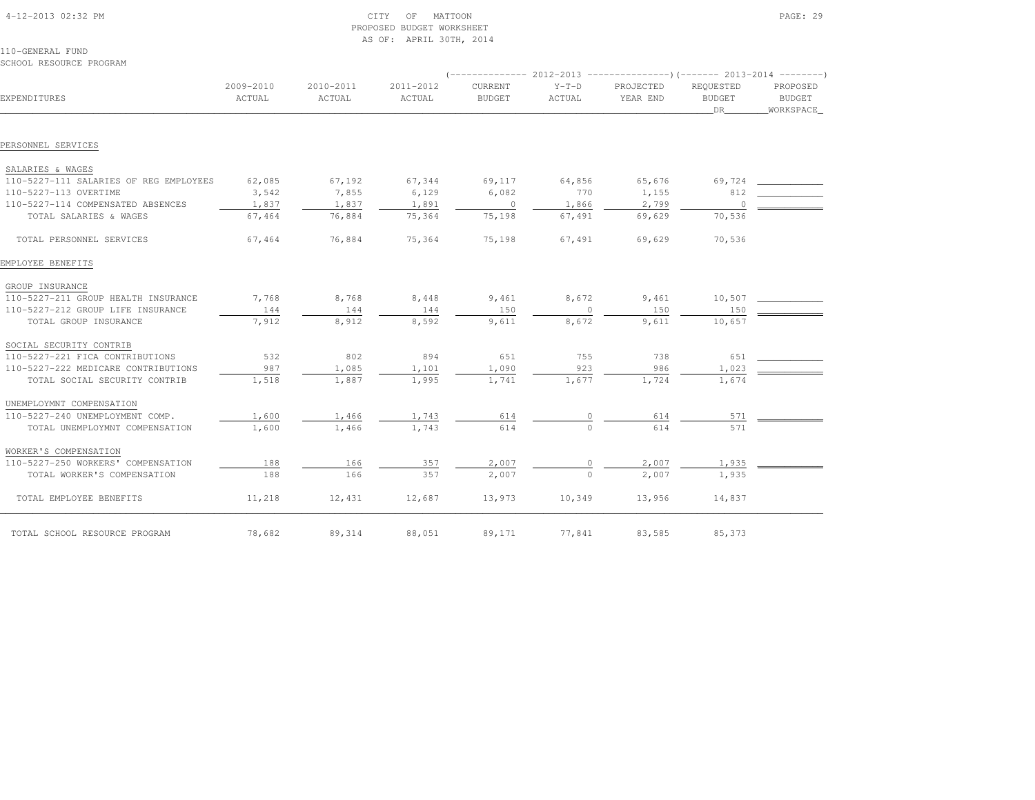| 4-12-2013 02:32 PM                                         | MATTOON<br>CITY<br>OF<br>PROPOSED BUDGET WORKSHEET<br>AS OF: APRIL 30TH, 2014 |           |           |               |              |                                                                          |                     | PAGE: 29                   |
|------------------------------------------------------------|-------------------------------------------------------------------------------|-----------|-----------|---------------|--------------|--------------------------------------------------------------------------|---------------------|----------------------------|
| 110-GENERAL FUND                                           |                                                                               |           |           |               |              |                                                                          |                     |                            |
| SCHOOL RESOURCE PROGRAM                                    |                                                                               |           |           |               |              | (-------------- 2012-2013 ----------------) (------- 2013-2014 --------' |                     |                            |
|                                                            | 2009-2010                                                                     | 2010-2011 | 2011-2012 | CURRENT       | $Y-T-D$      | PROJECTED                                                                | REQUESTED           | PROPOSED                   |
| EXPENDITURES                                               | ACTUAL                                                                        | ACTUAL    | ACTUAL    | <b>BUDGET</b> | ACTUAL       | YEAR END                                                                 | <b>BUDGET</b><br>DR | <b>BUDGET</b><br>WORKSPACE |
| PERSONNEL SERVICES                                         |                                                                               |           |           |               |              |                                                                          |                     |                            |
|                                                            |                                                                               |           |           |               |              |                                                                          |                     |                            |
| SALARIES & WAGES<br>110-5227-111 SALARIES OF REG EMPLOYEES | 62,085                                                                        | 67,192    | 67,344    | 69,117        | 64,856       | 65,676                                                                   | 69,724              |                            |
| 110-5227-113 OVERTIME                                      | 3,542                                                                         | 7,855     | 6,129     | 6,082         | 770          | 1,155                                                                    | 812                 |                            |
| 110-5227-114 COMPENSATED ABSENCES                          | 1,837                                                                         | 1,837     | 1,891     | $\circ$       | 1,866        | 2,799                                                                    | $\circ$             |                            |
| TOTAL SALARIES & WAGES                                     | 67,464                                                                        | 76,884    | 75,364    | 75,198        | 67,491       | 69,629                                                                   | 70,536              |                            |
| TOTAL PERSONNEL SERVICES                                   | 67,464                                                                        | 76,884    | 75,364    | 75,198        | 67,491       | 69,629                                                                   | 70,536              |                            |
| EMPLOYEE BENEFITS                                          |                                                                               |           |           |               |              |                                                                          |                     |                            |
| GROUP INSURANCE                                            |                                                                               |           |           |               |              |                                                                          |                     |                            |
| 110-5227-211 GROUP HEALTH INSURANCE                        | 7,768                                                                         | 8,768     | 8,448     | 9,461         | 8,672        | 9,461                                                                    | 10,507              |                            |
| 110-5227-212 GROUP LIFE INSURANCE                          | 144                                                                           | 144       | 144       | 150           | $\mathbf{0}$ | 150                                                                      | 150                 |                            |
| TOTAL GROUP INSURANCE                                      | 7,912                                                                         | 8,912     | 8,592     | 9,611         | 8,672        | 9,611                                                                    | 10,657              |                            |
| SOCIAL SECURITY CONTRIB                                    |                                                                               |           |           |               |              |                                                                          |                     |                            |
| 110-5227-221 FICA CONTRIBUTIONS                            | 532                                                                           | 802       | 894       | 651           | 755          | 738                                                                      | 651                 |                            |
| 110-5227-222 MEDICARE CONTRIBUTIONS                        | 987                                                                           | 1,085     | 1,101     | 1,090         | 923          | 986                                                                      | 1,023               |                            |
| TOTAL SOCIAL SECURITY CONTRIB                              | 1,518                                                                         | 1,887     | 1,995     | 1,741         | 1,677        | 1,724                                                                    | 1,674               |                            |
| UNEMPLOYMNT COMPENSATION                                   |                                                                               |           |           |               |              |                                                                          |                     |                            |
| 110-5227-240 UNEMPLOYMENT COMP.                            | 1,600                                                                         | 1,466     | 1,743     | 614           | $\circ$      | 614                                                                      | 571                 |                            |
| TOTAL UNEMPLOYMNT COMPENSATION                             | 1,600                                                                         | 1,466     | 1,743     | 614           | $\Omega$     | 614                                                                      | 571                 |                            |
| WORKER'S COMPENSATION                                      |                                                                               |           |           |               |              |                                                                          |                     |                            |
| 110-5227-250 WORKERS' COMPENSATION                         | 188                                                                           | 166       | 357       | 2,007         | 0            | 2,007                                                                    | 1,935               |                            |
| TOTAL WORKER'S COMPENSATION                                | 188                                                                           | 166       | 357       | 2,007         | $\circ$      | 2,007                                                                    | 1,935               |                            |
| TOTAL EMPLOYEE BENEFITS                                    | 11,218                                                                        | 12,431    | 12,687    | 13,973        | 10,349       | 13,956                                                                   | 14,837              |                            |
| TOTAL SCHOOL RESOURCE PROGRAM                              | 78,682                                                                        | 89,314    | 88,051    | 89,171        | 77,841       | 83,585                                                                   | 85,373              |                            |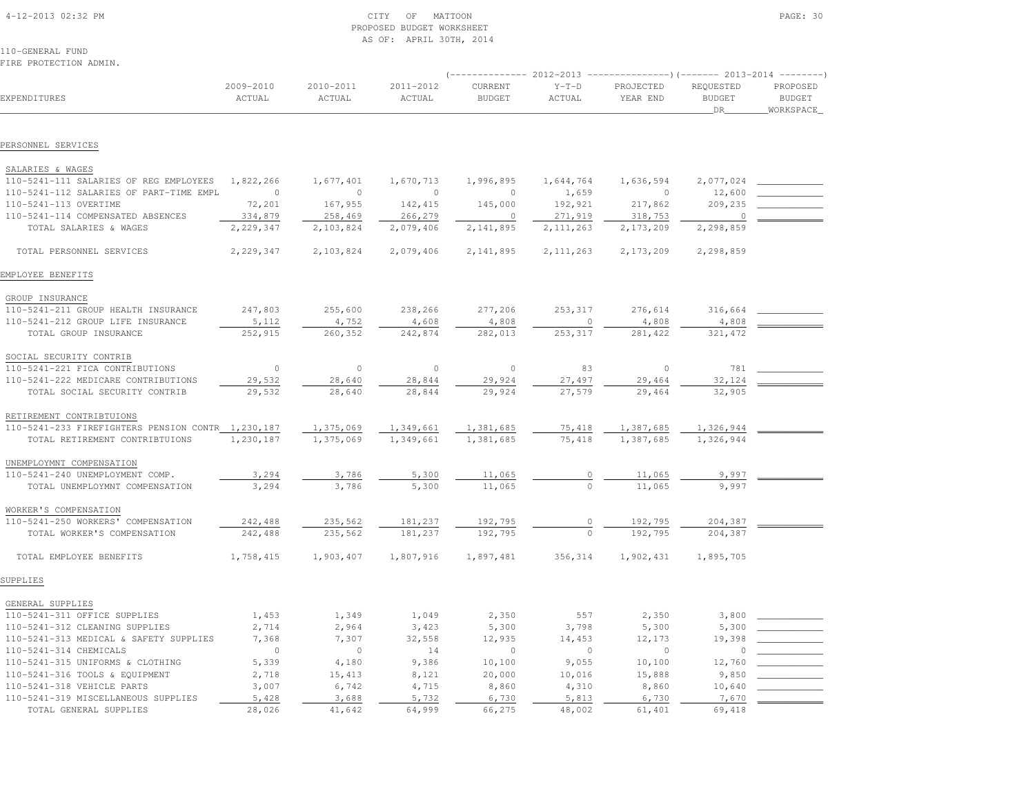| 4-12-2013 02:32 PM |  |  |
|--------------------|--|--|

# $\begin{array}{ccc} \text{CITY} & \text{OF} & \text{MATTOON} \end{array}$  PROPOSED BUDGET WORKSHEETAS OF: APRIL 30TH, 2014

| FIRE PROTECTION ADMIN.                            |                     |                     |                     |                          |                   |                       |                                  |                                          |
|---------------------------------------------------|---------------------|---------------------|---------------------|--------------------------|-------------------|-----------------------|----------------------------------|------------------------------------------|
| EXPENDITURES                                      | 2009-2010<br>ACTUAL | 2010-2011<br>ACTUAL | 2011-2012<br>ACTUAL | CURRENT<br><b>BUDGET</b> | $Y-T-D$<br>ACTUAL | PROJECTED<br>YEAR END | REQUESTED<br><b>BUDGET</b><br>DR | PROPOSED<br><b>BUDGET</b><br>_WORKSPACE_ |
| PERSONNEL SERVICES                                |                     |                     |                     |                          |                   |                       |                                  |                                          |
| SALARIES & WAGES                                  |                     |                     |                     |                          |                   |                       |                                  |                                          |
| 110-5241-111 SALARIES OF REG EMPLOYEES            | 1,822,266           | 1,677,401           | 1,670,713           | 1,996,895                | 1,644,764         | 1,636,594             | 2,077,024                        |                                          |
| 110-5241-112 SALARIES OF PART-TIME EMPL           | $\circ$             | $\circ$             | $\circ$             | $\circ$                  | 1,659             | $\circ$               | 12,600                           |                                          |
| 110-5241-113 OVERTIME                             | 72,201              | 167,955             | 142,415             | 145,000                  | 192,921           | 217,862               | 209,235                          |                                          |
| 110-5241-114 COMPENSATED ABSENCES                 | 334,879             | 258,469             | 266,279             | $\circ$                  | 271,919           | 318,753               | $\circ$                          |                                          |
| TOTAL SALARIES & WAGES                            | 2,229,347           | 2,103,824           | 2,079,406           | 2,141,895                | 2, 111, 263       | 2,173,209             | 2,298,859                        |                                          |
| TOTAL PERSONNEL SERVICES                          | 2,229,347           | 2,103,824           | 2,079,406           | 2,141,895                | 2, 111, 263       | 2,173,209             | 2,298,859                        |                                          |
| EMPLOYEE BENEFITS                                 |                     |                     |                     |                          |                   |                       |                                  |                                          |
| GROUP INSURANCE                                   |                     |                     |                     |                          |                   |                       |                                  |                                          |
| 110-5241-211 GROUP HEALTH INSURANCE               | 247,803             | 255,600             | 238,266             | 277,206                  | 253,317           | 276,614               | 316,664                          |                                          |
| 110-5241-212 GROUP LIFE INSURANCE                 | 5,112               | 4,752               | 4,608               | 4,808                    | $\circ$           | 4,808                 | 4,808                            |                                          |
| TOTAL GROUP INSURANCE                             | 252,915             | 260,352             | 242,874             | 282,013                  | 253,317           | 281,422               | 321,472                          |                                          |
| SOCIAL SECURITY CONTRIB                           |                     |                     |                     |                          |                   |                       |                                  |                                          |
| 110-5241-221 FICA CONTRIBUTIONS                   | $\circ$             | $\circ$             | $\circ$             | $\mathbb O$              | 83                | $\circ$               | 781                              |                                          |
| 110-5241-222 MEDICARE CONTRIBUTIONS               | 29,532              | 28,640              | 28,844              | 29,924                   | 27,497            | 29,464                | 32,124                           |                                          |
| TOTAL SOCIAL SECURITY CONTRIB                     | 29,532              | 28,640              | 28,844              | 29,924                   | 27,579            | 29,464                | 32,905                           |                                          |
| RETIREMENT CONTRIBTUIONS                          |                     |                     |                     |                          |                   |                       |                                  |                                          |
| 110-5241-233 FIREFIGHTERS PENSION CONTR 1,230,187 |                     | 1,375,069           | 1,349,661           | 1,381,685                | 75,418            | 1,387,685             | 1,326,944                        |                                          |
| TOTAL RETIREMENT CONTRIBTUIONS                    | 1,230,187           | 1,375,069           | 1,349,661           | 1,381,685                | 75,418            | 1,387,685             | 1,326,944                        |                                          |
| UNEMPLOYMNT COMPENSATION                          |                     |                     |                     |                          |                   |                       |                                  |                                          |
| 110-5241-240 UNEMPLOYMENT COMP.                   | 3,294               | 3,786               | 5,300               | 11,065                   | 0                 | 11,065                | 9,997                            |                                          |
| TOTAL UNEMPLOYMNT COMPENSATION                    | 3,294               | 3,786               | 5,300               | 11,065                   |                   | 11,065                | 9,997                            |                                          |
| WORKER'S COMPENSATION                             |                     |                     |                     |                          |                   |                       |                                  |                                          |
| 110-5241-250 WORKERS' COMPENSATION                | 242,488             | 235,562             | 181,237             | 192,795                  | 0                 | 192,795               | 204,387                          |                                          |
| TOTAL WORKER'S COMPENSATION                       | 242,488             | 235,562             | 181,237             | 192,795                  | $\Omega$          | 192,795               | 204,387                          |                                          |
| TOTAL EMPLOYEE BENEFITS                           | 1,758,415           | 1,903,407           | 1,807,916           | 1,897,481                | 356,314           | 1,902,431             | 1,895,705                        |                                          |
| SUPPLIES                                          |                     |                     |                     |                          |                   |                       |                                  |                                          |
| GENERAL SUPPLIES                                  |                     |                     |                     |                          |                   |                       |                                  |                                          |
| 110-5241-311 OFFICE SUPPLIES                      | 1,453               | 1,349               | 1,049               | 2,350                    | 557               | 2,350                 | 3,800                            |                                          |
| 110-5241-312 CLEANING SUPPLIES                    | 2,714               | 2,964               | 3,423               | 5,300                    | 3,798             | 5,300                 | 5,300                            |                                          |
| 110-5241-313 MEDICAL & SAFETY SUPPLIES            | 7,368               | 7,307               | 32,558              | 12,935                   | 14,453            | 12,173                | 19,398                           |                                          |
| 110-5241-314 CHEMICALS                            | $\circ$             | $\circ$             | 14                  | $\mathbf{0}$             | $\circ$           | $\circ$               | $\Omega$                         |                                          |
| 110-5241-315 UNIFORMS & CLOTHING                  | 5,339               | 4,180               | 9,386               | 10,100                   | 9,055             | 10,100                | 12,760                           |                                          |
| 110-5241-316 TOOLS & EQUIPMENT                    | 2,718               | 15,413              | 8,121               | 20,000                   | 10,016            | 15,888                | 9,850                            |                                          |
| 110-5241-318 VEHICLE PARTS                        | 3,007               | 6,742               | 4,715               | 8,860                    | 4,310             | 8,860                 | 10,640                           |                                          |
| 110-5241-319 MISCELLANEOUS SUPPLIES               | 5,428               | 3,688               | 5,732               | 6,730                    | 5,813             | 6,730                 | 7,670                            |                                          |
| TOTAL GENERAL SUPPLIES                            | 28,026              | 41,642              | 64,999              | 66,275                   | 48,002            | 61,401                | 69,418                           |                                          |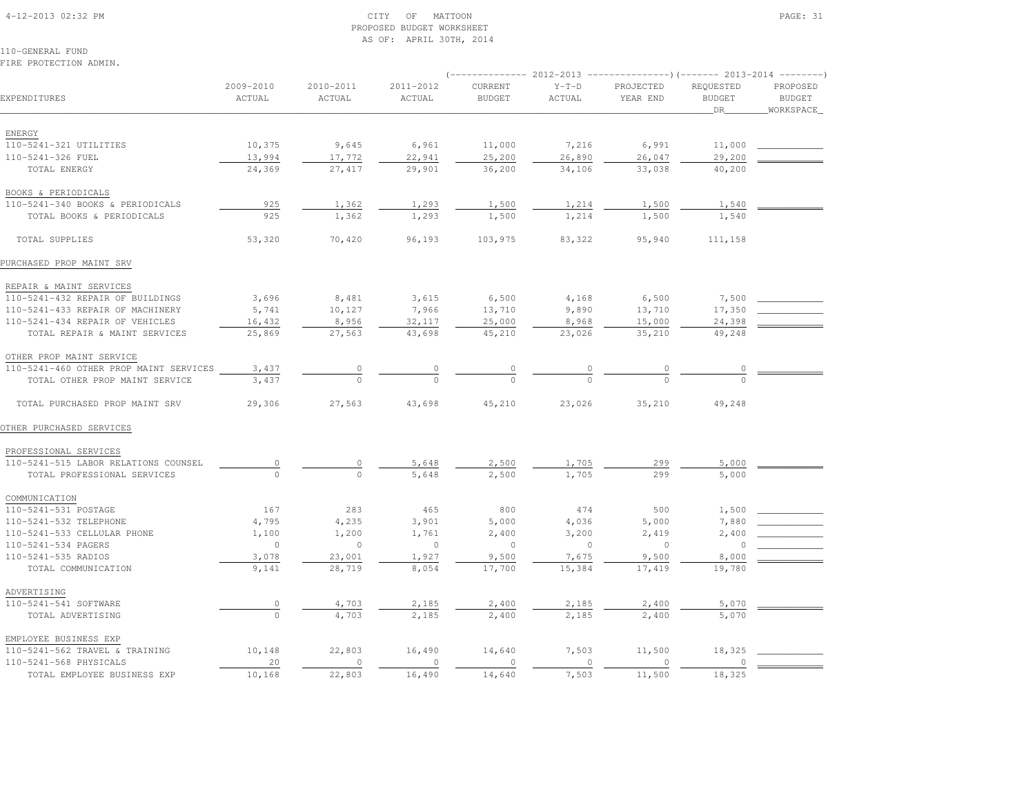#### 4-12-2013 02:32 PM CITY OF MATTOON PAGE: 31 PROPOSED BUDGET WORKSHEETAS OF: APRIL 30TH, 2014

110-GENERAL FUNDFIRE PROTECTION ADMIN.

|                                            |                     |                     |                     |                          | 2012-2013         | ----------------)(------- 2013-2014 |                                  |                                        |
|--------------------------------------------|---------------------|---------------------|---------------------|--------------------------|-------------------|-------------------------------------|----------------------------------|----------------------------------------|
| EXPENDITURES                               | 2009-2010<br>ACTUAL | 2010-2011<br>ACTUAL | 2011-2012<br>ACTUAL | CURRENT<br><b>BUDGET</b> | $Y-T-D$<br>ACTUAL | PROJECTED<br>YEAR END               | REQUESTED<br><b>BUDGET</b><br>DR | PROPOSED<br><b>BUDGET</b><br>WORKSPACE |
|                                            |                     |                     |                     |                          |                   |                                     |                                  |                                        |
| ENERGY                                     |                     |                     |                     |                          |                   |                                     |                                  |                                        |
| 110-5241-321 UTILITIES                     | 10,375              | 9,645               | 6,961               | 11,000                   | 7,216             | 6,991                               | 11,000                           |                                        |
| 110-5241-326 FUEL                          | 13,994              | 17,772              | 22,941              | 25,200                   | 26,890            | 26,047                              | 29,200                           |                                        |
| TOTAL ENERGY                               | 24,369              | 27,417              | 29,901              | 36,200                   | 34,106            | 33,038                              | 40,200                           |                                        |
| BOOKS & PERIODICALS                        |                     |                     |                     |                          |                   |                                     |                                  |                                        |
| 110-5241-340 BOOKS & PERIODICALS           | 925                 | 1,362               | 1,293               | 1,500                    | 1,214             | 1,500                               | 1,540                            |                                        |
| TOTAL BOOKS & PERIODICALS                  | 925                 | 1,362               | 1,293               | 1,500                    | 1,214             | 1,500                               | 1,540                            |                                        |
|                                            |                     |                     |                     |                          |                   |                                     |                                  |                                        |
| TOTAL SUPPLIES                             | 53,320              | 70,420              | 96,193              | 103,975                  | 83,322            | 95,940                              | 111,158                          |                                        |
| PURCHASED PROP MAINT SRV                   |                     |                     |                     |                          |                   |                                     |                                  |                                        |
| REPAIR & MAINT SERVICES                    |                     |                     |                     |                          |                   |                                     |                                  |                                        |
| 110-5241-432 REPAIR OF BUILDINGS           | 3,696               | 8,481               | 3,615               | 6,500                    | 4,168             | 6,500                               | 7,500                            |                                        |
| 110-5241-433 REPAIR OF MACHINERY           | 5,741               | 10,127              | 7,966               | 13,710                   | 9,890             | 13,710                              | 17,350                           |                                        |
| 110-5241-434 REPAIR OF VEHICLES            | 16,432              | 8,956               | 32,117              | 25,000                   | 8,968             | 15,000                              | 24,398                           |                                        |
| TOTAL REPAIR & MAINT SERVICES              | 25,869              | 27,563              | 43,698              | 45,210                   | 23,026            | 35,210                              | 49,248                           |                                        |
| OTHER PROP MAINT SERVICE                   |                     |                     |                     |                          |                   |                                     |                                  |                                        |
| 110-5241-460 OTHER PROP MAINT SERVICES     | 3,437               | $\circ$             | 0                   | 0                        | 0                 | 0                                   | $\circ$                          |                                        |
| TOTAL OTHER PROP MAINT SERVICE             | 3,437               | $\bigcap$           | $\Omega$            | $\Omega$                 | $\cap$            | $\cap$                              | $\cap$                           |                                        |
| TOTAL PURCHASED PROP MAINT SRV             | 29,306              | 27,563              | 43,698              | 45,210                   | 23,026            | 35,210                              | 49,248                           |                                        |
| OTHER PURCHASED SERVICES                   |                     |                     |                     |                          |                   |                                     |                                  |                                        |
| PROFESSIONAL SERVICES                      |                     |                     |                     |                          |                   |                                     |                                  |                                        |
| 110-5241-515 LABOR RELATIONS COUNSEL       | 0                   | 0                   | 5,648               | 2,500                    | 1,705             | 299                                 | 5,000                            |                                        |
| TOTAL PROFESSIONAL SERVICES                |                     | $\mathbf 0$         | 5,648               | 2,500                    | 1,705             | 299                                 | 5,000                            |                                        |
| COMMUNICATION                              |                     |                     |                     |                          |                   |                                     |                                  |                                        |
| 110-5241-531 POSTAGE                       | 167                 | 283                 | 465                 | 800                      | 474               | 500                                 | 1,500                            |                                        |
| 110-5241-532 TELEPHONE                     | 4,795               | 4,235               | 3,901               | 5,000                    | 4,036             | 5,000                               | 7,880                            |                                        |
| 110-5241-533 CELLULAR PHONE                | 1,100               | 1,200               | 1,761               | 2,400                    | 3,200             | 2,419                               | 2,400                            |                                        |
| 110-5241-534 PAGERS                        | $\circ$             | $\circ$             | $\circ$             | $\circ$                  | $\mathbb O$       | $\circ$                             | $\circ$                          |                                        |
|                                            | 3,078               |                     |                     |                          | 7,675             | 9,500                               | 8,000                            |                                        |
| 110-5241-535 RADIOS<br>TOTAL COMMUNICATION | 9,141               | 23,001<br>28,719    | 1,927<br>8,054      | 9,500<br>17,700          | 15,384            | 17,419                              | 19,780                           |                                        |
|                                            |                     |                     |                     |                          |                   |                                     |                                  |                                        |
| ADVERTISING                                |                     |                     |                     |                          |                   |                                     |                                  |                                        |
| 110-5241-541 SOFTWARE                      | $\overline{0}$      | 4,703               | 2,185               | 2,400                    | 2,185             | 2,400                               | 5,070                            |                                        |
| TOTAL ADVERTISING                          | $\Omega$            | 4,703               | 2,185               | 2,400                    | 2,185             | 2,400                               | 5,070                            |                                        |
| EMPLOYEE BUSINESS EXP                      |                     |                     |                     |                          |                   |                                     |                                  |                                        |
| 110-5241-562 TRAVEL & TRAINING             | 10,148              | 22,803              | 16,490              | 14,640                   | 7,503             | 11,500                              | 18,325                           |                                        |
| 110-5241-568 PHYSICALS                     | 20                  | $\circ$             | $\circ$             | $\circ$                  | $\circ$           | $\circ$                             | $\circ$                          |                                        |
| TOTAL EMPLOYEE BUSINESS EXP                | 10,168              | 22,803              | 16,490              | 14,640                   | 7,503             | 11,500                              | 18,325                           |                                        |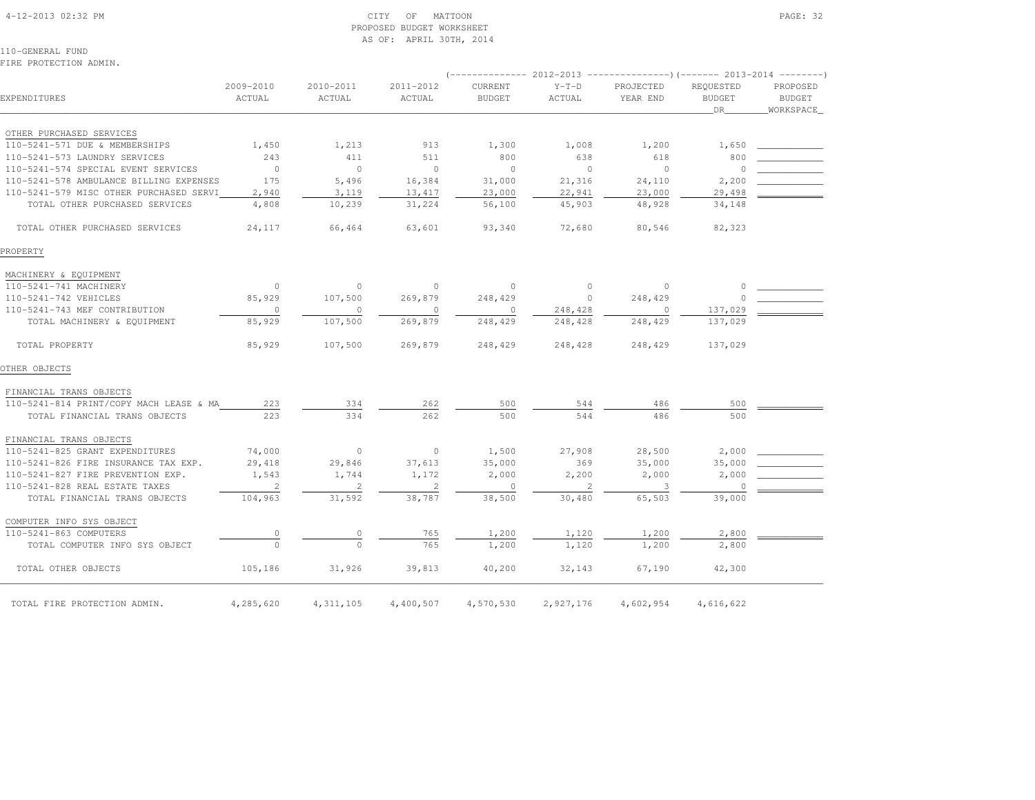#### 4-12-2013 02:32 PM CITY OF MATTOON PAGE: 32 PROPOSED BUDGET WORKSHEETAS OF: APRIL 30TH, 2014

110-GENERAL FUNDFIRE PROTECTION ADMIN.

|                                         |                            |                     |                     | (-------------- 2012-2013 | ----------------) (------- 2013-2014 ---------) |                       |                                  |                           |  |
|-----------------------------------------|----------------------------|---------------------|---------------------|---------------------------|-------------------------------------------------|-----------------------|----------------------------------|---------------------------|--|
| EXPENDITURES                            | 2009-2010<br>ACTUAL        | 2010-2011<br>ACTUAL | 2011-2012<br>ACTUAL | CURRENT<br><b>BUDGET</b>  | $Y-T-D$<br>ACTUAL                               | PROJECTED<br>YEAR END | REQUESTED<br><b>BUDGET</b><br>DR | PROPOSED<br><b>BUDGET</b> |  |
|                                         |                            |                     |                     |                           |                                                 |                       |                                  | WORKSPACE_                |  |
| OTHER PURCHASED SERVICES                |                            |                     |                     |                           |                                                 |                       |                                  |                           |  |
| 110-5241-571 DUE & MEMBERSHIPS          | 1,450                      | 1,213               | 913                 | 1,300                     | 1,008                                           | 1,200                 | 1,650                            |                           |  |
| 110-5241-573 LAUNDRY SERVICES           | 243                        | 411                 | 511                 | 800                       | 638                                             | 618                   | 800                              |                           |  |
| 110-5241-574 SPECIAL EVENT SERVICES     | $\circ$                    | $\circ$             | $\circ$             | $\overline{0}$            | $\circ$                                         | $\circ$               | $\circ$                          |                           |  |
| 110-5241-578 AMBULANCE BILLING EXPENSES | 175                        | 5,496               | 16,384              | 31,000                    | 21,316                                          | 24,110                | 2,200                            |                           |  |
| 110-5241-579 MISC OTHER PURCHASED SERVI | 2,940                      | 3,119               | 13,417              | 23,000                    | 22,941                                          | 23,000                | 29,498                           |                           |  |
| TOTAL OTHER PURCHASED SERVICES          | 4,808                      | 10,239              | 31,224              | 56,100                    | 45,903                                          | 48,928                | 34,148                           |                           |  |
|                                         |                            |                     |                     |                           |                                                 |                       |                                  |                           |  |
| TOTAL OTHER PURCHASED SERVICES          | 24,117                     | 66,464              | 63,601              | 93,340                    | 72,680                                          | 80,546                | 82,323                           |                           |  |
|                                         |                            |                     |                     |                           |                                                 |                       |                                  |                           |  |
| PROPERTY                                |                            |                     |                     |                           |                                                 |                       |                                  |                           |  |
| MACHINERY & EQUIPMENT                   |                            |                     |                     |                           |                                                 |                       |                                  |                           |  |
| 110-5241-741 MACHINERY                  | $\circ$                    | $\circ$             | $\circ$             | $\circ$                   | $\circ$                                         | $\circ$               | $\circ$                          |                           |  |
| 110-5241-742 VEHICLES                   | 85,929                     | 107,500             | 269,879             | 248,429                   | $\circ$                                         | 248,429               | $\Omega$                         |                           |  |
| 110-5241-743 MEF CONTRIBUTION           | $\circ$                    | 0                   | $\circ$             | $\circ$                   | 248,428                                         | $\circ$               | 137,029                          |                           |  |
| TOTAL MACHINERY & EQUIPMENT             | 85,929                     | 107,500             | 269,879             | 248,429                   | 248,428                                         | 248,429               | 137,029                          |                           |  |
|                                         |                            |                     |                     |                           |                                                 |                       |                                  |                           |  |
| TOTAL PROPERTY                          | 85,929                     | 107,500             | 269,879             | 248,429                   | 248,428                                         | 248,429               | 137,029                          |                           |  |
|                                         |                            |                     |                     |                           |                                                 |                       |                                  |                           |  |
| OTHER OBJECTS                           |                            |                     |                     |                           |                                                 |                       |                                  |                           |  |
| FINANCIAL TRANS OBJECTS                 |                            |                     |                     |                           |                                                 |                       |                                  |                           |  |
| 110-5241-814 PRINT/COPY MACH LEASE & MA | 223                        | 334                 | 262                 | 500                       | 544                                             | 486                   | 500                              |                           |  |
| TOTAL FINANCIAL TRANS OBJECTS           | 223                        | 334                 | 262                 | 500                       | 544                                             | 486                   | 500                              |                           |  |
|                                         |                            |                     |                     |                           |                                                 |                       |                                  |                           |  |
| FINANCIAL TRANS OBJECTS                 |                            |                     |                     |                           |                                                 |                       |                                  |                           |  |
| 110-5241-825 GRANT EXPENDITURES         | 74,000                     | $\circ$             | $\circ$             | 1,500                     | 27,908                                          | 28,500                | 2,000                            |                           |  |
| 110-5241-826 FIRE INSURANCE TAX EXP.    | 29,418                     | 29,846              | 37,613              | 35,000                    | 369                                             | 35,000                | 35,000                           |                           |  |
| 110-5241-827 FIRE PREVENTION EXP.       | 1,543                      | 1,744               | 1,172               | 2,000                     | 2,200                                           | 2,000                 | 2,000                            |                           |  |
| 110-5241-828 REAL ESTATE TAXES          | $\overline{\phantom{0}}$ 2 | 2                   | $\overline{2}$      | $\overline{0}$            | $\overline{2}$                                  | -3                    | $\circ$                          |                           |  |
| TOTAL FINANCIAL TRANS OBJECTS           | 104,963                    | 31,592              | 38,787              | 38,500                    | 30,480                                          | 65,503                | 39,000                           |                           |  |
| COMPUTER INFO SYS OBJECT                |                            |                     |                     |                           |                                                 |                       |                                  |                           |  |
| 110-5241-863 COMPUTERS                  |                            |                     | 765                 | 1,200                     | 1,120                                           | 1,200                 | 2,800                            |                           |  |
| TOTAL COMPUTER INFO SYS OBJECT          | $\circ$                    | $\Omega$            | 765                 |                           | 1,120                                           |                       |                                  |                           |  |
|                                         |                            |                     |                     | 1,200                     |                                                 | 1,200                 | 2,800                            |                           |  |
| TOTAL OTHER OBJECTS                     | 105,186                    | 31,926              | 39,813              | 40,200                    | 32,143                                          | 67,190                | 42,300                           |                           |  |
|                                         |                            |                     |                     |                           |                                                 |                       |                                  |                           |  |
|                                         |                            |                     |                     |                           |                                                 |                       |                                  |                           |  |
| TOTAL FIRE PROTECTION ADMIN.            | 4,285,620                  | 4, 311, 105         | 4,400,507           | 4,570,530                 | 2,927,176                                       | 4,602,954             | 4,616,622                        |                           |  |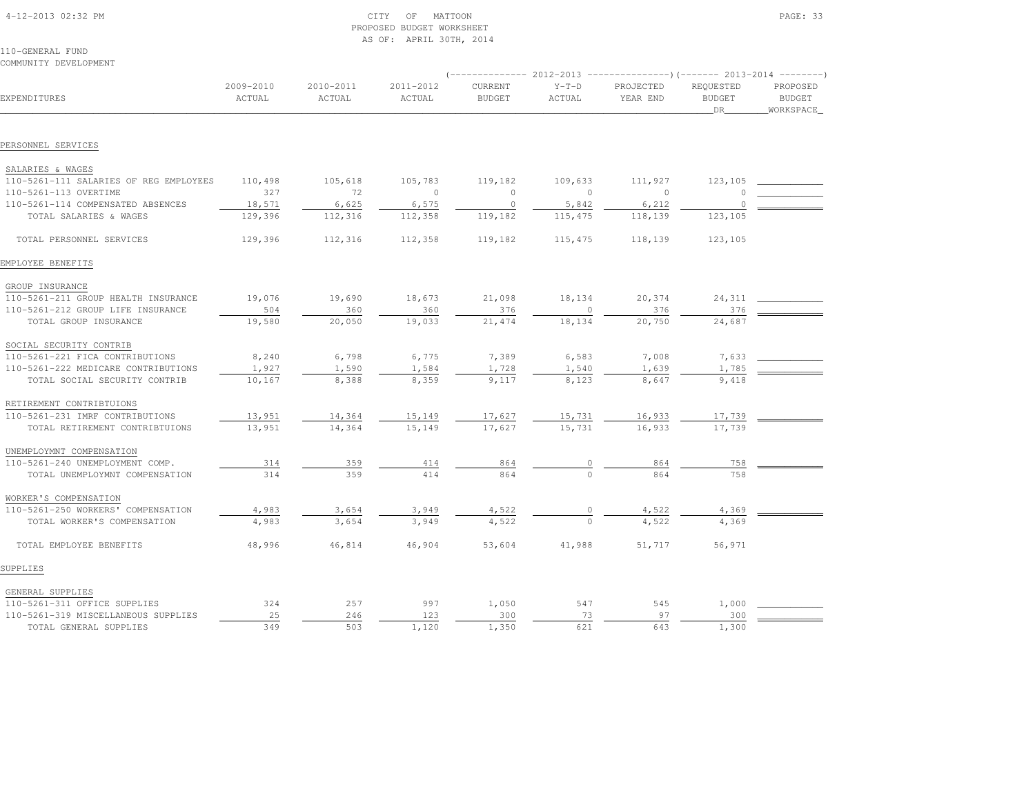| 4-12-2013 02:32 PM |  |
|--------------------|--|

## $\begin{array}{ccc} \text{CITY} & \text{OF} & \text{MATION} \end{array}$  PROPOSED BUDGET WORKSHEETAS OF: APRIL 30TH, 2014

110-GENERAL FUNDCOMMUNITY DEVELOPMENT

|                                        |                     |                     |                     | $---------2012-2013$     |                   |                       |                                  |                                        |
|----------------------------------------|---------------------|---------------------|---------------------|--------------------------|-------------------|-----------------------|----------------------------------|----------------------------------------|
| EXPENDITURES                           | 2009-2010<br>ACTUAL | 2010-2011<br>ACTUAL | 2011-2012<br>ACTUAL | CURRENT<br><b>BUDGET</b> | $Y-T-D$<br>ACTUAL | PROJECTED<br>YEAR END | REQUESTED<br><b>BUDGET</b><br>DR | PROPOSED<br><b>BUDGET</b><br>WORKSPACE |
| PERSONNEL SERVICES                     |                     |                     |                     |                          |                   |                       |                                  |                                        |
|                                        |                     |                     |                     |                          |                   |                       |                                  |                                        |
| SALARIES & WAGES                       |                     |                     |                     |                          |                   |                       |                                  |                                        |
| 110-5261-111 SALARIES OF REG EMPLOYEES | 110,498             | 105,618             | 105,783             | 119,182                  | 109,633           | 111,927               | 123,105                          |                                        |
| 110-5261-113 OVERTIME                  | 327                 | 72                  | $\circ$             | $\circ$                  | $\mathbf{0}$      | $\circ$               | $\Omega$                         |                                        |
| 110-5261-114 COMPENSATED ABSENCES      | 18,571              | 6,625               | 6,575               | $\mathbf{0}$             | 5,842             | 6,212                 | $\cap$                           |                                        |
| TOTAL SALARIES & WAGES                 | 129,396             | 112,316             | 112,358             | 119,182                  | 115,475           | 118,139               | 123,105                          |                                        |
| TOTAL PERSONNEL SERVICES               | 129,396             | 112,316             | 112,358             | 119,182                  | 115,475           | 118,139               | 123,105                          |                                        |
| EMPLOYEE BENEFITS                      |                     |                     |                     |                          |                   |                       |                                  |                                        |
| GROUP INSURANCE                        |                     |                     |                     |                          |                   |                       |                                  |                                        |
| 110-5261-211 GROUP HEALTH INSURANCE    | 19,076              | 19,690              | 18,673              | 21,098                   | 18,134            | 20,374                | 24,311                           |                                        |
| 110-5261-212 GROUP LIFE INSURANCE      | 504                 | 360                 | 360                 | 376                      | $\mathbf{0}$      | 376                   | 376                              |                                        |
| TOTAL GROUP INSURANCE                  | 19,580              | 20,050              | 19,033              | 21,474                   | 18,134            | 20,750                | 24,687                           |                                        |
| SOCIAL SECURITY CONTRIB                |                     |                     |                     |                          |                   |                       |                                  |                                        |
| 110-5261-221 FICA CONTRIBUTIONS        | 8,240               | 6,798               | 6,775               | 7,389                    | 6,583             | 7,008                 | 7,633                            |                                        |
| 110-5261-222 MEDICARE CONTRIBUTIONS    | 1,927               | 1,590               | 1,584               | 1,728                    | 1,540             | 1,639                 | 1,785                            |                                        |
| TOTAL SOCIAL SECURITY CONTRIB          | 10,167              | 8,388               | 8,359               | 9,117                    | 8,123             | 8,647                 | 9,418                            |                                        |
| RETIREMENT CONTRIBTUIONS               |                     |                     |                     |                          |                   |                       |                                  |                                        |
| 110-5261-231 IMRF CONTRIBUTIONS        | 13,951              | 14,364              |                     | 17,627                   |                   |                       | 17,739                           |                                        |
| TOTAL RETIREMENT CONTRIBTUIONS         | 13,951              | 14,364              | 15,149<br>15,149    | 17,627                   | 15,731<br>15,731  | 16,933<br>16,933      | 17,739                           |                                        |
|                                        |                     |                     |                     |                          |                   |                       |                                  |                                        |
| UNEMPLOYMNT COMPENSATION               |                     |                     |                     |                          |                   |                       |                                  |                                        |
| 110-5261-240 UNEMPLOYMENT COMP.        | 314                 | 359                 | 414                 | 864                      |                   | 864                   | 758                              |                                        |
| TOTAL UNEMPLOYMNT COMPENSATION         | 314                 | 359                 | 414                 | 864                      |                   | 864                   | 758                              |                                        |
| WORKER'S COMPENSATION                  |                     |                     |                     |                          |                   |                       |                                  |                                        |
| 110-5261-250 WORKERS' COMPENSATION     | 4,983               | 3,654               | 3,949               | 4,522                    |                   | 4,522                 | 4,369                            |                                        |
| TOTAL WORKER'S COMPENSATION            | 4,983               | 3,654               | 3,949               | 4,522                    | $\mathbf 0$       | 4,522                 | 4,369                            |                                        |
| TOTAL EMPLOYEE BENEFITS                | 48,996              | 46,814              | 46,904              | 53,604                   | 41,988            | 51,717                | 56,971                           |                                        |
| SUPPLIES                               |                     |                     |                     |                          |                   |                       |                                  |                                        |
| GENERAL SUPPLIES                       |                     |                     |                     |                          |                   |                       |                                  |                                        |
| 110-5261-311 OFFICE SUPPLIES           | 324                 | 257                 | 997                 | 1,050                    | 547               | 545                   | 1,000                            |                                        |
| 110-5261-319 MISCELLANEOUS SUPPLIES    | 25                  | 246                 | 123                 | 300                      | 73                | 97                    | 300                              |                                        |
| TOTAL GENERAL SUPPLIES                 | 349                 | 503                 | 1,120               | 1,350                    | 621               | 643                   | 1,300                            |                                        |
|                                        |                     |                     |                     |                          |                   |                       |                                  |                                        |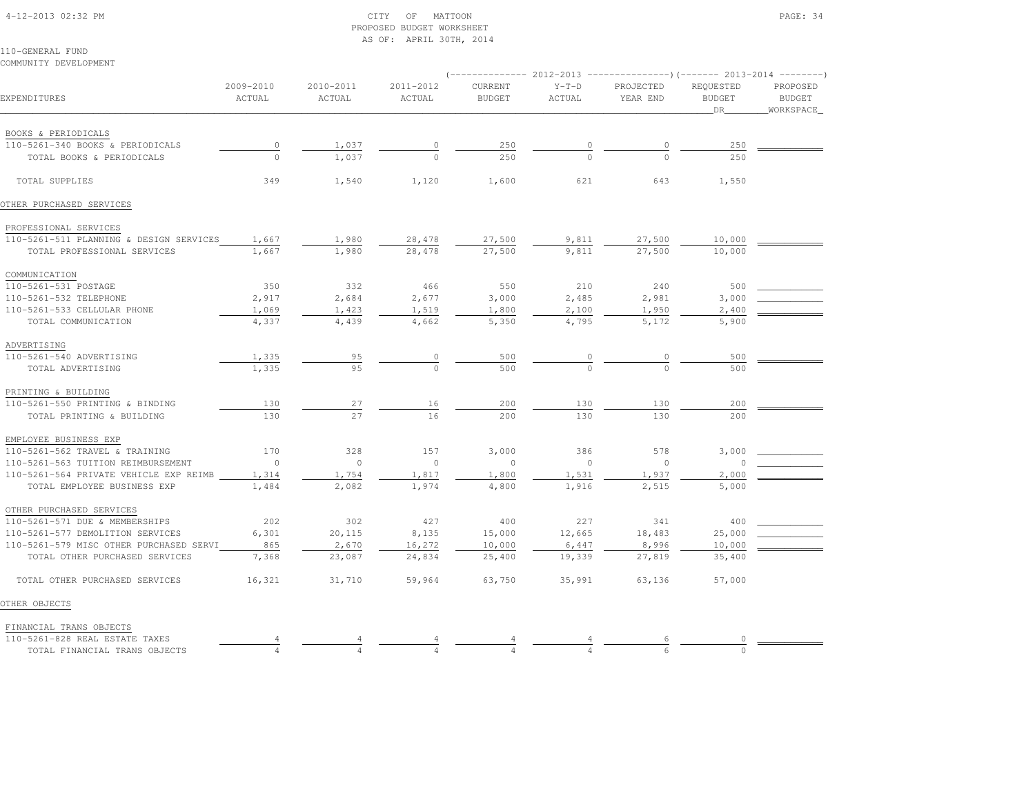#### 4-12-2013 02:32 PM CITY OF MATTOON PAGE: 34 PROPOSED BUDGET WORKSHEETAS OF: APRIL 30TH, 2014

| COMMUNITY DEVELOPMENT                   |                     |                     |                     | (-------------- 2012-2013 ----------------) (------- 2013-2014 -------- |                   |                       |                                         |                                        |
|-----------------------------------------|---------------------|---------------------|---------------------|-------------------------------------------------------------------------|-------------------|-----------------------|-----------------------------------------|----------------------------------------|
| EXPENDITURES                            | 2009-2010<br>ACTUAL | 2010-2011<br>ACTUAL | 2011-2012<br>ACTUAL | CURRENT<br><b>BUDGET</b>                                                | $Y-T-D$<br>ACTUAL | PROJECTED<br>YEAR END | REQUESTED<br><b>BUDGET</b><br><b>DR</b> | PROPOSED<br><b>BUDGET</b><br>WORKSPACE |
| BOOKS & PERIODICALS                     |                     |                     |                     |                                                                         |                   |                       |                                         |                                        |
| 110-5261-340 BOOKS & PERIODICALS        |                     | 1,037               |                     | 250                                                                     |                   |                       | 250                                     |                                        |
| TOTAL BOOKS & PERIODICALS               | $\frac{0}{0}$       | 1,037               |                     | 2.50                                                                    |                   | $\Omega$              | 250                                     |                                        |
| TOTAL SUPPLIES                          | 349                 | 1,540               | 1,120               | 1,600                                                                   | 621               | 643                   | 1,550                                   |                                        |
| OTHER PURCHASED SERVICES                |                     |                     |                     |                                                                         |                   |                       |                                         |                                        |
| PROFESSIONAL SERVICES                   |                     |                     |                     |                                                                         |                   |                       |                                         |                                        |
| 110-5261-511 PLANNING & DESIGN SERVICES | 1,667               | 1,980               | 28,478              | 27,500                                                                  | 9,811             | 27,500                | 10,000                                  |                                        |
| TOTAL PROFESSIONAL SERVICES             | 1,667               | 1,980               | 28,478              | 27,500                                                                  | 9,811             | 27,500                | 10,000                                  |                                        |
| COMMUNICATION                           |                     |                     |                     |                                                                         |                   |                       |                                         |                                        |
| 110-5261-531 POSTAGE                    | 350                 | 332                 | 466                 | 550                                                                     | 210               | 240                   | 500                                     |                                        |
| 110-5261-532 TELEPHONE                  | 2,917               | 2,684               | 2,677               | 3,000                                                                   | 2,485             | 2,981                 | 3,000                                   |                                        |
| 110-5261-533 CELLULAR PHONE             | 1,069               | 1,423               | 1,519               | 1,800                                                                   | 2,100             | 1,950                 | 2,400                                   |                                        |
| TOTAL COMMUNICATION                     | 4,337               | 4,439               | 4,662               | 5,350                                                                   | 4,795             | 5,172                 | 5,900                                   |                                        |
| ADVERTISING                             |                     |                     |                     |                                                                         |                   |                       |                                         |                                        |
| 110-5261-540 ADVERTISING                | 1,335               | 95                  | 0                   | 500                                                                     | 0                 | 0                     | 500                                     |                                        |
| TOTAL ADVERTISING                       | 1,335               | 95                  | $\Omega$            | 500                                                                     | $\circ$           | $\Omega$              | 500                                     |                                        |
| PRINTING & BUILDING                     |                     |                     |                     |                                                                         |                   |                       |                                         |                                        |
| 110-5261-550 PRINTING & BINDING         | 130                 | 27                  | 16                  | 200                                                                     | 130               | 130                   | 200                                     |                                        |
| TOTAL PRINTING & BUILDING               | 130                 | 27                  | 16                  | 200                                                                     | 130               | 130                   | 200                                     |                                        |
| EMPLOYEE BUSINESS EXP                   |                     |                     |                     |                                                                         |                   |                       |                                         |                                        |
| 110-5261-562 TRAVEL & TRAINING          | 170                 | 328                 | 157                 | 3,000                                                                   | 386               | 578                   | 3,000                                   |                                        |
| 110-5261-563 TUITION REIMBURSEMENT      | $\circ$             | $\circ$             | $\circ$             | $\circ$                                                                 | $\circ$           | $\circ$               | $\Omega$                                |                                        |
| 110-5261-564 PRIVATE VEHICLE EXP REIMB  | 1,314               | 1,754               | 1,817               | 1,800                                                                   | 1,531             | 1,937                 | 2,000                                   |                                        |
| TOTAL EMPLOYEE BUSINESS EXP             | 1,484               | 2,082               | 1,974               | 4,800                                                                   | 1,916             | 2,515                 | 5,000                                   |                                        |
| OTHER PURCHASED SERVICES                |                     |                     |                     |                                                                         |                   |                       |                                         |                                        |
| 110-5261-571 DUE & MEMBERSHIPS          | 202                 | 302                 | 427                 | 400                                                                     | 227               | 341                   | 400                                     |                                        |
| 110-5261-577 DEMOLITION SERVICES        | 6,301               | 20,115              | 8,135               | 15,000                                                                  | 12,665            | 18,483                | 25,000                                  |                                        |
| 110-5261-579 MISC OTHER PURCHASED SERVI | 865                 | 2,670               | 16,272              | 10,000                                                                  | 6,447             | 8,996                 | 10,000                                  |                                        |
| TOTAL OTHER PURCHASED SERVICES          | 7,368               | 23,087              | 24,834              | 25,400                                                                  | 19,339            | 27,819                | 35,400                                  |                                        |
| TOTAL OTHER PURCHASED SERVICES          | 16,321              | 31,710              | 59,964              | 63,750                                                                  | 35,991            | 63,136                | 57,000                                  |                                        |
| OTHER OBJECTS                           |                     |                     |                     |                                                                         |                   |                       |                                         |                                        |
| FINANCIAL TRANS OBJECTS                 |                     |                     |                     |                                                                         |                   |                       |                                         |                                        |
|                                         |                     |                     |                     |                                                                         |                   |                       |                                         |                                        |

| TAXES<br>nn n<br>KEAL.<br>7 / n 1<br>$-\Omega$ .                                              |  |  |  |  |
|-----------------------------------------------------------------------------------------------|--|--|--|--|
| $\tau \tau \sim \tau \tau$<br>570<br>''RANS<br>IN ANO<br>$1 - 1 - 1$<br>.<br>-∨∸⊓<br>ມ∪ ມ∿⊥ ມ |  |  |  |  |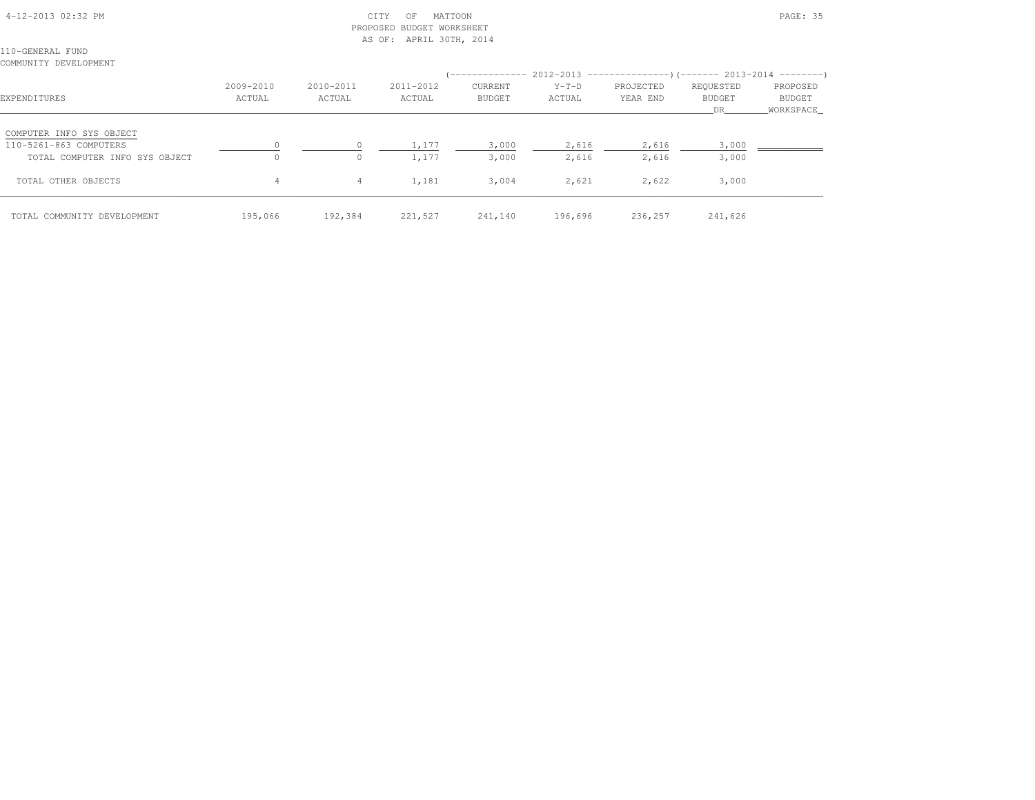# 4-12-2013 02:32 PM CITY OF MATTOON PAGE: 35 PROPOSED BUDGET WORKSHEETAS OF: APRIL 30TH, 2014

110-GENERAL FUNDCOMMUNITY DEVELOPMENT

| EXPENDITURES                                                                         | 2009-2010<br>ACTUAL | 2010-2011<br>ACTUAL | 2011-2012<br>ACTUAL | CURRENT<br><b>BUDGET</b> | $Y-T-D$<br>ACTUAL | PROJECTED<br>YEAR END | REQUESTED<br><b>BUDGET</b><br>DR. | PROPOSED<br>BUDGET<br>WORKSPACE |
|--------------------------------------------------------------------------------------|---------------------|---------------------|---------------------|--------------------------|-------------------|-----------------------|-----------------------------------|---------------------------------|
| COMPUTER INFO SYS OBJECT<br>110-5261-863 COMPUTERS<br>TOTAL COMPUTER INFO SYS OBJECT | 0                   | $\circ$             | 1,177<br>1,177      | 3,000<br>3,000           | 2,616<br>2,616    | 2,616<br>2,616        | 3,000<br>3,000                    |                                 |
| TOTAL OTHER OBJECTS                                                                  | 4                   | $\overline{4}$      | 1,181               | 3,004                    | 2,621             | 2,622                 | 3,000                             |                                 |
| TOTAL COMMUNITY DEVELOPMENT                                                          | 195,066             | 192,384             | 221,527             | 241,140                  | 196,696           | 236,257               | 241,626                           |                                 |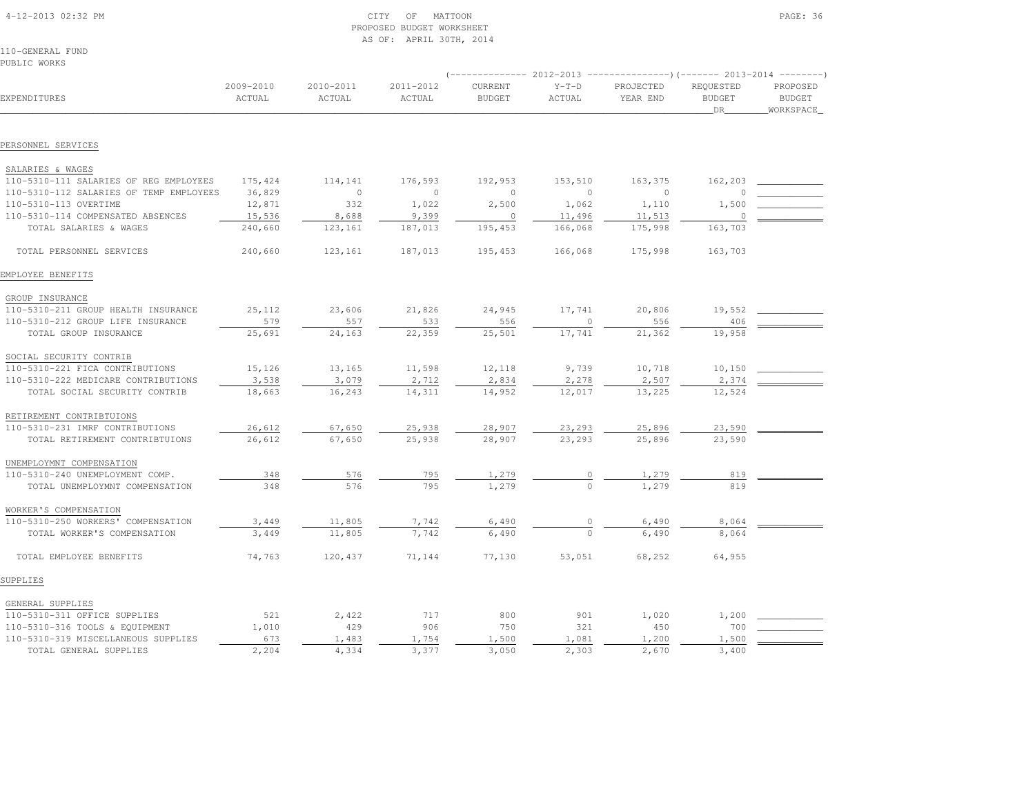| 4-12-2013 02:32 PM |  |
|--------------------|--|

#### $\begin{array}{ccc} \text{CITY} & \text{OF} & \text{MATTOON} \end{array}$  PROPOSED BUDGET WORKSHEETAS OF: APRIL 30TH, 2014

110-GENERAL FUNDPUBLIC WORKS

|                                         |                     |                     |                     | $---------2012-2013$     |                   | ----------------)(------- 2013-2014 ---------) |                                  |                                        |
|-----------------------------------------|---------------------|---------------------|---------------------|--------------------------|-------------------|------------------------------------------------|----------------------------------|----------------------------------------|
| EXPENDITURES                            | 2009-2010<br>ACTUAL | 2010-2011<br>ACTUAL | 2011-2012<br>ACTUAL | CURRENT<br><b>BUDGET</b> | $Y-T-D$<br>ACTUAL | PROJECTED<br>YEAR END                          | REQUESTED<br><b>BUDGET</b><br>DR | PROPOSED<br><b>BUDGET</b><br>WORKSPACE |
|                                         |                     |                     |                     |                          |                   |                                                |                                  |                                        |
| PERSONNEL SERVICES                      |                     |                     |                     |                          |                   |                                                |                                  |                                        |
| SALARIES & WAGES                        |                     |                     |                     |                          |                   |                                                |                                  |                                        |
| 110-5310-111 SALARIES OF REG EMPLOYEES  | 175,424             | 114,141             | 176,593             | 192,953                  | 153,510           | 163,375                                        | 162,203                          |                                        |
| 110-5310-112 SALARIES OF TEMP EMPLOYEES | 36,829              | $\circ$             | $\circ$             | $\mathbf{0}$             | $\circ$           | $\circ$                                        | $\circ$                          |                                        |
| 110-5310-113 OVERTIME                   | 12,871              | 332                 | 1,022               | 2,500                    | 1,062             | 1,110                                          | 1,500                            |                                        |
| 110-5310-114 COMPENSATED ABSENCES       | 15,536              | 8,688               | 9,399               | $\circ$                  | 11,496            | 11,513                                         | $\overline{0}$                   |                                        |
| TOTAL SALARIES & WAGES                  | 240,660             | 123,161             | 187,013             | 195,453                  | 166,068           | 175,998                                        | 163,703                          |                                        |
| TOTAL PERSONNEL SERVICES                | 240,660             | 123,161             | 187,013             | 195, 453                 | 166,068           | 175,998                                        | 163,703                          |                                        |
| EMPLOYEE BENEFITS                       |                     |                     |                     |                          |                   |                                                |                                  |                                        |
| GROUP INSURANCE                         |                     |                     |                     |                          |                   |                                                |                                  |                                        |
| 110-5310-211 GROUP HEALTH INSURANCE     | 25,112              | 23,606              | 21,826              | 24,945                   | 17,741            | 20,806                                         | 19,552                           |                                        |
| 110-5310-212 GROUP LIFE INSURANCE       | 579                 | 557                 | 533                 | 556                      | $\circ$           | 556                                            | 406                              |                                        |
| TOTAL GROUP INSURANCE                   | 25,691              | 24,163              | 22,359              | 25,501                   | 17,741            | 21,362                                         | 19,958                           |                                        |
| SOCIAL SECURITY CONTRIB                 |                     |                     |                     |                          |                   |                                                |                                  |                                        |
| 110-5310-221 FICA CONTRIBUTIONS         | 15,126              | 13,165              | 11,598              | 12,118                   | 9,739             | 10,718                                         | 10,150                           |                                        |
| 110-5310-222 MEDICARE CONTRIBUTIONS     | 3,538               | 3,079               | 2,712               | 2,834                    | 2,278             | 2,507                                          | 2,374                            |                                        |
| TOTAL SOCIAL SECURITY CONTRIB           | 18,663              | 16,243              | 14,311              | 14,952                   | 12,017            | 13,225                                         | 12,524                           |                                        |
| RETIREMENT CONTRIBTUIONS                |                     |                     |                     |                          |                   |                                                |                                  |                                        |
| 110-5310-231 IMRF CONTRIBUTIONS         | 26,612              | 67,650              | 25,938              | 28,907                   | 23,293            | 25,896                                         | 23,590                           |                                        |
| TOTAL RETIREMENT CONTRIBTUIONS          | 26,612              | 67,650              | 25,938              | 28,907                   | 23,293            | 25,896                                         | 23,590                           |                                        |
|                                         |                     |                     |                     |                          |                   |                                                |                                  |                                        |
| UNEMPLOYMNT COMPENSATION                |                     |                     |                     |                          |                   |                                                |                                  |                                        |
| 110-5310-240 UNEMPLOYMENT COMP.         | 348                 | 576                 | 795                 | 1,279                    | 0                 | 1,279                                          | 819                              |                                        |
| TOTAL UNEMPLOYMNT COMPENSATION          | 348                 | 576                 | 795                 | 1,279                    |                   | 1,279                                          | 819                              |                                        |
| WORKER'S COMPENSATION                   |                     |                     |                     |                          |                   |                                                |                                  |                                        |
| 110-5310-250 WORKERS' COMPENSATION      | 3,449               | 11,805              | 7,742               | 6,490                    | $\circ$           | 6,490                                          | 8,064                            |                                        |
| TOTAL WORKER'S COMPENSATION             | 3,449               | 11,805              | 7,742               | 6,490                    | $\Omega$          | 6,490                                          | 8,064                            |                                        |
| TOTAL EMPLOYEE BENEFITS                 | 74,763              | 120,437             | 71,144              | 77,130                   | 53,051            | 68,252                                         | 64,955                           |                                        |
| SUPPLIES                                |                     |                     |                     |                          |                   |                                                |                                  |                                        |
| GENERAL SUPPLIES                        |                     |                     |                     |                          |                   |                                                |                                  |                                        |
| 110-5310-311 OFFICE SUPPLIES            | 521                 | 2,422               | 717                 | 800                      | 901               | 1,020                                          | 1,200                            |                                        |
| 110-5310-316 TOOLS & EQUIPMENT          | 1,010               | 429                 | 906                 | 750                      | 321               | 450                                            | 700                              |                                        |
| 110-5310-319 MISCELLANEOUS SUPPLIES     | 673                 | 1,483               | 1,754               | 1,500                    | 1,081             | 1,200                                          | 1,500                            |                                        |
| TOTAL GENERAL SUPPLIES                  | 2,204               | 4,334               | 3,377               | 3,050                    | 2,303             | 2,670                                          | 3,400                            |                                        |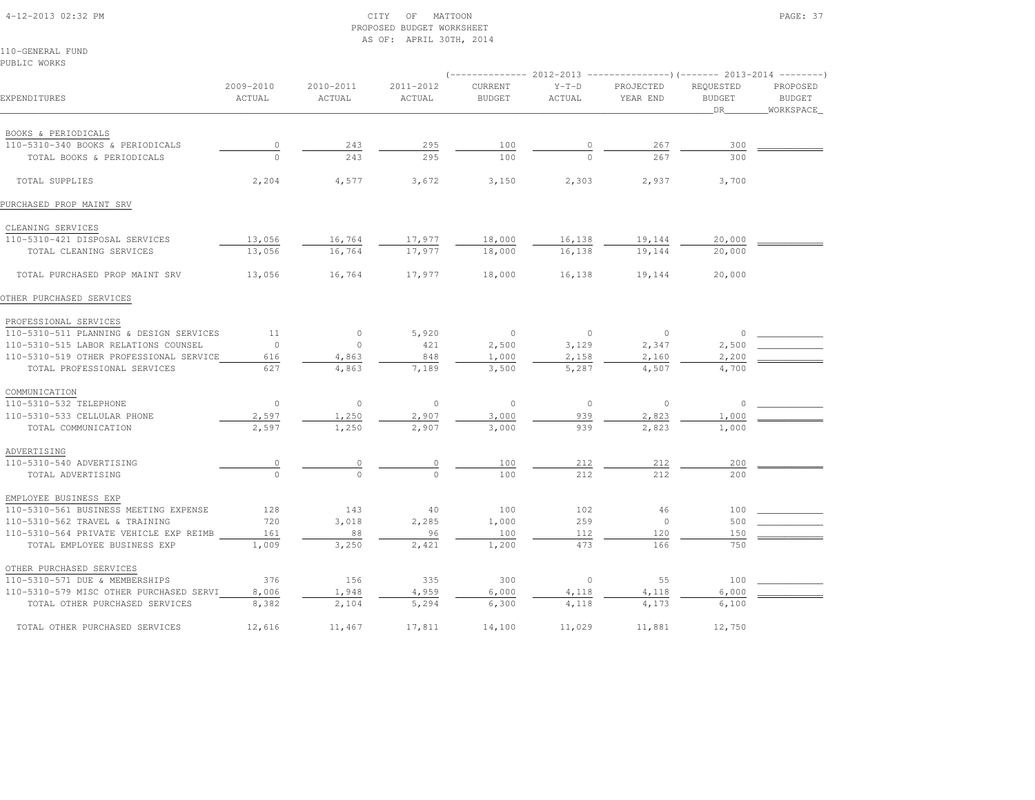### 4-12-2013 02:32 PM CITY OF MATTOON PAGE: 37 PROPOSED BUDGET WORKSHEETAS OF: APRIL 30TH, 2014

110-GENERAL FUNDPUBLIC WORKS

|                                         |                     |                     |                     |                          |                   | ------------- 2012-2013 ----------------)(------- 2013-2014 --------) |                                  |                                        |
|-----------------------------------------|---------------------|---------------------|---------------------|--------------------------|-------------------|-----------------------------------------------------------------------|----------------------------------|----------------------------------------|
| EXPENDITURES                            | 2009-2010<br>ACTUAL | 2010-2011<br>ACTUAL | 2011-2012<br>ACTUAL | CURRENT<br><b>BUDGET</b> | $Y-T-D$<br>ACTUAL | PROJECTED<br>YEAR END                                                 | REQUESTED<br><b>BUDGET</b><br>DR | PROPOSED<br><b>BUDGET</b><br>WORKSPACE |
| BOOKS & PERIODICALS                     |                     |                     |                     |                          |                   |                                                                       |                                  |                                        |
| 110-5310-340 BOOKS & PERIODICALS        | $\circ$             | 243                 | 295                 | 100                      |                   | 267                                                                   | 300                              |                                        |
| TOTAL BOOKS & PERIODICALS               | $\Omega$            | 243                 | 295                 | 100                      |                   | 267                                                                   | 300                              |                                        |
| TOTAL SUPPLIES                          | 2,204               | 4,577               | 3,672               | 3,150                    | 2,303             | 2,937                                                                 | 3,700                            |                                        |
| PURCHASED PROP MAINT SRV                |                     |                     |                     |                          |                   |                                                                       |                                  |                                        |
| CLEANING SERVICES                       |                     |                     |                     |                          |                   |                                                                       |                                  |                                        |
| 110-5310-421 DISPOSAL SERVICES          | 13,056              | 16,764              | 17,977              | 18,000                   | 16,138            | 19,144                                                                | 20,000                           |                                        |
| TOTAL CLEANING SERVICES                 | 13,056              | 16,764              | 17,977              | 18,000                   | 16,138            | 19,144                                                                | 20,000                           |                                        |
| TOTAL PURCHASED PROP MAINT SRV          | 13,056              | 16,764              | 17,977              | 18,000                   | 16,138            | 19,144                                                                | 20,000                           |                                        |
| OTHER PURCHASED SERVICES                |                     |                     |                     |                          |                   |                                                                       |                                  |                                        |
| PROFESSIONAL SERVICES                   |                     |                     |                     |                          |                   |                                                                       |                                  |                                        |
| 110-5310-511 PLANNING & DESIGN SERVICES | 11                  | $\circ$             | 5,920               | $\circ$                  | $\circ$           | $\overline{0}$                                                        | $\cap$                           |                                        |
| 110-5310-515 LABOR RELATIONS COUNSEL    | $\circ$             | $\circ$             | 421                 | 2,500                    | 3,129             | 2,347                                                                 | 2,500                            |                                        |
| 110-5310-519 OTHER PROFESSIONAL SERVICE | 616                 | 4,863               | 848                 | 1,000                    | 2,158             | 2,160                                                                 | 2,200                            |                                        |
| TOTAL PROFESSIONAL SERVICES             | 627                 | 4,863               | 7,189               | 3,500                    | 5,287             | 4,507                                                                 | 4,700                            |                                        |
| COMMUNICATION                           |                     |                     |                     |                          |                   |                                                                       |                                  |                                        |
| 110-5310-532 TELEPHONE                  | $\circ$             | $\circ$             | $\circ$             | $\circ$                  | $\circ$           | $\circ$                                                               | $\circ$                          |                                        |
| 110-5310-533 CELLULAR PHONE             | 2,597               | 1,250               | 2,907               | 3,000                    | 939               | 2,823                                                                 | 1,000                            |                                        |
| TOTAL COMMUNICATION                     | 2,597               | 1,250               | 2,907               | 3,000                    | 939               | 2,823                                                                 | 1,000                            |                                        |
| ADVERTISING                             |                     |                     |                     |                          |                   |                                                                       |                                  |                                        |
| 110-5310-540 ADVERTISING                | $\overline{0}$      | $\overline{0}$      |                     | 100                      | 212               | 212                                                                   | 200                              |                                        |
| TOTAL ADVERTISING                       |                     | $\Omega$            |                     | 100                      | 212               | 212                                                                   | 200                              |                                        |
| EMPLOYEE BUSINESS EXP                   |                     |                     |                     |                          |                   |                                                                       |                                  |                                        |
| 110-5310-561 BUSINESS MEETING EXPENSE   | 128                 | 143                 | 40                  | 100                      | 102               | 46                                                                    | 100                              |                                        |
| 110-5310-562 TRAVEL & TRAINING          | 720                 | 3,018               | 2,285               | 1,000                    | 259               | $\overline{0}$                                                        | 500                              |                                        |
| 110-5310-564 PRIVATE VEHICLE EXP REIMB  | 161                 | 88                  | 96                  | 100                      | 112               | 120                                                                   | 150                              |                                        |
| TOTAL EMPLOYEE BUSINESS EXP             | 1,009               | 3,250               | 2,421               | 1,200                    | 473               | 166                                                                   | 750                              |                                        |
| OTHER PURCHASED SERVICES                |                     |                     |                     |                          |                   |                                                                       |                                  |                                        |
| 110-5310-571 DUE & MEMBERSHIPS          | 376                 | 156                 | 335                 | 300                      | $\circ$           | 55                                                                    | 100                              |                                        |
| 110-5310-579 MISC OTHER PURCHASED SERVI | 8,006               | 1,948               | 4,959               | 6,000                    | 4,118             | 4,118                                                                 | 6,000                            |                                        |
| TOTAL OTHER PURCHASED SERVICES          | 8,382               | 2,104               | 5,294               | 6,300                    | 4,118             | 4,173                                                                 | 6,100                            |                                        |
| TOTAL OTHER PURCHASED SERVICES          | 12,616              | 11,467              | 17,811              | 14,100                   | 11,029            | 11,881                                                                | 12,750                           |                                        |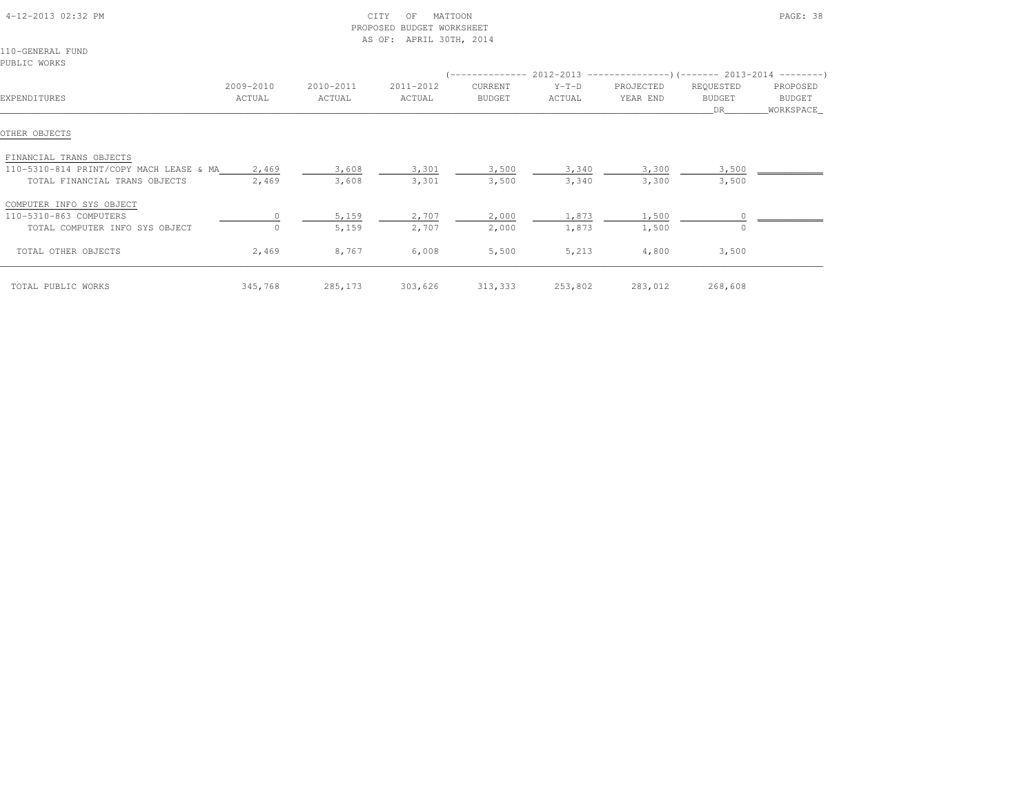| 4-12-2013 02:32 PM                            |           |           | CITY<br>MATTOON<br>OF<br>PROPOSED BUDGET WORKSHEET<br>AS OF: APRIL 30TH, 2014 |               |                                                                          |           |               | PAGE: 38   |
|-----------------------------------------------|-----------|-----------|-------------------------------------------------------------------------------|---------------|--------------------------------------------------------------------------|-----------|---------------|------------|
| 110-GENERAL FUND                              |           |           |                                                                               |               |                                                                          |           |               |            |
| PUBLIC WORKS                                  |           |           |                                                                               |               |                                                                          |           |               |            |
|                                               |           |           |                                                                               |               | (-------------- 2012-2013 ----------------) (------- 2013-2014 --------) |           |               |            |
|                                               | 2009-2010 | 2010-2011 | 2011-2012                                                                     | CURRENT       | $Y-T-D$                                                                  | PROJECTED | REQUESTED     | PROPOSED   |
| EXPENDITURES                                  | ACTUAL    | ACTUAL    | ACTUAL                                                                        | <b>BUDGET</b> | ACTUAL                                                                   | YEAR END  | <b>BUDGET</b> | BUDGET     |
|                                               |           |           |                                                                               |               |                                                                          |           | DR.           | WORKSPACE_ |
| OTHER OBJECTS                                 |           |           |                                                                               |               |                                                                          |           |               |            |
| FINANCIAL TRANS OBJECTS                       |           |           |                                                                               |               |                                                                          |           |               |            |
| 110-5310-814 PRINT/COPY MACH LEASE & MA 2,469 |           | 3,608     | 3,301                                                                         | 3,500         | 3,340                                                                    | 3,300     | 3,500         |            |
| TOTAL FINANCIAL TRANS OBJECTS                 | 2,469     | 3,608     | 3,301                                                                         | 3,500         | 3,340                                                                    | 3,300     | 3,500         |            |
| COMPUTER INFO SYS OBJECT                      |           |           |                                                                               |               |                                                                          |           |               |            |
| 110-5310-863 COMPUTERS                        |           | 5,159     | 2,707                                                                         | 2,000         | 1,873                                                                    | 1,500     |               |            |
| TOTAL COMPUTER INFO SYS OBJECT                |           | 5,159     | 2,707                                                                         | 2,000         | 1,873                                                                    | 1,500     | $\circ$       |            |
| TOTAL OTHER OBJECTS                           | 2,469     | 8,767     | 6,008                                                                         | 5,500         | 5,213                                                                    | 4,800     | 3,500         |            |
| TOTAL PUBLIC WORKS                            | 345,768   | 285,173   | 303,626                                                                       | 313,333       | 253,802                                                                  | 283,012   | 268,608       |            |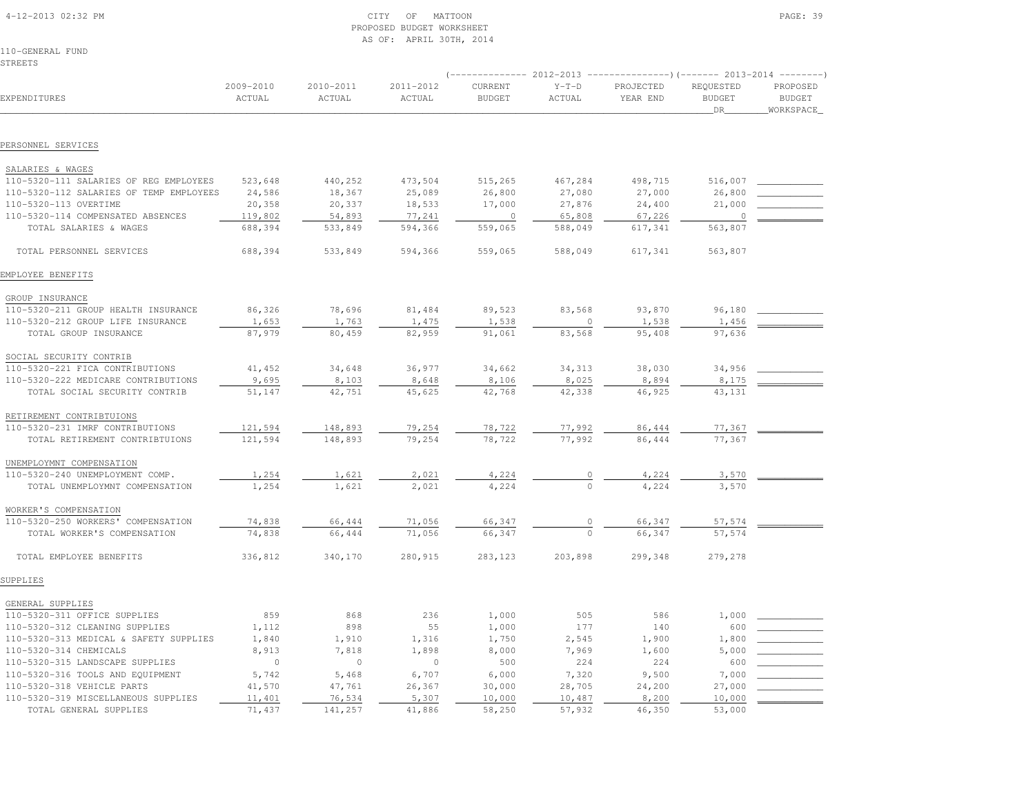| 4-12-2013 02:32 PM |
|--------------------|
|--------------------|

### $\begin{array}{ccc} \text{CITY} & \text{OF} & \text{MATION} \end{array}$  PROPOSED BUDGET WORKSHEETAS OF: APRIL 30TH, 2014

110-GENERAL FUNDSTREETS

|                                                        |                     |                     |                     |                          | 2012-2013         |                       |                                  | ------ 2013-2014 ---------             |
|--------------------------------------------------------|---------------------|---------------------|---------------------|--------------------------|-------------------|-----------------------|----------------------------------|----------------------------------------|
| EXPENDITURES                                           | 2009-2010<br>ACTUAL | 2010-2011<br>ACTUAL | 2011-2012<br>ACTUAL | CURRENT<br><b>BUDGET</b> | $Y-T-D$<br>ACTUAL | PROJECTED<br>YEAR END | REQUESTED<br><b>BUDGET</b><br>DR | PROPOSED<br><b>BUDGET</b><br>WORKSPACE |
|                                                        |                     |                     |                     |                          |                   |                       |                                  |                                        |
| PERSONNEL SERVICES                                     |                     |                     |                     |                          |                   |                       |                                  |                                        |
| SALARIES & WAGES                                       |                     |                     |                     |                          |                   |                       |                                  |                                        |
| 110-5320-111 SALARIES OF REG EMPLOYEES                 | 523,648             | 440,252             | 473,504             | 515,265                  | 467,284           | 498,715               | 516,007                          |                                        |
| 110-5320-112 SALARIES OF TEMP EMPLOYEES                | 24,586              | 18,367              | 25,089              | 26,800                   | 27,080            | 27,000                | 26,800                           |                                        |
| 110-5320-113 OVERTIME                                  | 20,358              | 20,337              | 18,533              | 17,000                   | 27,876            | 24,400                | 21,000                           |                                        |
| 110-5320-114 COMPENSATED ABSENCES                      | 119,802             | 54,893              | 77,241              | $\circ$                  | 65,808            | 67,226                | 0                                |                                        |
| TOTAL SALARIES & WAGES                                 | 688,394             | 533,849             | 594,366             | 559,065                  | 588,049           | 617,341               | 563,807                          |                                        |
| TOTAL PERSONNEL SERVICES                               | 688,394             | 533,849             | 594,366             | 559,065                  | 588,049           | 617,341               | 563,807                          |                                        |
| EMPLOYEE BENEFITS                                      |                     |                     |                     |                          |                   |                       |                                  |                                        |
|                                                        |                     |                     |                     |                          |                   |                       |                                  |                                        |
| GROUP INSURANCE<br>110-5320-211 GROUP HEALTH INSURANCE | 86,326              | 78,696              | 81,484              | 89,523                   | 83,568            | 93,870                | 96,180                           |                                        |
| 110-5320-212 GROUP LIFE INSURANCE                      | 1,653               | 1,763               | 1,475               | 1,538                    |                   | 1,538                 | 1,456                            |                                        |
| TOTAL GROUP INSURANCE                                  | 87,979              | 80,459              | 82,959              | 91,061                   | 83,568            | 95,408                | 97,636                           |                                        |
|                                                        |                     |                     |                     |                          |                   |                       |                                  |                                        |
| SOCIAL SECURITY CONTRIB                                |                     |                     |                     |                          |                   |                       |                                  |                                        |
| 110-5320-221 FICA CONTRIBUTIONS                        | 41,452              | 34,648              | 36,977              | 34,662                   | 34,313            | 38,030                | 34,956                           |                                        |
| 110-5320-222 MEDICARE CONTRIBUTIONS                    | 9,695               | 8,103               | 8,648               | 8,106                    | 8,025             | 8,894                 | 8,175                            |                                        |
| TOTAL SOCIAL SECURITY CONTRIB                          | 51,147              | 42,751              | 45,625              | 42,768                   | 42,338            | 46,925                | 43,131                           |                                        |
| RETIREMENT CONTRIBTUIONS                               |                     |                     |                     |                          |                   |                       |                                  |                                        |
| 110-5320-231 IMRF CONTRIBUTIONS                        | 121,594             | 148,893             | 79,254              | 78,722                   | 77,992            | 86,444                | 77,367                           |                                        |
| TOTAL RETIREMENT CONTRIBTUIONS                         | 121,594             | 148,893             | 79,254              | 78,722                   | 77,992            | 86,444                | 77,367                           |                                        |
|                                                        |                     |                     |                     |                          |                   |                       |                                  |                                        |
| UNEMPLOYMNT COMPENSATION                               |                     |                     |                     |                          |                   |                       |                                  |                                        |
| 110-5320-240 UNEMPLOYMENT COMP.                        | 1,254               | 1,621               | 2,021               | 4,224                    | $\circ$           | 4,224                 | 3,570                            |                                        |
| TOTAL UNEMPLOYMNT COMPENSATION                         | 1,254               | 1,621               | 2,021               | 4,224                    | $\Omega$          | 4,224                 | 3,570                            |                                        |
| WORKER'S COMPENSATION                                  |                     |                     |                     |                          |                   |                       |                                  |                                        |
| 110-5320-250 WORKERS' COMPENSATION                     | 74,838              | 66,444              | 71,056              | 66,347                   | 0                 | 66,347                | 57,574                           |                                        |
| TOTAL WORKER'S COMPENSATION                            | 74,838              | 66,444              | 71,056              | 66,347                   | $\mathbf 0$       | 66,347                | 57,574                           |                                        |
| TOTAL EMPLOYEE BENEFITS                                | 336,812             | 340,170             | 280,915             | 283,123                  | 203,898           | 299,348               | 279,278                          |                                        |
| SUPPLIES                                               |                     |                     |                     |                          |                   |                       |                                  |                                        |
|                                                        |                     |                     |                     |                          |                   |                       |                                  |                                        |
| GENERAL SUPPLIES                                       |                     |                     |                     |                          |                   |                       |                                  |                                        |
| 110-5320-311 OFFICE SUPPLIES                           | 859                 | 868                 | 236                 | 1,000                    | 505               | 586                   | 1,000                            |                                        |
| 110-5320-312 CLEANING SUPPLIES                         | 1,112               | 898                 | 55                  | 1,000                    | 177               | 140                   | 600                              |                                        |
| 110-5320-313 MEDICAL & SAFETY SUPPLIES                 | 1,840               | 1,910               | 1,316               | 1,750                    | 2,545             | 1,900                 | 1,800                            |                                        |
| 110-5320-314 CHEMICALS                                 | 8,913               | 7,818               | 1,898               | 8,000                    | 7,969             | 1,600                 | 5,000                            |                                        |
| 110-5320-315 LANDSCAPE SUPPLIES                        | $\circ$             | $\circ$             | $\mathbb O$         | 500                      | 224               | 224                   | 600                              |                                        |
| 110-5320-316 TOOLS AND EQUIPMENT                       | 5,742               | 5,468               | 6,707               | 6,000                    | 7,320             | 9,500                 | 7,000                            |                                        |
| 110-5320-318 VEHICLE PARTS                             | 41,570              | 47,761              | 26,367              | 30,000                   | 28,705            | 24,200                | 27,000                           |                                        |
| 110-5320-319 MISCELLANEOUS SUPPLIES                    | 11,401              | 76,534              | 5,307               | 10,000                   | 10,487            | 8,200                 | 10,000                           |                                        |
| TOTAL GENERAL SUPPLIES                                 | 71,437              | 141,257             | 41,886              | 58,250                   | 57,932            | 46,350                | 53,000                           |                                        |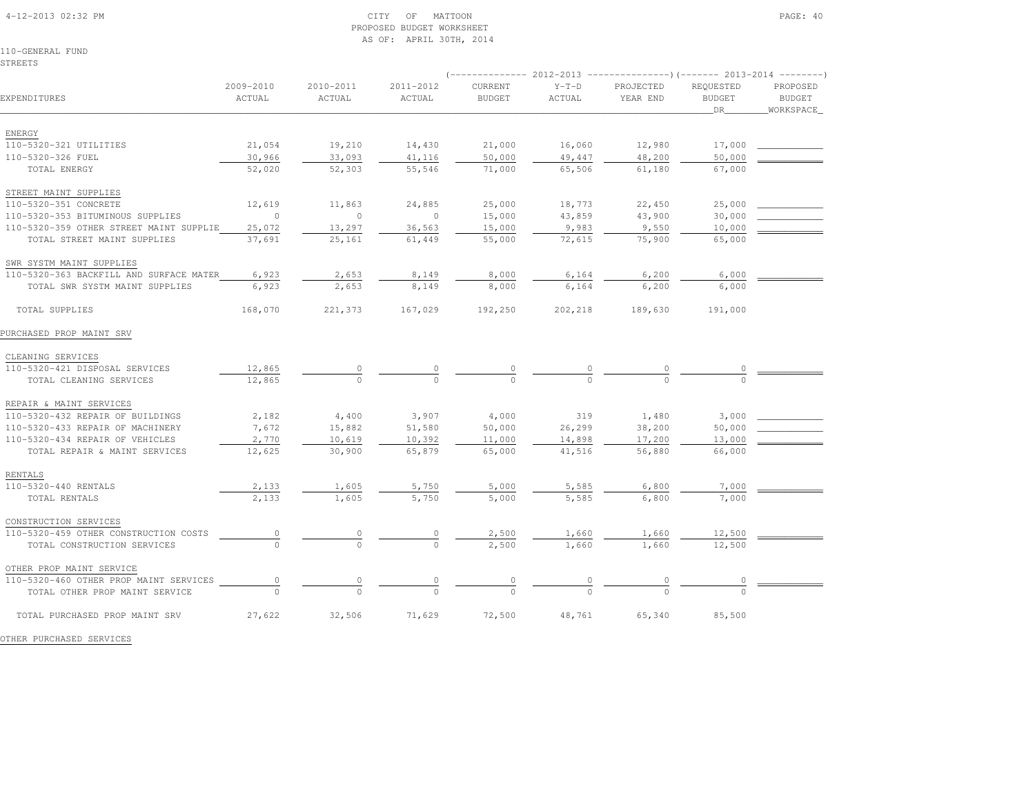### 4-12-2013 02:32 PM CITY OF MATTOON PAGE: 40 PROPOSED BUDGET WORKSHEETAS OF: APRIL 30TH, 2014

110-GENERAL FUNDSTREETS

| EXPENDITURES                            | 2009-2010<br>ACTUAL | 2010-2011<br>ACTUAL | 2011-2012<br>ACTUAL | <b>CURRENT</b><br><b>BUDGET</b> | $Y-T-D$<br>ACTUAL | PROJECTED<br>YEAR END | REOUESTED<br><b>BUDGET</b> | PROPOSED<br><b>BUDGET</b> |
|-----------------------------------------|---------------------|---------------------|---------------------|---------------------------------|-------------------|-----------------------|----------------------------|---------------------------|
|                                         |                     |                     |                     |                                 |                   |                       | DR.                        | WORKSPACE                 |
|                                         |                     |                     |                     |                                 |                   |                       |                            |                           |
| ENERGY                                  |                     |                     |                     |                                 |                   |                       |                            |                           |
| 110-5320-321 UTILITIES                  | 21,054              | 19,210              | 14,430              | 21,000                          | 16,060            | 12,980                | 17,000                     |                           |
| 110-5320-326 FUEL                       | 30,966              | 33,093              | 41,116              | 50,000                          | 49,447            | 48,200                | 50,000                     |                           |
| TOTAL ENERGY                            | 52,020              | 52,303              | 55,546              | 71,000                          | 65,506            | 61,180                | 67,000                     |                           |
| STREET MAINT SUPPLIES                   |                     |                     |                     |                                 |                   |                       |                            |                           |
| 110-5320-351 CONCRETE                   | 12,619              | 11,863              | 24,885              | 25,000                          | 18,773            | 22,450                | 25,000                     |                           |
| 110-5320-353 BITUMINOUS SUPPLIES        | $\overline{0}$      | $\circ$             | $\overline{0}$      | 15,000                          | 43,859            | 43,900                | 30,000                     |                           |
| 110-5320-359 OTHER STREET MAINT SUPPLIE | 25,072              | 13,297              | 36,563              | 15,000                          | 9,983             | 9,550                 | 10,000                     |                           |
| TOTAL STREET MAINT SUPPLIES             | 37,691              | 25,161              | 61,449              | 55,000                          | 72,615            | 75,900                | 65,000                     |                           |
|                                         |                     |                     |                     |                                 |                   |                       |                            |                           |
| SWR SYSTM MAINT SUPPLIES                |                     |                     |                     |                                 |                   |                       |                            |                           |
| 110-5320-363 BACKFILL AND SURFACE MATER | 6,923               | 2,653               | 8,149               | 8,000                           | 6,164             | 6,200                 | 6,000                      |                           |
| TOTAL SWR SYSTM MAINT SUPPLIES          | 6,923               | 2,653               | 8,149               | 8,000                           | 6,164             | 6,200                 | 6,000                      |                           |
| TOTAL SUPPLIES                          | 168,070             | 221,373             | 167,029             | 192,250                         | 202,218           | 189,630               | 191,000                    |                           |
| PURCHASED PROP MAINT SRV                |                     |                     |                     |                                 |                   |                       |                            |                           |
|                                         |                     |                     |                     |                                 |                   |                       |                            |                           |
| CLEANING SERVICES                       |                     |                     |                     |                                 |                   |                       |                            |                           |
| 110-5320-421 DISPOSAL SERVICES          | 12,865              |                     |                     |                                 |                   |                       |                            |                           |
| TOTAL CLEANING SERVICES                 | 12,865              |                     |                     |                                 |                   |                       |                            |                           |
| REPAIR & MAINT SERVICES                 |                     |                     |                     |                                 |                   |                       |                            |                           |
| 110-5320-432 REPAIR OF BUILDINGS        | 2,182               | 4,400               | 3,907               | 4,000                           | 319               | 1,480                 | 3,000                      |                           |
| 110-5320-433 REPAIR OF MACHINERY        | 7,672               | 15,882              | 51,580              | 50,000                          | 26,299            | 38,200                | 50,000                     |                           |
| 110-5320-434 REPAIR OF VEHICLES         | 2,770               | 10,619              | 10,392              | 11,000                          | 14,898            | 17,200                | 13,000                     |                           |
| TOTAL REPAIR & MAINT SERVICES           | 12,625              | 30,900              | 65,879              | 65,000                          | 41,516            | 56,880                | 66,000                     |                           |
| RENTALS                                 |                     |                     |                     |                                 |                   |                       |                            |                           |
| 110-5320-440 RENTALS                    | 2,133               | 1,605               | 5,750               | 5,000                           | 5,585             | 6,800                 | 7,000                      |                           |
| TOTAL RENTALS                           | 2,133               | 1,605               | 5,750               | 5,000                           | 5,585             | 6,800                 | 7,000                      |                           |
|                                         |                     |                     |                     |                                 |                   |                       |                            |                           |
| CONSTRUCTION SERVICES                   |                     |                     |                     |                                 |                   |                       |                            |                           |
| 110-5320-459 OTHER CONSTRUCTION COSTS   |                     |                     |                     | 2,500                           | 1,660             | 1,660                 | 12,500                     |                           |
| TOTAL CONSTRUCTION SERVICES             |                     | $\Omega$            | $\Omega$            | 2,500                           | 1,660             | 1,660                 | 12,500                     |                           |
|                                         |                     |                     |                     |                                 |                   |                       |                            |                           |

 OTHER PROP MAINT SERVICE110-5320-460 OTHER PROP MAINT SERVICES  $\begin{array}{cccccccc} 0 & \cdots & 0 & \cdots & 0 & \cdots & 0 & \cdots & 0 \\ \hline 0 & 0 & 0 & 0 & 0 & 0 & 0 & 0 \end{array}$ TOTAL PURCHASED PROP MAINT SRV 27,622 32,506 71,629 72,500 48,761 65,340 85,500

OTHER PURCHASED SERVICES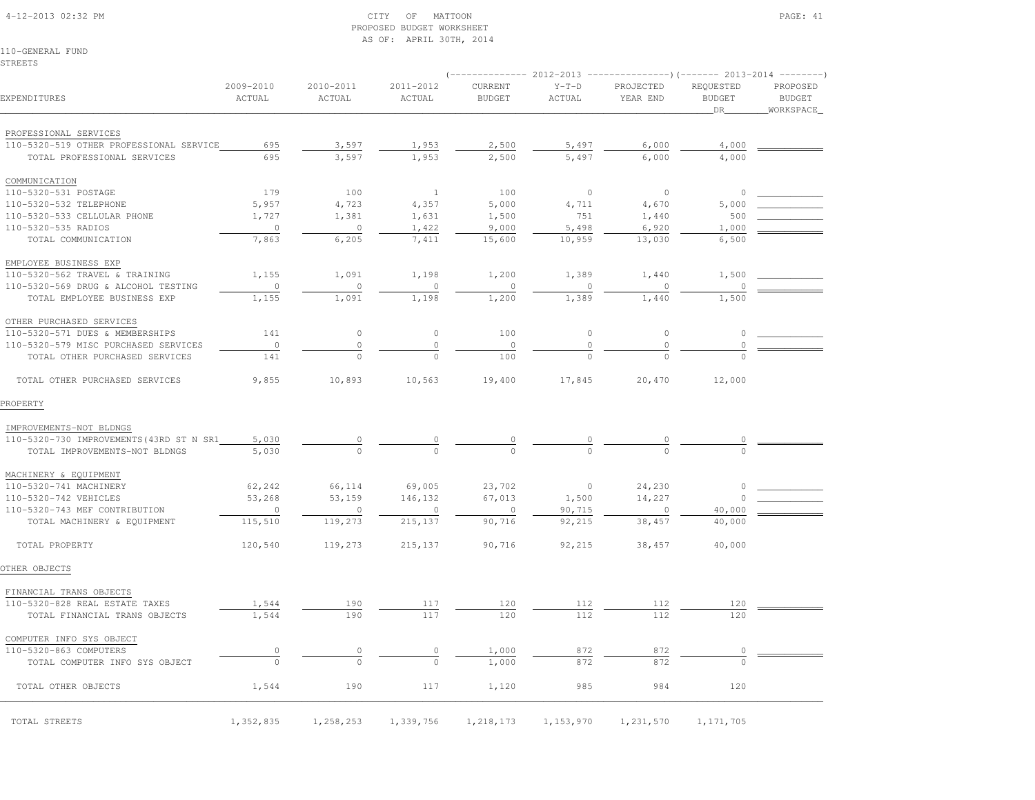### 4-12-2013 02:32 PM CITY OF MATTOON PAGE: 41 PROPOSED BUDGET WORKSHEETAS OF: APRIL 30TH, 2014

110-GENERAL FUNDSTREETS

|                                          |                     |                     |                      |                          | 2012-2013         |                       | 201                              |                                        |
|------------------------------------------|---------------------|---------------------|----------------------|--------------------------|-------------------|-----------------------|----------------------------------|----------------------------------------|
| EXPENDITURES                             | 2009-2010<br>ACTUAL | 2010-2011<br>ACTUAL | 2011-2012<br>ACTUAL  | CURRENT<br><b>BUDGET</b> | $Y-T-D$<br>ACTUAL | PROJECTED<br>YEAR END | REQUESTED<br><b>BUDGET</b><br>DR | PROPOSED<br><b>BUDGET</b><br>WORKSPACE |
| PROFESSIONAL SERVICES                    |                     |                     |                      |                          |                   |                       |                                  |                                        |
| 110-5320-519 OTHER PROFESSIONAL SERVICE  | 695                 | 3,597               | 1,953                | 2,500                    | 5,497             | 6,000                 | 4,000                            |                                        |
| TOTAL PROFESSIONAL SERVICES              | 695                 | 3,597               | 1,953                | 2,500                    | 5,497             | 6,000                 | 4,000                            |                                        |
| COMMUNICATION                            |                     |                     |                      |                          |                   |                       |                                  |                                        |
| 110-5320-531 POSTAGE                     | 179                 | 100                 | $\mathbf{1}$         | 100                      | $\circ$           | $\circ$               | $\circ$                          |                                        |
| 110-5320-532 TELEPHONE                   | 5,957               | 4,723               | 4,357                | 5,000                    | 4,711             | 4,670                 | 5,000                            |                                        |
| 110-5320-533 CELLULAR PHONE              | 1,727               | 1,381               | 1,631                | 1,500                    | 751               | 1,440                 | 500                              |                                        |
| 110-5320-535 RADIOS                      | $\circ$             | $\circ$             | 1,422                | 9,000                    | 5,498             | 6,920                 | 1,000                            |                                        |
| TOTAL COMMUNICATION                      | 7,863               | 6,205               | 7,411                | 15,600                   | 10,959            | 13,030                | 6,500                            |                                        |
| EMPLOYEE BUSINESS EXP                    |                     |                     |                      |                          |                   |                       |                                  |                                        |
| 110-5320-562 TRAVEL & TRAINING           | 1,155               | 1,091               | 1,198                | 1,200                    | 1,389             | 1,440                 | 1,500                            |                                        |
| 110-5320-569 DRUG & ALCOHOL TESTING      | $\circ$             | $\circ$             | $\circ$              | $\circ$                  | $\circ$           | $\circ$               | $\circ$                          |                                        |
| TOTAL EMPLOYEE BUSINESS EXP              | 1,155               | 1,091               | 1,198                | 1,200                    | 1,389             | 1,440                 | 1,500                            |                                        |
| OTHER PURCHASED SERVICES                 |                     |                     |                      |                          |                   |                       |                                  |                                        |
| 110-5320-571 DUES & MEMBERSHIPS          | 141                 | $\circ$             | $\circ$              | 100                      | $\circ$           | $\circ$               | 0                                |                                        |
| 110-5320-579 MISC PURCHASED SERVICES     | $\circ$             | $\circ$             | $\mathbb O$          | $\circ$                  | $\mathbb O$       | $\mathbb O$           | 0                                |                                        |
| TOTAL OTHER PURCHASED SERVICES           | 141                 | $\circ$             | $\circ$              | 100                      | $\Omega$          | $\mathbf 0$           |                                  |                                        |
| TOTAL OTHER PURCHASED SERVICES           | 9,855               | 10,893              | 10,563               | 19,400                   | 17,845            | 20,470                | 12,000                           |                                        |
| PROPERTY                                 |                     |                     |                      |                          |                   |                       |                                  |                                        |
| IMPROVEMENTS-NOT BLDNGS                  |                     |                     |                      |                          |                   |                       |                                  |                                        |
| 110-5320-730 IMPROVEMENTS (43RD ST N SR1 | 5,030               | 0                   | $\frac{0}{\sqrt{2}}$ | 0                        | $\overline{0}$    | 0                     | 0                                |                                        |
| TOTAL IMPROVEMENTS-NOT BLDNGS            | 5,030               | $\Omega$            | $\Omega$             | $\bigcap$                |                   | $\cap$                |                                  |                                        |
| MACHINERY & EQUIPMENT                    |                     |                     |                      |                          |                   |                       |                                  |                                        |
| 110-5320-741 MACHINERY                   | 62,242              | 66,114              | 69,005               | 23,702                   | $\circ$           | 24,230                | 0                                |                                        |
| 110-5320-742 VEHICLES                    | 53,268              | 53,159              | 146,132              | 67,013                   | 1,500             | 14,227                | $\circ$                          |                                        |
| 110-5320-743 MEF CONTRIBUTION            | $\circ$             | 0                   | $\circ$              | $\circ$                  | 90,715            | $\Omega$              | 40,000                           |                                        |
| TOTAL MACHINERY & EQUIPMENT              | 115,510             | 119,273             | 215, 137             | 90,716                   | 92,215            | 38,457                | 40,000                           |                                        |
| TOTAL PROPERTY                           | 120,540             | 119,273             | 215, 137             | 90,716                   | 92,215            | 38,457                | 40,000                           |                                        |
| OTHER OBJECTS                            |                     |                     |                      |                          |                   |                       |                                  |                                        |
| FINANCIAL TRANS OBJECTS                  |                     |                     |                      |                          |                   |                       |                                  |                                        |
| 110-5320-828 REAL ESTATE TAXES           | 1,544               | 190                 | 117                  | 120                      | 112               | 112                   | 120                              |                                        |
| TOTAL FINANCIAL TRANS OBJECTS            | 1,544               | 190                 | 117                  | 120                      | 112               | 112                   | 120                              |                                        |
| COMPUTER INFO SYS OBJECT                 |                     |                     |                      |                          |                   |                       |                                  |                                        |
| 110-5320-863 COMPUTERS                   | $\overline{0}$      | $\circ$             | $\circ$              | 1,000                    | 872               | 872                   | 0                                |                                        |
| TOTAL COMPUTER INFO SYS OBJECT           | $\circ$             | $\circ$             | $\mathbb O$          | 1,000                    | 872               | 872                   | $\circ$                          |                                        |
| TOTAL OTHER OBJECTS                      | 1,544               | 190                 | 117                  | 1,120                    | 985               | 984                   | 120                              |                                        |
| TOTAL STREETS                            | 1,352,835           | 1,258,253           | 1,339,756            | 1,218,173                | 1,153,970         | 1,231,570             | 1, 171, 705                      |                                        |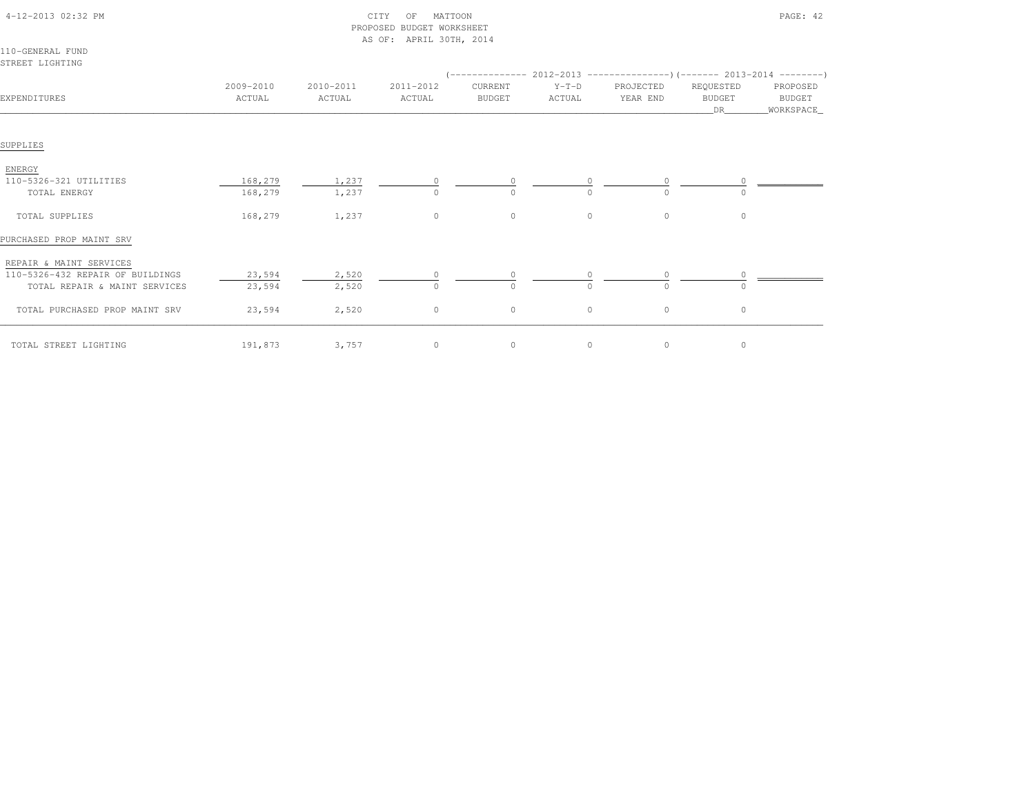| 4-12-2013 02:32 PM                  |                     |                     | CITY<br>OF<br>MATTOON<br>PROPOSED BUDGET WORKSHEET |                          |                   |                       |                                  | PAGE: 42                        |
|-------------------------------------|---------------------|---------------------|----------------------------------------------------|--------------------------|-------------------|-----------------------|----------------------------------|---------------------------------|
| 110-GENERAL FUND<br>STREET LIGHTING |                     |                     | AS OF: APRIL 30TH, 2014                            |                          |                   |                       |                                  |                                 |
| EXPENDITURES                        | 2009-2010<br>ACTUAL | 2010-2011<br>ACTUAL | 2011-2012<br>ACTUAL                                | CURRENT<br><b>BUDGET</b> | $Y-T-D$<br>ACTUAL | PROJECTED<br>YEAR END | REQUESTED<br><b>BUDGET</b><br>DR | PROPOSED<br>BUDGET<br>WORKSPACE |
| SUPPLIES                            |                     |                     |                                                    |                          |                   |                       |                                  |                                 |
| ENERGY                              |                     |                     |                                                    |                          |                   |                       |                                  |                                 |
| 110-5326-321 UTILITIES              | 168,279             | 1,237               |                                                    |                          |                   |                       |                                  |                                 |
| TOTAL ENERGY                        | 168,279             | 1,237               | $\Omega$                                           |                          | $\cap$            |                       | $\cap$                           |                                 |
| TOTAL SUPPLIES                      | 168,279             | 1,237               | $\circ$                                            | $\circ$                  | $\circ$           | $\circ$               | $\circ$                          |                                 |
| PURCHASED PROP MAINT SRV            |                     |                     |                                                    |                          |                   |                       |                                  |                                 |
| REPAIR & MAINT SERVICES             |                     |                     |                                                    |                          |                   |                       |                                  |                                 |
| 110-5326-432 REPAIR OF BUILDINGS    | 23,594              | 2,520               |                                                    |                          | $\circ$           |                       | $\circ$                          |                                 |
| TOTAL REPAIR & MAINT SERVICES       | 23,594              | 2,520               | $\Omega$                                           | $\Omega$                 | $\Omega$          | $\Omega$              | $\Omega$                         |                                 |
| TOTAL PURCHASED PROP MAINT SRV      | 23,594              | 2,520               | 0                                                  | $\circ$                  | $\circ$           | $\circ$               | $\circ$                          |                                 |
| TOTAL STREET LIGHTING               | 191,873             | 3,757               | $\circ$                                            | $\circ$                  | $\circ$           | $\circ$               | $\circ$                          |                                 |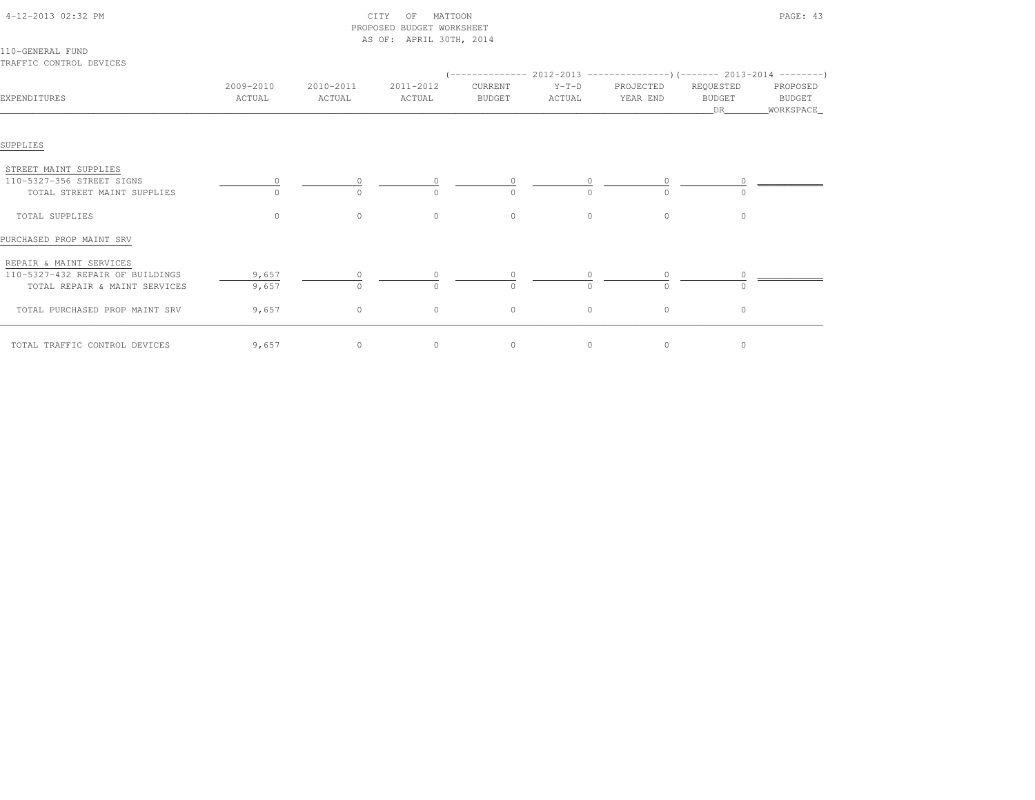|                                                                                              |                     |                     | PROPOSED BUDGET WORKSHEET |                          |                   |                                                                      |                                  |                                          |
|----------------------------------------------------------------------------------------------|---------------------|---------------------|---------------------------|--------------------------|-------------------|----------------------------------------------------------------------|----------------------------------|------------------------------------------|
| 110-GENERAL FUND<br>TRAFFIC CONTROL DEVICES                                                  |                     |                     | AS OF: APRIL 30TH, 2014   |                          |                   | $(---------- 2012-2013$ ---------------) (------- 2013-2014 -------) |                                  |                                          |
| EXPENDITURES                                                                                 | 2009-2010<br>ACTUAL | 2010-2011<br>ACTUAL | 2011-2012<br>ACTUAL       | CURRENT<br><b>BUDGET</b> | $Y-T-D$<br>ACTUAL | PROJECTED<br>YEAR END                                                | REQUESTED<br><b>BUDGET</b><br>DR | PROPOSED<br><b>BUDGET</b><br>_WORKSPACE_ |
| SUPPLIES                                                                                     |                     |                     |                           |                          |                   |                                                                      |                                  |                                          |
| STREET MAINT SUPPLIES<br>110-5327-356 STREET SIGNS<br>TOTAL STREET MAINT SUPPLIES            |                     |                     |                           |                          |                   | $\cap$                                                               |                                  |                                          |
| TOTAL SUPPLIES                                                                               | $\Omega$            | $\circ$             | $\circ$                   | $\circ$                  | $\Omega$          | $\circ$                                                              | $\circ$                          |                                          |
| PURCHASED PROP MAINT SRV                                                                     |                     |                     |                           |                          |                   |                                                                      |                                  |                                          |
| REPAIR & MAINT SERVICES<br>110-5327-432 REPAIR OF BUILDINGS<br>TOTAL REPAIR & MAINT SERVICES | 9,657<br>9,657      | $\bigcap$           | $\cap$                    | $\Omega$                 | $\cap$            | $\cap$                                                               | $\cap$                           |                                          |
| TOTAL PURCHASED PROP MAINT SRV                                                               | 9,657               | $\circ$             | $\circ$                   | $\circ$                  | $\circ$           | $\circ$                                                              | $\circ$                          |                                          |
| TOTAL TRAFFIC CONTROL DEVICES                                                                | 9,657               | $\circ$             | $\circ$                   | $\circ$                  | $\circ$           | $\overline{0}$                                                       | $\circ$                          |                                          |

4-12-2013 02:32 PM CITY OF MATTOON PAGE: 43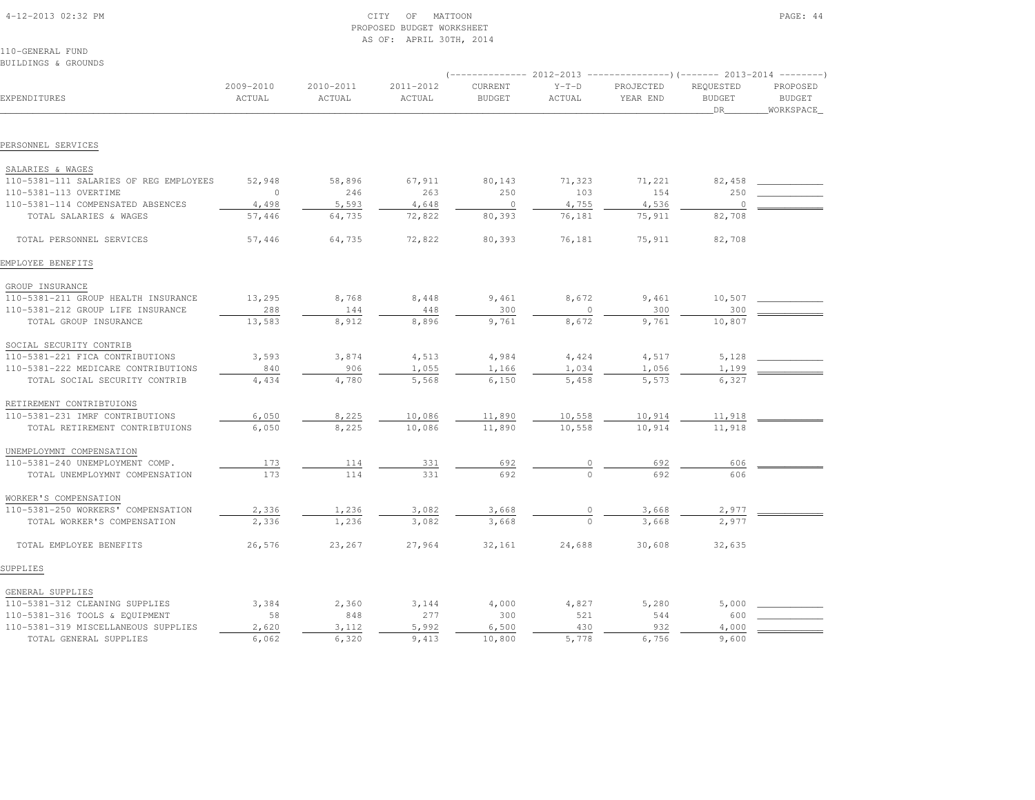| 4-12-2013 02:32 PM |  |
|--------------------|--|

### CITY OF MATTOON PAGE: 44 PROPOSED BUDGET WORKSHEETAS OF: APRIL 30TH, 2014

110-GENERAL FUNDBUILDINGS & GROUNDS

|                                        |                     |                     |                     |                          |                   | $(----------2012-2013$ ---------------) (------- 2013-2014 -------) |                                  |                                          |
|----------------------------------------|---------------------|---------------------|---------------------|--------------------------|-------------------|---------------------------------------------------------------------|----------------------------------|------------------------------------------|
| EXPENDITURES                           | 2009-2010<br>ACTUAL | 2010-2011<br>ACTUAL | 2011-2012<br>ACTUAL | CURRENT<br><b>BUDGET</b> | $Y-T-D$<br>ACTUAL | PROJECTED<br>YEAR END                                               | REQUESTED<br><b>BUDGET</b><br>DR | PROPOSED<br><b>BUDGET</b><br>_WORKSPACE_ |
|                                        |                     |                     |                     |                          |                   |                                                                     |                                  |                                          |
| PERSONNEL SERVICES                     |                     |                     |                     |                          |                   |                                                                     |                                  |                                          |
| SALARIES & WAGES                       |                     |                     |                     |                          |                   |                                                                     |                                  |                                          |
| 110-5381-111 SALARIES OF REG EMPLOYEES | 52,948              | 58,896              | 67,911              | 80,143                   | 71,323            | 71,221                                                              | 82,458                           |                                          |
| 110-5381-113 OVERTIME                  | $\Omega$            | 246                 | 263                 | 250                      | 103               | 154                                                                 | 250                              |                                          |
| 110-5381-114 COMPENSATED ABSENCES      | 4,498               | 5,593               | 4,648               | $\circ$                  | 4,755             | 4,536                                                               | $\circ$                          |                                          |
| TOTAL SALARIES & WAGES                 | 57,446              | 64,735              | 72,822              | 80,393                   | 76,181            | 75,911                                                              | 82,708                           |                                          |
| TOTAL PERSONNEL SERVICES               | 57,446              | 64,735              | 72,822              | 80,393                   | 76,181            | 75,911                                                              | 82,708                           |                                          |
| EMPLOYEE BENEFITS                      |                     |                     |                     |                          |                   |                                                                     |                                  |                                          |
| GROUP INSURANCE                        |                     |                     |                     |                          |                   |                                                                     |                                  |                                          |
| 110-5381-211 GROUP HEALTH INSURANCE    | 13,295              | 8,768               | 8,448               | 9,461                    | 8,672             | 9,461                                                               | 10,507                           |                                          |
| 110-5381-212 GROUP LIFE INSURANCE      | 288                 | 144                 | 448                 | 300                      | $\mathbf{0}$      | 300                                                                 | 300                              |                                          |
| TOTAL GROUP INSURANCE                  | 13,583              | 8,912               | 8,896               | 9,761                    | 8,672             | 9,761                                                               | 10,807                           |                                          |
| SOCIAL SECURITY CONTRIB                |                     |                     |                     |                          |                   |                                                                     |                                  |                                          |
| 110-5381-221 FICA CONTRIBUTIONS        | 3,593               | 3,874               | 4,513               | 4,984                    | 4,424             | 4,517                                                               | 5,128                            |                                          |
| 110-5381-222 MEDICARE CONTRIBUTIONS    | 840                 | 906                 | 1,055               | 1,166                    | 1,034             | 1,056                                                               | 1,199                            |                                          |
| TOTAL SOCIAL SECURITY CONTRIB          | 4,434               | 4,780               | 5,568               | 6,150                    | 5,458             | 5,573                                                               | 6,327                            |                                          |
| RETIREMENT CONTRIBTUIONS               |                     |                     |                     |                          |                   |                                                                     |                                  |                                          |
| 110-5381-231 IMRF CONTRIBUTIONS        | 6,050               | 8,225               | 10,086              | 11,890                   | 10,558            | 10,914                                                              | 11,918                           |                                          |
| TOTAL RETIREMENT CONTRIBTUIONS         | 6,050               | 8,225               | 10,086              | 11,890                   | 10,558            | 10,914                                                              | 11,918                           |                                          |
| UNEMPLOYMNT COMPENSATION               |                     |                     |                     |                          |                   |                                                                     |                                  |                                          |
| 110-5381-240 UNEMPLOYMENT COMP.        | 173                 | 114                 | 331                 | 692                      |                   | 692                                                                 | 606                              |                                          |
| TOTAL UNEMPLOYMNT COMPENSATION         | 173                 | 114                 | 331                 | 692                      |                   | 692                                                                 | 606                              |                                          |
| WORKER'S COMPENSATION                  |                     |                     |                     |                          |                   |                                                                     |                                  |                                          |
| 110-5381-250 WORKERS' COMPENSATION     | 2,336               | 1,236               | 3,082               | 3,668                    |                   | 3,668                                                               | 2,977                            |                                          |
| TOTAL WORKER'S COMPENSATION            | 2,336               | 1,236               | 3,082               | 3,668                    |                   | 3,668                                                               | 2.977                            |                                          |
| TOTAL EMPLOYEE BENEFITS                | 26,576              | 23,267              | 27,964              | 32,161                   | 24,688            | 30,608                                                              | 32,635                           |                                          |
| SUPPLIES                               |                     |                     |                     |                          |                   |                                                                     |                                  |                                          |
| GENERAL SUPPLIES                       |                     |                     |                     |                          |                   |                                                                     |                                  |                                          |
| 110-5381-312 CLEANING SUPPLIES         | 3,384               | 2,360               | 3,144               | 4,000                    | 4,827             | 5,280                                                               | 5,000                            |                                          |
| 110-5381-316 TOOLS & EQUIPMENT         | 58                  | 848                 | 277                 | 300                      | 521               | 544                                                                 | 600                              |                                          |
| 110-5381-319 MISCELLANEOUS SUPPLIES    | 2,620               | 3,112               | 5,992               | 6,500                    | 430               | 932                                                                 | 4,000                            |                                          |
| TOTAL GENERAL SUPPLIES                 | 6,062               | 6,320               | 9,413               | 10,800                   | 5,778             | 6,756                                                               | 9,600                            |                                          |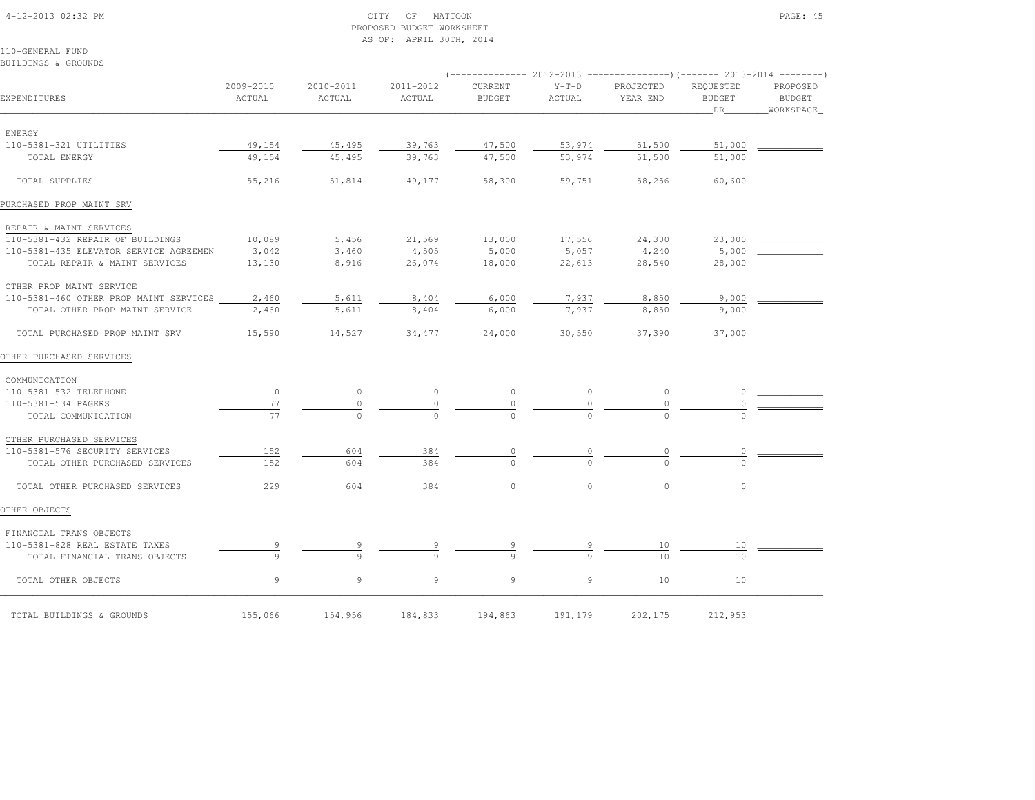### 4-12-2013 02:32 PM CITY OF MATTOON PAGE: 45 PROPOSED BUDGET WORKSHEETAS OF: APRIL 30TH, 2014

110-GENERAL FUNDBUILDINGS & GROUNDS

|                                              |                     |                     |                     |                          |                   | (-------------- 2012-2013 ----------------) (------- 2013-2014 --------' |                                  |                                          |
|----------------------------------------------|---------------------|---------------------|---------------------|--------------------------|-------------------|--------------------------------------------------------------------------|----------------------------------|------------------------------------------|
| EXPENDITURES                                 | 2009-2010<br>ACTUAL | 2010-2011<br>ACTUAL | 2011-2012<br>ACTUAL | CURRENT<br><b>BUDGET</b> | $Y-T-D$<br>ACTUAL | PROJECTED<br>YEAR END                                                    | REQUESTED<br><b>BUDGET</b><br>DR | PROPOSED<br><b>BUDGET</b><br>_WORKSPACE_ |
| ENERGY                                       |                     |                     |                     |                          |                   |                                                                          |                                  |                                          |
| 110-5381-321 UTILITIES                       | 49,154              | 45,495              | 39,763              | 47,500                   | 53,974            | 51,500                                                                   | 51,000                           |                                          |
| TOTAL ENERGY                                 | 49,154              | 45,495              | 39,763              | 47,500                   | 53,974            | 51,500                                                                   | 51,000                           |                                          |
| TOTAL SUPPLIES                               | 55,216              | 51,814              | 49,177              | 58,300                   | 59,751            | 58,256                                                                   | 60,600                           |                                          |
| PURCHASED PROP MAINT SRV                     |                     |                     |                     |                          |                   |                                                                          |                                  |                                          |
| REPAIR & MAINT SERVICES                      |                     |                     |                     |                          |                   |                                                                          |                                  |                                          |
| 110-5381-432 REPAIR OF BUILDINGS             | 10,089              | 5,456               | 21,569              | 13,000                   | 17,556            | 24,300                                                                   | 23,000                           |                                          |
| 110-5381-435 ELEVATOR SERVICE AGREEMEN 3,042 |                     | 3,460               | 4,505               | 5,000                    | 5,057             | 4,240                                                                    | 5,000                            |                                          |
| TOTAL REPAIR & MAINT SERVICES                | 13,130              | 8,916               | 26,074              | 18,000                   | 22,613            | 28,540                                                                   | 28,000                           |                                          |
| OTHER PROP MAINT SERVICE                     |                     |                     |                     |                          |                   |                                                                          |                                  |                                          |
| 110-5381-460 OTHER PROP MAINT SERVICES       | 2,460               | 5,611               | 8,404               | 6,000                    | 7,937             | 8,850                                                                    | 9,000                            |                                          |
| TOTAL OTHER PROP MAINT SERVICE               | 2,460               | 5,611               | 8,404               | 6,000                    | 7,937             | 8,850                                                                    | 9,000                            |                                          |
| TOTAL PURCHASED PROP MAINT SRV               | 15,590              | 14,527              | 34,477              | 24,000                   | 30,550            | 37,390                                                                   | 37,000                           |                                          |
| OTHER PURCHASED SERVICES                     |                     |                     |                     |                          |                   |                                                                          |                                  |                                          |
| COMMUNICATION                                |                     |                     |                     |                          |                   |                                                                          |                                  |                                          |
| 110-5381-532 TELEPHONE                       | $\circ$             | $\circ$             | $\circ$             | $\circ$                  | $\circ$           | $\circ$                                                                  | $\circ$                          |                                          |
| 110-5381-534 PAGERS                          | 77                  | $\circ$             | $\circ$             |                          | 0                 |                                                                          |                                  |                                          |
| TOTAL COMMUNICATION                          | 77                  | $\Omega$            | $\Omega$            |                          |                   |                                                                          |                                  |                                          |
| OTHER PURCHASED SERVICES                     |                     |                     |                     |                          |                   |                                                                          |                                  |                                          |
| 110-5381-576 SECURITY SERVICES               | 152                 | 604                 | 384                 | 0                        | 0                 | 0                                                                        | 0                                |                                          |
| TOTAL OTHER PURCHASED SERVICES               | 152                 | 604                 | 384                 | $\cap$                   | $\Omega$          |                                                                          | $\Omega$                         |                                          |
| TOTAL OTHER PURCHASED SERVICES               | 229                 | 604                 | 384                 | $\circ$                  | $\circ$           | $\circ$                                                                  | $\circ$                          |                                          |
| OTHER OBJECTS                                |                     |                     |                     |                          |                   |                                                                          |                                  |                                          |
| FINANCIAL TRANS OBJECTS                      |                     |                     |                     |                          |                   |                                                                          |                                  |                                          |
| 110-5381-828 REAL ESTATE TAXES               |                     |                     |                     |                          |                   | 10                                                                       | 10                               |                                          |
| TOTAL FINANCIAL TRANS OBJECTS                | 9                   | $\circ$             |                     |                          |                   | 10                                                                       | 10                               |                                          |
| TOTAL OTHER OBJECTS                          | 9                   | 9                   | 9                   | 9                        | 9                 | 10                                                                       | 10                               |                                          |
| TOTAL BUILDINGS & GROUNDS                    | 155,066             | 154,956             | 184,833             | 194,863                  | 191,179           | 202,175                                                                  | 212,953                          |                                          |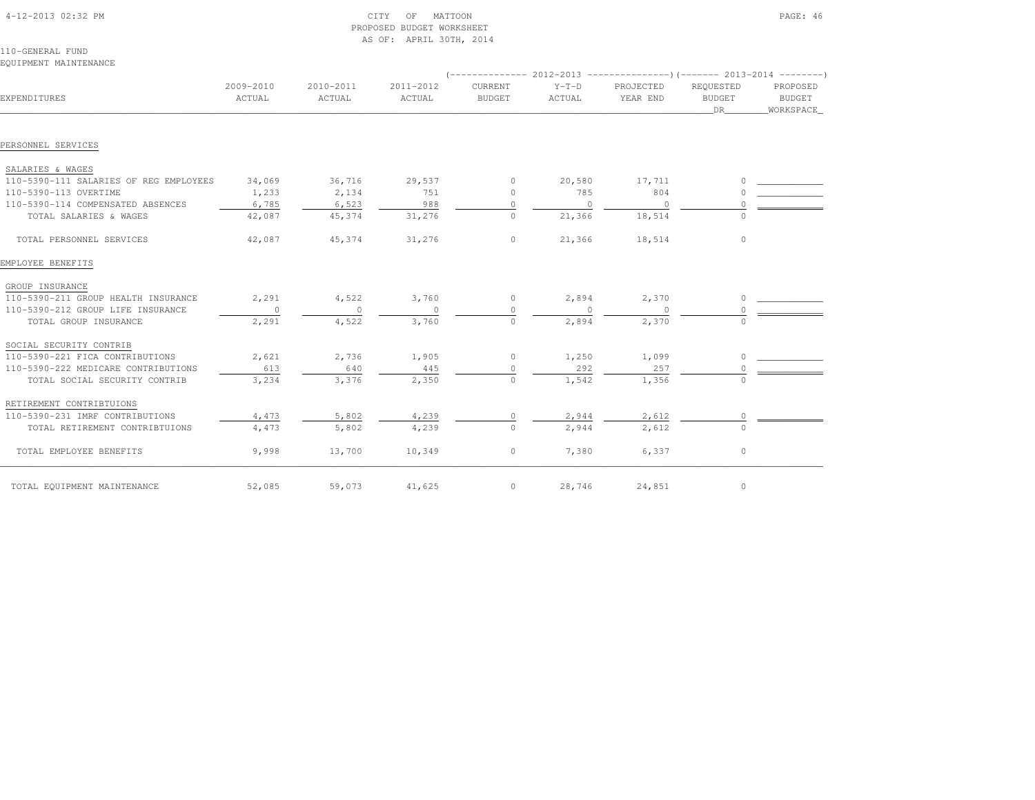| 4-12-2013 02:32 PM |  |
|--------------------|--|
|                    |  |

# $\text{CITY}$  of MATTOON  $\text{PAGE: } 46$  PROPOSED BUDGET WORKSHEETAS OF: APRIL 30TH, 2014

110-GENERAL FUNDEQUIPMENT MAINTENANCE

| EXPENDITURES                           | 2009-2010<br>ACTUAL | 2010-2011<br>ACTUAL | 2011-2012<br>ACTUAL | CURRENT<br><b>BUDGET</b> | $Y-T-D$<br>ACTUAL | PROJECTED<br>YEAR END | REQUESTED<br><b>BUDGET</b><br>DR | PROPOSED<br><b>BUDGET</b><br>WORKSPACE |
|----------------------------------------|---------------------|---------------------|---------------------|--------------------------|-------------------|-----------------------|----------------------------------|----------------------------------------|
| PERSONNEL SERVICES                     |                     |                     |                     |                          |                   |                       |                                  |                                        |
|                                        |                     |                     |                     |                          |                   |                       |                                  |                                        |
| SALARIES & WAGES                       |                     |                     |                     |                          |                   |                       |                                  |                                        |
| 110-5390-111 SALARIES OF REG EMPLOYEES | 34,069              | 36,716              | 29,537              | $\circ$                  | 20,580            | 17,711                |                                  |                                        |
| 110-5390-113 OVERTIME                  | 1,233               | 2,134               | 751                 | $\circ$                  | 785               | 804                   |                                  |                                        |
| 110-5390-114 COMPENSATED ABSENCES      | 6,785               | 6,523               | 988                 | $\Omega$                 | $\Omega$          | $\Omega$              |                                  |                                        |
| TOTAL SALARIES & WAGES                 | 42,087              | 45,374              | 31,276              | $\circ$                  | 21,366            | 18,514                | $\Omega$                         |                                        |
| TOTAL PERSONNEL SERVICES               | 42,087              | 45,374              | 31,276              | $\circ$                  | 21,366            | 18,514                | $\circ$                          |                                        |
| EMPLOYEE BENEFITS                      |                     |                     |                     |                          |                   |                       |                                  |                                        |
| GROUP INSURANCE                        |                     |                     |                     |                          |                   |                       |                                  |                                        |
| 110-5390-211 GROUP HEALTH INSURANCE    | 2,291               | 4,522               | 3,760               | $\circ$                  | 2,894             | 2,370                 | $\cap$                           |                                        |
| 110-5390-212 GROUP LIFE INSURANCE      | $\circ$             | $\circ$             | $\circ$             | $\circ$                  | $\circ$           | $\overline{0}$        |                                  |                                        |
| TOTAL GROUP INSURANCE                  | 2,291               | 4,522               | 3,760               | $\Omega$                 | 2,894             | 2,370                 | $\cap$                           |                                        |
| SOCIAL SECURITY CONTRIB                |                     |                     |                     |                          |                   |                       |                                  |                                        |
| 110-5390-221 FICA CONTRIBUTIONS        | 2,621               | 2,736               | 1,905               | $\circ$                  | 1,250             | 1,099                 |                                  |                                        |
| 110-5390-222 MEDICARE CONTRIBUTIONS    | 613                 | 640                 | 445                 | $\circ$                  | 292               | 257                   |                                  |                                        |
| TOTAL SOCIAL SECURITY CONTRIB          | 3,234               | 3,376               | 2,350               | $\Omega$                 | 1,542             | 1,356                 |                                  |                                        |
| RETIREMENT CONTRIBTUIONS               |                     |                     |                     |                          |                   |                       |                                  |                                        |
| 110-5390-231 IMRF CONTRIBUTIONS        | 4,473               | 5,802               | 4,239               | $\circ$                  | 2,944             | 2,612                 | 0                                |                                        |
| TOTAL RETIREMENT CONTRIBTUIONS         | 4,473               | 5,802               | 4,239               | $\Omega$                 | 2,944             | 2,612                 | $\Omega$                         |                                        |
| TOTAL EMPLOYEE BENEFITS                | 9,998               | 13,700              | 10,349              | $\circ$                  | 7,380             | 6,337                 | $\circ$                          |                                        |
| TOTAL EQUIPMENT MAINTENANCE            | 52,085              | 59,073              | 41,625              | $\circ$                  | 28,746            | 24,851                | $\circ$                          |                                        |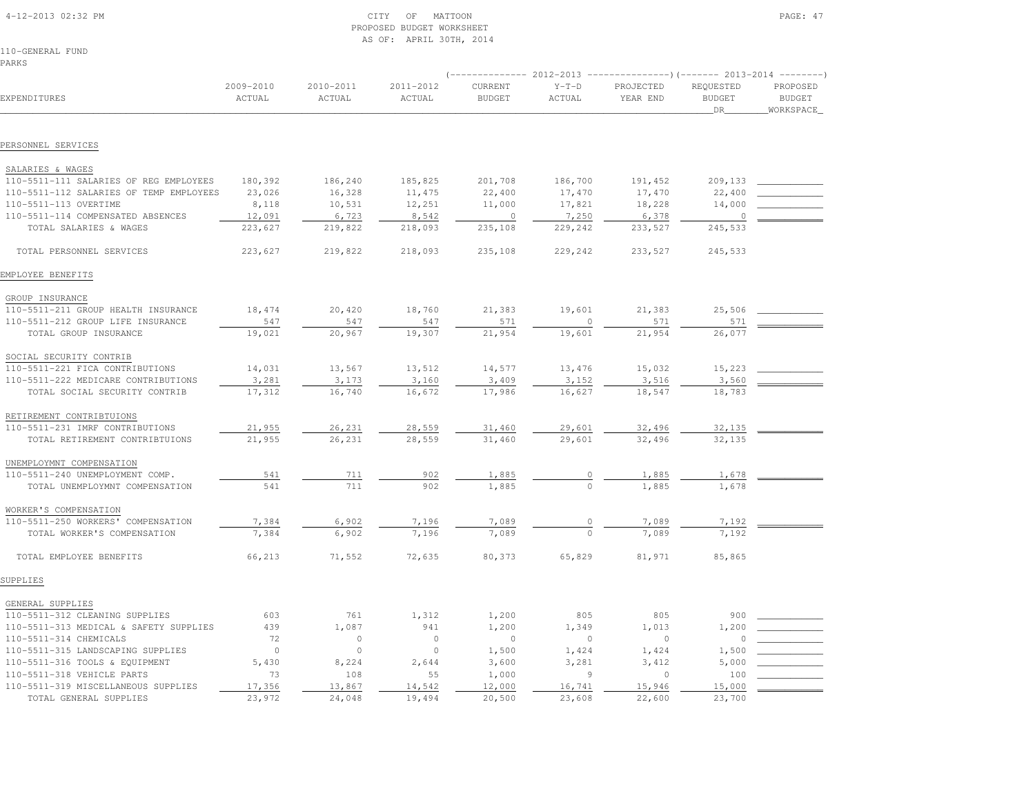| 4-12-2013 02:32 PM |  |
|--------------------|--|

### $\text{CITY}$  of MATTOON PAGE: 47 PROPOSED BUDGET WORKSHEETAS OF: APRIL 30TH, 2014

110-GENERAL FUNDPARKS

|                                         |                     |                     |                     |                                 | $(---------- 2012-2013$ ---------------) (------- 2013-2014 -------) |                       |                                  |                                        |  |  |
|-----------------------------------------|---------------------|---------------------|---------------------|---------------------------------|----------------------------------------------------------------------|-----------------------|----------------------------------|----------------------------------------|--|--|
| EXPENDITURES                            | 2009-2010<br>ACTUAL | 2010-2011<br>ACTUAL | 2011-2012<br>ACTUAL | <b>CURRENT</b><br><b>BUDGET</b> | $Y-T-D$<br>ACTUAL                                                    | PROJECTED<br>YEAR END | REQUESTED<br><b>BUDGET</b><br>DR | PROPOSED<br><b>BUDGET</b><br>WORKSPACE |  |  |
|                                         |                     |                     |                     |                                 |                                                                      |                       |                                  |                                        |  |  |
| PERSONNEL SERVICES                      |                     |                     |                     |                                 |                                                                      |                       |                                  |                                        |  |  |
| SALARIES & WAGES                        |                     |                     |                     |                                 |                                                                      |                       |                                  |                                        |  |  |
| 110-5511-111 SALARIES OF REG EMPLOYEES  | 180,392             | 186,240             | 185,825             | 201,708                         | 186,700                                                              | 191,452               | 209,133                          |                                        |  |  |
| 110-5511-112 SALARIES OF TEMP EMPLOYEES | 23,026              | 16,328              | 11,475              | 22,400                          | 17,470                                                               | 17,470                | 22,400                           |                                        |  |  |
| 110-5511-113 OVERTIME                   | 8,118               | 10,531              | 12,251              | 11,000                          | 17,821                                                               | 18,228                | 14,000                           |                                        |  |  |
| 110-5511-114 COMPENSATED ABSENCES       | 12,091              | 6,723               | 8,542               | $\overline{0}$                  | 7,250                                                                | 6,378                 | $\circ$                          |                                        |  |  |
| TOTAL SALARIES & WAGES                  | 223,627             | 219,822             | 218,093             | 235,108                         | 229,242                                                              | 233,527               | 245,533                          |                                        |  |  |
| TOTAL PERSONNEL SERVICES                | 223,627             | 219,822             | 218,093             | 235,108                         | 229,242                                                              | 233,527               | 245,533                          |                                        |  |  |
| EMPLOYEE BENEFITS                       |                     |                     |                     |                                 |                                                                      |                       |                                  |                                        |  |  |
| GROUP INSURANCE                         |                     |                     |                     |                                 |                                                                      |                       |                                  |                                        |  |  |
| 110-5511-211 GROUP HEALTH INSURANCE     | 18,474              | 20,420              | 18,760              | 21,383                          | 19,601                                                               | 21,383                | 25,506                           |                                        |  |  |
| 110-5511-212 GROUP LIFE INSURANCE       | 547                 | 547                 | 547                 | 571                             | $\circ$                                                              | 571                   | 571                              |                                        |  |  |
| TOTAL GROUP INSURANCE                   | 19,021              | 20,967              | 19,307              | 21,954                          | 19,601                                                               | 21,954                | 26,077                           |                                        |  |  |
| SOCIAL SECURITY CONTRIB                 |                     |                     |                     |                                 |                                                                      |                       |                                  |                                        |  |  |
| 110-5511-221 FICA CONTRIBUTIONS         | 14,031              | 13,567              | 13,512              | 14,577                          | 13,476                                                               | 15,032                | 15,223                           |                                        |  |  |
| 110-5511-222 MEDICARE CONTRIBUTIONS     | 3,281               | 3,173               | 3,160               | 3,409                           | 3,152                                                                | 3,516                 | 3,560                            |                                        |  |  |
| TOTAL SOCIAL SECURITY CONTRIB           | 17,312              | 16,740              | 16,672              | 17,986                          | 16,627                                                               | 18,547                | 18,783                           |                                        |  |  |
| RETIREMENT CONTRIBTUIONS                |                     |                     |                     |                                 |                                                                      |                       |                                  |                                        |  |  |
| 110-5511-231 IMRF CONTRIBUTIONS         | 21,955              | 26,231              | 28,559              | 31,460                          | 29,601                                                               | 32,496                | 32,135                           |                                        |  |  |
| TOTAL RETIREMENT CONTRIBTUIONS          | 21,955              | 26,231              | 28,559              | 31,460                          | 29,601                                                               | 32,496                | 32,135                           |                                        |  |  |
| UNEMPLOYMNT COMPENSATION                |                     |                     |                     |                                 |                                                                      |                       |                                  |                                        |  |  |
| 110-5511-240 UNEMPLOYMENT COMP.         | 541                 | 711                 | 902                 | 1,885                           | $\circ$                                                              | 1,885                 | 1,678                            |                                        |  |  |
| TOTAL UNEMPLOYMNT COMPENSATION          | 541                 | 711                 | 902                 | 1,885                           | $\Omega$                                                             | 1,885                 | 1,678                            |                                        |  |  |
| WORKER'S COMPENSATION                   |                     |                     |                     |                                 |                                                                      |                       |                                  |                                        |  |  |
| 110-5511-250 WORKERS' COMPENSATION      | 7,384               | 6,902               | 7,196               | 7,089                           | $\circ$                                                              | 7,089                 | 7,192                            |                                        |  |  |
| TOTAL WORKER'S COMPENSATION             | 7,384               | 6,902               | 7,196               | 7,089                           | $\Omega$                                                             | 7,089                 | 7,192                            |                                        |  |  |
| TOTAL EMPLOYEE BENEFITS                 | 66,213              | 71,552              | 72,635              | 80,373                          | 65,829                                                               | 81,971                | 85,865                           |                                        |  |  |
| SUPPLIES                                |                     |                     |                     |                                 |                                                                      |                       |                                  |                                        |  |  |
| GENERAL SUPPLIES                        |                     |                     |                     |                                 |                                                                      |                       |                                  |                                        |  |  |

| GENERAL SUFFILLS                       |        |        |        |        |        |        |        |  |
|----------------------------------------|--------|--------|--------|--------|--------|--------|--------|--|
| 110-5511-312 CLEANING SUPPLIES         | 603    | 761    | 1,312  | 1,200  | 805    | 805    | 900    |  |
| 110-5511-313 MEDICAL & SAFETY SUPPLIES | 439    | .,087  | 941    | 1,200  | 1,349  | 1,013  | 1.200  |  |
| 110-5511-314 CHEMICALS                 |        |        |        |        |        |        |        |  |
| 110-5511-315 LANDSCAPING SUPPLIES      |        |        |        | L,500  | 1,424  | 1,424  | 1,500  |  |
| 110-5511-316 TOOLS & EQUIPMENT         | 5,430  | 8,224  | 2,644  | 3,600  | 3,281  | 3,412  | 5,000  |  |
| 110-5511-318 VEHICLE PARTS             |        | 108    | 55     | 1,000  |        |        | 100    |  |
| 110-5511-319 MISCELLANEOUS SUPPLIES    | 17,356 | 13,867 | 14,542 | 12,000 | 16,741 | 15,946 | 15,000 |  |
| TOTAL GENERAL SUPPLIES                 | 23,972 | 24,048 | 19,494 | 20,500 | 23,608 | 22,600 | 23,700 |  |
|                                        |        |        |        |        |        |        |        |  |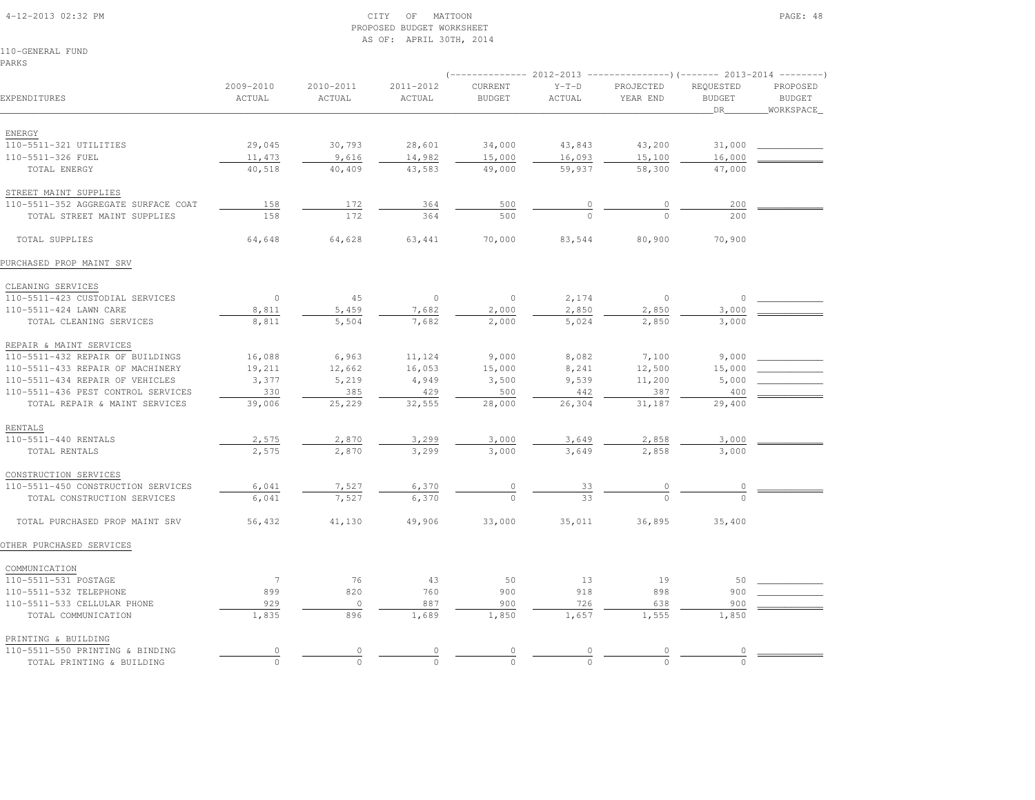### 4-12-2013 02:32 PM CITY OF MATTOON PAGE: 48 PROPOSED BUDGET WORKSHEETAS OF: APRIL 30TH, 2014

110-GENERAL FUNDPARKS

|                                                             |                     |                     |                     |                          |                   | $(-$ -------------- 2012-2013 -----------------) (------- 2013-2014 ---------) |                                  |                                        |  |
|-------------------------------------------------------------|---------------------|---------------------|---------------------|--------------------------|-------------------|--------------------------------------------------------------------------------|----------------------------------|----------------------------------------|--|
| EXPENDITURES                                                | 2009-2010<br>ACTUAL | 2010-2011<br>ACTUAL | 2011-2012<br>ACTUAL | CURRENT<br><b>BUDGET</b> | $Y-T-D$<br>ACTUAL | PROJECTED<br>YEAR END                                                          | REQUESTED<br><b>BUDGET</b><br>DR | PROPOSED<br><b>BUDGET</b><br>WORKSPACE |  |
|                                                             |                     |                     |                     |                          |                   |                                                                                |                                  |                                        |  |
| ENERGY                                                      |                     |                     |                     |                          |                   |                                                                                |                                  |                                        |  |
| 110-5511-321 UTILITIES                                      | 29,045              | 30,793              | 28,601              | 34,000                   | 43,843            | 43,200                                                                         | 31,000                           |                                        |  |
| 110-5511-326 FUEL                                           | 11,473              | 9,616               | 14,982              | 15,000                   | 16,093            | 15,100                                                                         | 16,000                           |                                        |  |
| TOTAL ENERGY                                                | 40,518              | 40,409              | 43,583              | 49,000                   | 59,937            | 58,300                                                                         | 47,000                           |                                        |  |
| STREET MAINT SUPPLIES                                       |                     |                     |                     |                          |                   |                                                                                |                                  |                                        |  |
| 110-5511-352 AGGREGATE SURFACE COAT                         | 158                 | 172                 | 364                 | 500                      | 0                 | 0                                                                              | 200                              |                                        |  |
| TOTAL STREET MAINT SUPPLIES                                 | 158                 | 172                 | 364                 | 500                      |                   | $\Omega$                                                                       | 200                              |                                        |  |
| TOTAL SUPPLIES                                              | 64,648              | 64,628              | 63,441              | 70,000                   | 83,544            | 80,900                                                                         | 70,900                           |                                        |  |
| PURCHASED PROP MAINT SRV                                    |                     |                     |                     |                          |                   |                                                                                |                                  |                                        |  |
| CLEANING SERVICES                                           |                     |                     |                     |                          |                   |                                                                                |                                  |                                        |  |
| 110-5511-423 CUSTODIAL SERVICES                             | $\circ$             | 45                  | $\circ$             | $\circ$                  | 2,174             | $\circ$                                                                        | $\circ$                          |                                        |  |
| 110-5511-424 LAWN CARE                                      | 8,811               | 5,459               | 7,682               | 2,000                    | 2,850             | 2,850                                                                          | 3,000                            |                                        |  |
| TOTAL CLEANING SERVICES                                     | 8,811               | 5,504               | 7,682               | 2,000                    | 5,024             | 2,850                                                                          | 3,000                            |                                        |  |
|                                                             |                     |                     |                     |                          |                   |                                                                                |                                  |                                        |  |
| REPAIR & MAINT SERVICES<br>110-5511-432 REPAIR OF BUILDINGS | 16,088              | 6,963               | 11,124              | 9,000                    | 8,082             | 7,100                                                                          | 9,000                            |                                        |  |
| 110-5511-433 REPAIR OF MACHINERY                            | 19,211              | 12,662              | 16,053              | 15,000                   | 8,241             | 12,500                                                                         | 15,000                           |                                        |  |
| 110-5511-434 REPAIR OF VEHICLES                             | 3,377               | 5,219               | 4,949               | 3,500                    | 9,539             | 11,200                                                                         | 5,000                            |                                        |  |
| 110-5511-436 PEST CONTROL SERVICES                          | 330                 | 385                 | 429                 | 500                      | 442               | 387                                                                            | 400                              |                                        |  |
| TOTAL REPAIR & MAINT SERVICES                               | 39,006              | 25,229              | 32,555              | 28,000                   | 26,304            | 31,187                                                                         | 29,400                           |                                        |  |
|                                                             |                     |                     |                     |                          |                   |                                                                                |                                  |                                        |  |
| <b>RENTALS</b>                                              |                     |                     |                     |                          |                   |                                                                                | 3,000                            |                                        |  |
| 110-5511-440 RENTALS<br>TOTAL RENTALS                       | 2,575<br>2,575      | 2,870<br>2,870      | 3,299<br>3,299      | 3,000<br>3,000           | 3,649<br>3,649    | 2,858<br>2,858                                                                 | 3,000                            |                                        |  |
|                                                             |                     |                     |                     |                          |                   |                                                                                |                                  |                                        |  |
| CONSTRUCTION SERVICES                                       |                     |                     |                     |                          |                   |                                                                                |                                  |                                        |  |
| 110-5511-450 CONSTRUCTION SERVICES                          | 6,041               | 7,527               | 6,370               |                          | 33                |                                                                                |                                  |                                        |  |
| TOTAL CONSTRUCTION SERVICES                                 | 6,041               | 7,527               | 6,370               |                          | 33                |                                                                                |                                  |                                        |  |
| TOTAL PURCHASED PROP MAINT SRV                              | 56,432              | 41,130              | 49,906              | 33,000                   | 35,011            | 36,895                                                                         | 35,400                           |                                        |  |
| OTHER PURCHASED SERVICES                                    |                     |                     |                     |                          |                   |                                                                                |                                  |                                        |  |
| COMMUNICATION                                               |                     |                     |                     |                          |                   |                                                                                |                                  |                                        |  |
| 110-5511-531 POSTAGE                                        | $7\phantom{.0}$     | 76                  | 43                  | 50                       | 13                | 19                                                                             | 50                               |                                        |  |
| 110-5511-532 TELEPHONE                                      | 899                 | 820                 | 760                 | 900                      | 918               | 898                                                                            | 900                              |                                        |  |
| 110-5511-533 CELLULAR PHONE                                 | 929                 | $\circ$             | 887                 | 900                      | 726               | 638                                                                            | 900                              |                                        |  |
| TOTAL COMMUNICATION                                         | 1,835               | 896                 | 1,689               | 1,850                    | 1,657             | 1,555                                                                          | 1,850                            |                                        |  |
| PRINTING & BUILDING                                         |                     |                     |                     |                          |                   |                                                                                |                                  |                                        |  |
| 110-5511-550 PRINTING & BINDING                             | $\circ$             |                     |                     |                          |                   |                                                                                |                                  |                                        |  |
| TOTAL PRINTING & BUILDING                                   | $\Omega$            |                     |                     |                          |                   |                                                                                |                                  |                                        |  |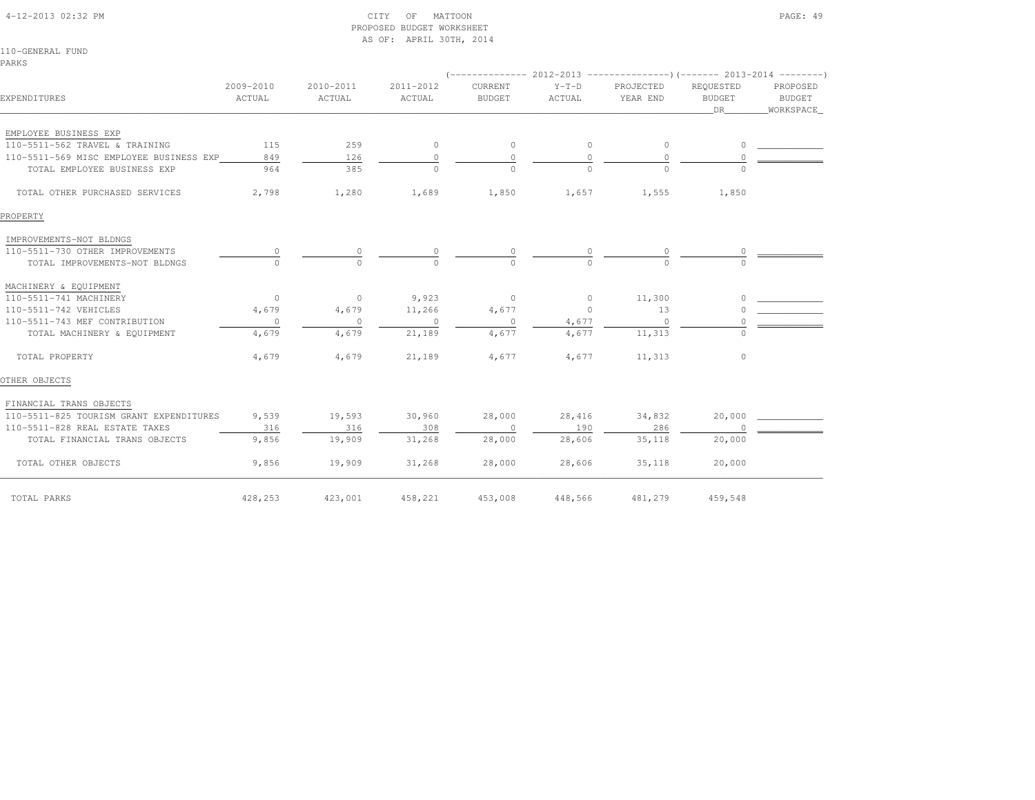| 110-GENERAL FUND                        |                     |                     | AS OF: APRIL 30TH, 2014 |                          |                   |                       |                                   |                                        |
|-----------------------------------------|---------------------|---------------------|-------------------------|--------------------------|-------------------|-----------------------|-----------------------------------|----------------------------------------|
| PARKS                                   |                     |                     |                         |                          |                   |                       |                                   |                                        |
|                                         |                     |                     |                         |                          |                   |                       |                                   |                                        |
| EXPENDITURES                            | 2009-2010<br>ACTUAL | 2010-2011<br>ACTUAL | 2011-2012<br>ACTUAL     | CURRENT<br><b>BUDGET</b> | $Y-T-D$<br>ACTUAL | PROJECTED<br>YEAR END | REQUESTED<br><b>BUDGET</b><br>DR. | PROPOSED<br><b>BUDGET</b><br>WORKSPACE |
| EMPLOYEE BUSINESS EXP                   |                     |                     |                         |                          |                   |                       |                                   |                                        |
| 110-5511-562 TRAVEL & TRAINING          | 115                 | 259                 | $\circ$                 | $\mathbf{0}$             | $\circ$           | $\circ$               | 0                                 |                                        |
| 110-5511-569 MISC EMPLOYEE BUSINESS EXP | 849                 | 126                 | $\circ$                 | $\circ$                  | $\circ$           | $\circ$               | 0                                 |                                        |
| TOTAL EMPLOYEE BUSINESS EXP             | 964                 | 385                 | $\Omega$                | $\Omega$                 |                   | $\Omega$              |                                   |                                        |
| TOTAL OTHER PURCHASED SERVICES          | 2,798               | 1,280               | 1,689                   | 1,850                    | 1,657             | 1,555                 | 1,850                             |                                        |
| PROPERTY                                |                     |                     |                         |                          |                   |                       |                                   |                                        |
| IMPROVEMENTS-NOT BLDNGS                 |                     |                     |                         |                          |                   |                       |                                   |                                        |
| 110-5511-730 OTHER IMPROVEMENTS         | $\circ$             | 0                   | 0                       | 0                        |                   | 0                     |                                   |                                        |
| TOTAL IMPROVEMENTS-NOT BLDNGS           |                     | $\cap$              | $\Omega$                | $\Omega$                 |                   | $\cap$                |                                   |                                        |
| MACHINERY & EQUIPMENT                   |                     |                     |                         |                          |                   |                       |                                   |                                        |
| 110-5511-741 MACHINERY                  | $\circ$             | $\circ$             | 9,923                   | $\mathbf{0}$             | $\circ$           | 11,300                |                                   |                                        |
| 110-5511-742 VEHICLES                   | 4,679               | 4,679               | 11,266                  | 4,677                    | $\circ$           | 13                    |                                   |                                        |
| 110-5511-743 MEF CONTRIBUTION           | $\circ$             | $\circ$             | $\circ$                 | $\circ$                  | 4,677             | $\Omega$              |                                   |                                        |
| TOTAL MACHINERY & EQUIPMENT             | 4,679               | 4,679               | 21,189                  | 4,677                    | 4,677             | 11,313                | $\circ$                           |                                        |
| TOTAL PROPERTY                          | 4,679               | 4,679               | 21,189                  | 4,677                    | 4,677             | 11,313                | $\circ$                           |                                        |
| OTHER OBJECTS                           |                     |                     |                         |                          |                   |                       |                                   |                                        |
| FINANCIAL TRANS OBJECTS                 |                     |                     |                         |                          |                   |                       |                                   |                                        |
| 110-5511-825 TOURISM GRANT EXPENDITURES | 9,539               | 19,593              | 30,960                  | 28,000                   | 28,416            | 34,832                | 20,000                            |                                        |
| 110-5511-828 REAL ESTATE TAXES          | 316                 | 316                 | 308                     | $\circ$                  | 190               | 286                   |                                   |                                        |
| TOTAL FINANCIAL TRANS OBJECTS           | 9,856               | 19,909              | 31,268                  | 28,000                   | 28,606            | 35,118                | 20,000                            |                                        |
| TOTAL OTHER OBJECTS                     | 9,856               | 19,909              | 31,268                  | 28,000                   | 28,606            | 35,118                | 20,000                            |                                        |
| TOTAL PARKS                             | 428,253             | 423,001             | 458,221                 | 453,008                  | 448,566           | 481,279               | 459,548                           |                                        |

PROPOSED BUDGET WORKSHEET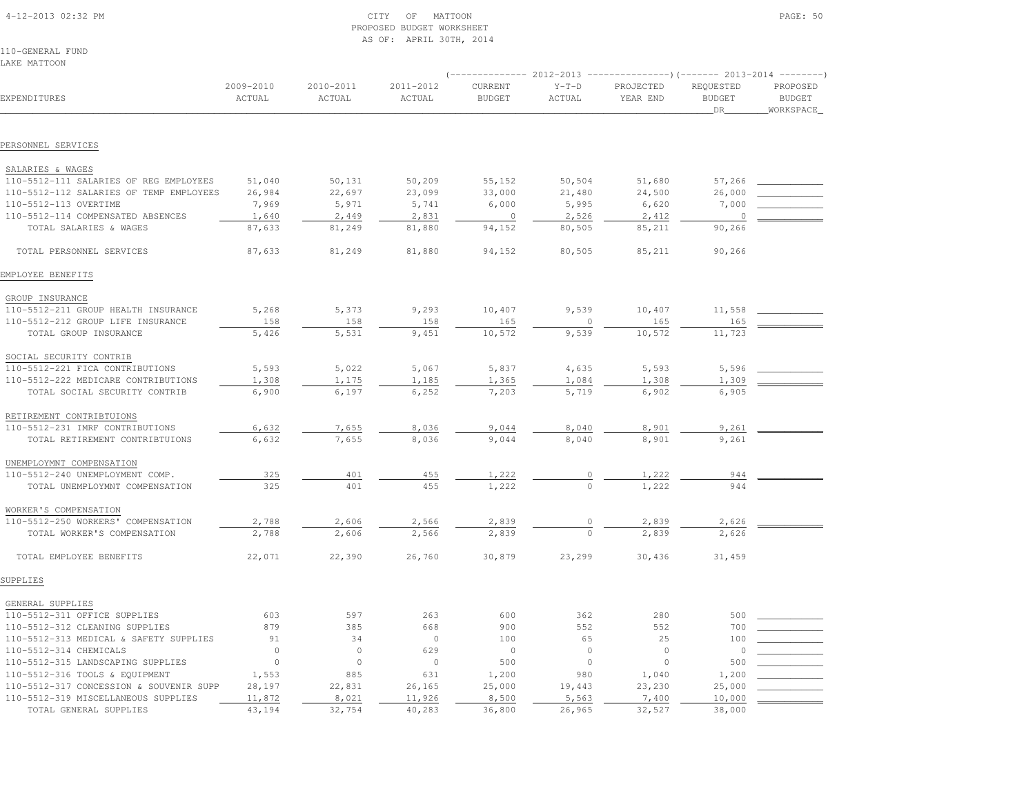| 4-12-2013 02:32 PM |  |
|--------------------|--|

# $\text{CITY}$  of MATTOON PAGE: 50 PROPOSED BUDGET WORKSHEETAS OF: APRIL 30TH, 2014

110-GENERAL FUNDLAKE MATTOON

| EXPENDITURES                                                | 2009-2010<br>ACTUAL | 2010-2011<br>ACTUAL | 2011-2012<br>ACTUAL | CURRENT<br><b>BUDGET</b> | $Y-T-D$<br>ACTUAL | PROJECTED<br>YEAR END | REQUESTED<br><b>BUDGET</b><br>DR | PROPOSED<br><b>BUDGET</b><br>WORKSPACE |  |
|-------------------------------------------------------------|---------------------|---------------------|---------------------|--------------------------|-------------------|-----------------------|----------------------------------|----------------------------------------|--|
| PERSONNEL SERVICES                                          |                     |                     |                     |                          |                   |                       |                                  |                                        |  |
|                                                             |                     |                     |                     |                          |                   |                       |                                  |                                        |  |
| SALARIES & WAGES                                            |                     |                     |                     |                          |                   |                       |                                  |                                        |  |
| 110-5512-111 SALARIES OF REG EMPLOYEES                      | 51,040              | 50,131              | 50,209              | 55,152                   | 50,504            | 51,680                | 57,266                           |                                        |  |
| 110-5512-112 SALARIES OF TEMP EMPLOYEES                     | 26,984              | 22,697              | 23,099              | 33,000                   | 21,480            | 24,500                | 26,000                           |                                        |  |
| 110-5512-113 OVERTIME                                       | 7,969               | 5,971               | 5,741               | 6,000                    | 5,995             | 6,620                 | 7,000                            |                                        |  |
| 110-5512-114 COMPENSATED ABSENCES                           | 1,640               | 2,449               | 2,831               | $\circ$                  | 2,526             | 2,412                 | $\Omega$                         |                                        |  |
| TOTAL SALARIES & WAGES                                      | 87,633              | 81,249              | 81,880              | 94,152                   | 80,505            | 85,211                | 90,266                           |                                        |  |
| TOTAL PERSONNEL SERVICES                                    | 87,633              | 81,249              | 81,880              | 94,152                   | 80,505            | 85,211                | 90,266                           |                                        |  |
| EMPLOYEE BENEFITS                                           |                     |                     |                     |                          |                   |                       |                                  |                                        |  |
| GROUP INSURANCE                                             |                     |                     |                     |                          |                   |                       |                                  |                                        |  |
| 110-5512-211 GROUP HEALTH INSURANCE                         | 5,268               | 5,373               | 9,293               | 10,407                   | 9,539             | 10,407                | 11,558                           |                                        |  |
| 110-5512-212 GROUP LIFE INSURANCE                           | 158                 | 158                 | 158                 | 165                      | $\Omega$          | 165                   | 165                              |                                        |  |
| TOTAL GROUP INSURANCE                                       | 5,426               | 5,531               | 9,451               | 10,572                   | 9,539             | 10,572                | 11,723                           |                                        |  |
| SOCIAL SECURITY CONTRIB                                     |                     |                     |                     |                          |                   |                       |                                  |                                        |  |
| 110-5512-221 FICA CONTRIBUTIONS                             | 5,593               | 5,022               | 5,067               | 5,837                    | 4,635             | 5,593                 | 5,596                            |                                        |  |
| 110-5512-222 MEDICARE CONTRIBUTIONS                         | 1,308               | 1,175               | 1,185               | 1,365                    | 1,084             | 1,308                 | 1,309                            |                                        |  |
| TOTAL SOCIAL SECURITY CONTRIB                               | 6,900               | 6,197               | 6,252               | 7,203                    | 5,719             | 6,902                 | 6,905                            |                                        |  |
| RETIREMENT CONTRIBTUIONS                                    |                     |                     |                     |                          |                   |                       |                                  |                                        |  |
| 110-5512-231 IMRF CONTRIBUTIONS                             | 6,632               | 7,655               | 8,036               | 9,044                    | 8,040             | 8,901                 | 9,261                            |                                        |  |
| TOTAL RETIREMENT CONTRIBTUIONS                              | 6,632               | 7,655               | 8,036               | 9,044                    | 8,040             | 8,901                 | 9,261                            |                                        |  |
| UNEMPLOYMNT COMPENSATION                                    |                     |                     |                     |                          |                   |                       |                                  |                                        |  |
| 110-5512-240 UNEMPLOYMENT COMP.                             | 325                 | 401                 | 455                 | 1,222                    |                   | 1,222                 | 944                              |                                        |  |
| TOTAL UNEMPLOYMNT COMPENSATION                              | 325                 | 401                 | 455                 | 1,222                    | $\Omega$          | 1,222                 | 944                              |                                        |  |
|                                                             |                     |                     |                     |                          |                   |                       |                                  |                                        |  |
| WORKER'S COMPENSATION<br>110-5512-250 WORKERS' COMPENSATION | 2,788               | 2,606               | 2,566               | 2,839                    |                   | 2,839                 | 2,626                            |                                        |  |
| TOTAL WORKER'S COMPENSATION                                 | 2,788               | 2,606               | 2,566               | 2,839                    | $\circ$           | 2,839                 | 2,626                            |                                        |  |
|                                                             |                     |                     |                     |                          |                   |                       |                                  |                                        |  |
| TOTAL EMPLOYEE BENEFITS                                     | 22,071              | 22,390              | 26,760              | 30,879                   | 23,299            | 30,436                | 31,459                           |                                        |  |
| SUPPLIES                                                    |                     |                     |                     |                          |                   |                       |                                  |                                        |  |
| GENERAL SUPPLIES                                            |                     |                     |                     |                          |                   |                       |                                  |                                        |  |
| 110-5512-311 OFFICE SUPPLIES                                | 603                 | 597                 | 263                 | 600                      | 362               | 280                   | 500                              |                                        |  |
| 110-5512-312 CLEANING SUPPLIES                              | 879                 | 385                 | 668                 | 900                      | 552               | 552                   | 700                              |                                        |  |
| 110-5512-313 MEDICAL & SAFETY SUPPLIES                      | 91                  | 34                  | $\circ$             | 100                      | 65                | 25                    | 100                              |                                        |  |
| 110-5512-314 CHEMICALS                                      | $\circ$             | $\circ$             | 629                 | $\circ$                  | $\circ$           | $\circ$               | $\circ$                          |                                        |  |
| 110-5512-315 LANDSCAPING SUPPLIES                           | $\circ$             | $\circ$             | $\circ$             | 500                      | $\circ$           | $\mathbb O$           | 500                              |                                        |  |
| 110-5512-316 TOOLS & EQUIPMENT                              | 1,553               | 885                 | 631                 | 1,200                    | 980               | 1,040                 | 1,200                            |                                        |  |
| 110-5512-317 CONCESSION & SOUVENIR SUPP                     | 28,197              | 22,831              | 26,165              | 25,000                   | 19,443            | 23,230                | 25,000                           |                                        |  |
| 110-5512-319 MISCELLANEOUS SUPPLIES                         | 11,872              | 8,021               | 11,926              | 8,500                    | 5,563             | 7,400                 | 10,000                           |                                        |  |
| TOTAL GENERAL SUPPLIES                                      | 43,194              | 32,754              | 40,283              | 36,800                   | 26,965            | 32,527                | 38,000                           |                                        |  |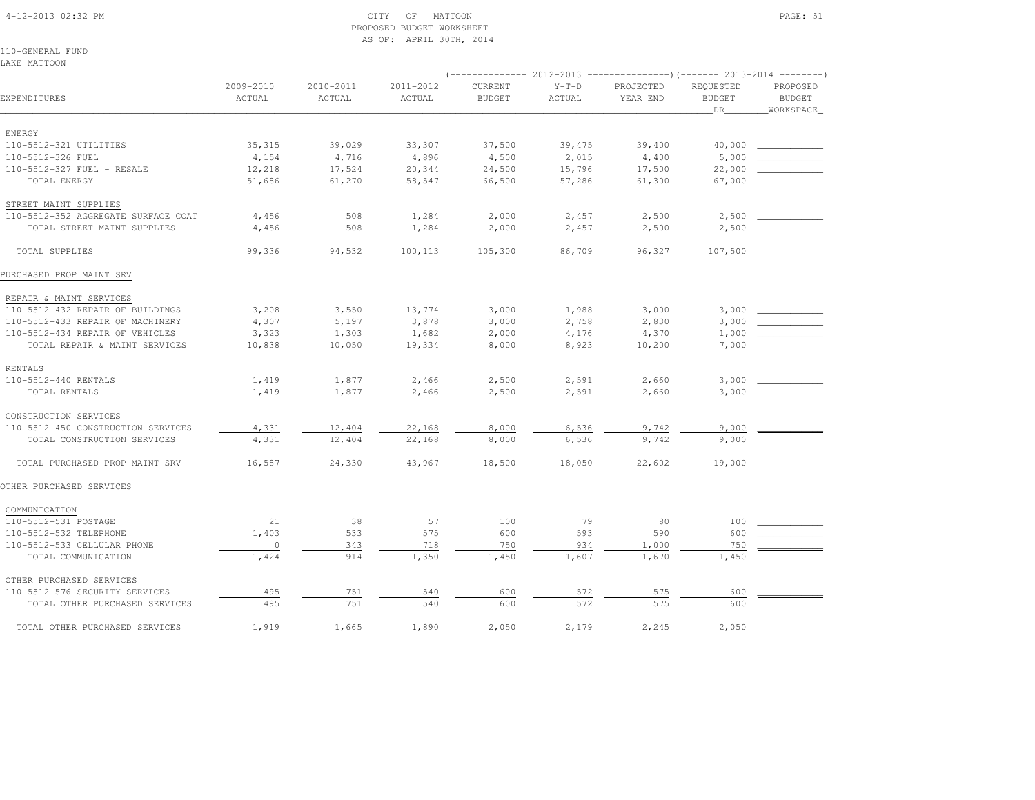### 4-12-2013 02:32 PM CITY OF MATTOON PAGE: 51 PROPOSED BUDGET WORKSHEETAS OF: APRIL 30TH, 2014

110-GENERAL FUNDLAKE MATTOON

|                                     |                     |                     |                     |                          |                   | (-------------- 2012-2013 ----------------)(------- 2013-2014 --------) |                                  |                                        |
|-------------------------------------|---------------------|---------------------|---------------------|--------------------------|-------------------|-------------------------------------------------------------------------|----------------------------------|----------------------------------------|
| EXPENDITURES                        | 2009-2010<br>ACTUAL | 2010-2011<br>ACTUAL | 2011-2012<br>ACTUAL | CURRENT<br><b>BUDGET</b> | $Y-T-D$<br>ACTUAL | PROJECTED<br>YEAR END                                                   | REQUESTED<br><b>BUDGET</b><br>DR | PROPOSED<br><b>BUDGET</b><br>WORKSPACE |
|                                     |                     |                     |                     |                          |                   |                                                                         |                                  |                                        |
| ENERGY                              |                     |                     |                     |                          |                   |                                                                         |                                  |                                        |
| 110-5512-321 UTILITIES              | 35, 315             | 39,029              | 33,307              | 37,500                   | 39,475            | 39,400                                                                  | 40,000                           |                                        |
| 110-5512-326 FUEL                   | 4,154               | 4,716               | 4,896               | 4,500                    | 2,015             | 4,400                                                                   | 5,000                            |                                        |
| 110-5512-327 FUEL - RESALE          | 12,218              | 17,524              | 20,344              | 24,500                   | 15,796            | 17,500                                                                  | 22,000                           |                                        |
| TOTAL ENERGY                        | 51,686              | 61,270              | 58,547              | 66,500                   | 57,286            | 61,300                                                                  | 67,000                           |                                        |
| STREET MAINT SUPPLIES               |                     |                     |                     |                          |                   |                                                                         |                                  |                                        |
| 110-5512-352 AGGREGATE SURFACE COAT | 4,456               | 508                 | 1,284               | 2,000                    | 2,457             | 2,500                                                                   | 2,500                            |                                        |
| TOTAL STREET MAINT SUPPLIES         | 4,456               | 508                 | 1,284               | 2,000                    | 2,457             | 2,500                                                                   | 2,500                            |                                        |
| TOTAL SUPPLIES                      | 99,336              | 94,532              | 100,113             | 105,300                  | 86,709            | 96,327                                                                  | 107,500                          |                                        |
| PURCHASED PROP MAINT SRV            |                     |                     |                     |                          |                   |                                                                         |                                  |                                        |
| REPAIR & MAINT SERVICES             |                     |                     |                     |                          |                   |                                                                         |                                  |                                        |
| 110-5512-432 REPAIR OF BUILDINGS    | 3,208               | 3,550               | 13,774              | 3,000                    | 1,988             | 3,000                                                                   | 3,000                            |                                        |
| 110-5512-433 REPAIR OF MACHINERY    | 4,307               | 5,197               | 3,878               | 3,000                    | 2,758             | 2,830                                                                   | 3,000                            |                                        |
| 110-5512-434 REPAIR OF VEHICLES     | 3,323               | 1,303               | 1,682               | 2,000                    | 4,176             | 4,370                                                                   | 1,000                            |                                        |
| TOTAL REPAIR & MAINT SERVICES       | 10,838              | 10,050              | 19,334              | 8,000                    | 8,923             | 10,200                                                                  | 7,000                            |                                        |
| RENTALS                             |                     |                     |                     |                          |                   |                                                                         |                                  |                                        |
| 110-5512-440 RENTALS                | 1,419               | 1,877               | 2,466               | 2,500                    | 2,591             | 2,660                                                                   | 3,000                            |                                        |
| TOTAL RENTALS                       | 1,419               | 1,877               | 2,466               | 2,500                    | 2,591             | 2,660                                                                   | 3,000                            |                                        |
|                                     |                     |                     |                     |                          |                   |                                                                         |                                  |                                        |
| CONSTRUCTION SERVICES               |                     |                     |                     |                          |                   |                                                                         |                                  |                                        |
| 110-5512-450 CONSTRUCTION SERVICES  | 4,331               | 12,404              | 22,168              | 8,000                    | 6,536             | 9,742                                                                   | 9,000                            |                                        |
| TOTAL CONSTRUCTION SERVICES         | 4,331               | 12,404              | 22,168              | 8,000                    | 6,536             | 9,742                                                                   | 9,000                            |                                        |
| TOTAL PURCHASED PROP MAINT SRV      | 16,587              | 24,330              | 43,967              | 18,500                   | 18,050            | 22,602                                                                  | 19,000                           |                                        |
| OTHER PURCHASED SERVICES            |                     |                     |                     |                          |                   |                                                                         |                                  |                                        |
| COMMUNICATION                       |                     |                     |                     |                          |                   |                                                                         |                                  |                                        |
| 110-5512-531 POSTAGE                | 21                  | 38                  | 57                  | 100                      | 79                | 80                                                                      | 100                              |                                        |
| 110-5512-532 TELEPHONE              | 1,403               | 533                 | 575                 | 600                      | 593               | 590                                                                     | 600                              |                                        |
| 110-5512-533 CELLULAR PHONE         | $\circ$             | 343                 | 718                 | 750                      | 934               | 1,000                                                                   | 750                              |                                        |
| TOTAL COMMUNICATION                 | 1,424               | 914                 | 1,350               | 1,450                    | 1,607             | 1,670                                                                   | 1,450                            |                                        |
| OTHER PURCHASED SERVICES            |                     |                     |                     |                          |                   |                                                                         |                                  |                                        |
| 110-5512-576 SECURITY SERVICES      | 495                 | 751                 | 540                 | 600                      | 572               | 575                                                                     | 600                              |                                        |
| TOTAL OTHER PURCHASED SERVICES      | 495                 | 751                 | 540                 | 600                      | 572               | 575                                                                     | 600                              |                                        |
|                                     |                     |                     |                     |                          |                   |                                                                         |                                  |                                        |
| TOTAL OTHER PURCHASED SERVICES      | 1,919               | 1,665               | 1,890               | 2,050                    | 2,179             | 2,245                                                                   | 2,050                            |                                        |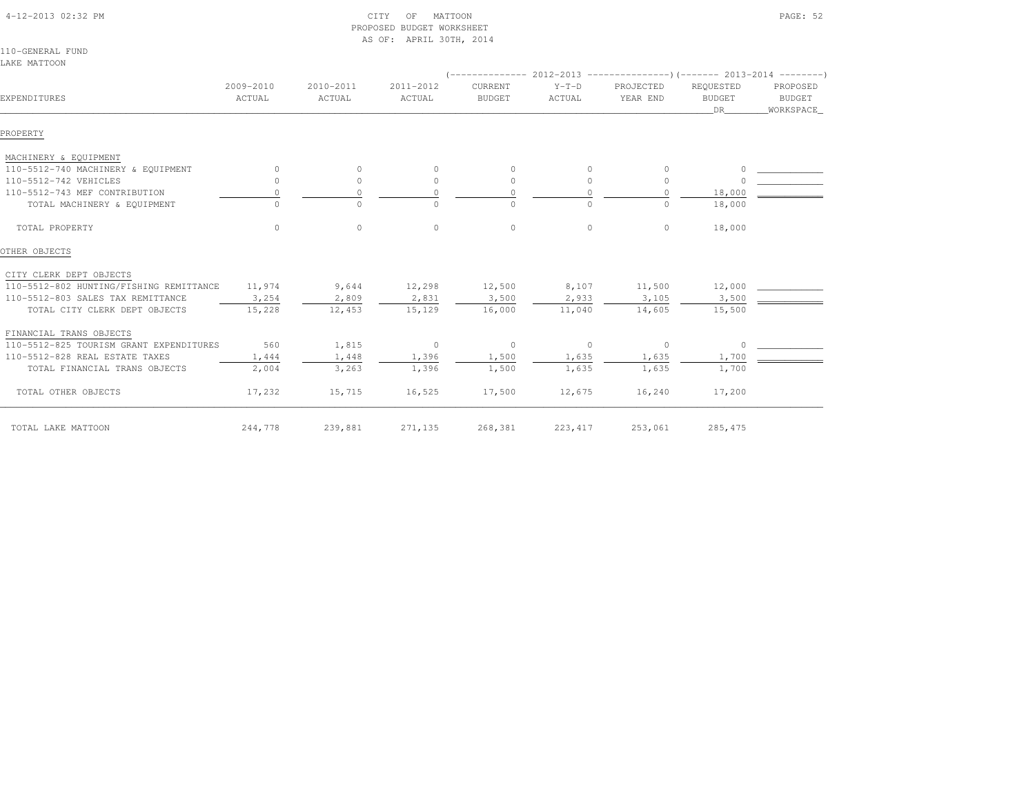| LAKE MATTOON                            |                     |                     |                     |                          |                   |                                                                                                   |                                         |                                        |
|-----------------------------------------|---------------------|---------------------|---------------------|--------------------------|-------------------|---------------------------------------------------------------------------------------------------|-----------------------------------------|----------------------------------------|
| EXPENDITURES                            | 2009-2010<br>ACTUAL | 2010-2011<br>ACTUAL | 2011-2012<br>ACTUAL | CURRENT<br><b>BUDGET</b> | $Y-T-D$<br>ACTUAL | (-------------- 2012-2013 ----------------)(------- 2013-2014 ---------)<br>PROJECTED<br>YEAR END | REQUESTED<br><b>BUDGET</b><br><b>DR</b> | PROPOSED<br><b>BUDGET</b><br>WORKSPACE |
| PROPERTY                                |                     |                     |                     |                          |                   |                                                                                                   |                                         |                                        |
| MACHINERY & EQUIPMENT                   |                     |                     |                     |                          |                   |                                                                                                   |                                         |                                        |
| 110-5512-740 MACHINERY & EQUIPMENT      |                     | $\Omega$            | $\circ$             | $\Omega$                 | $\Omega$          | $\Omega$                                                                                          | $\Omega$                                |                                        |
| 110-5512-742 VEHICLES                   | $\Omega$            | $\circ$             | $\circ$             | $\mathbf{0}$             | $\circ$           | $\circ$                                                                                           |                                         |                                        |
| 110-5512-743 MEF CONTRIBUTION           | $\Omega$            | $\Omega$            | $\circ$             | $\circ$                  | $\Omega$          | $\circ$                                                                                           | 18,000                                  |                                        |
| TOTAL MACHINERY & EQUIPMENT             |                     | $\Omega$            | $\Omega$            | $\Omega$                 | $\Omega$          | $\Omega$                                                                                          | 18,000                                  |                                        |
| TOTAL PROPERTY                          | $\Omega$            | $\circ$             | $\circ$             | $\circ$                  | $\circ$           | $\circ$                                                                                           | 18,000                                  |                                        |
| OTHER OBJECTS                           |                     |                     |                     |                          |                   |                                                                                                   |                                         |                                        |
| CITY CLERK DEPT OBJECTS                 |                     |                     |                     |                          |                   |                                                                                                   |                                         |                                        |
| 110-5512-802 HUNTING/FISHING REMITTANCE | 11,974              | 9,644               | 12,298              | 12,500                   | 8,107             | 11,500                                                                                            | 12,000                                  |                                        |
| 110-5512-803 SALES TAX REMITTANCE       | 3,254               | 2,809               | 2,831               | 3,500                    | 2,933             | 3,105                                                                                             | 3,500                                   |                                        |
| TOTAL CITY CLERK DEPT OBJECTS           | 15,228              | 12,453              | 15,129              | 16,000                   | 11,040            | 14,605                                                                                            | 15,500                                  |                                        |
| FINANCIAL TRANS OBJECTS                 |                     |                     |                     |                          |                   |                                                                                                   |                                         |                                        |
| 110-5512-825 TOURISM GRANT EXPENDITURES | 560                 | 1,815               | $\circ$             | $\circ$                  | $\circ$           | 0                                                                                                 | $\Omega$                                |                                        |
| 110-5512-828 REAL ESTATE TAXES          | 1,444               | 1,448               | 1,396               | 1,500                    | 1,635             | 1,635                                                                                             | 1,700                                   |                                        |
| TOTAL FINANCIAL TRANS OBJECTS           | 2,004               | 3,263               | 1,396               | 1,500                    | 1,635             | 1,635                                                                                             | 1,700                                   |                                        |
| TOTAL OTHER OBJECTS                     | 17,232              | 15,715              | 16,525              | 17,500                   | 12,675            | 16,240                                                                                            | 17,200                                  |                                        |
| TOTAL LAKE MATTOON                      | 244,778             | 239,881             | 271,135             | 268,381                  | 223, 417          | 253,061                                                                                           | 285, 475                                |                                        |

 4-12-2013 02:32 PM CITY OF MATTOON PAGE: 52 PROPOSED BUDGET WORKSHEETAS OF: APRIL 30TH, 2014

110-GENERAL FUNDLAI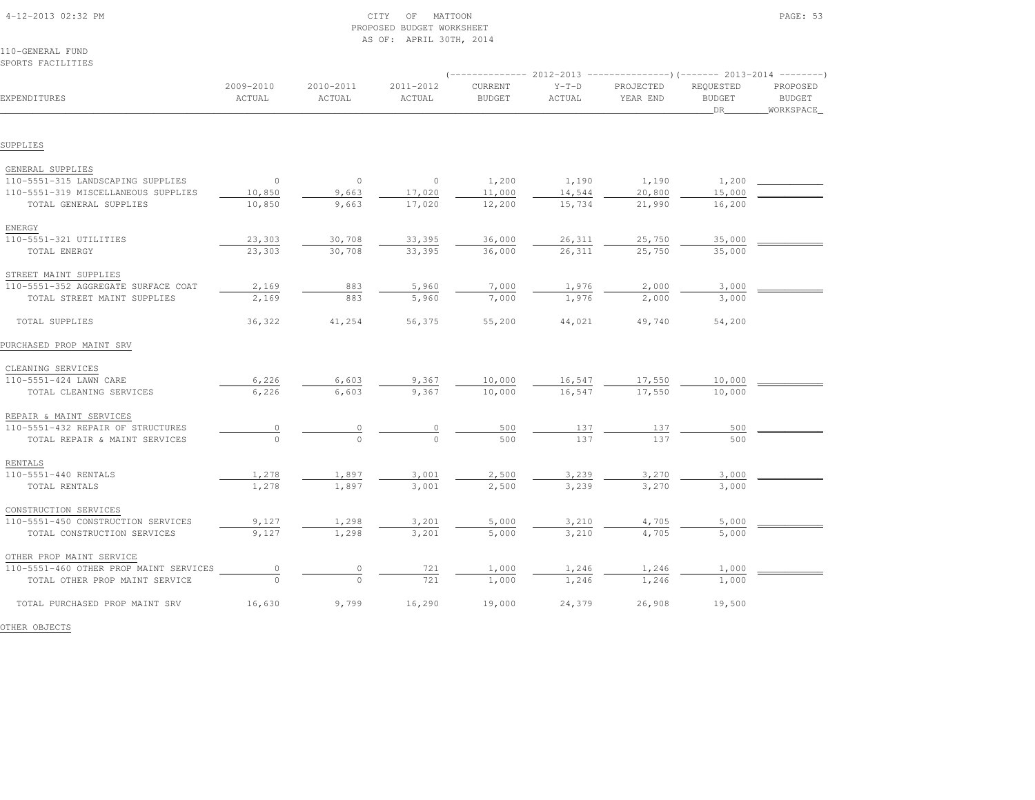| 110-GENERAL FUND<br>SPORTS FACILITIES  |                                       |                     |                     |                                 |                   |                                                                                                   |                                  |                                        |
|----------------------------------------|---------------------------------------|---------------------|---------------------|---------------------------------|-------------------|---------------------------------------------------------------------------------------------------|----------------------------------|----------------------------------------|
| EXPENDITURES                           | 2009-2010<br>ACTUAL                   | 2010-2011<br>ACTUAL | 2011-2012<br>ACTUAL | <b>CURRENT</b><br><b>BUDGET</b> | $Y-T-D$<br>ACTUAL | (-------------- 2012-2013 ----------------) (------- 2013-2014 --------)<br>PROJECTED<br>YEAR END | REQUESTED<br><b>BUDGET</b><br>DR | PROPOSED<br><b>BUDGET</b><br>WORKSPACE |
| SUPPLIES                               |                                       |                     |                     |                                 |                   |                                                                                                   |                                  |                                        |
| GENERAL SUPPLIES                       |                                       |                     |                     |                                 |                   |                                                                                                   |                                  |                                        |
| 110-5551-315 LANDSCAPING SUPPLIES      | $\circ$                               | $\circ$             | $\circ$             | 1,200                           | 1,190             | 1,190                                                                                             | 1,200                            |                                        |
| 110-5551-319 MISCELLANEOUS SUPPLIES    | 10,850                                | 9,663               | 17,020              | 11,000                          | 14,544            | 20,800                                                                                            | 15,000                           |                                        |
| TOTAL GENERAL SUPPLIES                 | 10,850                                | 9,663               | 17,020              | 12,200                          | 15,734            | 21,990                                                                                            | 16,200                           |                                        |
| ENERGY                                 |                                       |                     |                     |                                 |                   |                                                                                                   |                                  |                                        |
| 110-5551-321 UTILITIES                 | 23,303                                | 30,708              | 33,395              | 36,000                          | 26,311            | 25,750                                                                                            | 35,000                           |                                        |
| TOTAL ENERGY                           | 23,303                                | 30,708              | 33,395              | 36,000                          | 26,311            | 25,750                                                                                            | 35,000                           |                                        |
| STREET MAINT SUPPLIES                  |                                       |                     |                     |                                 |                   |                                                                                                   |                                  |                                        |
| 110-5551-352 AGGREGATE SURFACE COAT    | 2,169                                 | 883                 | 5,960               | 7,000                           | 1,976             | 2,000                                                                                             | 3,000                            |                                        |
| TOTAL STREET MAINT SUPPLIES            | 2,169                                 | 883                 | 5,960               | 7,000                           | 1,976             | 2,000                                                                                             | 3,000                            |                                        |
| TOTAL SUPPLIES                         | 36,322                                | 41,254              | 56,375              | 55,200                          | 44,021            | 49,740                                                                                            | 54,200                           |                                        |
| PURCHASED PROP MAINT SRV               |                                       |                     |                     |                                 |                   |                                                                                                   |                                  |                                        |
| CLEANING SERVICES                      |                                       |                     |                     |                                 |                   |                                                                                                   |                                  |                                        |
| 110-5551-424 LAWN CARE                 | 6,226                                 | 6,603               | 9,367               | 10,000                          | 16,547            | 17,550                                                                                            | 10,000                           |                                        |
| TOTAL CLEANING SERVICES                | 6,226                                 | 6,603               | 9,367               | 10,000                          | 16,547            | 17,550                                                                                            | 10,000                           |                                        |
| REPAIR & MAINT SERVICES                |                                       |                     |                     |                                 |                   |                                                                                                   |                                  |                                        |
| 110-5551-432 REPAIR OF STRUCTURES      | 0                                     | $\mathbb O$         | $\theta$            | 500                             | 137               | 137                                                                                               | 500                              |                                        |
| TOTAL REPAIR & MAINT SERVICES          | $\circ$                               | $\circ$             | $\Omega$            | 500                             | 137               | 137                                                                                               | 500                              |                                        |
| RENTALS                                |                                       |                     |                     |                                 |                   |                                                                                                   |                                  |                                        |
| 110-5551-440 RENTALS                   | 1,278                                 | 1,897               | 3,001               | 2,500                           | 3,239             | 3,270                                                                                             | 3,000                            |                                        |
| TOTAL RENTALS                          | 1,278                                 | 1,897               | 3,001               | 2,500                           | 3,239             | 3,270                                                                                             | 3,000                            |                                        |
| CONSTRUCTION SERVICES                  |                                       |                     |                     |                                 |                   |                                                                                                   |                                  |                                        |
| 110-5551-450 CONSTRUCTION SERVICES     | 9,127                                 | 1,298               | 3,201               | 5,000                           | 3,210             | 4,705                                                                                             | 5,000                            |                                        |
| TOTAL CONSTRUCTION SERVICES            | 9,127                                 | 1,298               | 3,201               | 5,000                           | 3,210             | 4,705                                                                                             | 5,000                            |                                        |
| OTHER PROP MAINT SERVICE               |                                       |                     |                     |                                 |                   |                                                                                                   |                                  |                                        |
| 110-5551-460 OTHER PROP MAINT SERVICES | $\begin{array}{c} 0 \\ 0 \end{array}$ | $\overline{0}$      | 721                 | 1,000                           | 1,246             | 1,246                                                                                             | 1,000                            |                                        |
| TOTAL OTHER PROP MAINT SERVICE         | $\Omega$                              | $\Omega$            | 721                 | 1,000                           | 1,246             | 1,246                                                                                             | 1,000                            |                                        |
| TOTAL PURCHASED PROP MAINT SRV         | 16,630                                | 9,799               | 16,290              | 19,000                          | 24,379            | 26,908                                                                                            | 19,500                           |                                        |

PROPOSED BUDGET WORKSHEET

AS OF: APRIL 30TH, 2014

OTHER OBJECTS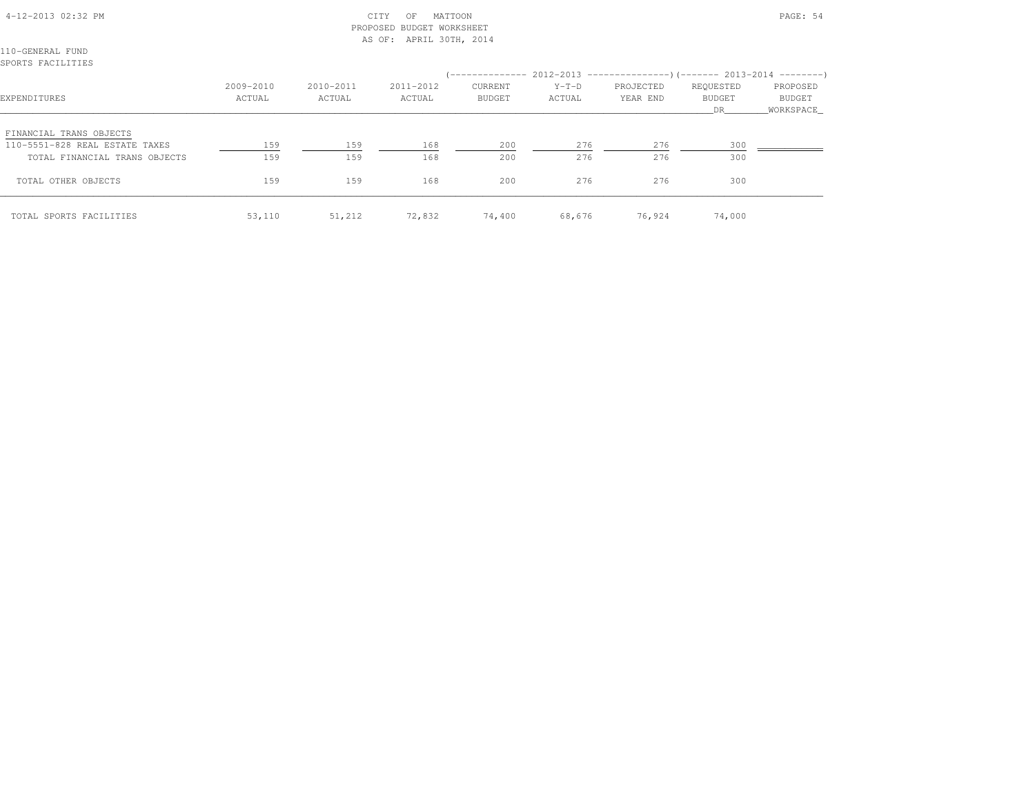## 4-12-2013 02:32 PM CITY OF MATTOON PAGE: 54 PROPOSED BUDGET WORKSHEETAS OF: APRIL 30TH, 2014

110-GENERAL FUNDSPORTS FACILITIES

| EXPENDITURES                                                                               | 2009-2010<br>ACTUAL | 2010-2011<br>ACTUAL | 2011-2012<br>ACTUAL | <b>CURRENT</b><br><b>BUDGET</b> | $Y-T-D$<br>ACTUAL | (-------------- 2012-2013 ----------------) (------- 2013-2014 ---------)<br>PROJECTED<br>YEAR END | REQUESTED<br><b>BUDGET</b><br>DR. | PROPOSED<br>BUDGET<br>WORKSPACE |
|--------------------------------------------------------------------------------------------|---------------------|---------------------|---------------------|---------------------------------|-------------------|----------------------------------------------------------------------------------------------------|-----------------------------------|---------------------------------|
| FINANCIAL TRANS OBJECTS<br>110-5551-828 REAL ESTATE TAXES<br>TOTAL FINANCIAL TRANS OBJECTS | 159<br>159          | 159<br>159          | 168<br>168          | 200<br>200                      | 276<br>276        | 276<br>276                                                                                         | 300<br>300                        |                                 |
| TOTAL OTHER OBJECTS                                                                        | 159                 | 159                 | 168                 | 200                             | 276               | 276                                                                                                | 300                               |                                 |
| TOTAL SPORTS FACILITIES                                                                    | 53,110              | 51,212              | 72,832              | 74,400                          | 68,676            | 76,924                                                                                             | 74,000                            |                                 |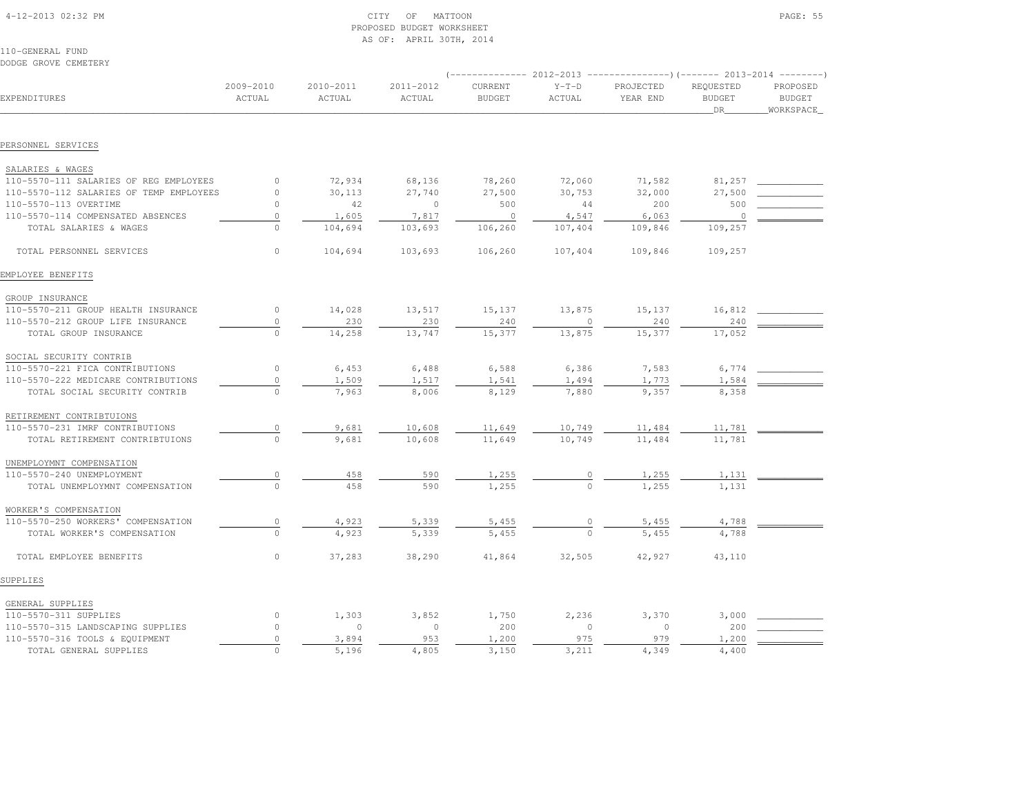| 4-12-2013 02:32 PM |  |  |
|--------------------|--|--|
|                    |  |  |

## $\text{CITY}$  of MATTOON  $\text{PAGE: } 55$  PROPOSED BUDGET WORKSHEETAS OF: APRIL 30TH, 2014

110-GENERAL FUNDDODGE GROVE CEMETERY

|                                         |                     |                     |                     |                          |                   | (-------------- 2012-2013 ----------------) (------- 2013-2014 --------) |                                  |                                         |
|-----------------------------------------|---------------------|---------------------|---------------------|--------------------------|-------------------|--------------------------------------------------------------------------|----------------------------------|-----------------------------------------|
| EXPENDITURES                            | 2009-2010<br>ACTUAL | 2010-2011<br>ACTUAL | 2011-2012<br>ACTUAL | CURRENT<br><b>BUDGET</b> | $Y-T-D$<br>ACTUAL | PROJECTED<br>YEAR END                                                    | REQUESTED<br><b>BUDGET</b><br>DR | PROPOSED<br><b>BUDGET</b><br>WORKSPACE_ |
|                                         |                     |                     |                     |                          |                   |                                                                          |                                  |                                         |
| PERSONNEL SERVICES                      |                     |                     |                     |                          |                   |                                                                          |                                  |                                         |
| SALARIES & WAGES                        |                     |                     |                     |                          |                   |                                                                          |                                  |                                         |
| 110-5570-111 SALARIES OF REG EMPLOYEES  | $\circ$             | 72,934              | 68,136              | 78,260                   | 72,060            | 71,582                                                                   | 81,257                           |                                         |
| 110-5570-112 SALARIES OF TEMP EMPLOYEES | $\circ$             | 30,113              | 27,740              | 27,500                   | 30,753            | 32,000                                                                   | 27,500                           |                                         |
| 110-5570-113 OVERTIME                   | $\Omega$            | 42                  | $\circ$             | 500                      | 44                | 200                                                                      | 500                              |                                         |
| 110-5570-114 COMPENSATED ABSENCES       | $\mathbb O$         | 1,605               | 7,817               | $\overline{\phantom{0}}$ | 4,547             | 6,063                                                                    | $\circ$                          |                                         |
| TOTAL SALARIES & WAGES                  | $\Omega$            | 104,694             | 103,693             | 106,260                  | 107,404           | 109,846                                                                  | 109,257                          |                                         |
| TOTAL PERSONNEL SERVICES                | $\circ$             | 104,694             | 103,693             | 106,260                  | 107,404           | 109,846                                                                  | 109,257                          |                                         |
| EMPLOYEE BENEFITS                       |                     |                     |                     |                          |                   |                                                                          |                                  |                                         |
| GROUP INSURANCE                         |                     |                     |                     |                          |                   |                                                                          |                                  |                                         |
| 110-5570-211 GROUP HEALTH INSURANCE     | $\circ$             | 14,028              | 13,517              | 15,137                   | 13,875            | 15,137                                                                   | 16,812                           |                                         |
| 110-5570-212 GROUP LIFE INSURANCE       | $\circ$             | 230                 | 230                 | 240                      | $\circ$           | 240                                                                      | 240                              |                                         |
| TOTAL GROUP INSURANCE                   | $\circ$             | 14,258              | 13,747              | 15,377                   | 13,875            | 15,377                                                                   | 17,052                           |                                         |
| SOCIAL SECURITY CONTRIB                 |                     |                     |                     |                          |                   |                                                                          |                                  |                                         |
| 110-5570-221 FICA CONTRIBUTIONS         | $\circ$             | 6,453               | 6,488               | 6,588                    | 6,386             | 7,583                                                                    | 6,774                            |                                         |
| 110-5570-222 MEDICARE CONTRIBUTIONS     | $\circ$             | 1,509               | 1,517               | 1,541                    | 1,494             | 1,773                                                                    | 1,584                            |                                         |
| TOTAL SOCIAL SECURITY CONTRIB           | $\Omega$            | 7,963               | 8,006               | 8,129                    | 7,880             | 9,357                                                                    | 8,358                            |                                         |
| RETIREMENT CONTRIBTUIONS                |                     |                     |                     |                          |                   |                                                                          |                                  |                                         |
| 110-5570-231 IMRF CONTRIBUTIONS         | $\circ$             | 9,681               | 10,608              | 11,649                   | 10,749            | 11,484                                                                   | 11,781                           |                                         |
| TOTAL RETIREMENT CONTRIBTUIONS          | $\Omega$            | 9,681               | 10,608              | 11,649                   | 10,749            | 11,484                                                                   | 11,781                           |                                         |
| UNEMPLOYMNT COMPENSATION                |                     |                     |                     |                          |                   |                                                                          |                                  |                                         |
| 110-5570-240 UNEMPLOYMENT               | $\circ$             | 458                 | 590                 | 1,255                    | $\frac{0}{0}$     | $\frac{1,255}{1,255}$                                                    | 1,131                            |                                         |
| TOTAL UNEMPLOYMNT COMPENSATION          | $\cap$              | 458                 | 590                 | 1,255                    |                   |                                                                          | 1,131                            |                                         |
| WORKER'S COMPENSATION                   |                     |                     |                     |                          |                   |                                                                          |                                  |                                         |
| 110-5570-250 WORKERS' COMPENSATION      | $\circ$             | 4,923               | 5,339               | 5,455                    |                   | 5,455                                                                    | 4,788                            |                                         |
| TOTAL WORKER'S COMPENSATION             | $\Omega$            | 4,923               | 5,339               | 5,455                    |                   | 5,455                                                                    | 4,788                            |                                         |
| TOTAL EMPLOYEE BENEFITS                 | $\circ$             | 37,283              | 38,290              | 41,864                   | 32,505            | 42,927                                                                   | 43,110                           |                                         |
| SUPPLIES                                |                     |                     |                     |                          |                   |                                                                          |                                  |                                         |
| GENERAL SUPPLIES                        |                     |                     |                     |                          |                   |                                                                          |                                  |                                         |
| 110-5570-311 SUPPLIES                   | $\circ$             | 1,303               | 3,852               | 1,750                    | 2,236             | 3,370                                                                    | 3,000                            |                                         |
| 110-5570-315 LANDSCAPING SUPPLIES       | $\Omega$            | $\circ$             | $\circ$             | 200                      | $\Omega$          | $\Omega$                                                                 | 200                              |                                         |
| 110-5570-316 TOOLS & EQUIPMENT          | $\circ$             | 3,894               | 953                 | 1,200                    | 975               | 979                                                                      | 1,200                            |                                         |
| TOTAL GENERAL SUPPLIES                  | $\Omega$            | 5,196               | 4,805               | 3,150                    | 3,211             | 4,349                                                                    | 4,400                            |                                         |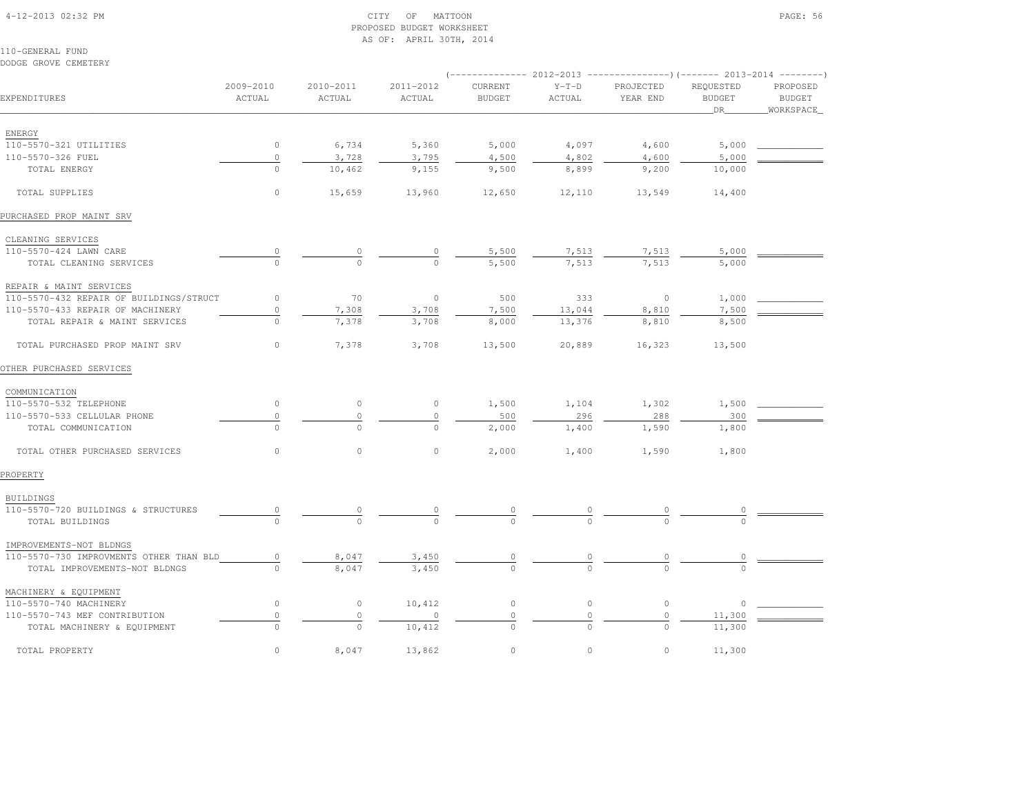## 4-12-2013 02:32 PM CITY OF MATTOON PAGE: 56 PROPOSED BUDGET WORKSHEETAS OF: APRIL 30TH, 2014

110-GENERAL FUNDDODGE GROVE CEMETERY

|                                         |                     |                     |                     |                          |                   | (-------------- 2012-2013 ----------------) (------- 2013-2014 --------) |                                  |                                         |
|-----------------------------------------|---------------------|---------------------|---------------------|--------------------------|-------------------|--------------------------------------------------------------------------|----------------------------------|-----------------------------------------|
| EXPENDITURES                            | 2009-2010<br>ACTUAL | 2010-2011<br>ACTUAL | 2011-2012<br>ACTUAL | CURRENT<br><b>BUDGET</b> | $Y-T-D$<br>ACTUAL | PROJECTED<br>YEAR END                                                    | REQUESTED<br><b>BUDGET</b><br>DR | PROPOSED<br><b>BUDGET</b><br>WORKSPACE_ |
|                                         |                     |                     |                     |                          |                   |                                                                          |                                  |                                         |
| ENERGY<br>110-5570-321 UTILITIES        | $\circ$             |                     | 5,360               | 5,000                    |                   |                                                                          |                                  |                                         |
| 110-5570-326 FUEL                       | $\circ$             | 6,734<br>3,728      | 3,795               | 4,500                    | 4,097<br>4,802    | 4,600<br>4,600                                                           | 5,000<br>5,000                   |                                         |
| TOTAL ENERGY                            | $\Omega$            | 10,462              | 9,155               | 9,500                    | 8,899             | 9,200                                                                    | 10,000                           |                                         |
|                                         |                     |                     |                     |                          |                   |                                                                          |                                  |                                         |
| TOTAL SUPPLIES                          | $\circ$             | 15,659              | 13,960              | 12,650                   | 12,110            | 13,549                                                                   | 14,400                           |                                         |
| PURCHASED PROP MAINT SRV                |                     |                     |                     |                          |                   |                                                                          |                                  |                                         |
| CLEANING SERVICES                       |                     |                     |                     |                          |                   |                                                                          |                                  |                                         |
| 110-5570-424 LAWN CARE                  |                     |                     | 0                   | 5,500                    | 7,513             | 7,513                                                                    | 5,000                            |                                         |
| TOTAL CLEANING SERVICES                 | $\Omega$            | $\mathbf 0$         | $\Omega$            | 5,500                    | 7.513             | 7,513                                                                    | 5,000                            |                                         |
| REPAIR & MAINT SERVICES                 |                     |                     |                     |                          |                   |                                                                          |                                  |                                         |
| 110-5570-432 REPAIR OF BUILDINGS/STRUCT | $\circ$             | 70                  | $\circ$             | 500                      | 333               | $\circ$                                                                  | 1,000                            |                                         |
| 110-5570-433 REPAIR OF MACHINERY        | $\mathbb O$         | 7,308               | 3,708               | 7,500                    | 13,044            | 8,810                                                                    | 7,500                            |                                         |
| TOTAL REPAIR & MAINT SERVICES           | $\overline{0}$      | 7,378               | 3,708               | 8,000                    | 13,376            | 8,810                                                                    | 8,500                            |                                         |
| TOTAL PURCHASED PROP MAINT SRV          | 0                   | 7,378               | 3,708               | 13,500                   | 20,889            | 16,323                                                                   | 13,500                           |                                         |
| OTHER PURCHASED SERVICES                |                     |                     |                     |                          |                   |                                                                          |                                  |                                         |
| COMMUNICATION                           |                     |                     |                     |                          |                   |                                                                          |                                  |                                         |
| 110-5570-532 TELEPHONE                  | $\circ$             | $\circ$             | $\circ$             | 1,500                    | 1,104             | 1,302                                                                    | 1,500                            |                                         |
| 110-5570-533 CELLULAR PHONE             | 0                   | $\circ$             | $\circ$             | 500                      | 296               | 288                                                                      | 300                              |                                         |
| TOTAL COMMUNICATION                     | $\circ$             | $\circ$             | $\circ$             | 2,000                    | 1,400             | 1,590                                                                    | 1,800                            |                                         |
| TOTAL OTHER PURCHASED SERVICES          | $\circ$             | $\circ$             | $\circ$             | 2,000                    | 1,400             | 1,590                                                                    | 1,800                            |                                         |
| PROPERTY                                |                     |                     |                     |                          |                   |                                                                          |                                  |                                         |
| <b>BUILDINGS</b>                        |                     |                     |                     |                          |                   |                                                                          |                                  |                                         |
| 110-5570-720 BUILDINGS & STRUCTURES     |                     |                     |                     |                          |                   |                                                                          |                                  |                                         |
| TOTAL BUILDINGS                         |                     | $\cap$              | $\cap$              |                          |                   |                                                                          |                                  |                                         |
| IMPROVEMENTS-NOT BLDNGS                 |                     |                     |                     |                          |                   |                                                                          |                                  |                                         |
| 110-5570-730 IMPROVMENTS OTHER THAN BLD | 0                   | 8,047               | 3,450               |                          |                   |                                                                          |                                  |                                         |
| TOTAL IMPROVEMENTS-NOT BLDNGS           | 0                   | 8,047               | 3,450               | $\Omega$                 | $\Omega$          | $\Omega$                                                                 |                                  |                                         |
| MACHINERY & EQUIPMENT                   |                     |                     |                     |                          |                   |                                                                          |                                  |                                         |
| 110-5570-740 MACHINERY                  | $\circ$             | $\circ$             | 10,412              | $\circ$                  | $\circ$           | $\circ$                                                                  | $\circ$                          |                                         |
| 110-5570-743 MEF CONTRIBUTION           | $\circ$             | $\circ$             | $\Omega$            | $\circ$                  | $\circ$           | $\circ$                                                                  | 11,300                           |                                         |
| TOTAL MACHINERY & EQUIPMENT             | $\Omega$            | $\Omega$            | 10,412              | $\Omega$                 | $\cap$            | $\cap$                                                                   | 11,300                           |                                         |
| TOTAL PROPERTY                          | $\Omega$            | 8,047               | 13,862              | $\circ$                  | $\circ$           | $\Omega$                                                                 | 11,300                           |                                         |
|                                         |                     |                     |                     |                          |                   |                                                                          |                                  |                                         |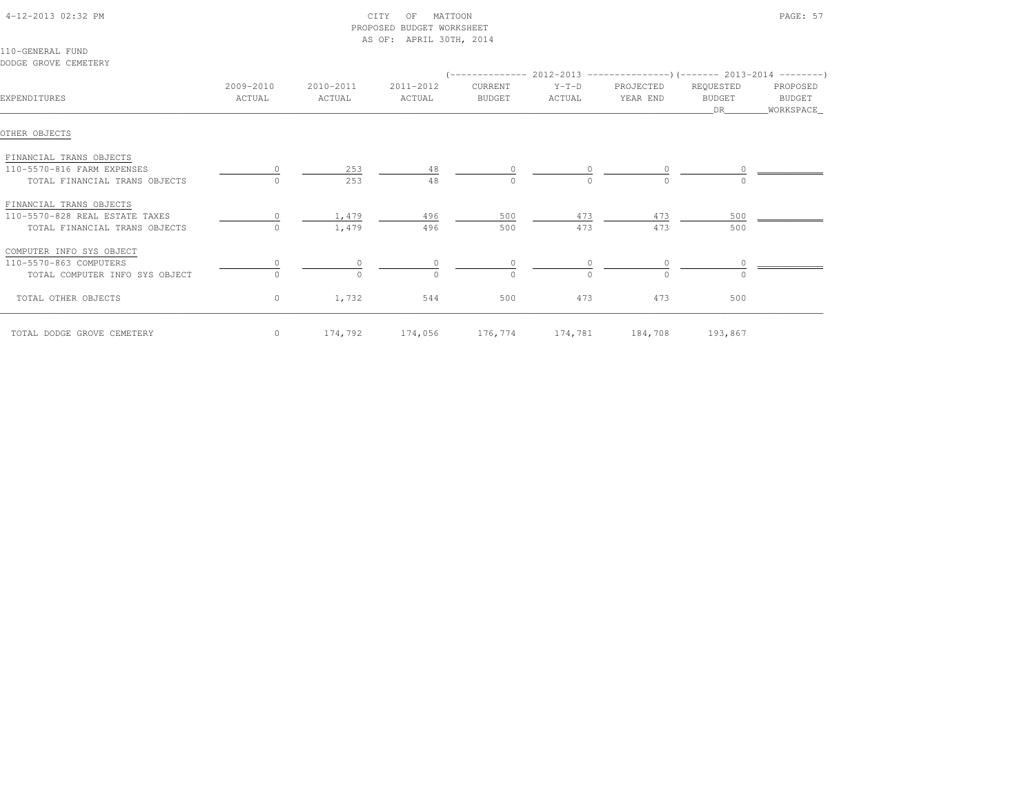| 4-12-2013 02:32 PM |  |
|--------------------|--|

# $\text{CITY}$  of MATTOON PAGE: 57 PROPOSED BUDGET WORKSHEETAS OF: APRIL 30TH, 2014

110-GENERAL FUNDDODGE GROVE CEMETERY

|                                |                     |                     |                     |                   |                   | $(----------2012-2013$ ---------------) (------- 2013-2014 -------) |                                       |                                   |
|--------------------------------|---------------------|---------------------|---------------------|-------------------|-------------------|---------------------------------------------------------------------|---------------------------------------|-----------------------------------|
| EXPENDITURES                   | 2009-2010<br>ACTUAL | 2010-2011<br>ACTUAL | 2011-2012<br>ACTUAL | CURRENT<br>BUDGET | $Y-T-D$<br>ACTUAL | PROJECTED<br>YEAR END                                               | REQUESTED<br><b>BUDGET</b><br>DR 1999 | PROPOSED<br>BUDGET<br>_WORKSPACE_ |
| OTHER OBJECTS                  |                     |                     |                     |                   |                   |                                                                     |                                       |                                   |
| FINANCIAL TRANS OBJECTS        |                     |                     |                     |                   |                   |                                                                     |                                       |                                   |
| 110-5570-816 FARM EXPENSES     |                     | 253                 | 48                  |                   |                   |                                                                     |                                       |                                   |
| TOTAL FINANCIAL TRANS OBJECTS  | 0                   | 253                 | 48                  | $\Omega$          | $\Omega$          | $\cap$                                                              |                                       |                                   |
| FINANCIAL TRANS OBJECTS        |                     |                     |                     |                   |                   |                                                                     |                                       |                                   |
| 110-5570-828 REAL ESTATE TAXES |                     | 1,479               | 496                 | 500               | 473               | 473                                                                 | 500                                   |                                   |
| TOTAL FINANCIAL TRANS OBJECTS  | $\Omega$            | 1,479               | 496                 | 500               | 473               | 473                                                                 | 500                                   |                                   |
| COMPUTER INFO SYS OBJECT       |                     |                     |                     |                   |                   |                                                                     |                                       |                                   |
| 110-5570-863 COMPUTERS         |                     |                     |                     |                   |                   |                                                                     |                                       |                                   |
| TOTAL COMPUTER INFO SYS OBJECT |                     |                     |                     | $\cap$            |                   | $\cap$                                                              |                                       |                                   |
| TOTAL OTHER OBJECTS            | $\circ$             | 1,732               | 544                 | 500               | 473               | 473                                                                 | 500                                   |                                   |
| TOTAL DODGE GROVE CEMETERY     | $\circ$             | 174,792             |                     | 174,056 176,774   |                   | 174,781 184,708                                                     | 193,867                               |                                   |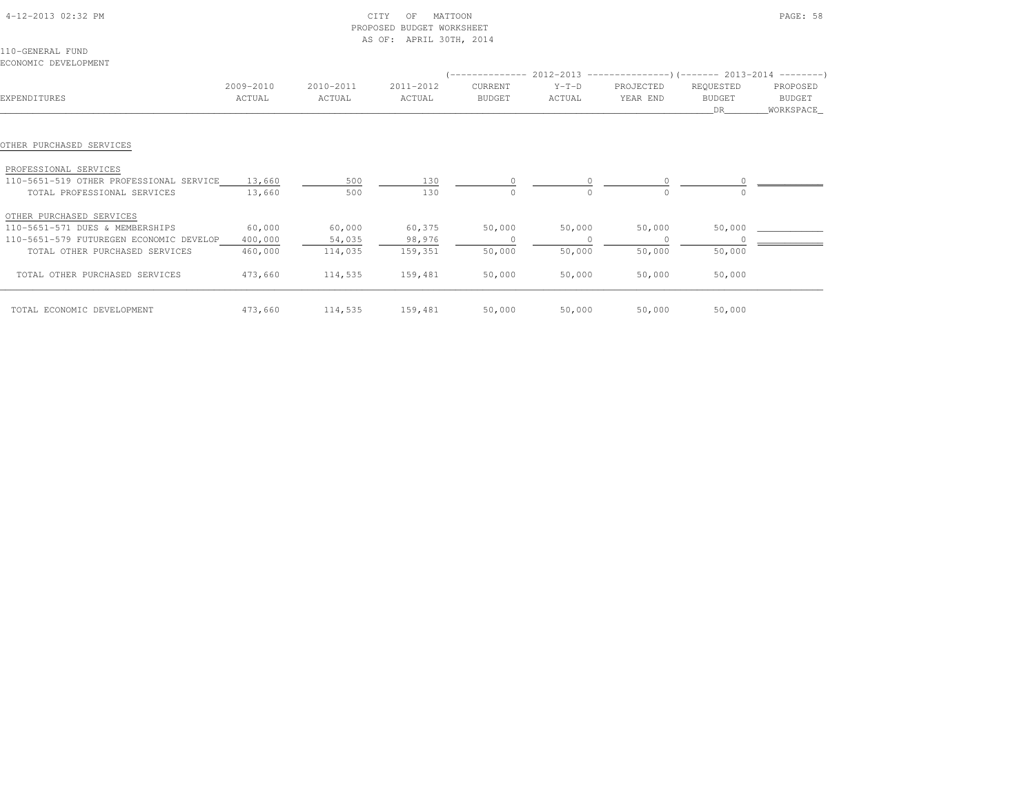| 4-12-2013 02:32 PM                                                                                                          |                  | PROPOSED   | CITY<br>MATTOON<br>OF<br><b>BUDGET WORKSHEET</b><br>AS OF: APRIL 30TH, 2014 |               |          |           |                            | PAGE: 58                   |
|-----------------------------------------------------------------------------------------------------------------------------|------------------|------------|-----------------------------------------------------------------------------|---------------|----------|-----------|----------------------------|----------------------------|
| 110-GENERAL FUND                                                                                                            |                  |            |                                                                             |               |          |           |                            |                            |
| ECONOMIC DEVELOPMENT                                                                                                        |                  |            |                                                                             |               |          |           |                            |                            |
|                                                                                                                             |                  |            |                                                                             |               |          |           |                            |                            |
|                                                                                                                             | 2009-2010        | 2010-2011  | 2011-2012                                                                   | CURRENT       | $Y-T-D$  | PROJECTED | REQUESTED                  | PROPOSED                   |
| EXPENDITURES                                                                                                                | ACTUAL           | ACTUAL     | ACTUAL                                                                      | <b>BUDGET</b> | ACTUAL   | YEAR END  | <b>BUDGET</b><br><b>DR</b> | <b>BUDGET</b><br>WORKSPACE |
| OTHER PURCHASED SERVICES<br>PROFESSIONAL SERVICES<br>110-5651-519 OTHER PROFESSIONAL SERVICE<br>TOTAL PROFESSIONAL SERVICES | 13,660<br>13,660 | 500<br>500 | 130<br>130                                                                  | $\Omega$      | $\Omega$ | $\cap$    |                            |                            |
| OTHER PURCHASED SERVICES                                                                                                    |                  |            |                                                                             |               |          |           |                            |                            |
| 110-5651-571 DUES & MEMBERSHIPS                                                                                             | 60,000           | 60,000     | 60,375                                                                      | 50,000        | 50,000   | 50,000    | 50,000                     |                            |
| 110-5651-579 FUTUREGEN ECONOMIC DEVELOP                                                                                     | 400,000          | 54,035     | 98,976                                                                      |               | $\circ$  | 0         | $\Omega$                   |                            |
| TOTAL OTHER PURCHASED SERVICES                                                                                              | 460,000          | 114,035    | 159,351                                                                     | 50,000        | 50,000   | 50,000    | 50,000                     |                            |
| TOTAL OTHER PURCHASED SERVICES                                                                                              | 473,660          | 114,535    | 159,481                                                                     | 50,000        | 50,000   | 50,000    | 50,000                     |                            |
| TOTAL ECONOMIC DEVELOPMENT                                                                                                  | 473,660          | 114,535    | 159,481                                                                     | 50,000        | 50,000   | 50,000    | 50,000                     |                            |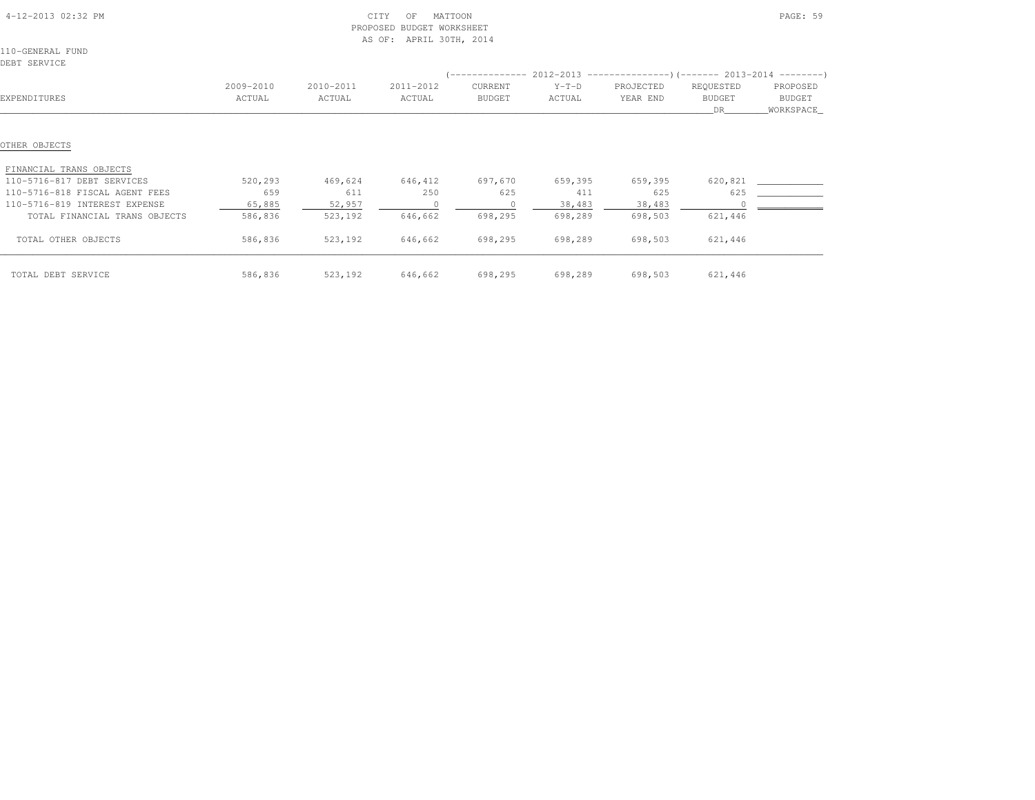|                                  |           |           | AS OF:<br>APRIL 30TH, 2014 |                |         |                                                            |               |               |
|----------------------------------|-----------|-----------|----------------------------|----------------|---------|------------------------------------------------------------|---------------|---------------|
| 110-GENERAL FUND<br>DEBT SERVICE |           |           |                            |                |         |                                                            |               |               |
|                                  |           |           |                            | ______________ |         | $2012-2013$ ----------------)(------- 2013-2014 ---------) |               |               |
|                                  | 2009-2010 | 2010-2011 | 2011-2012                  | CURRENT        | $Y-T-D$ | PROJECTED                                                  | REQUESTED     | PROPOSED      |
| EXPENDITURES                     | ACTUAL    | ACTUAL    | ACTUAL                     | <b>BUDGET</b>  | ACTUAL  | YEAR END                                                   | <b>BUDGET</b> | <b>BUDGET</b> |
|                                  |           |           |                            |                |         |                                                            | DR.           | _WORKSPACE_   |
|                                  |           |           |                            |                |         |                                                            |               |               |
| OTHER OBJECTS                    |           |           |                            |                |         |                                                            |               |               |
| FINANCIAL TRANS OBJECTS          |           |           |                            |                |         |                                                            |               |               |
| 110-5716-817 DEBT SERVICES       | 520,293   | 469,624   | 646,412                    | 697,670        | 659,395 | 659,395                                                    | 620,821       |               |
| 110-5716-818 FISCAL AGENT FEES   | 659       | 611       | 250                        | 625            | 411     | 625                                                        | 625           |               |
| 110-5716-819 INTEREST EXPENSE    | 65,885    | 52,957    |                            |                | 38,483  | 38,483                                                     |               |               |
| TOTAL FINANCIAL TRANS OBJECTS    | 586,836   | 523,192   | 646,662                    | 698,295        | 698,289 | 698,503                                                    | 621,446       |               |
| TOTAL OTHER OBJECTS              | 586,836   | 523,192   | 646,662                    | 698,295        | 698,289 | 698,503                                                    | 621,446       |               |
| TOTAL DEBT SERVICE               | 586,836   | 523,192   | 646,662                    | 698,295        | 698,289 | 698,503                                                    | 621,446       |               |

PROPOSED BUDGET WORKSHEET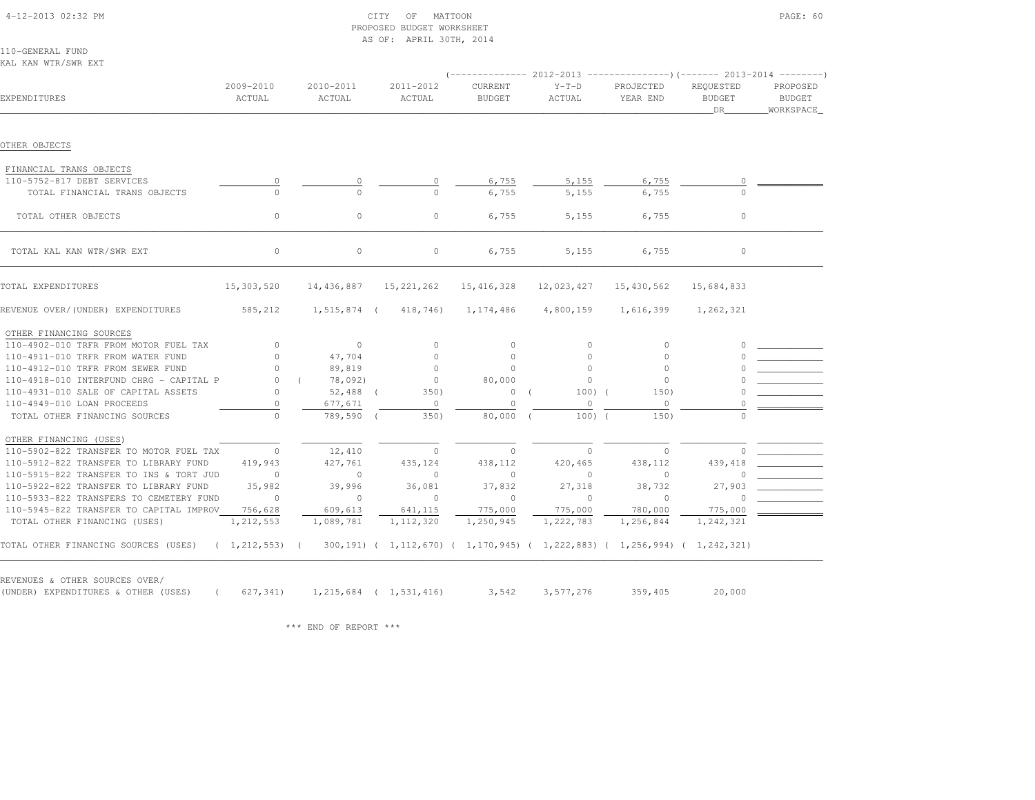### 4-12-2013 02:32 PM CITY OF MATTOON PAGE: 60 PROPOSED BUDGET WORKSHEETAS OF: APRIL 30TH, 2014

110-GENERAL FUNDKAL KAN WTR/SWR EXT

|                                                       |                     |                     |                                                                           |                          | $($ -------------- 2012-2013 ----------------) (------- 2013-2014 --------) |                       |                                  |                                 |
|-------------------------------------------------------|---------------------|---------------------|---------------------------------------------------------------------------|--------------------------|-----------------------------------------------------------------------------|-----------------------|----------------------------------|---------------------------------|
| EXPENDITURES                                          | 2009-2010<br>ACTUAL | 2010-2011<br>ACTUAL | 2011-2012<br>ACTUAL                                                       | CURRENT<br><b>BUDGET</b> | $Y-T-D$<br>ACTUAL                                                           | PROJECTED<br>YEAR END | REQUESTED<br><b>BUDGET</b><br>DR | PROPOSED<br>BUDGET<br>WORKSPACE |
| OTHER OBJECTS                                         |                     |                     |                                                                           |                          |                                                                             |                       |                                  |                                 |
|                                                       |                     |                     |                                                                           |                          |                                                                             |                       |                                  |                                 |
| FINANCIAL TRANS OBJECTS<br>110-5752-817 DEBT SERVICES |                     |                     |                                                                           |                          | 5,155                                                                       | 6,755                 |                                  |                                 |
| TOTAL FINANCIAL TRANS OBJECTS                         | $\circ$             | 0<br>$\circ$        | 0<br>$\Omega$                                                             | 6,755<br>6,755           | 5,155                                                                       | 6,755                 |                                  |                                 |
|                                                       |                     |                     |                                                                           |                          |                                                                             |                       |                                  |                                 |
| TOTAL OTHER OBJECTS                                   | $\circ$             | $\circ$             | $\circ$                                                                   | 6,755                    | 5,155                                                                       | 6,755                 | $\circ$                          |                                 |
| TOTAL KAL KAN WTR/SWR EXT                             | $\circ$             | $\circ$             | $\circ$                                                                   | 6,755                    | 5,155                                                                       | 6,755                 | $\circ$                          |                                 |
| TOTAL EXPENDITURES                                    | 15,303,520          | 14,436,887          | 15, 221, 262                                                              | 15, 416, 328             | 12,023,427                                                                  | 15,430,562            | 15,684,833                       |                                 |
| REVENUE OVER/(UNDER) EXPENDITURES                     | 585,212             | $1, 515, 874$ (     | 418,746)                                                                  | 1,174,486                | 4,800,159                                                                   | 1,616,399             | 1,262,321                        |                                 |
| OTHER FINANCING SOURCES                               |                     |                     |                                                                           |                          |                                                                             |                       |                                  |                                 |
| 110-4902-010 TRFR FROM MOTOR FUEL TAX                 | $\circ$             | $\circ$             | $\circ$                                                                   | $\mathbf{0}$             | $\circ$                                                                     | $\circ$               |                                  |                                 |
| 110-4911-010 TRFR FROM WATER FUND                     | $\circ$             | 47,704              | $\circ$                                                                   | $\circ$                  | $\Omega$                                                                    | $\Omega$              |                                  |                                 |
| 110-4912-010 TRFR FROM SEWER FUND                     | $\cap$              | 89,819              | $\Omega$                                                                  | $\Omega$                 | $\Omega$                                                                    | $\Omega$              |                                  |                                 |
| 110-4918-010 INTERFUND CHRG - CAPITAL P               | $\Omega$            | 78,092)             | $\circ$                                                                   | 80,000                   | $\Omega$                                                                    | $\Omega$              |                                  |                                 |
| 110-4931-010 SALE OF CAPITAL ASSETS                   | $\circ$             | $52,488$ (          | 350)                                                                      | $\circ$                  | $100)$ (                                                                    | 150)                  |                                  |                                 |
| 110-4949-010 LOAN PROCEEDS                            | $\circ$             | 677,671             | $\circ$                                                                   | $\circ$                  | $\circ$                                                                     | $\circ$               |                                  |                                 |
| TOTAL OTHER FINANCING SOURCES                         | $\cap$              | 789,590             | 350)                                                                      | 80,000                   | $100)$ (                                                                    | 150)                  | $\Omega$                         |                                 |
| OTHER FINANCING (USES)                                |                     |                     |                                                                           |                          |                                                                             |                       |                                  |                                 |
| 110-5902-822 TRANSFER TO MOTOR FUEL TAX               | $\circ$             | 12,410              | $\circ$                                                                   | $\circ$                  | $\circ$                                                                     | $\circ$               |                                  |                                 |
| 110-5912-822 TRANSFER TO LIBRARY FUND                 | 419,943             | 427,761             | 435,124                                                                   | 438,112                  | 420,465                                                                     | 438,112               | 439,418                          |                                 |
| 110-5915-822 TRANSFER TO INS & TORT JUD               | $\Omega$            | $\circ$             | $\circ$                                                                   | $\Omega$                 | $\Omega$                                                                    | $\Omega$              |                                  |                                 |
| 110-5922-822 TRANSFER TO LIBRARY FUND                 | 35,982              | 39,996              | 36,081                                                                    | 37,832                   | 27,318                                                                      | 38,732                | 27,903                           |                                 |
| 110-5933-822 TRANSFERS TO CEMETERY FUND               | $\Omega$            | $\circ$             | $\Omega$                                                                  | $\mathbf{0}$             | $\Omega$                                                                    | $\Omega$              |                                  |                                 |
| 110-5945-822 TRANSFER TO CAPITAL IMPROV               | 756,628             | 609,613             | 641,115                                                                   | 775,000                  | 775,000                                                                     | 780,000               | 775,000                          |                                 |
| TOTAL OTHER FINANCING (USES)                          | 1, 212, 553         | 1,089,781           | 1, 112, 320                                                               | 1,250,945                | 1,222,783                                                                   | 1,256,844             | 1,242,321                        |                                 |
| TOTAL OTHER FINANCING SOURCES (USES)                  | (1, 212, 553)       |                     | 300,191) ( 1,112,670) ( 1,170,945) ( 1,222,883) ( 1,256,994) ( 1,242,321) |                          |                                                                             |                       |                                  |                                 |

(UNDER) EXPENDITURES & OTHER (USES) ( 627,341) 1,215,684 ( 1,531,416) 3,542 3,577,276 359,405 20,000

\*\*\* END OF REPORT \*\*\*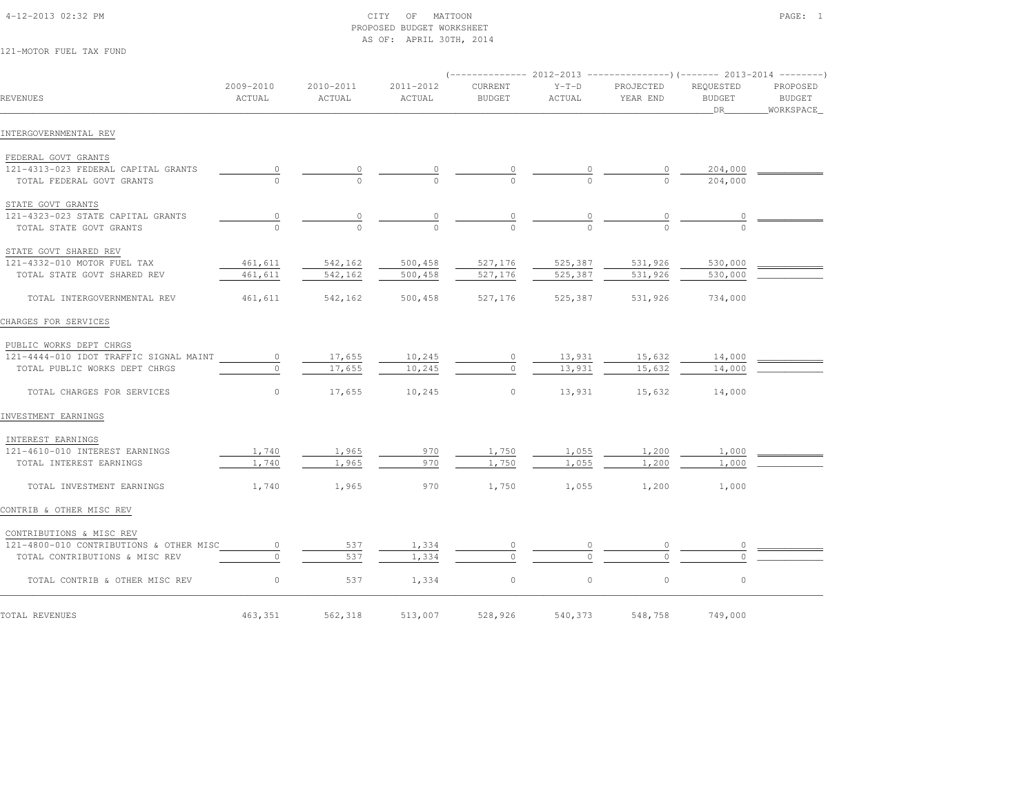## 4-12-2013 02:32 PM CITY OF MATTOON PAGE: 1 PROPOSED BUDGET WORKSHEETAS OF: APRIL 30TH, 2014

121-MOTOR FUEL TAX FUND

| REVENUES                                | 2009-2010<br>ACTUAL | 2010-2011<br>ACTUAL | 2011-2012<br>ACTUAL | <b>CURRENT</b><br><b>BUDGET</b> | $Y-T-D$<br>ACTUAL | PROJECTED<br>YEAR END | REQUESTED<br><b>BUDGET</b><br>DR | PROPOSED<br>BUDGET<br>_WORKSPACE_ |
|-----------------------------------------|---------------------|---------------------|---------------------|---------------------------------|-------------------|-----------------------|----------------------------------|-----------------------------------|
| INTERGOVERNMENTAL REV                   |                     |                     |                     |                                 |                   |                       |                                  |                                   |
| FEDERAL GOVT GRANTS                     |                     |                     |                     |                                 |                   |                       |                                  |                                   |
| 121-4313-023 FEDERAL CAPITAL GRANTS     | $\circ$             | 0                   |                     |                                 |                   |                       | 204,000                          |                                   |
| TOTAL FEDERAL GOVT GRANTS               |                     |                     |                     |                                 |                   |                       | 204,000                          |                                   |
| STATE GOVT GRANTS                       |                     |                     |                     |                                 |                   |                       |                                  |                                   |
| 121-4323-023 STATE CAPITAL GRANTS       | $\overline{0}$      |                     |                     |                                 |                   |                       |                                  |                                   |
| TOTAL STATE GOVT GRANTS                 |                     |                     |                     |                                 |                   |                       |                                  |                                   |
| STATE GOVT SHARED REV                   |                     |                     |                     |                                 |                   |                       |                                  |                                   |
| 121-4332-010 MOTOR FUEL TAX             | 461,611             | 542,162             | 500,458             | 527,176                         | 525,387           | 531,926               | 530,000                          |                                   |
| TOTAL STATE GOVT SHARED REV             | 461,611             | 542,162             | 500,458             | 527,176                         | 525,387           | 531,926               | 530,000                          |                                   |
| TOTAL INTERGOVERNMENTAL REV             | 461,611             | 542,162             | 500,458             | 527,176                         | 525,387           | 531,926               | 734,000                          |                                   |
| CHARGES FOR SERVICES                    |                     |                     |                     |                                 |                   |                       |                                  |                                   |
| PUBLIC WORKS DEPT CHRGS                 |                     |                     |                     |                                 |                   |                       |                                  |                                   |
| 121-4444-010 IDOT TRAFFIC SIGNAL MAINT  | $\circ$             | 17,655              | 10,245              | $\circ$                         | 13,931            | 15,632                | 14,000                           |                                   |
| TOTAL PUBLIC WORKS DEPT CHRGS           | $\Omega$            | 17,655              | 10,245              | $\circ$                         | 13,931            | 15,632                | 14,000                           |                                   |
| TOTAL CHARGES FOR SERVICES              | $\circ$             | 17,655              | 10,245              | $\circ$                         | 13,931            | 15,632                | 14,000                           |                                   |
| INVESTMENT EARNINGS                     |                     |                     |                     |                                 |                   |                       |                                  |                                   |
| INTEREST EARNINGS                       |                     |                     |                     |                                 |                   |                       |                                  |                                   |
| 121-4610-010 INTEREST EARNINGS          | 1,740               | 1,965               | 970                 | 1,750                           | 1,055             | 1,200                 | 1,000                            |                                   |
| TOTAL INTEREST EARNINGS                 | 1,740               | 1,965               | 970                 | 1,750                           | 1,055             | 1,200                 | 1,000                            |                                   |
| TOTAL INVESTMENT EARNINGS               | 1,740               | 1,965               | 970                 | 1,750                           | 1,055             | 1,200                 | 1,000                            |                                   |
| CONTRIB & OTHER MISC REV                |                     |                     |                     |                                 |                   |                       |                                  |                                   |
| CONTRIBUTIONS & MISC REV                |                     |                     |                     |                                 |                   |                       |                                  |                                   |
| 121-4800-010 CONTRIBUTIONS & OTHER MISC | $\circ$             | 537                 | 1,334               |                                 |                   |                       |                                  |                                   |
| TOTAL CONTRIBUTIONS & MISC REV          |                     | 537                 | 1,334               | $\Omega$                        |                   |                       |                                  |                                   |
| TOTAL CONTRIB & OTHER MISC REV          | $\circ$             | 537                 | 1,334               | $\circ$                         | $\circ$           | $\circ$               | $\circ$                          |                                   |
| TOTAL REVENUES                          | 463,351             | 562,318             | 513,007             | 528,926                         | 540,373           | 548,758               | 749,000                          |                                   |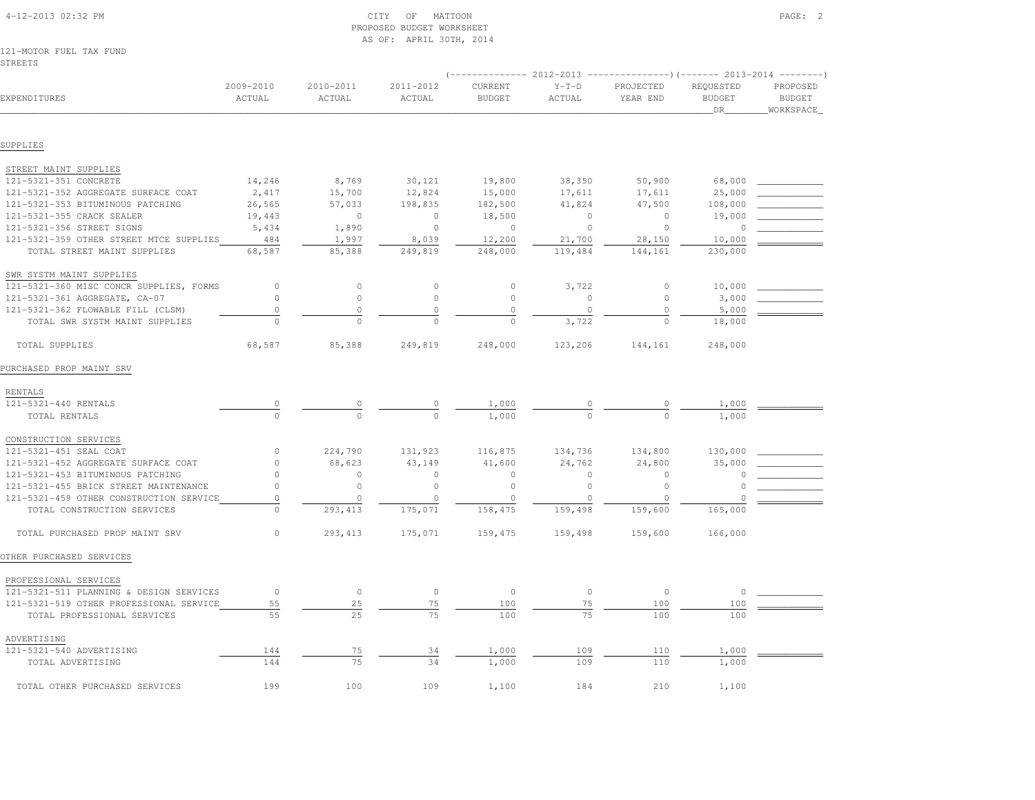| <b>STREETS</b>                                                         |                     |                     |                     |                          |                   |                       |                                         |                                        |
|------------------------------------------------------------------------|---------------------|---------------------|---------------------|--------------------------|-------------------|-----------------------|-----------------------------------------|----------------------------------------|
| EXPENDITURES                                                           | 2009-2010<br>ACTUAL | 2010-2011<br>ACTUAL | 2011-2012<br>ACTUAL | CURRENT<br><b>BUDGET</b> | $Y-T-D$<br>ACTUAL | PROJECTED<br>YEAR END | REQUESTED<br><b>BUDGET</b><br><b>DR</b> | PROPOSED<br><b>BUDGET</b><br>WORKSPACE |
|                                                                        |                     |                     |                     |                          |                   |                       |                                         |                                        |
| SUPPLIES                                                               |                     |                     |                     |                          |                   |                       |                                         |                                        |
| STREET MAINT SUPPLIES                                                  |                     |                     |                     |                          |                   |                       |                                         |                                        |
| 121-5321-351 CONCRETE                                                  | 14,246              | 8,769               | 30,121              | 19,800                   | 38,350            | 50,900                | 68,000                                  |                                        |
| 121-5321-352 AGGREGATE SURFACE COAT                                    | 2,417               | 15,700              | 12,824              | 15,000                   | 17,611            | 17,611                | 25,000                                  |                                        |
| 121-5321-353 BITUMINOUS PATCHING                                       | 26,565              | 57,033              | 198,835             | 182,500                  | 41,824            | 47,500                | 108,000                                 |                                        |
| 121-5321-355 CRACK SEALER                                              | 19,443              | $\circ$             | $\circ$             | 18,500                   | $\mathbb O$       | $\circ$               | 19,000                                  |                                        |
| 121-5321-356 STREET SIGNS                                              | 5,434               | 1,890               | $\circ$             | $\circ$                  | $\circ$           | $\Omega$              | $\Omega$                                |                                        |
| 121-5321-359 OTHER STREET MTCE SUPPLIES                                | 484                 | 1,997               | 8,039               | 12,200                   | 21,700            | 28,150                | 10,000                                  |                                        |
| TOTAL STREET MAINT SUPPLIES                                            | 68,587              | 85,388              | 249,819             | 248,000                  | 119,484           | 144,161               | 230,000                                 |                                        |
| SWR SYSTM MAINT SUPPLIES                                               |                     |                     |                     |                          |                   |                       |                                         |                                        |
| 121-5321-360 MISC CONCR SUPPLIES, FORMS                                | 0                   | $\circ$             | $\circ$             | $\circ$                  | 3,722             | $\circ$               | 10,000                                  |                                        |
| 121-5321-361 AGGREGATE, CA-07                                          | $\circ$             | $\circ$             | $\circ$             | $\circ$                  | $\circ$           | $\circ$               | 3,000                                   |                                        |
| 121-5321-362 FLOWABLE FILL (CLSM)                                      | $\circ$             | $\circ$             | $\circ$             | $\circ$                  | $\circ$           | $\circ$               | 5,000                                   |                                        |
| TOTAL SWR SYSTM MAINT SUPPLIES                                         | $\Omega$            | $\circ$             | $\Omega$            | $\Omega$                 | 3,722             | $\Omega$              | 18,000                                  |                                        |
| TOTAL SUPPLIES                                                         | 68,587              | 85,388              | 249,819             | 248,000                  | 123,206           | 144,161               | 248,000                                 |                                        |
| PURCHASED PROP MAINT SRV                                               |                     |                     |                     |                          |                   |                       |                                         |                                        |
| RENTALS                                                                |                     |                     |                     |                          |                   |                       |                                         |                                        |
| 121-5321-440 RENTALS                                                   |                     |                     |                     | 1,000                    |                   |                       | 1,000                                   |                                        |
| TOTAL RENTALS                                                          | $\frac{0}{0}$       | $\Omega$            |                     | 1,000                    |                   |                       | 1,000                                   |                                        |
| CONSTRUCTION SERVICES                                                  |                     |                     |                     |                          |                   |                       |                                         |                                        |
| 121-5321-451 SEAL COAT                                                 | $\circ$             | 224,790             | 131,923             | 116,875                  | 134,736           | 134,800               | 130,000                                 |                                        |
| 121-5321-452 AGGREGATE SURFACE COAT                                    | 0                   | 68,623              | 43,149              | 41,600                   | 24,762            | 24,800                | 35,000                                  |                                        |
| 121-5321-453 BITUMINOUS PATCHING                                       | 0                   | $\circ$             | $\circ$             | 0                        | $\circ$           | 0                     |                                         |                                        |
| 121-5321-455 BRICK STREET MAINTENANCE                                  | $\Omega$            | $\circ$             | $\circ$             | $\circ$                  | $\mathbf{0}$      | $\circ$               | $\Omega$                                |                                        |
| 121-5321-459 OTHER CONSTRUCTION SERVICE                                | 0                   | $\circ$             | $\circ$             | $\circ$                  | $\circ$           | $\cap$                | $\Omega$                                |                                        |
| TOTAL CONSTRUCTION SERVICES                                            | $\Omega$            | 293, 413            | 175,071             | 158,475                  | 159,498           | 159,600               | 165,000                                 |                                        |
| TOTAL PURCHASED PROP MAINT SRV                                         | $\circ$             | 293, 413            | 175,071             | 159,475                  | 159,498           | 159,600               | 166,000                                 |                                        |
| OTHER PURCHASED SERVICES                                               |                     |                     |                     |                          |                   |                       |                                         |                                        |
|                                                                        |                     |                     |                     |                          |                   |                       |                                         |                                        |
| PROFESSIONAL SERVICES                                                  | $\circ$             |                     |                     |                          |                   | $\circ$               |                                         |                                        |
| 121-5321-511 PLANNING & DESIGN SERVICES                                | 55                  | $\circ$<br>25       | $\circ$<br>75       | $\circ$<br>100           | $\circ$<br>75     | 100                   | $\circ$<br>100                          |                                        |
| 121-5321-519 OTHER PROFESSIONAL SERVICE<br>TOTAL PROFESSIONAL SERVICES | 55                  | 25                  | 75                  | 100                      | 75                | 100                   | 100                                     |                                        |
|                                                                        |                     |                     |                     |                          |                   |                       |                                         |                                        |
| ADVERTISING<br>121-5321-540 ADVERTISING                                |                     |                     |                     |                          | 109               | 110                   | 1,000                                   |                                        |
| TOTAL ADVERTISING                                                      | 144<br>144          | 75<br>75            | 34<br>34            | 1,000<br>1,000           | 109               | 110                   | 1,000                                   |                                        |
|                                                                        |                     |                     |                     |                          |                   |                       |                                         |                                        |
| TOTAL OTHER PURCHASED SERVICES                                         | 199                 | 100                 | 109                 | 1,100                    | 184               | 210                   | 1,100                                   |                                        |

 4-12-2013 02:32 PM CITY OF MATTOON PAGE: 2PROPOSED BUDGET WORKSHEET

AS OF: APRIL 30TH, 2014

121-MOTOR FUEL TAX FUND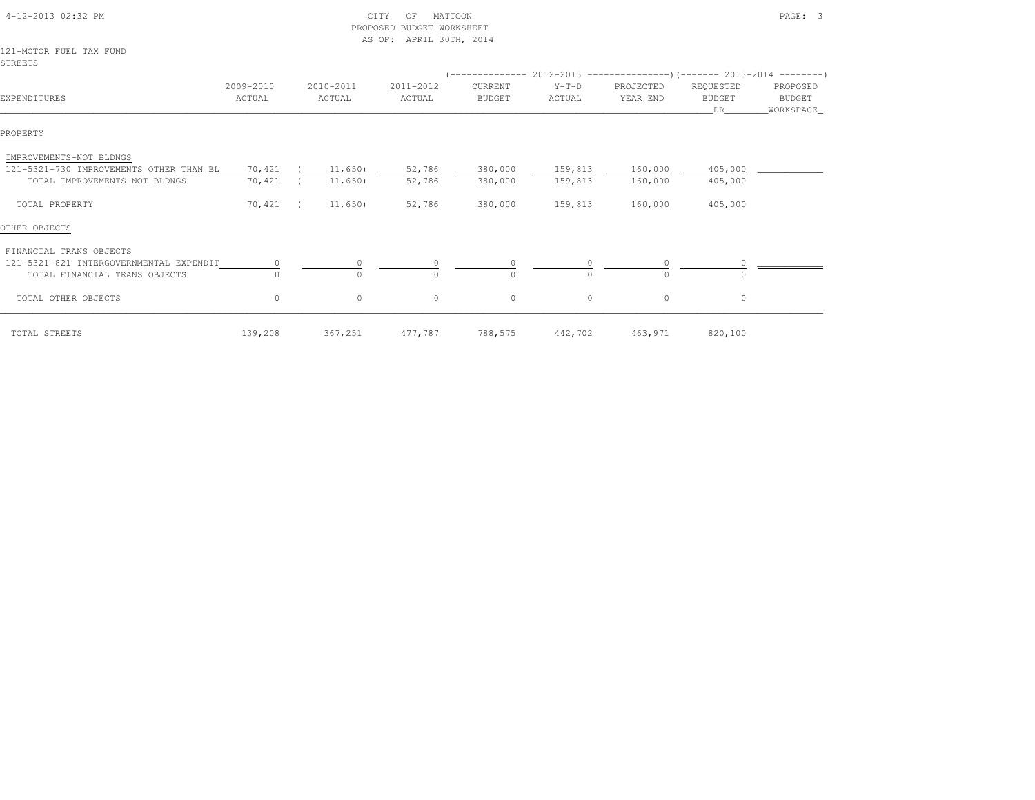| 4-12-2013 02:32 PM                      |                     |                     | CITY<br>MATTOON<br>OF<br>PROPOSED BUDGET WORKSHEET<br>AS OF: APRIL 30TH, 2014 |                          |                   |                       |                                   | PAGE: 3                                 |
|-----------------------------------------|---------------------|---------------------|-------------------------------------------------------------------------------|--------------------------|-------------------|-----------------------|-----------------------------------|-----------------------------------------|
| 121-MOTOR FUEL TAX FUND<br>STREETS      |                     |                     |                                                                               |                          |                   |                       |                                   |                                         |
|                                         |                     |                     |                                                                               |                          |                   |                       |                                   |                                         |
| EXPENDITURES                            | 2009-2010<br>ACTUAL | 2010-2011<br>ACTUAL | 2011-2012<br>ACTUAL                                                           | CURRENT<br><b>BUDGET</b> | $Y-T-D$<br>ACTUAL | PROJECTED<br>YEAR END | REQUESTED<br><b>BUDGET</b><br>DR. | PROPOSED<br><b>BUDGET</b><br>WORKSPACE_ |
| PROPERTY                                |                     |                     |                                                                               |                          |                   |                       |                                   |                                         |
| IMPROVEMENTS-NOT BLDNGS                 |                     |                     |                                                                               |                          |                   |                       |                                   |                                         |
| 121-5321-730 IMPROVEMENTS OTHER THAN BL | 70,421              | 11,650)             | 52,786                                                                        | 380,000                  | 159,813           | 160,000               | 405,000                           |                                         |
| TOTAL IMPROVEMENTS-NOT BLDNGS           | 70,421              | 11,650)             | 52,786                                                                        | 380,000                  | 159,813           | 160,000               | 405,000                           |                                         |
| TOTAL PROPERTY                          | 70,421              | 11,650)             | 52,786                                                                        | 380,000                  | 159,813           | 160,000               | 405,000                           |                                         |
| OTHER OBJECTS                           |                     |                     |                                                                               |                          |                   |                       |                                   |                                         |
| FINANCIAL TRANS OBJECTS                 |                     |                     |                                                                               |                          |                   |                       |                                   |                                         |
| 121-5321-821 INTERGOVERNMENTAL EXPENDIT | 0                   |                     |                                                                               |                          |                   |                       |                                   |                                         |
| TOTAL FINANCIAL TRANS OBJECTS           | $\Omega$            | $\cap$              | $\cap$                                                                        | $\Omega$                 | $\cap$            | $\Omega$              | $\Omega$                          |                                         |
| TOTAL OTHER OBJECTS                     | $\circ$             | 0                   | 0                                                                             | $\circ$                  | $\circ$           | $\circ$               | $\circ$                           |                                         |
| TOTAL STREETS                           | 139,208             | 367,251             | 477,787                                                                       | 788,575                  | 442,702           | 463,971               | 820,100                           |                                         |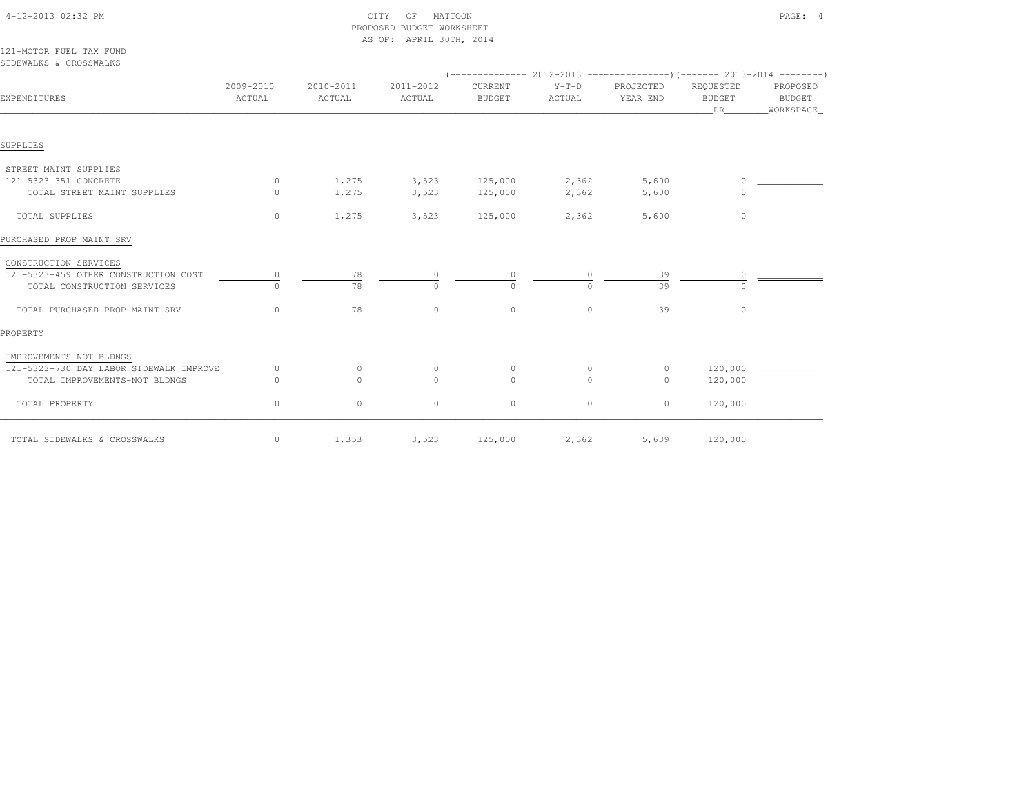| 4-12-2013 02:32 PM                                |                     |                     | MATTOON<br>OF<br>CITY<br>PROPOSED BUDGET WORKSHEET<br>AS OF: APRIL 30TH, 2014 |                          |                   |                                                                                               |                                  | PAGE: 4                                 |
|---------------------------------------------------|---------------------|---------------------|-------------------------------------------------------------------------------|--------------------------|-------------------|-----------------------------------------------------------------------------------------------|----------------------------------|-----------------------------------------|
| 121-MOTOR FUEL TAX FUND<br>SIDEWALKS & CROSSWALKS |                     |                     |                                                                               |                          |                   |                                                                                               |                                  |                                         |
| EXPENDITURES                                      | 2009-2010<br>ACTUAL | 2010-2011<br>ACTUAL | 2011-2012<br>ACTUAL                                                           | CURRENT<br><b>BUDGET</b> | $Y-T-D$<br>ACTUAL | $(---------- 2012-2013$ ---------------) (------- 2013-2014 -------)<br>PROJECTED<br>YEAR END | REQUESTED<br><b>BUDGET</b><br>DR | PROPOSED<br><b>BUDGET</b><br>WORKSPACE_ |
| SUPPLIES                                          |                     |                     |                                                                               |                          |                   |                                                                                               |                                  |                                         |
| STREET MAINT SUPPLIES                             |                     |                     |                                                                               |                          |                   |                                                                                               |                                  |                                         |
| 121-5323-351 CONCRETE                             | $\circ$             | 1,275               | 3,523                                                                         | 125,000                  | 2,362             | 5,600                                                                                         | 0                                |                                         |
| TOTAL STREET MAINT SUPPLIES                       | $\circ$             | 1,275               | 3,523                                                                         | 125,000                  | 2,362             | 5,600                                                                                         |                                  |                                         |
| TOTAL SUPPLIES                                    | $\circ$             | 1,275               | 3,523                                                                         | 125,000                  | 2,362             | 5,600                                                                                         | $\circ$                          |                                         |
| PURCHASED PROP MAINT SRV                          |                     |                     |                                                                               |                          |                   |                                                                                               |                                  |                                         |
| CONSTRUCTION SERVICES                             |                     |                     |                                                                               |                          |                   |                                                                                               |                                  |                                         |
| 121-5323-459 OTHER CONSTRUCTION COST              | $\circ$             | 78                  |                                                                               |                          |                   | 39                                                                                            |                                  |                                         |
| TOTAL CONSTRUCTION SERVICES                       | $\Omega$            | 78                  | $\cap$                                                                        | $\Omega$                 |                   | 39                                                                                            | $\Omega$                         |                                         |
| TOTAL PURCHASED PROP MAINT SRV                    | $\circ$             | 78                  | $\circ$                                                                       | $\circ$                  | $\circ$           | 39                                                                                            | $\circ$                          |                                         |
| PROPERTY                                          |                     |                     |                                                                               |                          |                   |                                                                                               |                                  |                                         |
| IMPROVEMENTS-NOT BLDNGS                           |                     |                     |                                                                               |                          |                   |                                                                                               |                                  |                                         |
| 121-5323-730 DAY LABOR SIDEWALK IMPROVE           | $\circ$             |                     |                                                                               |                          |                   | 0                                                                                             | 120,000                          |                                         |
| TOTAL IMPROVEMENTS-NOT BLDNGS                     | $\Omega$            | $\cap$              | $\cap$                                                                        | $\Omega$                 | $\Omega$          | $\circ$                                                                                       | 120,000                          |                                         |
| TOTAL PROPERTY                                    | $\circ$             | $\circ$             | $\circ$                                                                       | $\circ$                  | $\circ$           | $\circ$                                                                                       | 120,000                          |                                         |
| TOTAL SIDEWALKS & CROSSWALKS                      | $\circ$             | 1,353               | 3,523                                                                         | 125,000                  | 2,362             | 5,639                                                                                         | 120,000                          |                                         |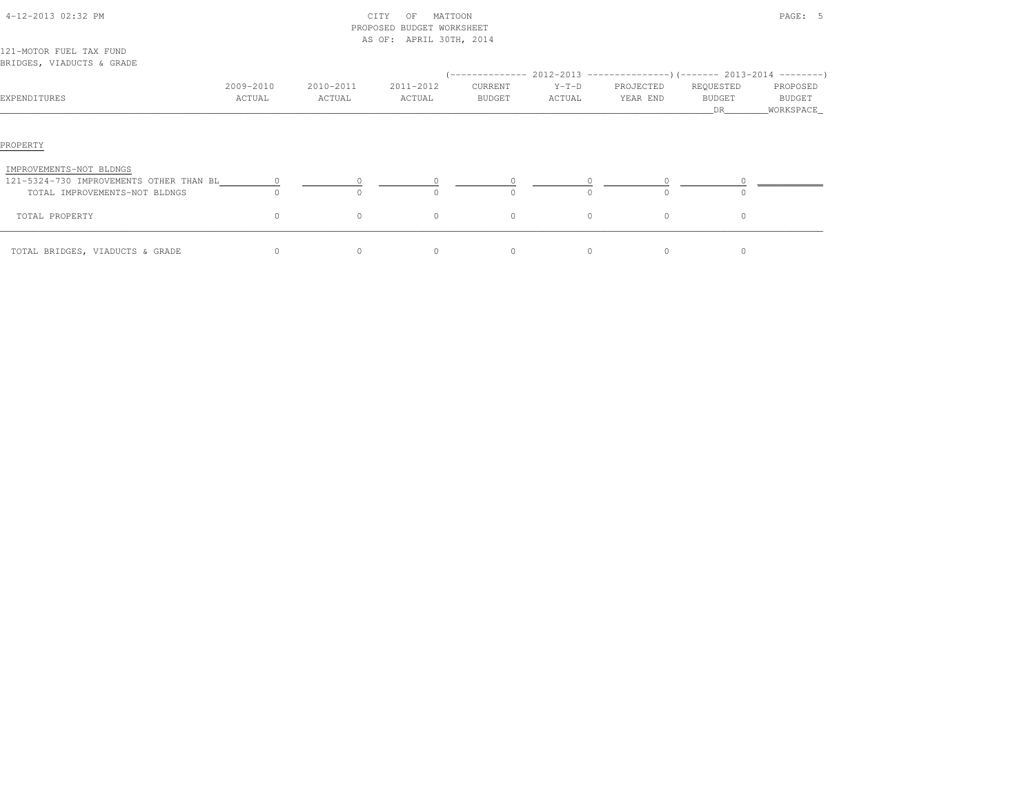|                                                                                                     |                     |                     | PROPOSED BUDGET WORKSHEET |                   |                   |                       |                           |                                 |
|-----------------------------------------------------------------------------------------------------|---------------------|---------------------|---------------------------|-------------------|-------------------|-----------------------|---------------------------|---------------------------------|
| 121-MOTOR FUEL TAX FUND<br>BRIDGES, VIADUCTS & GRADE                                                |                     |                     | AS OF: APRIL 30TH, 2014   |                   |                   |                       |                           |                                 |
| EXPENDITURES                                                                                        | 2009-2010<br>ACTUAL | 2010-2011<br>ACTUAL | 2011-2012<br>ACTUAL       | CURRENT<br>BUDGET | $Y-T-D$<br>ACTUAL | PROJECTED<br>YEAR END | REQUESTED<br>BUDGET<br>DR | PROPOSED<br>BUDGET<br>WORKSPACE |
| PROPERTY                                                                                            |                     |                     |                           |                   |                   |                       |                           |                                 |
| IMPROVEMENTS-NOT BLDNGS<br>121-5324-730 IMPROVEMENTS OTHER THAN BL<br>TOTAL IMPROVEMENTS-NOT BLDNGS | $\overline{0}$      |                     | $\circ$                   | $\circ$           |                   | $\circ$<br>$\Omega$   | $\Omega$                  |                                 |
| TOTAL PROPERTY                                                                                      | $\circ$             | $\circ$             | $\circ$                   | $\circ$           | $\circ$           | $\circ$               | $\circ$                   |                                 |
| TOTAL BRIDGES, VIADUCTS & GRADE                                                                     | $\circ$             | $\circ$             | $\circ$                   | $\circ$           | $\circ$           | $\circ$               | $\circ$                   |                                 |

4-12-2013 02:32 PM CITY OF MATTOON PAGE: 5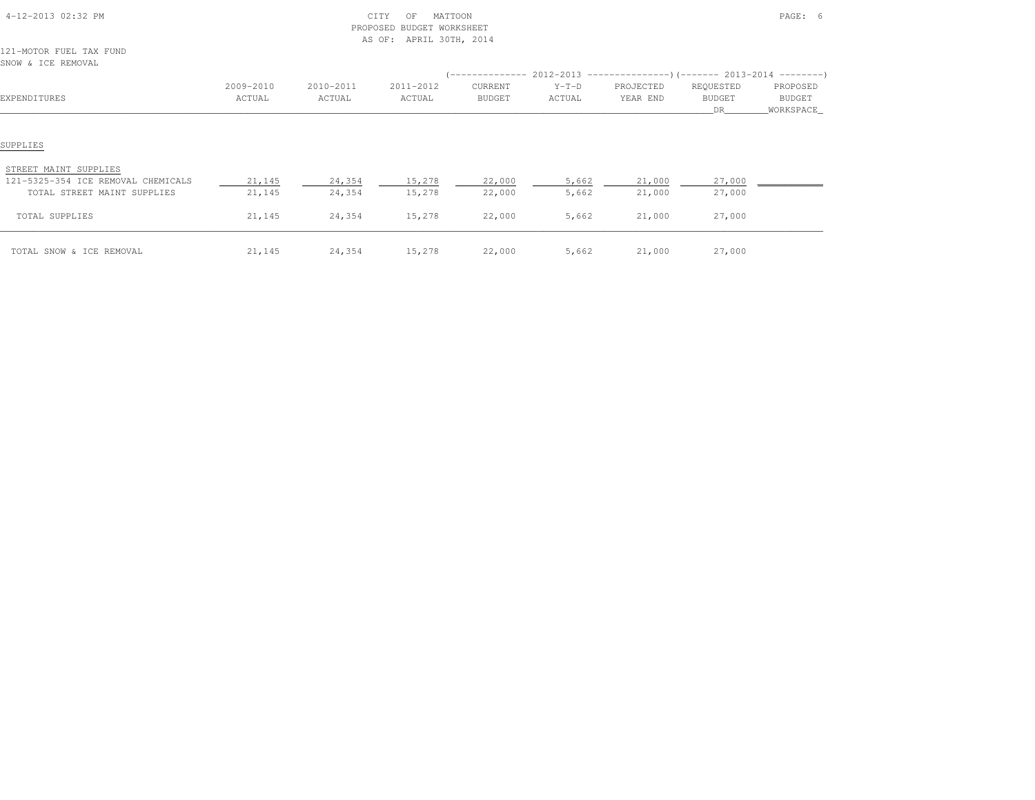| 4-12-2013 02:32 PM                                                                                     |                  |                  | CITY<br>MATTOON<br>OF<br>PROPOSED BUDGET WORKSHEET<br>AS OF: APRIL 30TH, 2014 |                  |                                                                                |                  |                  | PAGE: 6             |  |  |  |  |
|--------------------------------------------------------------------------------------------------------|------------------|------------------|-------------------------------------------------------------------------------|------------------|--------------------------------------------------------------------------------|------------------|------------------|---------------------|--|--|--|--|
| 121-MOTOR FUEL TAX FUND<br>SNOW & ICE REMOVAL                                                          |                  |                  |                                                                               |                  |                                                                                |                  |                  |                     |  |  |  |  |
|                                                                                                        |                  |                  |                                                                               |                  | $(-$ -------------- 2012-2013 -----------------) (------- 2013-2014 ---------) |                  |                  |                     |  |  |  |  |
|                                                                                                        | 2009-2010        | 2010-2011        | 2011-2012                                                                     | CURRENT          | $Y-T-D$                                                                        | PROJECTED        | REQUESTED        | PROPOSED            |  |  |  |  |
| EXPENDITURES                                                                                           | ACTUAL           | ACTUAL           | ACTUAL                                                                        | BUDGET           | ACTUAL                                                                         | YEAR END         | BUDGET<br>DR     | BUDGET<br>WORKSPACE |  |  |  |  |
| SUPPLIES<br>STREET MAINT SUPPLIES<br>121-5325-354 ICE REMOVAL CHEMICALS<br>TOTAL STREET MAINT SUPPLIES | 21,145<br>21,145 | 24,354<br>24,354 | 15,278<br>15,278                                                              | 22,000<br>22,000 | 5,662<br>5,662                                                                 | 21,000<br>21,000 | 27,000<br>27,000 |                     |  |  |  |  |
| TOTAL SUPPLIES                                                                                         | 21,145           | 24,354           | 15,278                                                                        | 22,000           | 5,662                                                                          | 21,000           | 27,000           |                     |  |  |  |  |
| TOTAL SNOW & ICE REMOVAL                                                                               | 21,145           | 24,354           | 15,278                                                                        | 22,000           | 5,662                                                                          | 21,000           | 27,000           |                     |  |  |  |  |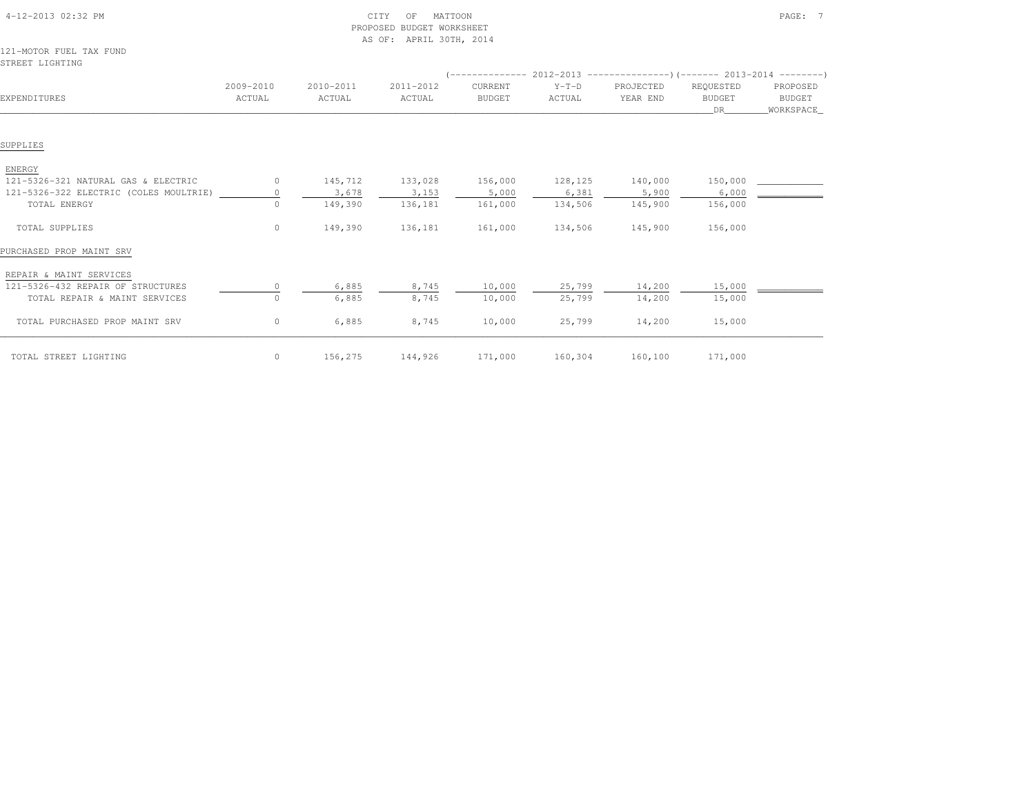| 4-12-2013 02:32 PM                         |                     |                     | CITY<br>MATTOON<br>OF<br>PROPOSED BUDGET WORKSHEET<br>AS OF: APRIL 30TH, 2014 |                          |                   |                       |                                  | PAGE: 7                                |
|--------------------------------------------|---------------------|---------------------|-------------------------------------------------------------------------------|--------------------------|-------------------|-----------------------|----------------------------------|----------------------------------------|
| 121-MOTOR FUEL TAX FUND<br>STREET LIGHTING |                     |                     |                                                                               |                          |                   |                       |                                  |                                        |
|                                            |                     |                     |                                                                               |                          |                   |                       |                                  |                                        |
| EXPENDITURES                               | 2009-2010<br>ACTUAL | 2010-2011<br>ACTUAL | 2011-2012<br>ACTUAL                                                           | CURRENT<br><b>BUDGET</b> | $Y-T-D$<br>ACTUAL | PROJECTED<br>YEAR END | REQUESTED<br><b>BUDGET</b><br>DR | PROPOSED<br><b>BUDGET</b><br>WORKSPACE |
|                                            |                     |                     |                                                                               |                          |                   |                       |                                  |                                        |
| SUPPLIES                                   |                     |                     |                                                                               |                          |                   |                       |                                  |                                        |
| ENERGY                                     |                     |                     |                                                                               |                          |                   |                       |                                  |                                        |
| 121-5326-321 NATURAL GAS & ELECTRIC        | $\circ$             | 145,712             | 133,028                                                                       | 156,000                  | 128,125           | 140,000               | 150,000                          |                                        |
| 121-5326-322 ELECTRIC (COLES MOULTRIE)     | $\circ$             | 3,678               | 3,153                                                                         | 5,000                    | 6,381             | 5,900                 | 6,000                            |                                        |
| TOTAL ENERGY                               | $\Omega$            | 149,390             | 136,181                                                                       | 161,000                  | 134,506           | 145,900               | 156,000                          |                                        |
| TOTAL SUPPLIES                             | $\circ$             | 149,390             | 136,181                                                                       | 161,000                  | 134,506           | 145,900               | 156,000                          |                                        |
| PURCHASED PROP MAINT SRV                   |                     |                     |                                                                               |                          |                   |                       |                                  |                                        |
| REPAIR & MAINT SERVICES                    |                     |                     |                                                                               |                          |                   |                       |                                  |                                        |
| 121-5326-432 REPAIR OF STRUCTURES          |                     | 6,885               | 8,745                                                                         | 10,000                   | 25,799            | 14,200                | 15,000                           |                                        |
| TOTAL REPAIR & MAINT SERVICES              | 0                   | 6,885               | 8,745                                                                         | 10,000                   | 25,799            | 14,200                | 15,000                           |                                        |
| TOTAL PURCHASED PROP MAINT SRV             | $\circ$             | 6,885               | 8,745                                                                         | 10,000                   | 25,799            | 14,200                | 15,000                           |                                        |
| TOTAL STREET LIGHTING                      | $\Omega$            | 156,275             | 144,926                                                                       | 171,000                  | 160,304           | 160,100               | 171,000                          |                                        |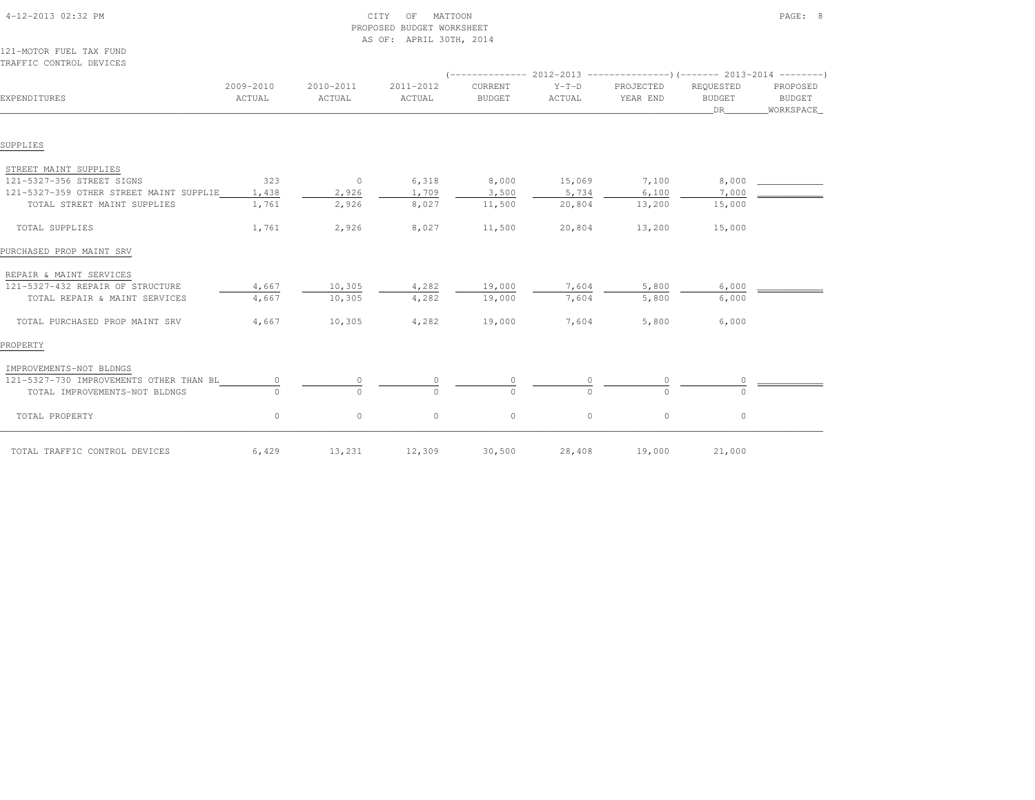| 121-MOTOR FUEL TAX FUND<br>TRAFFIC CONTROL DEVICES |                     |                     |                     |                          |                   |                                                                                                      |                                  |                                        |  |
|----------------------------------------------------|---------------------|---------------------|---------------------|--------------------------|-------------------|------------------------------------------------------------------------------------------------------|----------------------------------|----------------------------------------|--|
| EXPENDITURES                                       | 2009-2010<br>ACTUAL | 2010-2011<br>ACTUAL | 2011-2012<br>ACTUAL | CURRENT<br><b>BUDGET</b> | $Y-T-D$<br>ACTUAL | $($ -------------- 2012-2013 ----------------) (------- 2013-2014 --------)<br>PROJECTED<br>YEAR END | REQUESTED<br><b>BUDGET</b><br>DR | PROPOSED<br><b>BUDGET</b><br>WORKSPACE |  |
| SUPPLIES                                           |                     |                     |                     |                          |                   |                                                                                                      |                                  |                                        |  |
| STREET MAINT SUPPLIES                              |                     |                     |                     |                          |                   |                                                                                                      |                                  |                                        |  |
| 121-5327-356 STREET SIGNS                          | 323                 | $\circ$             | 6,318               | 8,000                    | 15,069            | 7,100                                                                                                | 8,000                            |                                        |  |
| 121-5327-359 OTHER STREET MAINT SUPPLIE            | 1,438               | 2,926               | 1,709               | 3,500                    | 5,734             | 6,100                                                                                                | 7,000                            |                                        |  |
| TOTAL STREET MAINT SUPPLIES                        | 1,761               | 2,926               | 8,027               | 11,500                   | 20,804            | 13,200                                                                                               | 15,000                           |                                        |  |
| TOTAL SUPPLIES                                     | 1,761               | 2,926               | 8,027               | 11,500                   | 20,804            | 13,200                                                                                               | 15,000                           |                                        |  |
| PURCHASED PROP MAINT SRV                           |                     |                     |                     |                          |                   |                                                                                                      |                                  |                                        |  |
| REPAIR & MAINT SERVICES                            |                     |                     |                     |                          |                   |                                                                                                      |                                  |                                        |  |
| 121-5327-432 REPAIR OF STRUCTURE                   | 4,667               | 10,305              | 4,282               | 19,000                   | 7,604             | 5,800                                                                                                | 6,000                            |                                        |  |
| TOTAL REPAIR & MAINT SERVICES                      | 4,667               | 10,305              | 4,282               | 19,000                   | 7,604             | 5,800                                                                                                | 6,000                            |                                        |  |
| TOTAL PURCHASED PROP MAINT SRV                     | 4,667               | 10,305              | 4,282               | 19,000                   | 7,604             | 5,800                                                                                                | 6,000                            |                                        |  |
| PROPERTY                                           |                     |                     |                     |                          |                   |                                                                                                      |                                  |                                        |  |
| IMPROVEMENTS-NOT BLDNGS                            |                     |                     |                     |                          |                   |                                                                                                      |                                  |                                        |  |
| 121-5327-730 IMPROVEMENTS OTHER THAN BL            | 0                   | $\circ$             |                     | 0                        |                   | 0                                                                                                    |                                  |                                        |  |
| TOTAL IMPROVEMENTS-NOT BLDNGS                      |                     | $\cap$              | $\cap$              | $\cap$                   | $\cap$            | $\cap$                                                                                               |                                  |                                        |  |
| TOTAL PROPERTY                                     | $\circ$             | $\circ$             | $\circ$             | $\circ$                  | $\circ$           | $\circ$                                                                                              | $\circ$                          |                                        |  |
| TOTAL TRAFFIC CONTROL DEVICES                      | 6,429               | 13,231              | 12,309              | 30,500                   | 28,408            | 19,000                                                                                               | 21,000                           |                                        |  |

 4-12-2013 02:32 PM CITY OF MATTOON PAGE: 8PROPOSED BUDGET WORKSHEET

AS OF: APRIL 30TH, 2014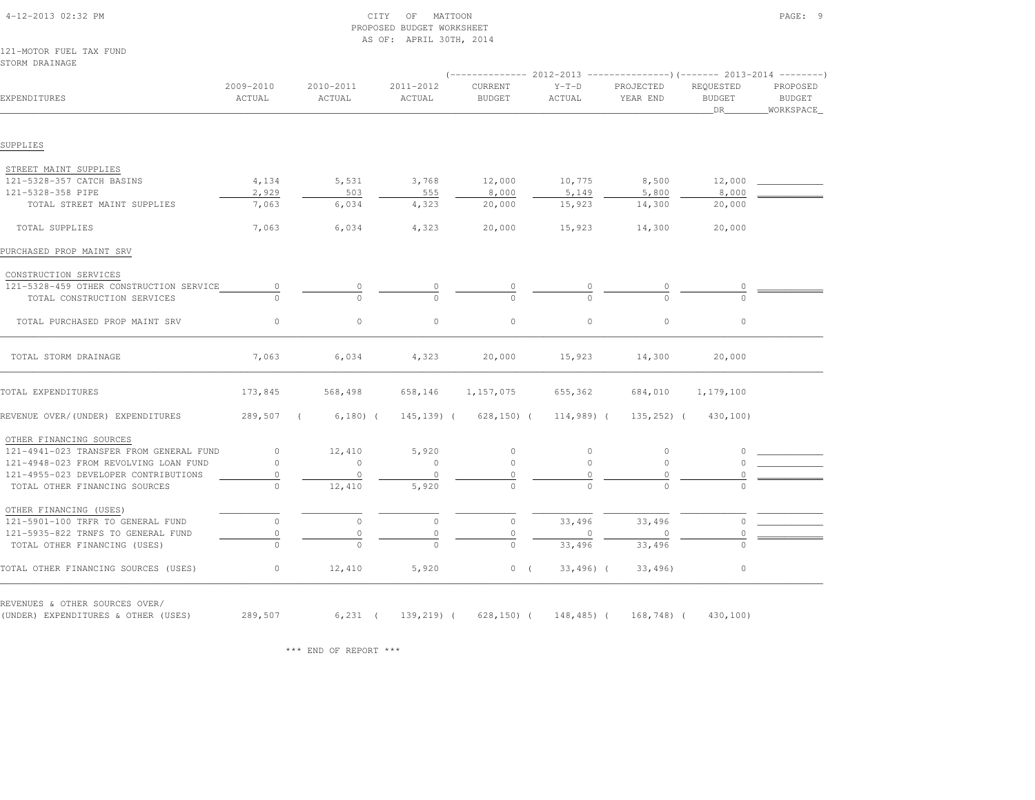|                                                                       |                     |                     | AS OF: APRIL 30TH, 2014 |                          |                   |                                                                     |                                  |                                        |
|-----------------------------------------------------------------------|---------------------|---------------------|-------------------------|--------------------------|-------------------|---------------------------------------------------------------------|----------------------------------|----------------------------------------|
| 121-MOTOR FUEL TAX FUND<br>STORM DRAINAGE                             |                     |                     |                         |                          |                   |                                                                     |                                  |                                        |
|                                                                       |                     |                     |                         |                          |                   | $(----------2012-2013$ ---------------)(------- 2013-2014 --------) |                                  |                                        |
| EXPENDITURES                                                          | 2009-2010<br>ACTUAL | 2010-2011<br>ACTUAL | 2011-2012<br>ACTUAL     | CURRENT<br><b>BUDGET</b> | $Y-T-D$<br>ACTUAL | PROJECTED<br>YEAR END                                               | REQUESTED<br><b>BUDGET</b><br>DR | PROPOSED<br><b>BUDGET</b><br>WORKSPACE |
| SUPPLIES                                                              |                     |                     |                         |                          |                   |                                                                     |                                  |                                        |
| STREET MAINT SUPPLIES                                                 |                     |                     |                         |                          |                   |                                                                     |                                  |                                        |
| 121-5328-357 CATCH BASINS                                             | 4,134               | 5,531               | 3,768                   | 12,000                   | 10,775            | 8,500                                                               | 12,000                           |                                        |
| 121-5328-358 PIPE                                                     | 2,929               | 503                 | 555                     | 8,000                    | 5,149             | 5,800                                                               | 8,000                            |                                        |
| TOTAL STREET MAINT SUPPLIES                                           | 7,063               | 6,034               | 4,323                   | 20,000                   | 15,923            | 14,300                                                              | 20,000                           |                                        |
| TOTAL SUPPLIES                                                        | 7,063               | 6,034               | 4,323                   | 20,000                   | 15,923            | 14,300                                                              | 20,000                           |                                        |
| PURCHASED PROP MAINT SRV                                              |                     |                     |                         |                          |                   |                                                                     |                                  |                                        |
| CONSTRUCTION SERVICES                                                 |                     |                     |                         |                          |                   |                                                                     |                                  |                                        |
| 121-5328-459 OTHER CONSTRUCTION SERVICE                               | $\circ$             | $\circ$             | 0                       | 0                        | 0                 | 0                                                                   | 0                                |                                        |
| TOTAL CONSTRUCTION SERVICES                                           |                     |                     | $\cap$                  |                          |                   |                                                                     |                                  |                                        |
| TOTAL PURCHASED PROP MAINT SRV                                        | 0                   | $\circ$             | $\circ$                 | $\circ$                  | $\circ$           | $\circ$                                                             | $\circ$                          |                                        |
| TOTAL STORM DRAINAGE                                                  | 7,063               | 6,034               | 4,323                   | 20,000                   | 15,923            | 14,300                                                              | 20,000                           |                                        |
| TOTAL EXPENDITURES                                                    | 173,845             | 568,498             | 658,146                 | 1,157,075                | 655,362           | 684,010                                                             | 1,179,100                        |                                        |
| REVENUE OVER/(UNDER) EXPENDITURES                                     | 289,507 (           | $6,180)$ (          |                         | 145,139) ( 628,150) (    | $114,989$ (       | $135, 252)$ (                                                       | 430,100)                         |                                        |
| OTHER FINANCING SOURCES                                               |                     |                     |                         |                          |                   |                                                                     |                                  |                                        |
| 121-4941-023 TRANSFER FROM GENERAL FUND                               | $\circ$             | 12,410              | 5,920                   | $\circ$                  | $\circ$           | $\circ$                                                             | 0                                |                                        |
| 121-4948-023 FROM REVOLVING LOAN FUND                                 | $\circ$             | $\circ$             | $\circ$                 | $\circ$                  | $\circ$           | $\circ$                                                             | 0                                |                                        |
| 121-4955-023 DEVELOPER CONTRIBUTIONS                                  | $\circ$             | $\circ$             | $\circ$                 | $\circ$                  | $\circ$           | $\circ$                                                             | $\circ$                          |                                        |
| TOTAL OTHER FINANCING SOURCES                                         | $\Omega$            | 12,410              | 5,920                   |                          |                   |                                                                     |                                  |                                        |
| OTHER FINANCING (USES)                                                |                     |                     |                         |                          |                   |                                                                     |                                  |                                        |
| 121-5901-100 TRFR TO GENERAL FUND                                     | $\circ$             | $\circ$             | $\circ$                 | $\circ$                  | 33,496            | 33,496                                                              | $\circ$                          |                                        |
| 121-5935-822 TRNFS TO GENERAL FUND                                    | $\mathbb O$         | $\circ$             | 0                       | 0                        | $\circ$           | $\overline{0}$                                                      | $\circ$                          |                                        |
| TOTAL OTHER FINANCING (USES)                                          | $\Omega$            |                     | $\Omega$                | $\circ$                  | 33,496            | 33,496                                                              |                                  |                                        |
| TOTAL OTHER FINANCING SOURCES (USES)                                  | $\circ$             | 12,410              | 5,920                   | 0(                       | $33,496$ ) (      | 33,496)                                                             | $\circ$                          |                                        |
| REVENUES & OTHER SOURCES OVER/<br>(UNDER) EXPENDITURES & OTHER (USES) | 289,507             |                     |                         |                          |                   | 6,231 ( 139,219) ( 628,150) ( 148,485) ( 168,748) ( 430,100)        |                                  |                                        |

PROPOSED BUDGET WORKSHEET

\*\*\* END OF REPORT \*\*\*

4-12-2013 02:32 PM CITY OF MATTOON PAGE: 9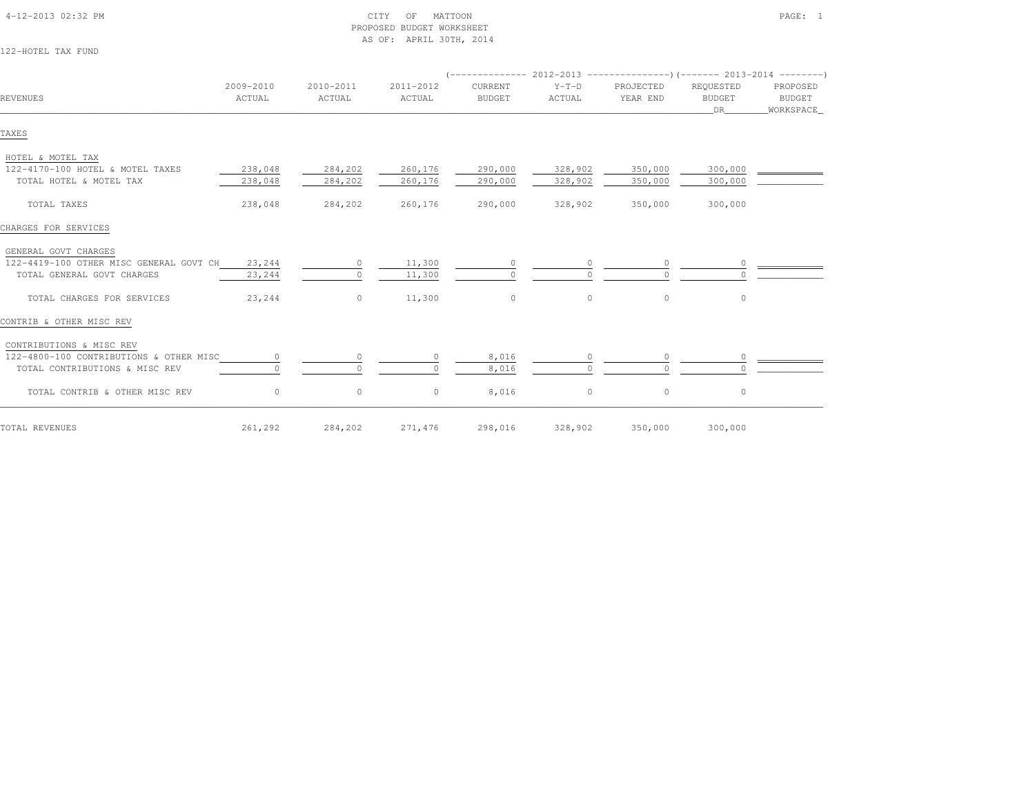| 122-HOTEL TAX FUND                                                                                                                      |                            |                               |                               |                                                                                                         |                    |                              |                                    |                                 |
|-----------------------------------------------------------------------------------------------------------------------------------------|----------------------------|-------------------------------|-------------------------------|---------------------------------------------------------------------------------------------------------|--------------------|------------------------------|------------------------------------|---------------------------------|
| REVENUES                                                                                                                                | 2009-2010<br>ACTUAL        | 2010-2011<br>ACTUAL           | 2011-2012<br>ACTUAL           | $($ -------------- 2012-2013 ----------------) (------- 2013-2014 --------)<br>CURRENT<br><b>BUDGET</b> | $Y-T-D$<br>ACTUAL  | PROJECTED<br>YEAR END        | REQUESTED<br><b>BUDGET</b><br>DR   | PROPOSED<br>BUDGET<br>WORKSPACE |
| TAXES                                                                                                                                   |                            |                               |                               |                                                                                                         |                    |                              |                                    |                                 |
| HOTEL & MOTEL TAX<br>122-4170-100 HOTEL & MOTEL TAXES<br>TOTAL HOTEL & MOTEL TAX                                                        | 238,048<br>238,048         | 284,202<br>284,202            | 260,176<br>260,176            | 290,000<br>290,000                                                                                      | 328,902<br>328,902 | 350,000<br>350,000           | 300,000<br>300,000                 |                                 |
| TOTAL TAXES                                                                                                                             | 238,048                    | 284,202                       | 260,176                       | 290,000                                                                                                 | 328,902            | 350,000                      | 300,000                            |                                 |
| CHARGES FOR SERVICES                                                                                                                    |                            |                               |                               |                                                                                                         |                    |                              |                                    |                                 |
| GENERAL GOVT CHARGES<br>122-4419-100 OTHER MISC GENERAL GOVT CH<br>TOTAL GENERAL GOVT CHARGES<br>TOTAL CHARGES FOR SERVICES             | 23,244<br>23,244<br>23,244 | $\circ$<br>$\circ$<br>$\circ$ | 11,300<br>11,300<br>11,300    | $\circ$<br>$\Omega$<br>$\circ$                                                                          | $\circ$            | $\Omega$<br>$\circ$          | $\circ$                            |                                 |
| CONTRIB & OTHER MISC REV                                                                                                                |                            |                               |                               |                                                                                                         |                    |                              |                                    |                                 |
| CONTRIBUTIONS & MISC REV<br>122-4800-100 CONTRIBUTIONS & OTHER MISC<br>TOTAL CONTRIBUTIONS & MISC REV<br>TOTAL CONTRIB & OTHER MISC REV | $\circ$<br>$\circ$         | $\circ$<br>$\cap$<br>$\circ$  | $\Omega$<br>$\cap$<br>$\circ$ | 8,016<br>8,016<br>8,016                                                                                 | O.<br>$\circ$      | $\circ$<br>$\cap$<br>$\circ$ | $\circ$<br><sup>n</sup><br>$\circ$ |                                 |
| TOTAL REVENUES                                                                                                                          | 261,292                    | 284,202                       | 271,476                       | 298,016                                                                                                 | 328,902            | 350,000                      | 300,000                            |                                 |

PROPOSED BUDGET WORKSHEET

AS OF: APRIL 30TH, 2014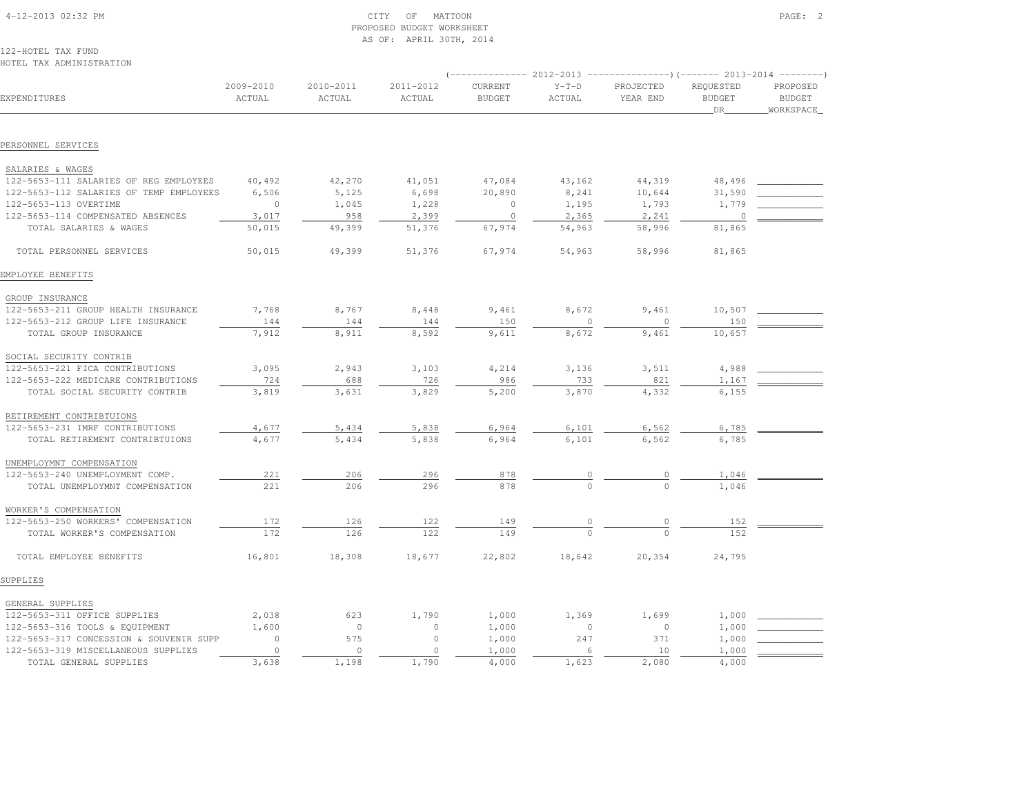| 4-12-2013 02:32 PM                             |                     |                     | CITY<br>OF<br>MATTOON<br>PROPOSED BUDGET WORKSHEET<br>AS OF: APRIL 30TH, 2014 |                                 |                   |                       |                                  | PAGE: 2                                  |
|------------------------------------------------|---------------------|---------------------|-------------------------------------------------------------------------------|---------------------------------|-------------------|-----------------------|----------------------------------|------------------------------------------|
| 122-HOTEL TAX FUND<br>HOTEL TAX ADMINISTRATION |                     |                     |                                                                               |                                 |                   |                       |                                  |                                          |
| EXPENDITURES                                   | 2009-2010<br>ACTUAL | 2010-2011<br>ACTUAL | 2011-2012<br>ACTUAL                                                           | <b>CURRENT</b><br><b>BUDGET</b> | $Y-T-D$<br>ACTUAL | PROJECTED<br>YEAR END | REQUESTED<br><b>BUDGET</b><br>DR | PROPOSED<br><b>BUDGET</b><br>_WORKSPACE_ |
| PERSONNEL SERVICES                             |                     |                     |                                                                               |                                 |                   |                       |                                  |                                          |
| SALARIES & WAGES                               |                     |                     |                                                                               |                                 |                   |                       |                                  |                                          |
| 122-5653-111 SALARIES OF REG EMPLOYEES         | 40,492              | 42,270              | 41,051                                                                        | 47,084                          | 43,162            | 44,319                | 48,496                           |                                          |
| 122-5653-112 SALARIES OF TEMP EMPLOYEES        | 6,506               | 5,125               | 6,698                                                                         | 20,890                          | 8,241             | 10,644                | 31,590                           |                                          |
| 122-5653-113 OVERTIME                          | $\circ$             | 1,045               | 1,228                                                                         | $\mathbf{0}$                    | 1,195             | 1,793                 | 1,779                            |                                          |
| 122-5653-114 COMPENSATED ABSENCES              | 3,017               | 958                 | 2,399                                                                         | $\Omega$                        | 2,365             | 2,241                 | $\Omega$                         |                                          |
| TOTAL SALARIES & WAGES                         | 50,015              | 49,399              | 51,376                                                                        | 67,974                          | 54,963            | 58,996                | 81,865                           |                                          |
| TOTAL PERSONNEL SERVICES                       | 50,015              | 49,399              | 51,376                                                                        | 67,974                          | 54,963            | 58,996                | 81,865                           |                                          |
| EMPLOYEE BENEFITS                              |                     |                     |                                                                               |                                 |                   |                       |                                  |                                          |
| GROUP INSURANCE                                |                     |                     |                                                                               |                                 |                   |                       |                                  |                                          |
| 122-5653-211 GROUP HEALTH INSURANCE            | 7,768               | 8,767               | 8,448                                                                         | 9,461                           | 8,672             | 9,461                 | 10,507                           |                                          |
| 122-5653-212 GROUP LIFE INSURANCE              | 144                 | 144                 | 144                                                                           | 150                             | $\circ$           | $\Omega$              | 150                              |                                          |
| TOTAL GROUP INSURANCE                          | 7,912               | 8,911               | 8,592                                                                         | 9,611                           | 8,672             | 9,461                 | 10,657                           |                                          |
| SOCIAL SECURITY CONTRIB                        |                     |                     |                                                                               |                                 |                   |                       |                                  |                                          |
| 122-5653-221 FICA CONTRIBUTIONS                | 3,095               | 2,943               | 3,103                                                                         | 4,214                           | 3,136             | 3,511                 | 4,988                            |                                          |
| 122-5653-222 MEDICARE CONTRIBUTIONS            | 724                 | 688                 | 726                                                                           | 986                             | 733               | 821                   | 1,167                            |                                          |
| TOTAL SOCIAL SECURITY CONTRIB                  | 3,819               | 3,631               | 3,829                                                                         | 5,200                           | 3,870             | 4,332                 | 6,155                            |                                          |

| OOGIAH OHGOIYIII GONINID                |          |          |         |        |          |          |        |  |
|-----------------------------------------|----------|----------|---------|--------|----------|----------|--------|--|
| 122-5653-221 FICA CONTRIBUTIONS         | 3,095    | 2,943    | 3,103   | 4,214  | 3,136    | 3,511    | 4,988  |  |
| 122-5653-222 MEDICARE CONTRIBUTIONS     | 724      | 688      | 726     | 986    | 733      | 821      | 1,167  |  |
| TOTAL SOCIAL SECURITY CONTRIB           | 3,819    | 3,631    | 3,829   | 5,200  | 3,870    | 4,332    | 6,155  |  |
| RETIREMENT CONTRIBTUIONS                |          |          |         |        |          |          |        |  |
| 122-5653-231 IMRF CONTRIBUTIONS         | 4,677    | 5,434    | 5,838   | 6,964  | 6,101    | 6,562    | 6,785  |  |
| TOTAL RETIREMENT CONTRIBTUIONS          | 4,677    | 5,434    | 5,838   | 6,964  | 6,101    | 6,562    | 6,785  |  |
| UNEMPLOYMNT COMPENSATION                |          |          |         |        |          |          |        |  |
| 122-5653-240 UNEMPLOYMENT COMP.         | 221      | 206      | 296     | 878    |          |          | 1,046  |  |
| TOTAL UNEMPLOYMNT COMPENSATION          | 221      | 206      | 296     | 878    |          |          | 1,046  |  |
| WORKER'S COMPENSATION                   |          |          |         |        |          |          |        |  |
| 122-5653-250 WORKERS' COMPENSATION      | 172      | 126      | 122     | 149    |          |          | 152    |  |
| TOTAL WORKER'S COMPENSATION             | 172      | 126      | 122     | 149    | $\cap$   |          | 152    |  |
| TOTAL EMPLOYEE BENEFITS                 | 16,801   | 18,308   | 18,677  | 22,802 | 18,642   | 20,354   | 24,795 |  |
| SUPPLIES                                |          |          |         |        |          |          |        |  |
| GENERAL SUPPLIES                        |          |          |         |        |          |          |        |  |
| 122-5653-311 OFFICE SUPPLIES            | 2,038    | 623      | 1,790   | 1,000  | 1,369    | 1,699    | 1,000  |  |
| 122-5653-316 TOOLS & EQUIPMENT          | 1,600    | $\circ$  | 0       | 1,000  | $\Omega$ | $\Omega$ | 1,000  |  |
| 122-5653-317 CONCESSION & SOUVENIR SUPP | $\Omega$ | 575      | $\circ$ | 1,000  | 247      | 371      | 1,000  |  |
| 122-5653-319 MISCELLANEOUS SUPPLIES     | $\Omega$ | $\Omega$ | $\cap$  | 1,000  |          | 10       | 1,000  |  |
| TOTAL GENERAL SUPPLIES                  | 3,638    | 1,198    | 1,790   | 4,000  | 1,623    | 2,080    | 4,000  |  |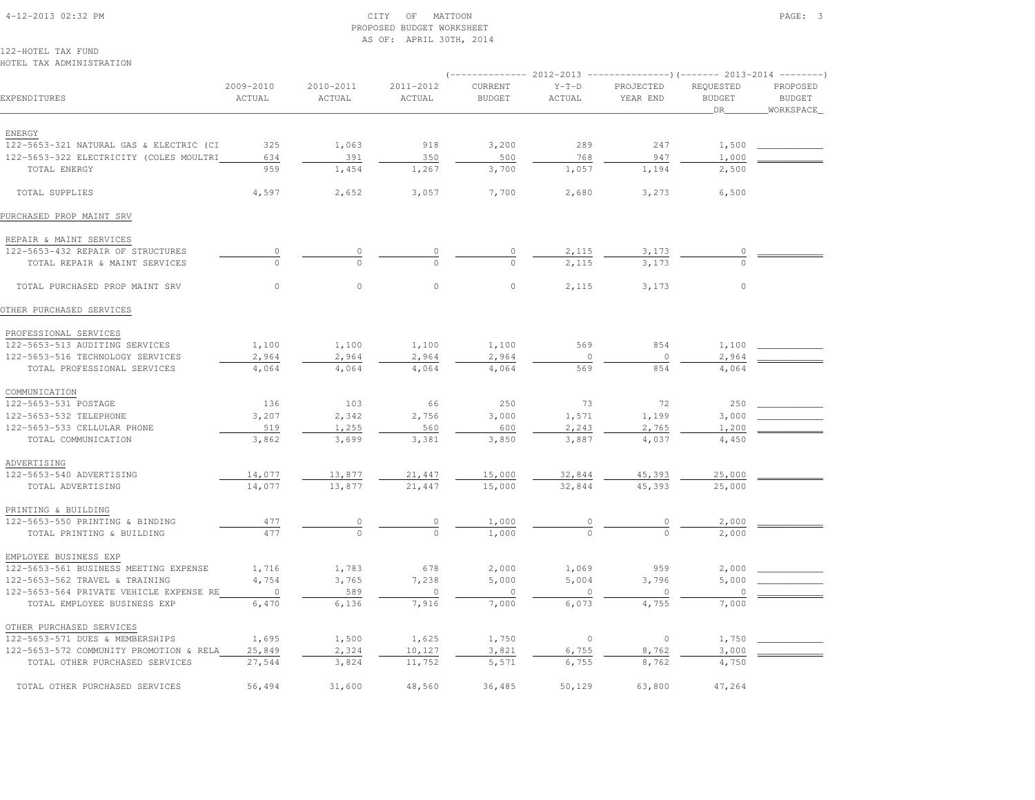# 4-12-2013 02:32 PM CITY OF MATTOON PAGE: 3 PROPOSED BUDGET WORKSHEETAS OF: APRIL 30TH, 2014

122-HOTEL TAX FUNDHOTEL TAX ADMINISTRATION

|                                         |                            |                     |                     |                          | $($ -------------- 2012-2013 ----------------) (------- 2013-2014 --------) |                       |                                  |                                         |
|-----------------------------------------|----------------------------|---------------------|---------------------|--------------------------|-----------------------------------------------------------------------------|-----------------------|----------------------------------|-----------------------------------------|
| EXPENDITURES                            | 2009-2010<br><b>ACTUAL</b> | 2010-2011<br>ACTUAL | 2011-2012<br>ACTUAL | CURRENT<br><b>BUDGET</b> | $Y-T-D$<br>ACTUAL                                                           | PROJECTED<br>YEAR END | REQUESTED<br><b>BUDGET</b><br>DR | PROPOSED<br><b>BUDGET</b><br>WORKSPACE_ |
|                                         |                            |                     |                     |                          |                                                                             |                       |                                  |                                         |
| ENERGY                                  |                            |                     |                     |                          |                                                                             |                       |                                  |                                         |
| 122-5653-321 NATURAL GAS & ELECTRIC (CI | 325                        | 1,063               | 918                 | 3,200                    | 289                                                                         | 247                   | 1,500                            |                                         |
| 122-5653-322 ELECTRICITY (COLES MOULTRI | 634                        | 391                 | 350                 | 500                      | 768                                                                         | 947                   | 1,000                            |                                         |
| TOTAL ENERGY                            | 959                        | 1,454               | 1,267               | 3,700                    | 1,057                                                                       | 1,194                 | 2,500                            |                                         |
| TOTAL SUPPLIES                          | 4,597                      | 2,652               | 3,057               | 7,700                    | 2,680                                                                       | 3,273                 | 6,500                            |                                         |
| PURCHASED PROP MAINT SRV                |                            |                     |                     |                          |                                                                             |                       |                                  |                                         |
| REPAIR & MAINT SERVICES                 |                            |                     |                     |                          |                                                                             |                       |                                  |                                         |
| 122-5653-432 REPAIR OF STRUCTURES       |                            | 0                   |                     |                          | 2,115                                                                       | 3,173                 |                                  |                                         |
| TOTAL REPAIR & MAINT SERVICES           | $\Omega$                   | $\Omega$            | $\Omega$            | $\Omega$                 | 2,115                                                                       | 3,173                 | $\Omega$                         |                                         |
| TOTAL PURCHASED PROP MAINT SRV          | $\circ$                    | $\circ$             | $\mathbb O$         | $\circ$                  | 2,115                                                                       | 3,173                 | $\mathbb O$                      |                                         |
| OTHER PURCHASED SERVICES                |                            |                     |                     |                          |                                                                             |                       |                                  |                                         |
| PROFESSIONAL SERVICES                   |                            |                     |                     |                          |                                                                             |                       |                                  |                                         |
| 122-5653-513 AUDITING SERVICES          | 1,100                      | 1,100               | 1,100               | 1,100                    | 569                                                                         | 854                   | 1,100                            |                                         |
| 122-5653-516 TECHNOLOGY SERVICES        | 2,964                      | 2,964               | 2,964               | 2,964                    | $\circ$                                                                     | $\circ$               | 2,964                            |                                         |
| TOTAL PROFESSIONAL SERVICES             | 4,064                      | 4,064               | 4,064               | 4,064                    | 569                                                                         | 854                   | 4,064                            |                                         |
| COMMUNICATION                           |                            |                     |                     |                          |                                                                             |                       |                                  |                                         |
| 122-5653-531 POSTAGE                    | 136                        | 103                 | 66                  | 250                      | 73                                                                          | 72                    | 250                              |                                         |
| 122-5653-532 TELEPHONE                  | 3,207                      | 2,342               | 2,756               | 3,000                    | 1,571                                                                       | 1,199                 | 3,000                            |                                         |
| 122-5653-533 CELLULAR PHONE             | 519                        | 1,255               | 560                 | 600                      | 2,243                                                                       | 2,765                 | 1,200                            |                                         |
| TOTAL COMMUNICATION                     | 3,862                      | 3,699               | 3,381               | 3,850                    | 3,887                                                                       | 4,037                 | 4,450                            |                                         |
| ADVERTISING                             |                            |                     |                     |                          |                                                                             |                       |                                  |                                         |
| 122-5653-540 ADVERTISING                | 14,077                     | 13,877              | 21,447              | 15,000                   | 32,844                                                                      | 45,393                | 25,000                           |                                         |
| TOTAL ADVERTISING                       | 14,077                     | 13,877              | 21,447              | 15,000                   | 32,844                                                                      | 45,393                | 25,000                           |                                         |
| PRINTING & BUILDING                     |                            |                     |                     |                          |                                                                             |                       |                                  |                                         |
| 122-5653-550 PRINTING & BINDING         | 477                        | 0                   | 0                   | 1,000                    | $\circ$                                                                     | $\circ$               | 2,000                            |                                         |
| TOTAL PRINTING & BUILDING               | 477                        | $\circ$             | $\Omega$            | 1,000                    | $\Omega$                                                                    | $\Omega$              | 2,000                            |                                         |
| EMPLOYEE BUSINESS EXP                   |                            |                     |                     |                          |                                                                             |                       |                                  |                                         |
| 122-5653-561 BUSINESS MEETING EXPENSE   | 1,716                      | 1,783               | 678                 | 2,000                    | 1,069                                                                       | 959                   | 2,000                            |                                         |
| 122-5653-562 TRAVEL & TRAINING          | 4,754                      | 3,765               | 7,238               | 5,000                    | 5,004                                                                       | 3,796                 | 5,000                            |                                         |
| 122-5653-564 PRIVATE VEHICLE EXPENSE RE | $\overline{0}$             | 589                 | $\circ$             | $\circ$                  | $\cap$                                                                      | $\cap$                | $\cap$                           |                                         |
| TOTAL EMPLOYEE BUSINESS EXP             | 6,470                      | 6,136               | 7,916               | 7,000                    | 6,073                                                                       | 4,755                 | 7,000                            |                                         |
| OTHER PURCHASED SERVICES                |                            |                     |                     |                          |                                                                             |                       |                                  |                                         |
| 122-5653-571 DUES & MEMBERSHIPS         | 1,695                      | 1,500               | 1,625               | 1,750                    | $\circ$                                                                     | $\circ$               | 1,750                            |                                         |
| 122-5653-572 COMMUNITY PROMOTION & RELA | 25,849                     | 2,324               | 10,127              | 3,821                    | 6,755                                                                       | 8,762                 | 3,000                            |                                         |
| TOTAL OTHER PURCHASED SERVICES          | 27,544                     | 3,824               | 11,752              | 5,571                    | 6,755                                                                       | 8,762                 | 4,750                            |                                         |
| TOTAL OTHER PURCHASED SERVICES          | 56,494                     | 31,600              | 48,560              | 36,485                   | 50,129                                                                      | 63,800                | 47,264                           |                                         |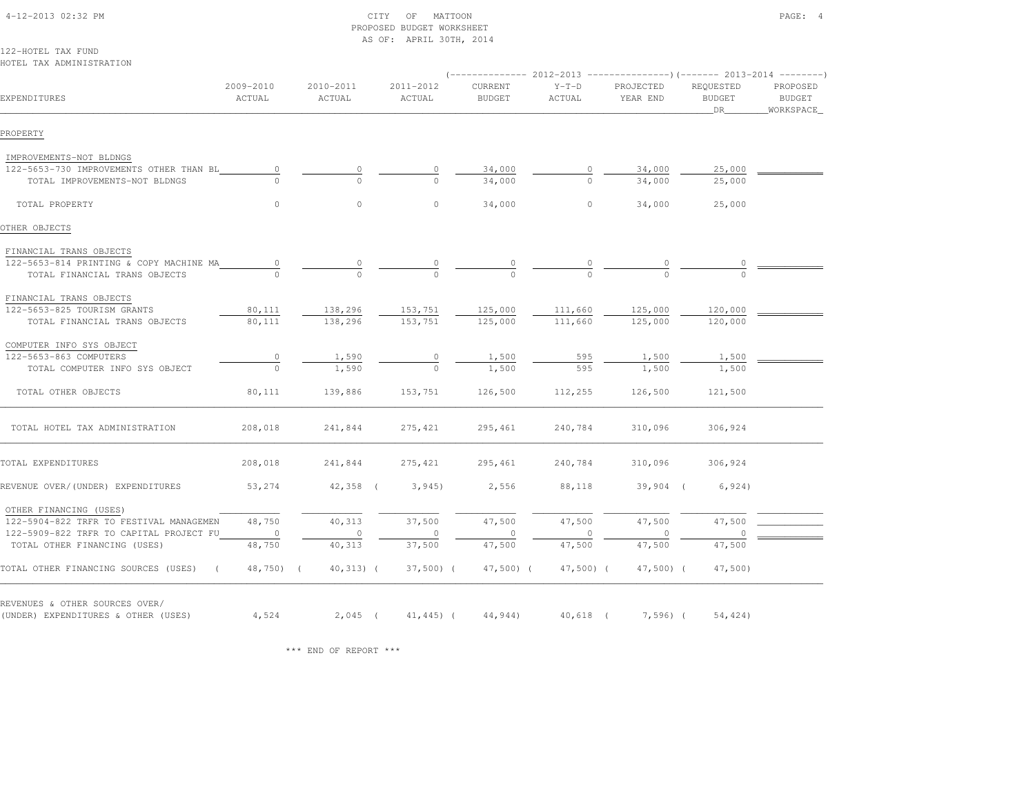|                                                                   |                     |                     | AS OF: APRIL 30TH, 2014 |                          |                                                                                                     |                       |                                  |                                        |
|-------------------------------------------------------------------|---------------------|---------------------|-------------------------|--------------------------|-----------------------------------------------------------------------------------------------------|-----------------------|----------------------------------|----------------------------------------|
| 122-HOTEL TAX FUND                                                |                     |                     |                         |                          |                                                                                                     |                       |                                  |                                        |
| HOTEL TAX ADMINISTRATION                                          |                     |                     |                         |                          |                                                                                                     |                       |                                  |                                        |
| EXPENDITURES                                                      | 2009-2010<br>ACTUAL | 2010-2011<br>ACTUAL | 2011-2012<br>ACTUAL     | CURRENT<br><b>BUDGET</b> | $(-$ -------------- 2012-2013 -----------------) (------- 2013-2014 ---------)<br>$Y-T-D$<br>ACTUAL | PROJECTED<br>YEAR END | REQUESTED<br><b>BUDGET</b><br>DR | PROPOSED<br><b>BUDGET</b><br>WORKSPACE |
| PROPERTY                                                          |                     |                     |                         |                          |                                                                                                     |                       |                                  |                                        |
| IMPROVEMENTS-NOT BLDNGS                                           |                     |                     |                         |                          |                                                                                                     |                       |                                  |                                        |
| 122-5653-730 IMPROVEMENTS OTHER THAN BL                           | $\circ$             | $\circ$             | $\circ$                 | 34,000                   | $\circ$                                                                                             | 34,000                | 25,000                           |                                        |
| TOTAL IMPROVEMENTS-NOT BLDNGS                                     | $\Omega$            | $\cap$              | $\cap$                  | 34,000                   | $\Omega$                                                                                            | 34,000                | 25,000                           |                                        |
| TOTAL PROPERTY                                                    | $\circ$             | $\circ$             | $\circ$                 | 34,000                   | $\circ$                                                                                             | 34,000                | 25,000                           |                                        |
| OTHER OBJECTS                                                     |                     |                     |                         |                          |                                                                                                     |                       |                                  |                                        |
| FINANCIAL TRANS OBJECTS                                           |                     |                     |                         |                          |                                                                                                     |                       |                                  |                                        |
| 122-5653-814 PRINTING & COPY MACHINE MA                           | $\circ$             | $\circ$             |                         |                          |                                                                                                     |                       |                                  |                                        |
| TOTAL FINANCIAL TRANS OBJECTS                                     |                     | $\cap$              |                         |                          |                                                                                                     |                       |                                  |                                        |
| FINANCIAL TRANS OBJECTS                                           |                     |                     |                         |                          |                                                                                                     |                       |                                  |                                        |
| 122-5653-825 TOURISM GRANTS                                       | 80,111              | 138,296             | 153,751                 | 125,000                  | 111,660                                                                                             | 125,000               | 120,000                          |                                        |
| TOTAL FINANCIAL TRANS OBJECTS                                     | 80,111              | 138,296             | 153,751                 | 125,000                  | 111,660                                                                                             | 125,000               | 120,000                          |                                        |
| COMPUTER INFO SYS OBJECT                                          |                     |                     |                         |                          |                                                                                                     |                       |                                  |                                        |
| 122-5653-863 COMPUTERS                                            | $\circ$             | 1,590               | $\circ$                 | 1,500                    | 595                                                                                                 | 1,500                 | 1,500                            |                                        |
| TOTAL COMPUTER INFO SYS OBJECT                                    | $\Omega$            | 1,590               | $\Omega$                | 1,500                    | 595                                                                                                 | 1,500                 | 1,500                            |                                        |
| TOTAL OTHER OBJECTS                                               | 80,111              | 139,886             | 153,751                 | 126,500                  | 112,255                                                                                             | 126,500               | 121,500                          |                                        |
| TOTAL HOTEL TAX ADMINISTRATION                                    | 208,018             | 241,844             | 275, 421                | 295,461                  | 240,784                                                                                             | 310,096               | 306,924                          |                                        |
| TOTAL EXPENDITURES                                                | 208,018             | 241,844             | 275, 421                | 295,461                  | 240,784                                                                                             | 310,096               | 306,924                          |                                        |
| REVENUE OVER/(UNDER) EXPENDITURES                                 | 53,274              | $42,358$ (          | 3,945                   | 2,556                    | 88,118                                                                                              | $39,904$ (            | 6,924)                           |                                        |
| OTHER FINANCING (USES)<br>122-5904-822 TRFR TO FESTIVAL MANAGEMEN | 48,750              | 40,313              | 37,500                  | 47,500                   | 47,500                                                                                              | 47,500                | 47,500                           |                                        |
| 122-5909-822 TRFR TO CAPITAL PROJECT FU                           | $\circ$             | $\circ$             |                         |                          |                                                                                                     |                       |                                  |                                        |
| TOTAL OTHER FINANCING (USES)                                      | 48,750              | 40,313              | 37,500                  | 47,500                   | 47,500                                                                                              | 47,500                | 47,500                           |                                        |
| TOTAL OTHER FINANCING SOURCES (USES)<br>$\sqrt{2}$                | $48,750$ ) (        | $40,313)$ (         | $37,500$ ) (            | $47,500$ ) (             | $47,500$ ) (                                                                                        | $47,500$ (            | $47,500$ )                       |                                        |
| REVENUES & OTHER SOURCES OVER/                                    |                     |                     |                         |                          |                                                                                                     |                       |                                  |                                        |
| (UNDER) EXPENDITURES & OTHER (USES)                               | 4,524               | $2,045$ (           | $41, 445$ ) (           | 44,944)                  | $40,618$ (                                                                                          | $7,596$ ) (           | 54,424)                          |                                        |

\*\*\* END OF REPORT \*\*\*

# 4-12-2013 02:32 PM CITY OF MATTOON PAGE: 4PROPOSED BUDGET WORKSHEET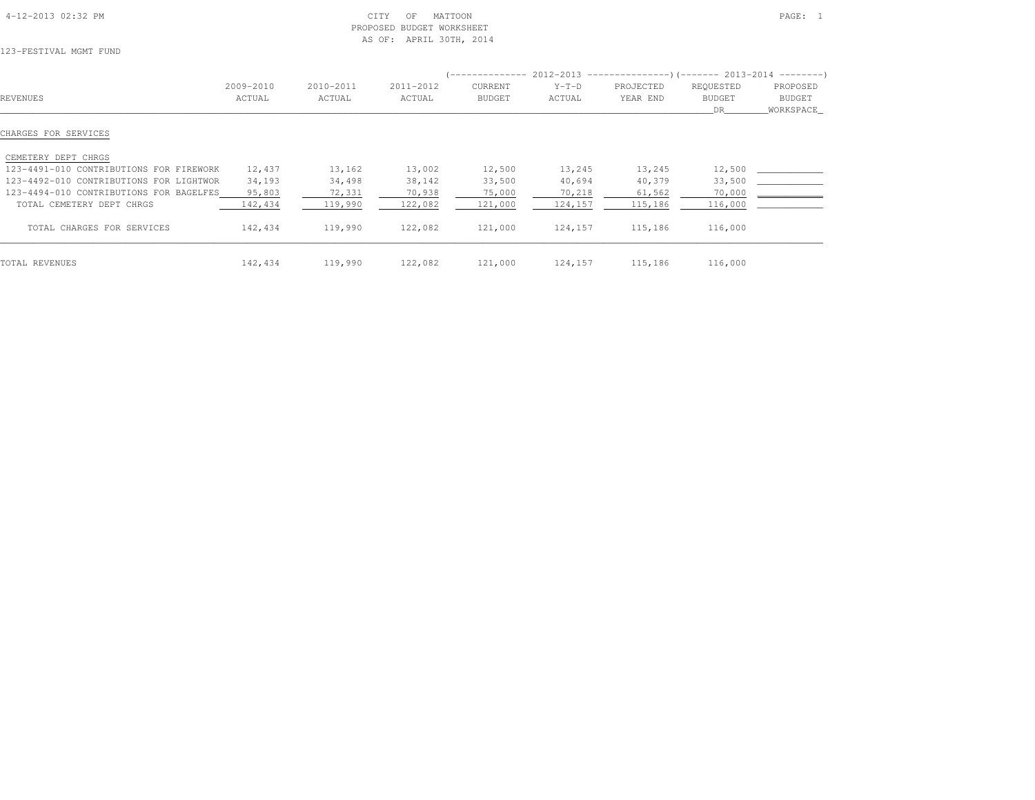| 4-12-2013 02:32 PM |  |
|--------------------|--|

#### $\text{CITY}$  of MATTOON PAGE: 1 PROPOSED BUDGET WORKSHEETAS OF: APRIL 30TH, 2014

123-FESTIVAL MGMT FUND

|                                         |           |           |           | -------------- |         | $2012-2013$ ----------------)(------- 2013-2014 ---------) |               |           |
|-----------------------------------------|-----------|-----------|-----------|----------------|---------|------------------------------------------------------------|---------------|-----------|
|                                         | 2009-2010 | 2010-2011 | 2011-2012 | <b>CURRENT</b> | $Y-T-D$ | PROJECTED                                                  | REQUESTED     | PROPOSED  |
| REVENUES                                | ACTUAL    | ACTUAL    | ACTUAL    | <b>BUDGET</b>  | ACTUAL  | YEAR END                                                   | <b>BUDGET</b> | BUDGET    |
|                                         |           |           |           |                |         |                                                            | DR.           | WORKSPACE |
| CHARGES FOR SERVICES                    |           |           |           |                |         |                                                            |               |           |
| CEMETERY DEPT CHRGS                     |           |           |           |                |         |                                                            |               |           |
| 123-4491-010 CONTRIBUTIONS FOR FIREWORK | 12,437    | 13,162    | 13,002    | 12,500         | 13,245  | 13,245                                                     | 12,500        |           |
| 123-4492-010 CONTRIBUTIONS FOR LIGHTWOR | 34,193    | 34,498    | 38,142    | 33,500         | 40,694  | 40,379                                                     | 33,500        |           |
| 123-4494-010 CONTRIBUTIONS FOR BAGELFES | 95,803    | 72,331    | 70,938    | 75,000         | 70,218  | 61,562                                                     | 70,000        |           |
| TOTAL CEMETERY DEPT CHRGS               | 142,434   | 119,990   | 122,082   | 121,000        | 124,157 | 115,186                                                    | 116,000       |           |
| TOTAL CHARGES FOR SERVICES              | 142,434   | 119,990   | 122,082   | 121,000        | 124,157 | 115,186                                                    | 116,000       |           |
| TOTAL REVENUES                          | 142,434   | 119,990   | 122,082   | 121,000        | 124,157 | 115,186                                                    | 116,000       |           |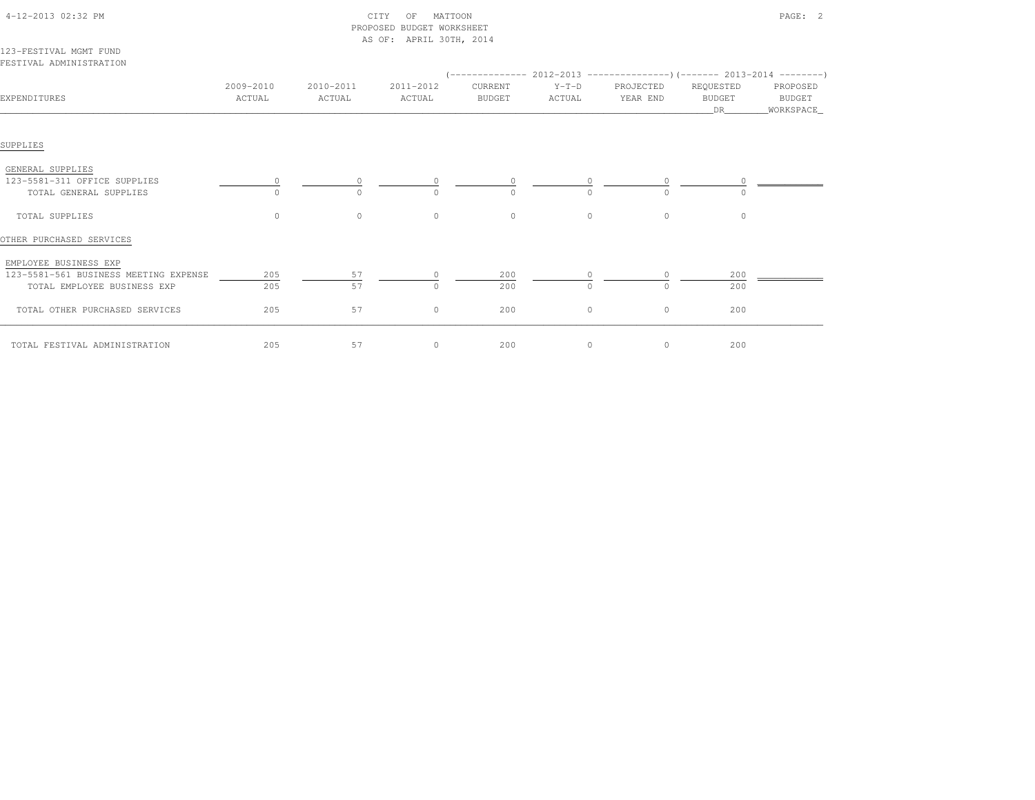|                                                   |                     |                     | PROPOSED BUDGET WORKSHEET |                          |                   |                                                                       |                                    |                                 |
|---------------------------------------------------|---------------------|---------------------|---------------------------|--------------------------|-------------------|-----------------------------------------------------------------------|------------------------------------|---------------------------------|
| 123-FESTIVAL MGMT FUND<br>FESTIVAL ADMINISTRATION |                     |                     | AS OF: APRIL 30TH, 2014   |                          |                   | $(---------- 2012-2013$ ----------------)(------- 2013-2014 --------) |                                    |                                 |
| EXPENDITURES                                      | 2009-2010<br>ACTUAL | 2010-2011<br>ACTUAL | 2011-2012<br>ACTUAL       | CURRENT<br><b>BUDGET</b> | $Y-T-D$<br>ACTUAL | PROJECTED<br>YEAR END                                                 | REQUESTED<br><b>BUDGET</b><br>DR — | PROPOSED<br>BUDGET<br>WORKSPACE |
| SUPPLIES                                          |                     |                     |                           |                          |                   |                                                                       |                                    |                                 |
| GENERAL SUPPLIES                                  |                     |                     |                           |                          |                   |                                                                       |                                    |                                 |
| 123-5581-311 OFFICE SUPPLIES                      |                     |                     |                           |                          |                   |                                                                       |                                    |                                 |
| TOTAL GENERAL SUPPLIES                            |                     | $\Omega$            | $\Omega$                  | $\Omega$                 | $\Omega$          | $\cap$                                                                |                                    |                                 |
| TOTAL SUPPLIES                                    | $\circ$             | $\circ$             | $\circ$                   | $\circ$                  | $\circ$           | $\circ$                                                               | $\circ$                            |                                 |
| OTHER PURCHASED SERVICES                          |                     |                     |                           |                          |                   |                                                                       |                                    |                                 |
| EMPLOYEE BUSINESS EXP                             |                     |                     |                           |                          |                   |                                                                       |                                    |                                 |
| 123-5581-561 BUSINESS MEETING EXPENSE             | 205                 | 57                  | $\Omega$                  | 200                      | $\Omega$          | $\Omega$                                                              | 200                                |                                 |
| TOTAL EMPLOYEE BUSINESS EXP                       | 205                 | 57                  | $\Omega$                  | 200                      | $\circ$           | $\Omega$                                                              | 200                                |                                 |
| TOTAL OTHER PURCHASED SERVICES                    | 205                 | 57                  | $\circ$                   | 200                      | $\circ$           | 0                                                                     | 200                                |                                 |
| TOTAL FESTIVAL ADMINISTRATION                     | 205                 | 57                  | $\circ$                   | 200                      | $\circ$           | $\circ$                                                               | 200                                |                                 |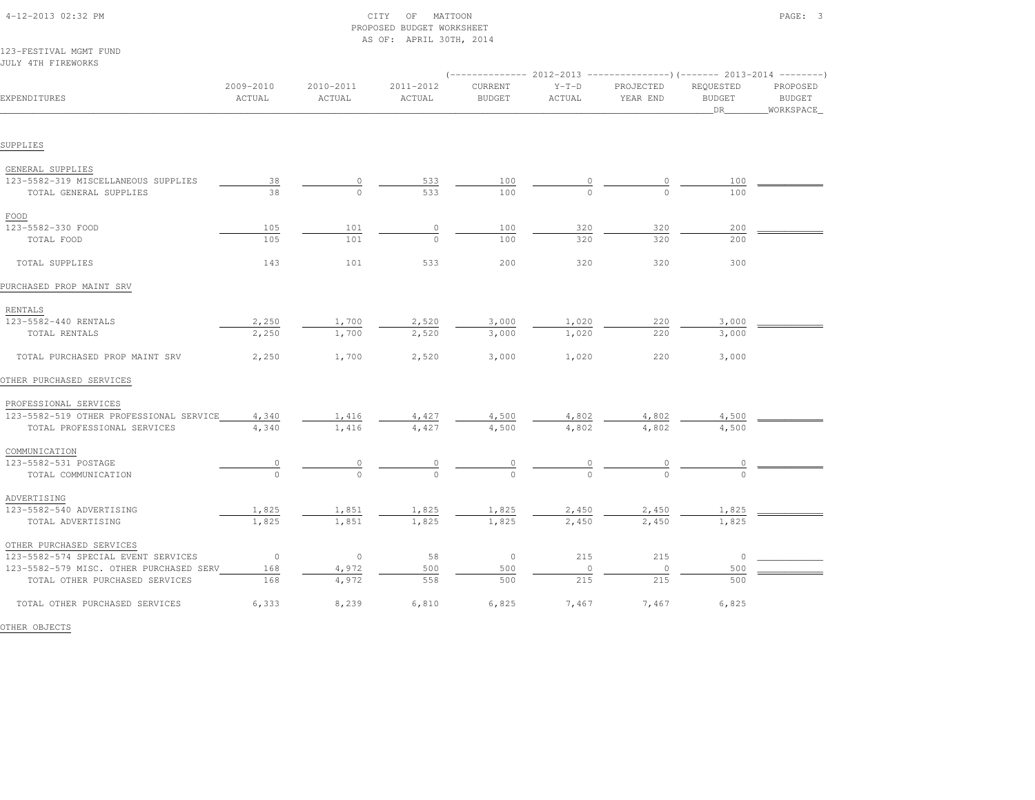|                                         |                      |                     | AS OF: APRIL 30TH, 2014 |                          |                   |                                                                          |                                  |                                        |
|-----------------------------------------|----------------------|---------------------|-------------------------|--------------------------|-------------------|--------------------------------------------------------------------------|----------------------------------|----------------------------------------|
| 123-FESTIVAL MGMT FUND                  |                      |                     |                         |                          |                   |                                                                          |                                  |                                        |
| JULY 4TH FIREWORKS                      |                      |                     |                         |                          |                   | (-------------- 2012-2013 ----------------) (------- 2013-2014 --------) |                                  |                                        |
| EXPENDITURES                            | 2009-2010<br>ACTUAL  | 2010-2011<br>ACTUAL | 2011-2012<br>ACTUAL     | CURRENT<br><b>BUDGET</b> | $Y-T-D$<br>ACTUAL | PROJECTED<br>YEAR END                                                    | REQUESTED<br><b>BUDGET</b><br>DR | PROPOSED<br><b>BUDGET</b><br>WORKSPACE |
| SUPPLIES                                |                      |                     |                         |                          |                   |                                                                          |                                  |                                        |
| GENERAL SUPPLIES                        |                      |                     |                         |                          |                   |                                                                          |                                  |                                        |
| 123-5582-319 MISCELLANEOUS SUPPLIES     | 38                   | 0                   | 533                     | 100                      |                   | 0                                                                        | 100                              |                                        |
| TOTAL GENERAL SUPPLIES                  | 38                   | $\Omega$            | 533                     | 100                      | $\Omega$          | $\cap$                                                                   | 100                              |                                        |
| FOOD                                    |                      |                     |                         |                          |                   |                                                                          |                                  |                                        |
| 123-5582-330 FOOD                       | 105                  | 101                 | $\circ$                 | 100                      | 320               | 320                                                                      | 200                              |                                        |
| TOTAL FOOD                              | 105                  | 101                 | $\Omega$                | 100                      | 320               | 320                                                                      | 200                              |                                        |
| TOTAL SUPPLIES                          | 143                  | 101                 | 533                     | 200                      | 320               | 320                                                                      | 300                              |                                        |
| PURCHASED PROP MAINT SRV                |                      |                     |                         |                          |                   |                                                                          |                                  |                                        |
| RENTALS                                 |                      |                     |                         |                          |                   |                                                                          |                                  |                                        |
| 123-5582-440 RENTALS                    | 2,250                | 1,700               | 2,520                   | 3,000                    | 1,020             | 220                                                                      | 3,000                            |                                        |
| TOTAL RENTALS                           | 2,250                | 1,700               | 2,520                   | 3,000                    | 1,020             | 220                                                                      | 3,000                            |                                        |
| TOTAL PURCHASED PROP MAINT SRV          | 2,250                | 1,700               | 2,520                   | 3,000                    | 1,020             | 220                                                                      | 3,000                            |                                        |
| OTHER PURCHASED SERVICES                |                      |                     |                         |                          |                   |                                                                          |                                  |                                        |
| PROFESSIONAL SERVICES                   |                      |                     |                         |                          |                   |                                                                          |                                  |                                        |
| 123-5582-519 OTHER PROFESSIONAL SERVICE | 4,340                | 1,416               | 4,427                   | 4,500                    | 4,802             | 4,802                                                                    | 4,500                            |                                        |
| TOTAL PROFESSIONAL SERVICES             | 4,340                | 1,416               | 4,427                   | 4,500                    | 4,802             | 4,802                                                                    | 4,500                            |                                        |
| COMMUNICATION                           |                      |                     |                         |                          |                   |                                                                          |                                  |                                        |
| 123-5582-531 POSTAGE                    | $\frac{0}{\sqrt{2}}$ |                     |                         |                          |                   |                                                                          |                                  |                                        |
| TOTAL COMMUNICATION                     | $\Omega$             | $\Omega$            | $\Omega$                | $\Omega$                 | $\Omega$          | $\Omega$                                                                 | $\Omega$                         |                                        |
| ADVERTISING                             |                      |                     |                         |                          |                   |                                                                          |                                  |                                        |
| 123-5582-540 ADVERTISING                | 1,825                | 1,851               | 1,825                   | 1,825                    | 2,450             | 2,450                                                                    | 1,825                            |                                        |
| TOTAL ADVERTISING                       | 1,825                | 1,851               | 1,825                   | 1,825                    | 2,450             | 2,450                                                                    | 1,825                            |                                        |
| OTHER PURCHASED SERVICES                |                      |                     |                         |                          |                   |                                                                          |                                  |                                        |
| 123-5582-574 SPECIAL EVENT SERVICES     | $\overline{0}$       | $\circ$             | 58                      | $\circ$                  | 215               | 215                                                                      | $\circ$                          |                                        |
| 123-5582-579 MISC. OTHER PURCHASED SERV | 168                  | 4,972               | 500<br>558              | 500<br>500               | $\circ$           | $\circ$<br>215                                                           | 500<br>500                       |                                        |
| TOTAL OTHER PURCHASED SERVICES          | 168                  | 4,972               |                         |                          | 215               |                                                                          |                                  |                                        |
| TOTAL OTHER PURCHASED SERVICES          | 6,333                | 8,239               | 6,810                   | 6,825                    | 7,467             | 7,467                                                                    | 6,825                            |                                        |

PROPOSED BUDGET WORKSHEET

OTHER OBJECTS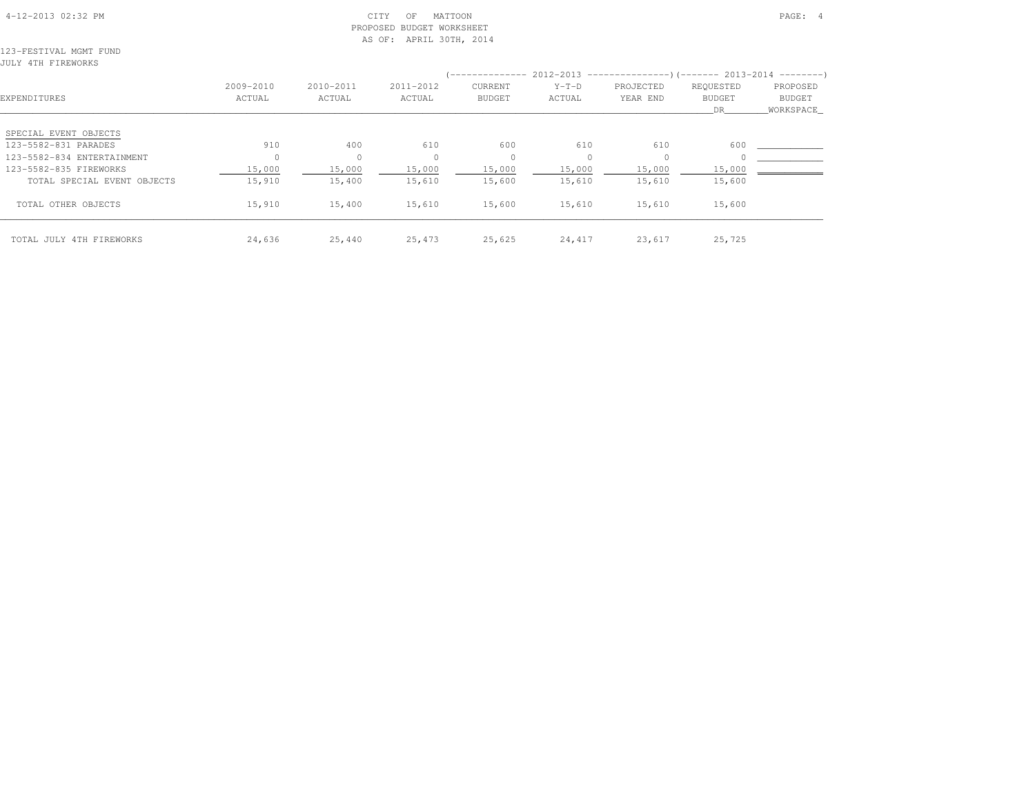#### 4-12-2013 02:32 PM CITY OF MATTOON PAGE: 4 PROPOSED BUDGET WORKSHEETAS OF: APRIL 30TH, 2014

123-FESTIVAL MGMT FUNDJULY 4TH FIREWORKS

| EXPENDITURES                | 2009-2010<br>ACTUAL | 2010-2011<br>ACTUAL | 2011-2012<br>ACTUAL | ______________<br><b>CURRENT</b><br><b>BUDGET</b> | $Y-T-D$<br>ACTUAL | $2012-2013$ ----------------)(------- 2013-2014 ---------)<br>PROJECTED<br>YEAR END | REQUESTED<br><b>BUDGET</b><br>DR. | PROPOSED<br>BUDGET<br>WORKSPACE |
|-----------------------------|---------------------|---------------------|---------------------|---------------------------------------------------|-------------------|-------------------------------------------------------------------------------------|-----------------------------------|---------------------------------|
| SPECIAL EVENT OBJECTS       |                     |                     |                     |                                                   |                   |                                                                                     |                                   |                                 |
| 123-5582-831 PARADES        | 910                 | 400                 | 610                 | 600                                               | 610               | 610                                                                                 | 600                               |                                 |
| 123-5582-834 ENTERTAINMENT  | $\Omega$            | $\circ$             | $\Omega$            | $\circ$                                           | $\Omega$          |                                                                                     |                                   |                                 |
| 123-5582-835 FIREWORKS      | 15,000              | 15,000              | 15,000              | 15,000                                            | 15,000            | 15,000                                                                              | 15,000                            |                                 |
| TOTAL SPECIAL EVENT OBJECTS | 15,910              | 15,400              | 15,610              | 15,600                                            | 15,610            | 15,610                                                                              | 15,600                            |                                 |
| TOTAL OTHER OBJECTS         | 15,910              | 15,400              | 15,610              | 15,600                                            | 15,610            | 15,610                                                                              | 15,600                            |                                 |
| TOTAL JULY 4TH FIREWORKS    | 24,636              | 25,440              | 25,473              | 25,625                                            | 24,417            | 23,617                                                                              | 25,725                            |                                 |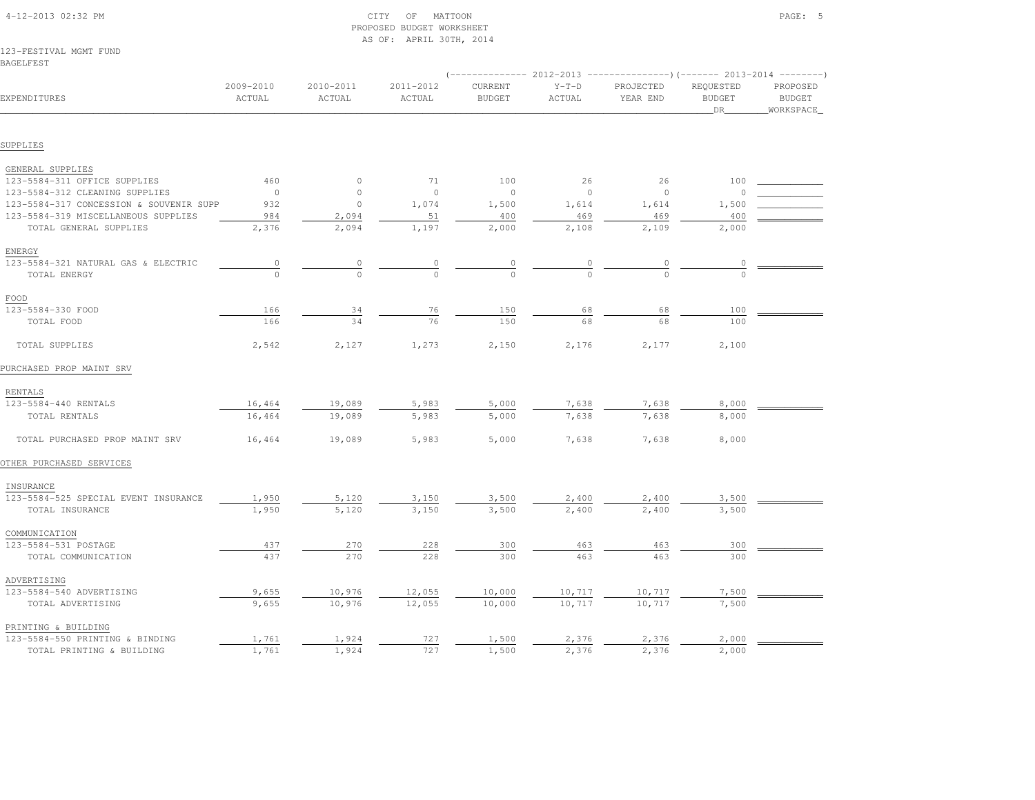| 123-FESTIVAL MGMT FUND<br>BAGELFEST     |                     |                     |                     |                          |                   |                       |                                                                                                             |                                               |
|-----------------------------------------|---------------------|---------------------|---------------------|--------------------------|-------------------|-----------------------|-------------------------------------------------------------------------------------------------------------|-----------------------------------------------|
| EXPENDITURES                            | 2009-2010<br>ACTUAL | 2010-2011<br>ACTUAL | 2011-2012<br>ACTUAL | CURRENT<br><b>BUDGET</b> | $Y-T-D$<br>ACTUAL | PROJECTED<br>YEAR END | (-------------- 2012-2013 ----------------) (------- 2013-2014 --------<br>REQUESTED<br><b>BUDGET</b><br>DR | PROPOSED<br><b>BUDGET</b><br><b>WORKSPACE</b> |
|                                         |                     |                     |                     |                          |                   |                       |                                                                                                             |                                               |
| SUPPLIES                                |                     |                     |                     |                          |                   |                       |                                                                                                             |                                               |
| GENERAL SUPPLIES                        |                     |                     |                     |                          |                   |                       |                                                                                                             |                                               |
| 123-5584-311 OFFICE SUPPLIES            | 460                 | $\circ$             | 71                  | 100                      | 26                | 26                    | 100                                                                                                         |                                               |
| 123-5584-312 CLEANING SUPPLIES          | $\circ$             | $\circ$             | $\circ$             | $\circ$                  | $\mathbf{0}$      | $\circ$               | $\Omega$                                                                                                    |                                               |
| 123-5584-317 CONCESSION & SOUVENIR SUPP | 932                 | $\circ$             | 1,074               | 1,500                    | 1,614             | 1,614                 | 1,500                                                                                                       |                                               |
| 123-5584-319 MISCELLANEOUS SUPPLIES     | 984                 | 2,094               | 51                  | 400                      | 469               | 469                   | 400                                                                                                         |                                               |
| TOTAL GENERAL SUPPLIES                  | 2,376               | 2,094               | 1,197               | 2,000                    | 2,108             | 2,109                 | 2,000                                                                                                       |                                               |
| <b>ENERGY</b>                           |                     |                     |                     |                          |                   |                       |                                                                                                             |                                               |
| 123-5584-321 NATURAL GAS & ELECTRIC     | $\circ$             | $\circ$             | $\circ$             | 0                        | 0                 | 0                     | 0                                                                                                           |                                               |
| TOTAL ENERGY                            | $\Omega$            | $\circ$             | $\circ$             | $\circ$                  | $\Omega$          | $\Omega$              | $\Omega$                                                                                                    |                                               |
| FOOD                                    |                     |                     |                     |                          |                   |                       |                                                                                                             |                                               |
| 123-5584-330 FOOD                       | 166                 | 34                  | 76                  | 150                      | 68                | 68                    | 100                                                                                                         |                                               |
| TOTAL FOOD                              | 166                 | 34                  | 76                  | 150                      | 68                | 68                    | 100                                                                                                         |                                               |
| TOTAL SUPPLIES                          | 2,542               | 2,127               | 1,273               | 2,150                    | 2,176             | 2,177                 | 2,100                                                                                                       |                                               |
| PURCHASED PROP MAINT SRV                |                     |                     |                     |                          |                   |                       |                                                                                                             |                                               |
| RENTALS                                 |                     |                     |                     |                          |                   |                       |                                                                                                             |                                               |
| 123-5584-440 RENTALS                    | 16,464              | 19,089              | 5,983               | 5,000                    | 7,638             | 7,638                 | 8,000                                                                                                       |                                               |
| TOTAL RENTALS                           | 16,464              | 19,089              | 5,983               | 5,000                    | 7,638             | 7,638                 | 8,000                                                                                                       |                                               |
| TOTAL PURCHASED PROP MAINT SRV          | 16,464              | 19,089              | 5,983               | 5,000                    | 7,638             | 7,638                 | 8,000                                                                                                       |                                               |
| OTHER PURCHASED SERVICES                |                     |                     |                     |                          |                   |                       |                                                                                                             |                                               |
| INSURANCE                               |                     |                     |                     |                          |                   |                       |                                                                                                             |                                               |
| 123-5584-525 SPECIAL EVENT INSURANCE    | 1,950               | 5,120               | 3,150               | 3,500                    | 2,400             | 2,400                 | 3,500                                                                                                       |                                               |
| TOTAL INSURANCE                         | 1,950               | 5,120               | 3,150               | 3,500                    | 2,400             | 2,400                 | 3,500                                                                                                       |                                               |
| COMMUNICATION                           |                     |                     |                     |                          |                   |                       |                                                                                                             |                                               |
| 123-5584-531 POSTAGE                    | 437                 | 270                 | 228                 | 300                      | 463               | 463                   | 300                                                                                                         |                                               |
| TOTAL COMMUNICATION                     | 437                 | 270                 | 228                 | 300                      | 463               | 463                   | 300                                                                                                         |                                               |
| ADVERTISING                             |                     |                     |                     |                          |                   |                       |                                                                                                             |                                               |
| 123-5584-540 ADVERTISING                | 9,655               | 10,976              | 12,055              | 10,000                   | 10,717            | 10,717                | 7,500                                                                                                       |                                               |
| TOTAL ADVERTISING                       | 9,655               | 10,976              | 12,055              | 10,000                   | 10,717            | 10,717                | 7,500                                                                                                       |                                               |
| PRINTING & BUILDING                     |                     |                     |                     |                          |                   |                       |                                                                                                             |                                               |
| 123-5584-550 PRINTING & BINDING         | 1,761               | 1,924               | 727                 | 1,500                    | 2,376             | 2,376                 | 2,000                                                                                                       |                                               |
| TOTAL PRINTING & BUILDING               | 1,761               | 1,924               | 727                 | 1,500                    | 2,376             | 2,376                 | 2,000                                                                                                       |                                               |

#### 4-12-2013 02:32 PM CITY OF MATTOON PAGE: 5 PROPOSED BUDGET WORKSHEETAS OF: APRIL 30TH, 2014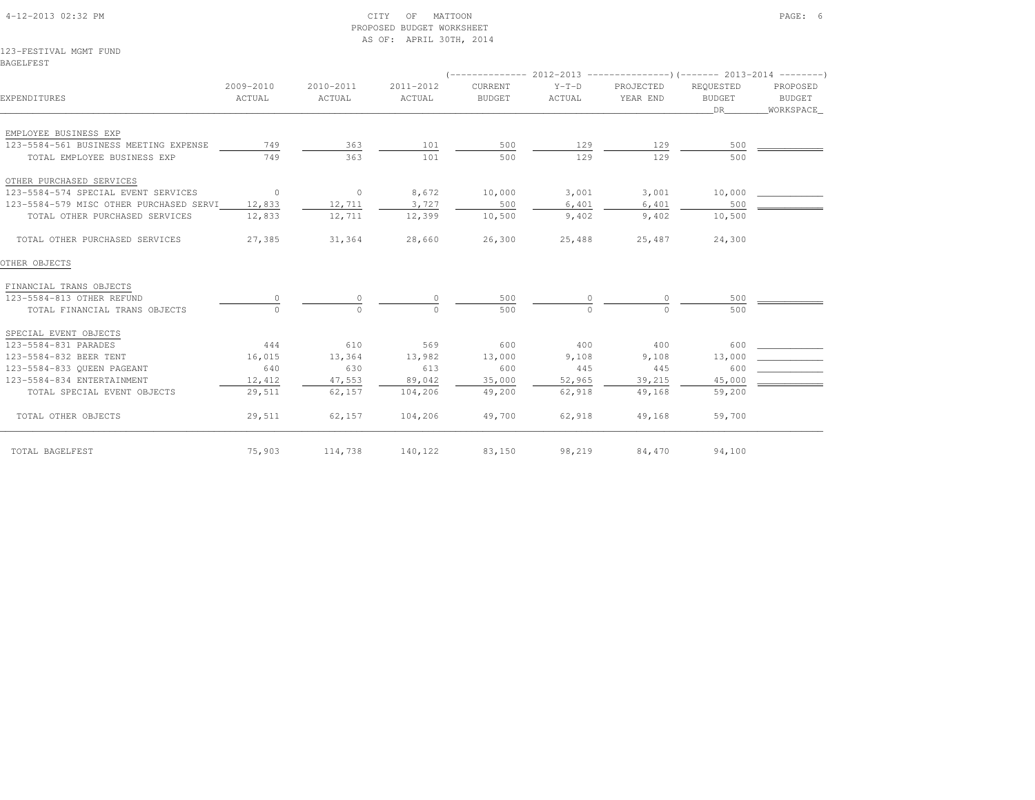### 4-12-2013 02:32 PM CITY OF MATTOON PAGE: 6 PROPOSED BUDGET WORKSHEETAS OF: APRIL 30TH, 2014

#### 123-FESTIVAL MGMT FUNDBAGELFEST

| EXPENDITURES                            | 2009-2010<br>ACTUAL | 2010-2011<br>ACTUAL | 2011-2012<br>ACTUAL | CURRENT<br><b>BUDGET</b> | $Y-T-D$<br>ACTUAL | PROJECTED<br>YEAR END | REOUESTED<br><b>BUDGET</b><br>DR | PROPOSED<br>BUDGET<br>WORKSPACE |
|-----------------------------------------|---------------------|---------------------|---------------------|--------------------------|-------------------|-----------------------|----------------------------------|---------------------------------|
| EMPLOYEE BUSINESS EXP                   |                     |                     |                     |                          |                   |                       |                                  |                                 |
| 123-5584-561 BUSINESS MEETING EXPENSE   | 749                 | 363                 | 101                 | 500                      | 129               | 129                   | 500                              |                                 |
| TOTAL EMPLOYEE BUSINESS EXP             | 749                 | 363                 | 101                 | 500                      | 129               | 129                   | 500                              |                                 |
| OTHER PURCHASED SERVICES                |                     |                     |                     |                          |                   |                       |                                  |                                 |
| 123-5584-574 SPECIAL EVENT SERVICES     | $\sim$ 0            | $\sim$ 0            | 8,672               | 10,000                   | 3,001             | 3,001                 | 10,000                           |                                 |
| 123-5584-579 MISC OTHER PURCHASED SERVI | 12,833              | 12,711              | 3,727               | 500                      | 6,401             | 6,401                 | 500                              |                                 |
| TOTAL OTHER PURCHASED SERVICES          | 12,833              | 12,711              | 12,399              | 10,500                   | 9,402             | 9,402                 | 10,500                           |                                 |
| TOTAL OTHER PURCHASED SERVICES          | 27,385              | 31,364              | 28,660              | 26,300                   | 25,488            | 25,487                | 24,300                           |                                 |
| OTHER OBJECTS                           |                     |                     |                     |                          |                   |                       |                                  |                                 |
| FINANCIAL TRANS OBJECTS                 |                     |                     |                     |                          |                   |                       |                                  |                                 |
| 123-5584-813 OTHER REFUND               |                     |                     |                     | 500                      |                   | $\circ$               | 500                              |                                 |
| TOTAL FINANCIAL TRANS OBJECTS           |                     | $\bigcap$           | $\cap$              | 500                      | $\Omega$          | $\cap$                | 500                              |                                 |
| SPECIAL EVENT OBJECTS                   |                     |                     |                     |                          |                   |                       |                                  |                                 |
| 123-5584-831 PARADES                    | 444                 | 610                 | 569                 | 600                      | 400               | 400                   | 600                              |                                 |
| 123-5584-832 BEER TENT                  | 16,015              | 13,364              | 13,982              | 13,000                   | 9,108             | 9,108                 | 13,000                           |                                 |
| 123-5584-833 OUEEN PAGEANT              | 640                 | 630                 | 613                 | 600                      | 445               | 445                   | 600                              |                                 |
| 123-5584-834 ENTERTAINMENT              | 12,412              | 47,553              | 89,042              | 35,000                   | 52,965            | 39,215                | 45,000                           |                                 |
| TOTAL SPECIAL EVENT OBJECTS             | 29,511              | 62,157              | 104,206             | 49,200                   | 62,918            | 49,168                | 59,200                           |                                 |
| TOTAL OTHER OBJECTS                     | 29,511              | 62,157              | 104,206             | 49,700                   | 62,918            | 49,168                | 59,700                           |                                 |
| TOTAL BAGELFEST                         | 75,903              | 114,738             | 140,122             | 83,150                   | 98,219            | 84,470                | 94,100                           |                                 |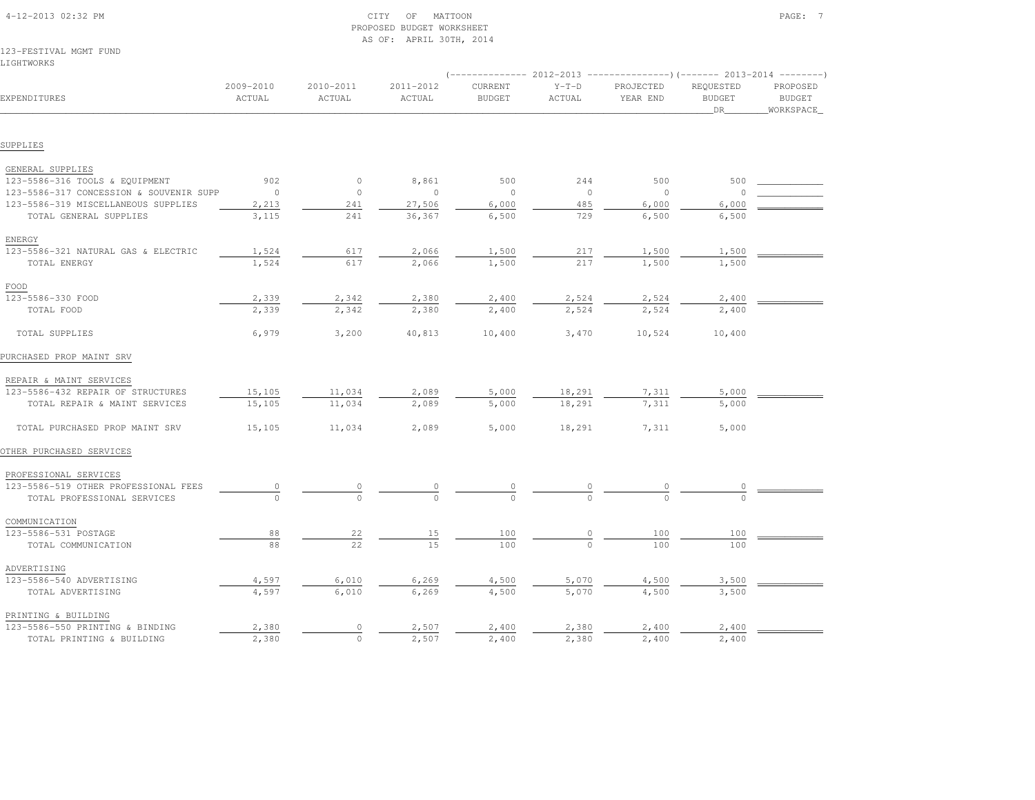| 123-FESTIVAL MGMT FUND<br>LIGHTWORKS    |                     |                     |                     |                          |                   |                                                                          |                                  |                                        |
|-----------------------------------------|---------------------|---------------------|---------------------|--------------------------|-------------------|--------------------------------------------------------------------------|----------------------------------|----------------------------------------|
|                                         |                     |                     |                     |                          |                   | (-------------- 2012-2013 ----------------) (------- 2013-2014 --------) |                                  |                                        |
| EXPENDITURES                            | 2009-2010<br>ACTUAL | 2010-2011<br>ACTUAL | 2011-2012<br>ACTUAL | CURRENT<br><b>BUDGET</b> | $Y-T-D$<br>ACTUAL | PROJECTED<br>YEAR END                                                    | REQUESTED<br><b>BUDGET</b><br>DR | PROPOSED<br><b>BUDGET</b><br>WORKSPACE |
|                                         |                     |                     |                     |                          |                   |                                                                          |                                  |                                        |
| SUPPLIES                                |                     |                     |                     |                          |                   |                                                                          |                                  |                                        |
| GENERAL SUPPLIES                        |                     |                     |                     |                          |                   |                                                                          |                                  |                                        |
| 123-5586-316 TOOLS & EQUIPMENT          | 902                 | $\circ$             | 8,861               | 500                      | 244               | 500                                                                      | 500                              |                                        |
| 123-5586-317 CONCESSION & SOUVENIR SUPP | $\circ$             | $\circ$             | $\circ$             | $\circ$                  | $\circ$           | $\circ$                                                                  | $\Omega$                         |                                        |
| 123-5586-319 MISCELLANEOUS SUPPLIES     | 2,213               | 241                 | 27,506              | 6,000                    | 485               | 6,000                                                                    | 6,000                            |                                        |
| TOTAL GENERAL SUPPLIES                  | 3,115               | 241                 | 36,367              | 6,500                    | 729               | 6,500                                                                    | 6,500                            |                                        |
| ENERGY                                  |                     |                     |                     |                          |                   |                                                                          |                                  |                                        |
| 123-5586-321 NATURAL GAS & ELECTRIC     | 1,524               | 617                 | 2,066               | 1,500                    | 217               | 1,500                                                                    | 1,500                            |                                        |
| TOTAL ENERGY                            | 1,524               | 617                 | 2,066               | 1,500                    | 217               | 1,500                                                                    | 1,500                            |                                        |
| FOOD                                    |                     |                     |                     |                          |                   |                                                                          |                                  |                                        |
| 123-5586-330 FOOD                       | 2,339               | 2,342               | 2,380               | 2,400                    | 2,524             | 2,524                                                                    | 2,400                            |                                        |
| TOTAL FOOD                              | 2,339               | 2,342               | 2,380               | 2,400                    | 2,524             | 2,524                                                                    | 2,400                            |                                        |
| TOTAL SUPPLIES                          | 6,979               | 3,200               | 40,813              | 10,400                   | 3,470             | 10,524                                                                   | 10,400                           |                                        |
| PURCHASED PROP MAINT SRV                |                     |                     |                     |                          |                   |                                                                          |                                  |                                        |
| REPAIR & MAINT SERVICES                 |                     |                     |                     |                          |                   |                                                                          |                                  |                                        |
| 123-5586-432 REPAIR OF STRUCTURES       | 15,105              | 11,034              | 2,089               | 5,000                    | 18,291            | 7,311                                                                    | 5,000                            |                                        |
| TOTAL REPAIR & MAINT SERVICES           | 15,105              | 11,034              | 2,089               | 5,000                    | 18,291            | 7,311                                                                    | 5,000                            |                                        |
| TOTAL PURCHASED PROP MAINT SRV          | 15,105              | 11,034              | 2,089               | 5,000                    | 18,291            | 7,311                                                                    | 5,000                            |                                        |
| OTHER PURCHASED SERVICES                |                     |                     |                     |                          |                   |                                                                          |                                  |                                        |
| PROFESSIONAL SERVICES                   |                     |                     |                     |                          |                   |                                                                          |                                  |                                        |
| 123-5586-519 OTHER PROFESSIONAL FEES    | 0                   |                     |                     |                          |                   |                                                                          |                                  |                                        |
| TOTAL PROFESSIONAL SERVICES             |                     |                     |                     |                          |                   |                                                                          |                                  |                                        |
| COMMUNICATION                           |                     |                     |                     |                          |                   |                                                                          |                                  |                                        |
| 123-5586-531 POSTAGE                    | 88                  | $^{22}$             | 15                  | 100                      |                   | 100                                                                      | 100                              |                                        |
| TOTAL COMMUNICATION                     | 88                  | 22                  | 15                  | 100                      |                   | 100                                                                      | 100                              |                                        |
| ADVERTISING                             |                     |                     |                     |                          |                   |                                                                          |                                  |                                        |
| 123-5586-540 ADVERTISING                | 4,597               | 6,010               | 6,269               | 4,500                    | 5,070             | 4,500                                                                    | 3,500                            |                                        |
| TOTAL ADVERTISING                       | 4,597               | 6,010               | 6,269               | 4,500                    | 5,070             | 4,500                                                                    | 3,500                            |                                        |
| PRINTING & BUILDING                     |                     |                     |                     |                          |                   |                                                                          |                                  |                                        |
| 123-5586-550 PRINTING & BINDING         | 2,380               | $\circ$             | 2,507               | 2,400                    | 2,380             | 2,400                                                                    | 2,400                            |                                        |
| TOTAL PRINTING & BUILDING               | 2,380               | $\circ$             | 2,507               | 2,400                    | 2,380             | 2,400                                                                    | 2,400                            |                                        |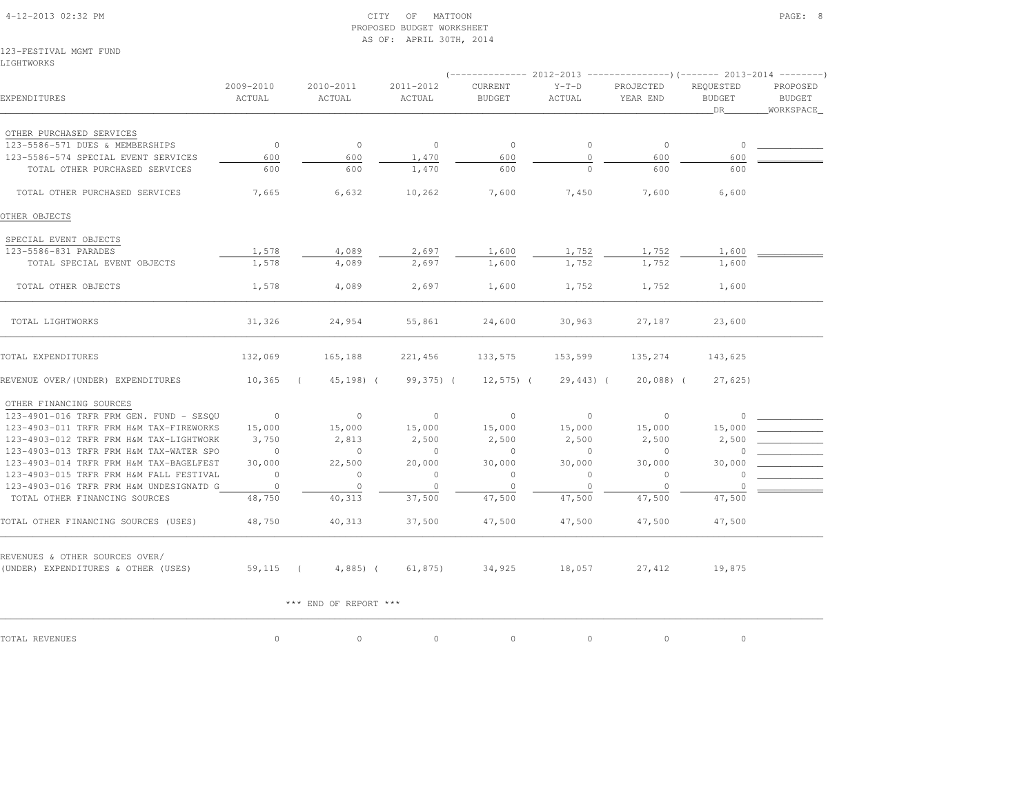| 4-12-2013 02:32 PM |  |
|--------------------|--|

#### $\begin{array}{ccc} \text{CITY} & \text{OF} & \text{MATTON} \end{array}$  PROPOSED BUDGET WORKSHEETAS OF: APRIL 30TH, 2014

123-FESTIVAL MGMT FUNDLIGHTWORKS

|                                                                       |                     |                       |                         |                                 |                   | (-------------- 2012-2013 ----------------)(------- 2013-2014 ---------) |                                   |                                         |
|-----------------------------------------------------------------------|---------------------|-----------------------|-------------------------|---------------------------------|-------------------|--------------------------------------------------------------------------|-----------------------------------|-----------------------------------------|
| EXPENDITURES                                                          | 2009-2010<br>ACTUAL | 2010-2011<br>ACTUAL   | $2011 - 2012$<br>ACTUAL | <b>CURRENT</b><br><b>BUDGET</b> | $Y-T-D$<br>ACTUAL | PROJECTED<br>YEAR END                                                    | REOUESTED<br><b>BUDGET</b><br>DR. | PROPOSED<br><b>BUDGET</b><br>WORKSPACE_ |
| OTHER PURCHASED SERVICES                                              |                     |                       |                         |                                 |                   |                                                                          |                                   |                                         |
| 123-5586-571 DUES & MEMBERSHIPS                                       | $\circ$             | $\circ$               | $\circ$                 | $\circ$                         | $\circ$           | $\circ$                                                                  | $\circ$                           |                                         |
| 123-5586-574 SPECIAL EVENT SERVICES                                   | 600                 | 600                   | 1,470                   | 600                             | $\circ$           | 600                                                                      | 600                               |                                         |
| TOTAL OTHER PURCHASED SERVICES                                        | 600                 | 600                   | 1,470                   | 600                             |                   | 600                                                                      | 600                               |                                         |
| TOTAL OTHER PURCHASED SERVICES                                        | 7,665               | 6,632                 | 10,262                  | 7,600                           | 7,450             | 7,600                                                                    | 6,600                             |                                         |
| OTHER OBJECTS                                                         |                     |                       |                         |                                 |                   |                                                                          |                                   |                                         |
| SPECIAL EVENT OBJECTS                                                 |                     |                       |                         |                                 |                   |                                                                          |                                   |                                         |
| 123-5586-831 PARADES                                                  | 1,578               | 4,089                 | 2,697                   | 1,600                           | 1,752             | 1,752                                                                    | 1,600                             |                                         |
| TOTAL SPECIAL EVENT OBJECTS                                           | 1,578               | 4,089                 | 2,697                   | 1,600                           | 1,752             | 1,752                                                                    | 1,600                             |                                         |
| TOTAL OTHER OBJECTS                                                   | 1,578               | 4,089                 | 2,697                   | 1,600                           | 1,752             | 1,752                                                                    | 1,600                             |                                         |
| TOTAL LIGHTWORKS                                                      | 31,326              | 24,954                | 55,861                  | 24,600                          | 30,963            | 27,187                                                                   | 23,600                            |                                         |
| TOTAL EXPENDITURES                                                    | 132,069             | 165,188               | 221,456                 | 133,575                         | 153,599           | 135,274                                                                  | 143,625                           |                                         |
| REVENUE OVER/(UNDER) EXPENDITURES                                     | 10,365              | $45, 198)$ (          | 99,375) (               | $12,575$ ) (                    | $29,443$ ) (      | $20,088$ ) (                                                             | 27,625                            |                                         |
| OTHER FINANCING SOURCES                                               |                     |                       |                         |                                 |                   |                                                                          |                                   |                                         |
| 123-4901-016 TRFR FRM GEN. FUND - SESQU                               | $\sim$ 0            | $\circ$               | $\circ$                 | $\circ$                         | $\circ$           | $\circ$                                                                  | $\circ$                           |                                         |
| 123-4903-011 TRFR FRM H&M TAX-FIREWORKS                               | 15,000              | 15,000                | 15,000                  | 15,000                          | 15,000            | 15,000                                                                   | 15,000                            |                                         |
| 123-4903-012 TRFR FRM H&M TAX-LIGHTWORK                               | 3,750               | 2,813                 | 2,500                   | 2,500                           | 2,500             | 2,500                                                                    | 2,500                             |                                         |
| 123-4903-013 TRFR FRM H&M TAX-WATER SPO                               | $\overline{0}$      | $\circ$               | $\circ$                 | $\mathbf{0}$                    | $\circ$           | $\circ$                                                                  | $\cap$                            |                                         |
| 123-4903-014 TRFR FRM H&M TAX-BAGELFEST                               | 30,000              | 22,500                | 20,000                  | 30,000                          | 30,000            | 30,000                                                                   | 30,000                            |                                         |
| 123-4903-015 TRFR FRM H&M FALL FESTIVAL                               | $\overline{0}$      | $\circ$               | $\circ$                 | $\circ$                         | $\circ$           | $\circ$                                                                  | $\circ$                           |                                         |
| 123-4903-016 TRFR FRM H&M UNDESIGNATD G                               | $\overline{0}$      | $\circ$               | $\circ$                 | $\circ$                         | $\circ$           | $\overline{0}$                                                           | $\circ$                           |                                         |
| TOTAL OTHER FINANCING SOURCES                                         | 48,750              | 40,313                | 37,500                  | 47,500                          | 47,500            | 47,500                                                                   | 47,500                            |                                         |
| TOTAL OTHER FINANCING SOURCES (USES)                                  | 48,750              | 40,313                | 37,500                  | 47,500                          | 47,500            | 47,500                                                                   | 47,500                            |                                         |
|                                                                       |                     |                       |                         |                                 |                   |                                                                          |                                   |                                         |
| REVENUES & OTHER SOURCES OVER/<br>(UNDER) EXPENDITURES & OTHER (USES) | $59,115$ (          | $4,885$ ) (           | 61,875)                 | 34,925                          | 18,057            | 27,412                                                                   | 19,875                            |                                         |
|                                                                       |                     | *** END OF REPORT *** |                         |                                 |                   |                                                                          |                                   |                                         |
| TOTAL REVENUES                                                        | $\circ$             | $\circ$               | $\circ$                 | $\circ$                         | $\circ$           | 0                                                                        | $\circ$                           |                                         |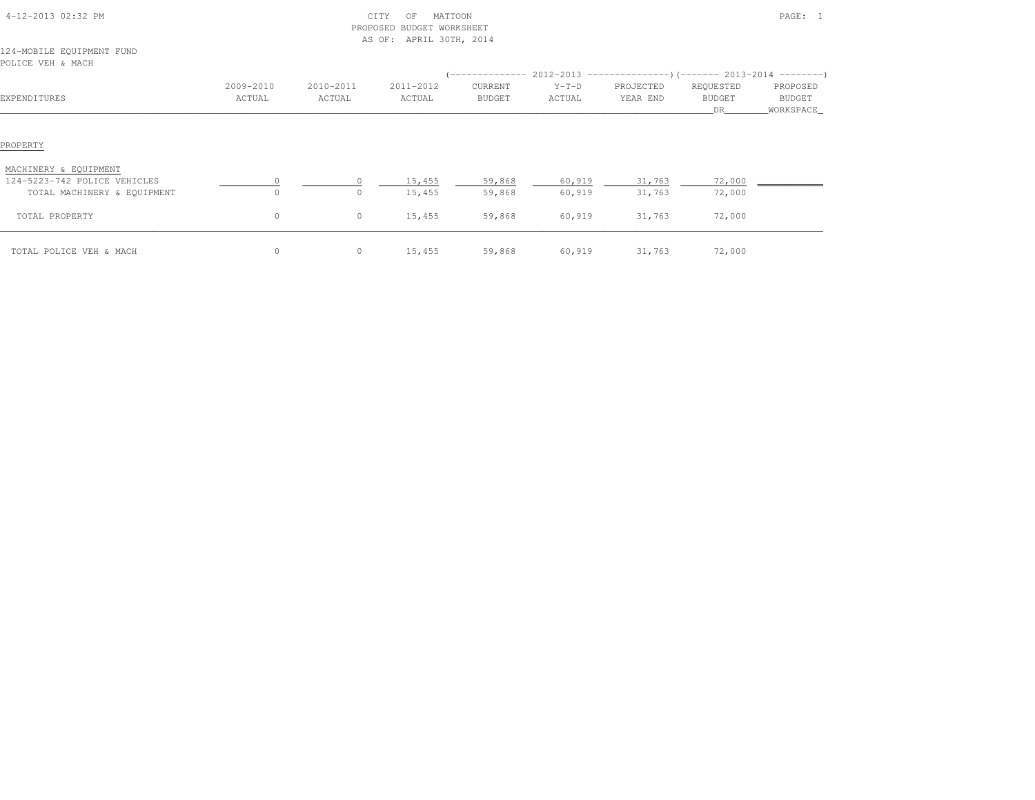|                                                       |                     |                     | PROPOSED BUDGET WORKSHEET<br>AS OF: APRIL 30TH, 2014 |                                                                                                |                   |                       |                                         |                                  |
|-------------------------------------------------------|---------------------|---------------------|------------------------------------------------------|------------------------------------------------------------------------------------------------|-------------------|-----------------------|-----------------------------------------|----------------------------------|
| 124-MOBILE EQUIPMENT FUND<br>POLICE VEH & MACH        |                     |                     |                                                      |                                                                                                |                   |                       |                                         |                                  |
| EXPENDITURES                                          | 2009-2010<br>ACTUAL | 2010-2011<br>ACTUAL | 2011-2012<br>ACTUAL                                  | (-------------- 2012-2013 ----------------) (------- 2013-2014 ---------)<br>CURRENT<br>BUDGET | $Y-T-D$<br>ACTUAL | PROJECTED<br>YEAR END | REQUESTED<br><b>BUDGET</b><br><b>DR</b> | PROPOSED<br>BUDGET<br>WORKSPACE_ |
| PROPERTY                                              |                     |                     |                                                      |                                                                                                |                   |                       |                                         |                                  |
| MACHINERY & EQUIPMENT<br>124-5223-742 POLICE VEHICLES | $\circ$             | $\Omega$            | 15,455                                               | 59,868                                                                                         | 60,919            | 31,763                | 72,000                                  |                                  |
| TOTAL MACHINERY & EQUIPMENT<br>TOTAL PROPERTY         | $\circ$<br>$\circ$  | $\Omega$<br>$\circ$ | 15,455<br>15,455                                     | 59,868<br>59,868                                                                               | 60,919<br>60,919  | 31,763<br>31,763      | 72,000<br>72,000                        |                                  |
| TOTAL POLICE VEH & MACH                               | $\circ$             | 0                   | 15,455                                               | 59,868                                                                                         | 60,919            | 31,763                | 72,000                                  |                                  |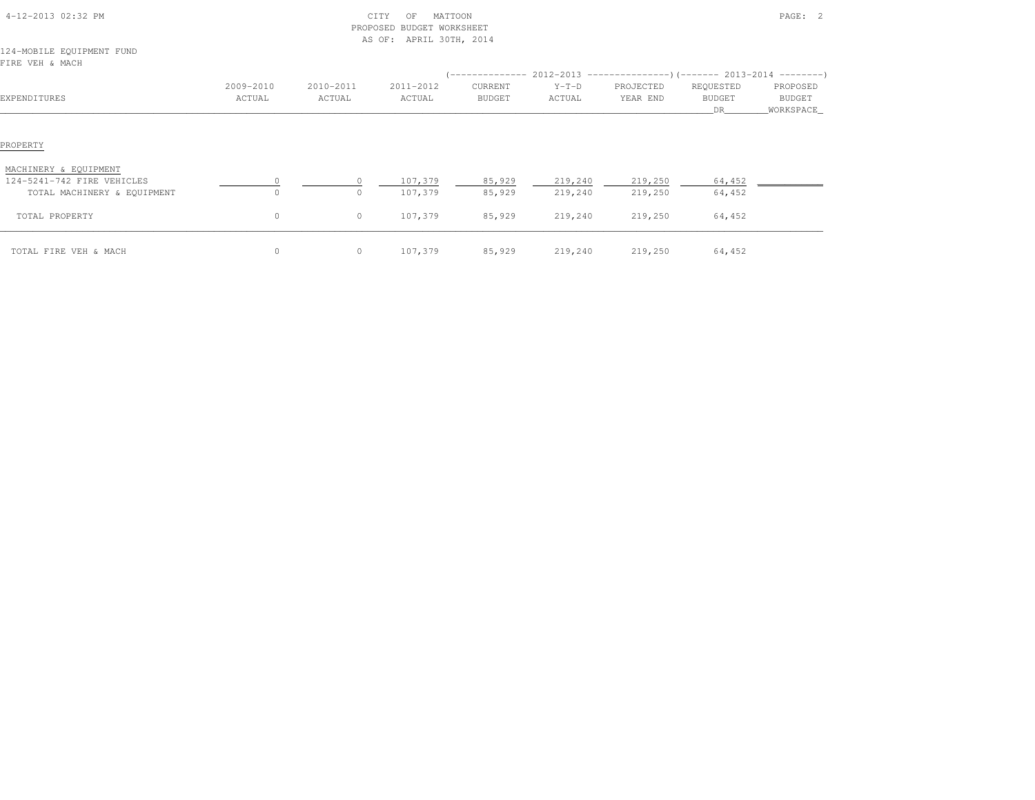| PROPOSED BUDGET WORKSHEET<br>AS OF: APRIL 30TH, 2014      |                     |                     |                     |                                             |                    |                       |                                                                                                |                                        |  |  |
|-----------------------------------------------------------|---------------------|---------------------|---------------------|---------------------------------------------|--------------------|-----------------------|------------------------------------------------------------------------------------------------|----------------------------------------|--|--|
| 124-MOBILE EQUIPMENT FUND<br>FIRE VEH & MACH              |                     |                     |                     |                                             |                    |                       |                                                                                                |                                        |  |  |
| EXPENDITURES                                              | 2009-2010<br>ACTUAL | 2010-2011<br>ACTUAL | 2011-2012<br>ACTUAL | ( -------------<br>CURRENT<br><b>BUDGET</b> | $Y-T-D$<br>ACTUAL  | PROJECTED<br>YEAR END | $2012-2013$ ----------------)(------- 2013-2014 --------)<br>REQUESTED<br><b>BUDGET</b><br>DR. | PROPOSED<br><b>BUDGET</b><br>WORKSPACE |  |  |
| PROPERTY                                                  |                     |                     |                     |                                             |                    |                       |                                                                                                |                                        |  |  |
| MACHINERY & EQUIPMENT                                     |                     |                     |                     |                                             |                    |                       |                                                                                                |                                        |  |  |
| 124-5241-742 FIRE VEHICLES<br>TOTAL MACHINERY & EQUIPMENT | $\circ$             | $\circ$<br>$\circ$  | 107,379<br>107,379  | 85,929<br>85,929                            | 219,240<br>219,240 | 219,250<br>219,250    | 64,452<br>64,452                                                                               |                                        |  |  |
| TOTAL PROPERTY                                            | $\circ$             | $\circ$             | 107,379             | 85,929                                      | 219,240            | 219,250               | 64,452                                                                                         |                                        |  |  |
| TOTAL FIRE VEH & MACH                                     | $\circ$             | $\circ$             | 107,379             | 85,929                                      | 219,240            | 219,250               | 64,452                                                                                         |                                        |  |  |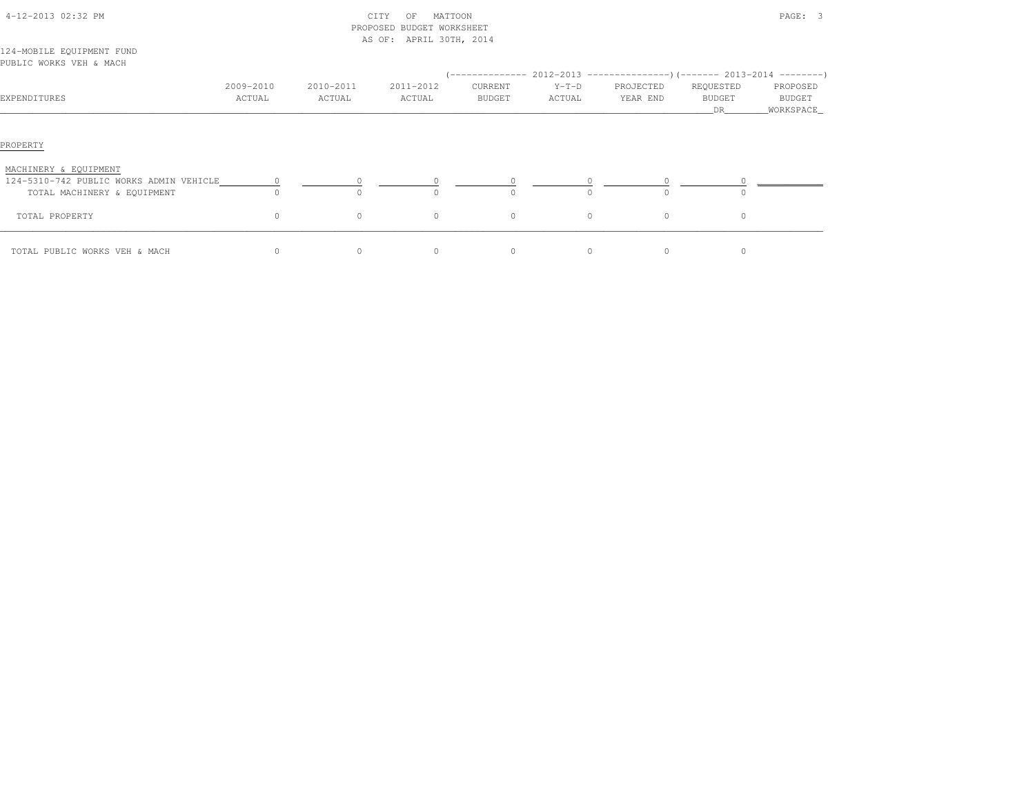| 4-12-2013 02:32 PM                                                                              |                     |                     | CITY<br>MATTOON<br>OF<br>PROPOSED BUDGET WORKSHEET<br>AS OF: APRIL 30TH, 2014 |                   |                   |                       | PAGE: 3                          |                                 |  |  |
|-------------------------------------------------------------------------------------------------|---------------------|---------------------|-------------------------------------------------------------------------------|-------------------|-------------------|-----------------------|----------------------------------|---------------------------------|--|--|
| 124-MOBILE EQUIPMENT FUND<br>PUBLIC WORKS VEH & MACH                                            |                     |                     |                                                                               |                   |                   |                       |                                  |                                 |  |  |
| EXPENDITURES                                                                                    | 2009-2010<br>ACTUAL | 2010-2011<br>ACTUAL | 2011-2012<br>ACTUAL                                                           | CURRENT<br>BUDGET | $Y-T-D$<br>ACTUAL | PROJECTED<br>YEAR END | REQUESTED<br><b>BUDGET</b><br>DR | PROPOSED<br>BUDGET<br>WORKSPACE |  |  |
| PROPERTY                                                                                        |                     |                     |                                                                               |                   |                   |                       |                                  |                                 |  |  |
| MACHINERY & EQUIPMENT<br>124-5310-742 PUBLIC WORKS ADMIN VEHICLE<br>TOTAL MACHINERY & EQUIPMENT |                     |                     |                                                                               | $\Omega$          | $\Omega$          | $\Omega$              |                                  |                                 |  |  |
| TOTAL PROPERTY                                                                                  | $\circ$             | $\circ$             | 0                                                                             | $\circ$           | $\circ$           | $\circ$               | $\circ$                          |                                 |  |  |
| TOTAL PUBLIC WORKS VEH & MACH                                                                   | $\circ$             | 0                   | 0                                                                             | $\circ$           | $\circ$           | $\circ$               | $\circ$                          |                                 |  |  |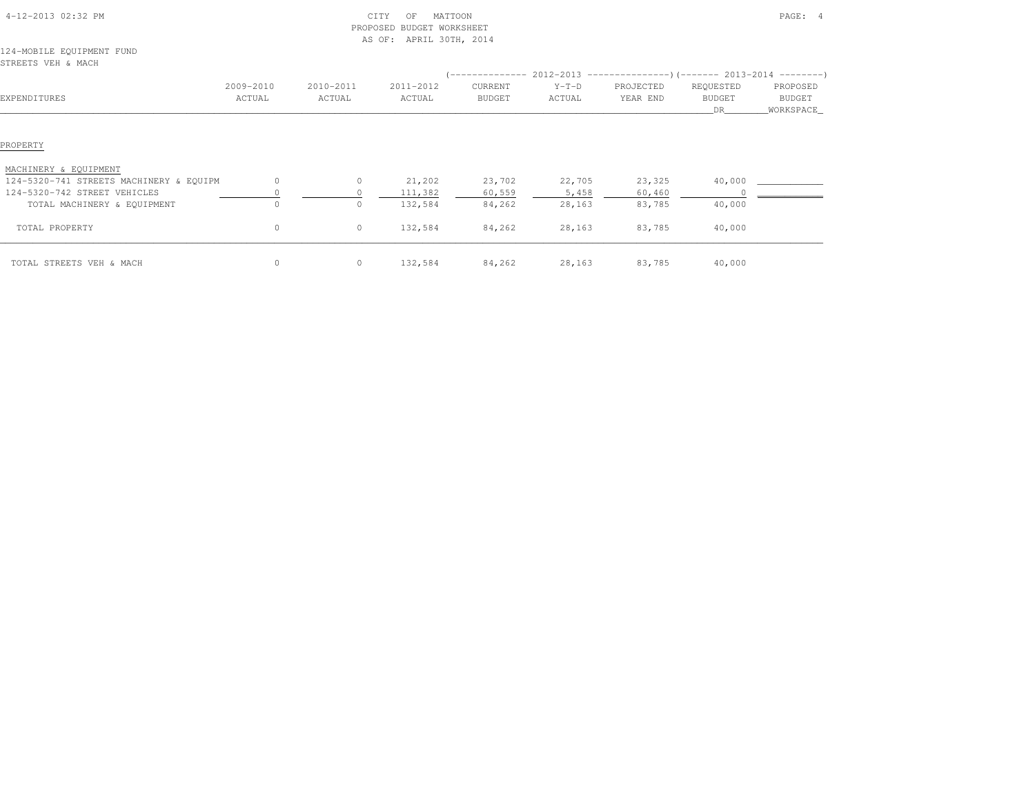|                                                 |                     |                     | PROPOSED BUDGET WORKSHEET<br>AS OF: APRIL 30TH, 2014 |                          |                   |                       |                                                                               |                                         |
|-------------------------------------------------|---------------------|---------------------|------------------------------------------------------|--------------------------|-------------------|-----------------------|-------------------------------------------------------------------------------|-----------------------------------------|
| 124-MOBILE EQUIPMENT FUND<br>STREETS VEH & MACH |                     |                     |                                                      |                          |                   |                       |                                                                               |                                         |
|                                                 |                     |                     |                                                      |                          |                   |                       | $(-$ -------------- 2012-2013 -----------------)(------- 2013-2014 ---------) |                                         |
| EXPENDITURES                                    | 2009-2010<br>ACTUAL | 2010-2011<br>ACTUAL | 2011-2012<br>ACTUAL                                  | CURRENT<br><b>BUDGET</b> | $Y-T-D$<br>ACTUAL | PROJECTED<br>YEAR END | REQUESTED<br><b>BUDGET</b><br>DR.                                             | PROPOSED<br><b>BUDGET</b><br>WORKSPACE_ |
| PROPERTY                                        |                     |                     |                                                      |                          |                   |                       |                                                                               |                                         |
| MACHINERY & EQUIPMENT                           |                     |                     |                                                      |                          |                   |                       |                                                                               |                                         |
| 124-5320-741 STREETS MACHINERY & EQUIPM         | $\circ$             | $\circ$             | 21,202                                               | 23,702                   | 22,705            | 23,325                | 40,000                                                                        |                                         |
| 124-5320-742 STREET VEHICLES                    |                     |                     | 111,382                                              | 60,559                   | 5,458             | 60,460                |                                                                               |                                         |
| TOTAL MACHINERY & EQUIPMENT                     | $\Omega$            | 0                   | 132,584                                              | 84,262                   | 28,163            | 83,785                | 40,000                                                                        |                                         |
| TOTAL PROPERTY                                  | $\circ$             | $\circ$             | 132,584                                              | 84,262                   | 28,163            | 83,785                | 40,000                                                                        |                                         |
| TOTAL STREETS VEH & MACH                        | 0                   | $\circ$             | 132,584                                              | 84,262                   | 28,163            | 83,785                | 40,000                                                                        |                                         |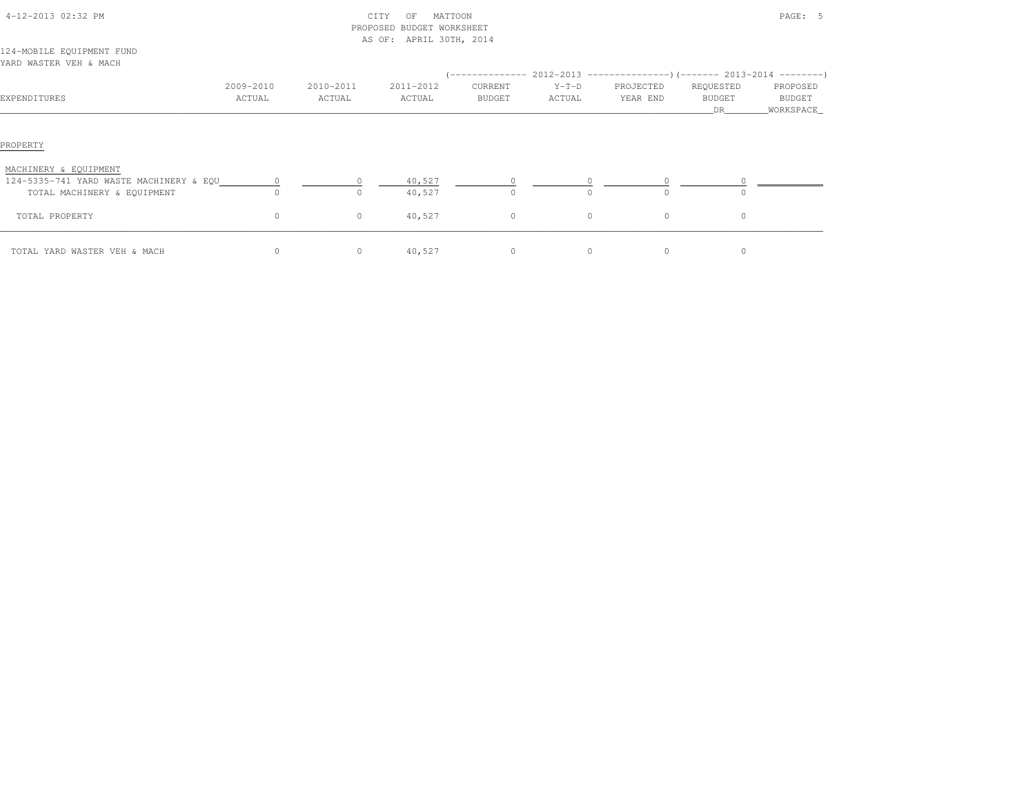|                                                                        |           |           | PROPOSED BUDGET WORKSHEET |               |          |                                                                                        |                     |                     |
|------------------------------------------------------------------------|-----------|-----------|---------------------------|---------------|----------|----------------------------------------------------------------------------------------|---------------------|---------------------|
| 124-MOBILE EQUIPMENT FUND<br>YARD WASTER VEH & MACH                    |           |           | AS OF: APRIL 30TH, 2014   |               |          |                                                                                        |                     |                     |
|                                                                        | 2009-2010 | 2010-2011 | 2011-2012                 | CURRENT       | $Y-T-D$  | (-------------- 2012-2013 ----------------) (------- 2013-2014 ---------)<br>PROJECTED | REQUESTED           | PROPOSED            |
| EXPENDITURES                                                           | ACTUAL    | ACTUAL    | ACTUAL                    | <b>BUDGET</b> | ACTUAL   | YEAR END                                                                               | <b>BUDGET</b><br>DR | BUDGET<br>WORKSPACE |
| PROPERTY                                                               |           |           |                           |               |          |                                                                                        |                     |                     |
| MACHINERY & EQUIPMENT                                                  |           |           |                           |               |          |                                                                                        |                     |                     |
| 124-5335-741 YARD WASTE MACHINERY & EQU<br>TOTAL MACHINERY & EQUIPMENT | $\cap$    | $\Omega$  | 40,527<br>40,527          | $\Omega$      | $\Omega$ | $\cap$                                                                                 |                     |                     |
| TOTAL PROPERTY                                                         | $\circ$   | $\circ$   | 40,527                    | $\circ$       | $\circ$  | $\circ$                                                                                | $\circ$             |                     |
| TOTAL YARD WASTER VEH & MACH                                           | $\circ$   | $\circ$   | 40,527                    | $\circ$       | 0        | $\circ$                                                                                | $\circ$             |                     |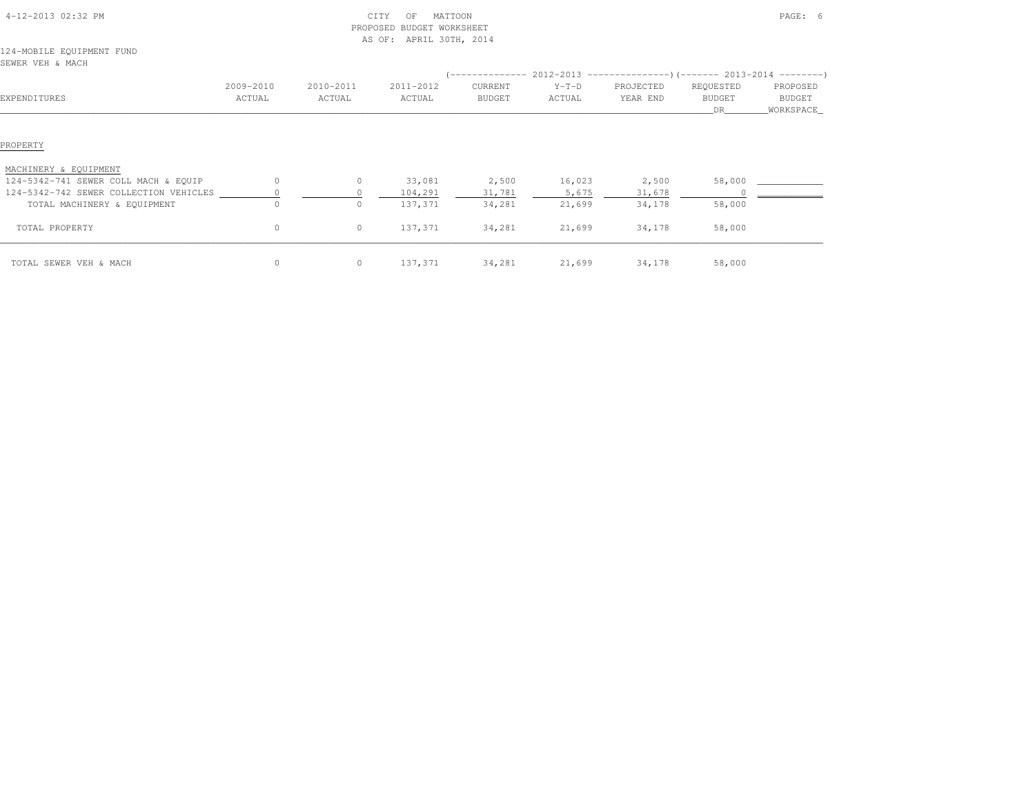|                                               |                     |                     | PROPOSED BUDGET WORKSHEET<br>AS OF: APRIL 30TH, 2014 |                   |                                                                                                    |                       |                                  |                                   |
|-----------------------------------------------|---------------------|---------------------|------------------------------------------------------|-------------------|----------------------------------------------------------------------------------------------------|-----------------------|----------------------------------|-----------------------------------|
| 124-MOBILE EQUIPMENT FUND<br>SEWER VEH & MACH |                     |                     |                                                      |                   |                                                                                                    |                       |                                  |                                   |
| EXPENDITURES                                  | 2009-2010<br>ACTUAL | 2010-2011<br>ACTUAL | 2011-2012<br>ACTUAL                                  | CURRENT<br>BUDGET | $(-$ -------------- 2012-2013 -----------------)(------- 2013-2014 ---------)<br>$Y-T-D$<br>ACTUAL | PROJECTED<br>YEAR END | REQUESTED<br><b>BUDGET</b><br>DR | PROPOSED<br>BUDGET<br>_WORKSPACE_ |
| PROPERTY                                      |                     |                     |                                                      |                   |                                                                                                    |                       |                                  |                                   |
| MACHINERY & EQUIPMENT                         |                     |                     |                                                      |                   |                                                                                                    |                       |                                  |                                   |
| 124-5342-741 SEWER COLL MACH & EQUIP          | $\circ$             | $\circ$             | 33,081                                               | 2,500             | 16,023                                                                                             | 2,500                 | 58,000                           |                                   |
| 124-5342-742 SEWER COLLECTION VEHICLES        |                     |                     | 104,291                                              | 31,781            | 5,675                                                                                              | 31,678                |                                  |                                   |
| TOTAL MACHINERY & EQUIPMENT                   |                     | $\circ$             | 137,371                                              | 34,281            | 21,699                                                                                             | 34,178                | 58,000                           |                                   |
| TOTAL PROPERTY                                | $\circ$             | $\circ$             | 137,371                                              | 34,281            | 21,699                                                                                             | 34,178                | 58,000                           |                                   |
| TOTAL SEWER VEH & MACH                        | $\circ$             | $\circ$             | 137,371                                              | 34,281            | 21,699                                                                                             | 34,178                | 58,000                           |                                   |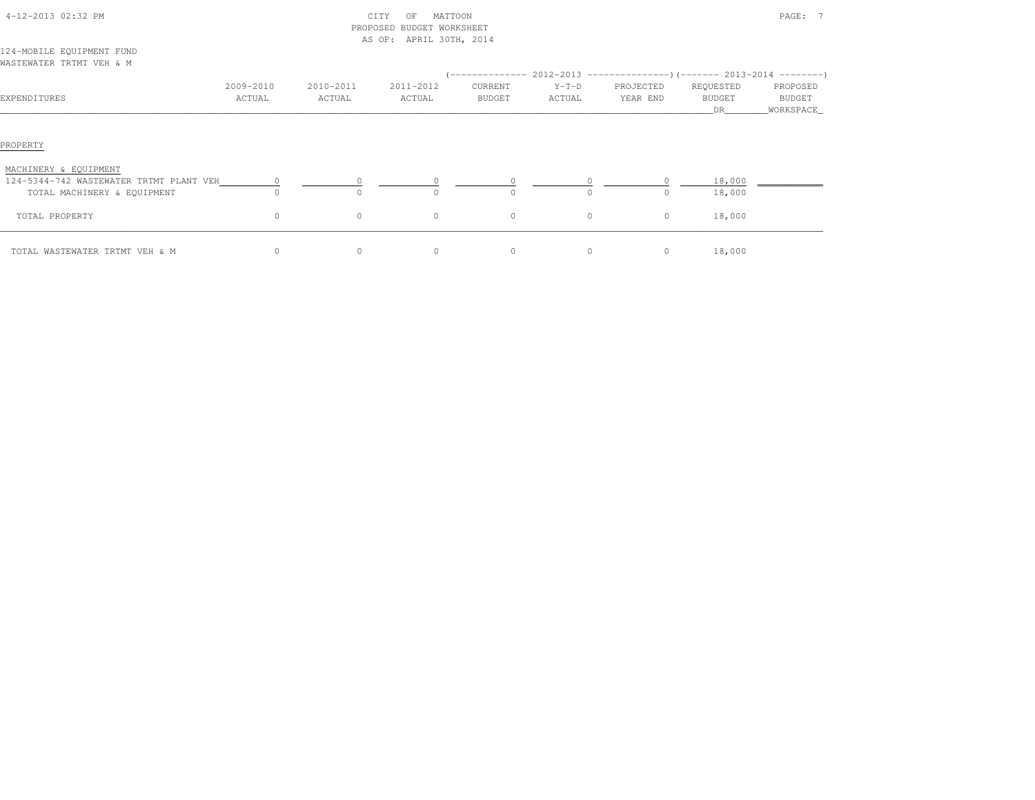| 4-12-2013 02:32 PM                      |           |           | CITY<br>MATTOON<br>OF<br>PROPOSED BUDGET WORKSHEET<br>AS OF: APRIL 30TH, 2014 |               |              | $\mathtt{PAGE}$ :                                                            |               |           |  |  |
|-----------------------------------------|-----------|-----------|-------------------------------------------------------------------------------|---------------|--------------|------------------------------------------------------------------------------|---------------|-----------|--|--|
| 124-MOBILE EQUIPMENT FUND               |           |           |                                                                               |               |              |                                                                              |               |           |  |  |
| WASTEWATER TRTMT VEH & M                |           |           |                                                                               |               |              |                                                                              |               |           |  |  |
|                                         |           |           |                                                                               |               |              | $($ -------------- 2012-2013 ----------------) (------- 2013-2014 ---------) |               |           |  |  |
|                                         | 2009-2010 | 2010-2011 | 2011-2012                                                                     | CURRENT       | $Y-T-D$      | PROJECTED                                                                    | REQUESTED     | PROPOSED  |  |  |
| EXPENDITURES                            | ACTUAL    | ACTUAL    | ACTUAL                                                                        | <b>BUDGET</b> | ACTUAL       | YEAR END                                                                     | <b>BUDGET</b> | BUDGET    |  |  |
|                                         |           |           |                                                                               |               |              |                                                                              | <b>DR</b>     | WORKSPACE |  |  |
| PROPERTY<br>MACHINERY & EQUIPMENT       |           |           |                                                                               |               |              |                                                                              |               |           |  |  |
| 124-5344-742 WASTEWATER TRTMT PLANT VEH |           |           |                                                                               |               |              |                                                                              | 18,000        |           |  |  |
| TOTAL MACHINERY & EQUIPMENT             |           |           |                                                                               |               |              | $\circ$                                                                      | 18,000        |           |  |  |
| TOTAL PROPERTY                          | $\circ$   | $\circ$   | $\circ$                                                                       | $\circ$       | $\mathbf{0}$ | 0                                                                            | 18,000        |           |  |  |
| TOTAL WASTEWATER TRTMT VEH & M          | 0         | $\circ$   | $\circ$                                                                       | $\circ$       | $\circ$      | $\circ$                                                                      | 18,000        |           |  |  |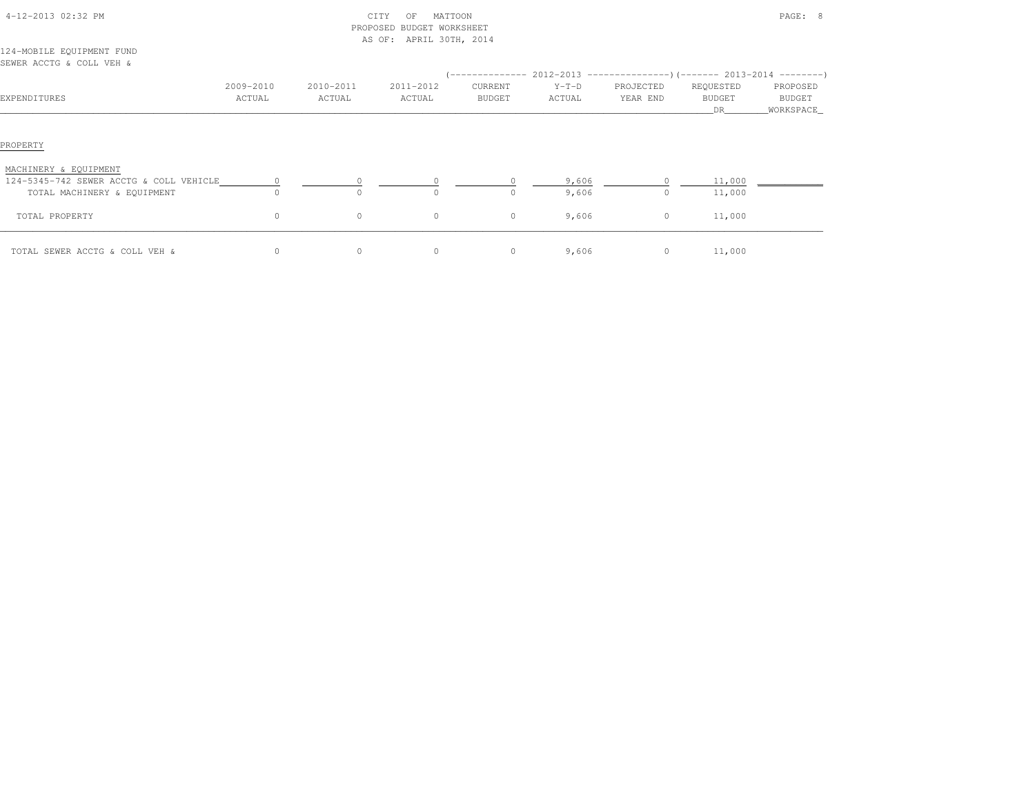| 4-12-2013 02:32 PM                                                     |                     |                     | MATTOON<br>CITY<br>OF<br>PROPOSED BUDGET WORKSHEET<br>AS OF: APRIL 30TH, 2014 |                   |                   |                       | PAGE: 8                           |                                   |  |  |  |
|------------------------------------------------------------------------|---------------------|---------------------|-------------------------------------------------------------------------------|-------------------|-------------------|-----------------------|-----------------------------------|-----------------------------------|--|--|--|
| 124-MOBILE EQUIPMENT FUND<br>SEWER ACCTG & COLL VEH &                  |                     |                     |                                                                               |                   |                   |                       |                                   |                                   |  |  |  |
| EXPENDITURES                                                           | 2009-2010<br>ACTUAL | 2010-2011<br>ACTUAL | 2011-2012<br>ACTUAL                                                           | CURRENT<br>BUDGET | $Y-T-D$<br>ACTUAL | PROJECTED<br>YEAR END | REQUESTED<br><b>BUDGET</b><br>DR. | PROPOSED<br>BUDGET<br>_WORKSPACE_ |  |  |  |
| PROPERTY                                                               |                     |                     |                                                                               |                   |                   |                       |                                   |                                   |  |  |  |
| MACHINERY & EQUIPMENT                                                  |                     |                     |                                                                               |                   |                   |                       |                                   |                                   |  |  |  |
| 124-5345-742 SEWER ACCTG & COLL VEHICLE<br>TOTAL MACHINERY & EQUIPMENT | $\circ$             | $\Omega$            | $\Omega$                                                                      | $\Omega$          | 9,606<br>9,606    | $\circ$               | 11,000<br>11,000                  |                                   |  |  |  |
| TOTAL PROPERTY                                                         | $\circ$             | $\circ$             | $\circ$                                                                       | $\circ$           | 9,606             | $\circ$               | 11,000                            |                                   |  |  |  |
| TOTAL SEWER ACCTG & COLL VEH &                                         | $\circ$             | 0                   | $\circ$                                                                       | $\circ$           | 9,606             | $\circ$               | 11,000                            |                                   |  |  |  |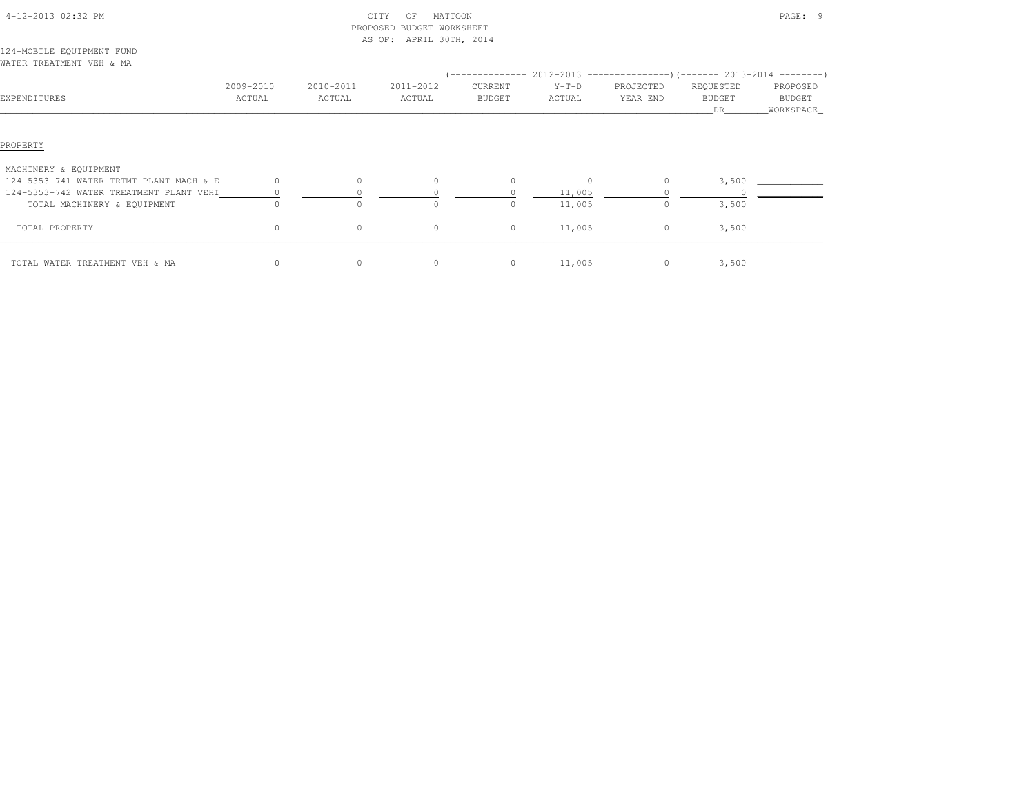| 4-12-2013 02:32 PM                                                                 |           |           | CITY<br>MATTOON<br>ΟF<br>PROPOSED BUDGET WORKSHEET<br>AS OF: APRIL 30TH, 2014 |          |                  |           |                     | PAGE: 9               |  |  |  |  |
|------------------------------------------------------------------------------------|-----------|-----------|-------------------------------------------------------------------------------|----------|------------------|-----------|---------------------|-----------------------|--|--|--|--|
| 124-MOBILE EQUIPMENT FUND                                                          |           |           |                                                                               |          |                  |           |                     |                       |  |  |  |  |
| WATER TREATMENT VEH & MA                                                           |           |           |                                                                               |          |                  |           |                     |                       |  |  |  |  |
|                                                                                    |           |           |                                                                               |          |                  |           |                     |                       |  |  |  |  |
|                                                                                    | 2009-2010 | 2010-2011 | 2011-2012                                                                     | CURRENT  | $Y-T-D$          | PROJECTED | REQUESTED           | PROPOSED              |  |  |  |  |
| EXPENDITURES                                                                       | ACTUAL    | ACTUAL    | ACTUAL                                                                        | BUDGET   | ACTUAL           | YEAR END  | <b>BUDGET</b><br>DR | BUDGET<br>_WORKSPACE_ |  |  |  |  |
| PROPERTY<br>MACHINERY & EQUIPMENT                                                  |           |           |                                                                               |          |                  |           |                     |                       |  |  |  |  |
| 124-5353-741 WATER TRTMT PLANT MACH & E<br>124-5353-742 WATER TREATMENT PLANT VEHI | $\Omega$  | $\circ$   | $\Omega$                                                                      | $\circ$  | $\circ$          | 0         | 3,500               |                       |  |  |  |  |
| TOTAL MACHINERY & EQUIPMENT                                                        | $\cap$    | $\cap$    | $\cap$                                                                        | $\Omega$ | 11,005<br>11,005 | $\circ$   | 3,500               |                       |  |  |  |  |
| TOTAL PROPERTY                                                                     | $\circ$   | 0         | $\circ$                                                                       | $\circ$  | 11,005           | 0         | 3,500               |                       |  |  |  |  |
| TOTAL WATER TREATMENT VEH & MA                                                     | $\circ$   | 0         | $\circ$                                                                       | $\circ$  | 11,005           | $\circ$   | 3,500               |                       |  |  |  |  |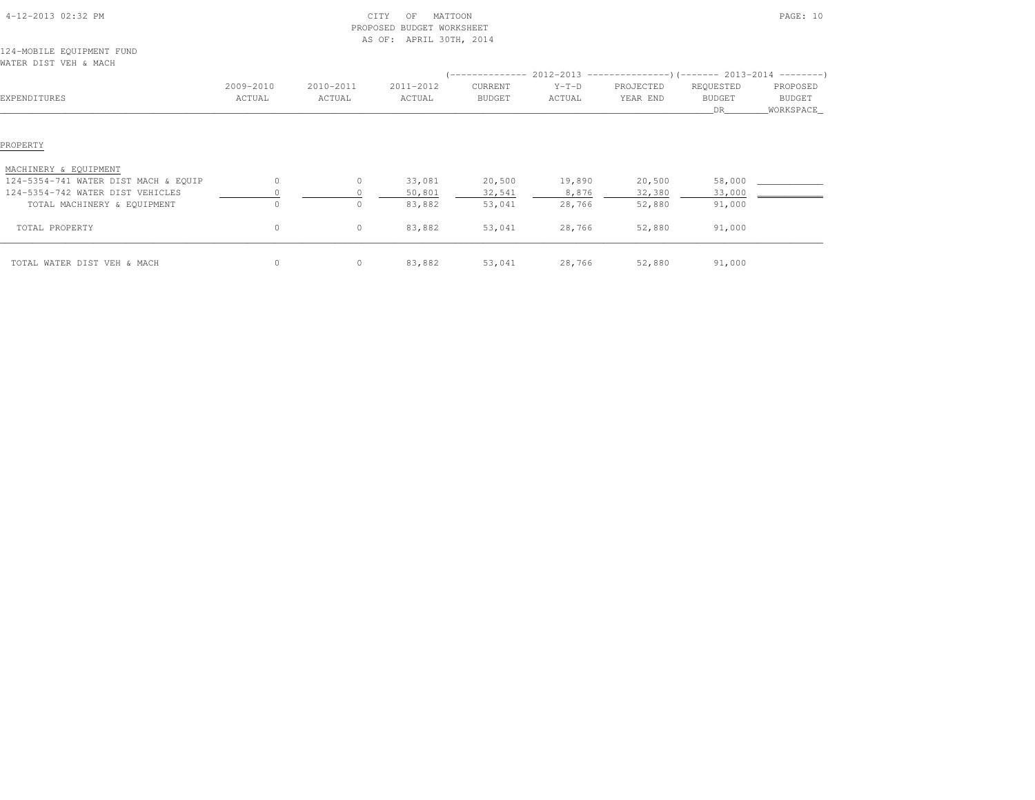|                                                    |                     |                     | PROPOSED BUDGET WORKSHEET |                   |                   |                       |                           |                                  |
|----------------------------------------------------|---------------------|---------------------|---------------------------|-------------------|-------------------|-----------------------|---------------------------|----------------------------------|
| 124-MOBILE EQUIPMENT FUND<br>WATER DIST VEH & MACH |                     |                     | AS OF: APRIL 30TH, 2014   |                   |                   |                       |                           |                                  |
|                                                    |                     |                     |                           |                   |                   |                       |                           |                                  |
| EXPENDITURES                                       | 2009-2010<br>ACTUAL | 2010-2011<br>ACTUAL | 2011-2012<br>ACTUAL       | CURRENT<br>BUDGET | $Y-T-D$<br>ACTUAL | PROJECTED<br>YEAR END | REQUESTED<br>BUDGET<br>DR | PROPOSED<br>BUDGET<br>WORKSPACE_ |
| PROPERTY                                           |                     |                     |                           |                   |                   |                       |                           |                                  |
| MACHINERY & EQUIPMENT                              |                     |                     |                           |                   |                   |                       |                           |                                  |
| 124-5354-741 WATER DIST MACH & EQUIP               | $\Omega$            | $\circ$             | 33,081                    | 20,500            | 19,890            | 20,500                | 58,000                    |                                  |
| 124-5354-742 WATER DIST VEHICLES                   |                     |                     | 50,801                    | 32,541            | 8,876             | 32,380                | 33,000                    |                                  |
| TOTAL MACHINERY & EQUIPMENT                        |                     | $\circ$             | 83,882                    | 53,041            | 28,766            | 52,880                | 91,000                    |                                  |
| TOTAL PROPERTY                                     | $\circ$             | $\circ$             | 83,882                    | 53,041            | 28,766            | 52,880                | 91,000                    |                                  |
| TOTAL WATER DIST VEH & MACH                        | $\circ$             | $\circ$             | 83,882                    | 53,041            | 28,766            | 52,880                | 91,000                    |                                  |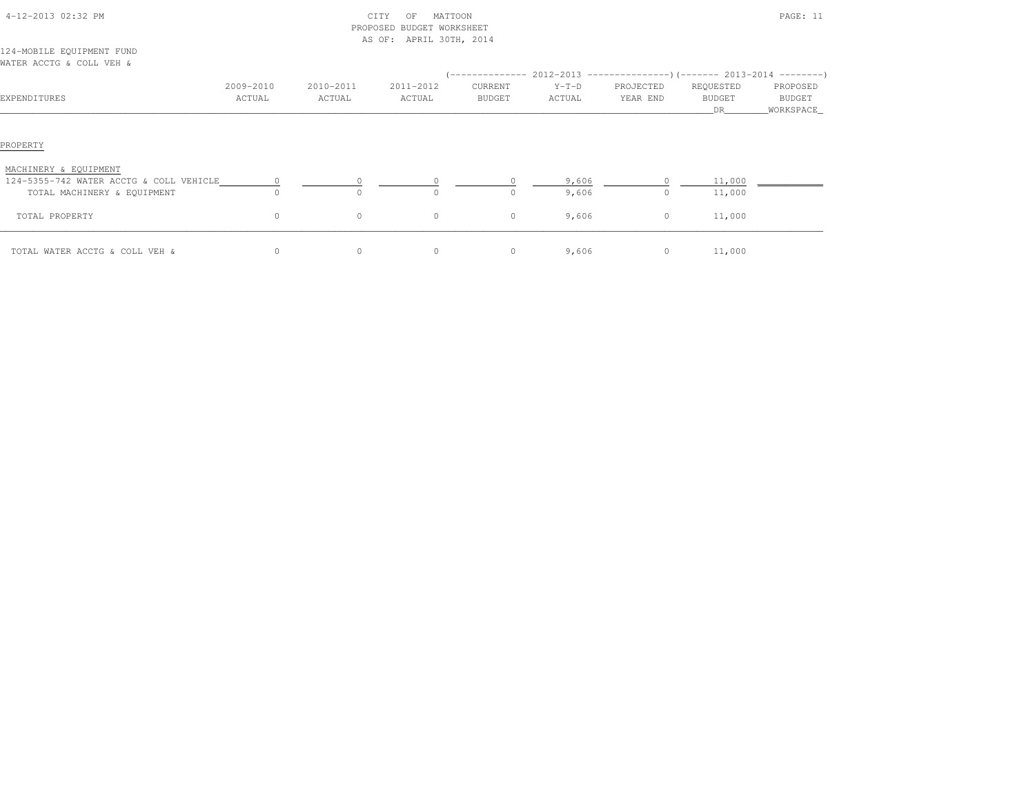| 4-12-2013 02:32 PM                                                     |                     |                     | CITY<br>MATTOON<br>OF<br>PROPOSED BUDGET WORKSHEET<br>AS OF: APRIL 30TH, 2014 |                   |                   | PAGE: 11                                                                                               |                            |                                 |  |  |
|------------------------------------------------------------------------|---------------------|---------------------|-------------------------------------------------------------------------------|-------------------|-------------------|--------------------------------------------------------------------------------------------------------|----------------------------|---------------------------------|--|--|
| 124-MOBILE EQUIPMENT FUND<br>WATER ACCTG & COLL VEH &                  |                     |                     |                                                                               |                   |                   |                                                                                                        |                            |                                 |  |  |
| EXPENDITURES                                                           | 2009-2010<br>ACTUAL | 2010-2011<br>ACTUAL | 2011-2012<br>ACTUAL                                                           | CURRENT<br>BUDGET | $Y-T-D$<br>ACTUAL | $(-$ -------------- 2012-2013 -----------------) (------- 2013-2014 --------)<br>PROJECTED<br>YEAR END | REQUESTED<br>BUDGET<br>DR. | PROPOSED<br>BUDGET<br>WORKSPACE |  |  |
| PROPERTY                                                               |                     |                     |                                                                               |                   |                   |                                                                                                        |                            |                                 |  |  |
| MACHINERY & EQUIPMENT                                                  |                     |                     |                                                                               |                   |                   |                                                                                                        |                            |                                 |  |  |
| 124-5355-742 WATER ACCTG & COLL VEHICLE<br>TOTAL MACHINERY & EQUIPMENT |                     |                     |                                                                               |                   | 9,606<br>9,606    | $\circ$                                                                                                | 11,000<br>11,000           |                                 |  |  |
| TOTAL PROPERTY                                                         | 0                   | $\circ$             | $\circ$                                                                       | $\circ$           | 9,606             | $\circ$                                                                                                | 11,000                     |                                 |  |  |
| TOTAL WATER ACCTG & COLL VEH &                                         | $\circ$             | 0                   | $\circ$                                                                       | $\circ$           | 9,606             | $\circ$                                                                                                | 11,000                     |                                 |  |  |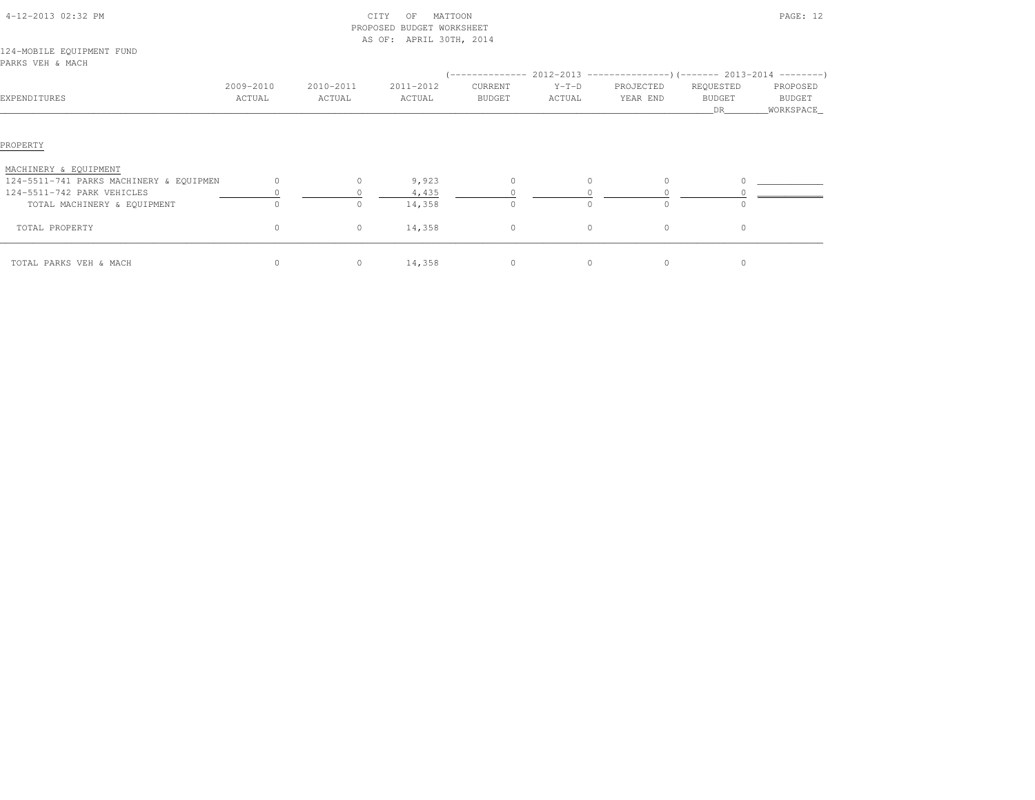|                                               |                     |                     | PROPOSED BUDGET WORKSHEET |                   |                   |                       |                                   |                                 |
|-----------------------------------------------|---------------------|---------------------|---------------------------|-------------------|-------------------|-----------------------|-----------------------------------|---------------------------------|
| 124-MOBILE EQUIPMENT FUND<br>PARKS VEH & MACH |                     |                     | AS OF: APRIL 30TH, 2014   |                   |                   |                       |                                   |                                 |
| EXPENDITURES                                  | 2009-2010<br>ACTUAL | 2010-2011<br>ACTUAL | 2011-2012<br>ACTUAL       | CURRENT<br>BUDGET | $Y-T-D$<br>ACTUAL | PROJECTED<br>YEAR END | REQUESTED<br><b>BUDGET</b><br>DR. | PROPOSED<br>BUDGET<br>WORKSPACE |
| PROPERTY                                      |                     |                     |                           |                   |                   |                       |                                   |                                 |
| MACHINERY & EQUIPMENT                         |                     |                     |                           |                   |                   |                       |                                   |                                 |
| 124-5511-741 PARKS MACHINERY & EQUIPMEN       | $\circ$             | $\circ$             | 9,923                     | $\circ$           | $\circ$           | $\Omega$              |                                   |                                 |
| 124-5511-742 PARK VEHICLES                    |                     |                     | 4,435                     |                   |                   |                       |                                   |                                 |
| TOTAL MACHINERY & EQUIPMENT                   | $\Omega$            | $\circ$             | 14,358                    | $\cap$            |                   | $\Omega$              |                                   |                                 |
| TOTAL PROPERTY                                | $\circ$             | $\circ$             | 14,358                    | $\circ$           | $\circ$           | $\circ$               | $\circ$                           |                                 |
| TOTAL PARKS VEH & MACH                        | 0                   | $\circ$             | 14,358                    | $\circ$           | $\circ$           | $\circ$               | $\circ$                           |                                 |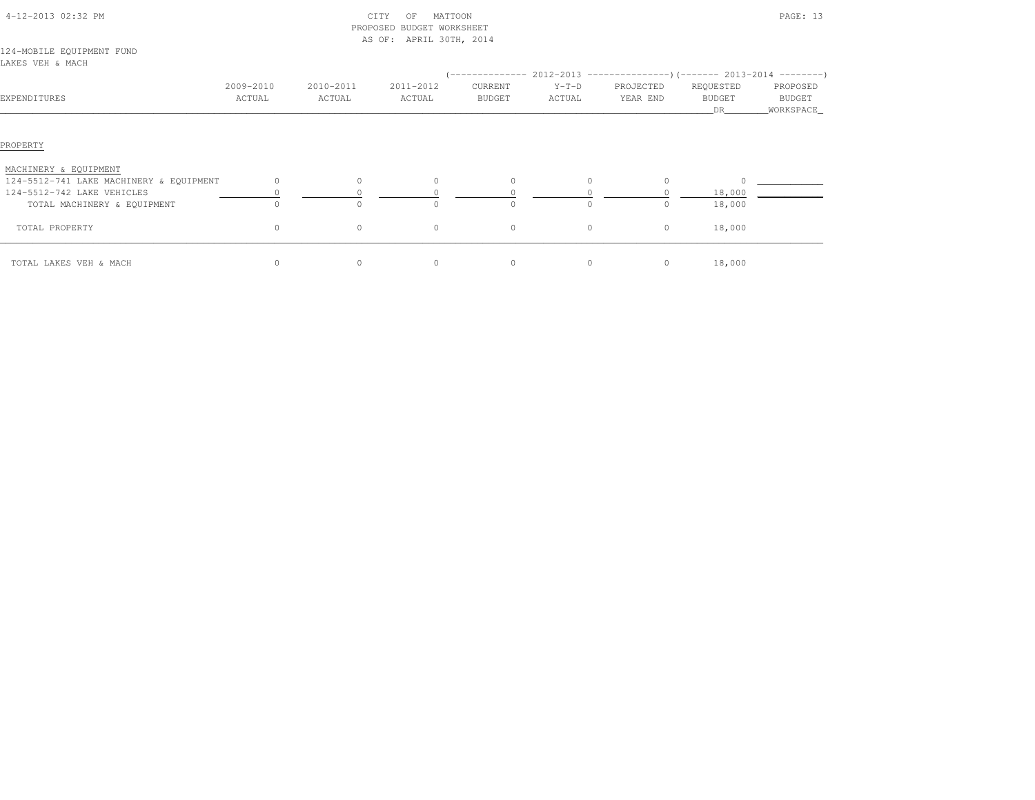|                                                                  |                     |                     | PROPOSED BUDGET WORKSHEET<br>AS OF: APRIL 30TH, 2014 |                   |                                                                                                    |                       |                                  |                                 |
|------------------------------------------------------------------|---------------------|---------------------|------------------------------------------------------|-------------------|----------------------------------------------------------------------------------------------------|-----------------------|----------------------------------|---------------------------------|
| 124-MOBILE EQUIPMENT FUND<br>LAKES VEH & MACH                    |                     |                     |                                                      |                   |                                                                                                    |                       |                                  |                                 |
| EXPENDITURES                                                     | 2009-2010<br>ACTUAL | 2010-2011<br>ACTUAL | 2011-2012<br>ACTUAL                                  | CURRENT<br>BUDGET | $(-$ -------------- 2012-2013 -----------------)(------- 2013-2014 ---------)<br>$Y-T-D$<br>ACTUAL | PROJECTED<br>YEAR END | REQUESTED<br><b>BUDGET</b><br>DR | PROPOSED<br>BUDGET<br>WORKSPACE |
| PROPERTY                                                         |                     |                     |                                                      |                   |                                                                                                    |                       |                                  |                                 |
| MACHINERY & EQUIPMENT<br>124-5512-741 LAKE MACHINERY & EQUIPMENT | $\circ$             | $\circ$             | $\Omega$                                             | $\circ$           | $\Omega$                                                                                           | $\Omega$              |                                  |                                 |
| 124-5512-742 LAKE VEHICLES                                       |                     |                     |                                                      |                   |                                                                                                    |                       | 18,000                           |                                 |
| TOTAL MACHINERY & EQUIPMENT                                      |                     |                     |                                                      |                   | $\Omega$                                                                                           | $\Omega$              | 18,000                           |                                 |
| TOTAL PROPERTY                                                   | $\circ$             | $\circ$             | $\circ$                                              | $\circ$           | $\circ$                                                                                            | $\circ$               | 18,000                           |                                 |
| TOTAL LAKES VEH & MACH                                           | $\circ$             | $\circ$             | 0                                                    | $\circ$           | $\circ$                                                                                            | $\circ$               | 18,000                           |                                 |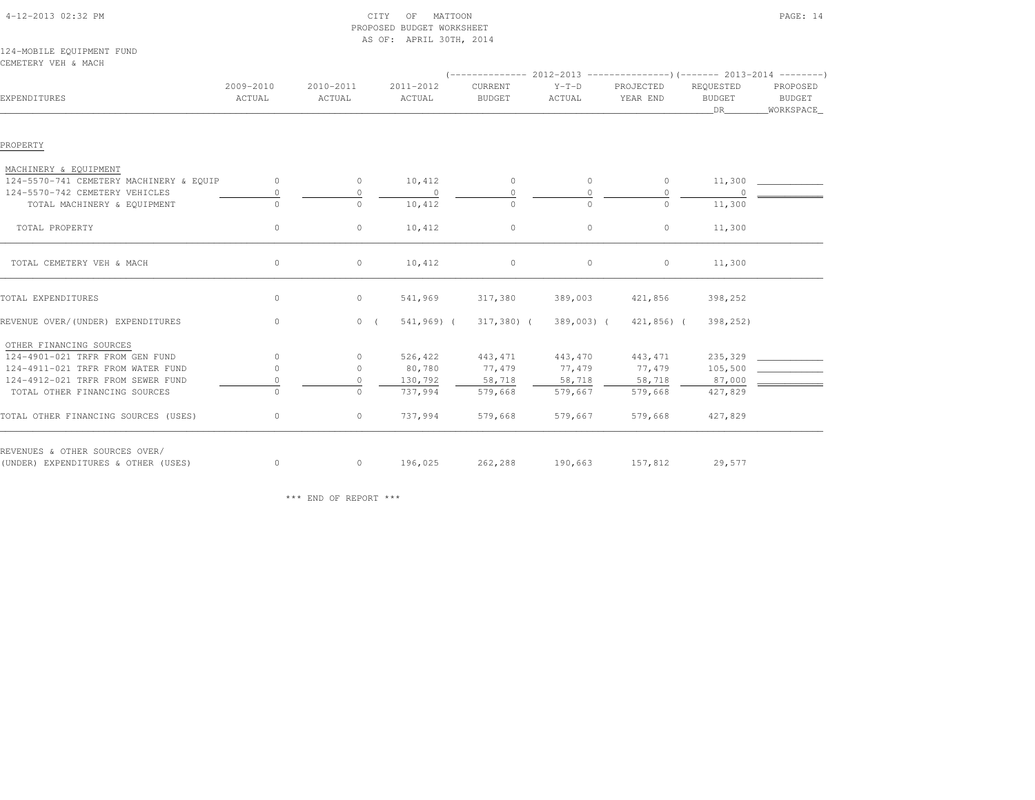| 4-12-2013 02:32 PM |  |
|--------------------|--|

## $\text{CITY}$  of MATTOON PAGE: 14 PROPOSED BUDGET WORKSHEETAS OF: APRIL 30TH, 2014

#### 124-MOBILE EQUIPMENT FUNDCEMETERY VEH & MACH

| EXPENDITURES                            | 2009-2010<br>ACTUAL        | 2010-2011<br>ACTUAL | 2011-2012<br>ACTUAL      | CURRENT<br><b>BUDGET</b> | $Y-T-D$<br>ACTUAL | PROJECTED<br>YEAR END | REQUESTED<br><b>BUDGET</b><br>DR | PROPOSED<br>BUDGET<br>WORKSPACE_ |  |  |  |
|-----------------------------------------|----------------------------|---------------------|--------------------------|--------------------------|-------------------|-----------------------|----------------------------------|----------------------------------|--|--|--|
| PROPERTY                                |                            |                     |                          |                          |                   |                       |                                  |                                  |  |  |  |
| MACHINERY & EQUIPMENT                   |                            |                     |                          |                          |                   |                       |                                  |                                  |  |  |  |
| 124-5570-741 CEMETERY MACHINERY & EQUIP | $\Omega$                   | $\circ$             | 10,412                   | $\circ$                  | $\circ$           | $\circ$               | 11,300                           |                                  |  |  |  |
| 124-5570-742 CEMETERY VEHICLES          |                            | 0                   | $\overline{\phantom{0}}$ | $\circ$                  | $\circ$           | $\circ$               | $\overline{0}$                   |                                  |  |  |  |
| TOTAL MACHINERY & EQUIPMENT             | $\overline{0}$<br>$\Omega$ | $\Omega$            | 10,412                   | $\Omega$                 | $\cap$            | $\Omega$              | 11,300                           |                                  |  |  |  |
|                                         |                            |                     |                          |                          |                   |                       |                                  |                                  |  |  |  |
| TOTAL PROPERTY                          | $\circ$                    | $\circ$             | 10,412                   | $\circ$                  | $\circ$           | $\circ$               | 11,300                           |                                  |  |  |  |
|                                         |                            |                     |                          |                          |                   |                       |                                  |                                  |  |  |  |
| TOTAL CEMETERY VEH & MACH               | $\circ$                    | $\circ$             | 10,412                   | $\circ$                  | $\circ$           | $\circ$               | 11,300                           |                                  |  |  |  |
|                                         |                            |                     |                          |                          |                   |                       |                                  |                                  |  |  |  |
| TOTAL EXPENDITURES                      | $\Omega$                   | $\circ$             | 541,969                  | 317,380                  | 389,003           | 421,856               | 398,252                          |                                  |  |  |  |
| REVENUE OVER/(UNDER) EXPENDITURES       | $\circ$                    | 0(                  | 541,969) (               | 317,380) (               | 389,003) (        | 421,856) (            | 398,252)                         |                                  |  |  |  |
| OTHER FINANCING SOURCES                 |                            |                     |                          |                          |                   |                       |                                  |                                  |  |  |  |
| 124-4901-021 TRFR FROM GEN FUND         | $\circ$                    | $\circ$             | 526,422                  | 443,471                  | 443,470           | 443, 471              | 235,329                          |                                  |  |  |  |
| 124-4911-021 TRFR FROM WATER FUND       | $\circ$                    | $\circ$             | 80,780                   | 77,479                   | 77,479            | 77,479                | 105,500                          |                                  |  |  |  |
| 124-4912-021 TRFR FROM SEWER FUND       | $\circ$                    | $\Omega$            | 130,792                  | 58,718                   | 58,718            | 58,718                | 87,000                           |                                  |  |  |  |
| TOTAL OTHER FINANCING SOURCES           | $\cap$                     | $\cap$              | 737,994                  | 579,668                  | 579,667           | 579,668               | 427,829                          |                                  |  |  |  |
| TOTAL OTHER FINANCING SOURCES (USES)    | $\circ$                    | $\circ$             | 737,994                  | 579,668                  | 579,667           | 579,668               | 427,829                          |                                  |  |  |  |
| REVENUES & OTHER SOURCES OVER/          |                            |                     |                          |                          |                   |                       |                                  |                                  |  |  |  |
| (UNDER) EXPENDITURES & OTHER (USES)     | $\circ$                    | $\circ$             | 196,025                  | 262,288                  | 190,663 157,812   |                       | 29,577                           |                                  |  |  |  |

\*\*\* END OF REPORT \*\*\*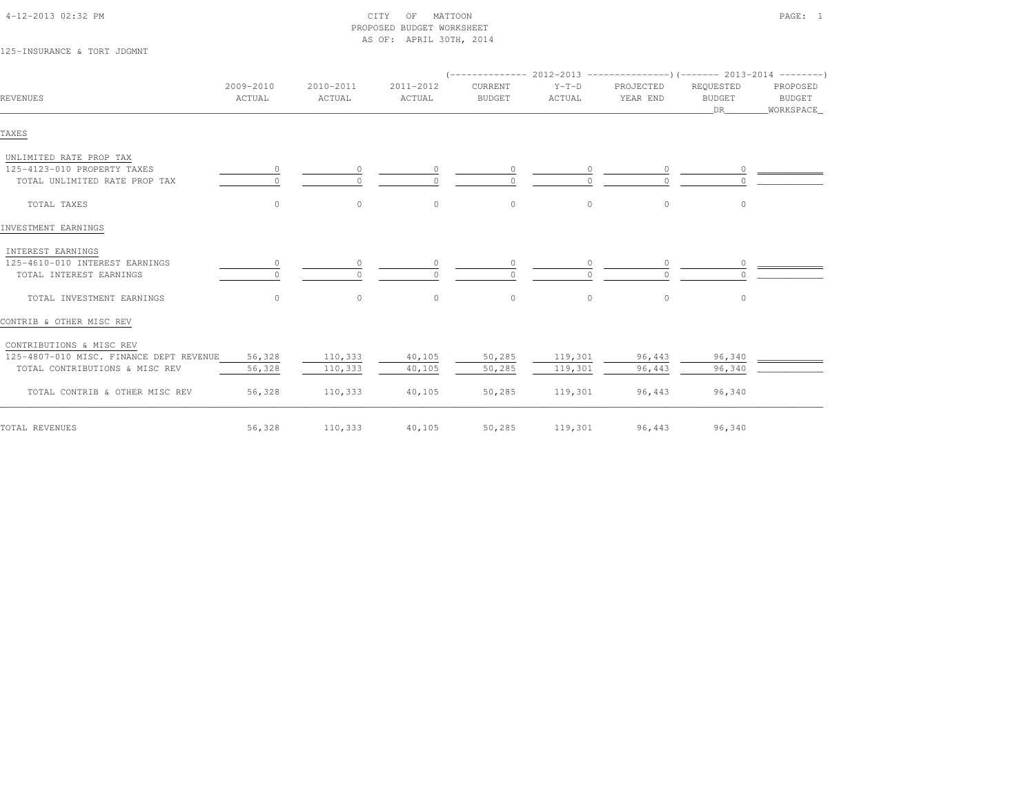| 4-12-2013 02:32 PM |  |
|--------------------|--|

### $\text{CITY}$  of MATTOON PAGE: 1 PROPOSED BUDGET WORKSHEETAS OF: APRIL 30TH, 2014

# 125-INSURANCE & TORT JDGMNT

| REVENUES                                | 2009-2010<br>ACTUAL | 2010-2011<br>ACTUAL | 2011-2012<br>ACTUAL | CURRENT<br><b>BUDGET</b> | $Y-T-D$<br>ACTUAL | PROJECTED<br>YEAR END | REQUESTED<br><b>BUDGET</b><br>DR | PROPOSED<br>BUDGET<br>WORKSPACE |
|-----------------------------------------|---------------------|---------------------|---------------------|--------------------------|-------------------|-----------------------|----------------------------------|---------------------------------|
| TAXES                                   |                     |                     |                     |                          |                   |                       |                                  |                                 |
| UNLIMITED RATE PROP TAX                 |                     |                     |                     |                          |                   |                       |                                  |                                 |
| 125-4123-010 PROPERTY TAXES             | $\circ$             | 0                   |                     | $\circ$                  |                   |                       |                                  |                                 |
| TOTAL UNLIMITED RATE PROP TAX           |                     | $\cap$              |                     | $\cap$                   |                   | $\cap$                |                                  |                                 |
| TOTAL TAXES                             | $\circ$             | $\circ$             | $\circ$             | $\circ$                  | $\circ$           | 0                     | 0                                |                                 |
| INVESTMENT EARNINGS                     |                     |                     |                     |                          |                   |                       |                                  |                                 |
| INTEREST EARNINGS                       |                     |                     |                     |                          |                   |                       |                                  |                                 |
| 125-4610-010 INTEREST EARNINGS          |                     | $\circ$             |                     | 0                        |                   | 0                     |                                  |                                 |
| TOTAL INTEREST EARNINGS                 |                     | $\circ$             |                     | $\Omega$                 |                   | $\cap$                |                                  |                                 |
| TOTAL INVESTMENT EARNINGS               | $\Omega$            | $\circ$             | $\circ$             | $\mathbb O$              | $\circ$           | $\circ$               | 0                                |                                 |
| CONTRIB & OTHER MISC REV                |                     |                     |                     |                          |                   |                       |                                  |                                 |
| CONTRIBUTIONS & MISC REV                |                     |                     |                     |                          |                   |                       |                                  |                                 |
| 125-4807-010 MISC. FINANCE DEPT REVENUE | 56,328              | 110,333             | 40,105              | 50,285                   | 119,301           | 96,443                | 96,340                           |                                 |
| TOTAL CONTRIBUTIONS & MISC REV          | 56,328              | 110,333             | 40,105              | 50,285                   | 119,301           | 96,443                | 96,340                           |                                 |
| TOTAL CONTRIB & OTHER MISC REV          | 56,328              | 110,333             | 40,105              | 50,285                   | 119,301           | 96,443                | 96,340                           |                                 |
| TOTAL REVENUES                          | 56,328              | 110,333             | 40,105              | 50,285                   | 119,301           | 96,443                | 96,340                           |                                 |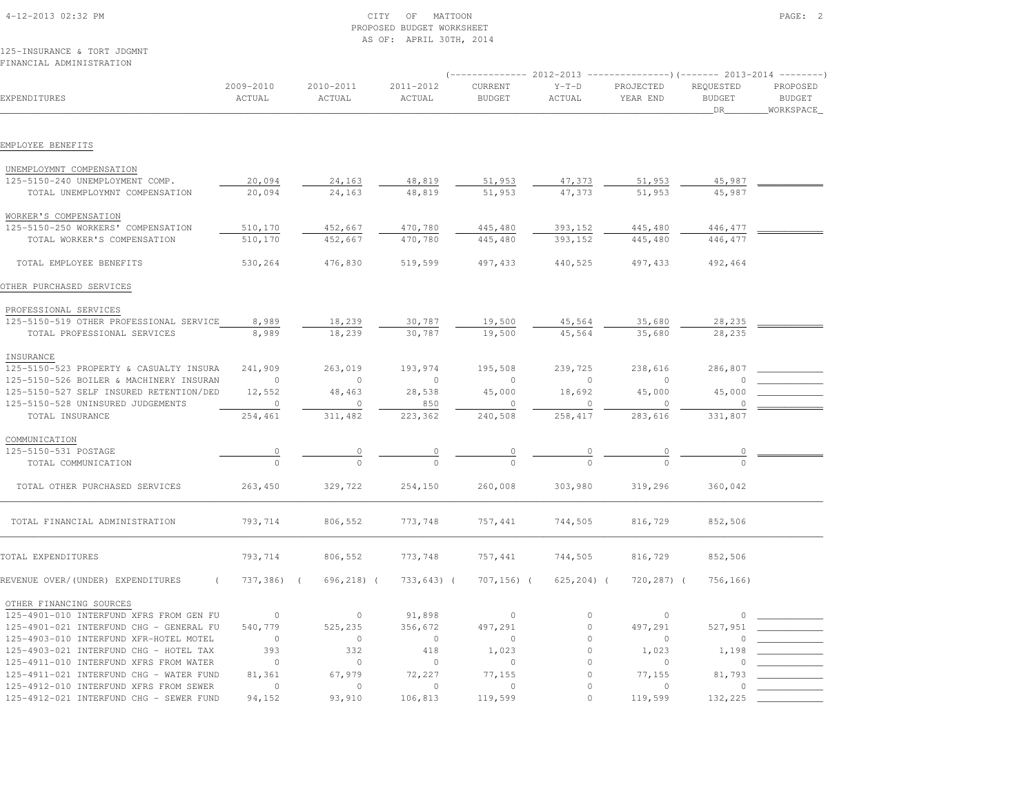|                                         |                     |                     | AS OF: APRIL 30TH, 2014 |                          |                   |                                  |                                  |                                         |
|-----------------------------------------|---------------------|---------------------|-------------------------|--------------------------|-------------------|----------------------------------|----------------------------------|-----------------------------------------|
| 125-INSURANCE & TORT JDGMNT             |                     |                     |                         |                          |                   |                                  |                                  |                                         |
| FINANCIAL ADMINISTRATION                |                     |                     |                         |                          |                   |                                  |                                  |                                         |
| EXPENDITURES                            | 2009-2010<br>ACTUAL | 2010-2011<br>ACTUAL | 2011-2012<br>ACTUAL     | CURRENT<br><b>BUDGET</b> | $Y-T-D$<br>ACTUAL | PROJECTED<br>YEAR END            | REQUESTED<br><b>BUDGET</b><br>DR | PROPOSED<br><b>BUDGET</b><br>WORKSPACE_ |
| EMPLOYEE BENEFITS                       |                     |                     |                         |                          |                   |                                  |                                  |                                         |
|                                         |                     |                     |                         |                          |                   |                                  |                                  |                                         |
| UNEMPLOYMNT COMPENSATION                |                     |                     |                         |                          |                   |                                  |                                  |                                         |
| 125-5150-240 UNEMPLOYMENT COMP.         | 20,094              | 24,163              | 48,819                  | 51,953                   | 47,373            | 51,953                           | 45,987                           |                                         |
| TOTAL UNEMPLOYMNT COMPENSATION          | 20,094              | 24,163              | 48,819                  | 51,953                   | 47,373            | 51,953                           | 45,987                           |                                         |
| WORKER'S COMPENSATION                   |                     |                     |                         |                          |                   |                                  |                                  |                                         |
| 125-5150-250 WORKERS' COMPENSATION      | 510,170             | 452,667             | 470,780                 | 445,480                  | 393,152           | 445,480                          | 446,477                          |                                         |
| TOTAL WORKER'S COMPENSATION             | 510,170             | 452,667             | 470,780                 | 445,480                  | 393,152           | 445,480                          | 446,477                          |                                         |
| TOTAL EMPLOYEE BENEFITS                 | 530,264             | 476,830             | 519,599                 | 497,433                  | 440,525           | 497, 433                         | 492,464                          |                                         |
| OTHER PURCHASED SERVICES                |                     |                     |                         |                          |                   |                                  |                                  |                                         |
| PROFESSIONAL SERVICES                   |                     |                     |                         |                          |                   |                                  |                                  |                                         |
| 125-5150-519 OTHER PROFESSIONAL SERVICE | 8,989               | 18,239              | 30,787                  | 19,500                   | 45,564            | 35,680                           | 28,235                           |                                         |
| TOTAL PROFESSIONAL SERVICES             | 8,989               | 18,239              | 30,787                  | 19,500                   | 45,564            | 35,680                           | 28,235                           |                                         |
| INSURANCE                               |                     |                     |                         |                          |                   |                                  |                                  |                                         |
| 125-5150-523 PROPERTY & CASUALTY INSURA | 241,909             | 263,019             | 193,974                 | 195,508                  | 239,725           | 238,616                          | 286,807                          |                                         |
| 125-5150-526 BOILER & MACHINERY INSURAN | $\circ$             | $\circ$             | $\circ$                 | $\circ$                  | $\circ$           | $\circ$                          |                                  |                                         |
| 125-5150-527 SELF INSURED RETENTION/DED | 12,552              | 48,463              | 28,538                  | 45,000                   | 18,692            | 45,000                           | 45,000                           |                                         |
| 125-5150-528 UNINSURED JUDGEMENTS       | $\circ$             | $\Omega$            | 850                     | $\Omega$                 | $\Omega$          | $\circ$                          |                                  |                                         |
| TOTAL INSURANCE                         | 254,461             | 311,482             | 223,362                 | 240,508                  | 258,417           | 283,616                          | 331,807                          |                                         |
| COMMUNICATION                           |                     |                     |                         |                          |                   |                                  |                                  |                                         |
| 125-5150-531 POSTAGE                    | $\circ$             | $\circ$             | $\overline{0}$          | $\circ$                  | $\overline{0}$    | $\begin{array}{c} 0 \end{array}$ |                                  |                                         |
| TOTAL COMMUNICATION                     | $\theta$            | $\Omega$            | $\Omega$                | $\bigcap$                |                   |                                  |                                  |                                         |
| TOTAL OTHER PURCHASED SERVICES          | 263,450             | 329,722             | 254,150                 | 260,008                  | 303,980           | 319,296                          | 360,042                          |                                         |
| TOTAL FINANCIAL ADMINISTRATION          | 793,714             | 806,552             | 773,748                 | 757,441                  | 744,505           | 816,729                          | 852,506                          |                                         |
| TOTAL EXPENDITURES                      | 793,714             | 806,552             | 773,748                 | 757,441                  | 744,505           | 816,729                          | 852,506                          |                                         |
| REVENUE OVER/(UNDER) EXPENDITURES       | 737,386) (          | 696,218) (          | 733,643) (              | 707,156) (               | 625,204) (        | 720,287) (                       | 756,166)                         |                                         |
| OTHER FINANCING SOURCES                 |                     |                     |                         |                          |                   |                                  |                                  |                                         |
| 125-4901-010 INTERFUND XFRS FROM GEN FU | $\circ$             | $\circ$             | 91,898                  | $\circ$                  | 0                 | $\Omega$                         | 0                                |                                         |
| 125-4901-021 INTERFUND CHG - GENERAL FU | 540,779             | 525,235             | 356,672                 | 497,291                  | $\mathbb O$       | 497,291                          | 527,951                          |                                         |
| 125-4903-010 INTERFUND XFR-HOTEL MOTEL  | $\circ$             | $\circ$             | $\circ$                 | $\circ$                  | $\circ$           | $\circ$                          | $\Omega$                         |                                         |
| 125-4903-021 INTERFUND CHG - HOTEL TAX  | 393                 | 332                 | 418                     | 1,023                    | $\circ$           | 1,023                            | 1,198                            |                                         |
| 125-4911-010 INTERFUND XFRS FROM WATER  | $\circ$             | $\circ$             | $\circ$                 | $\Omega$                 | $\circ$           | $\cap$                           |                                  |                                         |
| 125-4911-021 INTERFUND CHG - WATER FUND | 81,361              | 67,979              | 72,227                  | 77,155                   | $\mathbb O$       | 77,155                           | 81,793                           |                                         |
| 125-4912-010 INTERFUND XFRS FROM SEWER  | $\Omega$            | $\circ$             | $\bigcap$               | $\Omega$                 | $\Omega$          | $\cap$                           | <sup>n</sup>                     |                                         |
| 125-4912-021 INTERFUND CHG - SEWER FUND | 94,152              | 93,910              | 106,813                 | 119,599                  | $\cap$            | 119,599                          | 132,225                          |                                         |

 4-12-2013 02:32 PM CITY OF MATTOON PAGE: 2PROPOSED BUDGET WORKSHEET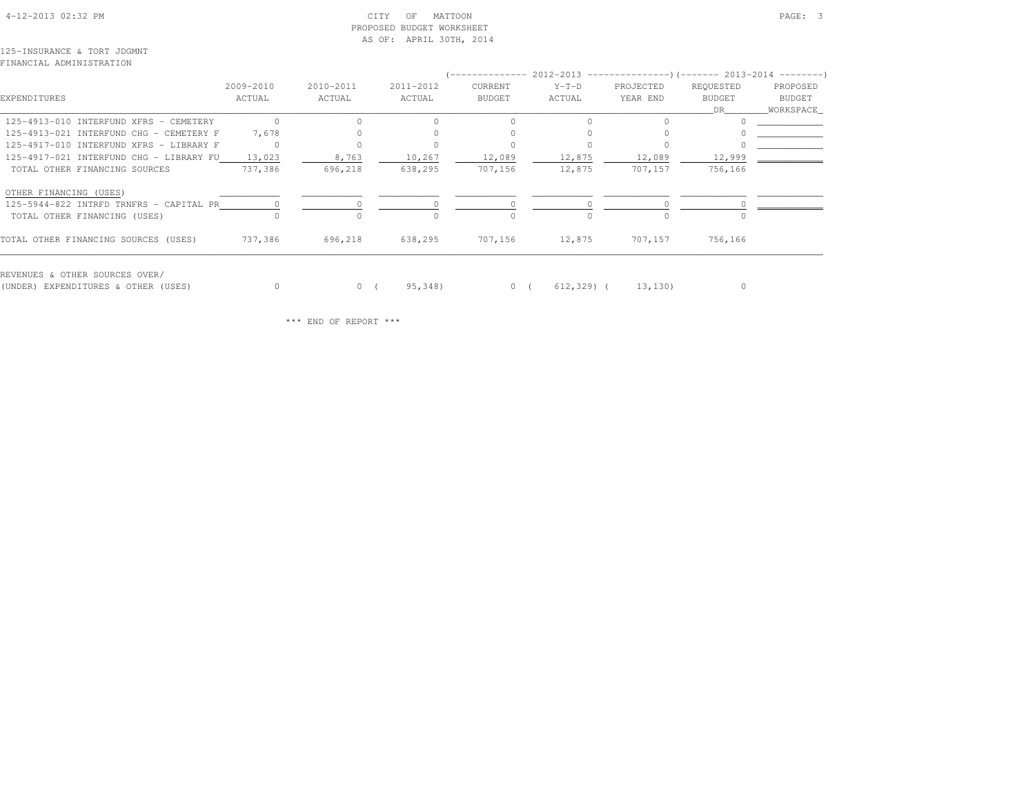# 4-12-2013 02:32 PM CITY OF MATTOON PAGE: 3 PROPOSED BUDGET WORKSHEETAS OF: APRIL 30TH, 2014

125-INSURANCE & TORT JDGMNTFINANCIAL ADMINISTRATION

|                                         |           |           |           | '--------------- 2012-2013 ---------------------- 2013-2014 ---------- |            |           |               |                                                                                                                                                                                                                                 |
|-----------------------------------------|-----------|-----------|-----------|------------------------------------------------------------------------|------------|-----------|---------------|---------------------------------------------------------------------------------------------------------------------------------------------------------------------------------------------------------------------------------|
|                                         | 2009-2010 | 2010-2011 | 2011-2012 | CURRENT                                                                | $Y-T-D$    | PROJECTED | REQUESTED     | PROPOSED                                                                                                                                                                                                                        |
| EXPENDITURES                            | ACTUAL    | ACTUAL    | ACTUAL    | <b>BUDGET</b>                                                          | ACTUAL     | YEAR END  | <b>BUDGET</b> | BUDGET                                                                                                                                                                                                                          |
|                                         |           |           |           |                                                                        |            |           | DR.           | WORKSPACE_                                                                                                                                                                                                                      |
| 125-4913-010 INTERFUND XFRS - CEMETERY  | $\cap$    |           | $\cap$    | $\cap$                                                                 | $\Omega$   |           |               |                                                                                                                                                                                                                                 |
| 125-4913-021 INTERFUND CHG - CEMETERY F | 7,678     |           |           |                                                                        |            |           |               | $\sim$ . The set of the set of the set of the set of the set of the set of the set of the set of the set of the set of the set of the set of the set of the set of the set of the set of the set of the set of the set of the s |
| 125-4917-010 INTERFUND XFRS - LIBRARY F |           |           |           |                                                                        |            |           |               |                                                                                                                                                                                                                                 |
| 125-4917-021 INTERFUND CHG - LIBRARY FU | 13,023    | 8,763     | 10,267    | 12,089                                                                 | 12,875     | 12,089    | 12,999        |                                                                                                                                                                                                                                 |
| TOTAL OTHER FINANCING SOURCES           | 737,386   | 696,218   | 638,295   | 707,156                                                                | 12,875     | 707,157   | 756,166       |                                                                                                                                                                                                                                 |
| OTHER FINANCING (USES)                  |           |           |           |                                                                        |            |           |               |                                                                                                                                                                                                                                 |
| 125-5944-822 INTRFD TRNFRS - CAPITAL PR | $\Omega$  |           |           |                                                                        |            |           |               |                                                                                                                                                                                                                                 |
| TOTAL OTHER FINANCING (USES)            |           |           |           |                                                                        |            |           |               |                                                                                                                                                                                                                                 |
| TOTAL OTHER FINANCING SOURCES (USES)    | 737,386   | 696,218   | 638,295   | 707,156                                                                | 12,875     | 707,157   | 756,166       |                                                                                                                                                                                                                                 |
| REVENUES & OTHER SOURCES OVER/          |           |           |           |                                                                        |            |           |               |                                                                                                                                                                                                                                 |
| (UNDER) EXPENDITURES & OTHER (USES)     |           | 0(        | 95,348)   | 0(                                                                     | 612,329) ( | 13, 130)  | $\circ$       |                                                                                                                                                                                                                                 |

\*\*\* END OF REPORT \*\*\*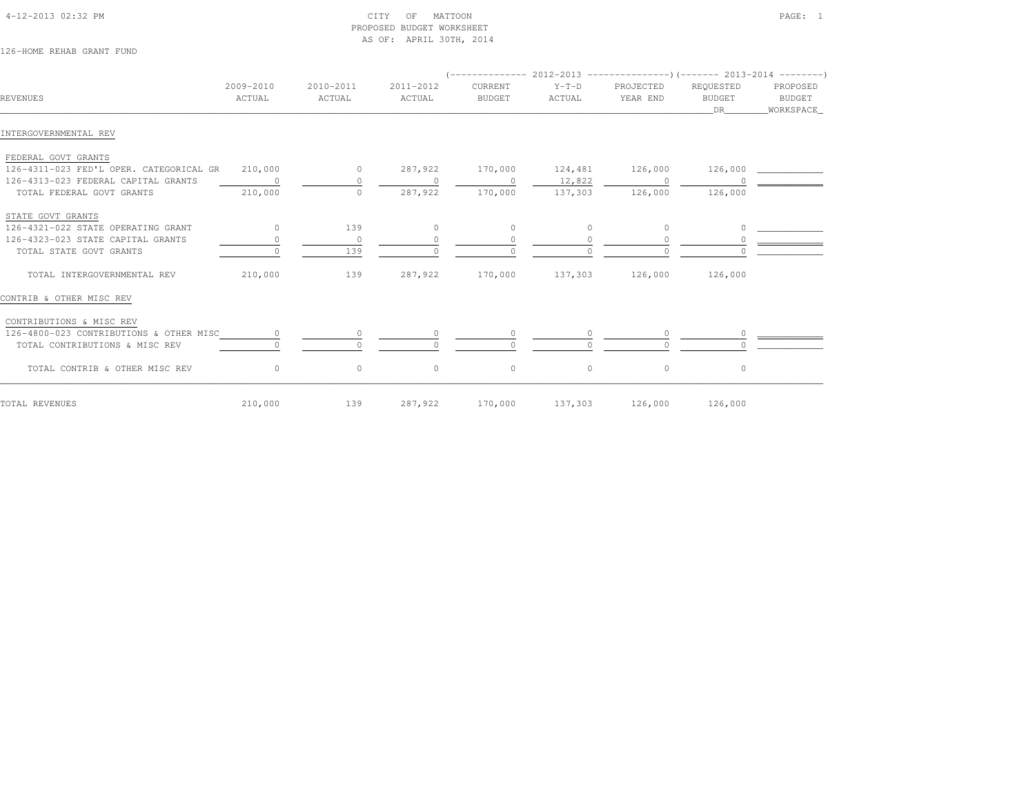| REVENUES                                  | 2009-2010<br>ACTUAL | 2010-2011<br>ACTUAL | 2011-2012<br>ACTUAL | CURRENT<br><b>BUDGET</b> | $Y-T-D$<br>ACTUAL | PROJECTED<br>YEAR END | REQUESTED<br><b>BUDGET</b><br>DR | PROPOSED<br><b>BUDGET</b><br>_WORKSPACE_ |
|-------------------------------------------|---------------------|---------------------|---------------------|--------------------------|-------------------|-----------------------|----------------------------------|------------------------------------------|
| INTERGOVERNMENTAL REV                     |                     |                     |                     |                          |                   |                       |                                  |                                          |
| FEDERAL GOVT GRANTS                       |                     |                     |                     |                          |                   |                       |                                  |                                          |
| 126-4311-023 FED'L OPER. CATEGORICAL GR   | 210,000             | $\overline{0}$      | 287,922             | 170,000                  | 124,481 126,000   |                       | 126,000                          |                                          |
| 126-4313-023 FEDERAL CAPITAL GRANTS       | $\sim$ 0            | $\circ$             | $\circ$             | $\sim$ 0                 | 12,822            | $\sim$ 0              |                                  |                                          |
| TOTAL FEDERAL GOVT GRANTS                 | 210,000             | $\Omega$            | 287,922             | 170,000                  | 137,303           | 126,000               | 126,000                          |                                          |
| STATE GOVT GRANTS                         |                     |                     |                     |                          |                   |                       |                                  |                                          |
| 126-4321-022 STATE OPERATING GRANT        | $\bigcirc$          | 139                 | $\circ$             | $\circ$                  | $\circ$           | $\circ$               | $\Omega$                         |                                          |
| 126-4323-023 STATE CAPITAL GRANTS         |                     | $\circ$             | $\circ$             | $\circ$                  | $\circ$           | $\Omega$              |                                  |                                          |
| TOTAL STATE GOVT GRANTS                   |                     | 139                 |                     | $\Omega$                 |                   | $\cap$                |                                  |                                          |
| TOTAL INTERGOVERNMENTAL REV               | 210,000             | 139                 |                     | 287,922 170,000          |                   | 137,303 126,000       | 126,000                          |                                          |
| CONTRIB & OTHER MISC REV                  |                     |                     |                     |                          |                   |                       |                                  |                                          |
| CONTRIBUTIONS & MISC REV                  |                     |                     |                     |                          |                   |                       |                                  |                                          |
| 126-4800-023 CONTRIBUTIONS & OTHER MISC 0 |                     | $\circ$             | $\circ$             | $\overline{0}$           |                   | $\circ$               |                                  |                                          |
| TOTAL CONTRIBUTIONS & MISC REV            |                     |                     |                     |                          |                   |                       |                                  |                                          |
| TOTAL CONTRIB & OTHER MISC REV            | $\circ$             | $\circ$             | $\circ$             | $\circ$                  | $\circ$           | $\circ$               | $\circ$                          |                                          |
| TOTAL REVENUES                            | 210,000             | 139                 | 287,922             | 170,000                  |                   | 137,303 126,000       | 126,000                          |                                          |

 4-12-2013 02:32 PM CITY OF MATTOON PAGE: 1PROPOSED BUDGET WORKSHEET

AS OF: APRIL 30TH, 2014

126-HOME REHAB GRANT FUND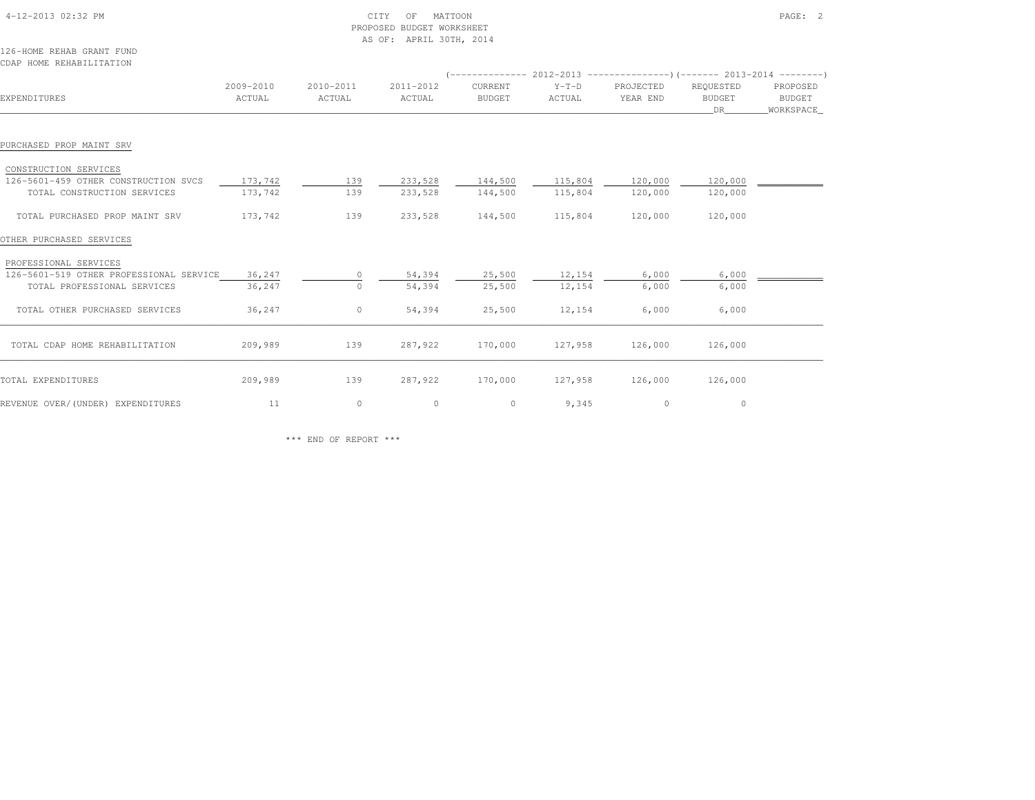| 4-12-2013 02:32 PM                                    |                     | CITY<br>PROPOSED BUDGET WORKSHEET<br>AS OF: APRIL 30TH, 2014 |                     |                          | PAGE: 2           |                                                                              |                                  |                                        |
|-------------------------------------------------------|---------------------|--------------------------------------------------------------|---------------------|--------------------------|-------------------|------------------------------------------------------------------------------|----------------------------------|----------------------------------------|
| 126-HOME REHAB GRANT FUND<br>CDAP HOME REHABILITATION |                     |                                                              |                     |                          |                   |                                                                              |                                  |                                        |
|                                                       |                     |                                                              |                     |                          |                   | $($ -------------- 2012-2013 ----------------) (------- 2013-2014 ---------) |                                  |                                        |
| EXPENDITURES                                          | 2009-2010<br>ACTUAL | 2010-2011<br>ACTUAL                                          | 2011-2012<br>ACTUAL | CURRENT<br><b>BUDGET</b> | $Y-T-D$<br>ACTUAL | PROJECTED<br>YEAR END                                                        | REQUESTED<br><b>BUDGET</b><br>DR | PROPOSED<br><b>BUDGET</b><br>WORKSPACE |
| PURCHASED PROP MAINT SRV                              |                     |                                                              |                     |                          |                   |                                                                              |                                  |                                        |
| CONSTRUCTION SERVICES                                 |                     |                                                              |                     |                          |                   |                                                                              |                                  |                                        |
| 126-5601-459 OTHER CONSTRUCTION SVCS                  | 173,742             | 139                                                          | 233,528             | 144,500                  | 115,804           | 120,000                                                                      | 120,000                          |                                        |
| TOTAL CONSTRUCTION SERVICES                           | 173,742             | 139                                                          | 233,528             | 144,500                  | 115,804           | 120,000                                                                      | 120,000                          |                                        |
| TOTAL PURCHASED PROP MAINT SRV                        | 173,742             | 139                                                          | 233,528             | 144,500                  | 115,804           | 120,000                                                                      | 120,000                          |                                        |
| OTHER PURCHASED SERVICES                              |                     |                                                              |                     |                          |                   |                                                                              |                                  |                                        |
| PROFESSIONAL SERVICES                                 |                     |                                                              |                     |                          |                   |                                                                              |                                  |                                        |
| 126-5601-519 OTHER PROFESSIONAL SERVICE               | 36,247              | 0                                                            | 54,394              | 25,500                   | 12,154            | 6,000                                                                        | 6,000                            |                                        |
| TOTAL PROFESSIONAL SERVICES                           | 36,247              | $\Omega$                                                     | 54,394              | 25,500                   | 12,154            | 6,000                                                                        | 6,000                            |                                        |
| TOTAL OTHER PURCHASED SERVICES                        | 36,247              | $\circ$                                                      | 54,394              | 25,500                   | 12,154            | 6,000                                                                        | 6,000                            |                                        |
| TOTAL CDAP HOME REHABILITATION                        | 209,989             | 139                                                          | 287,922             | 170,000                  | 127,958           | 126,000                                                                      | 126,000                          |                                        |
| TOTAL EXPENDITURES                                    | 209,989             | 139                                                          | 287,922             | 170,000                  | 127,958           | 126,000                                                                      | 126,000                          |                                        |
| REVENUE OVER/(UNDER) EXPENDITURES                     | 11                  | $\circ$                                                      | $\circ$             | $\circ$                  | 9,345             | $\circ$                                                                      | $\circ$                          |                                        |

\*\*\* END OF REPORT \*\*\*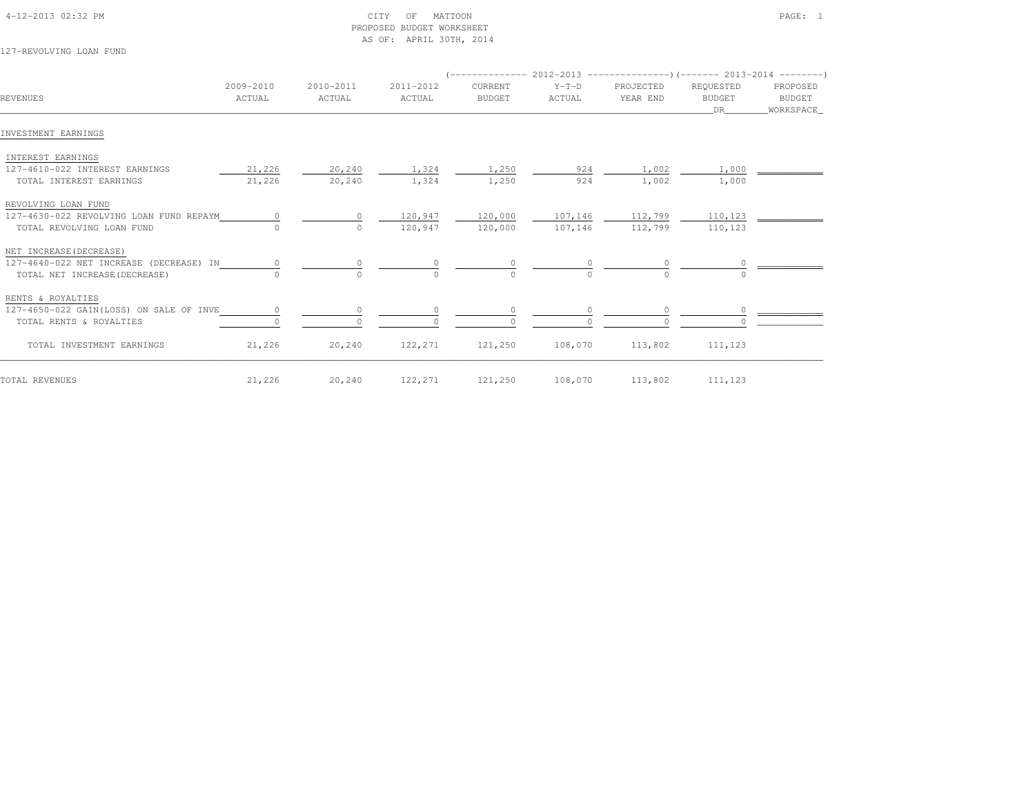| 4-12-2013 02:32 PM |  |  |
|--------------------|--|--|

# $\begin{array}{ccc} \text{CITY} & \text{OF} & \text{MATION} \end{array}$  PROPOSED BUDGET WORKSHEETAS OF: APRIL 30TH, 2014

127-REVOLVING LOAN FUND

|                                         |                     | 2010-2011<br>ACTUAL |                     |                          |                   |                       |                            |                    |
|-----------------------------------------|---------------------|---------------------|---------------------|--------------------------|-------------------|-----------------------|----------------------------|--------------------|
| REVENUES                                | 2009-2010<br>ACTUAL |                     | 2011-2012<br>ACTUAL | CURRENT<br><b>BUDGET</b> | $Y-T-D$<br>ACTUAL | PROJECTED<br>YEAR END | REQUESTED<br><b>BUDGET</b> | PROPOSED<br>BUDGET |
|                                         |                     |                     |                     |                          |                   |                       | DR —                       | WORKSPACE          |
| INVESTMENT EARNINGS                     |                     |                     |                     |                          |                   |                       |                            |                    |
| INTEREST EARNINGS                       |                     |                     |                     |                          |                   |                       |                            |                    |
| 127-4610-022 INTEREST EARNINGS          | 21,226              | 20,240              | 1,324               | 1,250                    | 924               | 1,002                 | 1,000                      |                    |
| TOTAL INTEREST EARNINGS                 | 21,226              | 20,240              | 1,324               | 1,250                    | 924               | 1,002                 | 1,000                      |                    |
| REVOLVING LOAN FUND                     |                     |                     |                     |                          |                   |                       |                            |                    |
| 127-4630-022 REVOLVING LOAN FUND REPAYM | $\Omega$            | $\circ$             | 120,947             | 120,000                  | 107,146           | 112,799               | 110,123                    |                    |
| TOTAL REVOLVING LOAN FUND               |                     | $\circ$             | 120,947             | 120,000                  | 107,146           | 112,799               | 110,123                    |                    |
| NET INCREASE (DECREASE)                 |                     |                     |                     |                          |                   |                       |                            |                    |
| 127-4640-022 NET INCREASE (DECREASE) IN |                     | $\circ$             |                     |                          |                   |                       |                            |                    |
| TOTAL NET INCREASE (DECREASE)           |                     | $\Omega$            | $\cap$              | $\Omega$                 |                   | $\cap$                |                            |                    |
| RENTS & ROYALTIES                       |                     |                     |                     |                          |                   |                       |                            |                    |
| 127-4650-022 GAIN(LOSS) ON SALE OF INVE |                     |                     |                     |                          |                   |                       |                            |                    |
| TOTAL RENTS & ROYALTIES                 |                     | $\Omega$            |                     |                          |                   | $\Omega$              |                            |                    |
| TOTAL INVESTMENT EARNINGS               | 21,226              | 20,240              | 122,271             | 121,250                  | 108,070           | 113,802               | 111,123                    |                    |
| TOTAL REVENUES                          | 21,226              | 20,240              | 122,271             | 121,250                  | 108,070           | 113,802               | 111,123                    |                    |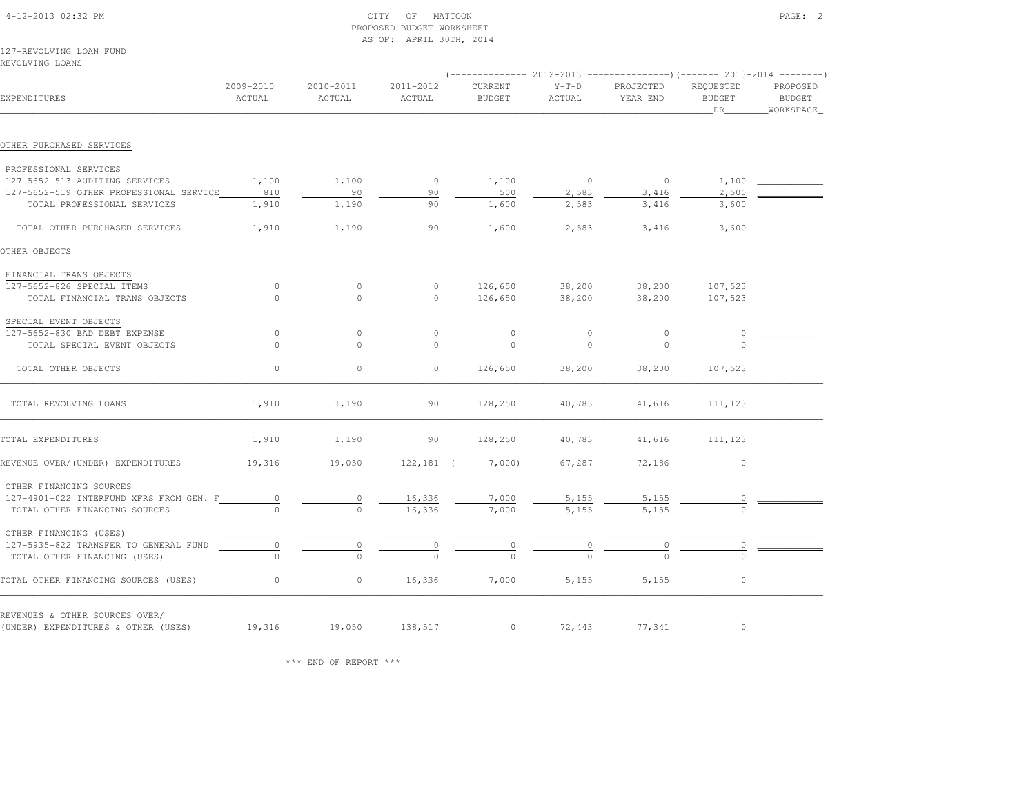|                                                                       |                     |                     | AS OF: APRIL 30TH, 2014 |                          |                            |                                                                               |                                  |                                   |
|-----------------------------------------------------------------------|---------------------|---------------------|-------------------------|--------------------------|----------------------------|-------------------------------------------------------------------------------|----------------------------------|-----------------------------------|
| 127-REVOLVING LOAN FUND<br>REVOLVING LOANS                            |                     |                     |                         |                          |                            |                                                                               |                                  |                                   |
|                                                                       |                     |                     |                         |                          |                            | $(-$ -------------- 2012-2013 -----------------) (------- 2013-2014 --------) |                                  |                                   |
| EXPENDITURES                                                          | 2009-2010<br>ACTUAL | 2010-2011<br>ACTUAL | 2011-2012<br>ACTUAL     | CURRENT<br><b>BUDGET</b> | $Y-T-D$<br>ACTUAL          | PROJECTED<br>YEAR END                                                         | REQUESTED<br><b>BUDGET</b><br>DR | PROPOSED<br>BUDGET<br>_WORKSPACE_ |
| OTHER PURCHASED SERVICES                                              |                     |                     |                         |                          |                            |                                                                               |                                  |                                   |
|                                                                       |                     |                     |                         |                          |                            |                                                                               |                                  |                                   |
| PROFESSIONAL SERVICES                                                 |                     |                     |                         |                          |                            |                                                                               |                                  |                                   |
| 127-5652-513 AUDITING SERVICES                                        | 1,100               | 1,100               | $\circ$                 | 1,100                    | $\overline{0}$             | $\overline{0}$                                                                | 1,100                            |                                   |
| 127-5652-519 OTHER PROFESSIONAL SERVICE                               | 810                 | 90                  | 90                      | 500                      | 2,583                      | 3,416                                                                         | 2,500                            |                                   |
| TOTAL PROFESSIONAL SERVICES                                           | 1,910               | 1,190               | 90                      | 1,600                    | 2,583                      | 3,416                                                                         | 3,600                            |                                   |
| TOTAL OTHER PURCHASED SERVICES                                        | 1,910               | 1,190               | 90                      | 1,600                    | 2,583                      | 3,416                                                                         | 3,600                            |                                   |
| OTHER OBJECTS                                                         |                     |                     |                         |                          |                            |                                                                               |                                  |                                   |
| FINANCIAL TRANS OBJECTS                                               |                     |                     |                         |                          |                            |                                                                               |                                  |                                   |
| 127-5652-826 SPECIAL ITEMS                                            |                     |                     | $\frac{0}{0}$ –         | 126,650                  | 38,200                     | 38,200                                                                        | 107,523                          |                                   |
| TOTAL FINANCIAL TRANS OBJECTS                                         |                     |                     |                         | 126,650                  | 38,200                     | 38,200                                                                        | 107,523                          |                                   |
| SPECIAL EVENT OBJECTS                                                 |                     |                     |                         |                          |                            |                                                                               |                                  |                                   |
| 127-5652-830 BAD DEBT EXPENSE                                         | 0                   | 0                   | $\circ$                 |                          |                            |                                                                               | $\begin{array}{c} 0 \end{array}$ |                                   |
| TOTAL SPECIAL EVENT OBJECTS                                           | $\Omega$            | $\cap$              | $\cap$                  | $\frac{0}{0}$            | $\frac{0}{0}$              |                                                                               |                                  |                                   |
| TOTAL OTHER OBJECTS                                                   | $\circ$             | $\circ$             | $\circ$                 | 126,650                  | 38,200                     | 38,200                                                                        | 107,523                          |                                   |
| TOTAL REVOLVING LOANS                                                 | 1,910               | 1,190               | 90                      | 128,250                  | 40,783                     | 41,616                                                                        | 111,123                          |                                   |
| TOTAL EXPENDITURES                                                    | 1,910               | 1,190               | 90                      | 128,250                  | 40,783                     | 41,616                                                                        | 111,123                          |                                   |
| REVENUE OVER/(UNDER) EXPENDITURES                                     | 19,316              | 19,050              | $122, 181$ (            | 7,000)                   | 67,287                     | 72,186                                                                        | $\circ$                          |                                   |
| OTHER FINANCING SOURCES<br>127-4901-022 INTERFUND XFRS FROM GEN. F    |                     |                     |                         |                          |                            |                                                                               |                                  |                                   |
| TOTAL OTHER FINANCING SOURCES                                         | $\overline{0}$      | $\Omega$            | 16,336<br>16,336        | 7,000<br>7,000           | 5,155<br>5,155             | 5,155<br>5,155                                                                | 0                                |                                   |
|                                                                       |                     |                     |                         |                          |                            |                                                                               |                                  |                                   |
| OTHER FINANCING (USES)                                                |                     |                     |                         |                          |                            |                                                                               |                                  |                                   |
| 127-5935-822 TRANSFER TO GENERAL FUND<br>TOTAL OTHER FINANCING (USES) | $\overline{0}$      | $\circ$             | $\overline{0}$          | $\overline{0}$           | $\overline{\phantom{a}}^0$ | $\circ$                                                                       | $\overline{0}$                   |                                   |
|                                                                       |                     |                     |                         |                          |                            |                                                                               |                                  |                                   |
| TOTAL OTHER FINANCING SOURCES (USES)                                  | 0                   | $\circ$             | 16,336                  | 7,000                    | 5,155                      | 5,155                                                                         | $\circ$                          |                                   |
| REVENUES & OTHER SOURCES OVER/                                        |                     |                     |                         |                          |                            |                                                                               |                                  |                                   |
| (UNDER) EXPENDITURES & OTHER (USES)                                   | 19,316              | 19,050              | 138,517                 | $\circ$                  | 72,443                     | 77,341                                                                        | $\circ$                          |                                   |

PROPOSED BUDGET WORKSHEET

\*\*\* END OF REPORT \*\*\*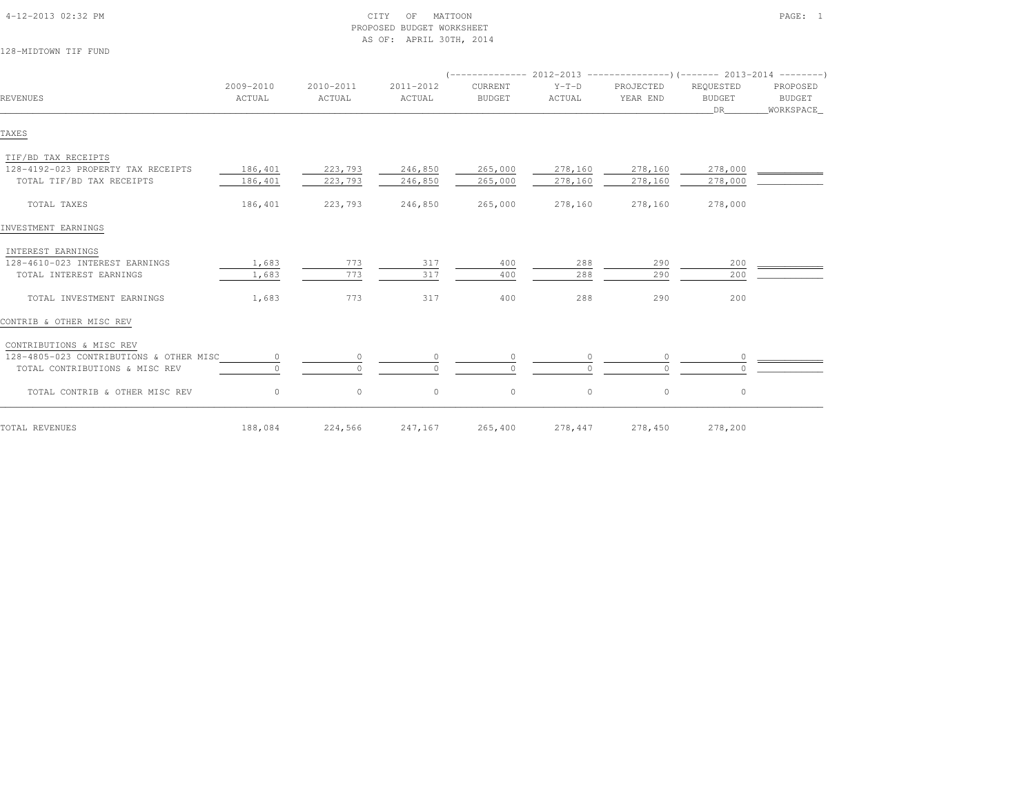| 128-MIDTOWN TIF FUND                    |                     |                     |                     |                          |                   |                                                                                                      |                                  |                                        |
|-----------------------------------------|---------------------|---------------------|---------------------|--------------------------|-------------------|------------------------------------------------------------------------------------------------------|----------------------------------|----------------------------------------|
| REVENUES                                | 2009-2010<br>ACTUAL | 2010-2011<br>ACTUAL | 2011-2012<br>ACTUAL | CURRENT<br><b>BUDGET</b> | $Y-T-D$<br>ACTUAL | $($ -------------- 2012-2013 ----------------) (------- 2013-2014 --------)<br>PROJECTED<br>YEAR END | REQUESTED<br><b>BUDGET</b><br>DR | PROPOSED<br><b>BUDGET</b><br>WORKSPACE |
| TAXES                                   |                     |                     |                     |                          |                   |                                                                                                      |                                  |                                        |
| TIF/BD TAX RECEIPTS                     |                     |                     |                     |                          |                   |                                                                                                      |                                  |                                        |
| 128-4192-023 PROPERTY TAX RECEIPTS      | 186,401             | 223,793             | 246,850             | 265,000                  | 278,160           | 278,160                                                                                              | 278,000                          |                                        |
| TOTAL TIF/BD TAX RECEIPTS               | 186,401             | 223,793             | 246,850             | 265,000                  | 278,160           | 278,160                                                                                              | 278,000                          |                                        |
| TOTAL TAXES                             | 186,401             | 223,793             | 246,850             | 265,000                  | 278,160           | 278,160                                                                                              | 278,000                          |                                        |
| INVESTMENT EARNINGS                     |                     |                     |                     |                          |                   |                                                                                                      |                                  |                                        |
| INTEREST EARNINGS                       |                     |                     |                     |                          |                   |                                                                                                      |                                  |                                        |
| 128-4610-023 INTEREST EARNINGS          | 1,683               | 773                 | 317                 | 400                      | 288               | 290                                                                                                  | 200                              |                                        |
| TOTAL INTEREST EARNINGS                 | 1,683               | 773                 | 317                 | 400                      | 288               | 290                                                                                                  | 200                              |                                        |
| TOTAL INVESTMENT EARNINGS               | 1,683               | 773                 | 317                 | 400                      | 288               | 290                                                                                                  | 200                              |                                        |
| CONTRIB & OTHER MISC REV                |                     |                     |                     |                          |                   |                                                                                                      |                                  |                                        |
| CONTRIBUTIONS & MISC REV                |                     |                     |                     |                          |                   |                                                                                                      |                                  |                                        |
| 128-4805-023 CONTRIBUTIONS & OTHER MISC | $\circ$             | $\circ$             | $\circ$             | $\circ$                  |                   | $\circ$                                                                                              | $\circ$                          |                                        |
| TOTAL CONTRIBUTIONS & MISC REV          |                     | $\bigcap$           |                     | $\Omega$                 |                   | $\cap$                                                                                               |                                  |                                        |
| TOTAL CONTRIB & OTHER MISC REV          | $\circ$             | $\circ$             | $\circ$             | $\mathbb O$              | $\circ$           | $\circ$                                                                                              | $\circ$                          |                                        |
| TOTAL REVENUES                          | 188,084             | 224,566             | 247,167             | 265,400                  | 278,447           | 278,450                                                                                              | 278,200                          |                                        |

 4-12-2013 02:32 PM CITY OF MATTOON PAGE: 1PROPOSED BUDGET WORKSHEET

AS OF: APRIL 30TH, 2014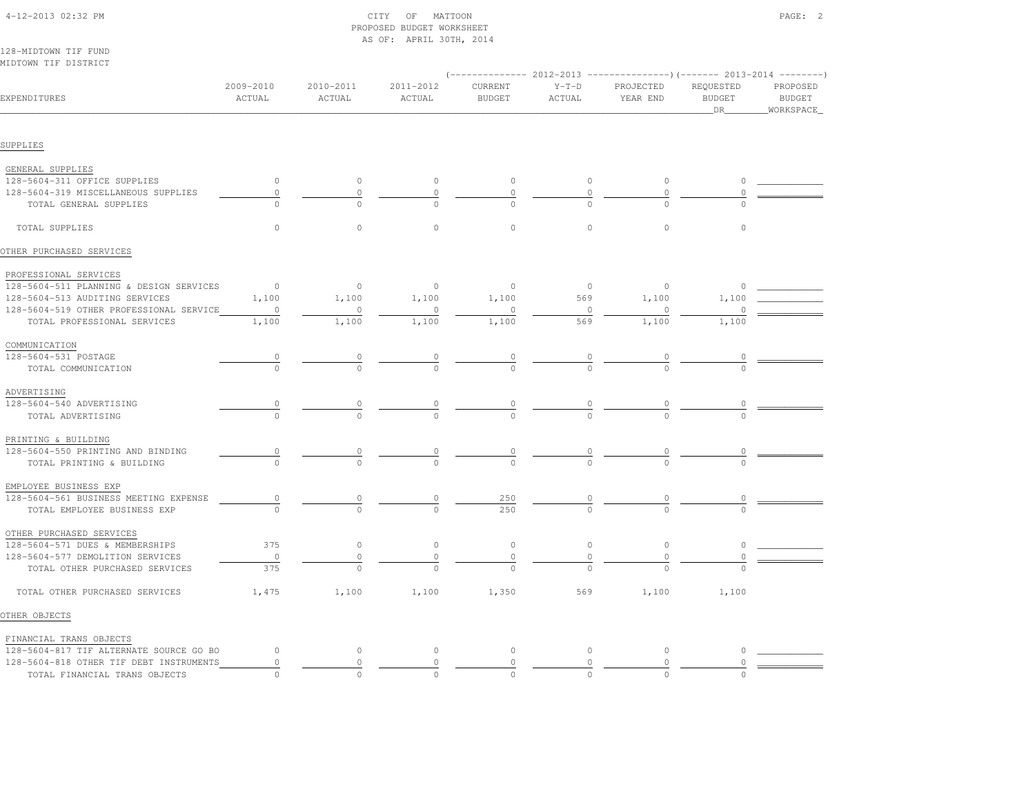|                                         |                                  |           | AS OF: APRIL 30TH, 2014 |                |                |                                                                                            |                      |                            |
|-----------------------------------------|----------------------------------|-----------|-------------------------|----------------|----------------|--------------------------------------------------------------------------------------------|----------------------|----------------------------|
| 128-MIDTOWN TIF FUND                    |                                  |           |                         |                |                |                                                                                            |                      |                            |
| MIDTOWN TIF DISTRICT                    |                                  |           |                         |                |                |                                                                                            |                      |                            |
|                                         | 2009-2010                        | 2010-2011 | 2011-2012               | CURRENT        | $Y-T-D$        | $(-$ -------------- 2012-2013 -----------------) (------- 2013-2014 --------)<br>PROJECTED | REQUESTED            | PROPOSED                   |
| EXPENDITURES                            | ACTUAL                           | ACTUAL    | ACTUAL                  | <b>BUDGET</b>  | ACTUAL         | YEAR END                                                                                   | <b>BUDGET</b><br>DR  | <b>BUDGET</b><br>WORKSPACE |
|                                         |                                  |           |                         |                |                |                                                                                            |                      |                            |
| SUPPLIES                                |                                  |           |                         |                |                |                                                                                            |                      |                            |
| GENERAL SUPPLIES                        |                                  |           |                         |                |                |                                                                                            |                      |                            |
| 128-5604-311 OFFICE SUPPLIES            | $\circ$                          | $\circ$   | $\circ$                 | $\circ$        | $\circ$        | $\circ$                                                                                    | $\circ$              |                            |
| 128-5604-319 MISCELLANEOUS SUPPLIES     | $\circ$                          | $\circ$   | $\circ$                 | $\circ$        | $\circ$        | $\circ$                                                                                    | $\circ$              |                            |
| TOTAL GENERAL SUPPLIES                  | $\circ$                          | $\circ$   | $\cap$                  | $\circ$        |                |                                                                                            |                      |                            |
| TOTAL SUPPLIES                          | $\circ$                          | $\circ$   | $\circ$                 | $\circ$        | $\circ$        | $\circ$                                                                                    | $\circ$              |                            |
| OTHER PURCHASED SERVICES                |                                  |           |                         |                |                |                                                                                            |                      |                            |
| PROFESSIONAL SERVICES                   |                                  |           |                         |                |                |                                                                                            |                      |                            |
| 128-5604-511 PLANNING & DESIGN SERVICES | $\overline{0}$                   | $\circ$   | $\circ$                 | $\circ$        | $\overline{0}$ | $\circ$                                                                                    | $\circ$              |                            |
| 128-5604-513 AUDITING SERVICES          | 1,100                            | 1,100     | 1,100                   | 1,100          | 569            | 1,100                                                                                      | 1,100                |                            |
| 128-5604-519 OTHER PROFESSIONAL SERVICE | $\circ$                          | $\circ$   |                         | $\circ$        | $\circ$        | 0                                                                                          |                      |                            |
| TOTAL PROFESSIONAL SERVICES             | 1,100                            | 1,100     | 1,100                   | 1,100          | 569            | 1,100                                                                                      | 1,100                |                            |
| COMMUNICATION                           |                                  |           |                         |                |                |                                                                                            |                      |                            |
| 128-5604-531 POSTAGE                    |                                  |           |                         |                |                |                                                                                            | $\frac{0}{\sqrt{2}}$ |                            |
| TOTAL COMMUNICATION                     | $\frac{0}{0}$                    | $\cap$    | $\frac{0}{0}$           | $\frac{0}{0}$  | $\frac{0}{0}$  | $\frac{0}{0}$                                                                              | $\cap$               |                            |
| ADVERTISING                             |                                  |           |                         |                |                |                                                                                            |                      |                            |
| 128-5604-540 ADVERTISING                | $\frac{0}{\sqrt{2}}$             |           |                         |                |                |                                                                                            |                      |                            |
| TOTAL ADVERTISING                       |                                  |           | $\frac{0}{0}$           |                | $\frac{0}{0}$  |                                                                                            |                      |                            |
| PRINTING & BUILDING                     |                                  |           |                         |                |                |                                                                                            |                      |                            |
| 128-5604-550 PRINTING AND BINDING       | $\begin{array}{c} 0 \end{array}$ |           |                         | $\overline{0}$ |                |                                                                                            | $\frac{0}{\sqrt{2}}$ |                            |
| TOTAL PRINTING & BUILDING               | $\Omega$                         | $\Omega$  | $\frac{0}{0}$           | $\Omega$       | $\frac{0}{0}$  |                                                                                            |                      |                            |
| EMPLOYEE BUSINESS EXP                   |                                  |           |                         |                |                |                                                                                            |                      |                            |
| 128-5604-561 BUSINESS MEETING EXPENSE   | $\frac{0}{\sqrt{2}}$             |           | $\circ$                 | 250            |                |                                                                                            |                      |                            |
| TOTAL EMPLOYEE BUSINESS EXP             |                                  |           |                         | 2.50           |                |                                                                                            |                      |                            |
| OTHER PURCHASED SERVICES                |                                  |           |                         |                |                |                                                                                            |                      |                            |
| 128-5604-571 DUES & MEMBERSHIPS         | 375                              | $\circ$   | $\circ$                 | $\circ$        | $\circ$        | $\circ$                                                                                    | $\circ$              |                            |
| 128-5604-577 DEMOLITION SERVICES        | $\circ$                          | $\circ$   | $\circ$                 | $\mathbb O$    | $\circ$        | $\circ$                                                                                    | $\circ$              |                            |
| TOTAL OTHER PURCHASED SERVICES          | 375                              |           |                         |                |                |                                                                                            |                      |                            |
| TOTAL OTHER PURCHASED SERVICES          | 1,475                            | 1,100     | 1,100                   | 1,350          | 569            | 1,100                                                                                      | 1,100                |                            |
| OTHER OBJECTS                           |                                  |           |                         |                |                |                                                                                            |                      |                            |
| FINANCIAL TRANS OBJECTS                 |                                  |           |                         |                |                |                                                                                            |                      |                            |
| 128-5604-817 TIF ALTERNATE SOURCE GO BO | $\circ$                          | $\circ$   | $\circ$                 | $\circ$        | $\circ$        | $\circ$                                                                                    | $\circ$              |                            |
| 128-5604-818 OTHER TIF DEBT INSTRUMENTS | 0                                | $\circ$   | $\circ$                 | $\mathbf{0}$   | $\circ$        | $\circ$                                                                                    |                      |                            |
| TOTAL FINANCIAL TRANS OBJECTS           | <sup>n</sup>                     | $\bigcap$ |                         |                |                |                                                                                            |                      |                            |

 4-12-2013 02:32 PM CITY OF MATTOON PAGE: 2PROPOSED BUDGET WORKSHEET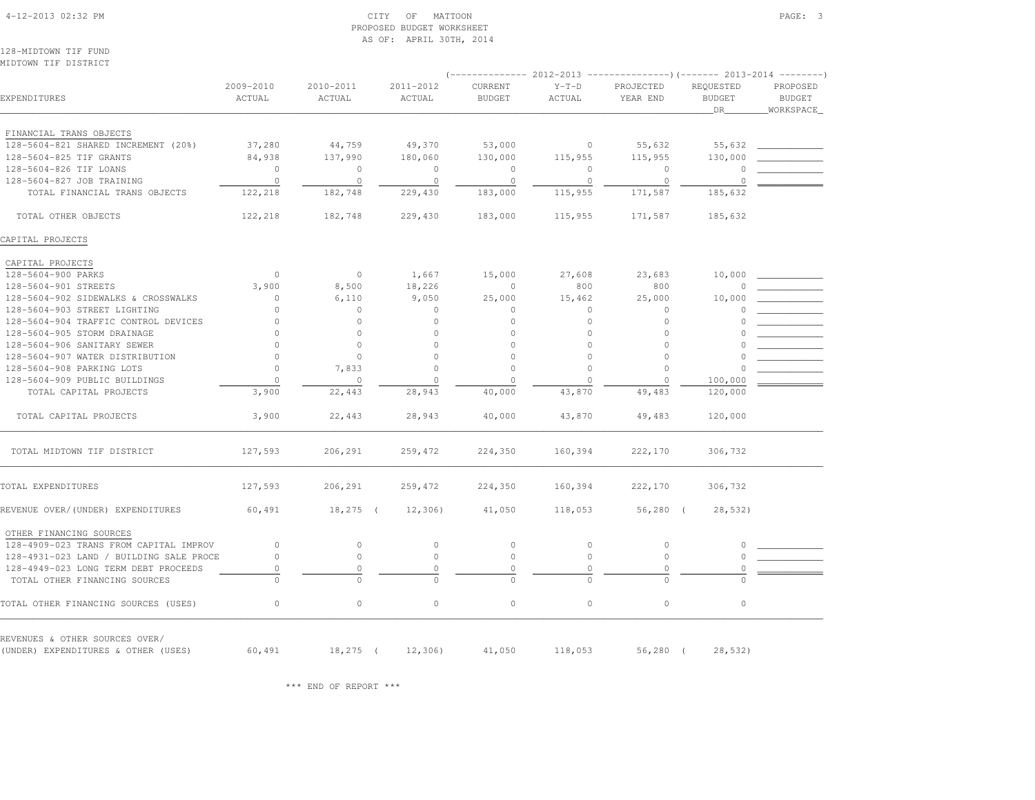PROPOSED BUDGET WORKSHEET AS OF: APRIL 30TH, 2014128-MIDTOWN TIF FUND MIDTOWN TIF DISTRICT (-------------- 2012-2013 ---------------)(------- 2013-2014 --------) 2009-2010 2010-2011 2011-2012 CURRENT Y-T-D PROJECTED REQUESTED PROPOSED**BUDGET** EXPENDITURES ACTUAL ACTUAL ACTUAL BUDGET ACTUAL YEAR END BUDGET BUDGET $\nonumber \texttt{DR}$  . MORKSPACE . The set of the set of the set of the set of the set of the set of the set of the set of the set of the set of the set of the set of the set of the set of the set of the set of the set of the set FINANCIAL TRANS OBJECTS 128-5604-821 SHARED INCREMENT (20%) 37,280 44,759 49,370 53,000 0 55,632 55,632 \_\_\_\_\_\_\_\_\_\_\_\_ 128-5604-825 TIF GRANTS 84,938 137,990 180,060 130,000 115,955 115,955 130,000 \_\_\_\_\_\_\_\_\_\_\_\_ 128-5604-826 TIF LOANS 0 0 0 0 0 0 0 \_\_\_\_\_\_\_\_\_\_\_\_ 128-5604-827 JOB TRAINING 0 0 0 0 0 0 0 \_\_\_\_\_\_\_\_\_\_\_\_ TOTAL FINANCIAL TRANS OBJECTS 122,218 182,748 229,430 183,000 115,955 171,587 185,632 TOTAL OTHER OBJECTS 122,218 182,748 229,430 183,000 115,955 171,587 185,632CAPITAL PROJECTS CAPITAL PROJECTS128-5604-900 PARKS  $1,667$  1,667 15,000 27,608 23,683 10,000  $-$  128-5604-901 STREETS 3,900 8,500 18,226 0 800 800 0 \_\_\_\_\_\_\_\_\_\_\_\_ 128-5604-902 SIDEWALKS & CROSSWALKS 0 6,110 9,050 25,000 15,462 25,000 10,000 \_\_\_\_\_\_\_\_\_\_\_\_ 128-5604-903 STREET LIGHTING 0 0 0 0 0 0 0 \_\_\_\_\_\_\_\_\_\_\_\_ 128-5604-904 TRAFFIC CONTROL DEVICES 0 0 0 0 0 0 0 \_\_\_\_\_\_\_\_\_\_\_\_ 128-5604-905 STORM DRAINAGE 0 0 0 0 0 0 0 \_\_\_\_\_\_\_\_\_\_\_\_ 128-5604-906 SANITARY SEWER 0 0 0 0 0 0 0 \_\_\_\_\_\_\_\_\_\_\_\_ 128-5604-907 WATER DISTRIBUTION 0 0 0 0 0 0 0 \_\_\_\_\_\_\_\_\_\_\_\_ 128-5604-908 PARKING LOTS 0 7,833 0 0 0 0 0 \_\_\_\_\_\_\_\_\_\_\_\_ 128-5604-909 PUBLIC BUILDINGS 0 0 0 0 0 0 100,000 \_\_\_\_\_\_\_\_\_\_\_\_ TOTAL CAPITAL PROJECTS 3,900 22,443 28,943 40,000 43,870 49,483 120,000 TOTAL CAPITAL PROJECTS 3,900 22,443 28,943 40,000 43,870 49,483 120,000\_\_\_\_\_\_\_\_\_\_\_\_\_\_\_\_\_\_\_\_\_\_\_\_\_\_\_\_\_\_\_\_\_\_\_\_\_\_\_\_\_\_\_\_\_\_\_\_\_\_\_\_\_\_\_\_\_\_\_\_\_\_\_\_\_\_\_\_\_\_\_\_\_\_\_\_\_\_\_\_\_\_\_\_\_\_\_\_\_\_\_\_\_\_\_\_\_\_\_\_\_\_\_\_\_\_\_\_\_\_\_\_\_\_\_\_\_\_\_\_\_\_\_\_\_\_\_\_\_\_\_\_\_\_\_\_\_\_\_\_\_\_\_\_\_\_\_\_\_\_ TOTAL MIDTOWN TIF DISTRICT 127,593 206,291 259,472 224,350 160,394 222,170 306,732TOTAL EXPENDITURES 127,593 206,291 259,472 224,350 160,394 222,170 306,732REVENUE OVER/(UNDER) EXPENDITURES 60,491 18,275 ( 12,306) 41,050 118,053 56,280 ( 28,532) OTHER FINANCING SOURCES 128-4909-023 TRANS FROM CAPITAL IMPROV 0 0 0 0 0 0 0 \_\_\_\_\_\_\_\_\_\_\_\_ 128-4931-023 LAND / BUILDING SALE PROCE 0 0 0 0 0 0 0 \_\_\_\_\_\_\_\_\_\_\_\_ 128-4949-023 LONG TERM DEBT PROCEEDS 0 0 0 0 0 0 0 \_\_\_\_\_\_\_\_\_\_\_\_ TOTAL OTHER FINANCING SOURCES 0 0 0 0 0 0 0TOTAL OTHER FINANCING SOURCES (USES) 0 0 0 0 0 0 0REVENUES & OTHER SOURCES OVER/(UNDER) EXPENDITURES & OTHER (USES) 60,491 18,275 ( 12,306) 41,050 118,053 56,280 ( 28,532)

\*\*\* END OF REPORT \*\*\*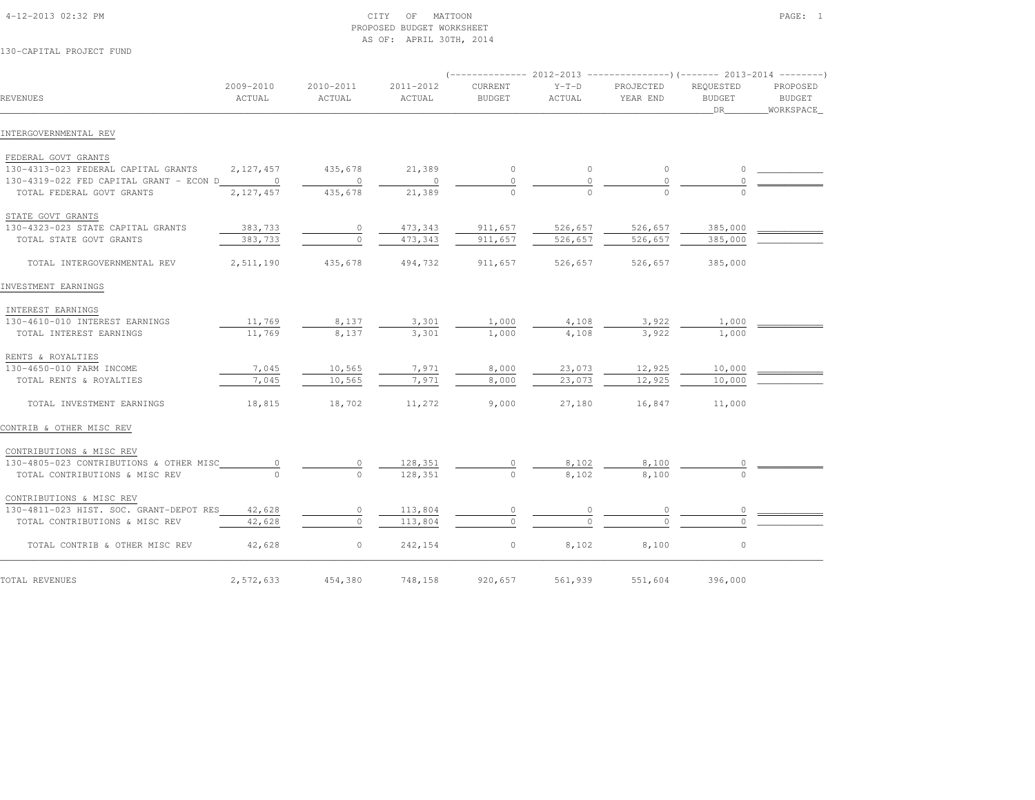### 4-12-2013 02:32 PM CITY OF MATTOON PAGE: 1 PROPOSED BUDGET WORKSHEETAS OF: APRIL 30TH, 2014

130-CAPITAL PROJECT FUND

|                                           |                     |                     |                     |                          |                   | $(----------2012-2013$ ---------------) (------- 2013-2014 -------) |                                  |                                          |
|-------------------------------------------|---------------------|---------------------|---------------------|--------------------------|-------------------|---------------------------------------------------------------------|----------------------------------|------------------------------------------|
| REVENUES                                  | 2009-2010<br>ACTUAL | 2010-2011<br>ACTUAL | 2011-2012<br>ACTUAL | CURRENT<br><b>BUDGET</b> | $Y-T-D$<br>ACTUAL | PROJECTED<br>YEAR END                                               | REOUESTED<br><b>BUDGET</b><br>DR | PROPOSED<br><b>BUDGET</b><br>_WORKSPACE_ |
| INTERGOVERNMENTAL REV                     |                     |                     |                     |                          |                   |                                                                     |                                  |                                          |
| FEDERAL GOVT GRANTS                       |                     |                     |                     |                          |                   |                                                                     |                                  |                                          |
| 130-4313-023 FEDERAL CAPITAL GRANTS       | 2, 127, 457         | 435,678             | 21,389              | $\circ$                  | $\circ$           | $\circ$                                                             | $\circ$                          |                                          |
| 130-4319-022 FED CAPITAL GRANT - ECON D 0 |                     | $\circ$             | $\circ$             |                          |                   | 0                                                                   |                                  |                                          |
| TOTAL FEDERAL GOVT GRANTS                 | 2,127,457           | 435,678             | 21,389              |                          |                   |                                                                     |                                  |                                          |
| STATE GOVT GRANTS                         |                     |                     |                     |                          |                   |                                                                     |                                  |                                          |
| 130-4323-023 STATE CAPITAL GRANTS         | 383,733             | $\circ$             | 473,343             | 911,657                  | 526,657           | 526,657                                                             | 385,000                          |                                          |
| TOTAL STATE GOVT GRANTS                   | 383,733             | $\bigcap$           | 473,343             | 911,657                  | 526,657           | 526,657                                                             | 385,000                          |                                          |
| TOTAL INTERGOVERNMENTAL REV               | 2,511,190           | 435,678             | 494,732             | 911,657                  | 526,657           | 526,657                                                             | 385,000                          |                                          |
| INVESTMENT EARNINGS                       |                     |                     |                     |                          |                   |                                                                     |                                  |                                          |
| INTEREST EARNINGS                         |                     |                     |                     |                          |                   |                                                                     |                                  |                                          |
| 130-4610-010 INTEREST EARNINGS            | 11,769              | 8,137               | 3,301               | 1,000                    | 4,108             | 3,922                                                               | 1,000                            |                                          |
| TOTAL INTEREST EARNINGS                   | 11,769              | 8,137               | 3,301               | 1,000                    | 4,108             | 3,922                                                               | 1,000                            |                                          |
| RENTS & ROYALTIES                         |                     |                     |                     |                          |                   |                                                                     |                                  |                                          |
| 130-4650-010 FARM INCOME                  | 7,045               | 10,565              | 7,971               | 8,000                    | 23,073            | 12,925                                                              | 10,000                           |                                          |
| TOTAL RENTS & ROYALTIES                   | 7,045               | 10,565              | 7,971               | 8,000                    | 23,073            | 12,925                                                              | 10,000                           |                                          |
| TOTAL INVESTMENT EARNINGS                 | 18,815              | 18,702              | 11,272              | 9,000                    | 27,180            | 16,847                                                              | 11,000                           |                                          |
| CONTRIB & OTHER MISC REV                  |                     |                     |                     |                          |                   |                                                                     |                                  |                                          |
| CONTRIBUTIONS & MISC REV                  |                     |                     |                     |                          |                   |                                                                     |                                  |                                          |
| 130-4805-023 CONTRIBUTIONS & OTHER MISC   | $\overline{0}$      | $\circ$             | 128,351             | $\overline{0}$           | 8,102             | 8,100                                                               |                                  |                                          |
| TOTAL CONTRIBUTIONS & MISC REV            |                     | $\Omega$            | 128,351             | $\Omega$                 | 8,102             | 8,100                                                               |                                  |                                          |
| CONTRIBUTIONS & MISC REV                  |                     |                     |                     |                          |                   |                                                                     |                                  |                                          |
| 130-4811-023 HIST. SOC. GRANT-DEPOT RES   | 42,628              | $\circ$             | 113,804             | $\circ$                  |                   | 0                                                                   |                                  |                                          |
| TOTAL CONTRIBUTIONS & MISC REV            | 42,628              | $\circ$             | 113,804             | $\Omega$                 |                   | $\Omega$                                                            |                                  |                                          |
| TOTAL CONTRIB & OTHER MISC REV            | 42,628              | $\circ$             | 242,154             | $\circ$                  | 8,102             | 8,100                                                               | $\circ$                          |                                          |
| TOTAL REVENUES                            | 2,572,633           | 454,380             | 748,158             | 920,657                  | 561,939           | 551,604                                                             | 396,000                          |                                          |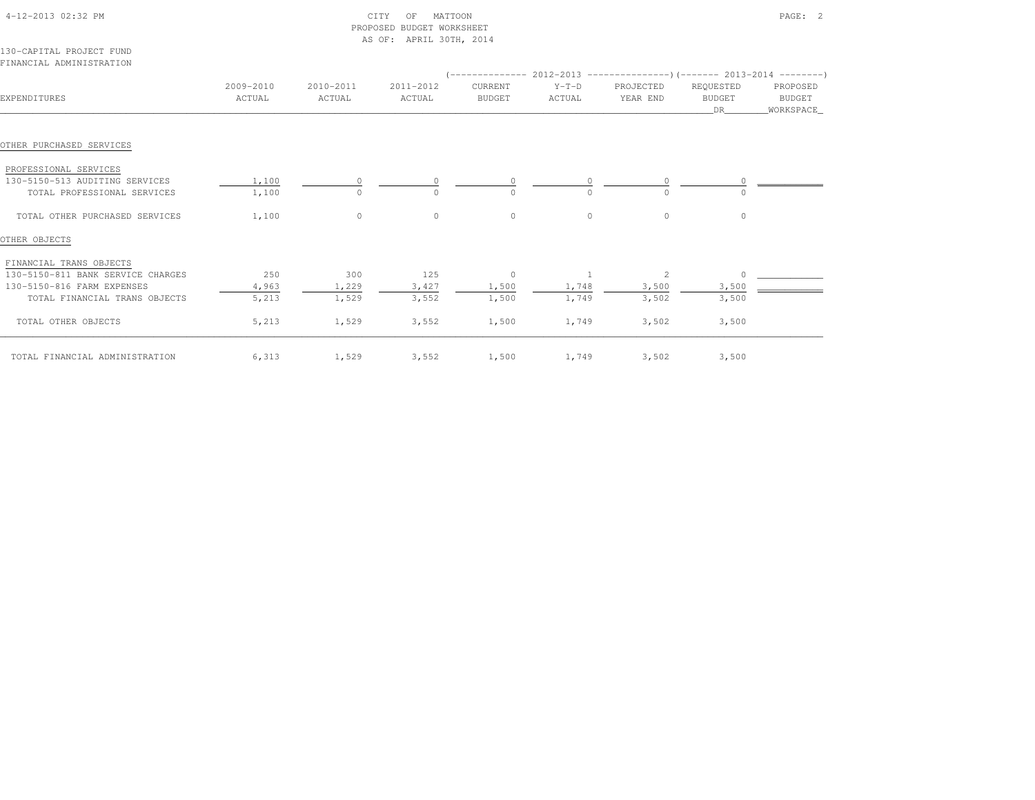|                                                      |                     |                     | PROPOSED BUDGET WORKSHEET<br>AS OF: APRIL 30TH, 2014 |                          |                   |                                                                           |                                  |                                 |
|------------------------------------------------------|---------------------|---------------------|------------------------------------------------------|--------------------------|-------------------|---------------------------------------------------------------------------|----------------------------------|---------------------------------|
| 130-CAPITAL PROJECT FUND<br>FINANCIAL ADMINISTRATION |                     |                     |                                                      |                          |                   |                                                                           |                                  |                                 |
|                                                      |                     |                     |                                                      |                          |                   | (-------------- 2012-2013 ----------------)(-------- 2013-2014 ---------) |                                  |                                 |
| EXPENDITURES                                         | 2009-2010<br>ACTUAL | 2010-2011<br>ACTUAL | 2011-2012<br>ACTUAL                                  | CURRENT<br><b>BUDGET</b> | $Y-T-D$<br>ACTUAL | PROJECTED<br>YEAR END                                                     | REQUESTED<br><b>BUDGET</b><br>DR | PROPOSED<br>BUDGET<br>WORKSPACE |
| OTHER PURCHASED SERVICES                             |                     |                     |                                                      |                          |                   |                                                                           |                                  |                                 |
| PROFESSIONAL SERVICES                                |                     |                     |                                                      |                          |                   |                                                                           |                                  |                                 |
| 130-5150-513 AUDITING SERVICES                       | 1,100               | $\circ$             | $\circ$                                              | $\mathbf{0}$             |                   | 0                                                                         |                                  |                                 |
| TOTAL PROFESSIONAL SERVICES                          | 1,100               | $\circ$             | $\circ$                                              | $\Omega$                 |                   | $\cap$                                                                    |                                  |                                 |
| TOTAL OTHER PURCHASED SERVICES                       | 1,100               | $\Omega$            | $\Omega$                                             | $\circ$                  | $\Omega$          | $\Omega$                                                                  | $\Omega$                         |                                 |
| OTHER OBJECTS                                        |                     |                     |                                                      |                          |                   |                                                                           |                                  |                                 |
| FINANCIAL TRANS OBJECTS                              |                     |                     |                                                      |                          |                   |                                                                           |                                  |                                 |
| 130-5150-811 BANK SERVICE CHARGES                    | 250                 | 300                 | 125                                                  | $\sim$ 0                 | $\sim$ 1          | 2                                                                         | $\Omega$                         |                                 |
| 130-5150-816 FARM EXPENSES                           | 4,963               | 1,229               | 3,427                                                | 1,500                    | 1,748             | 3,500                                                                     | 3,500                            |                                 |
| TOTAL FINANCIAL TRANS OBJECTS                        | 5,213               | 1,529               | 3,552                                                | 1,500                    | 1,749             | 3,502                                                                     | 3,500                            |                                 |
| TOTAL OTHER OBJECTS                                  | 5,213               | 1,529               | 3,552                                                | 1,500                    | 1,749             | 3,502                                                                     | 3,500                            |                                 |
| TOTAL FINANCIAL ADMINISTRATION                       | 6,313               | 1,529               | 3,552                                                | 1,500                    | 1,749             | 3,502                                                                     | 3,500                            |                                 |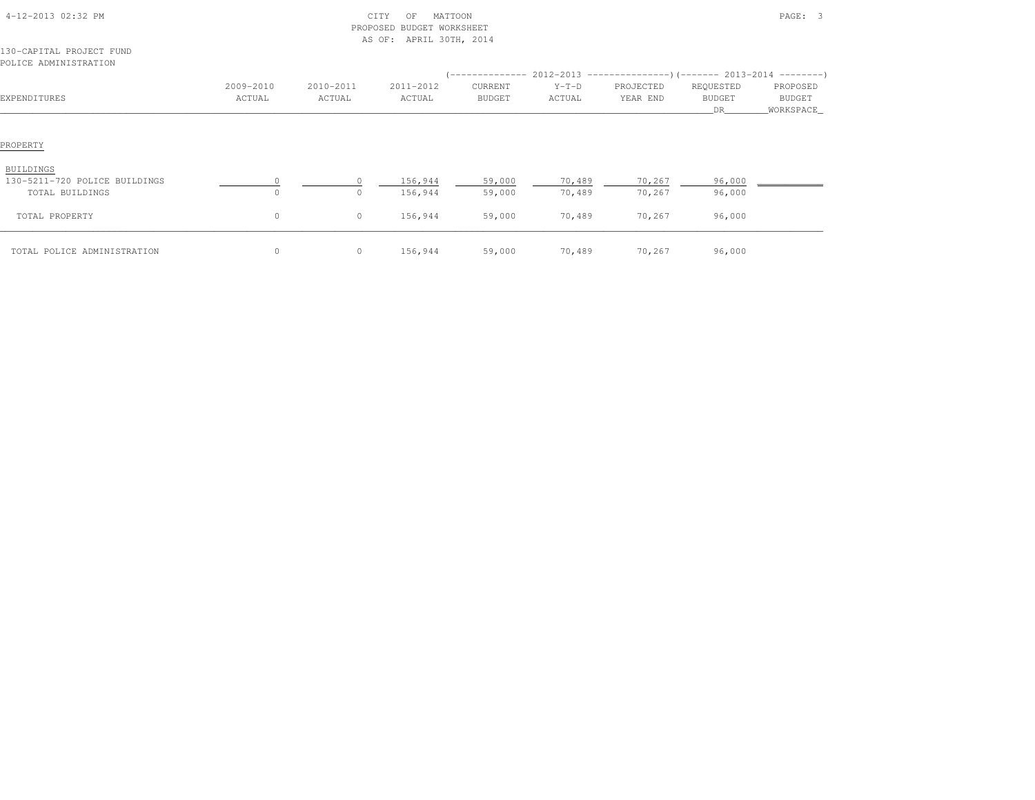| 4-12-2013 02:32 PM                                |                     | CITY<br>MATTOON<br>OF<br>PROPOSED BUDGET WORKSHEET<br>AS OF: APRIL 30TH, 2014 |                     |                          |                   |                                                                                                         |                                   | PAGE: 3                         |  |  |  |
|---------------------------------------------------|---------------------|-------------------------------------------------------------------------------|---------------------|--------------------------|-------------------|---------------------------------------------------------------------------------------------------------|-----------------------------------|---------------------------------|--|--|--|
| 130-CAPITAL PROJECT FUND<br>POLICE ADMINISTRATION |                     |                                                                               |                     |                          |                   |                                                                                                         |                                   |                                 |  |  |  |
| EXPENDITURES                                      | 2009-2010<br>ACTUAL | 2010-2011<br>ACTUAL                                                           | 2011-2012<br>ACTUAL | CURRENT<br><b>BUDGET</b> | $Y-T-D$<br>ACTUAL | $(-$ -------------- 2012-2013 -----------------) (------- 2013-2014 ---------)<br>PROJECTED<br>YEAR END | REQUESTED<br><b>BUDGET</b><br>DR. | PROPOSED<br>BUDGET<br>WORKSPACE |  |  |  |
| PROPERTY                                          |                     |                                                                               |                     |                          |                   |                                                                                                         |                                   |                                 |  |  |  |
| BUILDINGS                                         |                     |                                                                               |                     |                          |                   |                                                                                                         |                                   |                                 |  |  |  |
| 130-5211-720 POLICE BUILDINGS<br>TOTAL BUILDINGS  | $\circ$<br>$\circ$  | $\circ$                                                                       | 156,944<br>156,944  | 59,000<br>59,000         | 70,489<br>70,489  | 70,267<br>70,267                                                                                        | 96,000<br>96,000                  |                                 |  |  |  |
| TOTAL PROPERTY                                    | $\circ$             | 0                                                                             | 156,944             | 59,000                   | 70,489            | 70,267                                                                                                  | 96,000                            |                                 |  |  |  |
| TOTAL POLICE ADMINISTRATION                       | $\circ$             | $\circ$                                                                       | 156,944             | 59,000                   | 70,489            | 70,267                                                                                                  | 96,000                            |                                 |  |  |  |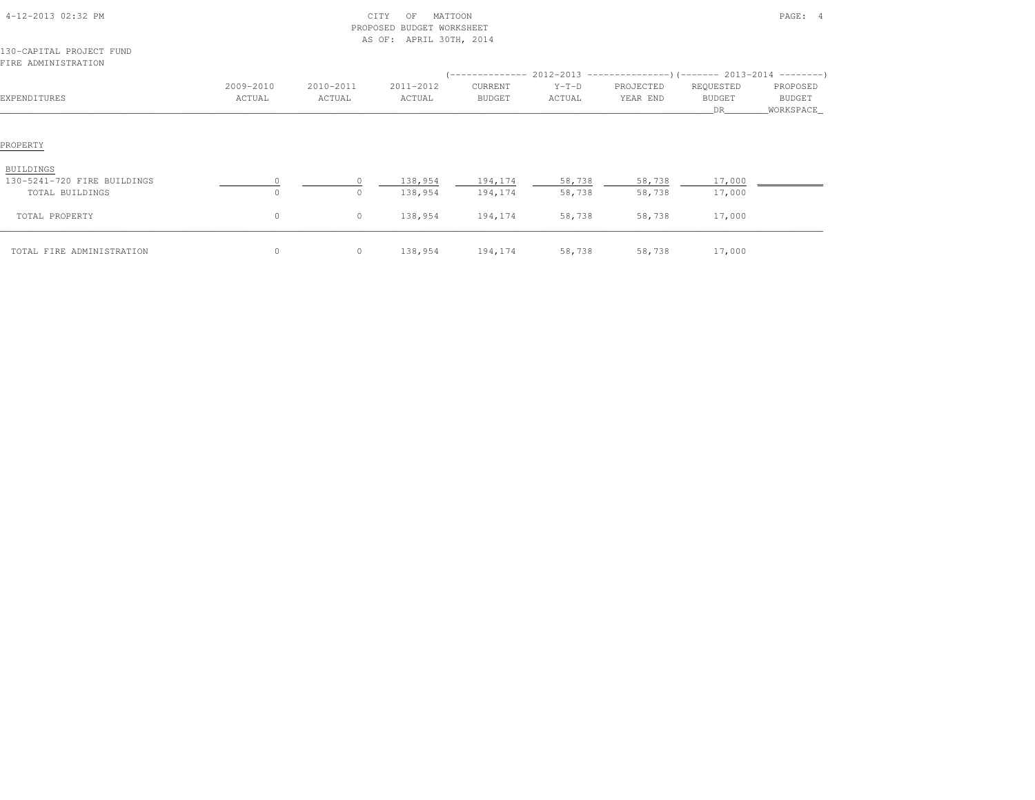| 4-12-2013 02:32 PM<br>130-CAPITAL PROJECT FUND<br>FIRE ADMINISTRATION |                     | CITY<br>PROPOSED BUDGET WORKSHEET<br>AS OF: APRIL 30TH, 2014 |                     | PAGE: 4                  |                   |                       |                                  |                                  |
|-----------------------------------------------------------------------|---------------------|--------------------------------------------------------------|---------------------|--------------------------|-------------------|-----------------------|----------------------------------|----------------------------------|
|                                                                       |                     |                                                              |                     |                          |                   |                       |                                  |                                  |
| EXPENDITURES                                                          | 2009-2010<br>ACTUAL | 2010-2011<br>ACTUAL                                          | 2011-2012<br>ACTUAL | CURRENT<br><b>BUDGET</b> | $Y-T-D$<br>ACTUAL | PROJECTED<br>YEAR END | REQUESTED<br><b>BUDGET</b><br>DR | PROPOSED<br>BUDGET<br>WORKSPACE_ |
| PROPERTY<br>BUILDINGS<br>130-5241-720 FIRE BUILDINGS                  |                     | $\Omega$                                                     | 138,954             | 194,174                  | 58,738            | 58,738                | 17,000                           |                                  |
| TOTAL BUILDINGS<br>TOTAL PROPERTY                                     | $\circ$<br>$\circ$  | 0<br>$\circ$                                                 | 138,954<br>138,954  | 194,174<br>194,174       | 58,738<br>58,738  | 58,738<br>58,738      | 17,000<br>17,000                 |                                  |
| TOTAL FIRE ADMINISTRATION                                             | $\circ$             | $\circ$                                                      | 138,954             | 194,174                  | 58,738            | 58,738                | 17,000                           |                                  |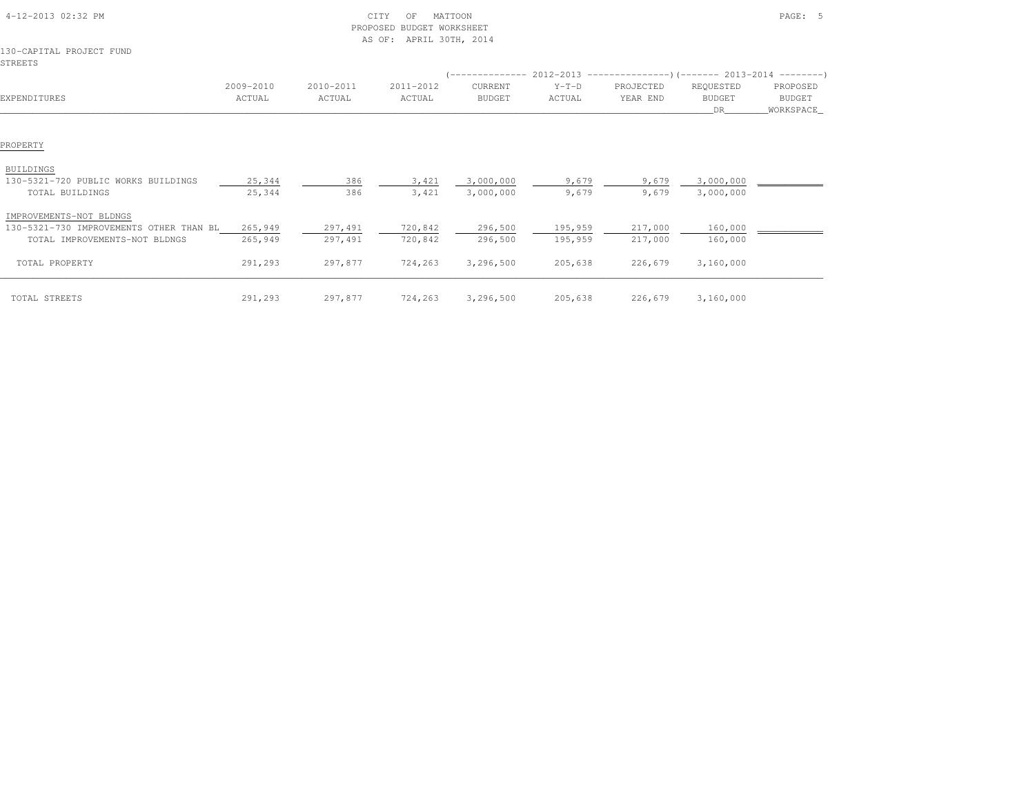|                                                                                                     |                     | PROPOSED            | BUDGET WORKSHEET<br>AS OF: APRIL 30TH, 2014 |                          |                    |                                                                                                    |                                  |                                          |
|-----------------------------------------------------------------------------------------------------|---------------------|---------------------|---------------------------------------------|--------------------------|--------------------|----------------------------------------------------------------------------------------------------|----------------------------------|------------------------------------------|
| 130-CAPITAL PROJECT FUND<br>STREETS                                                                 |                     |                     |                                             |                          |                    |                                                                                                    |                                  |                                          |
| EXPENDITURES                                                                                        | 2009-2010<br>ACTUAL | 2010-2011<br>ACTUAL | 2011-2012<br>ACTUAL                         | CURRENT<br><b>BUDGET</b> | $Y-T-D$<br>ACTUAL  | (-------------- 2012-2013 ----------------) (------- 2013-2014 ---------)<br>PROJECTED<br>YEAR END | REQUESTED<br><b>BUDGET</b><br>DR | PROPOSED<br><b>BUDGET</b><br>_WORKSPACE_ |
| PROPERTY                                                                                            |                     |                     |                                             |                          |                    |                                                                                                    |                                  |                                          |
| <b>BUILDINGS</b><br>130-5321-720 PUBLIC WORKS BUILDINGS<br>TOTAL BUILDINGS                          | 25,344<br>25,344    | 386<br>386          | 3,421<br>3,421                              | 3,000,000<br>3,000,000   | 9,679<br>9,679     | 9,679<br>9,679                                                                                     | 3,000,000<br>3,000,000           |                                          |
| IMPROVEMENTS-NOT BLDNGS<br>130-5321-730 IMPROVEMENTS OTHER THAN BL<br>TOTAL IMPROVEMENTS-NOT BLDNGS | 265,949<br>265,949  | 297,491<br>297,491  | 720,842<br>720,842                          | 296,500<br>296,500       | 195,959<br>195,959 | 217,000<br>217,000                                                                                 | 160,000<br>160,000               |                                          |
| TOTAL PROPERTY                                                                                      | 291,293             | 297,877             | 724,263                                     | 3,296,500                | 205,638            | 226,679                                                                                            | 3,160,000                        |                                          |
| TOTAL STREETS                                                                                       | 291,293             | 297,877             | 724,263                                     | 3,296,500                | 205,638            | 226,679                                                                                            | 3,160,000                        |                                          |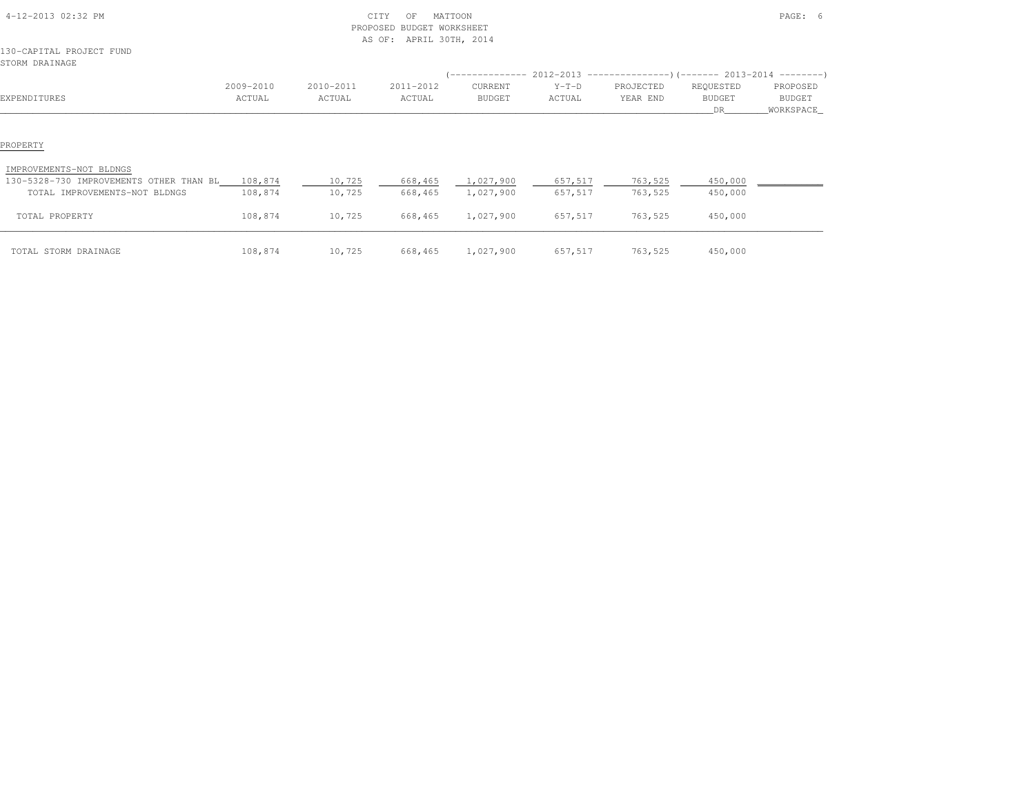|                                                                          |                     |                     | PROPOSED BUDGET WORKSHEET<br>AS OF: APRIL 30TH, 2014 |                                                                                                       |                    |                       |                                  |                                 |
|--------------------------------------------------------------------------|---------------------|---------------------|------------------------------------------------------|-------------------------------------------------------------------------------------------------------|--------------------|-----------------------|----------------------------------|---------------------------------|
| 130-CAPITAL PROJECT FUND<br>STORM DRAINAGE                               |                     |                     |                                                      |                                                                                                       |                    |                       |                                  |                                 |
| EXPENDITURES                                                             | 2009-2010<br>ACTUAL | 2010-2011<br>ACTUAL | 2011-2012<br>ACTUAL                                  | (-------------- 2012-2013 ----------------) (------- 2013-2014 ---------)<br>CURRENT<br><b>BUDGET</b> | $Y-T-D$<br>ACTUAL  | PROJECTED<br>YEAR END | REQUESTED<br><b>BUDGET</b><br>DR | PROPOSED<br>BUDGET<br>WORKSPACE |
| PROPERTY<br>IMPROVEMENTS-NOT BLDNGS                                      |                     |                     |                                                      |                                                                                                       |                    |                       |                                  |                                 |
| 130-5328-730 IMPROVEMENTS OTHER THAN BL<br>TOTAL IMPROVEMENTS-NOT BLDNGS | 108,874<br>108,874  | 10,725<br>10,725    | 668,465<br>668,465                                   | 1,027,900<br>1,027,900                                                                                | 657,517<br>657,517 | 763,525<br>763,525    | 450,000<br>450,000               |                                 |
| TOTAL PROPERTY                                                           | 108,874             | 10,725              | 668,465                                              | 1,027,900                                                                                             | 657,517            | 763,525               | 450,000                          |                                 |
| TOTAL STORM DRAINAGE                                                     | 108,874             | 10,725              | 668,465                                              | 1,027,900                                                                                             | 657,517            | 763,525               | 450,000                          |                                 |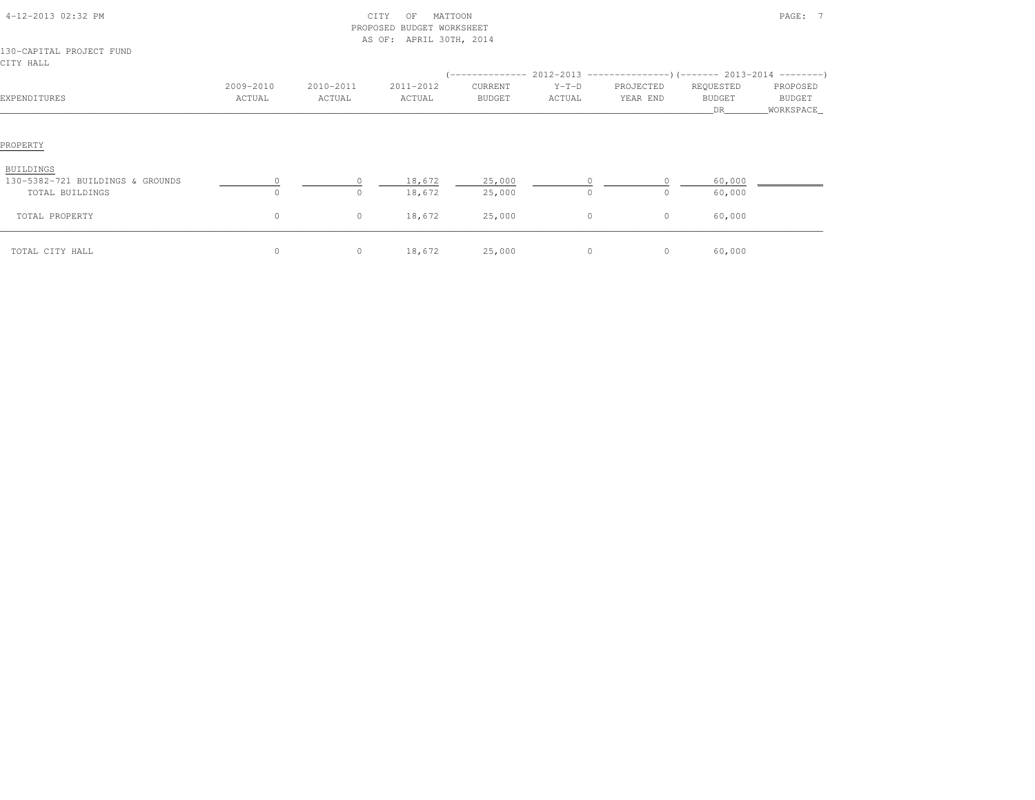|                                                                         |                     |                     | PROPOSED BUDGET WORKSHEET<br>AS OF: APRIL 30TH, 2014 |                          |                   |                       |                                  |                                          |
|-------------------------------------------------------------------------|---------------------|---------------------|------------------------------------------------------|--------------------------|-------------------|-----------------------|----------------------------------|------------------------------------------|
| 130-CAPITAL PROJECT FUND<br>CITY HALL                                   |                     |                     |                                                      |                          |                   |                       |                                  |                                          |
| EXPENDITURES                                                            | 2009-2010<br>ACTUAL | 2010-2011<br>ACTUAL | 2011-2012<br>ACTUAL                                  | CURRENT<br><b>BUDGET</b> | $Y-T-D$<br>ACTUAL | PROJECTED<br>YEAR END | REQUESTED<br><b>BUDGET</b><br>DR | PROPOSED<br><b>BUDGET</b><br>_WORKSPACE_ |
| PROPERTY                                                                |                     |                     |                                                      |                          |                   |                       |                                  |                                          |
| <b>BUILDINGS</b><br>130-5382-721 BUILDINGS & GROUNDS<br>TOTAL BUILDINGS | $\Omega$            | $\circ$             | 18,672<br>18,672                                     | 25,000<br>25,000         | $\circ$           | $\cap$                | 60,000<br>60,000                 |                                          |
| TOTAL PROPERTY                                                          | $\circ$             | $\circ$             | 18,672                                               | 25,000                   | $\circ$           | $\circ$               | 60,000                           |                                          |
| TOTAL CITY HALL                                                         | $\circ$             | $\circ$             | 18,672                                               | 25,000                   | $\circ$           | $\circ$               | 60,000                           |                                          |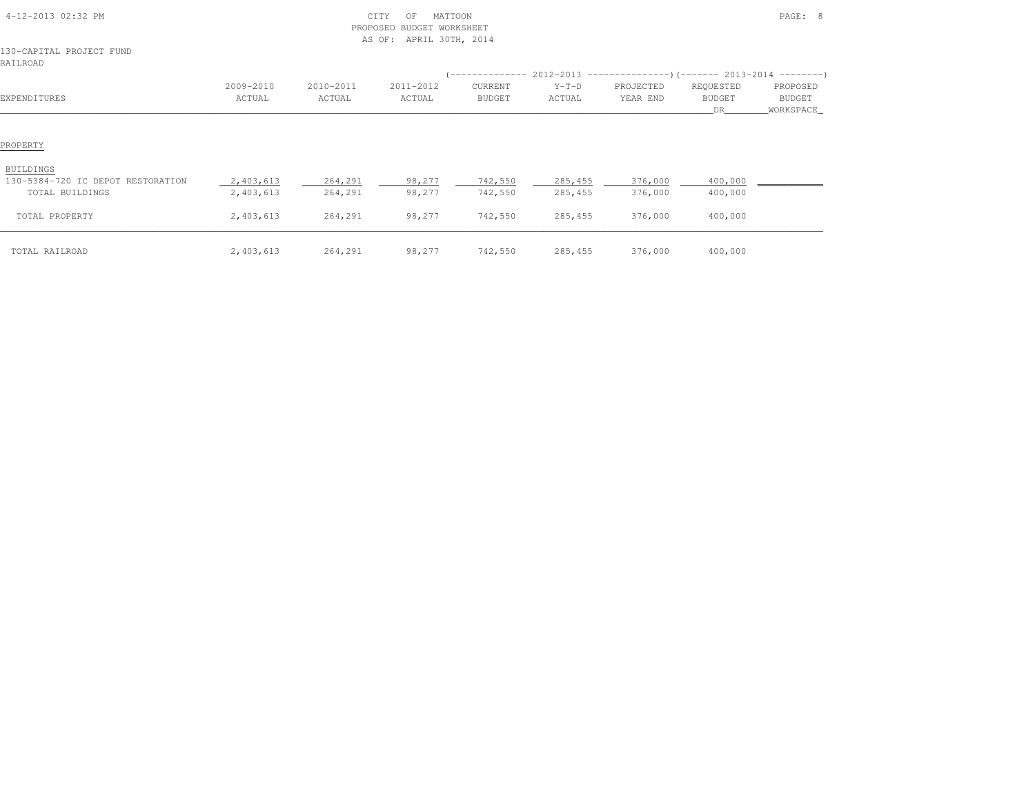| 4-12-2013 02:32 PM                   |                     | PROPOSED            | CITY<br>MATTOON<br>OF<br>BUDGET WORKSHEET<br>AS OF: APRIL 30TH, 2014 |                          |                   |                                                           |                                  | PAGE: 8                          |  |
|--------------------------------------|---------------------|---------------------|----------------------------------------------------------------------|--------------------------|-------------------|-----------------------------------------------------------|----------------------------------|----------------------------------|--|
| 130-CAPITAL PROJECT FUND<br>RAILROAD |                     |                     |                                                                      |                          |                   |                                                           |                                  |                                  |  |
|                                      |                     |                     |                                                                      | ( --------------         |                   | $2012-2013$ ----------------)(------- 2013-2014 --------) |                                  |                                  |  |
| EXPENDITURES                         | 2009-2010<br>ACTUAL | 2010-2011<br>ACTUAL | 2011-2012<br>ACTUAL                                                  | CURRENT<br><b>BUDGET</b> | $Y-T-D$<br>ACTUAL | PROJECTED<br>YEAR END                                     | REQUESTED<br><b>BUDGET</b><br>DR | PROPOSED<br>BUDGET<br>WORKSPACE_ |  |
| PROPERTY<br>BUILDINGS                |                     |                     |                                                                      |                          |                   |                                                           |                                  |                                  |  |
| 130-5384-720 IC DEPOT RESTORATION    | 2,403,613           | 264,291             | 98,277                                                               | 742,550                  | 285,455           | 376,000                                                   | 400,000                          |                                  |  |
| TOTAL BUILDINGS                      | 2,403,613           | 264,291             | 98,277                                                               | 742,550                  | 285,455           | 376,000                                                   | 400,000                          |                                  |  |
| TOTAL PROPERTY                       | 2,403,613           | 264,291             | 98,277                                                               | 742,550                  | 285,455           | 376,000                                                   | 400,000                          |                                  |  |
| TOTAL RAILROAD                       | 2,403,613           | 264,291             | 98,277                                                               | 742,550                  | 285,455           | 376,000                                                   | 400,000                          |                                  |  |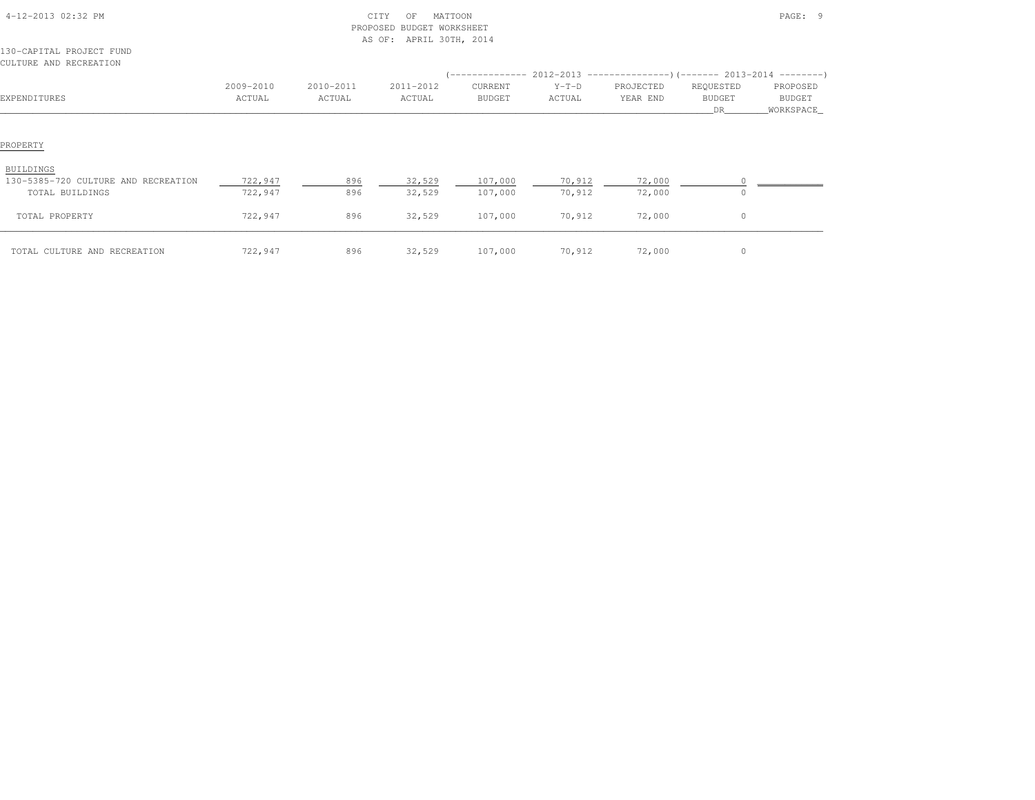| 4-12-2013 02:32 PM                                                  |                     | PROPOSED            | CITY<br>MATTOON<br>OF<br><b>BUDGET WORKSHEET</b><br>AS OF: APRIL 30TH, 2014 | PAGE: 9            |                   |                                                                                                        |                                   |                                  |
|---------------------------------------------------------------------|---------------------|---------------------|-----------------------------------------------------------------------------|--------------------|-------------------|--------------------------------------------------------------------------------------------------------|-----------------------------------|----------------------------------|
| 130-CAPITAL PROJECT FUND<br>CULTURE AND RECREATION                  |                     |                     |                                                                             |                    |                   |                                                                                                        |                                   |                                  |
| EXPENDITURES                                                        | 2009-2010<br>ACTUAL | 2010-2011<br>ACTUAL | 2011-2012<br>ACTUAL                                                         | CURRENT<br>BUDGET  | $Y-T-D$<br>ACTUAL | $(-$ -------------- 2012-2013 -----------------)(------- 2013-2014 ---------)<br>PROJECTED<br>YEAR END | REQUESTED<br><b>BUDGET</b><br>DR. | PROPOSED<br>BUDGET<br>WORKSPACE_ |
| PROPERTY                                                            |                     |                     |                                                                             |                    |                   |                                                                                                        |                                   |                                  |
| BUILDINGS<br>130-5385-720 CULTURE AND RECREATION<br>TOTAL BUILDINGS | 722,947<br>722,947  | 896<br>896          | 32,529<br>32,529                                                            | 107,000<br>107,000 | 70,912<br>70,912  | 72,000<br>72,000                                                                                       | $\circ$                           |                                  |
| TOTAL PROPERTY                                                      | 722,947             | 896                 | 32,529                                                                      | 107,000            | 70,912            | 72,000                                                                                                 | $\circ$                           |                                  |
| TOTAL CULTURE AND RECREATION                                        | 722,947             | 896                 | 32,529                                                                      | 107,000            | 70,912            | 72,000                                                                                                 | $\circ$                           |                                  |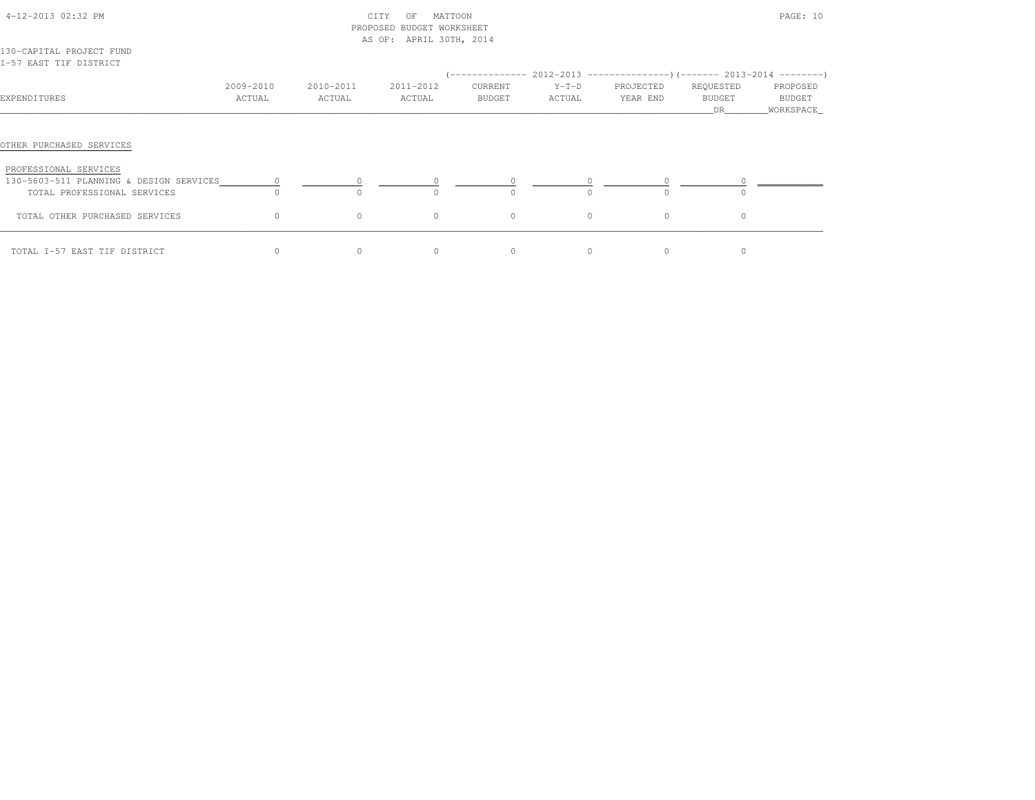| 4-12-2013 02:32 PM<br>130-CAPITAL PROJECT FUND                                                                              |           |              | CITY<br>MATTOON<br>OF<br>PROPOSED BUDGET WORKSHEET<br>AS OF: APRIL 30TH, 2014 |         |         |                                                                               |              | PAGE: 10              |
|-----------------------------------------------------------------------------------------------------------------------------|-----------|--------------|-------------------------------------------------------------------------------|---------|---------|-------------------------------------------------------------------------------|--------------|-----------------------|
| I-57 EAST TIF DISTRICT                                                                                                      |           |              |                                                                               |         |         |                                                                               |              |                       |
|                                                                                                                             |           |              |                                                                               |         |         | $(-$ ------------- 2012-2013 -----------------) (------- 2013-2014 ---------) |              |                       |
|                                                                                                                             | 2009-2010 | 2010-2011    | 2011-2012                                                                     | CURRENT | $Y-T-D$ | PROJECTED                                                                     | REQUESTED    | PROPOSED              |
| EXPENDITURES                                                                                                                | ACTUAL    | ACTUAL       | ACTUAL                                                                        | BUDGET  | ACTUAL  | YEAR END                                                                      | BUDGET<br>DR | BUDGET<br>_WORKSPACE_ |
| OTHER PURCHASED SERVICES<br>PROFESSIONAL SERVICES<br>130-5603-511 PLANNING & DESIGN SERVICES<br>TOTAL PROFESSIONAL SERVICES |           | <sup>n</sup> |                                                                               |         |         |                                                                               |              |                       |
| TOTAL OTHER PURCHASED SERVICES                                                                                              | $\circ$   | $\circ$      | $\circ$                                                                       | $\circ$ | $\circ$ | $\circ$                                                                       | $\circ$      |                       |
| TOTAL I-57 EAST TIF DISTRICT                                                                                                | $\circ$   | $\circ$      | $\circ$                                                                       | $\circ$ | $\circ$ | $\circ$                                                                       | $\circ$      |                       |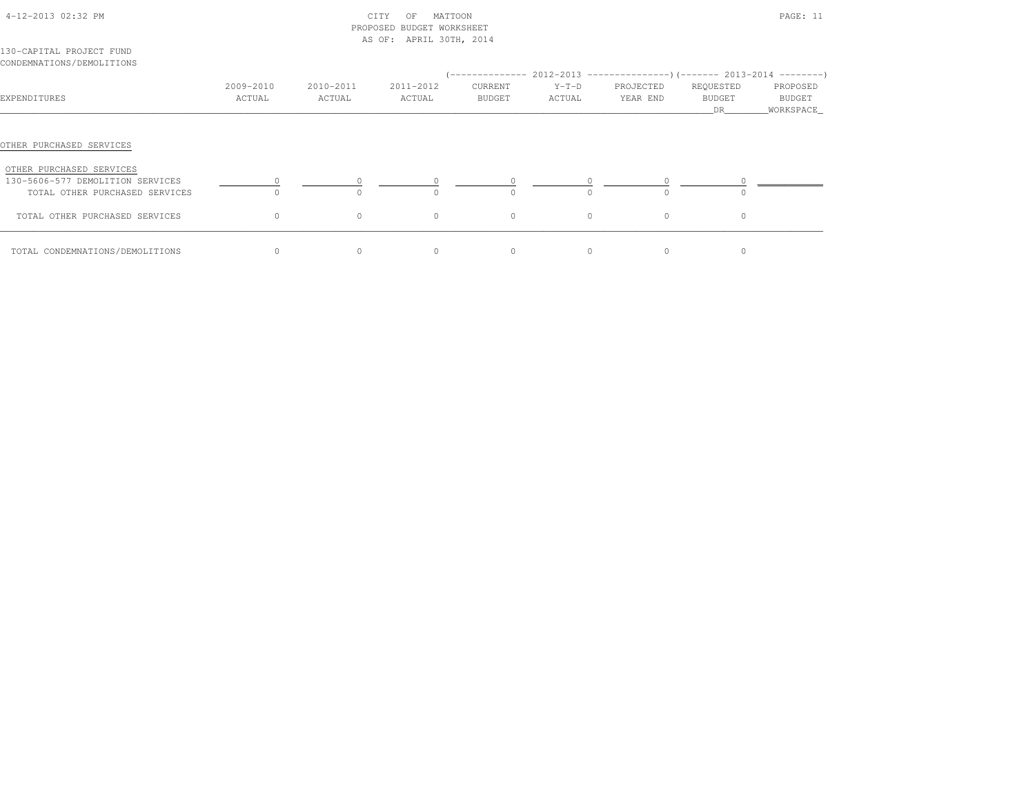|                                                              |                     |                     | PROPOSED BUDGET WORKSHEET<br>AS OF: APRIL 30TH, 2014 |                   |                   |                       |                                  |                                 |
|--------------------------------------------------------------|---------------------|---------------------|------------------------------------------------------|-------------------|-------------------|-----------------------|----------------------------------|---------------------------------|
| 130-CAPITAL PROJECT FUND<br>CONDEMNATIONS/DEMOLITIONS        |                     |                     |                                                      |                   |                   |                       |                                  |                                 |
| EXPENDITURES                                                 | 2009-2010<br>ACTUAL | 2010-2011<br>ACTUAL | 2011-2012<br>ACTUAL                                  | CURRENT<br>BUDGET | $Y-T-D$<br>ACTUAL | PROJECTED<br>YEAR END | REQUESTED<br><b>BUDGET</b><br>DR | PROPOSED<br>BUDGET<br>WORKSPACE |
| OTHER PURCHASED SERVICES                                     |                     |                     |                                                      |                   |                   |                       |                                  |                                 |
| OTHER PURCHASED SERVICES<br>130-5606-577 DEMOLITION SERVICES |                     |                     |                                                      | $\overline{0}$    |                   |                       |                                  |                                 |
| TOTAL OTHER PURCHASED SERVICES                               |                     |                     |                                                      |                   | $\cap$            | $\Omega$              |                                  |                                 |
| TOTAL OTHER PURCHASED SERVICES                               | $\Omega$            | $\circ$             | $\Omega$                                             | $\circ$           | $\circ$           | $\Omega$              | $\Omega$                         |                                 |
| TOTAL CONDEMNATIONS/DEMOLITIONS                              | $\circ$             |                     | $\circ$                                              | $\circ$           | $\circ$           | $\circ$               |                                  |                                 |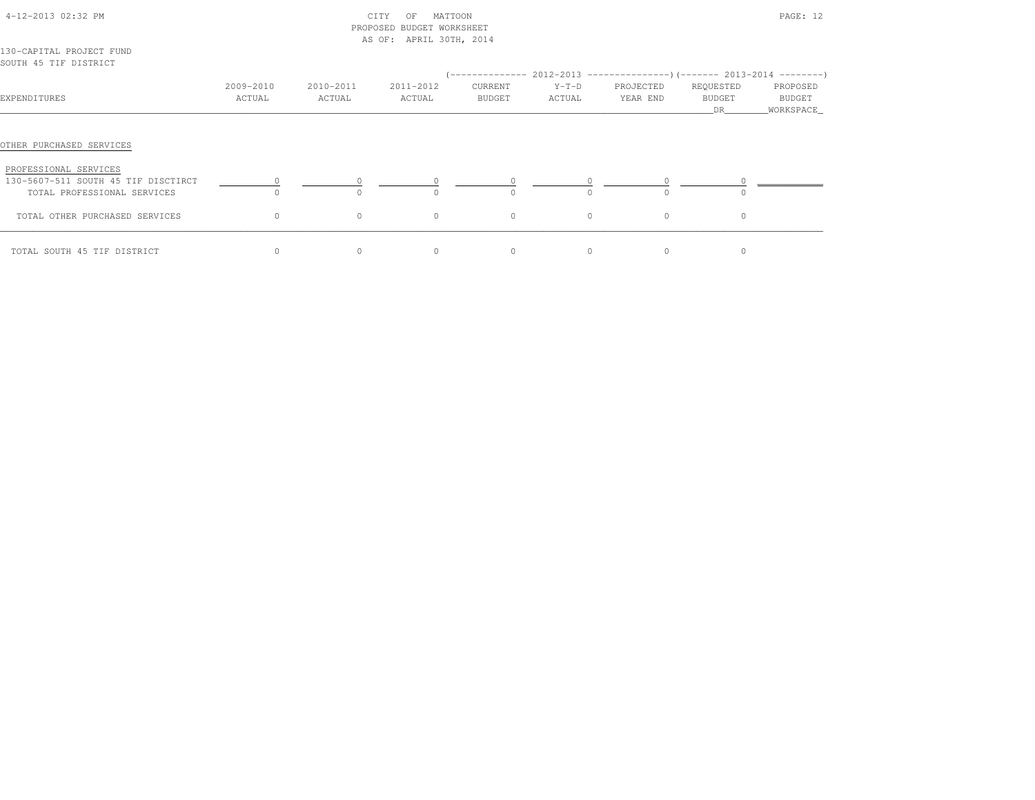|                                                                    |                     |                     | PROPOSED BUDGET WORKSHEET |                   |                   |                       |                           |                                   |
|--------------------------------------------------------------------|---------------------|---------------------|---------------------------|-------------------|-------------------|-----------------------|---------------------------|-----------------------------------|
|                                                                    |                     |                     | AS OF: APRIL 30TH, 2014   |                   |                   |                       |                           |                                   |
| 130-CAPITAL PROJECT FUND<br>SOUTH 45 TIF DISTRICT                  |                     |                     |                           |                   |                   |                       |                           |                                   |
| EXPENDITURES                                                       | 2009-2010<br>ACTUAL | 2010-2011<br>ACTUAL | 2011-2012<br>ACTUAL       | CURRENT<br>BUDGET | $Y-T-D$<br>ACTUAL | PROJECTED<br>YEAR END | REQUESTED<br>BUDGET<br>DR | PROPOSED<br>BUDGET<br>_WORKSPACE_ |
| OTHER PURCHASED SERVICES<br>PROFESSIONAL SERVICES                  |                     |                     |                           |                   |                   |                       |                           |                                   |
| 130-5607-511 SOUTH 45 TIF DISCTIRCT<br>TOTAL PROFESSIONAL SERVICES |                     |                     |                           |                   | $\cap$            |                       |                           |                                   |
| TOTAL OTHER PURCHASED SERVICES                                     | $\circ$             | $\circ$             | $\circ$                   | $\circ$           | $\circ$           | $\circ$               | $\circ$                   |                                   |
| TOTAL SOUTH 45 TIF DISTRICT                                        | $\circ$             | $\circ$             | $\Omega$                  | $\circ$           | $\circ$           | $\Omega$              | $\circ$                   |                                   |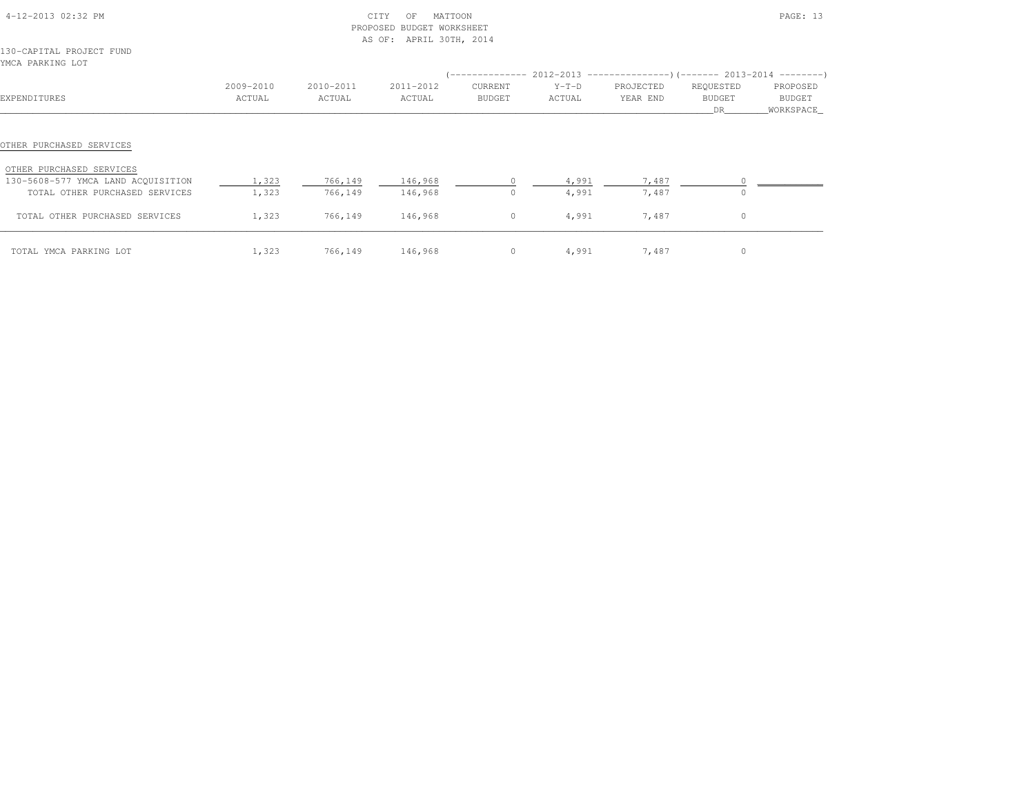|                                                                      |                     |                     | PROPOSED BUDGET WORKSHEET<br>AS OF: APRIL 30TH, 2014 |                     |                   |                       |                           |                                 |
|----------------------------------------------------------------------|---------------------|---------------------|------------------------------------------------------|---------------------|-------------------|-----------------------|---------------------------|---------------------------------|
| 130-CAPITAL PROJECT FUND<br>YMCA PARKING LOT                         |                     |                     |                                                      |                     |                   |                       |                           |                                 |
| EXPENDITURES                                                         | 2009-2010<br>ACTUAL | 2010-2011<br>ACTUAL | 2011-2012<br>ACTUAL                                  | CURRENT<br>BUDGET   | $Y-T-D$<br>ACTUAL | PROJECTED<br>YEAR END | REQUESTED<br>BUDGET<br>DR | PROPOSED<br>BUDGET<br>WORKSPACE |
| OTHER PURCHASED SERVICES                                             |                     |                     |                                                      |                     |                   |                       |                           |                                 |
| OTHER PURCHASED SERVICES                                             |                     |                     |                                                      |                     |                   |                       |                           |                                 |
| 130-5608-577 YMCA LAND ACOUISITION<br>TOTAL OTHER PURCHASED SERVICES | 1,323<br>1,323      | 766,149<br>766,149  | 146,968<br>146,968                                   | $\Omega$<br>$\circ$ | 4,991<br>4,991    | 7,487<br>7,487        | $\circ$<br>$\circ$        |                                 |
| TOTAL OTHER PURCHASED SERVICES                                       | 1,323               | 766,149             | 146,968                                              | $\circ$             | 4,991             | 7,487                 | $\circ$                   |                                 |
| TOTAL YMCA PARKING LOT                                               | 1,323               | 766,149             | 146,968                                              | $\circ$             | 4,991             | 7,487                 | $\circ$                   |                                 |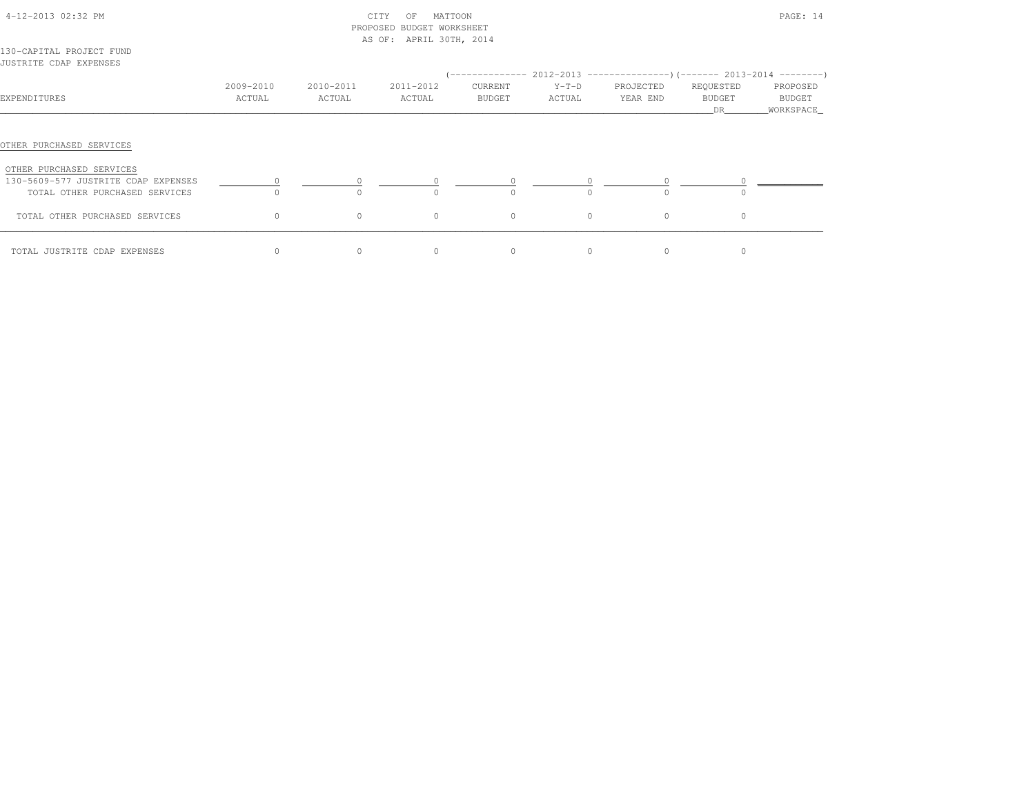| 4-12-2013 02:32 PM                                                    |                     | CITY<br>PROPOSED BUDGET WORKSHEET<br>AS OF: APRIL 30TH, 2014 |                     |                   | PAGE: 14                                                                                  |                       |                            |                    |
|-----------------------------------------------------------------------|---------------------|--------------------------------------------------------------|---------------------|-------------------|-------------------------------------------------------------------------------------------|-----------------------|----------------------------|--------------------|
| 130-CAPITAL PROJECT FUND<br>JUSTRITE CDAP EXPENSES                    |                     |                                                              |                     |                   |                                                                                           |                       |                            |                    |
| EXPENDITURES                                                          | 2009-2010<br>ACTUAL | 2010-2011<br>ACTUAL                                          | 2011-2012<br>ACTUAL | CURRENT<br>BUDGET | $(---------- 2012-2013$ ---------------) (------- 2013-2014 -------)<br>$Y-T-D$<br>ACTUAL | PROJECTED<br>YEAR END | REQUESTED<br><b>BUDGET</b> | PROPOSED<br>BUDGET |
|                                                                       |                     |                                                              |                     |                   |                                                                                           |                       | DR                         | _WORKSPACE_        |
| OTHER PURCHASED SERVICES                                              |                     |                                                              |                     |                   |                                                                                           |                       |                            |                    |
| OTHER PURCHASED SERVICES                                              |                     |                                                              |                     |                   |                                                                                           |                       |                            |                    |
| 130-5609-577 JUSTRITE CDAP EXPENSES<br>TOTAL OTHER PURCHASED SERVICES | $\cap$              | $\circ$<br>$\Omega$                                          | $\Omega$<br>$\cap$  | 0<br>$\Omega$     | $\cap$                                                                                    | $\Omega$              | $\cap$                     |                    |
| TOTAL OTHER PURCHASED SERVICES                                        | $\circ$             | $\circ$                                                      | $\circ$             | $\circ$           | $\circ$                                                                                   | $\circ$               | $\circ$                    |                    |
| TOTAL JUSTRITE CDAP EXPENSES                                          | $\Omega$            | $\Omega$                                                     | $\Omega$            | $\Omega$          | $\Omega$                                                                                  | $\Omega$              | $\Omega$                   |                    |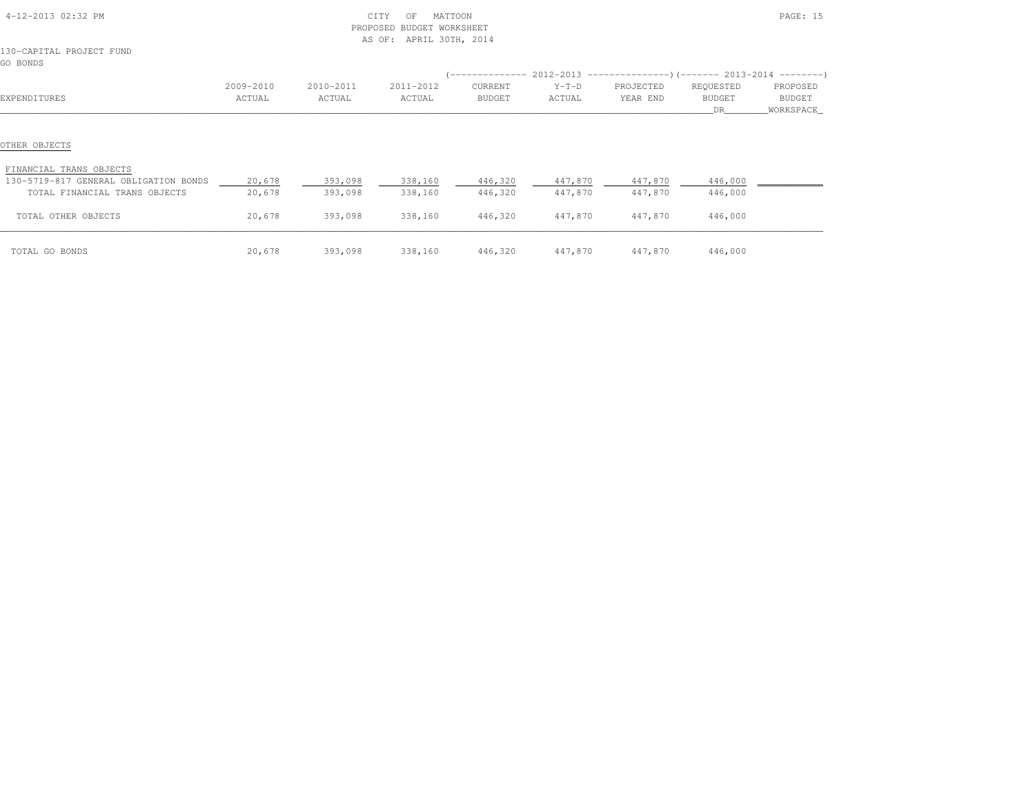| 4-12-2013 02:32 PM                                               |                     | PROPOSED            | CITY<br>MATTOON<br>OF<br>BUDGET WORKSHEET<br>AS OF: APRIL 30TH, 2014 |                    | PAGE: 15                   |                       |                           |                                  |
|------------------------------------------------------------------|---------------------|---------------------|----------------------------------------------------------------------|--------------------|----------------------------|-----------------------|---------------------------|----------------------------------|
| 130-CAPITAL PROJECT FUND<br>GO BONDS                             |                     |                     |                                                                      |                    |                            |                       |                           |                                  |
|                                                                  |                     |                     |                                                                      |                    |                            |                       |                           |                                  |
| EXPENDITURES                                                     | 2009-2010<br>ACTUAL | 2010-2011<br>ACTUAL | 2011-2012<br>ACTUAL                                                  | CURRENT<br>BUDGET  | $Y-T-D$<br>ACTUAL          | PROJECTED<br>YEAR END | REQUESTED<br>BUDGET<br>DR | PROPOSED<br>BUDGET<br>WORKSPACE_ |
| OTHER OBJECTS                                                    |                     |                     |                                                                      |                    |                            |                       |                           |                                  |
| FINANCIAL TRANS OBJECTS<br>130-5719-817 GENERAL OBLIGATION BONDS |                     |                     |                                                                      |                    |                            |                       |                           |                                  |
| TOTAL FINANCIAL TRANS OBJECTS                                    | 20,678<br>20,678    | 393,098<br>393,098  | 338,160<br>338,160                                                   | 446,320<br>446,320 | 447,870 447,870<br>447,870 | 447,870               | 446,000<br>446,000        |                                  |
| TOTAL OTHER OBJECTS                                              | 20,678              | 393,098             | 338,160                                                              | 446,320            | 447,870                    | 447,870               | 446,000                   |                                  |
| TOTAL GO BONDS                                                   | 20,678              | 393,098             | 338,160                                                              | 446,320            | 447,870                    | 447,870               | 446,000                   |                                  |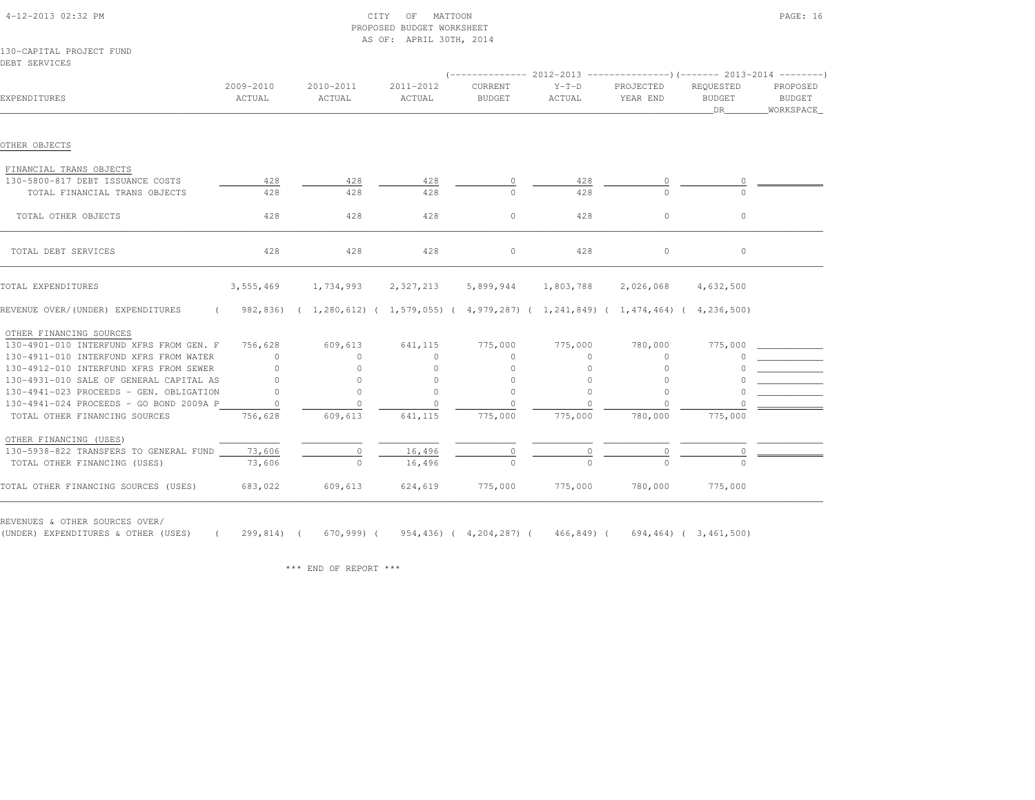|                                                 |                     |                                                                                  | AS OF: APRIL 30TH, 2014 |                          |                          |                                                                          |                                  |                                        |
|-------------------------------------------------|---------------------|----------------------------------------------------------------------------------|-------------------------|--------------------------|--------------------------|--------------------------------------------------------------------------|----------------------------------|----------------------------------------|
| 130-CAPITAL PROJECT FUND                        |                     |                                                                                  |                         |                          |                          |                                                                          |                                  |                                        |
| DEBT SERVICES                                   |                     |                                                                                  |                         |                          |                          |                                                                          |                                  |                                        |
|                                                 |                     |                                                                                  |                         |                          |                          | (-------------- 2012-2013 ----------------) (------- 2013-2014 --------' |                                  |                                        |
| EXPENDITURES                                    | 2009-2010<br>ACTUAL | 2010-2011<br>ACTUAL                                                              | 2011-2012<br>ACTUAL     | CURRENT<br><b>BUDGET</b> | $Y-T-D$<br>ACTUAL        | PROJECTED<br>YEAR END                                                    | REQUESTED<br><b>BUDGET</b><br>DR | PROPOSED<br><b>BUDGET</b><br>WORKSPACE |
|                                                 |                     |                                                                                  |                         |                          |                          |                                                                          |                                  |                                        |
| OTHER OBJECTS                                   |                     |                                                                                  |                         |                          |                          |                                                                          |                                  |                                        |
| FINANCIAL TRANS OBJECTS                         |                     |                                                                                  |                         |                          |                          |                                                                          |                                  |                                        |
| 130-5800-817 DEBT ISSUANCE COSTS                | 428                 | 428                                                                              | 428                     |                          | 428                      |                                                                          |                                  |                                        |
| TOTAL FINANCIAL TRANS OBJECTS                   | 428                 | 428                                                                              | 428                     |                          | 428                      |                                                                          |                                  |                                        |
| TOTAL OTHER OBJECTS                             | 428                 | 428                                                                              | 428                     | $\circ$                  | 428                      | $\circ$                                                                  | $\circ$                          |                                        |
| TOTAL DEBT SERVICES                             | 428                 | 428                                                                              | 428                     | $\circ$                  | 428                      | $\circ$                                                                  | $\circ$                          |                                        |
| TOTAL EXPENDITURES                              | 3,555,469           | 1,734,993                                                                        | 2,327,213               | 5,899,944                | 1,803,788                | 2,026,068                                                                | 4,632,500                        |                                        |
| REVENUE OVER/(UNDER) EXPENDITURES<br>$\sqrt{2}$ |                     | 982,836) (1,280,612) (1,579,055) (4,979,287) (1,241,849) (1,474,464) (4,236,500) |                         |                          |                          |                                                                          |                                  |                                        |
| OTHER FINANCING SOURCES                         |                     |                                                                                  |                         |                          |                          |                                                                          |                                  |                                        |
| 130-4901-010 INTERFUND XFRS FROM GEN. F         | 756,628             | 609,613                                                                          | 641,115                 | 775,000                  | 775,000                  | 780,000                                                                  | 775,000                          |                                        |
| 130-4911-010 INTERFUND XFRS FROM WATER          | $\Omega$            | $\Omega$                                                                         | $\Omega$                | $\Omega$                 | $\circ$                  | $\Omega$                                                                 |                                  |                                        |
| 130-4912-010 INTERFUND XFRS FROM SEWER          | $\circ$             | $\Omega$                                                                         | $\circ$                 | $\mathbf{0}$             | $\circ$                  | 0                                                                        |                                  |                                        |
| 130-4931-010 SALE OF GENERAL CAPITAL AS         | $\Omega$            | $\circ$                                                                          | $\circ$                 | $\circ$                  | $\mathbf{0}$             | 0                                                                        |                                  |                                        |
| 130-4941-023 PROCEEDS - GEN. OBLIGATION         | $\Omega$            | $\circ$                                                                          | $\Omega$                | $\circ$                  | $\Omega$                 | $\Omega$                                                                 |                                  |                                        |
| 130-4941-024 PROCEEDS - GO BOND 2009A P         | $\Omega$            | $\Omega$                                                                         |                         | $\Omega$                 |                          |                                                                          |                                  |                                        |
| TOTAL OTHER FINANCING SOURCES                   | 756,628             | 609,613                                                                          | 641,115                 | 775,000                  | 775,000                  | 780,000                                                                  | 775,000                          |                                        |
| OTHER FINANCING (USES)                          |                     |                                                                                  |                         |                          |                          |                                                                          |                                  |                                        |
| 130-5938-822 TRANSFERS TO GENERAL FUND          | 73,606              | $\overline{0}$                                                                   | 16,496                  | $\frac{0}{0}$            | $\overline{\phantom{0}}$ |                                                                          |                                  |                                        |
| TOTAL OTHER FINANCING (USES)                    | 73,606              |                                                                                  | 16,496                  |                          |                          |                                                                          |                                  |                                        |
| TOTAL OTHER FINANCING SOURCES (USES)            | 683,022             | 609,613                                                                          | 624,619                 | 775,000                  | 775,000                  | 780,000                                                                  | 775,000                          |                                        |

 4-12-2013 02:32 PM CITY OF MATTOON PAGE: 16PROPOSED BUDGET WORKSHEET

REVENUES & OTHER SOURCES OVER/

(UNDER) EXPENDITURES & OTHER (USES) ( 299,814) ( 670,999) ( 954,436) ( 4,204,287) ( 466,849) ( 694,464) ( 3,461,500)

\*\*\* END OF REPORT \*\*\*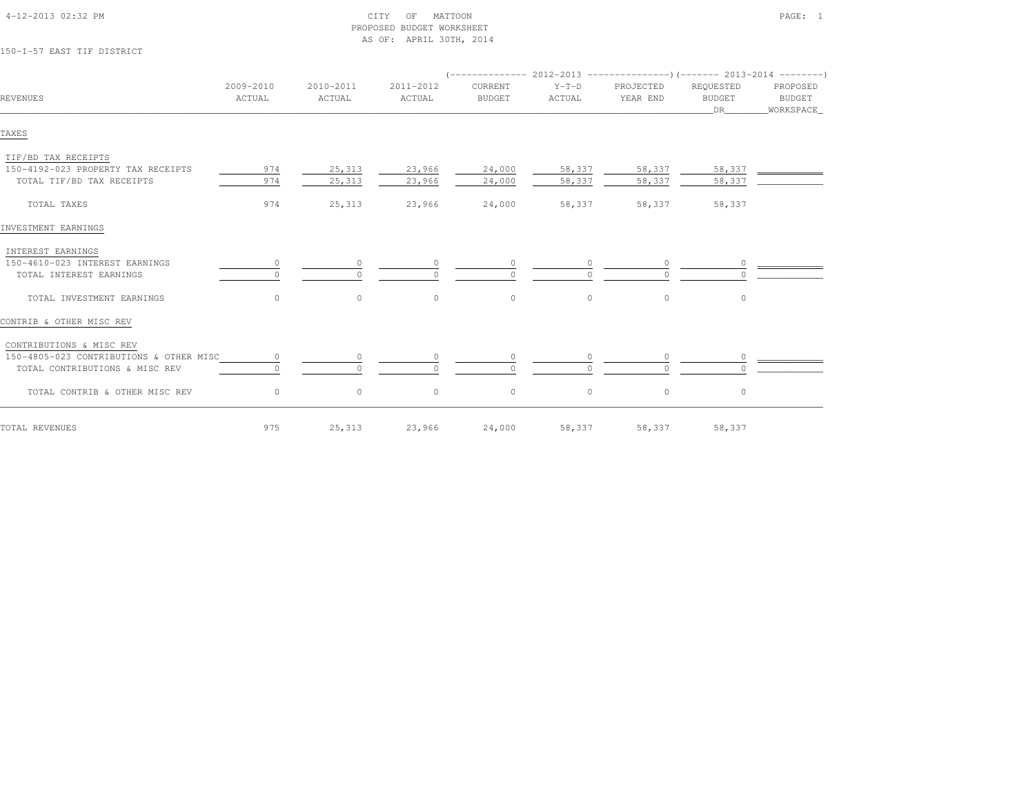| 150-I-57 EAST TIF DISTRICT              |                     |                     | AS OF: APRIL 30TH, 2014 |                          |                   |                       |                                   |                                 |
|-----------------------------------------|---------------------|---------------------|-------------------------|--------------------------|-------------------|-----------------------|-----------------------------------|---------------------------------|
|                                         |                     |                     |                         |                          |                   |                       |                                   |                                 |
| REVENUES                                | 2009-2010<br>ACTUAL | 2010-2011<br>ACTUAL | 2011-2012<br>ACTUAL     | CURRENT<br><b>BUDGET</b> | $Y-T-D$<br>ACTUAL | PROJECTED<br>YEAR END | REQUESTED<br><b>BUDGET</b><br>DR. | PROPOSED<br>BUDGET<br>WORKSPACE |
| TAXES                                   |                     |                     |                         |                          |                   |                       |                                   |                                 |
| TIF/BD TAX RECEIPTS                     |                     |                     |                         |                          |                   |                       |                                   |                                 |
| 150-4192-023 PROPERTY TAX RECEIPTS      | 974                 | 25,313              | 23,966                  | 24,000                   | 58,337            | 58,337                | 58,337                            |                                 |
| TOTAL TIF/BD TAX RECEIPTS               | 974                 | 25,313              | 23,966                  | 24,000                   | 58,337            | 58,337                | 58,337                            |                                 |
| TOTAL TAXES                             | 974                 | 25,313              | 23,966                  | 24,000                   | 58,337            | 58,337                | 58,337                            |                                 |
| INVESTMENT EARNINGS                     |                     |                     |                         |                          |                   |                       |                                   |                                 |
| INTEREST EARNINGS                       |                     |                     |                         |                          |                   |                       |                                   |                                 |
| 150-4610-023 INTEREST EARNINGS          | 0                   | $\circ$             |                         |                          |                   |                       | $\circ$                           |                                 |
| TOTAL INTEREST EARNINGS                 |                     | $\Omega$            |                         |                          |                   |                       |                                   |                                 |
| TOTAL INVESTMENT EARNINGS               | $\circ$             | $\circ$             | $\circ$                 | $\circ$                  | $\circ$           | $\circ$               | $\circ$                           |                                 |
| CONTRIB & OTHER MISC REV                |                     |                     |                         |                          |                   |                       |                                   |                                 |
| CONTRIBUTIONS & MISC REV                |                     |                     |                         |                          |                   |                       |                                   |                                 |
| 150-4805-023 CONTRIBUTIONS & OTHER MISC | $\circ$             | $\circ$             |                         | 0                        |                   |                       | $\circ$                           |                                 |
| TOTAL CONTRIBUTIONS & MISC REV          |                     | $\bigcap$           |                         | $\Omega$                 |                   | $\cap$                |                                   |                                 |
| TOTAL CONTRIB & OTHER MISC REV          | $\circ$             | $\circ$             | $\circ$                 | $\circ$                  | $\circ$           | $\circ$               | $\circ$                           |                                 |
| TOTAL REVENUES                          | 975                 | 25,313              | 23,966                  | 24,000                   | 58,337            | 58,337                | 58,337                            |                                 |

PROPOSED BUDGET WORKSHEET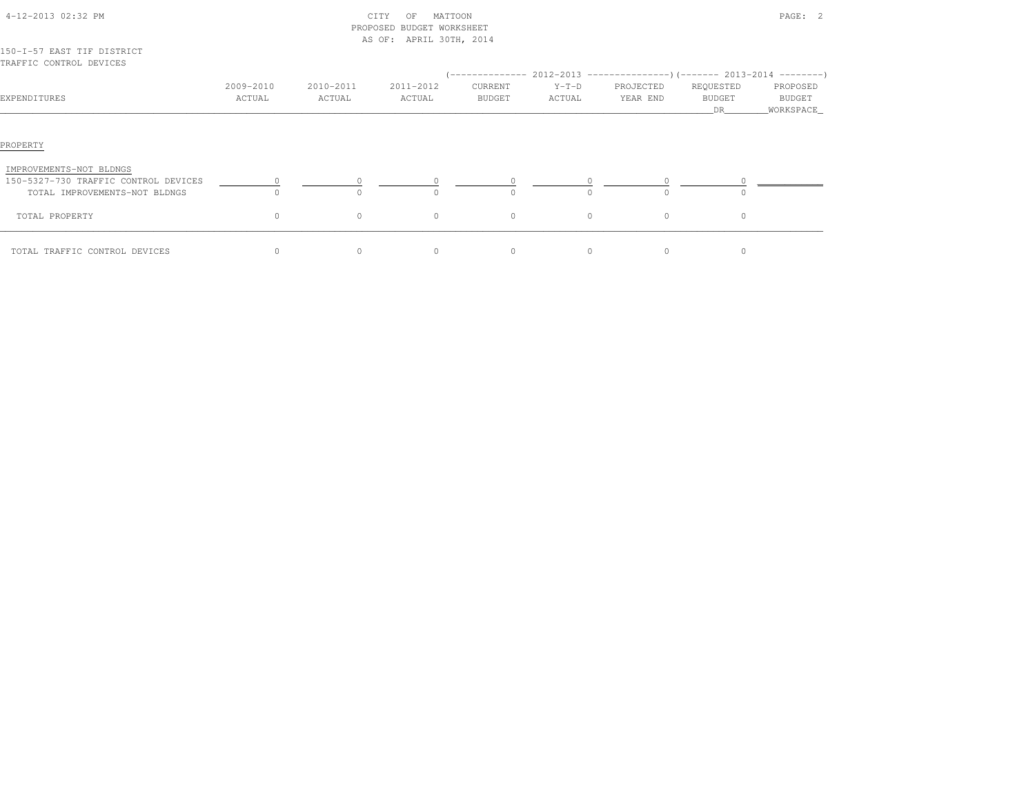|                                                                                                              |                     |                     | PROPOSED BUDGET WORKSHEET |                          |                                                                                                |                       |                                  |                                 |
|--------------------------------------------------------------------------------------------------------------|---------------------|---------------------|---------------------------|--------------------------|------------------------------------------------------------------------------------------------|-----------------------|----------------------------------|---------------------------------|
|                                                                                                              |                     |                     | AS OF: APRIL 30TH, 2014   |                          |                                                                                                |                       |                                  |                                 |
| 150-I-57 EAST TIF DISTRICT<br>TRAFFIC CONTROL DEVICES                                                        |                     |                     |                           |                          |                                                                                                |                       |                                  |                                 |
| EXPENDITURES                                                                                                 | 2009-2010<br>ACTUAL | 2010-2011<br>ACTUAL | 2011-2012<br>ACTUAL       | CURRENT<br><b>BUDGET</b> | (-------------- 2012-2013 ----------------) (------- 2013-2014 ---------)<br>$Y-T-D$<br>ACTUAL | PROJECTED<br>YEAR END | REQUESTED<br><b>BUDGET</b><br>DR | PROPOSED<br>BUDGET<br>WORKSPACE |
| PROPERTY<br>IMPROVEMENTS-NOT BLDNGS<br>150-5327-730 TRAFFIC CONTROL DEVICES<br>TOTAL IMPROVEMENTS-NOT BLDNGS | $\cap$              | $\bigcap$           | $\cap$                    | $\Omega$                 | $\cap$                                                                                         | $\cap$                |                                  |                                 |
| TOTAL PROPERTY                                                                                               | $\circ$             | $\circ$             | $\circ$                   | $\circ$                  | $\Omega$                                                                                       | $\circ$               | $\Omega$                         |                                 |
| TOTAL TRAFFIC CONTROL DEVICES                                                                                | $\circ$             | $\circ$             | $\circ$                   | $\circ$                  | $\circ$                                                                                        | $\circ$               | $\circ$                          |                                 |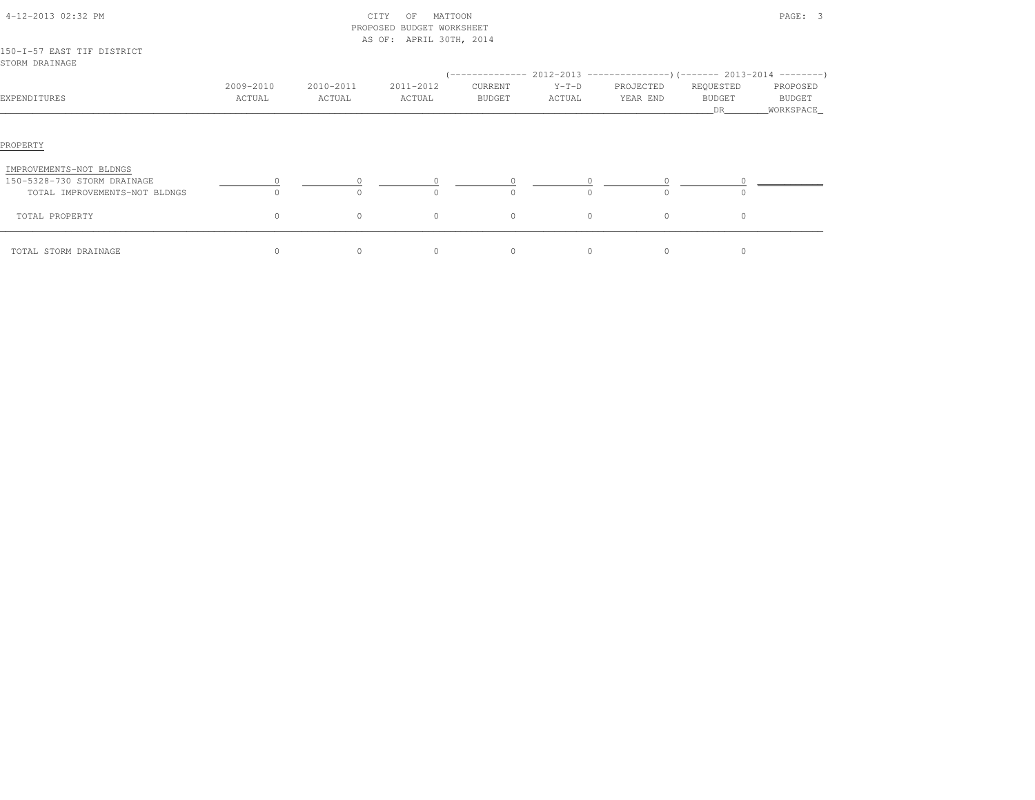|                                                                                         |                     |                     | PROPOSED BUDGET WORKSHEET<br>AS OF: APRIL 30TH, 2014 |                          |                     |                                                                                                     |                                   |                                   |
|-----------------------------------------------------------------------------------------|---------------------|---------------------|------------------------------------------------------|--------------------------|---------------------|-----------------------------------------------------------------------------------------------------|-----------------------------------|-----------------------------------|
| 150-I-57 EAST TIF DISTRICT<br>STORM DRAINAGE                                            |                     |                     |                                                      |                          |                     |                                                                                                     |                                   |                                   |
| EXPENDITURES                                                                            | 2009-2010<br>ACTUAL | 2010-2011<br>ACTUAL | 2011-2012<br>ACTUAL                                  | CURRENT<br><b>BUDGET</b> | $Y-T-D$<br>ACTUAL   | (-------------- 2012-2013 -----------------) (------- 2013-2014 ---------)<br>PROJECTED<br>YEAR END | REQUESTED<br><b>BUDGET</b><br>DR. | PROPOSED<br>BUDGET<br>_WORKSPACE_ |
| PROPERTY                                                                                |                     |                     |                                                      |                          |                     |                                                                                                     |                                   |                                   |
| IMPROVEMENTS-NOT BLDNGS<br>150-5328-730 STORM DRAINAGE<br>TOTAL IMPROVEMENTS-NOT BLDNGS |                     |                     |                                                      | 0                        | $\circ$<br>$\Omega$ |                                                                                                     |                                   |                                   |
| TOTAL PROPERTY                                                                          | $\circ$             | $\circ$             | $\circ$                                              | $\circ$                  | $\circ$             | $\circ$                                                                                             | $\circ$                           |                                   |
| TOTAL STORM DRAINAGE                                                                    | $\Omega$            | $\Omega$            | $\Omega$                                             | $\Omega$                 | $\Omega$            | $\Omega$                                                                                            | $\Omega$                          |                                   |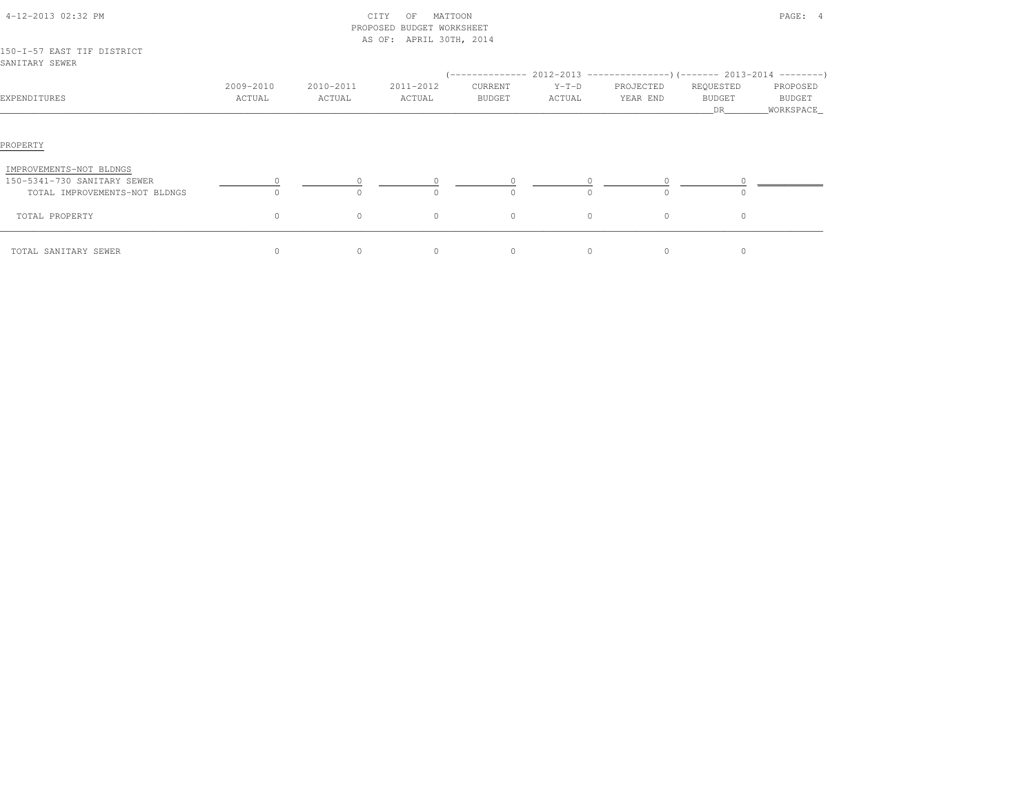|                                                                                         |                     |                     | PROPOSED BUDGET WORKSHEET |                                                                                                       |                   |                       |                                   |                                         |
|-----------------------------------------------------------------------------------------|---------------------|---------------------|---------------------------|-------------------------------------------------------------------------------------------------------|-------------------|-----------------------|-----------------------------------|-----------------------------------------|
| 150-I-57 EAST TIF DISTRICT<br>SANITARY SEWER                                            |                     |                     | AS OF: APRIL 30TH, 2014   |                                                                                                       |                   |                       |                                   |                                         |
| EXPENDITURES                                                                            | 2009-2010<br>ACTUAL | 2010-2011<br>ACTUAL | 2011-2012<br>ACTUAL       | (-------------- 2012-2013 ----------------) (------- 2013-2014 ---------)<br>CURRENT<br><b>BUDGET</b> | $Y-T-D$<br>ACTUAL | PROJECTED<br>YEAR END | REQUESTED<br><b>BUDGET</b><br>DR. | PROPOSED<br><b>BUDGET</b><br>WORKSPACE_ |
| PROPERTY                                                                                |                     |                     |                           |                                                                                                       |                   |                       |                                   |                                         |
| IMPROVEMENTS-NOT BLDNGS<br>150-5341-730 SANITARY SEWER<br>TOTAL IMPROVEMENTS-NOT BLDNGS |                     | $\Omega$            | $\circ$                   | $\circ$<br>$\Omega$                                                                                   |                   | $\cap$                | $\bigcap$                         |                                         |
| TOTAL PROPERTY                                                                          | $\circ$             | $\circ$             | $\circ$                   | $\circ$                                                                                               | $\circ$           | $\circ$               | $\circ$                           |                                         |
| TOTAL SANITARY SEWER                                                                    | $\Omega$            | $\Omega$            | $\Omega$                  | $\Omega$                                                                                              | $\Omega$          | $\Omega$              | $\Omega$                          |                                         |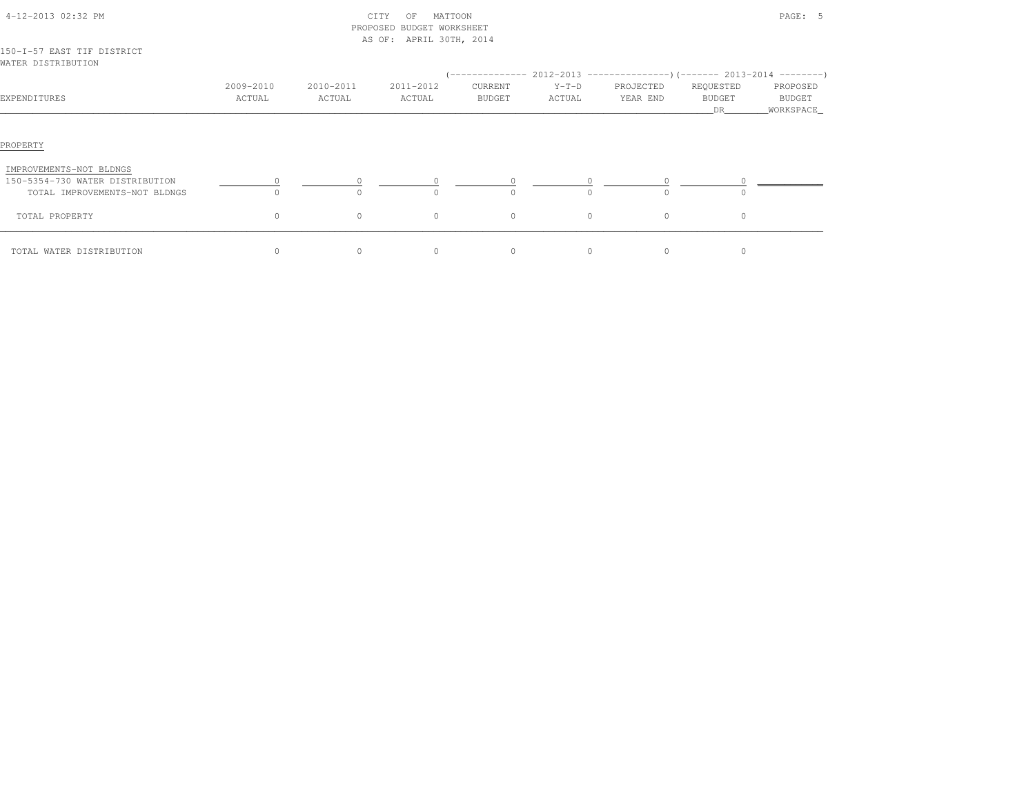|                                                                                             |                     |                     | PROPOSED BUDGET WORKSHEET |                   |                   |                       |                                   |                                 |
|---------------------------------------------------------------------------------------------|---------------------|---------------------|---------------------------|-------------------|-------------------|-----------------------|-----------------------------------|---------------------------------|
| 150-I-57 EAST TIF DISTRICT<br>WATER DISTRIBUTION                                            |                     |                     | AS OF: APRIL 30TH, 2014   |                   |                   |                       |                                   |                                 |
|                                                                                             |                     |                     |                           |                   |                   |                       |                                   |                                 |
| EXPENDITURES                                                                                | 2009-2010<br>ACTUAL | 2010-2011<br>ACTUAL | 2011-2012<br>ACTUAL       | CURRENT<br>BUDGET | $Y-T-D$<br>ACTUAL | PROJECTED<br>YEAR END | REQUESTED<br><b>BUDGET</b><br>DR. | PROPOSED<br>BUDGET<br>WORKSPACE |
| PROPERTY                                                                                    |                     |                     |                           |                   |                   |                       |                                   |                                 |
| IMPROVEMENTS-NOT BLDNGS<br>150-5354-730 WATER DISTRIBUTION<br>TOTAL IMPROVEMENTS-NOT BLDNGS |                     |                     | $\Omega$                  |                   | $\cap$            | $\cap$                |                                   |                                 |
| TOTAL PROPERTY                                                                              | $\circ$             | $\circ$             | $\circ$                   | $\Omega$          | $\Omega$          | $\circ$               | $\circ$                           |                                 |
| TOTAL WATER DISTRIBUTION                                                                    | $\circ$             | $\circ$             | $\circ$                   | $\circ$           | $\circ$           | $\circ$               | $\circ$                           |                                 |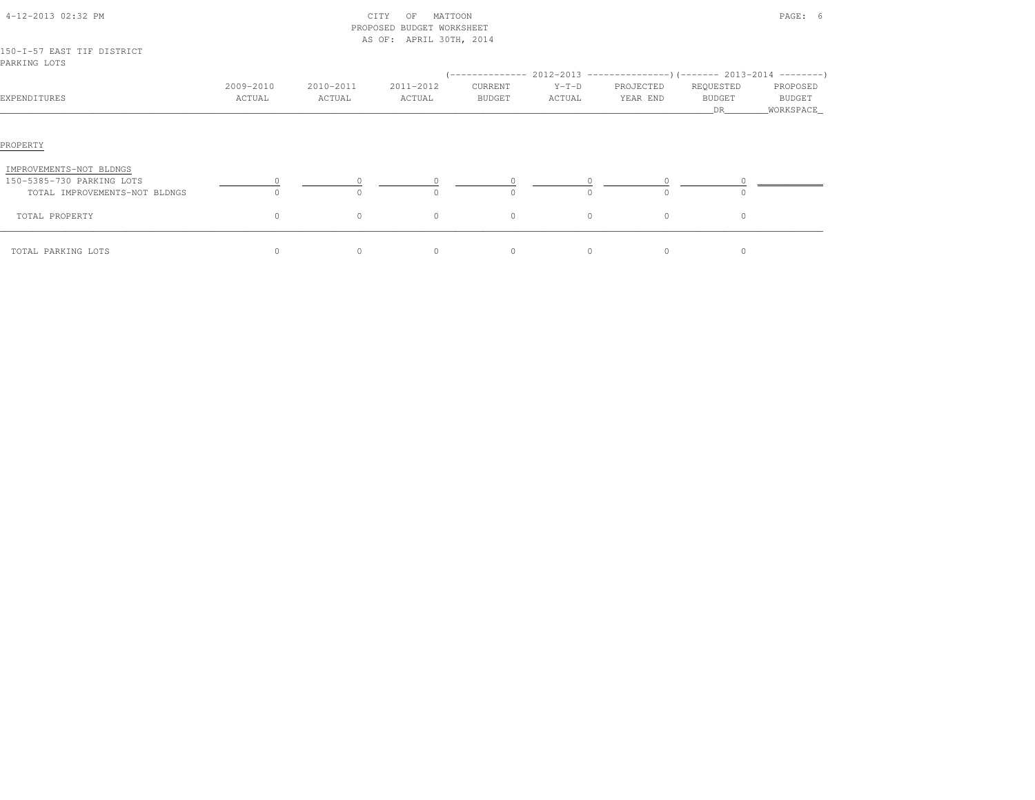|                                                            |                     |                     | PROPOSED BUDGET WORKSHEET<br>AS OF: APRIL 30TH, 2014 |                     |                   |                       |                                   |                                 |
|------------------------------------------------------------|---------------------|---------------------|------------------------------------------------------|---------------------|-------------------|-----------------------|-----------------------------------|---------------------------------|
| 150-I-57 EAST TIF DISTRICT<br>PARKING LOTS                 |                     |                     |                                                      |                     |                   |                       |                                   |                                 |
| EXPENDITURES                                               | 2009-2010<br>ACTUAL | 2010-2011<br>ACTUAL | 2011-2012<br>ACTUAL                                  | CURRENT<br>BUDGET   | $Y-T-D$<br>ACTUAL | PROJECTED<br>YEAR END | REQUESTED<br><b>BUDGET</b><br>DR. | PROPOSED<br>BUDGET<br>WORKSPACE |
| PROPERTY                                                   |                     |                     |                                                      |                     |                   |                       |                                   |                                 |
| IMPROVEMENTS-NOT BLDNGS                                    |                     |                     |                                                      |                     |                   |                       |                                   |                                 |
| 150-5385-730 PARKING LOTS<br>TOTAL IMPROVEMENTS-NOT BLDNGS |                     | $\bigcap$           | $\cap$                                               | $\circ$<br>$\Omega$ |                   | $\cap$                | $\cap$                            |                                 |
| TOTAL PROPERTY                                             | $\circ$             | $\circ$             | $\circ$                                              | $\circ$             | $\circ$           | $\circ$               | $\circ$                           |                                 |
| TOTAL PARKING LOTS                                         | $\Omega$            | $\Omega$            | $\Omega$                                             | $\Omega$            | $\Omega$          | $\Omega$              | $\Omega$                          |                                 |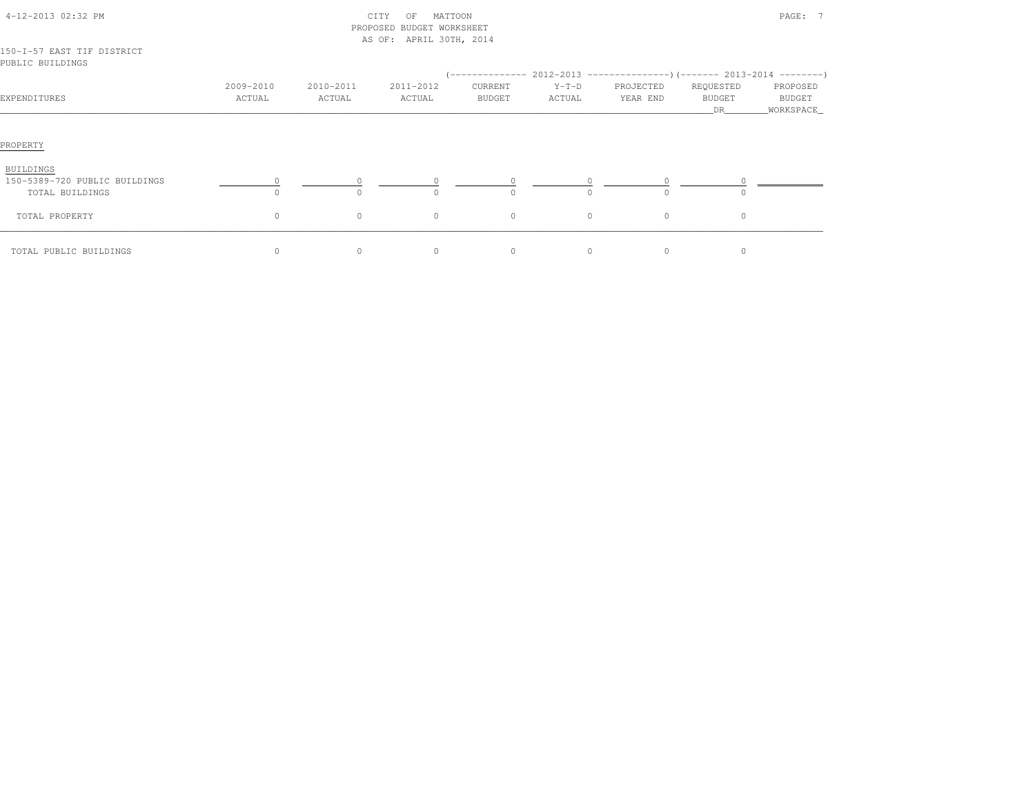|                                                               |                     |                     | FROFOGED BODGEI WORKGHEEI |                   |                   |                                                                                                    |                                  |                                   |
|---------------------------------------------------------------|---------------------|---------------------|---------------------------|-------------------|-------------------|----------------------------------------------------------------------------------------------------|----------------------------------|-----------------------------------|
|                                                               |                     |                     | AS OF: APRIL 30TH, 2014   |                   |                   |                                                                                                    |                                  |                                   |
| 150-I-57 EAST TIF DISTRICT<br>PUBLIC BUILDINGS                |                     |                     |                           |                   |                   |                                                                                                    |                                  |                                   |
| EXPENDITURES                                                  | 2009-2010<br>ACTUAL | 2010-2011<br>ACTUAL | 2011-2012<br>ACTUAL       | CURRENT<br>BUDGET | $Y-T-D$<br>ACTUAL | (-------------- 2012-2013 ----------------) (------- 2013-2014 ---------)<br>PROJECTED<br>YEAR END | REQUESTED<br><b>BUDGET</b><br>DR | PROPOSED<br>BUDGET<br>_WORKSPACE_ |
| PROPERTY                                                      |                     |                     |                           |                   |                   |                                                                                                    |                                  |                                   |
| BUILDINGS<br>150-5389-720 PUBLIC BUILDINGS<br>TOTAL BUILDINGS | $\circ$<br>$\cap$   | $\Omega$            | $\bigcap$                 | $\Omega$          | $\circ$<br>$\cap$ | $\cap$                                                                                             | $\cap$                           |                                   |
| TOTAL PROPERTY                                                | $\circ$             | $\circ$             | $\circ$                   | $\circ$           | $\circ$           | $\circ$                                                                                            | $\circ$                          |                                   |
| TOTAL PUBLIC BUILDINGS                                        | $\Omega$            | $\Omega$            | $\Omega$                  | $\Omega$          | $\Omega$          | $\Omega$                                                                                           | $\Omega$                         |                                   |

 4-12-2013 02:32 PM CITY OF MATTOON PAGE: 7PROPOSED BUDGET WORKSHEET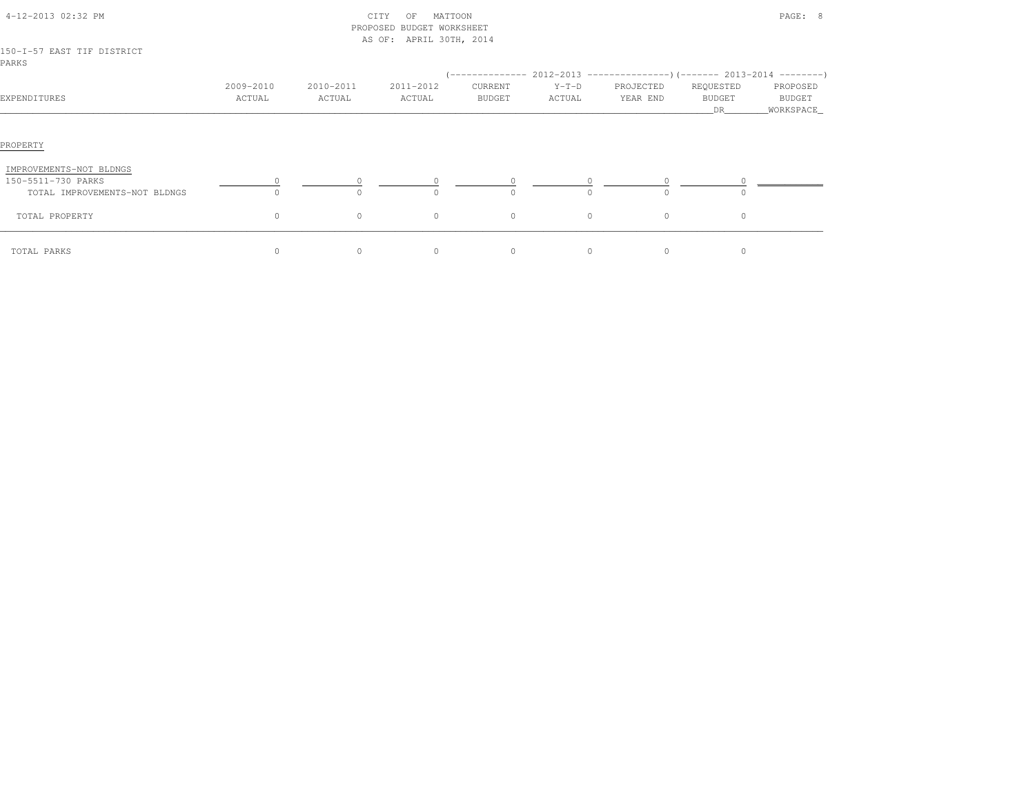| 4-12-2013 02:32 PM<br>150-I-57 EAST TIF DISTRICT |                     |                     | MATTOON<br>CITY<br>OF<br>PROPOSED BUDGET WORKSHEET<br>AS OF: APRIL 30TH, 2014 |                   |                                                                                                    |                       |                                  | PAGE: 8                          |
|--------------------------------------------------|---------------------|---------------------|-------------------------------------------------------------------------------|-------------------|----------------------------------------------------------------------------------------------------|-----------------------|----------------------------------|----------------------------------|
| PARKS                                            |                     |                     |                                                                               |                   |                                                                                                    |                       |                                  |                                  |
| EXPENDITURES                                     | 2009-2010<br>ACTUAL | 2010-2011<br>ACTUAL | 2011-2012<br>ACTUAL                                                           | CURRENT<br>BUDGET | $(-$ -------------- 2012-2013 -----------------)(------- 2013-2014 ---------)<br>$Y-T-D$<br>ACTUAL | PROJECTED<br>YEAR END | REQUESTED<br><b>BUDGET</b><br>DR | PROPOSED<br>BUDGET<br>WORKSPACE_ |
|                                                  |                     |                     |                                                                               |                   |                                                                                                    |                       |                                  |                                  |
| PROPERTY                                         |                     |                     |                                                                               |                   |                                                                                                    |                       |                                  |                                  |
| IMPROVEMENTS-NOT BLDNGS                          |                     |                     |                                                                               |                   |                                                                                                    |                       |                                  |                                  |
| 150-5511-730 PARKS                               |                     |                     |                                                                               |                   |                                                                                                    |                       |                                  |                                  |
| TOTAL IMPROVEMENTS-NOT BLDNGS                    |                     |                     |                                                                               |                   |                                                                                                    |                       |                                  |                                  |
| TOTAL PROPERTY                                   | $\circ$             | $\circ$             | $\circ$                                                                       | $\circ$           | $\circ$                                                                                            | $\circ$               | $\circ$                          |                                  |
| TOTAL PARKS                                      | $\circ$             | $\circ$             | $\circ$                                                                       | $\circ$           | 0                                                                                                  | $\circ$               | $\circ$                          |                                  |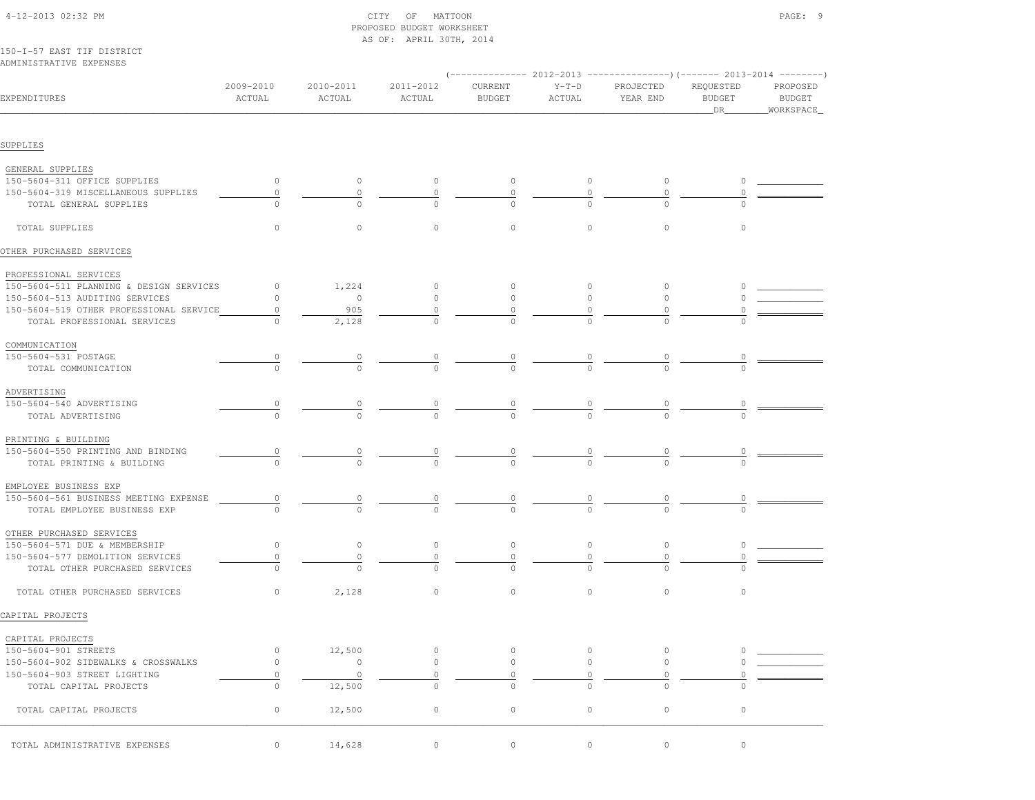| 150-I-57 EAST TIF DISTRICT<br>ADMINISTRATIVE EXPENSES |                      |                     |                     |                          |                            |                       |                                                                                                                |                                 |  |
|-------------------------------------------------------|----------------------|---------------------|---------------------|--------------------------|----------------------------|-----------------------|----------------------------------------------------------------------------------------------------------------|---------------------------------|--|
| EXPENDITURES                                          | 2009-2010<br>ACTUAL  | 2010-2011<br>ACTUAL | 2011-2012<br>ACTUAL | CURRENT<br><b>BUDGET</b> | $Y-T-D$<br>ACTUAL          | PROJECTED<br>YEAR END | (-------------- 2012-2013 ----------------) (------- 2013-2014 --------)<br>REQUESTED<br><b>BUDGET</b><br>_DR_ | PROPOSED<br>BUDGET<br>WORKSPACE |  |
| SUPPLIES                                              |                      |                     |                     |                          |                            |                       |                                                                                                                |                                 |  |
|                                                       |                      |                     |                     |                          |                            |                       |                                                                                                                |                                 |  |
| GENERAL SUPPLIES<br>150-5604-311 OFFICE SUPPLIES      | $\circ$              |                     |                     |                          |                            |                       |                                                                                                                |                                 |  |
| 150-5604-319 MISCELLANEOUS SUPPLIES                   | 0                    | $\circ$<br>$\circ$  | $\circ$             | $\circ$<br>0             | $\circ$                    | $\circ$<br>0          | $\circ$                                                                                                        |                                 |  |
| TOTAL GENERAL SUPPLIES                                |                      | $\Omega$            | 0                   |                          | 0                          |                       |                                                                                                                |                                 |  |
|                                                       |                      |                     |                     |                          |                            |                       |                                                                                                                |                                 |  |
| TOTAL SUPPLIES                                        | 0                    | $\circ$             | $\circ$             | $\mathbf{0}$             | $\mathbf{0}$               | $\circ$               | $\circ$                                                                                                        |                                 |  |
| OTHER PURCHASED SERVICES                              |                      |                     |                     |                          |                            |                       |                                                                                                                |                                 |  |
| PROFESSIONAL SERVICES                                 |                      |                     |                     |                          |                            |                       |                                                                                                                |                                 |  |
| 150-5604-511 PLANNING & DESIGN SERVICES               | $\circ$              | 1,224               | $\circ$             | $\circ$                  | $\circ$                    | 0                     | $\circ$                                                                                                        |                                 |  |
| 150-5604-513 AUDITING SERVICES                        | 0                    | $\circ$             | $\circ$             | $\circ$                  | $\circ$                    | $\circ$               |                                                                                                                |                                 |  |
| 150-5604-519 OTHER PROFESSIONAL SERVICE               | 0                    | 905                 |                     |                          |                            |                       |                                                                                                                |                                 |  |
| TOTAL PROFESSIONAL SERVICES                           | 0                    | 2,128               | $\Omega$            |                          |                            |                       |                                                                                                                |                                 |  |
| COMMUNICATION                                         |                      |                     |                     |                          |                            |                       |                                                                                                                |                                 |  |
| 150-5604-531 POSTAGE                                  | $\frac{0}{\sqrt{2}}$ |                     |                     |                          |                            |                       |                                                                                                                |                                 |  |
| TOTAL COMMUNICATION                                   |                      |                     |                     |                          | $\frac{0}{0}$              |                       |                                                                                                                |                                 |  |
| ADVERTISING                                           |                      |                     |                     |                          |                            |                       |                                                                                                                |                                 |  |
| 150-5604-540 ADVERTISING                              | $\overline{0}$       |                     | $\overline{0}$      | $\frac{0}{2}$            | $\frac{0}{\sqrt{2}}$       |                       |                                                                                                                |                                 |  |
| TOTAL ADVERTISING                                     |                      |                     |                     |                          |                            |                       |                                                                                                                |                                 |  |
| PRINTING & BUILDING                                   |                      |                     |                     |                          |                            |                       |                                                                                                                |                                 |  |
| 150-5604-550 PRINTING AND BINDING                     | $\overline{0}$       |                     | $\overline{0}$      |                          | $\overline{\circ}$         |                       |                                                                                                                |                                 |  |
| TOTAL PRINTING & BUILDING                             |                      |                     | $\Omega$            |                          |                            |                       |                                                                                                                |                                 |  |
| EMPLOYEE BUSINESS EXP                                 |                      |                     |                     |                          |                            |                       |                                                                                                                |                                 |  |
| 150-5604-561 BUSINESS MEETING EXPENSE                 | $\overline{0}$       | $\circ$             | $\overline{0}$      | $\overline{0}$           | $\overline{\phantom{a}}^0$ |                       |                                                                                                                |                                 |  |
| TOTAL EMPLOYEE BUSINESS EXP                           |                      |                     | $\Omega$            |                          |                            |                       |                                                                                                                |                                 |  |
| OTHER PURCHASED SERVICES                              |                      |                     |                     |                          |                            |                       |                                                                                                                |                                 |  |
| 150-5604-571 DUE & MEMBERSHIP                         | $\circ$              | $\circ$             | $\circ$             | $\circ$                  | $\circ$                    | 0                     | $\circ$                                                                                                        |                                 |  |
| 150-5604-577 DEMOLITION SERVICES                      | $\circ$              | $\circ$             | $\circ$             | $\circ$                  | $\circ$                    | 0                     | $\circ$                                                                                                        |                                 |  |
| TOTAL OTHER PURCHASED SERVICES                        | 0                    | $\Omega$            | $\Omega$            | $\Omega$                 | $\cap$                     | $\cap$                |                                                                                                                |                                 |  |
| TOTAL OTHER PURCHASED SERVICES                        | 0                    | 2,128               | 0                   | $\circ$                  | $\mathbf{0}$               | $\circ$               | $\circ$                                                                                                        |                                 |  |
| CAPITAL PROJECTS                                      |                      |                     |                     |                          |                            |                       |                                                                                                                |                                 |  |
| CAPITAL PROJECTS                                      |                      |                     |                     |                          |                            |                       |                                                                                                                |                                 |  |
| 150-5604-901 STREETS                                  | 0                    | 12,500              | $\circ$             | $\mathbb O$              | $\circ$                    | $\circ$               | $\Omega$                                                                                                       |                                 |  |
| 150-5604-902 SIDEWALKS & CROSSWALKS                   | $\mathsf{O}\xspace$  | $\circ$             | $\circ$             | $\mathbb O$              | $\circ$                    | 0                     |                                                                                                                |                                 |  |
| 150-5604-903 STREET LIGHTING                          | $\circ$              | $\circ$             | $\circ$             | $\circ$                  | $\circ$                    | $\circ$               |                                                                                                                |                                 |  |
| TOTAL CAPITAL PROJECTS                                | $\circ$              | 12,500              | $\circ$             | $\circ$                  | $\circ$                    | $\circ$               | $\circ$                                                                                                        |                                 |  |
|                                                       |                      |                     |                     |                          |                            |                       |                                                                                                                |                                 |  |
| TOTAL CAPITAL PROJECTS                                | $\circ$              | 12,500              | $\circ$             | $\circ$                  | $\circ$                    | $\mathbb O$           | $\circ$                                                                                                        |                                 |  |
| TOTAL ADMINISTRATIVE EXPENSES                         | 0                    | 14,628              | $\circ$             | $\circ$                  | $\circ$                    | $\mathbb O$           | $\circ$                                                                                                        |                                 |  |
|                                                       |                      |                     |                     |                          |                            |                       |                                                                                                                |                                 |  |

 4-12-2013 02:32 PM CITY OF MATTOON PAGE: 9 PROPOSED BUDGET WORKSHEETAS OF: APRIL 30TH, 2014

## 150-I-57 EAST TIF DISTRICTADN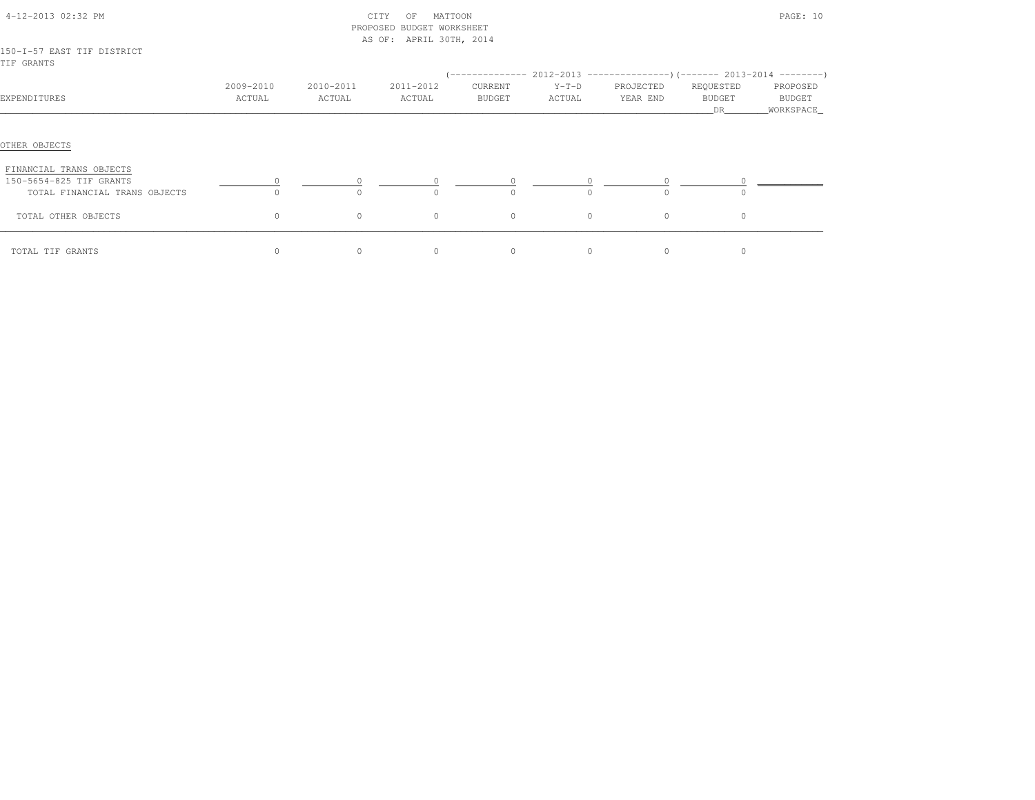| 4-12-2013 02:32 PM                                 |                     |                     | CITY<br>MATTOON<br>OF<br>PROPOSED BUDGET WORKSHEET<br>AS OF: APRIL 30TH, 2014 |                          |                   |                       | PAGE: 10            |                    |  |  |  |  |
|----------------------------------------------------|---------------------|---------------------|-------------------------------------------------------------------------------|--------------------------|-------------------|-----------------------|---------------------|--------------------|--|--|--|--|
| 150-I-57 EAST TIF DISTRICT<br>TIF GRANTS           |                     |                     |                                                                               |                          |                   |                       |                     |                    |  |  |  |  |
|                                                    |                     |                     |                                                                               |                          |                   |                       |                     |                    |  |  |  |  |
| EXPENDITURES                                       | 2009-2010<br>ACTUAL | 2010-2011<br>ACTUAL | 2011-2012<br>ACTUAL                                                           | CURRENT<br><b>BUDGET</b> | $Y-T-D$<br>ACTUAL | PROJECTED<br>YEAR END | REQUESTED<br>BUDGET | PROPOSED<br>BUDGET |  |  |  |  |
| OTHER OBJECTS                                      |                     |                     |                                                                               |                          |                   |                       |                     |                    |  |  |  |  |
| FINANCIAL TRANS OBJECTS<br>150-5654-825 TIF GRANTS |                     |                     |                                                                               |                          |                   |                       |                     |                    |  |  |  |  |
| TOTAL FINANCIAL TRANS OBJECTS                      | $\Omega$            |                     | $\Omega$                                                                      | $\Omega$                 | $\Omega$          | $\Omega$              | $\bigcap$           |                    |  |  |  |  |
| TOTAL OTHER OBJECTS                                | 0                   | $\circ$             | $\circ$                                                                       | $\circ$                  | $\circ$           | $\circ$               | $\circ$             |                    |  |  |  |  |
| TOTAL TIF GRANTS                                   | $\circ$             | $\circ$             | $\circ$                                                                       | $\circ$                  | $\circ$           | $\circ$               | $\circ$             |                    |  |  |  |  |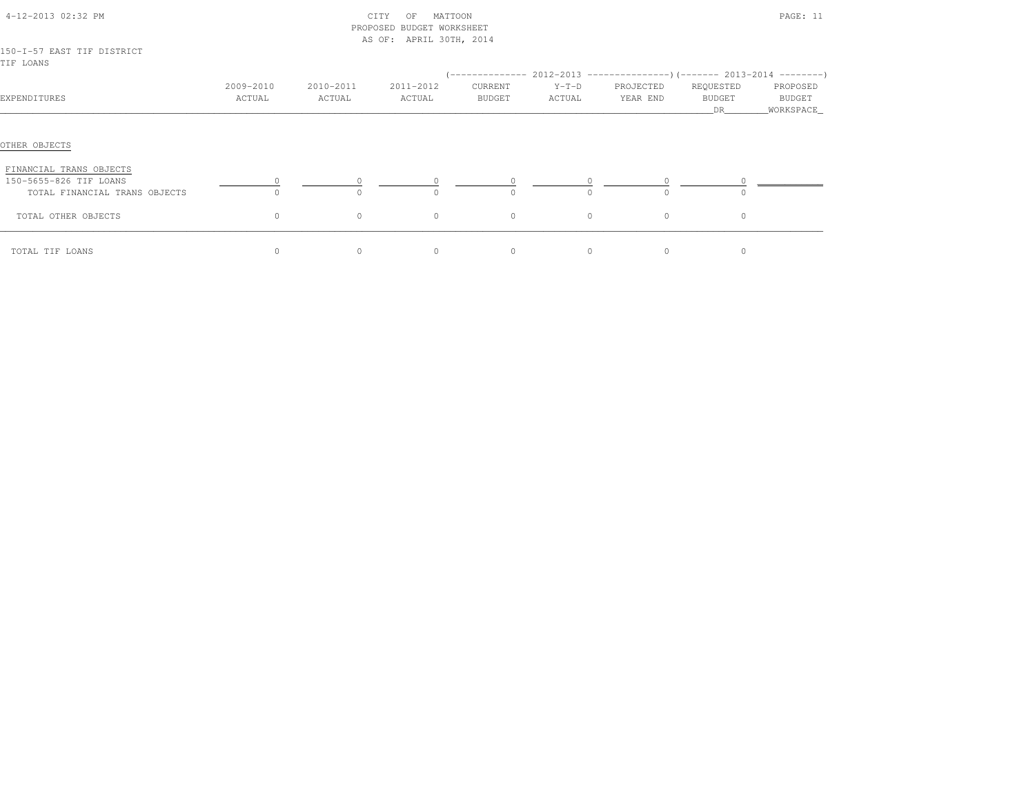|                                                                                    |                     |                     | PROPOSED BUDGET WORKSHEET<br>AS OF: APRIL 30TH, 2014 |                                       |                   |                                                                                    |                                   |                                  |
|------------------------------------------------------------------------------------|---------------------|---------------------|------------------------------------------------------|---------------------------------------|-------------------|------------------------------------------------------------------------------------|-----------------------------------|----------------------------------|
| 150-I-57 EAST TIF DISTRICT<br>TIF LOANS                                            |                     |                     |                                                      |                                       |                   |                                                                                    |                                   |                                  |
| EXPENDITURES                                                                       | 2009-2010<br>ACTUAL | 2010-2011<br>ACTUAL | 2011-2012<br>ACTUAL                                  | ( --------------<br>CURRENT<br>BUDGET | $Y-T-D$<br>ACTUAL | $2012-2013$ ----------------)(------- 2013-2014 --------)<br>PROJECTED<br>YEAR END | REQUESTED<br><b>BUDGET</b><br>DR. | PROPOSED<br>BUDGET<br>WORKSPACE_ |
| OTHER OBJECTS                                                                      |                     |                     |                                                      |                                       |                   |                                                                                    |                                   |                                  |
| FINANCIAL TRANS OBJECTS<br>150-5655-826 TIF LOANS<br>TOTAL FINANCIAL TRANS OBJECTS | $\cap$              |                     | $\Omega$<br>$\cap$                                   | $\Omega$                              | $\cap$            | $\circ$<br>$\Omega$                                                                |                                   |                                  |
| TOTAL OTHER OBJECTS                                                                | $\circ$             | $\circ$             | $\circ$                                              | $\circ$                               | $\circ$           | $\circ$                                                                            | $\circ$                           |                                  |
| TOTAL TIF LOANS                                                                    | $\circ$             | $\circ$             | $\circ$                                              | $\circ$                               | $\circ$           | $\circ$                                                                            |                                   |                                  |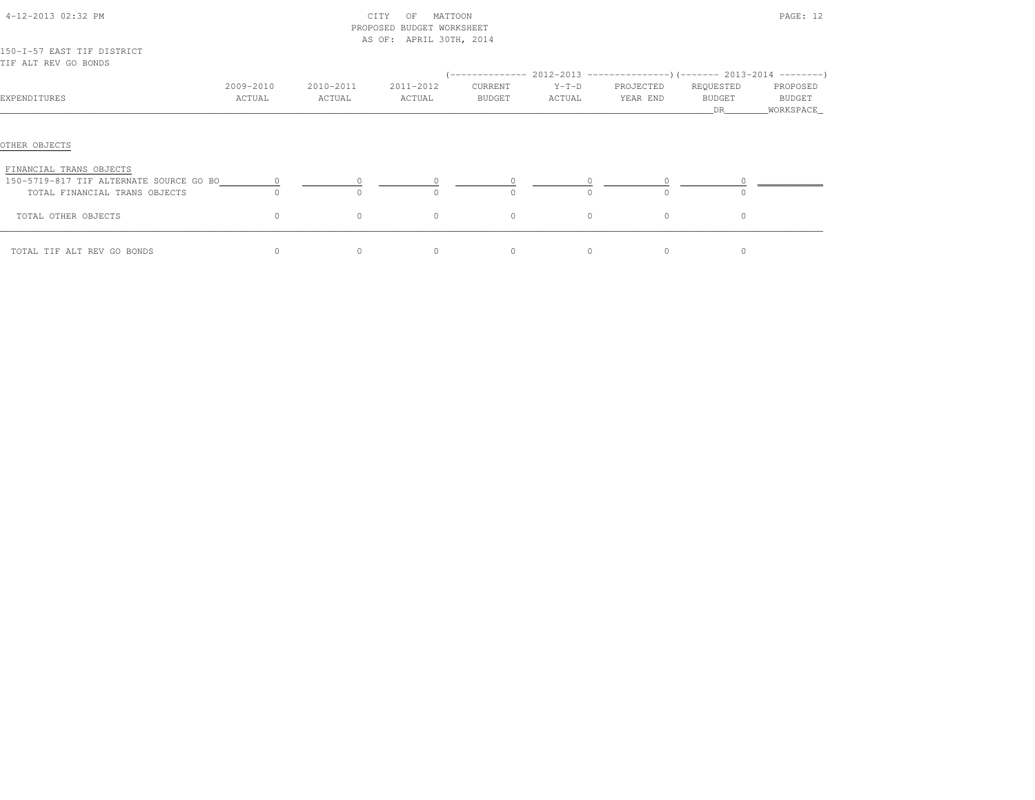|                                                                          |                      |                     | PROPOSED BUDGET WORKSHEET<br>AS OF: APRIL 30TH, 2014 |                   |                     |                       |                           |                                   |
|--------------------------------------------------------------------------|----------------------|---------------------|------------------------------------------------------|-------------------|---------------------|-----------------------|---------------------------|-----------------------------------|
| 150-I-57 EAST TIF DISTRICT<br>TIF ALT REV GO BONDS                       |                      |                     |                                                      |                   |                     |                       |                           |                                   |
| EXPENDITURES                                                             | 2009-2010<br>ACTUAL  | 2010-2011<br>ACTUAL | 2011-2012<br>ACTUAL                                  | CURRENT<br>BUDGET | $Y-T-D$<br>ACTUAL   | PROJECTED<br>YEAR END | REQUESTED<br>BUDGET<br>DR | PROPOSED<br>BUDGET<br>_WORKSPACE_ |
| OTHER OBJECTS<br>FINANCIAL TRANS OBJECTS                                 |                      |                     |                                                      |                   |                     |                       |                           |                                   |
| 150-5719-817 TIF ALTERNATE SOURCE GO BO<br>TOTAL FINANCIAL TRANS OBJECTS | $\circ$<br>$\bigcap$ | $\circ$<br>$\cap$   | $\bigcap$                                            | $\Omega$          | $\circ$<br>$\Omega$ | $\cap$                | $\cap$                    |                                   |
| TOTAL OTHER OBJECTS                                                      | $\circ$              | $\circ$             | $\circ$                                              | $\circ$           | $\circ$             | $\circ$               | $\circ$                   |                                   |
| TOTAL TIF ALT REV GO BONDS                                               | $\circ$              | $\circ$             | $\circ$                                              | $\circ$           | $\circ$             | $\circ$               | $\circ$                   |                                   |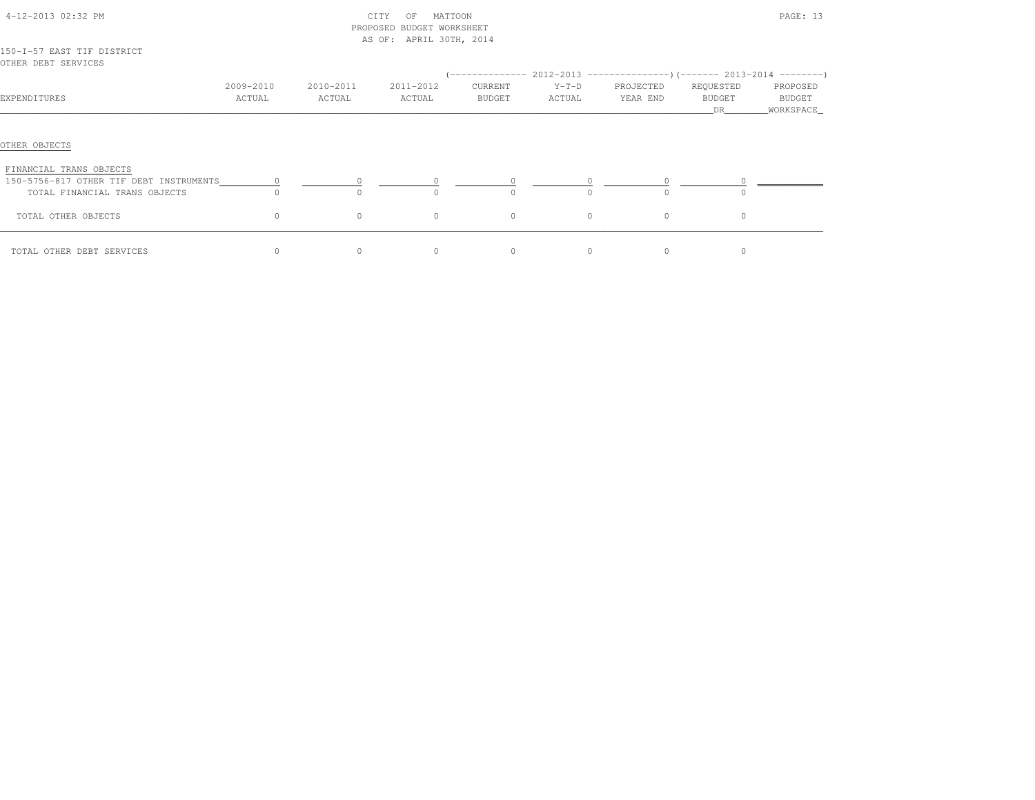|                                                   |           |           | PROPOSED BUDGET WORKSHEET |                  |          |                                                           |                      |                     |
|---------------------------------------------------|-----------|-----------|---------------------------|------------------|----------|-----------------------------------------------------------|----------------------|---------------------|
|                                                   |           |           | AS OF: APRIL 30TH, 2014   |                  |          |                                                           |                      |                     |
| 150-I-57 EAST TIF DISTRICT<br>OTHER DEBT SERVICES |           |           |                           |                  |          |                                                           |                      |                     |
|                                                   |           |           |                           | ( -------------- |          | $2012-2013$ ---------------) (------- 2013-2014 --------) |                      |                     |
|                                                   | 2009-2010 | 2010-2011 | 2011-2012                 | CURRENT          | $Y-T-D$  | PROJECTED                                                 | REQUESTED            | PROPOSED            |
| EXPENDITURES                                      | ACTUAL    | ACTUAL    | ACTUAL                    | BUDGET           | ACTUAL   | YEAR END                                                  | <b>BUDGET</b><br>DR. | BUDGET<br>WORKSPACE |
| OTHER OBJECTS<br>FINANCIAL TRANS OBJECTS          |           |           |                           |                  |          |                                                           |                      |                     |
| 150-5756-817 OTHER TIF DEBT INSTRUMENTS           |           |           | $\Omega$                  |                  |          |                                                           |                      |                     |
| TOTAL FINANCIAL TRANS OBJECTS                     |           |           |                           |                  |          |                                                           |                      |                     |
| TOTAL OTHER OBJECTS                               | $\circ$   | $\circ$   | $\circ$                   | $\circ$          | $\circ$  | $\circ$                                                   | $\circ$              |                     |
| TOTAL OTHER DEBT SERVICES                         | $\Omega$  | $\Omega$  | $\Omega$                  | $\Omega$         | $\Omega$ | $\Omega$                                                  | $\Omega$             |                     |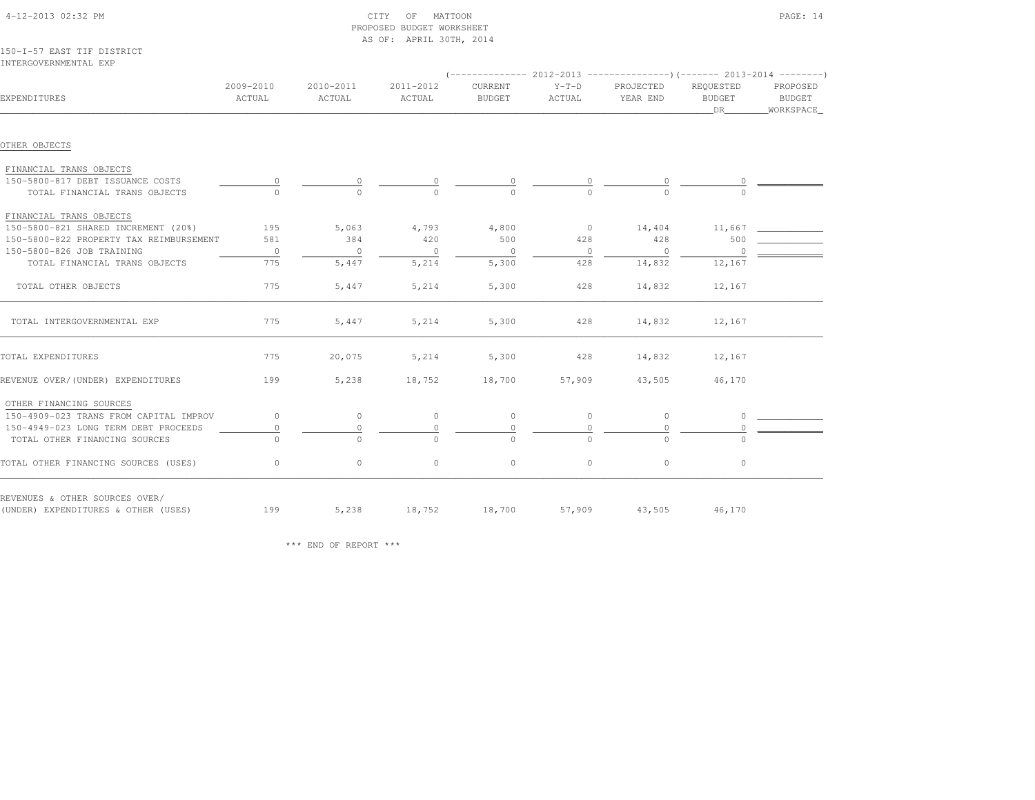| 150-I-57 EAST TIF DISTRICT<br>INTERGOVERNMENTAL EXP |                     |                     |                     |                          |                   |                                                                                                  |                                  |                                 |
|-----------------------------------------------------|---------------------|---------------------|---------------------|--------------------------|-------------------|--------------------------------------------------------------------------------------------------|----------------------------------|---------------------------------|
| EXPENDITURES                                        | 2009-2010<br>ACTUAL | 2010-2011<br>ACTUAL | 2011-2012<br>ACTUAL | CURRENT<br><b>BUDGET</b> | $Y-T-D$<br>ACTUAL | (-------------- 2012-2013 ----------------)(------- 2013-2014 --------)<br>PROJECTED<br>YEAR END | REQUESTED<br><b>BUDGET</b><br>DR | PROPOSED<br>BUDGET<br>WORKSPACE |
|                                                     |                     |                     |                     |                          |                   |                                                                                                  |                                  |                                 |
| OTHER OBJECTS                                       |                     |                     |                     |                          |                   |                                                                                                  |                                  |                                 |
| FINANCIAL TRANS OBJECTS                             |                     |                     |                     |                          |                   |                                                                                                  |                                  |                                 |
| 150-5800-817 DEBT ISSUANCE COSTS                    | 0                   | $\overline{0}$      |                     | $\frac{0}{0}$            |                   |                                                                                                  | $\frac{0}{2}$                    |                                 |
| TOTAL FINANCIAL TRANS OBJECTS                       |                     | $\Omega$            |                     |                          |                   |                                                                                                  |                                  |                                 |
| FINANCIAL TRANS OBJECTS                             |                     |                     |                     |                          |                   |                                                                                                  |                                  |                                 |
| 150-5800-821 SHARED INCREMENT (20%)                 | 195                 | 5,063               | 4,793               | 4,800                    | $\overline{0}$    | 14,404                                                                                           | 11,667                           |                                 |
| 150-5800-822 PROPERTY TAX REIMBURSEMENT             | 581                 | 384                 | 420                 | 500                      | 428               | 428                                                                                              | 500                              |                                 |
| 150-5800-826 JOB TRAINING                           | $\overline{0}$      | $\circ$             | $\circ$             | $\circ$                  | $\mathbf{0}$      | $\overline{0}$                                                                                   | $\overline{0}$                   |                                 |
| TOTAL FINANCIAL TRANS OBJECTS                       | 775                 | 5,447               | 5,214               | 5,300                    | 428               | 14,832                                                                                           | 12,167                           |                                 |
| TOTAL OTHER OBJECTS                                 | 775                 | 5,447               | 5,214               | 5,300                    | 428               | 14,832                                                                                           | 12,167                           |                                 |
| TOTAL INTERGOVERNMENTAL EXP                         | 775                 | 5,447               | 5,214               | 5,300                    | 428               | 14,832                                                                                           | 12,167                           |                                 |
| TOTAL EXPENDITURES                                  | 775                 | 20,075              | 5,214               | 5,300                    | 428               | 14,832                                                                                           | 12,167                           |                                 |
| REVENUE OVER/(UNDER) EXPENDITURES                   | 199                 | 5,238               | 18,752              | 18,700                   | 57,909            | 43,505                                                                                           | 46,170                           |                                 |
| OTHER FINANCING SOURCES                             |                     |                     |                     |                          |                   |                                                                                                  |                                  |                                 |
| 150-4909-023 TRANS FROM CAPITAL IMPROV              | $\circ$             | $\circ$             | $\circ$             | $\circ$                  | $\circ$           | $\circ$                                                                                          | $\circ$                          |                                 |
| 150-4949-023 LONG TERM DEBT PROCEEDS                | $\circ$             | $\circ$             | $\circ$             | $\mathbf{0}$             | $\circ$           | 0                                                                                                | $\circ$                          |                                 |
| TOTAL OTHER FINANCING SOURCES                       | $\Omega$            | $\Omega$            | $\Omega$            | $\Omega$                 | $\Omega$          | $\Omega$                                                                                         | $\Omega$                         |                                 |
| TOTAL OTHER FINANCING SOURCES (USES)                | 0                   | $\circ$             | $\circ$             | $\circ$                  | $\circ$           | $\circ$                                                                                          | $\circ$                          |                                 |
| REVENUES & OTHER SOURCES OVER/                      |                     |                     |                     |                          |                   |                                                                                                  |                                  |                                 |
| (UNDER) EXPENDITURES & OTHER (USES)                 | 199                 | 5,238               | 18,752              | 18,700                   | 57,909            |                                                                                                  | 43,505 46,170                    |                                 |

 4-12-2013 02:32 PM CITY OF MATTOON PAGE: 14PROPOSED BUDGET WORKSHEET

AS OF: APRIL 30TH, 2014

\*\*\* END OF REPORT \*\*\*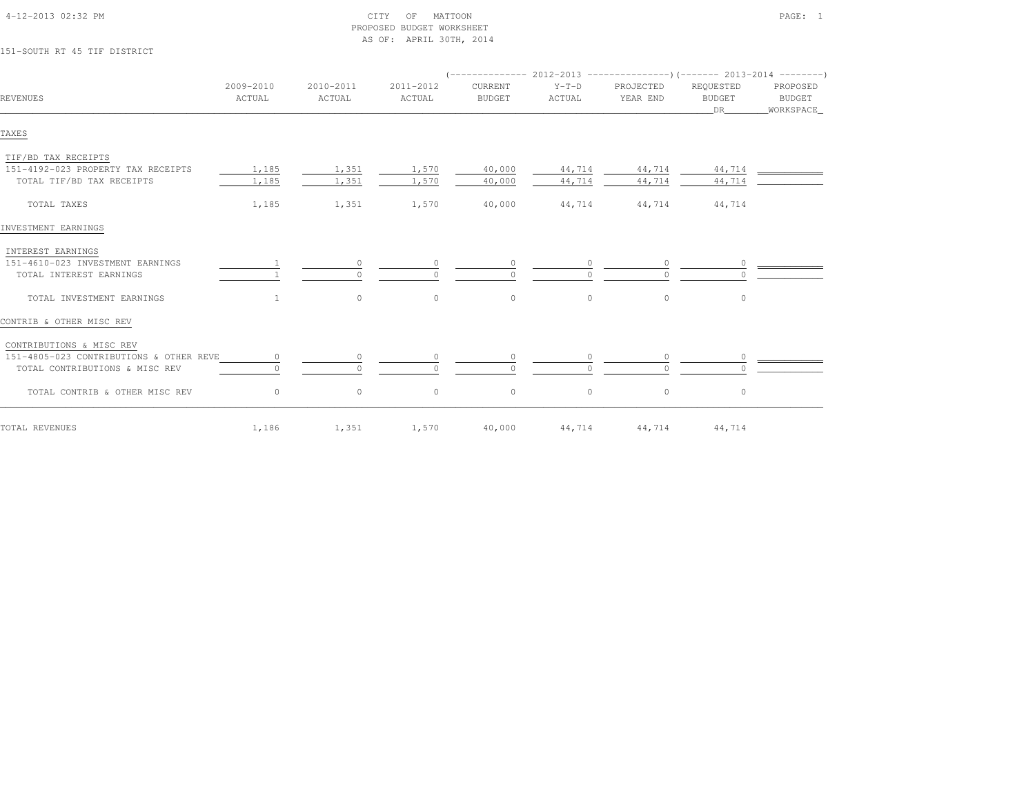| 151-SOUTH RT 45 TIF DISTRICT                                                           |                     |                     | AS OF: APRIL 30TH, 2014 |                          |                   |                                                                             |                                  |                                 |
|----------------------------------------------------------------------------------------|---------------------|---------------------|-------------------------|--------------------------|-------------------|-----------------------------------------------------------------------------|----------------------------------|---------------------------------|
|                                                                                        |                     |                     |                         |                          |                   | $($ -------------- 2012-2013 ----------------) (------- 2013-2014 --------) |                                  |                                 |
| REVENUES                                                                               | 2009-2010<br>ACTUAL | 2010-2011<br>ACTUAL | 2011-2012<br>ACTUAL     | CURRENT<br><b>BUDGET</b> | $Y-T-D$<br>ACTUAL | PROJECTED<br>YEAR END                                                       | REQUESTED<br><b>BUDGET</b><br>DR | PROPOSED<br>BUDGET<br>WORKSPACE |
| TAXES                                                                                  |                     |                     |                         |                          |                   |                                                                             |                                  |                                 |
| TIF/BD TAX RECEIPTS<br>151-4192-023 PROPERTY TAX RECEIPTS<br>TOTAL TIF/BD TAX RECEIPTS | 1,185<br>1,185      | 1,351<br>1,351      | 1,570<br>1,570          | 40,000<br>40,000         | 44,714<br>44,714  | 44,714<br>44,714                                                            | 44,714<br>44,714                 |                                 |
| TOTAL TAXES                                                                            | 1,185               | 1,351               | 1,570                   | 40,000                   | 44,714            | 44,714                                                                      | 44,714                           |                                 |
| INVESTMENT EARNINGS                                                                    |                     |                     |                         |                          |                   |                                                                             |                                  |                                 |
| INTEREST EARNINGS<br>151-4610-023 INVESTMENT EARNINGS<br>TOTAL INTEREST EARNINGS       |                     | $\circ$<br>$\Omega$ | $\bigcap$               | $\circ$<br>$\Omega$      |                   | 0<br>$\cap$                                                                 | $\circ$                          |                                 |
| TOTAL INVESTMENT EARNINGS                                                              | $\mathbf{1}$        | $\circ$             | $\circ$                 | $\circ$                  | $\circ$           | $\circ$                                                                     | $\circ$                          |                                 |
| CONTRIB & OTHER MISC REV                                                               |                     |                     |                         |                          |                   |                                                                             |                                  |                                 |
| CONTRIBUTIONS & MISC REV                                                               |                     |                     |                         |                          |                   |                                                                             |                                  |                                 |
| 151-4805-023 CONTRIBUTIONS & OTHER REVE<br>TOTAL CONTRIBUTIONS & MISC REV              |                     | $\circ$<br>$\Omega$ |                         | $\circ$                  |                   | <sup>n</sup>                                                                | 0                                |                                 |
| TOTAL CONTRIB & OTHER MISC REV                                                         | $\circ$             | $\circ$             | $\circ$                 | $\circ$                  | $\circ$           | $\circ$                                                                     | $\circ$                          |                                 |
| TOTAL REVENUES                                                                         | 1,186               | 1,351               | 1,570                   | 40,000                   | 44,714            | 44,714                                                                      | 44,714                           |                                 |

 4-12-2013 02:32 PM CITY OF MATTOON PAGE: 1PROPOSED BUDGET WORKSHEET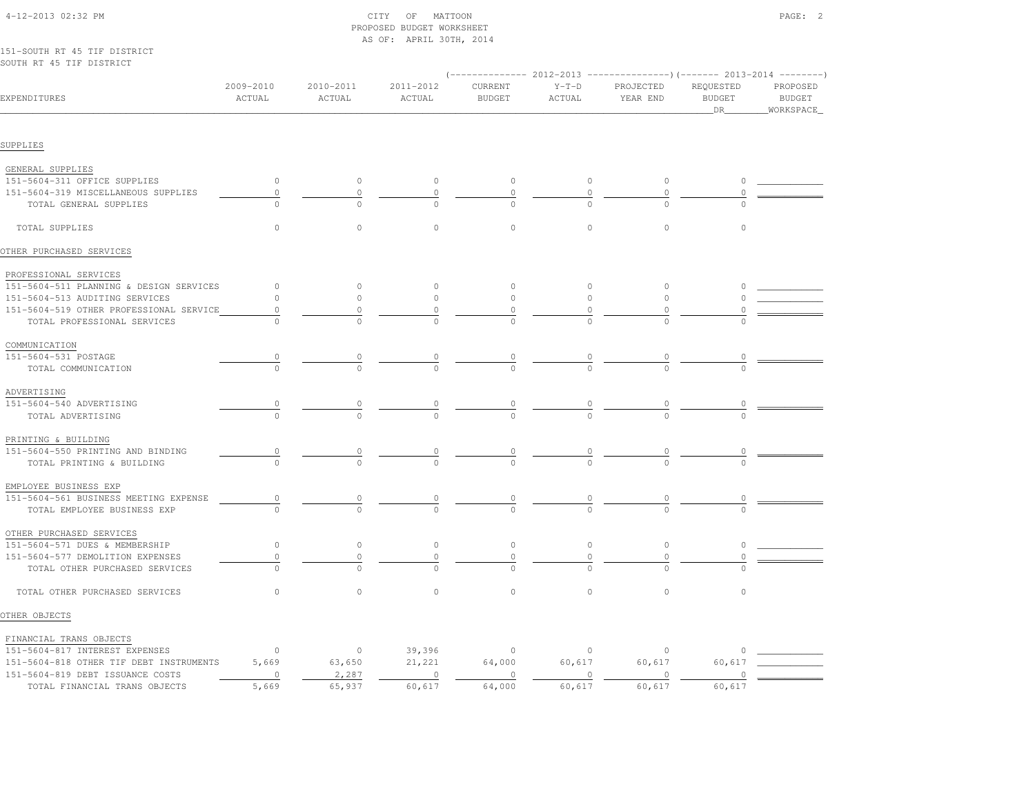| 151-SOUTH RT 45 TIF DISTRICT<br>SOUTH RT 45 TIF DISTRICT |                      |                     |                     |                          |                   |                                                                                               |                                   |                                        |
|----------------------------------------------------------|----------------------|---------------------|---------------------|--------------------------|-------------------|-----------------------------------------------------------------------------------------------|-----------------------------------|----------------------------------------|
| EXPENDITURES                                             | 2009-2010<br>ACTUAL  | 2010-2011<br>ACTUAL | 2011-2012<br>ACTUAL | CURRENT<br><b>BUDGET</b> | $Y-T-D$<br>ACTUAL | $(----------2012-2013$ ---------------) (------- 2013-2014 --------)<br>PROJECTED<br>YEAR END | REQUESTED<br><b>BUDGET</b><br>DR. | PROPOSED<br><b>BUDGET</b><br>WORKSPACE |
| SUPPLIES                                                 |                      |                     |                     |                          |                   |                                                                                               |                                   |                                        |
| GENERAL SUPPLIES                                         |                      |                     |                     |                          |                   |                                                                                               |                                   |                                        |
| 151-5604-311 OFFICE SUPPLIES                             | $\circ$              | $\circ$             | $\circ$             | $\circ$                  | $\circ$           | $\circ$                                                                                       | $\circ$                           |                                        |
| 151-5604-319 MISCELLANEOUS SUPPLIES                      | $\circ$              | $\circ$             | $\circ$             | $\circ$                  | $\mathbb O$       | $\circ$                                                                                       | $\Omega$                          |                                        |
| TOTAL GENERAL SUPPLIES                                   | $\Omega$             | $\Omega$            | $\Omega$            | $\Omega$                 |                   | $\cap$                                                                                        |                                   |                                        |
| TOTAL SUPPLIES                                           | $\circ$              | $\circ$             | $\circ$             | $\circ$                  | $\circ$           | $\circ$                                                                                       | $\circ$                           |                                        |
| OTHER PURCHASED SERVICES                                 |                      |                     |                     |                          |                   |                                                                                               |                                   |                                        |
| PROFESSIONAL SERVICES                                    |                      |                     |                     |                          |                   |                                                                                               |                                   |                                        |
| 151-5604-511 PLANNING & DESIGN SERVICES                  | $\circ$              | $\circ$             | $\circ$             | $\mathbb O$              | $\circ$           | $\circ$                                                                                       | $\circ$                           |                                        |
| 151-5604-513 AUDITING SERVICES                           | $\circ$              | $\circ$             | 0                   | $\circ$                  | $\circ$           | $\circ$                                                                                       | $\circ$                           |                                        |
| 151-5604-519 OTHER PROFESSIONAL SERVICE                  | $\circ$              | 0                   | 0                   | 0                        | 0                 | 0                                                                                             |                                   |                                        |
| TOTAL PROFESSIONAL SERVICES                              | $\cap$               | $\cap$              | $\Omega$            | $\Omega$                 | $\cap$            |                                                                                               |                                   |                                        |
| COMMUNICATION                                            |                      |                     |                     |                          |                   |                                                                                               |                                   |                                        |
| 151-5604-531 POSTAGE                                     | $\frac{0}{\sqrt{2}}$ | 0                   | $\overline{0}$      | $\overline{0}$           |                   | $\begin{array}{c} 0 \\ 0 \end{array}$                                                         | $\overline{0}$                    |                                        |
| TOTAL COMMUNICATION                                      |                      |                     |                     |                          | $\frac{0}{0}$     |                                                                                               |                                   |                                        |
| ADVERTISING                                              |                      |                     |                     |                          |                   |                                                                                               |                                   |                                        |
| 151-5604-540 ADVERTISING                                 | $\circ$              | $\overline{0}$      | $\frac{0}{2}$       | $\frac{0}{2}$            |                   | $\frac{0}{\sqrt{2}}$                                                                          |                                   |                                        |
| TOTAL ADVERTISING                                        |                      |                     |                     |                          | $\frac{0}{0}$     |                                                                                               |                                   |                                        |
| PRINTING & BUILDING                                      |                      |                     |                     |                          |                   |                                                                                               |                                   |                                        |
| 151-5604-550 PRINTING AND BINDING                        | $\overline{0}$       | 0                   | $\circ$             | $\circ$                  |                   | $\overline{0}$                                                                                | 0                                 |                                        |
| TOTAL PRINTING & BUILDING                                | $\Omega$             | $\Omega$            | $\Omega$            | $\Omega$                 | $\overline{0}$    | $\cap$                                                                                        |                                   |                                        |
| EMPLOYEE BUSINESS EXP                                    |                      |                     |                     |                          |                   |                                                                                               |                                   |                                        |
| 151-5604-561 BUSINESS MEETING EXPENSE                    | $\mathbb O$          | $\circ$             | $\circ$             | $\theta$                 | $\overline{0}$    | $\circ$                                                                                       | $\circ$                           |                                        |
| TOTAL EMPLOYEE BUSINESS EXP                              | $\cap$               | $\cap$              | $\cap$              | $\cap$                   |                   |                                                                                               |                                   |                                        |
| OTHER PURCHASED SERVICES                                 |                      |                     |                     |                          |                   |                                                                                               |                                   |                                        |
| 151-5604-571 DUES & MEMBERSHIP                           | $\circ$              | $\circ$             | $\circ$             | $\mathbb O$              | $\circ$           | $\mathbb O$                                                                                   | $\circ$                           |                                        |
| 151-5604-577 DEMOLITION EXPENSES                         | 0                    | $\circ$             | $\circ$             | 0                        | 0                 | 0                                                                                             | 0                                 |                                        |
| TOTAL OTHER PURCHASED SERVICES                           | $\Omega$             | $\Omega$            |                     |                          |                   |                                                                                               |                                   |                                        |
| TOTAL OTHER PURCHASED SERVICES                           | $\circ$              | $\circ$             | $\circ$             | $\circ$                  | $\circ$           | $\Omega$                                                                                      | $\circ$                           |                                        |
| OTHER OBJECTS                                            |                      |                     |                     |                          |                   |                                                                                               |                                   |                                        |
| FINANCIAL TRANS OBJECTS                                  |                      |                     |                     |                          |                   |                                                                                               |                                   |                                        |
| 151-5604-817 INTEREST EXPENSES                           | $\circ$              | $\circ$             | 39,396              | $\circ$                  | $\circ$           | $\circ$                                                                                       | 0                                 |                                        |
| 151-5604-818 OTHER TIF DEBT INSTRUMENTS                  | 5,669                | 63,650              | 21,221              | 64,000                   | 60,617            | 60,617                                                                                        | 60,617                            |                                        |
| 151-5604-819 DEBT ISSUANCE COSTS                         | $\circ$              | 2,287               | $\circ$             | $\mathbf{0}$             | $\mathbf{0}$      | $\circ$                                                                                       | $\Omega$                          |                                        |
| TOTAL FINANCIAL TRANS OBJECTS                            | 5,669                | 65,937              | 60,617              | 64,000                   | 60,617            | 60,617                                                                                        | 60,617                            |                                        |

 4-12-2013 02:32 PM CITY OF MATTOON PAGE: 2PROPOSED BUDGET WORKSHEET

AS OF: APRIL 30TH, 2014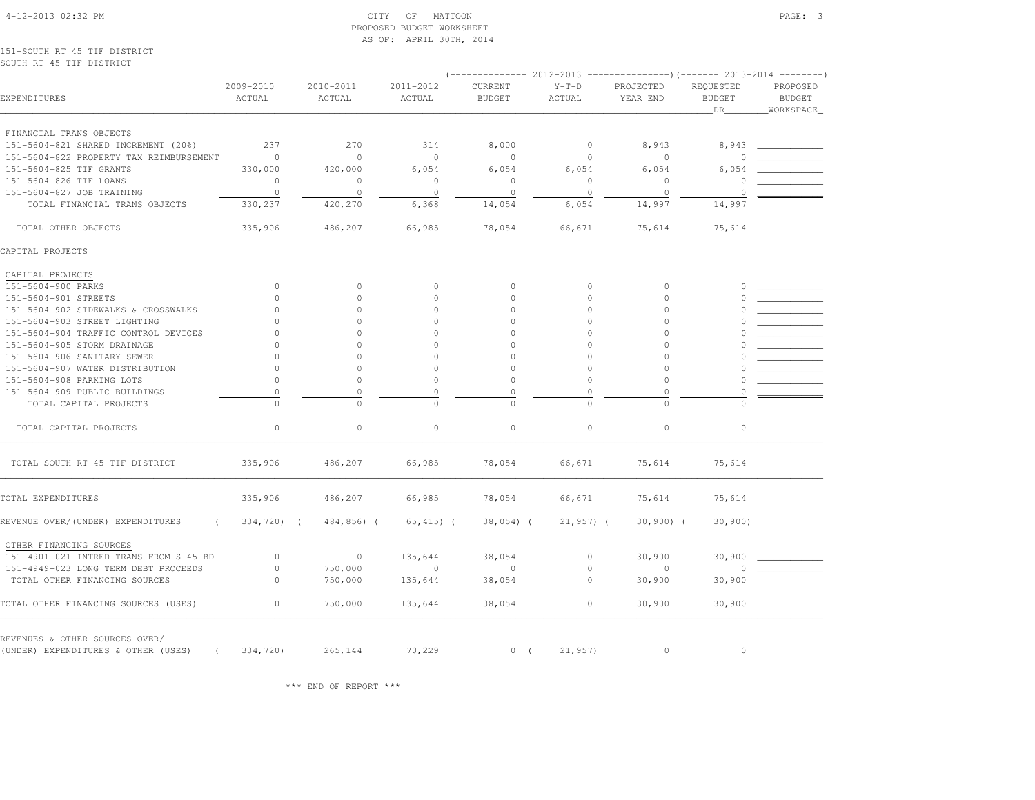|                                               |                |            | AS OF: APRIL 30TH, 2014 |                |              |                                                                                |                     |                             |
|-----------------------------------------------|----------------|------------|-------------------------|----------------|--------------|--------------------------------------------------------------------------------|---------------------|-----------------------------|
| 151-SOUTH RT 45 TIF DISTRICT                  |                |            |                         |                |              |                                                                                |                     |                             |
| SOUTH RT 45 TIF DISTRICT                      |                |            |                         |                |              | $(-$ -------------- 2012-2013 -----------------) (------- 2013-2014 ---------) |                     |                             |
|                                               | 2009-2010      | 2010-2011  | 2011-2012               | <b>CURRENT</b> | $Y-T-D$      | PROJECTED                                                                      | REQUESTED           | PROPOSED                    |
| EXPENDITURES                                  | ACTUAL         | ACTUAL     | ACTUAL                  | <b>BUDGET</b>  | ACTUAL       | YEAR END                                                                       | <b>BUDGET</b><br>DR | <b>BUDGET</b><br>WORKSPACE_ |
| FINANCIAL TRANS OBJECTS                       |                |            |                         |                |              |                                                                                |                     |                             |
| 151-5604-821 SHARED INCREMENT (20%)           | 237            | 270        | 314                     | 8,000          | $\circ$      | 8,943                                                                          | 8,943               |                             |
| 151-5604-822 PROPERTY TAX REIMBURSEMENT       | $\overline{0}$ | $\circ$    | $\circ$                 | $\circ$        | $\circ$      | $\circ$                                                                        | $\Omega$            |                             |
| 151-5604-825 TIF GRANTS                       | 330,000        | 420,000    | 6,054                   | 6,054          | 6,054        | 6,054                                                                          | 6,054               |                             |
| 151-5604-826 TIF LOANS                        | $\circ$        | $\circ$    | $\circ$                 | $\circ$        | $\Omega$     | $\circ$                                                                        | $\cap$              |                             |
| 151-5604-827 JOB TRAINING                     | $\circ$        | $\circ$    | $\circ$                 | $\circ$        | $\circ$      | $\circ$                                                                        | $\circ$             |                             |
| TOTAL FINANCIAL TRANS OBJECTS                 | 330,237        | 420,270    | 6,368                   | 14,054         | 6,054        | 14,997                                                                         | 14,997              |                             |
| TOTAL OTHER OBJECTS                           | 335,906        | 486,207    | 66,985                  | 78,054         | 66,671       | 75,614                                                                         | 75,614              |                             |
| CAPITAL PROJECTS                              |                |            |                         |                |              |                                                                                |                     |                             |
| CAPITAL PROJECTS                              |                |            |                         |                |              |                                                                                |                     |                             |
| 151-5604-900 PARKS                            | $\circ$        | $\Omega$   | $\circ$                 | $\mathbf{0}$   | $\circ$      | $\Omega$                                                                       | $\Omega$            |                             |
| 151-5604-901 STREETS                          | $\circ$        | $\circ$    | $\circ$                 | $\circ$        | $\mathbf{0}$ | $\circ$                                                                        |                     |                             |
| 151-5604-902 SIDEWALKS & CROSSWALKS           | $\Omega$       | $\circ$    | $\circ$                 | $\mathbf{0}$   | $\mathbf{0}$ | $\circ$                                                                        |                     |                             |
| 151-5604-903 STREET LIGHTING                  | $\cap$         | $\Omega$   | $\Omega$                | $\Omega$       | $\circ$      | $\circ$                                                                        |                     |                             |
| 151-5604-904 TRAFFIC CONTROL DEVICES          | $\Omega$       | $\circ$    | $\Omega$                | $\Omega$       | $\circ$      | $\circ$                                                                        |                     |                             |
| 151-5604-905 STORM DRAINAGE                   | $\cap$         | $\Omega$   | $\Omega$                | $\circ$        | $\circ$      | $\circ$                                                                        |                     |                             |
| 151-5604-906 SANITARY SEWER                   | $\Omega$       | $\Omega$   | $\Omega$                | $\Omega$       | $\Omega$     | $\Omega$                                                                       |                     |                             |
| 151-5604-907 WATER DISTRIBUTION               | $\circ$        | $\circ$    | $\Omega$                | $\mathbf{0}$   | $\circ$      | $\circ$                                                                        |                     |                             |
| 151-5604-908 PARKING LOTS                     | $\circ$        | $\circ$    | $\theta$                | $\mathbf 0$    | $\mathbf{0}$ | $\circ$                                                                        |                     |                             |
| 151-5604-909 PUBLIC BUILDINGS                 | $\mathbb O$    | $\circ$    | $\circ$                 | $\mathbb O$    | $\Omega$     | $\mathbb O$                                                                    | $\Omega$            |                             |
| TOTAL CAPITAL PROJECTS                        | $\Omega$       | $\Omega$   | $\Omega$                | $\mathbf{0}$   | $\Omega$     | $\circ$                                                                        |                     |                             |
| TOTAL CAPITAL PROJECTS                        | $\Omega$       | $\circ$    | $\circ$                 | $\circ$        | $\circ$      | $\circ$                                                                        | $\circ$             |                             |
| TOTAL SOUTH RT 45 TIF DISTRICT                | 335,906        | 486,207    | 66,985                  | 78,054         | 66,671       | 75,614                                                                         | 75,614              |                             |
| TOTAL EXPENDITURES                            | 335,906        | 486,207    | 66,985                  | 78,054         | 66,671       | 75,614                                                                         | 75,614              |                             |
| REVENUE OVER/(UNDER) EXPENDITURES<br>$\left($ | 334,720) (     | 484,856) ( | $65, 415)$ (            | $38,054)$ (    | $21,957$ ) ( | $30,900)$ (                                                                    | 30,900              |                             |
| OTHER FINANCING SOURCES                       |                |            |                         |                |              |                                                                                |                     |                             |
| 151-4901-021 INTRFD TRANS FROM S 45 BD        | $\circ$        | $\circ$    | 135,644                 | 38,054         | $\circ$      | 30,900                                                                         | 30,900              |                             |
| 151-4949-023 LONG TERM DEBT PROCEEDS          | $\circ$        | 750,000    | $\circ$                 | 0              | $\mathbf{0}$ | $\circ$                                                                        | 0                   |                             |
| TOTAL OTHER FINANCING SOURCES                 | $\Omega$       | 750,000    | 135,644                 | 38,054         | $\Omega$     | 30,900                                                                         | 30,900              |                             |
| TOTAL OTHER FINANCING SOURCES (USES)          | $\circ$        | 750,000    | 135,644                 | 38,054         | $\circ$      | 30,900                                                                         | 30,900              |                             |
| REVENUES & OTHER SOURCES OVER/                |                |            |                         |                |              |                                                                                |                     |                             |
| (UNDER) EXPENDITURES & OTHER (USES) (334,720) |                | 265,144    | 70,229                  | 0(             | 21,957)      | $\circ$                                                                        | $\circ$             |                             |

PROPOSED BUDGET WORKSHEET

\*\*\* END OF REPORT \*\*\*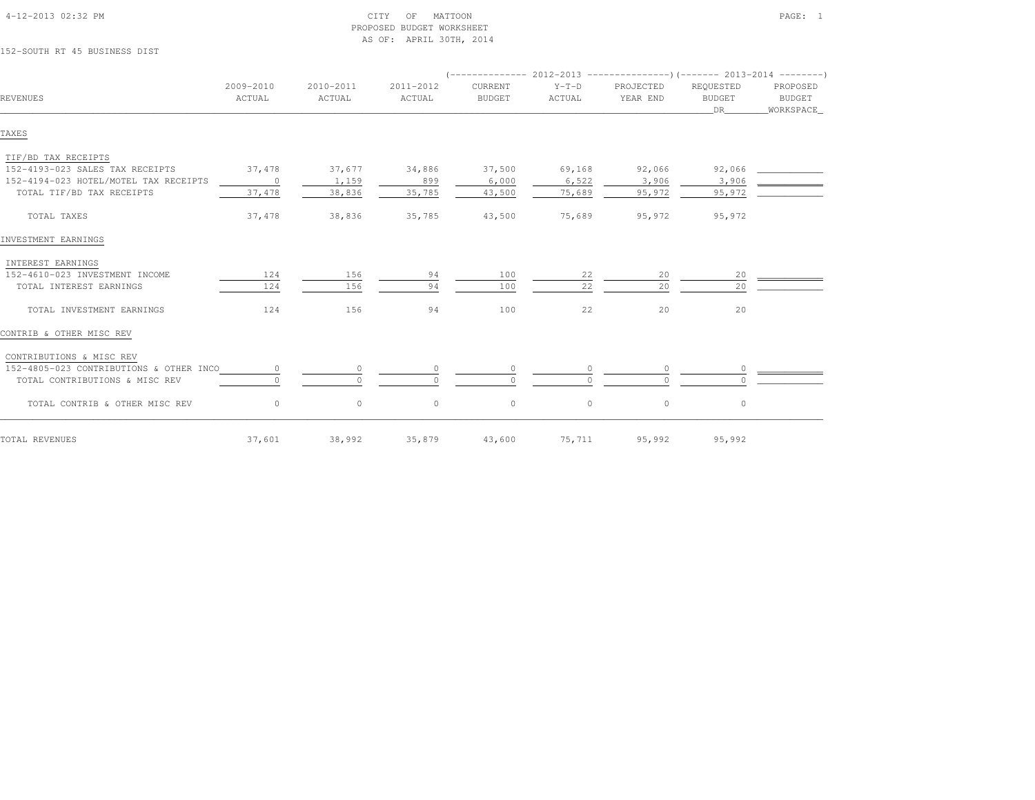| 152-SOUTH RT 45 BUSINESS DIST           |                     |                     |                     |                          |                   |                                                                      |                                  |                                 |
|-----------------------------------------|---------------------|---------------------|---------------------|--------------------------|-------------------|----------------------------------------------------------------------|----------------------------------|---------------------------------|
|                                         |                     |                     |                     |                          |                   | $(---------- 2012-2013$ ---------------) (------- 2013-2014 -------) |                                  |                                 |
| REVENUES                                | 2009-2010<br>ACTUAL | 2010-2011<br>ACTUAL | 2011-2012<br>ACTUAL | CURRENT<br><b>BUDGET</b> | $Y-T-D$<br>ACTUAL | PROJECTED<br>YEAR END                                                | REQUESTED<br><b>BUDGET</b><br>DR | PROPOSED<br>BUDGET<br>WORKSPACE |
| TAXES                                   |                     |                     |                     |                          |                   |                                                                      |                                  |                                 |
| TIF/BD TAX RECEIPTS                     |                     |                     |                     |                          |                   |                                                                      |                                  |                                 |
| 152-4193-023 SALES TAX RECEIPTS         | 37,478              | 37,677              | 34,886              | 37,500                   | 69,168            | 92,066                                                               | 92,066                           |                                 |
| 152-4194-023 HOTEL/MOTEL TAX RECEIPTS   | $\sim$ 0            | 1,159               | 899                 | 6,000                    | 6,522             | 3,906                                                                | 3,906                            |                                 |
| TOTAL TIF/BD TAX RECEIPTS               | 37,478              | 38,836              | 35,785              | 43,500                   | 75,689            | 95,972                                                               | 95,972                           |                                 |
| TOTAL TAXES                             | 37,478              | 38,836              | 35,785              | 43,500                   | 75,689            | 95,972                                                               | 95,972                           |                                 |
| INVESTMENT EARNINGS                     |                     |                     |                     |                          |                   |                                                                      |                                  |                                 |
| INTEREST EARNINGS                       |                     |                     |                     |                          |                   |                                                                      |                                  |                                 |
| 152-4610-023 INVESTMENT INCOME          | 124                 | 156                 | 94                  | 100                      | 22                | 20                                                                   | 20                               |                                 |
| TOTAL INTEREST EARNINGS                 | 124                 | 156                 | 94                  | 100                      | 22                | 20                                                                   | 20                               |                                 |
| TOTAL INVESTMENT EARNINGS               | 124                 | 156                 | 94                  | 100                      | 22                | 20                                                                   | 20                               |                                 |
| CONTRIB & OTHER MISC REV                |                     |                     |                     |                          |                   |                                                                      |                                  |                                 |
| CONTRIBUTIONS & MISC REV                |                     |                     |                     |                          |                   |                                                                      |                                  |                                 |
| 152-4805-023 CONTRIBUTIONS & OTHER INCO | $\circ$             | $\circ$             |                     | $\circ$                  |                   |                                                                      |                                  |                                 |
| TOTAL CONTRIBUTIONS & MISC REV          |                     | $\Omega$            |                     | $\Omega$                 |                   | $\Omega$                                                             |                                  |                                 |
| TOTAL CONTRIB & OTHER MISC REV          | $\circ$             | $\circ$             | $\circ$             | $\circ$                  | $\circ$           | $\circ$                                                              | 0                                |                                 |
| TOTAL REVENUES                          | 37,601              | 38,992              | 35,879              | 43,600                   | 75,711            | 95,992                                                               | 95,992                           |                                 |

 4-12-2013 02:32 PM CITY OF MATTOON PAGE: 1PROPOSED BUDGET WORKSHEET

AS OF: APRIL 30TH, 2014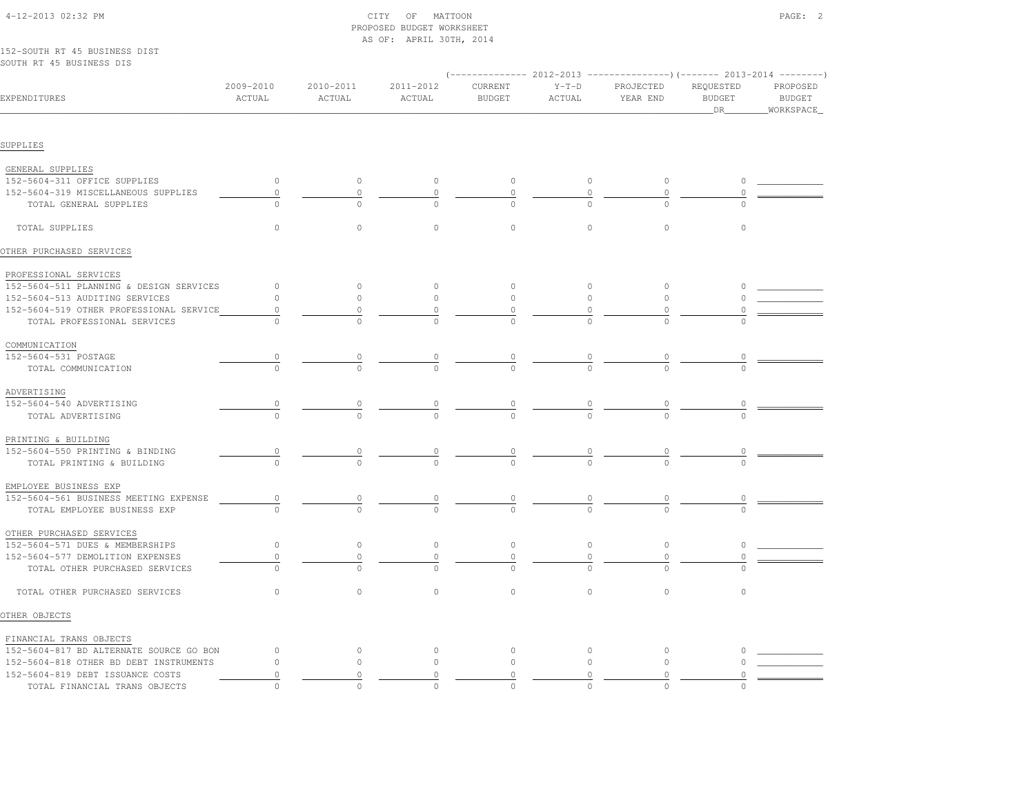|                                         |                                       |           | AS OF: APRIL 30TH, 2014 |               |                                  |                                                                                     |                |               |
|-----------------------------------------|---------------------------------------|-----------|-------------------------|---------------|----------------------------------|-------------------------------------------------------------------------------------|----------------|---------------|
| 152-SOUTH RT 45 BUSINESS DIST           |                                       |           |                         |               |                                  |                                                                                     |                |               |
| SOUTH RT 45 BUSINESS DIS                |                                       |           |                         |               |                                  |                                                                                     |                |               |
|                                         | 2009-2010                             | 2010-2011 | 2011-2012               | CURRENT       | $Y-T-D$                          | (-------------- 2012-2013 ----------------)(------- 2013-2014 --------<br>PROJECTED | REQUESTED      | PROPOSED      |
| EXPENDITURES                            | ACTUAL                                | ACTUAL    | ACTUAL                  | <b>BUDGET</b> | ACTUAL                           | YEAR END                                                                            | <b>BUDGET</b>  | <b>BUDGET</b> |
|                                         |                                       |           |                         |               |                                  |                                                                                     | DR             | WORKSPACE     |
|                                         |                                       |           |                         |               |                                  |                                                                                     |                |               |
| SUPPLIES                                |                                       |           |                         |               |                                  |                                                                                     |                |               |
| GENERAL SUPPLIES                        |                                       |           |                         |               |                                  |                                                                                     |                |               |
| 152-5604-311 OFFICE SUPPLIES            | $\circ$                               | $\circ$   | $\circ$                 | $\circ$       | $\circ$                          | $\circ$                                                                             | $\circ$        |               |
| 152-5604-319 MISCELLANEOUS SUPPLIES     | $\circ$                               | $\circ$   | $\circ$                 | $\mathbf{0}$  | $\circ$                          | $\circ$                                                                             | 0              |               |
| TOTAL GENERAL SUPPLIES                  | $\Omega$                              | $\bigcap$ | $\Omega$                | $\Omega$      | $\cap$                           | $\cap$                                                                              | $\cap$         |               |
| TOTAL SUPPLIES                          | $\circ$                               | $\circ$   | $\circ$                 | $\circ$       | $\circ$                          | $\mathbb O$                                                                         | $\circ$        |               |
|                                         |                                       |           |                         |               |                                  |                                                                                     |                |               |
| OTHER PURCHASED SERVICES                |                                       |           |                         |               |                                  |                                                                                     |                |               |
| PROFESSIONAL SERVICES                   |                                       |           |                         |               |                                  |                                                                                     |                |               |
| 152-5604-511 PLANNING & DESIGN SERVICES | $\circ$                               | $\circ$   | $\circ$                 | $\circ$       | $\circ$                          | $\circ$                                                                             | $\circ$        |               |
| 152-5604-513 AUDITING SERVICES          | 0                                     | $\circ$   | $\circ$                 | $\circ$       | $\circ$                          | $\circ$                                                                             |                |               |
| 152-5604-519 OTHER PROFESSIONAL SERVICE | 0                                     | 0         | 0                       | $\Omega$      | 0                                |                                                                                     |                |               |
| TOTAL PROFESSIONAL SERVICES             | $\Omega$                              | $\Omega$  | $\Omega$                | $\Omega$      | $\Omega$                         | $\Omega$                                                                            |                |               |
| COMMUNICATION                           |                                       |           |                         |               |                                  |                                                                                     |                |               |
| 152-5604-531 POSTAGE                    | 0                                     |           | 0                       | 0             | $\begin{array}{c} 0 \end{array}$ | 0                                                                                   | $\overline{0}$ |               |
| TOTAL COMMUNICATION                     |                                       | $\Omega$  | $\Omega$                | $\Omega$      | $\Omega$                         |                                                                                     |                |               |
| ADVERTISING                             |                                       |           |                         |               |                                  |                                                                                     |                |               |
| 152-5604-540 ADVERTISING                | $\overline{0}$                        | 0         | 0                       | 0             | $\overline{0}$                   | $\circ$                                                                             | $\overline{0}$ |               |
| TOTAL ADVERTISING                       |                                       |           | $\Omega$                |               |                                  |                                                                                     |                |               |
| PRINTING & BUILDING                     |                                       |           |                         |               |                                  |                                                                                     |                |               |
| 152-5604-550 PRINTING & BINDING         | $\begin{array}{c} 0 \\ 0 \end{array}$ | 0         | $\overline{0}$          | $\circ$       | $\overline{0}$                   | $\overline{0}$                                                                      |                |               |
| TOTAL PRINTING & BUILDING               | $\Omega$                              | $\Omega$  | $\Omega$                | $\Omega$      | $\Omega$                         |                                                                                     |                |               |
| EMPLOYEE BUSINESS EXP                   |                                       |           |                         |               |                                  |                                                                                     |                |               |
| 152-5604-561 BUSINESS MEETING EXPENSE   | 0                                     | 0         | 0                       | 0             | 0                                | 0                                                                                   | 0              |               |
| TOTAL EMPLOYEE BUSINESS EXP             | $\Omega$                              | $\Omega$  | $\Omega$                | $\Omega$      | $\Omega$                         | $\Omega$                                                                            | $\Omega$       |               |
| OTHER PURCHASED SERVICES                |                                       |           |                         |               |                                  |                                                                                     |                |               |
| 152-5604-571 DUES & MEMBERSHIPS         | $\circ$                               | $\circ$   | $\circ$                 | $\circ$       | $\circ$                          | $\circ$                                                                             | $\circ$        |               |
| 152-5604-577 DEMOLITION EXPENSES        | 0                                     | 0         | $\mathbb O$             | $\mathbb O$   | $\mathbb O$                      | 0                                                                                   |                |               |
| TOTAL OTHER PURCHASED SERVICES          | $\cap$                                | $\cap$    | $\cap$                  | $\Omega$      | $\Omega$                         |                                                                                     |                |               |
| TOTAL OTHER PURCHASED SERVICES          | 0                                     | $\circ$   | $\circ$                 | $\circ$       | $\circ$                          | $\circ$                                                                             | $\circ$        |               |
|                                         |                                       |           |                         |               |                                  |                                                                                     |                |               |
| OTHER OBJECTS                           |                                       |           |                         |               |                                  |                                                                                     |                |               |
| FINANCIAL TRANS OBJECTS                 |                                       |           |                         |               |                                  |                                                                                     |                |               |
| 152-5604-817 BD ALTERNATE SOURCE GO BON | 0                                     | $\circ$   | $\circ$                 | 0             | 0                                | $\circ$                                                                             | 0              |               |
| 152-5604-818 OTHER BD DEBT INSTRUMENTS  | 0                                     | $\circ$   | $\circ$                 | $\circ$       | $\circ$                          | $\circ$                                                                             |                |               |
| 152-5604-819 DEBT ISSUANCE COSTS        | 0                                     | $\circ$   | $\circ$                 | $\circ$       | 0                                | 0                                                                                   |                |               |
| TOTAL FINANCIAL TRANS OBJECTS           | 0                                     | $\cap$    | $\cap$                  | $\cap$        | $\cap$                           | $\cap$                                                                              | $\cap$         |               |

 4-12-2013 02:32 PM CITY OF MATTOON PAGE: 2PROPOSED BUDGET WORKSHEET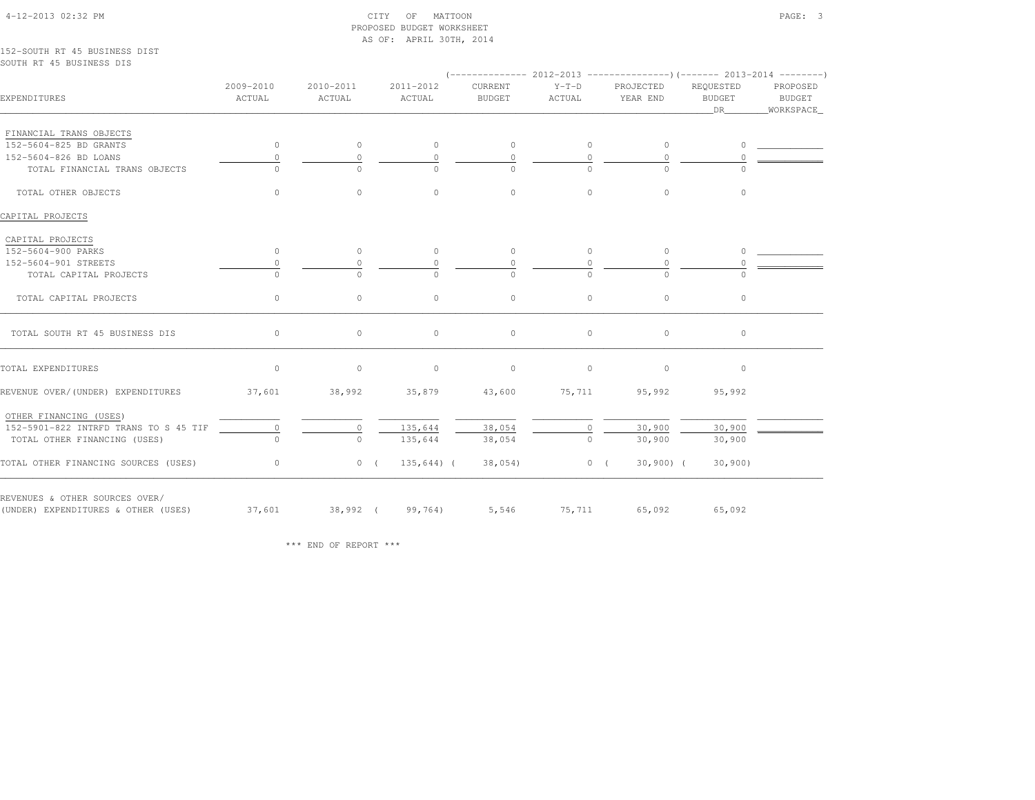## 4-12-2013 02:32 PM CITY OF MATTOON PAGE: 3 PROPOSED BUDGET WORKSHEETAS OF: APRIL 30TH, 2014

152-SOUTH RT 45 BUSINESS DISTSOUTH RT 45 BUSINESS DIS

|                                       | $(---------- 2012-2013$ ---------------) (------- 2013-2014 -------) |                     |                                |                          |                   |                       |                                        |                                   |  |
|---------------------------------------|----------------------------------------------------------------------|---------------------|--------------------------------|--------------------------|-------------------|-----------------------|----------------------------------------|-----------------------------------|--|
| EXPENDITURES                          | 2009-2010<br>ACTUAL                                                  | 2010-2011<br>ACTUAL | 2011-2012<br>ACTUAL            | CURRENT<br><b>BUDGET</b> | $Y-T-D$<br>ACTUAL | PROJECTED<br>YEAR END | REQUESTED<br>BUDGET<br>DR <sub>1</sub> | PROPOSED<br>BUDGET<br>_WORKSPACE_ |  |
| FINANCIAL TRANS OBJECTS               |                                                                      |                     |                                |                          |                   |                       |                                        |                                   |  |
| 152-5604-825 BD GRANTS                | $\circ$                                                              | $\circ$             | $\circ$                        | $\circ$                  | $\circ$           | $\circ$               | $\Omega$                               |                                   |  |
| 152-5604-826 BD LOANS                 | 0                                                                    | $\Omega$            | $\Omega$                       | $\Omega$                 | $\Omega$          | $\Omega$              |                                        |                                   |  |
| TOTAL FINANCIAL TRANS OBJECTS         | $\cap$                                                               | $\cap$              | $\Omega$                       | $\cap$                   | $\Omega$          | $\cap$                | $\cap$                                 |                                   |  |
| TOTAL OTHER OBJECTS                   | $\circ$                                                              | $\circ$             | $\circ$                        | $\circ$                  | $\circ$           | $\circ$               | $\circ$                                |                                   |  |
| CAPITAL PROJECTS                      |                                                                      |                     |                                |                          |                   |                       |                                        |                                   |  |
| CAPITAL PROJECTS                      |                                                                      |                     |                                |                          |                   |                       |                                        |                                   |  |
| 152-5604-900 PARKS                    | $\circ$                                                              | $\circ$             | $\circ$                        | $\circ$                  | $\circ$           | $\circ$               | $\circ$                                |                                   |  |
| 152-5604-901 STREETS                  | $\Omega$                                                             | $\Omega$            | $\Omega$                       | $\Omega$                 | $\mathbf{0}$      | $\Omega$              | $\Omega$                               |                                   |  |
| TOTAL CAPITAL PROJECTS                | $\Omega$                                                             | $\bigcap$           | $\Omega$                       | $\Omega$                 | $\Omega$          | $\Omega$              | $\cap$                                 |                                   |  |
| TOTAL CAPITAL PROJECTS                | $\circ$                                                              | $\circ$             | $\circ$                        | $\circ$                  | $\circ$           | $\circ$               | $\circ$                                |                                   |  |
| TOTAL SOUTH RT 45 BUSINESS DIS        | 0                                                                    | $\circ$             | $\circ$                        | $\circ$                  | $\circ$           | $\circ$               | $\circ$                                |                                   |  |
| TOTAL EXPENDITURES                    | $\circ$                                                              | $\circ$             | $\circ$                        | $\circ$                  | $\circ$           | $\circ$               | $\circ$                                |                                   |  |
| REVENUE OVER/(UNDER) EXPENDITURES     |                                                                      |                     | $37,601$ $38,992$ $35,879$     |                          | 43,600 75,711     | 95,992                | 95,992                                 |                                   |  |
| OTHER FINANCING (USES)                |                                                                      |                     |                                |                          |                   |                       |                                        |                                   |  |
| 152-5901-822 INTRFD TRANS TO S 45 TIF | $\circ$                                                              | 0                   | 135,644                        | 38,054                   | $\circ$           | 30,900                | 30,900                                 |                                   |  |
| TOTAL OTHER FINANCING (USES)          | $\cap$                                                               | $\Omega$            | 135,644                        | 38,054                   | $\Omega$          | 30,900                | 30,900                                 |                                   |  |
| TOTAL OTHER FINANCING SOURCES (USES)  | $\sim$ 0                                                             |                     | 0(135, 644)                    |                          | $38,054$ 0 (      | $30,900)$ (           | 30,900                                 |                                   |  |
| REVENUES & OTHER SOURCES OVER/        |                                                                      |                     |                                |                          |                   |                       |                                        |                                   |  |
| (UNDER) EXPENDITURES & OTHER (USES)   |                                                                      |                     | $37,601$ $38,992$ ( $99,764$ ) |                          |                   | 5,546 75,711 65,092   | 65,092                                 |                                   |  |

\*\*\* END OF REPORT \*\*\*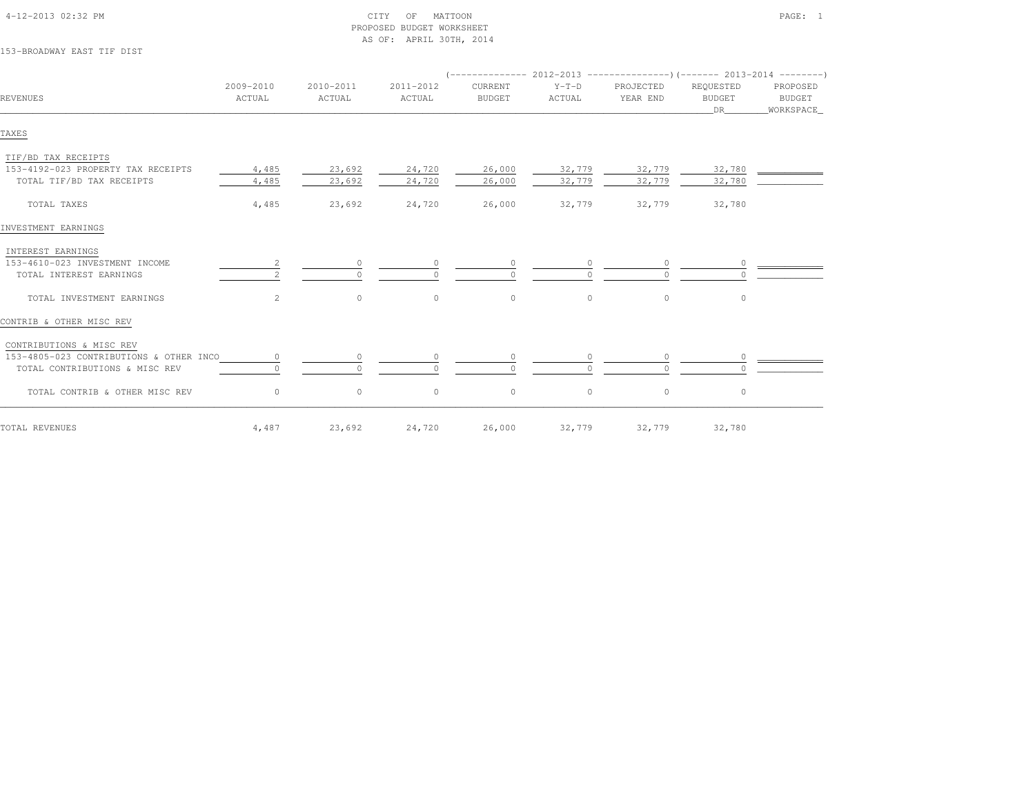| 153-BROADWAY EAST TIF DIST              |                     |                     |                     |                          |                   |                                                                        |                                  |                                        |
|-----------------------------------------|---------------------|---------------------|---------------------|--------------------------|-------------------|------------------------------------------------------------------------|----------------------------------|----------------------------------------|
|                                         |                     |                     |                     |                          |                   | $($ -------------- 2012-2013 --------------------- 2013-2014 --------- |                                  |                                        |
| REVENUES                                | 2009-2010<br>ACTUAL | 2010-2011<br>ACTUAL | 2011-2012<br>ACTUAL | CURRENT<br><b>BUDGET</b> | $Y-T-D$<br>ACTUAL | PROJECTED<br>YEAR END                                                  | REQUESTED<br><b>BUDGET</b><br>DR | PROPOSED<br><b>BUDGET</b><br>WORKSPACE |
| TAXES                                   |                     |                     |                     |                          |                   |                                                                        |                                  |                                        |
| TIF/BD TAX RECEIPTS                     |                     |                     |                     |                          |                   |                                                                        |                                  |                                        |
| 153-4192-023 PROPERTY TAX RECEIPTS      | 4,485               | 23,692              | 24,720              | 26,000                   | 32,779            | 32,779                                                                 | 32,780                           |                                        |
| TOTAL TIF/BD TAX RECEIPTS               | 4,485               | 23,692              | 24,720              | 26,000                   | 32,779            | 32,779                                                                 | 32,780                           |                                        |
| TOTAL TAXES                             | 4,485               | 23,692              | 24,720              | 26,000                   | 32,779            | 32,779                                                                 | 32,780                           |                                        |
| INVESTMENT EARNINGS                     |                     |                     |                     |                          |                   |                                                                        |                                  |                                        |
| INTEREST EARNINGS                       |                     |                     |                     |                          |                   |                                                                        |                                  |                                        |
| 153-4610-023 INVESTMENT INCOME          | $\overline{2}$      | $\circ$             |                     | $\circ$                  |                   | $\circ$                                                                | $\circ$                          |                                        |
| TOTAL INTEREST EARNINGS                 |                     | $\Omega$            |                     |                          |                   |                                                                        |                                  |                                        |
| TOTAL INVESTMENT EARNINGS               | $\overline{2}$      | $\circ$             | $\mathbb O$         | $\mathbb O$              | $\circ$           | $\circ$                                                                | $\circ$                          |                                        |
| CONTRIB & OTHER MISC REV                |                     |                     |                     |                          |                   |                                                                        |                                  |                                        |
| CONTRIBUTIONS & MISC REV                |                     |                     |                     |                          |                   |                                                                        |                                  |                                        |
| 153-4805-023 CONTRIBUTIONS & OTHER INCO | $\circ$             | $\circ$             |                     | $\circ$                  |                   | $\circ$                                                                | $\circ$                          |                                        |
| TOTAL CONTRIBUTIONS & MISC REV          |                     | $\cap$              |                     |                          |                   | $\cap$                                                                 |                                  |                                        |
| TOTAL CONTRIB & OTHER MISC REV          | $\circ$             | $\circ$             | $\circ$             | $\circ$                  | $\circ$           | $\circ$                                                                | $\circ$                          |                                        |
| TOTAL REVENUES                          | 4,487               | 23,692              | 24,720              | 26,000                   | 32,779            | 32,779                                                                 | 32,780                           |                                        |

 4-12-2013 02:32 PM CITY OF MATTOON PAGE: 1PROPOSED BUDGET WORKSHEET

AS OF: APRIL 30TH, 2014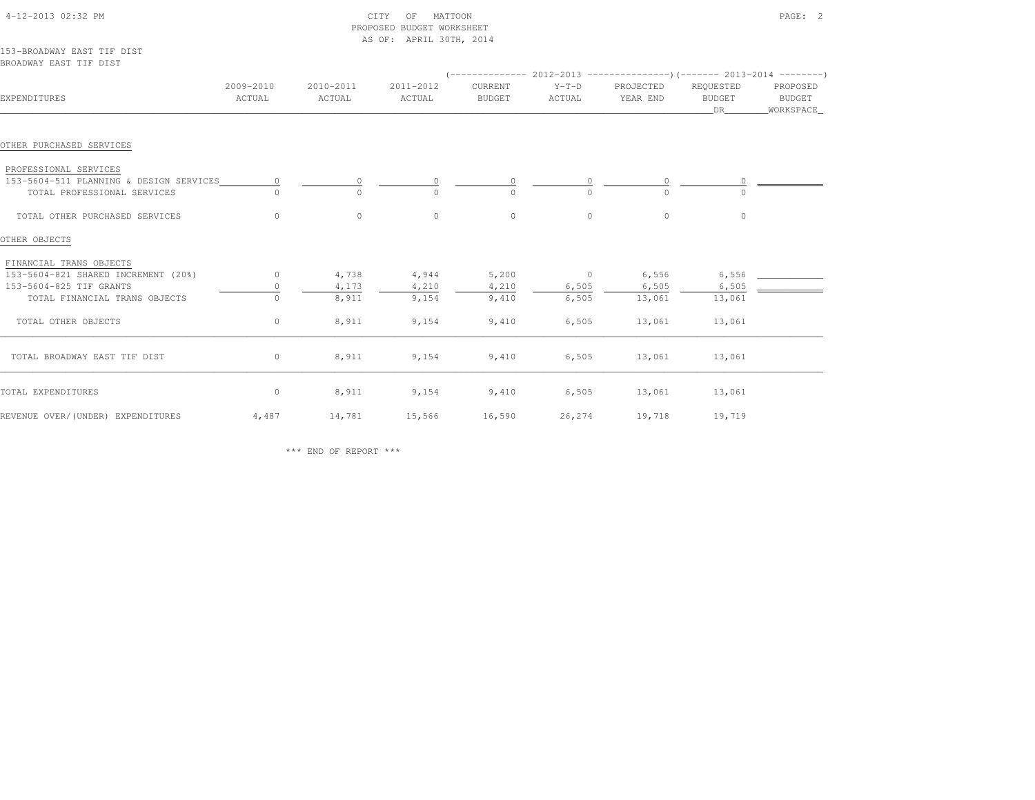|                                                      |                     |                     | PROPOSED BUDGET WORKSHEET<br>AS OF: APRIL 30TH, 2014 |                          |                   |                                                                      |                                  |                                 |
|------------------------------------------------------|---------------------|---------------------|------------------------------------------------------|--------------------------|-------------------|----------------------------------------------------------------------|----------------------------------|---------------------------------|
| 153-BROADWAY EAST TIF DIST<br>BROADWAY EAST TIF DIST |                     |                     |                                                      |                          |                   |                                                                      |                                  |                                 |
|                                                      |                     |                     |                                                      |                          |                   | $(---------- 2012-2013$ ---------------) (------- 2013-2014 -------) |                                  |                                 |
| EXPENDITURES                                         | 2009-2010<br>ACTUAL | 2010-2011<br>ACTUAL | 2011-2012<br>ACTUAL                                  | CURRENT<br><b>BUDGET</b> | $Y-T-D$<br>ACTUAL | PROJECTED<br>YEAR END                                                | REQUESTED<br><b>BUDGET</b><br>DR | PROPOSED<br>BUDGET<br>WORKSPACE |
| OTHER PURCHASED SERVICES                             |                     |                     |                                                      |                          |                   |                                                                      |                                  |                                 |
| PROFESSIONAL SERVICES                                |                     |                     |                                                      |                          |                   |                                                                      |                                  |                                 |
| 153-5604-511 PLANNING & DESIGN SERVICES              | $\circ$             | 0                   | $\circ$                                              | 0                        |                   | 0                                                                    |                                  |                                 |
| TOTAL PROFESSIONAL SERVICES                          |                     | $\Omega$            |                                                      | $\Omega$                 |                   |                                                                      |                                  |                                 |
| TOTAL OTHER PURCHASED SERVICES                       | $\circ$             | $\circ$             | $\circ$                                              | $\circ$                  | $\circ$           | $\circ$                                                              | $\circ$                          |                                 |
| OTHER OBJECTS                                        |                     |                     |                                                      |                          |                   |                                                                      |                                  |                                 |
| FINANCIAL TRANS OBJECTS                              |                     |                     |                                                      |                          |                   |                                                                      |                                  |                                 |
| 153-5604-821 SHARED INCREMENT (20%)                  | $\circ$             | 4,738               | 4,944                                                | 5,200                    | $\overline{0}$    | 6,556                                                                | 6,556                            |                                 |
| 153-5604-825 TIF GRANTS                              | $\circ$             | 4,173               | 4,210                                                | 4,210                    | 6,505             | 6,505                                                                | 6,505                            |                                 |
| TOTAL FINANCIAL TRANS OBJECTS                        | $\Omega$            | 8,911               | 9,154                                                | 9,410                    | 6,505             | 13,061                                                               | 13,061                           |                                 |
| TOTAL OTHER OBJECTS                                  | $\circ$             | 8,911               | 9,154                                                | 9,410                    | 6,505             | 13,061                                                               | 13,061                           |                                 |
| TOTAL BROADWAY EAST TIF DIST                         | $\circ$             | 8,911               | 9,154                                                | 9,410                    | 6,505             | 13,061                                                               | 13,061                           |                                 |
| TOTAL EXPENDITURES                                   | $\circ$             | 8,911               | 9,154                                                | 9,410                    | 6,505             | 13,061                                                               | 13,061                           |                                 |
| REVENUE OVER/(UNDER) EXPENDITURES                    | 4,487               | 14,781              | 15,566                                               | 16,590                   | 26,274            | 19,718                                                               | 19,719                           |                                 |

\*\*\* END OF REPORT \*\*\*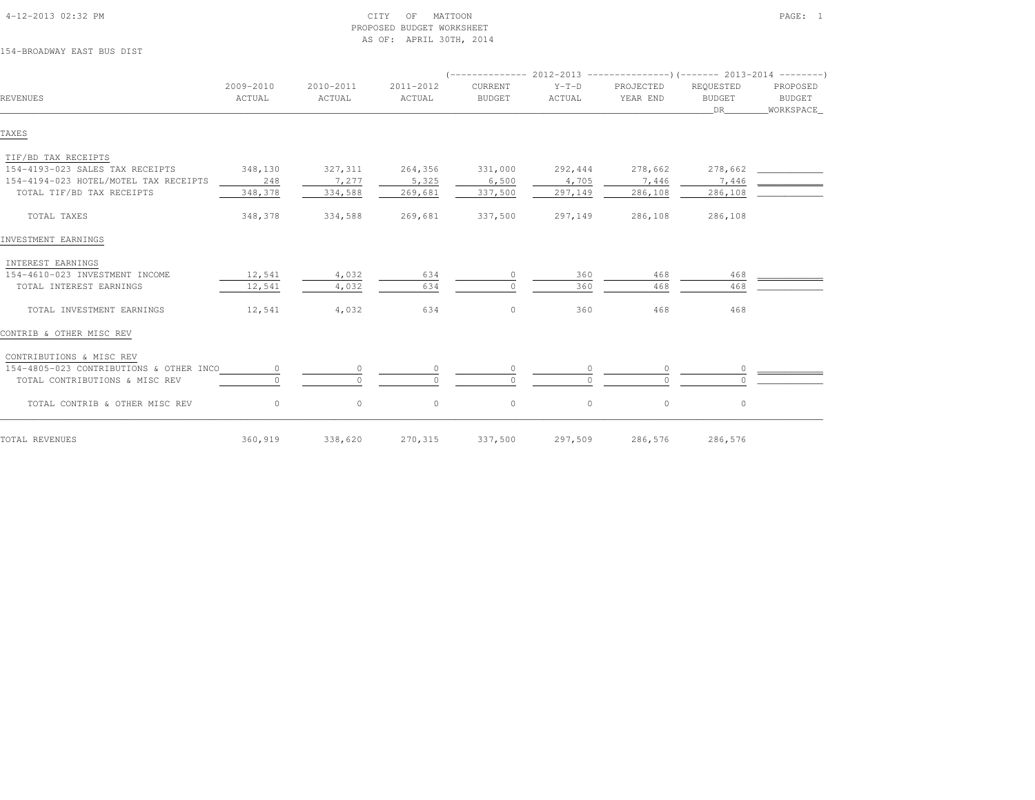|                                         |                     |                     |                     |                          |                   | $($ -------------- 2012-2013 ----------------) (------- 2013-2014 ---------) |                                   |                                        |
|-----------------------------------------|---------------------|---------------------|---------------------|--------------------------|-------------------|------------------------------------------------------------------------------|-----------------------------------|----------------------------------------|
| REVENUES                                | 2009-2010<br>ACTUAL | 2010-2011<br>ACTUAL | 2011-2012<br>ACTUAL | CURRENT<br><b>BUDGET</b> | $Y-T-D$<br>ACTUAL | PROJECTED<br>YEAR END                                                        | REQUESTED<br><b>BUDGET</b><br>DR. | PROPOSED<br><b>BUDGET</b><br>WORKSPACE |
| TAXES                                   |                     |                     |                     |                          |                   |                                                                              |                                   |                                        |
| TIF/BD TAX RECEIPTS                     |                     |                     |                     |                          |                   |                                                                              |                                   |                                        |
| 154-4193-023 SALES TAX RECEIPTS         | 348,130             | 327,311             | 264,356             | 331,000                  | 292,444           | 278,662                                                                      | 278,662                           |                                        |
| 154-4194-023 HOTEL/MOTEL TAX RECEIPTS   | 248                 | 7,277               | 5,325               | 6,500                    | 4,705             | 7,446                                                                        | 7,446                             |                                        |
| TOTAL TIF/BD TAX RECEIPTS               | 348,378             | 334,588             | 269,681             | 337,500                  | 297,149           | 286,108                                                                      | 286,108                           |                                        |
| TOTAL TAXES                             | 348,378             | 334,588             | 269,681             | 337,500                  | 297,149           | 286,108                                                                      | 286,108                           |                                        |
| INVESTMENT EARNINGS                     |                     |                     |                     |                          |                   |                                                                              |                                   |                                        |
| INTEREST EARNINGS                       |                     |                     |                     |                          |                   |                                                                              |                                   |                                        |
| 154-4610-023 INVESTMENT INCOME          | 12,541              | 4,032               | 634                 | 0                        | 360               | 468                                                                          | 468                               |                                        |
| TOTAL INTEREST EARNINGS                 | 12,541              | 4,032               | 634                 | $\cap$                   | 360               | 468                                                                          | 468                               |                                        |
| TOTAL INVESTMENT EARNINGS               | 12,541              | 4,032               | 634                 | $\circ$                  | 360               | 468                                                                          | 468                               |                                        |
| CONTRIB & OTHER MISC REV                |                     |                     |                     |                          |                   |                                                                              |                                   |                                        |
| CONTRIBUTIONS & MISC REV                |                     |                     |                     |                          |                   |                                                                              |                                   |                                        |
| 154-4805-023 CONTRIBUTIONS & OTHER INCO | $\circ$             | $\circ$             | 0                   | $\circ$                  |                   | $\circ$                                                                      | $\circ$                           |                                        |
| TOTAL CONTRIBUTIONS & MISC REV          | $\cap$              | $\cap$              |                     | $\cap$                   |                   |                                                                              |                                   |                                        |
| TOTAL CONTRIB & OTHER MISC REV          | $\circ$             | $\circ$             | $\circ$             | $\circ$                  | $\circ$           | $\circ$                                                                      | $\circ$                           |                                        |
| TOTAL REVENUES                          | 360,919             | 338,620             | 270,315             | 337,500                  | 297,509           | 286,576                                                                      | 286,576                           |                                        |

## 154-BROADWAY EAST BUS DIST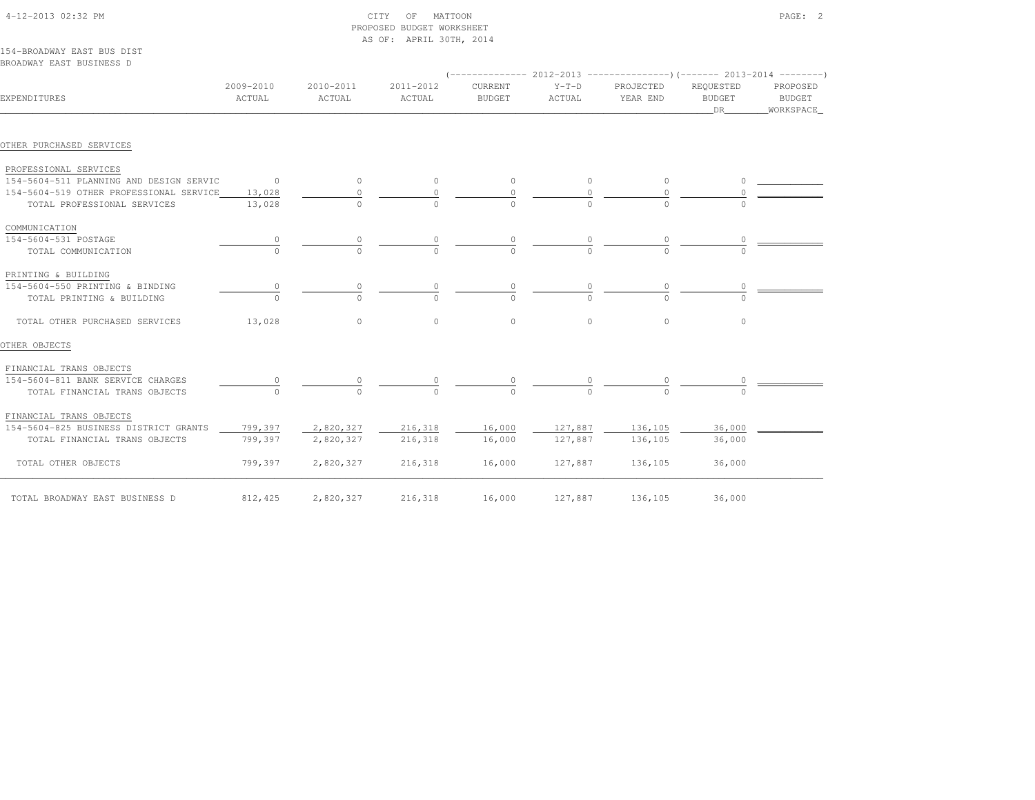| IJI-DRUADWAI BAJI DUJ DIJI              |                                 |           |           |               |          |                                                                          |               |               |
|-----------------------------------------|---------------------------------|-----------|-----------|---------------|----------|--------------------------------------------------------------------------|---------------|---------------|
| BROADWAY EAST BUSINESS D                |                                 |           |           |               |          |                                                                          |               |               |
|                                         |                                 |           |           |               |          | (-------------- 2012-2013 ----------------) (------- 2013-2014 --------' |               |               |
|                                         | 2009-2010                       | 2010-2011 | 2011-2012 | CURRENT       | $Y-T-D$  | PROJECTED                                                                | REQUESTED     | PROPOSED      |
| EXPENDITURES                            | ACTUAL                          | ACTUAL    | ACTUAL    | <b>BUDGET</b> | ACTUAL   | YEAR END                                                                 | <b>BUDGET</b> | <b>BUDGET</b> |
|                                         |                                 |           |           |               |          |                                                                          | DR            | _WORKSPACE_   |
| OTHER PURCHASED SERVICES                |                                 |           |           |               |          |                                                                          |               |               |
| PROFESSIONAL SERVICES                   |                                 |           |           |               |          |                                                                          |               |               |
| 154-5604-511 PLANNING AND DESIGN SERVIC | $\sim$ 0                        | $\circ$   | $\circ$   | $\circ$       | $\circ$  | $\circ$                                                                  | $\circ$       |               |
| 154-5604-519 OTHER PROFESSIONAL SERVICE | 13,028                          | $\circ$   |           | $\circ$       | $\circ$  | 0                                                                        | 0             |               |
| TOTAL PROFESSIONAL SERVICES             | 13,028                          | $\cap$    |           |               |          |                                                                          |               |               |
| COMMUNICATION                           |                                 |           |           |               |          |                                                                          |               |               |
| 154-5604-531 POSTAGE                    |                                 |           |           |               |          |                                                                          |               |               |
| TOTAL COMMUNICATION                     |                                 | $\cap$    |           |               | $\Omega$ |                                                                          |               |               |
| PRINTING & BUILDING                     |                                 |           |           |               |          |                                                                          |               |               |
| 154-5604-550 PRINTING & BINDING         | $\begin{matrix} 0 \end{matrix}$ | 0         | 0         |               |          |                                                                          |               |               |
| TOTAL PRINTING & BUILDING               | $\Omega$                        |           | $\Omega$  |               |          |                                                                          |               |               |
| TOTAL OTHER PURCHASED SERVICES          | 13,028                          | $\circ$   | $\circ$   | $\circ$       | $\Omega$ | $\Omega$                                                                 | $\circ$       |               |
| OTHER OBJECTS                           |                                 |           |           |               |          |                                                                          |               |               |
| FINANCIAL TRANS OBJECTS                 |                                 |           |           |               |          |                                                                          |               |               |
| 154-5604-811 BANK SERVICE CHARGES       |                                 | 0         |           |               |          |                                                                          |               |               |
| TOTAL FINANCIAL TRANS OBJECTS           |                                 | $\cap$    |           | $\Omega$      |          | $\cap$                                                                   |               |               |
| FINANCIAL TRANS OBJECTS                 |                                 |           |           |               |          |                                                                          |               |               |
| 154-5604-825 BUSINESS DISTRICT GRANTS   | 799,397                         | 2,820,327 | 216,318   | 16,000        | 127,887  | 136,105                                                                  | 36,000        |               |
| TOTAL FINANCIAL TRANS OBJECTS           | 799,397                         | 2,820,327 | 216,318   | 16,000        | 127,887  | 136,105                                                                  | 36,000        |               |
| TOTAL OTHER OBJECTS                     | 799,397                         | 2,820,327 | 216,318   | 16,000        | 127,887  | 136,105                                                                  | 36,000        |               |
| TOTAL BROADWAY EAST BUSINESS D          | 812,425                         | 2,820,327 | 216,318   | 16,000        | 127,887  | 136,105                                                                  | 36,000        |               |

 4-12-2013 02:32 PM CITY OF MATTOON PAGE: 2PROPOSED BUDGET WORKSHEET

AS OF: APRIL 30TH, 2014

154-BROADWAY EAST BUS DIST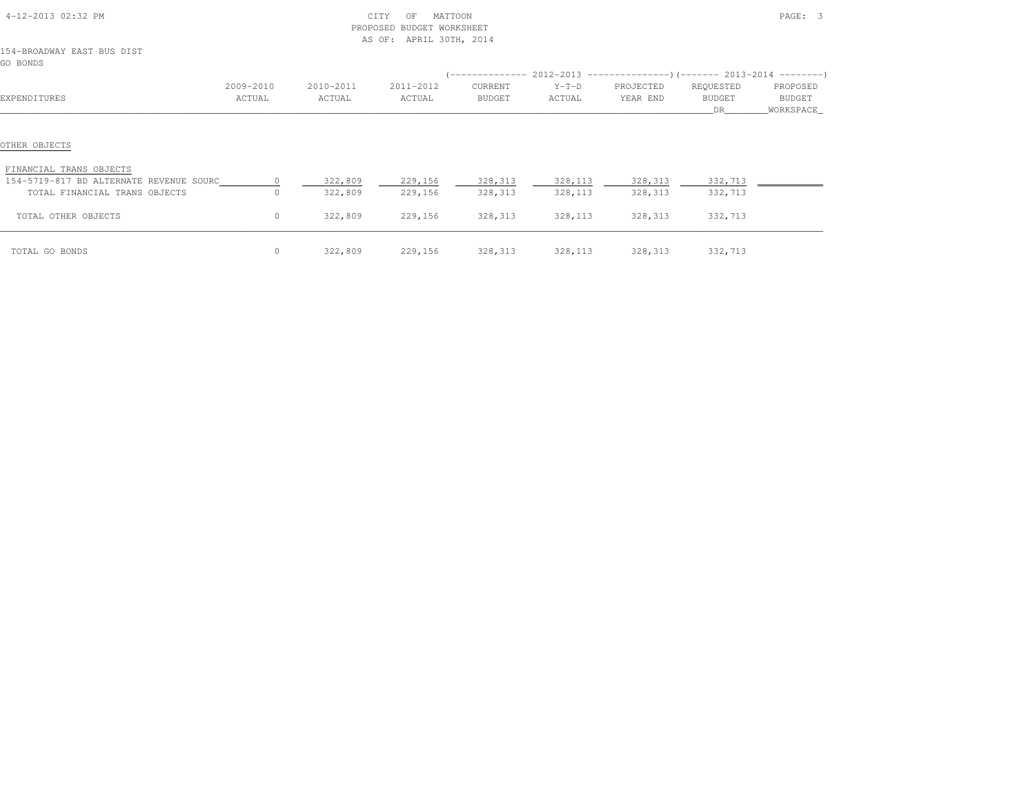| 4-12-2013 02:32 PM                                                                                                   |           | PROPOSED           | MATTOON<br>CITY<br>OF<br>BUDGET WORKSHEET<br>AS OF: APRIL 30TH, 2014 |                    | PAGE: 3             |                     |                    |            |
|----------------------------------------------------------------------------------------------------------------------|-----------|--------------------|----------------------------------------------------------------------|--------------------|---------------------|---------------------|--------------------|------------|
| 154-BROADWAY EAST BUS DIST<br>GO BONDS                                                                               |           |                    |                                                                      |                    |                     |                     |                    |            |
|                                                                                                                      |           |                    |                                                                      |                    |                     |                     |                    |            |
|                                                                                                                      | 2009-2010 | 2010-2011          | 2011-2012                                                            | CURRENT            | $Y-T-D$             | PROJECTED           | REQUESTED          | PROPOSED   |
| EXPENDITURES                                                                                                         | ACTUAL    | ACTUAL             | ACTUAL                                                               | BUDGET             | ACTUAL              | YEAR END            | BUDGET             | BUDGET     |
|                                                                                                                      |           |                    |                                                                      |                    |                     |                     | DR                 | WORKSPACE_ |
| OTHER OBJECTS<br>FINANCIAL TRANS OBJECTS<br>154-5719-817 BD ALTERNATE REVENUE SOURC<br>TOTAL FINANCIAL TRANS OBJECTS | $\Omega$  | 322,809<br>322,809 | 229,156<br>229,156                                                   | 328,313<br>328,313 | 328,113<br>328, 113 | 328,313<br>328, 313 | 332,713<br>332,713 |            |
| TOTAL OTHER OBJECTS                                                                                                  | 0         | 322,809            | 229,156                                                              | 328, 313           | 328, 113            | 328, 313            | 332,713            |            |
| TOTAL GO BONDS                                                                                                       | 0         | 322,809            | 229,156                                                              | 328, 313           | 328,113             | 328,313             | 332,713            |            |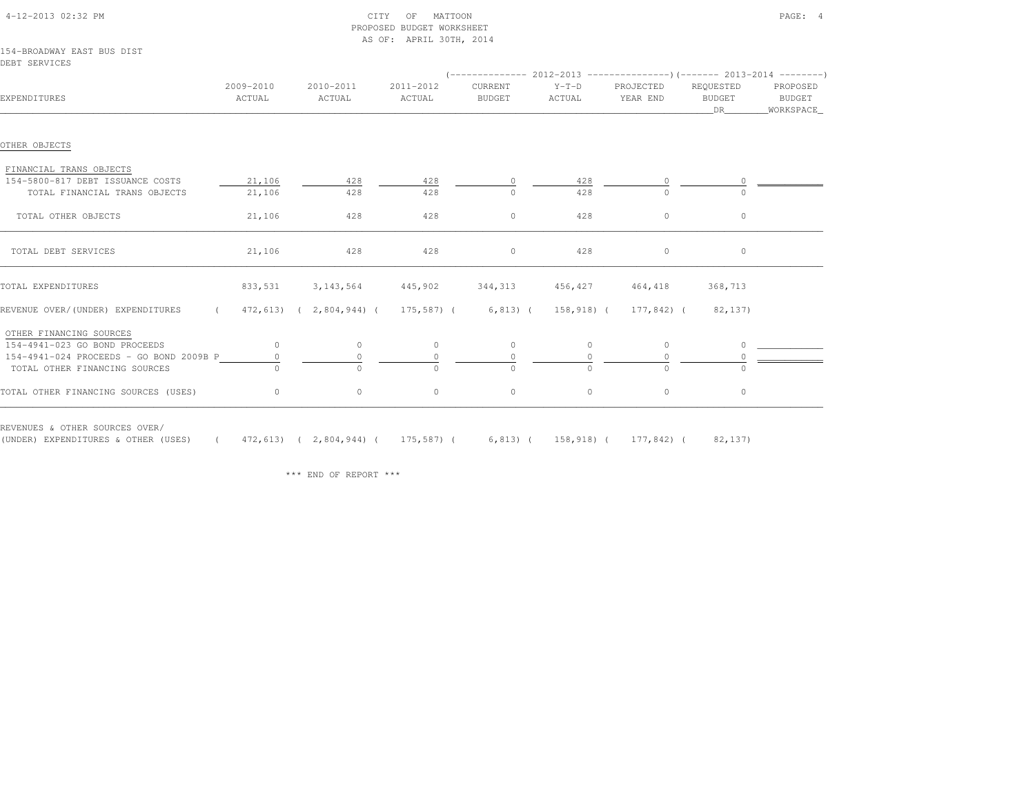| 4-12-2013 02:32 PM                                          |                     | CITY                    | MATTOON<br>OF<br>PROPOSED BUDGET WORKSHEET<br>AS OF: APRIL 30TH, 2014 |                                                                                                 |                   |                       |                                  | PAGE: 4                         |
|-------------------------------------------------------------|---------------------|-------------------------|-----------------------------------------------------------------------|-------------------------------------------------------------------------------------------------|-------------------|-----------------------|----------------------------------|---------------------------------|
| 154-BROADWAY EAST BUS DIST<br>DEBT SERVICES                 |                     |                         |                                                                       |                                                                                                 |                   |                       |                                  |                                 |
| EXPENDITURES                                                | 2009-2010<br>ACTUAL | 2010-2011<br>ACTUAL     | 2011-2012<br>ACTUAL                                                   | $(---------- 2012-2013$ ---------------)(------- 2013-2014 -------)<br>CURRENT<br><b>BUDGET</b> | $Y-T-D$<br>ACTUAL | PROJECTED<br>YEAR END | REQUESTED<br><b>BUDGET</b><br>DR | PROPOSED<br>BUDGET<br>WORKSPACE |
| OTHER OBJECTS                                               |                     |                         |                                                                       |                                                                                                 |                   |                       |                                  |                                 |
| FINANCIAL TRANS OBJECTS<br>154-5800-817 DEBT ISSUANCE COSTS | 21,106              | 428                     | 428                                                                   | $\circ$                                                                                         | 428               | $\circ$               | $\Omega$                         |                                 |
| TOTAL FINANCIAL TRANS OBJECTS                               | 21,106              | 428                     | 428                                                                   | $\Omega$                                                                                        | 428               | $\Omega$              | $\cap$                           |                                 |
| TOTAL OTHER OBJECTS                                         | 21,106              | 428                     | 428                                                                   | $\circ$                                                                                         | 428               | $\circ$               | $\circ$                          |                                 |
| TOTAL DEBT SERVICES                                         | 21,106              | 428                     | 428                                                                   | $\circ$                                                                                         | 428               | $\circ$               | $\circ$                          |                                 |
| TOTAL EXPENDITURES                                          | 833,531             | 3, 143, 564             | 445,902                                                               | 344, 313                                                                                        | 456,427           | 464,418               | 368,713                          |                                 |
| REVENUE OVER/(UNDER) EXPENDITURES<br>$\sim$ $\sim$ $\sim$   |                     | 472,613) ( 2,804,944) ( |                                                                       | 175,587) ( 6,813) (                                                                             |                   | 158,918) ( 177,842) ( | 82,137)                          |                                 |
| OTHER FINANCING SOURCES                                     |                     |                         |                                                                       |                                                                                                 |                   |                       |                                  |                                 |
| 154-4941-023 GO BOND PROCEEDS                               | $\circ$             | $\circ$                 | $\circ$                                                               | $\circ$                                                                                         | $\circ$           | $\circ$               | $\circ$                          |                                 |
| 154-4941-024 PROCEEDS - GO BOND 2009B P                     | 0                   | $\circ$                 | $\circ$                                                               | $\circ$                                                                                         | 0                 | 0                     | $\Omega$                         |                                 |
| TOTAL OTHER FINANCING SOURCES                               |                     | $\cap$                  | $\cap$                                                                | $\Omega$                                                                                        | $\Omega$          | $\Omega$              |                                  |                                 |
| TOTAL OTHER FINANCING SOURCES (USES)                        | $\circ$             | $\circ$                 | $\circ$                                                               | $\circ$                                                                                         | $\circ$           | $\circ$               | 0                                |                                 |
| REVENUES & OTHER SOURCES OVER/                              |                     |                         |                                                                       |                                                                                                 |                   |                       |                                  |                                 |

(UNDER) EXPENDITURES & OTHER (USES) ( 472,613) ( 2,804,944) ( 175,587) ( 6,813) ( 158,918) ( 177,842) ( 82,137)

\*\*\* END OF REPORT \*\*\*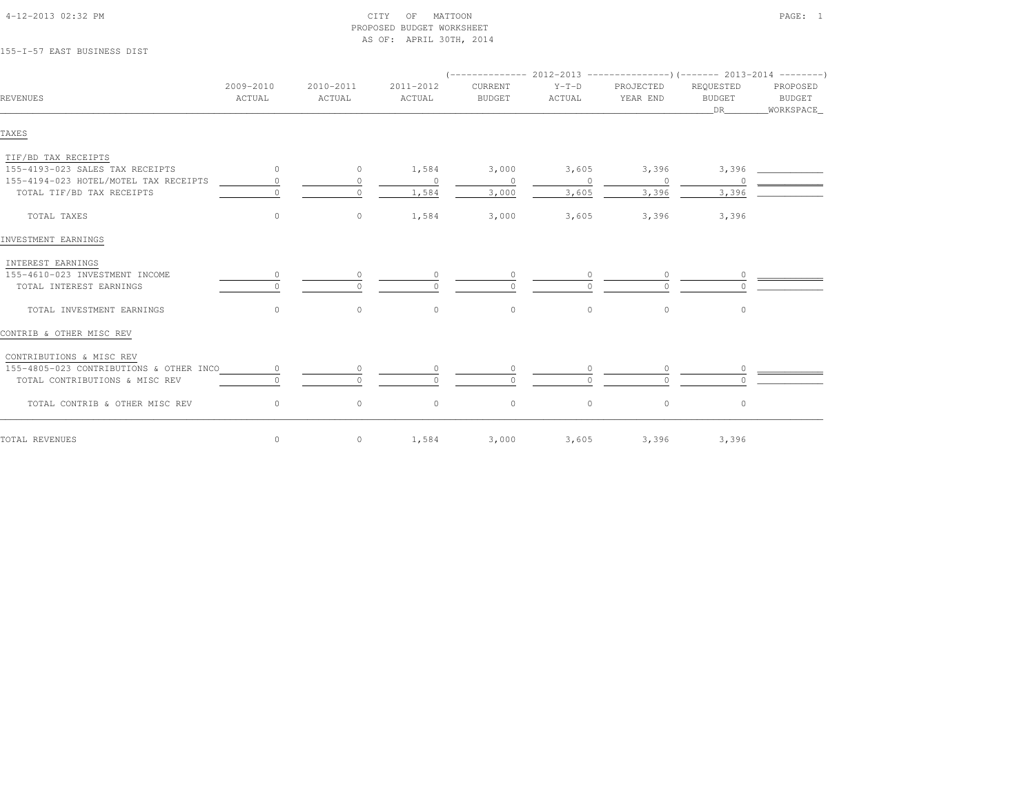| 4-12-2013 02:32 PM |  |
|--------------------|--|

#### $\text{CITY}$  of MATTOON PAGE: 1 PROPOSED BUDGET WORKSHEETAS OF: APRIL 30TH, 2014

## 155-I-57 EAST BUSINESS DIST

| REVENUES                                | 2009-2010<br>ACTUAL | 2010-2011<br>ACTUAL | 2011-2012<br>ACTUAL | CURRENT<br><b>BUDGET</b> | $Y-T-D$<br>ACTUAL | PROJECTED<br>YEAR END | REQUESTED<br><b>BUDGET</b><br>DR <sub>2</sub> | PROPOSED<br>BUDGET<br>_WORKSPACE_ |
|-----------------------------------------|---------------------|---------------------|---------------------|--------------------------|-------------------|-----------------------|-----------------------------------------------|-----------------------------------|
| TAXES                                   |                     |                     |                     |                          |                   |                       |                                               |                                   |
| TIF/BD TAX RECEIPTS                     |                     |                     |                     |                          |                   |                       |                                               |                                   |
| 155-4193-023 SALES TAX RECEIPTS         | $\overline{0}$      | $\circ$             | 1,584               | 3,000                    | 3,605             | 3,396                 | 3,396                                         |                                   |
| 155-4194-023 HOTEL/MOTEL TAX RECEIPTS   | $\Omega$            | $\Omega$            | $\Omega$            | $\circ$                  | $\circ$           | $\overline{0}$        |                                               |                                   |
| TOTAL TIF/BD TAX RECEIPTS               |                     | $\Omega$            | 1,584               | 3,000                    | 3,605             | 3,396                 | 3,396                                         |                                   |
| TOTAL TAXES                             | $\circ$             | $\circ$             | 1,584               | 3,000                    | 3,605             | 3,396                 | 3,396                                         |                                   |
| INVESTMENT EARNINGS                     |                     |                     |                     |                          |                   |                       |                                               |                                   |
| INTEREST EARNINGS                       |                     |                     |                     |                          |                   |                       |                                               |                                   |
| 155-4610-023 INVESTMENT INCOME          | $\circ$             | $\circ$             | $\circ$             | $\circ$                  |                   |                       |                                               |                                   |
| TOTAL INTEREST EARNINGS                 |                     |                     |                     |                          |                   |                       |                                               |                                   |
| TOTAL INVESTMENT EARNINGS               | $\circ$             | $\circ$             | $\circ$             | $\circ$                  | $\circ$           | $\circ$               | $\circ$                                       |                                   |
| CONTRIB & OTHER MISC REV                |                     |                     |                     |                          |                   |                       |                                               |                                   |
| CONTRIBUTIONS & MISC REV                |                     |                     |                     |                          |                   |                       |                                               |                                   |
| 155-4805-023 CONTRIBUTIONS & OTHER INCO |                     | $\circ$             |                     | $\circ$                  |                   |                       |                                               |                                   |
| TOTAL CONTRIBUTIONS & MISC REV          |                     | $\Omega$            |                     | $\Omega$                 |                   |                       |                                               |                                   |
| TOTAL CONTRIB & OTHER MISC REV          | $\circ$             | $\circ$             | $\circ$             | $\mathbb O$              | $\circ$           | $\circ$               | $\circ$                                       |                                   |
| TOTAL REVENUES                          | $\circ$             | $\circ$             | 1,584               | 3,000                    | 3,605             |                       | 3,396 3,396                                   |                                   |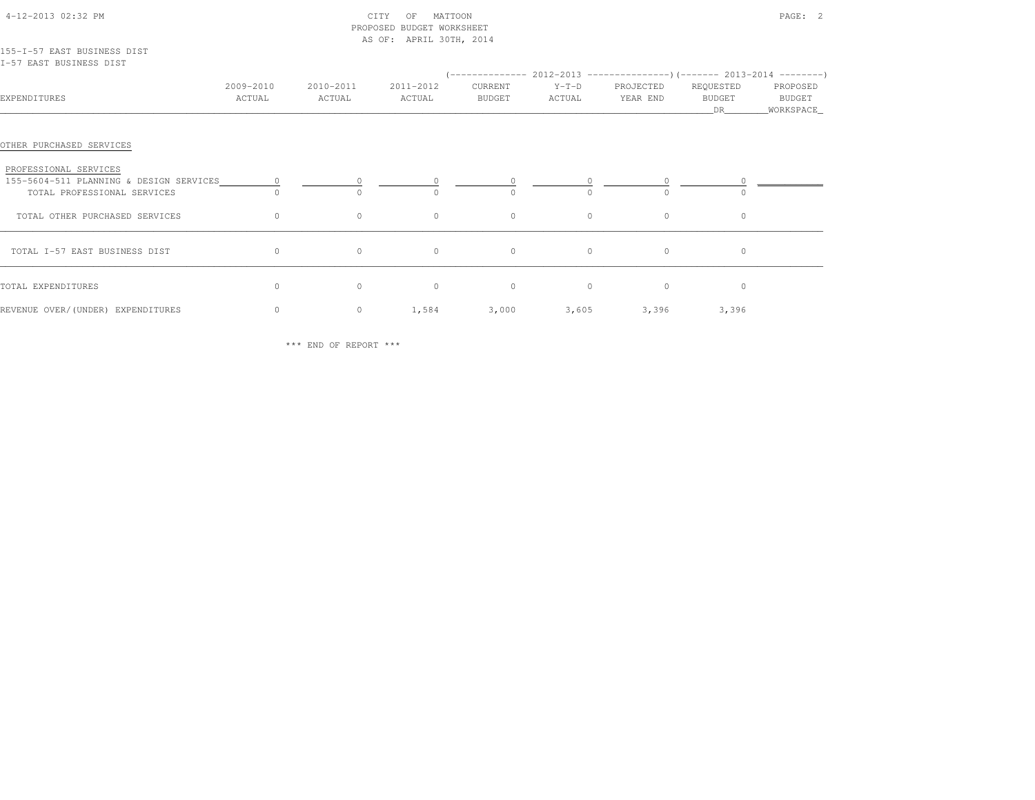|                                                                                                 |                     |                     | PROPOSED BUDGET WORKSHEET<br>AS OF: APRIL 30TH, 2014 |                   |                   |                       |                     |                    |
|-------------------------------------------------------------------------------------------------|---------------------|---------------------|------------------------------------------------------|-------------------|-------------------|-----------------------|---------------------|--------------------|
| 155-I-57 EAST BUSINESS DIST<br>I-57 EAST BUSINESS DIST                                          |                     |                     |                                                      |                   |                   |                       |                     |                    |
| EXPENDITURES                                                                                    | 2009-2010<br>ACTUAL | 2010-2011<br>ACTUAL | 2011-2012<br>ACTUAL                                  | CURRENT<br>BUDGET | $Y-T-D$<br>ACTUAL | PROJECTED<br>YEAR END | REQUESTED<br>BUDGET | PROPOSED<br>BUDGET |
| OTHER PURCHASED SERVICES                                                                        |                     |                     |                                                      |                   |                   |                       |                     |                    |
| PROFESSIONAL SERVICES<br>155-5604-511 PLANNING & DESIGN SERVICES<br>TOTAL PROFESSIONAL SERVICES | $\sim$ 0            | $\bigcap$           |                                                      |                   |                   | $\cap$                |                     |                    |
| TOTAL OTHER PURCHASED SERVICES                                                                  | $\circ$             | $\circ$             | $\circ$                                              | $\circ$           | $\circ$           | $\circ$               | $\circ$             |                    |
| TOTAL I-57 EAST BUSINESS DIST                                                                   | $\circ$             | $\circ$             | $\circ$                                              | $\circ$           | $\circ$           | $\circ$               | $\circ$             |                    |
| TOTAL EXPENDITURES                                                                              | $\circ$             | $\circ$             | $\circ$                                              | $\circ$           | $\circ$           | $\circ$               | $\circ$             |                    |
| REVENUE OVER/(UNDER) EXPENDITURES                                                               | $\circ$             | $\circ$             | 1,584                                                |                   | $3,000$ $3,605$   | 3,396                 | 3,396               |                    |

4-12-2013 02:32 PM CITY OF MATTOON PAGE: 2

\*\*\* END OF REPORT \*\*\*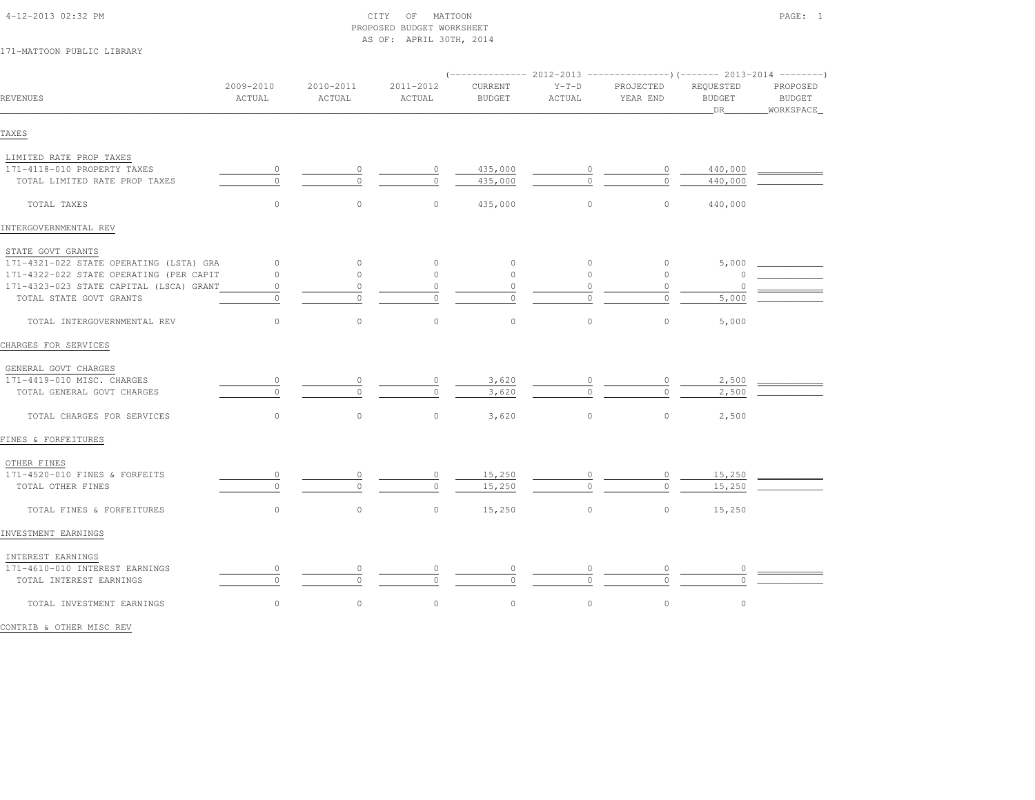| 4-12-2013 02:32 PM |  |
|--------------------|--|

#### $\text{CITY}$  of MATTOON PAGE: 1 PROPOSED BUDGET WORKSHEETAS OF: APRIL 30TH, 2014

## 171-MATTOON PUBLIC LIBRARY

|                                         |                     |                     |                     |                          |                   | $(----------2012-2013$ ---------------) (------- 2013-2014 -------) |                                  |                                          |
|-----------------------------------------|---------------------|---------------------|---------------------|--------------------------|-------------------|---------------------------------------------------------------------|----------------------------------|------------------------------------------|
| REVENUES                                | 2009-2010<br>ACTUAL | 2010-2011<br>ACTUAL | 2011-2012<br>ACTUAL | CURRENT<br><b>BUDGET</b> | $Y-T-D$<br>ACTUAL | PROJECTED<br>YEAR END                                               | REQUESTED<br><b>BUDGET</b><br>DR | PROPOSED<br><b>BUDGET</b><br>_WORKSPACE_ |
| TAXES                                   |                     |                     |                     |                          |                   |                                                                     |                                  |                                          |
| LIMITED RATE PROP TAXES                 |                     |                     |                     |                          |                   |                                                                     |                                  |                                          |
| 171-4118-010 PROPERTY TAXES             | $\circ$             | 0                   | $\circ$             | 435,000                  |                   | 0                                                                   | 440,000                          |                                          |
| TOTAL LIMITED RATE PROP TAXES           | $\circ$             | $\circ$             | $\circ$             | 435,000                  |                   |                                                                     | 440,000                          |                                          |
| TOTAL TAXES                             | $\circ$             | $\circ$             | $\circ$             | 435,000                  | $\circ$           | $\circ$                                                             | 440,000                          |                                          |
| INTERGOVERNMENTAL REV                   |                     |                     |                     |                          |                   |                                                                     |                                  |                                          |
| STATE GOVT GRANTS                       |                     |                     |                     |                          |                   |                                                                     |                                  |                                          |
| 171-4321-022 STATE OPERATING (LSTA) GRA | $\circ$             | 0                   | $\circ$             | $\circ$                  | $\circ$           | $\circ$                                                             | 5,000                            |                                          |
| 171-4322-022 STATE OPERATING (PER CAPIT | $\circ$             | $\circ$             | $\circ$             | $\circ$                  | $\circ$           | $\circ$                                                             |                                  |                                          |
| 171-4323-023 STATE CAPITAL (LSCA) GRANT | $\circ$             | $\circ$             | $\circ$             | $\circ$                  | $\circ$           | $\circ$                                                             | $\Omega$                         |                                          |
| TOTAL STATE GOVT GRANTS                 | $\circ$             | $\circ$             | $\circ$             | $\circ$                  | $\circ$           | $\circ$                                                             | 5,000                            |                                          |
| TOTAL INTERGOVERNMENTAL REV             | $\circ$             | $\mathbb O$         | $\circ$             | $\mathbb O$              | $\circ$           | $\circ$                                                             | 5,000                            |                                          |
| CHARGES FOR SERVICES                    |                     |                     |                     |                          |                   |                                                                     |                                  |                                          |
| GENERAL GOVT CHARGES                    |                     |                     |                     |                          |                   |                                                                     |                                  |                                          |
| 171-4419-010 MISC. CHARGES              | 0                   | 0                   |                     | 3,620                    |                   |                                                                     | 2,500                            |                                          |
| TOTAL GENERAL GOVT CHARGES              | $\circ$             | $\circ$             | $\circ$             | 3,620                    |                   | $\cap$                                                              | 2,500                            |                                          |
| TOTAL CHARGES FOR SERVICES              | $\circ$             | $\circ$             | $\circ$             | 3,620                    | $\circ$           | $\circ$                                                             | 2,500                            |                                          |
| FINES & FORFEITURES                     |                     |                     |                     |                          |                   |                                                                     |                                  |                                          |
| OTHER FINES                             |                     |                     |                     |                          |                   |                                                                     |                                  |                                          |
| 171-4520-010 FINES & FORFEITS           | $\circ$             | $\circ$             | $\circ$             | 15,250                   |                   | $\circ$                                                             | 15,250                           |                                          |
| TOTAL OTHER FINES                       | $\Omega$            | $\Omega$            | $\Omega$            | 15,250                   | $\Omega$          | $\Omega$                                                            | 15,250                           |                                          |
| TOTAL FINES & FORFEITURES               | $\circ$             | $\circ$             | $\circ$             | 15,250                   | $\circ$           | $\circ$                                                             | 15,250                           |                                          |
| INVESTMENT EARNINGS                     |                     |                     |                     |                          |                   |                                                                     |                                  |                                          |
| INTEREST EARNINGS                       |                     |                     |                     |                          |                   |                                                                     |                                  |                                          |
| 171-4610-010 INTEREST EARNINGS          | $\circ$             | $\circ$             |                     | 0                        |                   | 0                                                                   |                                  |                                          |
| TOTAL INTEREST EARNINGS                 | $\Omega$            | $\Omega$            | $\Omega$            | $\Omega$                 | $\Omega$          | $\cap$                                                              |                                  |                                          |
| TOTAL INVESTMENT EARNINGS               | $\circ$             | $\circ$             | $\circ$             | $\circ$                  | $\circ$           | $\circ$                                                             | $\circ$                          |                                          |
|                                         |                     |                     |                     |                          |                   |                                                                     |                                  |                                          |

CONTRIB & OTHER MISC REV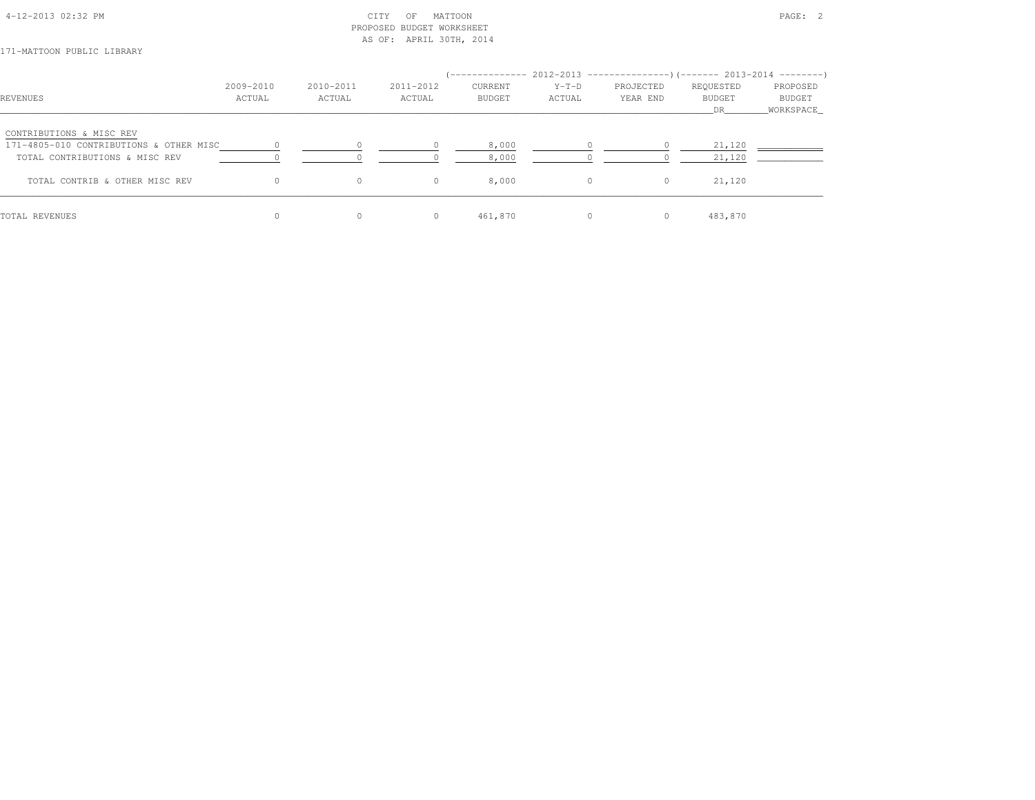| 4-12-2013 02:32 PM |  |
|--------------------|--|
|                    |  |

#### $\texttt{CITY}$  of MATTOON PAGE: 2 PROPOSED BUDGET WORKSHEETAS OF: APRIL 30TH, 2014

171-MATTOON PUBLIC LIBRARY

|                                         |           |           |           |               |          | ------------- 2012-2013 ----------------) (------- 2013-2014 --------) |               |           |
|-----------------------------------------|-----------|-----------|-----------|---------------|----------|------------------------------------------------------------------------|---------------|-----------|
|                                         | 2009-2010 | 2010-2011 | 2011-2012 | CURRENT       | $Y-T-D$  | PROJECTED                                                              | REQUESTED     | PROPOSED  |
| REVENUES                                | ACTUAL    | ACTUAL    | ACTUAL    | <b>BUDGET</b> | ACTUAL   | YEAR END                                                               | <b>BUDGET</b> | BUDGET    |
|                                         |           |           |           |               |          |                                                                        | DR            | WORKSPACE |
| CONTRIBUTIONS & MISC REV                |           |           |           |               |          |                                                                        |               |           |
| 171-4805-010 CONTRIBUTIONS & OTHER MISC |           |           |           | 8,000         |          |                                                                        | 21,120        |           |
| TOTAL CONTRIBUTIONS & MISC REV          |           |           |           | 8,000         |          |                                                                        | 21,120        |           |
| TOTAL CONTRIB & OTHER MISC REV          |           | 0         | $\circ$   | 8,000         | $\Omega$ | $\circ$                                                                | 21,120        |           |
| TOTAL REVENUES                          |           | 0         | $\circ$   | 461,870       | $\circ$  | $\circ$                                                                | 483,870       |           |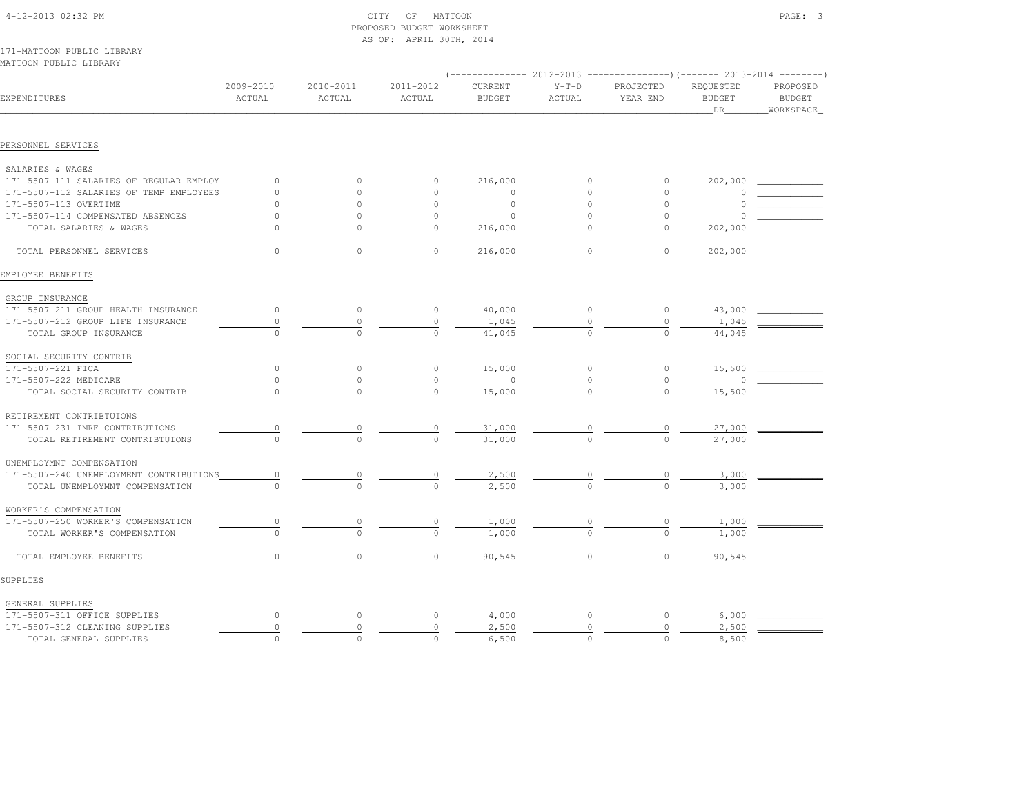| MATTOON PUBLIC LIBRARY                  |                     |                     |                     |                                 |                   |                       |                                  |                                         |  |
|-----------------------------------------|---------------------|---------------------|---------------------|---------------------------------|-------------------|-----------------------|----------------------------------|-----------------------------------------|--|
|                                         |                     |                     |                     |                                 |                   |                       |                                  |                                         |  |
| EXPENDITURES                            | 2009-2010<br>ACTUAL | 2010-2011<br>ACTUAL | 2011-2012<br>ACTUAL | <b>CURRENT</b><br><b>BUDGET</b> | $Y-T-D$<br>ACTUAL | PROJECTED<br>YEAR END | REQUESTED<br><b>BUDGET</b><br>DR | PROPOSED<br><b>BUDGET</b><br>WORKSPACE_ |  |
|                                         |                     |                     |                     |                                 |                   |                       |                                  |                                         |  |
| PERSONNEL SERVICES                      |                     |                     |                     |                                 |                   |                       |                                  |                                         |  |
| SALARIES & WAGES                        |                     |                     |                     |                                 |                   |                       |                                  |                                         |  |
| 171-5507-111 SALARIES OF REGULAR EMPLOY | $\circ$             | $\Omega$            | $\circ$             | 216,000                         | $\circ$           | $\circ$               | 202,000                          |                                         |  |
| 171-5507-112 SALARIES OF TEMP EMPLOYEES | $\circ$             | $\Omega$            | $\circ$             | $\circ$                         | $\circ$           | $\Omega$              |                                  |                                         |  |
| 171-5507-113 OVERTIME                   | $\circ$             | $\Omega$            | $\circ$             | $\circ$                         | $\circ$           | $\circ$               |                                  |                                         |  |
| 171-5507-114 COMPENSATED ABSENCES       | $\circ$             | $\Omega$            | $\circ$             | $\circ$                         | $\circ$           | $\Omega$              |                                  |                                         |  |
| TOTAL SALARIES & WAGES                  | $\Omega$            | $\Omega$            | $\circ$             | 216,000                         | $\Omega$          | $\circ$               | 202,000                          |                                         |  |
| TOTAL PERSONNEL SERVICES                | $\circ$             | $\circ$             | $\circ$             | 216,000                         | $\circ$           | $\circ$               | 202,000                          |                                         |  |
| EMPLOYEE BENEFITS                       |                     |                     |                     |                                 |                   |                       |                                  |                                         |  |
| GROUP INSURANCE                         |                     |                     |                     |                                 |                   |                       |                                  |                                         |  |
| 171-5507-211 GROUP HEALTH INSURANCE     | $\circ$             | $\circ$             | $\circ$             | 40,000                          | $\circ$           | $\circ$               | 43,000                           |                                         |  |
| 171-5507-212 GROUP LIFE INSURANCE       | 0                   | $\circ$             | $\circ$             | 1,045                           | $\circ$           | $\circ$               | 1,045                            |                                         |  |
| TOTAL GROUP INSURANCE                   |                     | $\cap$              | $\Omega$            | 41,045                          | $\Omega$          | $\Omega$              | 44,045                           |                                         |  |
| SOCIAL SECURITY CONTRIB                 |                     |                     |                     |                                 |                   |                       |                                  |                                         |  |
| 171-5507-221 FICA                       | $\circ$             | $\circ$             | $\circ$             | 15,000                          | $\circ$           | $\circ$               | 15,500                           |                                         |  |
| 171-5507-222 MEDICARE                   | $\Omega$            | $\Omega$            | $\circ$             | $\circ$                         | $\circ$           | $\circ$               |                                  |                                         |  |
| TOTAL SOCIAL SECURITY CONTRIB           |                     | $\cap$              | $\cap$              | 15,000                          |                   |                       | 15,500                           |                                         |  |
| RETIREMENT CONTRIBTUIONS                |                     |                     |                     |                                 |                   |                       |                                  |                                         |  |
| 171-5507-231 IMRF CONTRIBUTIONS         |                     |                     | $\circ$             | 31,000                          |                   |                       | 27,000                           |                                         |  |
| TOTAL RETIREMENT CONTRIBTUIONS          |                     | $\cap$              | $\cap$              | 31,000                          | $\cap$            |                       | 27,000                           |                                         |  |
| UNEMPLOYMNT COMPENSATION                |                     |                     |                     |                                 |                   |                       |                                  |                                         |  |
| 171-5507-240 UNEMPLOYMENT CONTRIBUTIONS | 0                   | 0                   | $\circ$             | 2,500                           | 0                 |                       | 3,000                            |                                         |  |
| TOTAL UNEMPLOYMNT COMPENSATION          |                     | $\cap$              | $\Omega$            | 2,500                           | $\Omega$          |                       | 3,000                            |                                         |  |
| WORKER'S COMPENSATION                   |                     |                     |                     |                                 |                   |                       |                                  |                                         |  |
| 171-5507-250 WORKER'S COMPENSATION      | 0                   | 0                   | 0                   | 1,000                           |                   |                       | 1,000                            |                                         |  |
| TOTAL WORKER'S COMPENSATION             | $\Omega$            | $\cap$              | $\Omega$            | 1,000                           | $\Omega$          |                       | 1,000                            |                                         |  |
| TOTAL EMPLOYEE BENEFITS                 | $\circ$             | $\circ$             | $\circ$             | 90,545                          | $\circ$           | $\circ$               | 90,545                           |                                         |  |
| SUPPLIES                                |                     |                     |                     |                                 |                   |                       |                                  |                                         |  |
| GENERAL SUPPLIES                        |                     |                     |                     |                                 |                   |                       |                                  |                                         |  |
| 171-5507-311 OFFICE SUPPLIES            | $\circ$             | $\circ$             | $\circ$             | 4,000                           | $\circ$           | $\circ$               | 6,000                            |                                         |  |
| 171-5507-312 CLEANING SUPPLIES          | $\circ$             | $\circ$             | $\circ$             | 2,500                           | $\circ$           | $\circ$               | 2,500                            |                                         |  |
| TOTAL GENERAL SUPPLIES                  | $\Omega$            | $\Omega$            | $\bigcap$           | 6,500                           | $\circ$           | $\Omega$              | 8,500                            |                                         |  |

171-MATTOON PUBLIC LIBRARY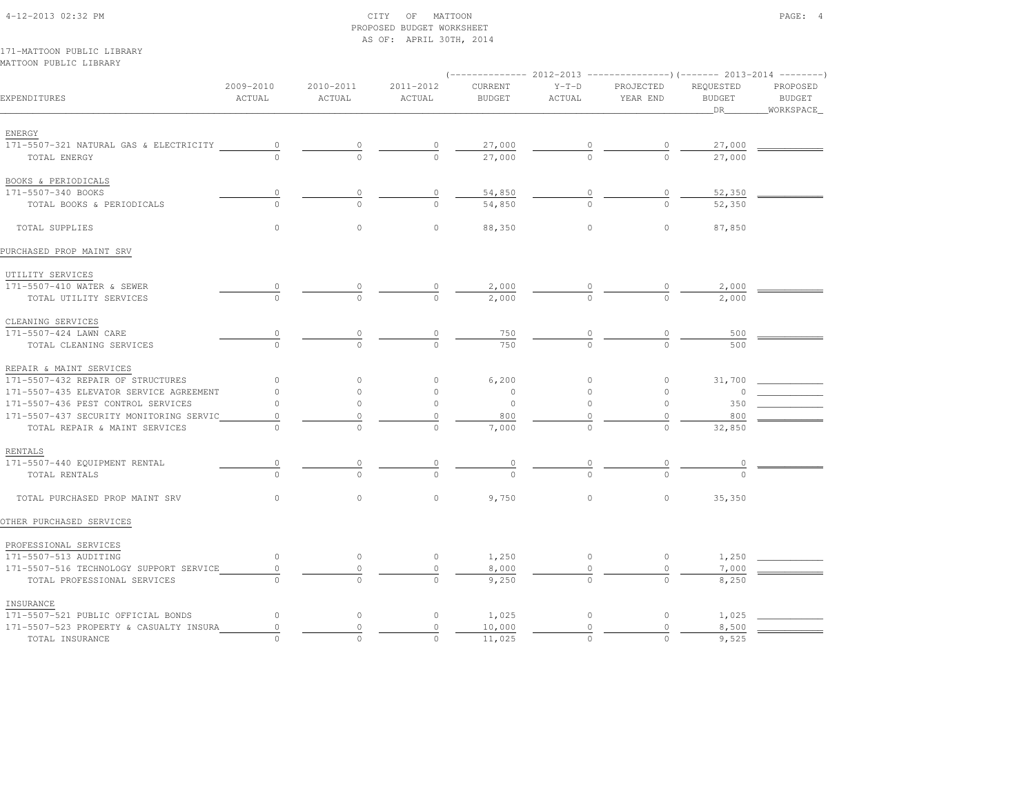4-12-2013 02:32 PM CITY OF MATTOON PAGE: 4 PROPOSED BUDGET WORKSHEET AS OF: APRIL 30TH, 2014171-MATTOON PUBLIC LIBRARYMATTOON PUBLIC LIBRARY $(-------2012-2013$   $---------2013-2014$  2009-2010 2010-2011 2011-2012 CURRENT Y-T-D PROJECTED REQUESTED PROPOSEDEXPENDITURES ACTUAL ACTUAL ACTUAL BUDGET ACTUAL YEAR END BUDGET BUDGET\_\_\_\_\_\_\_\_\_\_\_\_\_\_\_\_\_\_\_\_\_\_\_\_\_\_\_\_\_\_\_\_\_\_\_\_\_\_\_\_\_\_\_\_\_\_\_\_\_\_\_\_\_\_\_\_\_\_\_\_\_\_\_\_\_\_\_\_\_\_\_\_\_\_\_\_\_\_\_\_\_\_\_\_\_\_\_\_\_\_\_\_\_\_\_\_\_\_\_\_\_\_\_\_\_\_\_\_\_\_\_\_\_\_\_\_\_\_\_\_\_\_\_\_\_\_\_\_\_\_DR\_\_\_\_\_\_\_\_WORKSPACE\_ ENERGY171-5507-321 NATURAL GAS & ELECTRICITY  $0$  0 0  $27,000$  0 0  $27,000$  0  $27,000$   $-$  TOTAL ENERGY 0 0 0 27,000 0 0 27,000 BOOKS & PERIODICALS171-5507-340 BOOKS 171-5507-340 BOOKS 0 0 0 54,850 0 0 52,350 \_\_\_\_\_\_\_\_\_\_\_\_ TOTAL BOOKS & PERIODICALS 0 0 0 54,850 0 0 52,350 TOTAL SUPPLIES 0 0 0 88,350 0 0 87,850PURCHASED PROP MAINT SRV UTILITY SERVICES171-5507-410 WATER & SEWER 171-5507-410 WATER & SEWER 0 0 0 2,000 0 0 2,000 \_\_\_\_\_\_\_\_\_\_\_\_ TOTAL UTILITY SERVICES 0 0 0 2,000 0 0 2,000 CLEANING SERVICES171-5507-424 LAWN CARE 171-5507-424 LAWN CARE 0 0 0 750 0 0 500 \_\_\_\_\_\_\_\_\_\_\_\_ TOTAL CLEANING SERVICES 0 0 0 750 0 0 500 REPAIR & MAINT SERVICES 171-5507-432 REPAIR OF STRUCTURES 0 0 0 6,200 0 0 31,700 \_\_\_\_\_\_\_\_\_\_\_\_171–5507–435 ELEVATOR SERVICE AGREEMENT  $\begin{matrix} 0 & 0 & 0 & 0 & 0 & 0 \end{matrix}$ 171-5507-436 PEST CONTROL SERVICES 0<br>171-5507-437 SECURITY MONITORING SERVIC 0 0 0 0 0 0 0 0 0 0 350<br>TOTAL REPAIR & MAINT SERVICES 0 0 0 0 7,000 0 0 0 0 32,850 171-5507-437 SECURITY MONITORING SERVIC  $\begin{array}{cccc} 0 & \cdots & 0 \\ 0 & 0 & 0 \\ 0 & 0 & 0 \end{array}$   $\begin{array}{cccc} 0 & 800 \\ \hline 7,000 & 0 \\ 0 & 0 & 0 \end{array}$  TOTAL REPAIR & MAINT SERVICES 0 0 0 7,000 0 0 32,850 RENTALS171-5507-440 EQUIPMENT RENTAL 171-5507-440 EQUIPMENT RENTAL 0 0 0 0 0 0 0 \_\_\_\_\_\_\_\_\_\_\_\_ $\frac{0}{2}$  TOTAL RENTALS 0 0 0 0 0 0 0 TOTAL PURCHASED PROP MAINT SRV 0 0 0 9,750 0 0 35,350OTHER PURCHASED SERVICES PROFESSIONAL SERVICES 171-5507-513 AUDITING 0 0 0 1,250 0 0 1,250 \_\_\_\_\_\_\_\_\_\_\_\_ 171-5507-516 TECHNOLOGY SUPPORT SERVICE 0 0 0 8,000 0 0 7,000 \_\_\_\_\_\_\_\_\_\_\_\_TOTAL PROFESSIONAL SERVICES  $\overline{0}$   $\overline{0}$   $\overline{0}$   $\overline{0}$   $\overline{9,250}$   $\overline{0}$   $\overline{0}$   $\overline{0}$   $\overline{0}$  8,250

 INSURANCE171-5507-521 PUBLIC OFFICIAL BONDS 0 0 1,025 0 0 1,025 171-5507-523 PROPERTY & CASUALTY INSURA 0 0 0 10,000 0 0 8,500 \_\_\_\_\_\_\_\_\_\_\_\_TOTAL INSURANCE  $\frac{1}{0}$  0 0 0 0 0 0 0 0 0 0 0 0 0 0 0 9,525

**BUDGET** 

WORKSPACE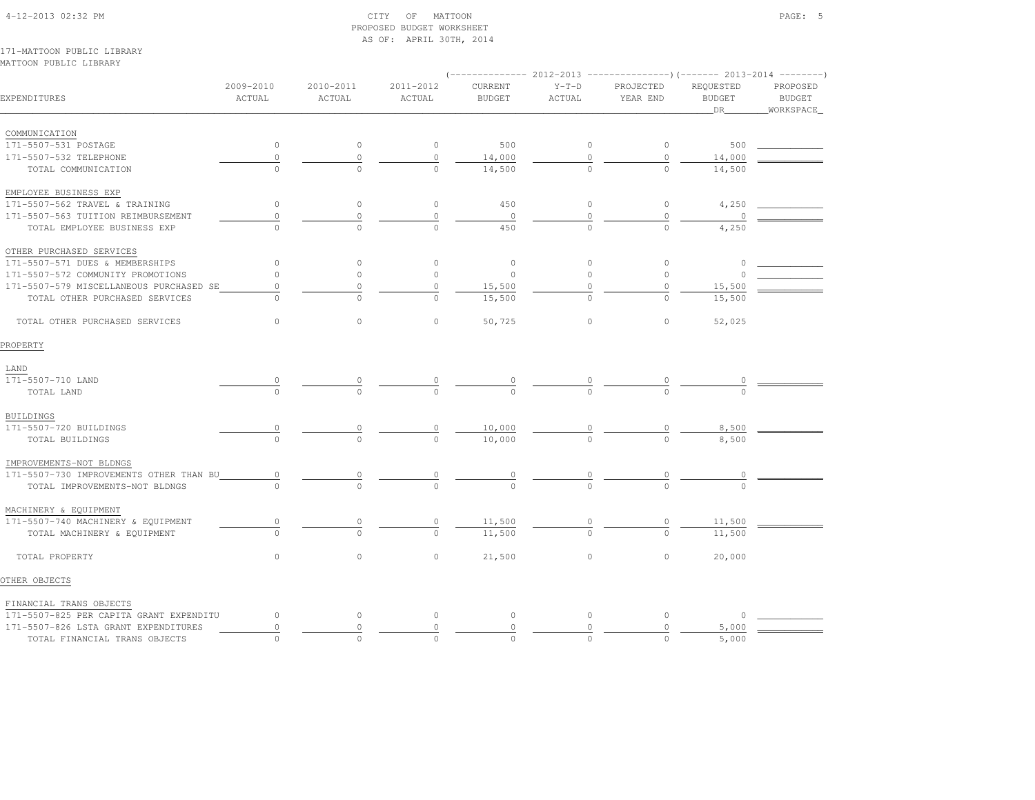#### 4-12-2013 02:32 PM CITY OF MATTOON PAGE: 5 PROPOSED BUDGET WORKSHEETAS OF: APRIL 30TH, 2014

171-MATTOON PUBLIC LIBRARYMATTOON PUBLIC LIBRARY

|                                         |                     |                     |                     | $(---------- 2012-2013$ ---------------)(------- 2013-2014 --------) |                   |                       |                                  |                                        |
|-----------------------------------------|---------------------|---------------------|---------------------|----------------------------------------------------------------------|-------------------|-----------------------|----------------------------------|----------------------------------------|
| EXPENDITURES                            | 2009-2010<br>ACTUAL | 2010-2011<br>ACTUAL | 2011-2012<br>ACTUAL | CURRENT<br><b>BUDGET</b>                                             | $Y-T-D$<br>ACTUAL | PROJECTED<br>YEAR END | REQUESTED<br><b>BUDGET</b><br>DR | PROPOSED<br><b>BUDGET</b><br>WORKSPACE |
| COMMUNICATION                           |                     |                     |                     |                                                                      |                   |                       |                                  |                                        |
| 171-5507-531 POSTAGE                    | $\circ$             | $\circ$             | $\circ$             | 500                                                                  | 0                 | 0                     | 500                              |                                        |
| 171-5507-532 TELEPHONE                  | $\mathbb O$         | $\mathbb O$         | $\circ$             | 14,000                                                               | $\mathbb O$       | $\circ$               | 14,000                           |                                        |
| TOTAL COMMUNICATION                     | $\Omega$            |                     | $\cap$              | 14,500                                                               |                   | $\Omega$              | 14,500                           |                                        |
| EMPLOYEE BUSINESS EXP                   |                     |                     |                     |                                                                      |                   |                       |                                  |                                        |
| 171-5507-562 TRAVEL & TRAINING          | $\circ$             | $\circ$             | $\circ$             | 450                                                                  | $\circ$           | 0                     | 4,250                            |                                        |
| 171-5507-563 TUITION REIMBURSEMENT      | $\mathbb O$         | $\mathbb O$         | $\circ$             | $\circ$                                                              | $\mathbb O$       | $\mathbb O$           |                                  |                                        |
| TOTAL EMPLOYEE BUSINESS EXP             |                     | $\cap$              | $\cap$              | 450                                                                  |                   |                       | 4,250                            |                                        |
| OTHER PURCHASED SERVICES                |                     |                     |                     |                                                                      |                   |                       |                                  |                                        |
| 171-5507-571 DUES & MEMBERSHIPS         | $\circ$             | $\circ$             | $\circ$             | $\circ$                                                              | $\circ$           | $\circ$               | $\circ$                          |                                        |
| 171-5507-572 COMMUNITY PROMOTIONS       | $\circ$             | $\circ$             | $\circ$             | $\circ$                                                              | $\circ$           | $\circ$               | $\circ$                          |                                        |
| 171-5507-579 MISCELLANEOUS PURCHASED SE | 0                   | $\circ$             | 0                   | 15,500                                                               | $\Omega$          | 0                     | 15,500                           |                                        |
| TOTAL OTHER PURCHASED SERVICES          | $\Omega$            | $\Omega$            | $\Omega$            | 15,500                                                               |                   | $\circ$               | 15,500                           |                                        |
| TOTAL OTHER PURCHASED SERVICES          | $\circ$             | $\circ$             | $\circ$             | 50,725                                                               | $\circ$           | $\circ$               | 52,025                           |                                        |
| PROPERTY                                |                     |                     |                     |                                                                      |                   |                       |                                  |                                        |
| LAND                                    |                     |                     |                     |                                                                      |                   |                       |                                  |                                        |
| 171-5507-710 LAND                       |                     |                     |                     |                                                                      |                   |                       |                                  |                                        |
| TOTAL LAND                              |                     |                     |                     |                                                                      |                   |                       |                                  |                                        |
| <b>BUILDINGS</b>                        |                     |                     |                     |                                                                      |                   |                       |                                  |                                        |
| 171-5507-720 BUILDINGS                  |                     |                     | $\frac{0}{0}$       | 10,000                                                               | $\frac{0}{0}$     | $\frac{0}{0}$         | 8,500                            |                                        |
| TOTAL BUILDINGS                         |                     | $\Omega$            |                     | 10,000                                                               |                   |                       | 8,500                            |                                        |
| IMPROVEMENTS-NOT BLDNGS                 |                     |                     |                     |                                                                      |                   |                       |                                  |                                        |
| 171-5507-730 IMPROVEMENTS OTHER THAN BU | 0                   | 0                   | $\overline{0}$      | $\frac{0}{0}$                                                        | $\frac{0}{0}$     | $\overline{0}$        |                                  |                                        |
| TOTAL IMPROVEMENTS-NOT BLDNGS           |                     |                     | $\Omega$            |                                                                      |                   |                       |                                  |                                        |
| MACHINERY & EQUIPMENT                   |                     |                     |                     |                                                                      |                   |                       |                                  |                                        |
| 171-5507-740 MACHINERY & EQUIPMENT      | 0                   | 0                   | $\circ$             | 11,500                                                               |                   | $\overline{0}$        | 11,500                           |                                        |
| TOTAL MACHINERY & EQUIPMENT             |                     | $\cap$              | $\Omega$            | 11,500                                                               |                   |                       | 11,500                           |                                        |
| TOTAL PROPERTY                          | $\circ$             | $\circ$             | $\circ$             | 21,500                                                               | $\circ$           | $\circ$               | 20,000                           |                                        |
| OTHER OBJECTS                           |                     |                     |                     |                                                                      |                   |                       |                                  |                                        |
| FINANCIAL TRANS OBJECTS                 |                     |                     |                     |                                                                      |                   |                       |                                  |                                        |
| 171-5507-825 PER CAPITA GRANT EXPENDITU | $\circ$             | $\circ$             | $\circ$             | $\circ$                                                              | $\circ$           | $\circ$               | $\Omega$                         |                                        |
| 171-5507-826 LSTA GRANT EXPENDITURES    | $\circ$             | $\circ$             | $\circ$             | $\mathbb O$                                                          | 0                 | $\circ$               | 5,000                            |                                        |
| TOTAL FINANCIAL TRANS OBJECTS           | $\Omega$            | $\Omega$            | $\Omega$            | $\Omega$                                                             | $\Omega$          | $\Omega$              | 5,000                            |                                        |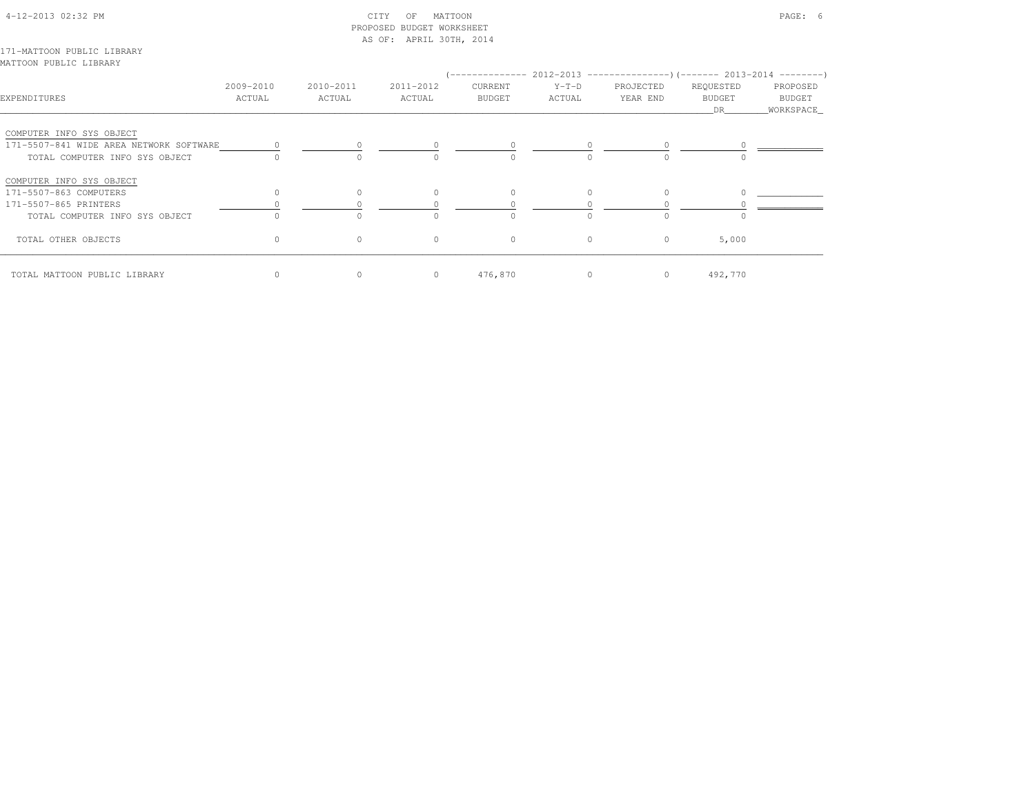### 4-12-2013 02:32 PM CITY OF MATTOON PAGE: 6 PROPOSED BUDGET WORKSHEETAS OF: APRIL 30TH, 2014

171-MATTOON PUBLIC LIBRARYMATTOON PUBLIC LIBRARY

| EXPENDITURES                            | 2009-2010<br>ACTUAL | 2010-2011<br>ACTUAL | 2011-2012<br>ACTUAL | CURRENT<br><b>BUDGET</b> | (-------------- 2012-2013 ----------------) (------- 2013-2014 ---------)<br>$Y-T-D$<br>ACTUAL | PROJECTED<br>YEAR END | REQUESTED<br><b>BUDGET</b><br>DR | PROPOSED<br>BUDGET<br>WORKSPACE |
|-----------------------------------------|---------------------|---------------------|---------------------|--------------------------|------------------------------------------------------------------------------------------------|-----------------------|----------------------------------|---------------------------------|
| COMPUTER INFO SYS OBJECT                |                     |                     |                     |                          |                                                                                                |                       |                                  |                                 |
| 171-5507-841 WIDE AREA NETWORK SOFTWARE |                     |                     |                     |                          |                                                                                                |                       |                                  |                                 |
| TOTAL COMPUTER INFO SYS OBJECT          |                     | $\Omega$            |                     | $\Omega$                 |                                                                                                |                       |                                  |                                 |
| COMPUTER INFO SYS OBJECT                |                     |                     |                     |                          |                                                                                                |                       |                                  |                                 |
| 171-5507-863 COMPUTERS                  | 0                   | 0                   |                     | $\mathbf{0}$             | $\Omega$                                                                                       |                       |                                  |                                 |
| 171-5507-865 PRINTERS                   |                     |                     |                     |                          |                                                                                                |                       |                                  |                                 |
| TOTAL COMPUTER INFO SYS OBJECT          | O                   | $\Omega$            |                     | $\Omega$                 | $\Omega$                                                                                       | $\cap$                |                                  |                                 |
| TOTAL OTHER OBJECTS                     | 0                   | $\circ$             | $\circ$             | $\circ$                  | $\circ$                                                                                        | $\circ$               | 5,000                            |                                 |
| TOTAL MATTOON PUBLIC LIBRARY            | 0                   | $\circ$             | $\circ$             | 476,870                  | $\circ$                                                                                        | $\circ$               | 492,770                          |                                 |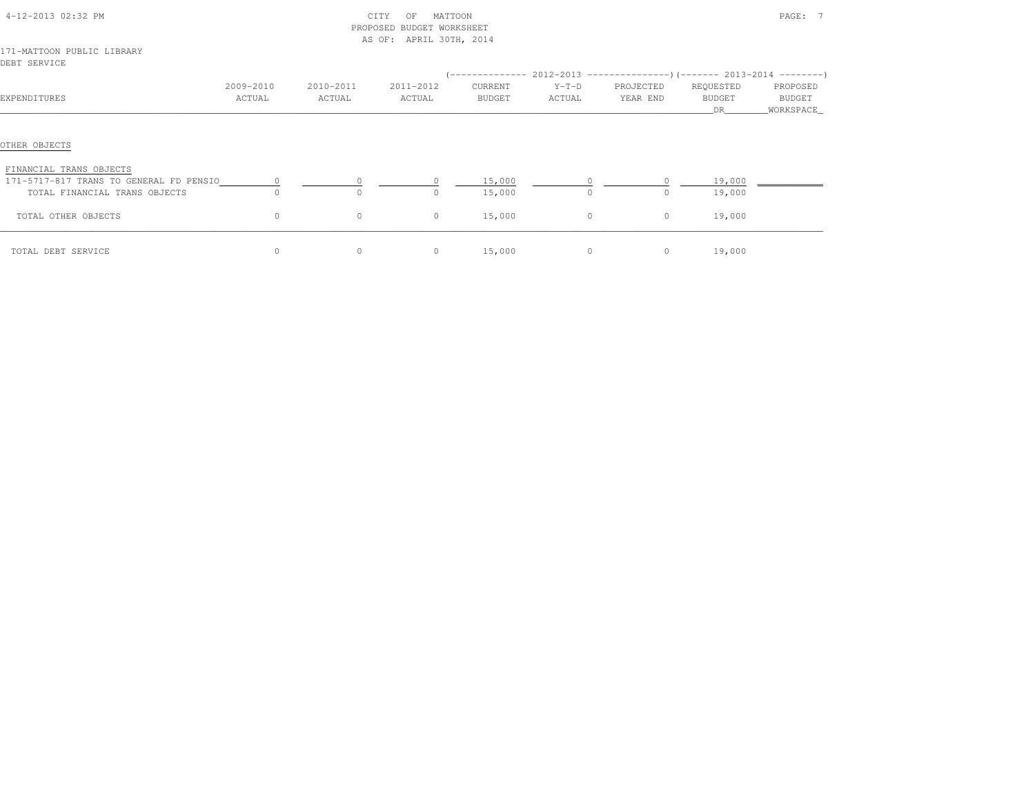| 4-12-2013 02:32 PM                                                 |                     |                     | CITY<br>MATTOON<br>OF<br>PROPOSED BUDGET WORKSHEET<br>AS OF: APRIL 30TH, 2014 |                   |                   |                       |                            | PAGE: 7            |
|--------------------------------------------------------------------|---------------------|---------------------|-------------------------------------------------------------------------------|-------------------|-------------------|-----------------------|----------------------------|--------------------|
| 171-MATTOON PUBLIC LIBRARY<br>DEBT SERVICE                         |                     |                     |                                                                               |                   |                   |                       |                            |                    |
| EXPENDITURES                                                       | 2009-2010<br>ACTUAL | 2010-2011<br>ACTUAL | 2011-2012<br>ACTUAL                                                           | CURRENT<br>BUDGET | $Y-T-D$<br>ACTUAL | PROJECTED<br>YEAR END | REQUESTED<br><b>BUDGET</b> | PROPOSED<br>BUDGET |
|                                                                    |                     |                     |                                                                               |                   |                   |                       | DR                         | WORKSPACE          |
| OTHER OBJECTS                                                      |                     |                     |                                                                               |                   |                   |                       |                            |                    |
| FINANCIAL TRANS OBJECTS<br>171-5717-817 TRANS TO GENERAL FD PENSIO | $\circ$             |                     |                                                                               | 15,000            | $\circ$           | $\circ$               | 19,000                     |                    |
| TOTAL FINANCIAL TRANS OBJECTS                                      | $\Omega$            | $\Omega$            | O.                                                                            | 15,000            | $\Omega$          | $\Omega$              | 19,000                     |                    |
| TOTAL OTHER OBJECTS                                                | $\circ$             | $\circ$             | $\circ$                                                                       | 15,000            | $\circ$           | $\circ$               | 19,000                     |                    |
| TOTAL DEBT SERVICE                                                 | $\circ$             | $\circ$             | $\circ$                                                                       | 15,000            | $\circ$           | $\circ$               | 19,000                     |                    |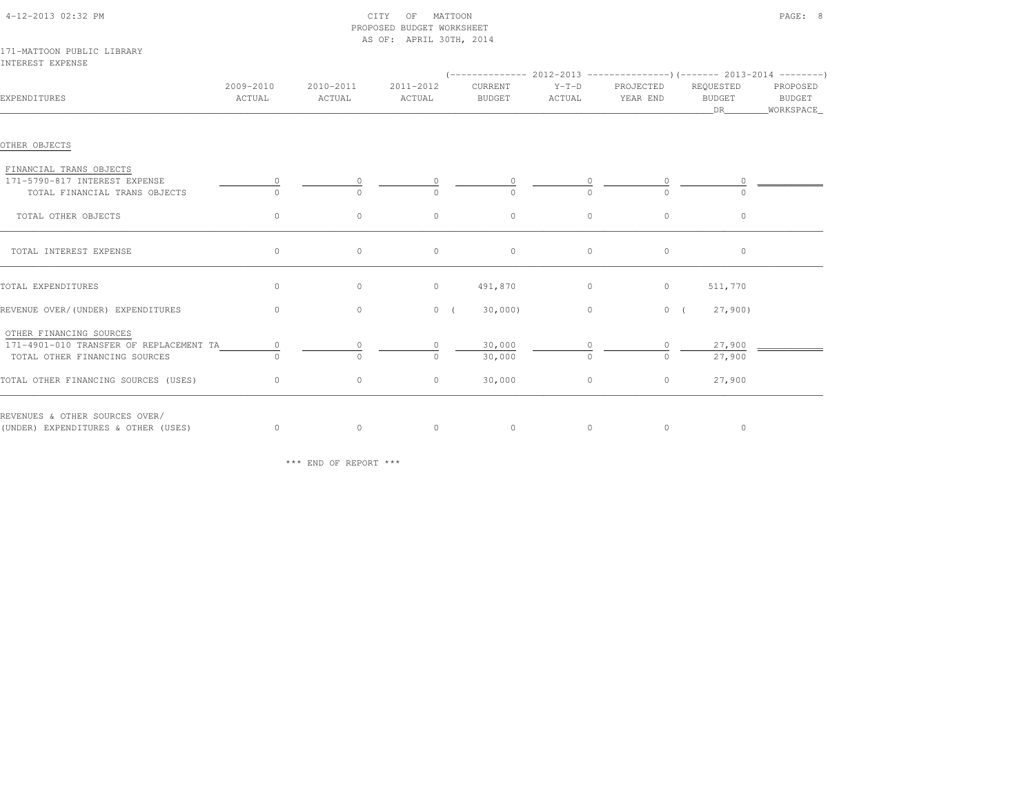|                                                                |                     |                     | RKOROSED BODGEI MOKKSHEEI<br>AS OF: APRIL 30TH, 2014 |                          |                   |                       |                                  |                                   |
|----------------------------------------------------------------|---------------------|---------------------|------------------------------------------------------|--------------------------|-------------------|-----------------------|----------------------------------|-----------------------------------|
| 171-MATTOON PUBLIC LIBRARY<br>INTEREST EXPENSE                 |                     |                     |                                                      |                          |                   |                       |                                  |                                   |
| EXPENDITURES                                                   | 2009-2010<br>ACTUAL | 2010-2011<br>ACTUAL | 2011-2012<br>ACTUAL                                  | CURRENT<br><b>BUDGET</b> | $Y-T-D$<br>ACTUAL | PROJECTED<br>YEAR END | REQUESTED<br><b>BUDGET</b><br>DR | PROPOSED<br>BUDGET<br>_WORKSPACE_ |
| OTHER OBJECTS                                                  |                     |                     |                                                      |                          |                   |                       |                                  |                                   |
| FINANCIAL TRANS OBJECTS                                        |                     |                     |                                                      |                          |                   |                       |                                  |                                   |
| 171-5790-817 INTEREST EXPENSE<br>TOTAL FINANCIAL TRANS OBJECTS |                     | $\cap$              | $\cap$                                               |                          | $\Omega$          | 0<br>$\cap$           |                                  |                                   |
| TOTAL OTHER OBJECTS                                            | $\circ$             | $\circ$             | $\circ$                                              | $\circ$                  | $\circ$           | $\circ$               | $\circ$                          |                                   |
| TOTAL INTEREST EXPENSE                                         | 0                   | $\circ$             | $\circ$                                              | $\circ$                  | $\circ$           | $\circ$               | $\circ$                          |                                   |
| TOTAL EXPENDITURES                                             | $\circ$             | $\circ$             | $\circ$                                              | 491,870                  | $\circ$           | $\circ$               | 511,770                          |                                   |
| REVENUE OVER/(UNDER) EXPENDITURES                              | $\circ$             | $\circ$             | 0(                                                   | 30,000                   | $\circ$           | 0(                    | 27,900                           |                                   |
| OTHER FINANCING SOURCES                                        |                     |                     |                                                      |                          |                   |                       |                                  |                                   |
| 171-4901-010 TRANSFER OF REPLACEMENT TA                        | 0                   | 0                   |                                                      | 30,000                   | $\circ$           | $\circ$               | 27,900                           |                                   |
| TOTAL OTHER FINANCING SOURCES                                  | $\cap$              | $\bigcap$           | $\bigcap$                                            | 30,000                   | $\Omega$          | $\Omega$              | 27,900                           |                                   |
| TOTAL OTHER FINANCING SOURCES (USES)                           | $\circ$             | $\circ$             | $\circ$                                              | 30,000                   | $\circ$           | $\circ$               | 27,900                           |                                   |
| REVENUES & OTHER SOURCES OVER/                                 |                     |                     |                                                      |                          |                   |                       |                                  |                                   |
| (UNDER) EXPENDITURES & OTHER (USES)                            | $\circ$             | $\circ$             | $\circ$                                              | $\circ$                  | $\circ$           | $\circ$               | $\circ$                          |                                   |

\*\*\* END OF REPORT \*\*\*

# 171-MATTOON PUBLIC LIBRARY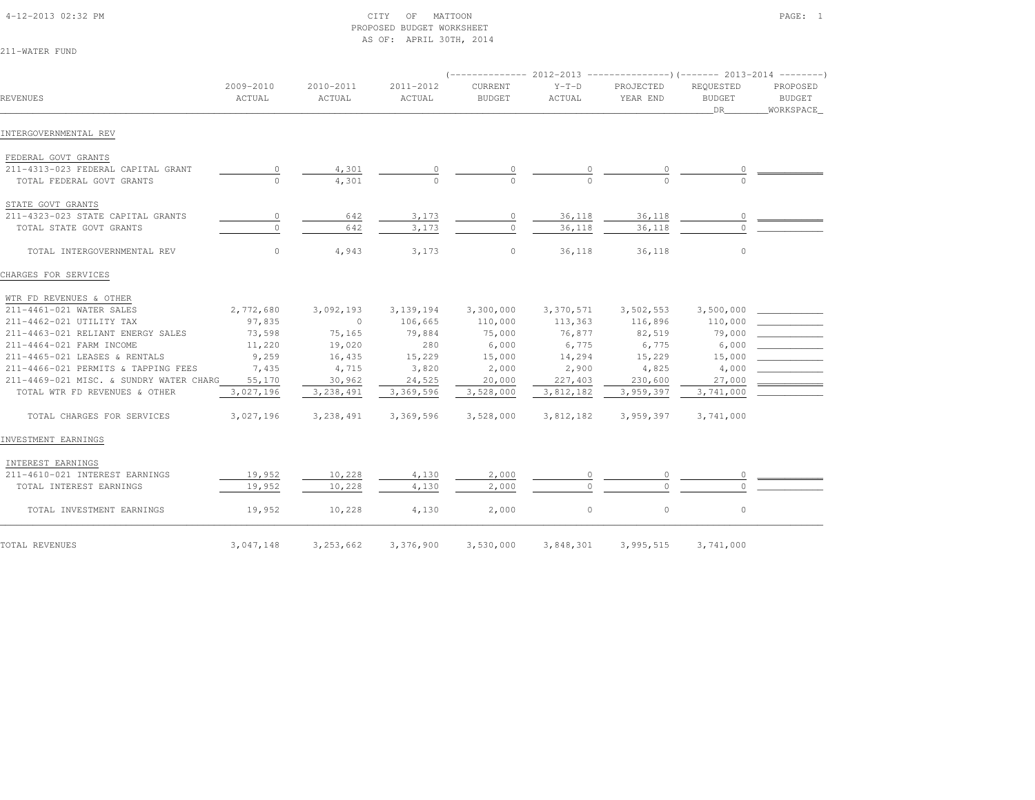#### 4-12-2013 02:32 PM CITY OF MATTOON PAGE: 1 PROPOSED BUDGET WORKSHEETAS OF: APRIL 30TH, 2014

211-WATER FUND

|                                         |                     |                     |                     | $(---------- 2012-2013$ ----------------) (------- 2013-2014 --------) |                   |                       |                                  |                                        |
|-----------------------------------------|---------------------|---------------------|---------------------|------------------------------------------------------------------------|-------------------|-----------------------|----------------------------------|----------------------------------------|
| REVENUES                                | 2009-2010<br>ACTUAL | 2010-2011<br>ACTUAL | 2011-2012<br>ACTUAL | CURRENT<br><b>BUDGET</b>                                               | $Y-T-D$<br>ACTUAL | PROJECTED<br>YEAR END | REOUESTED<br><b>BUDGET</b><br>DR | PROPOSED<br><b>BUDGET</b><br>WORKSPACE |
| INTERGOVERNMENTAL REV                   |                     |                     |                     |                                                                        |                   |                       |                                  |                                        |
| FEDERAL GOVT GRANTS                     |                     |                     |                     |                                                                        |                   |                       |                                  |                                        |
| 211-4313-023 FEDERAL CAPITAL GRANT      | 0                   | 4,301               |                     |                                                                        |                   |                       |                                  |                                        |
| TOTAL FEDERAL GOVT GRANTS               | $\Omega$            | 4,301               | $\cap$              | $\cap$                                                                 |                   | $\cap$                |                                  |                                        |
| STATE GOVT GRANTS                       |                     |                     |                     |                                                                        |                   |                       |                                  |                                        |
| 211-4323-023 STATE CAPITAL GRANTS       | 0                   | 642                 | 3,173               | $\circ$                                                                | 36,118            | 36,118                | $\circ$                          |                                        |
| TOTAL STATE GOVT GRANTS                 | $\circ$             | 642                 | 3,173               | $\circ$                                                                | 36,118            | 36,118                | $\Omega$                         |                                        |
| TOTAL INTERGOVERNMENTAL REV             | $\circ$             | 4,943               | 3,173               | $\circ$                                                                | 36,118            | 36,118                | $\circ$                          |                                        |
| CHARGES FOR SERVICES                    |                     |                     |                     |                                                                        |                   |                       |                                  |                                        |
| WTR FD REVENUES & OTHER                 |                     |                     |                     |                                                                        |                   |                       |                                  |                                        |
| 211-4461-021 WATER SALES                | 2,772,680           | 3,092,193           | 3, 139, 194         | 3,300,000                                                              | 3,370,571         | 3,502,553             | 3,500,000                        |                                        |
| 211-4462-021 UTILITY TAX                | 97,835              | $\circ$             | 106,665             | 110,000                                                                | 113,363           | 116,896               | 110,000                          |                                        |
| 211-4463-021 RELIANT ENERGY SALES       | 73,598              | 75,165              | 79,884              | 75,000                                                                 | 76,877            | 82,519                | 79,000                           |                                        |
| 211-4464-021 FARM INCOME                | 11,220              | 19,020              | 280                 | 6,000                                                                  | 6,775             | 6,775                 | 6,000                            |                                        |
| 211-4465-021 LEASES & RENTALS           | 9,259               | 16,435              | 15,229              | 15,000                                                                 | 14,294            | 15,229                | 15,000                           |                                        |
| 211-4466-021 PERMITS & TAPPING FEES     | 7,435               | 4,715               | 3,820               | 2,000                                                                  | 2,900             | 4,825                 | 4,000                            |                                        |
| 211-4469-021 MISC. & SUNDRY WATER CHARG | 55,170              | 30,962              | 24,525              | 20,000                                                                 | 227,403           | 230,600               | 27,000                           |                                        |
| TOTAL WTR FD REVENUES & OTHER           | 3,027,196           | 3,238,491           | 3,369,596           | 3,528,000                                                              | 3,812,182         | 3,959,397             | 3,741,000                        |                                        |
| TOTAL CHARGES FOR SERVICES              | 3,027,196           | 3,238,491           | 3,369,596           | 3,528,000                                                              | 3,812,182         | 3,959,397             | 3,741,000                        |                                        |
| INVESTMENT EARNINGS                     |                     |                     |                     |                                                                        |                   |                       |                                  |                                        |
| INTEREST EARNINGS                       |                     |                     |                     |                                                                        |                   |                       |                                  |                                        |
| 211-4610-021 INTEREST EARNINGS          | 19,952              | 10,228              | 4,130               | 2,000                                                                  | 0                 | $\circ$               | 0                                |                                        |
| TOTAL INTEREST EARNINGS                 | 19,952              | 10,228              | 4,130               | 2,000                                                                  | $\Omega$          | $\Omega$              | $\cap$                           |                                        |
| TOTAL INVESTMENT EARNINGS               | 19,952              | 10,228              | 4,130               | 2,000                                                                  | $\circ$           | $\circ$               | $\circ$                          |                                        |
| TOTAL REVENUES                          | 3,047,148           | 3,253,662           | 3,376,900           | 3,530,000                                                              | 3,848,301         | 3,995,515             | 3,741,000                        |                                        |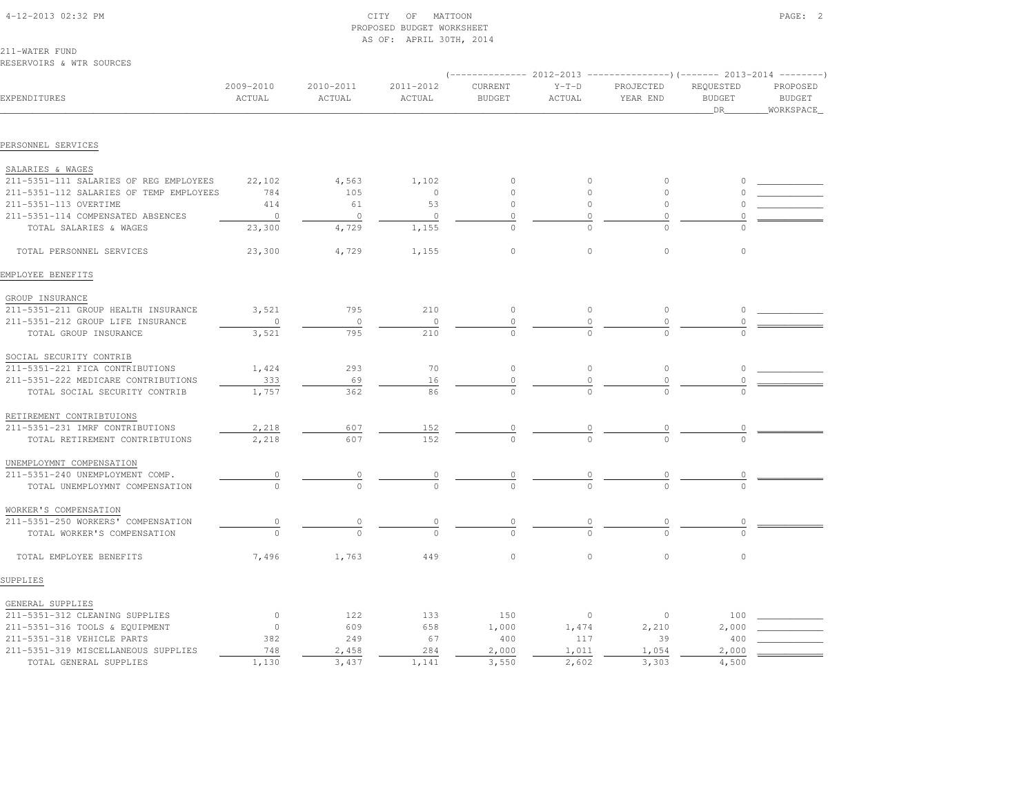| 4-12-2013 02:32 PM |  |
|--------------------|--|

### $\text{CITY}$  of MATTOON  $\text{PAGE:}$  2 PROPOSED BUDGET WORKSHEETAS OF: APRIL 30TH, 2014

211-WATER FUNDRESERVOIRS & WTR SOURCES

|                                         |                     |                     |                     | $--------- 2012-2013$    |                   |                       |                                         |                                        |
|-----------------------------------------|---------------------|---------------------|---------------------|--------------------------|-------------------|-----------------------|-----------------------------------------|----------------------------------------|
| EXPENDITURES                            | 2009-2010<br>ACTUAL | 2010-2011<br>ACTUAL | 2011-2012<br>ACTUAL | CURRENT<br><b>BUDGET</b> | $Y-T-D$<br>ACTUAL | PROJECTED<br>YEAR END | REQUESTED<br><b>BUDGET</b><br><b>DR</b> | PROPOSED<br><b>BUDGET</b><br>WORKSPACE |
|                                         |                     |                     |                     |                          |                   |                       |                                         |                                        |
| PERSONNEL SERVICES                      |                     |                     |                     |                          |                   |                       |                                         |                                        |
| SALARIES & WAGES                        |                     |                     |                     |                          |                   |                       |                                         |                                        |
| 211-5351-111 SALARIES OF REG EMPLOYEES  | 22,102              | 4,563               | 1,102               | $\Omega$                 | $\circ$           | $\circ$               |                                         |                                        |
| 211-5351-112 SALARIES OF TEMP EMPLOYEES | 784                 | 105                 | $\circ$             |                          | $\circ$           | $\circ$               |                                         |                                        |
| 211-5351-113 OVERTIME                   | 414                 | 61                  | 53                  | $\circ$                  | $\circ$           | $\circ$               |                                         |                                        |
| 211-5351-114 COMPENSATED ABSENCES       | $\overline{0}$      | $\circ$             | $\circ$             | 0                        |                   | $\Omega$              | $\Omega$                                |                                        |
| TOTAL SALARIES & WAGES                  | 23,300              | 4,729               | 1,155               | $\circ$                  |                   | $\cap$                |                                         |                                        |
| TOTAL PERSONNEL SERVICES                | 23,300              | 4,729               | 1,155               | $\circ$                  | $\circ$           | $\circ$               | $\circ$                                 |                                        |
| EMPLOYEE BENEFITS                       |                     |                     |                     |                          |                   |                       |                                         |                                        |
| GROUP INSURANCE                         |                     |                     |                     |                          |                   |                       |                                         |                                        |
| 211-5351-211 GROUP HEALTH INSURANCE     | 3,521               | 795                 | 210                 | $\circ$                  | $\circ$           | $\circ$               | 0                                       |                                        |
| 211-5351-212 GROUP LIFE INSURANCE       | $\circ$             | $\circ$             | $\circ$             | $\circ$                  | 0                 | $\circ$               | $\circ$                                 |                                        |
| TOTAL GROUP INSURANCE                   | 3,521               | 795                 | 210                 | $\Omega$                 | $\cap$            | $\cap$                |                                         |                                        |
| SOCIAL SECURITY CONTRIB                 |                     |                     |                     |                          |                   |                       |                                         |                                        |
| 211-5351-221 FICA CONTRIBUTIONS         | 1,424               | 293                 | 70                  | $\circ$                  | $\circ$           | $\circ$               | $\circ$                                 |                                        |
| 211-5351-222 MEDICARE CONTRIBUTIONS     | 333                 | 69                  | 16                  | 0                        | 0                 | 0                     |                                         |                                        |
| TOTAL SOCIAL SECURITY CONTRIB           | 1,757               | 362                 | 86                  |                          |                   |                       |                                         |                                        |
| RETIREMENT CONTRIBTUIONS                |                     |                     |                     |                          |                   |                       |                                         |                                        |
| 211-5351-231 IMRF CONTRIBUTIONS         | 2,218               | 607                 | 152                 |                          |                   | 0                     |                                         |                                        |
| TOTAL RETIREMENT CONTRIBTUIONS          | 2,218               | 607                 | 152                 |                          |                   |                       |                                         |                                        |
| UNEMPLOYMNT COMPENSATION                |                     |                     |                     |                          |                   |                       |                                         |                                        |
| 211-5351-240 UNEMPLOYMENT COMP.         | $\circ$             | 0                   | 0                   | 0                        |                   |                       |                                         |                                        |
| TOTAL UNEMPLOYMNT COMPENSATION          | $\circ$             | $\mathbf{0}$        | $\Omega$            | $\Omega$                 |                   | $\Omega$              |                                         |                                        |
| WORKER'S COMPENSATION                   |                     |                     |                     |                          |                   |                       |                                         |                                        |
| 211-5351-250 WORKERS' COMPENSATION      | $\circ$             | 0                   | 0                   |                          |                   | 0                     | 0                                       |                                        |
| TOTAL WORKER'S COMPENSATION             | $\Omega$            | $\Omega$            | $\Omega$            | $\Omega$                 |                   |                       | $\Omega$                                |                                        |
| TOTAL EMPLOYEE BENEFITS                 | 7,496               | 1,763               | 449                 | $\circ$                  | $\mathbf{0}$      | $\circ$               | $\circ$                                 |                                        |
| SUPPLIES                                |                     |                     |                     |                          |                   |                       |                                         |                                        |
| GENERAL SUPPLIES                        |                     |                     |                     |                          |                   |                       |                                         |                                        |
| 211-5351-312 CLEANING SUPPLIES          | $\circ$             | 122                 | 133                 | 150                      | $\circ$           | $\circ$               | 100                                     |                                        |
| 211-5351-316 TOOLS & EQUIPMENT          | $\circ$             | 609                 | 658                 | 1,000                    | 1,474             | 2,210                 | 2,000                                   |                                        |
| 211-5351-318 VEHICLE PARTS              | 382                 | 249                 | 67                  | 400                      | 117               | 39                    | 400                                     |                                        |
| 211-5351-319 MISCELLANEOUS SUPPLIES     | 748                 | 2,458               | 284                 | 2,000                    | 1,011             | 1,054                 | 2,000                                   |                                        |
| TOTAL GENERAL SUPPLIES                  | 1,130               | 3,437               | 1,141               | 3,550                    | 2,602             | 3,303                 | 4,500                                   |                                        |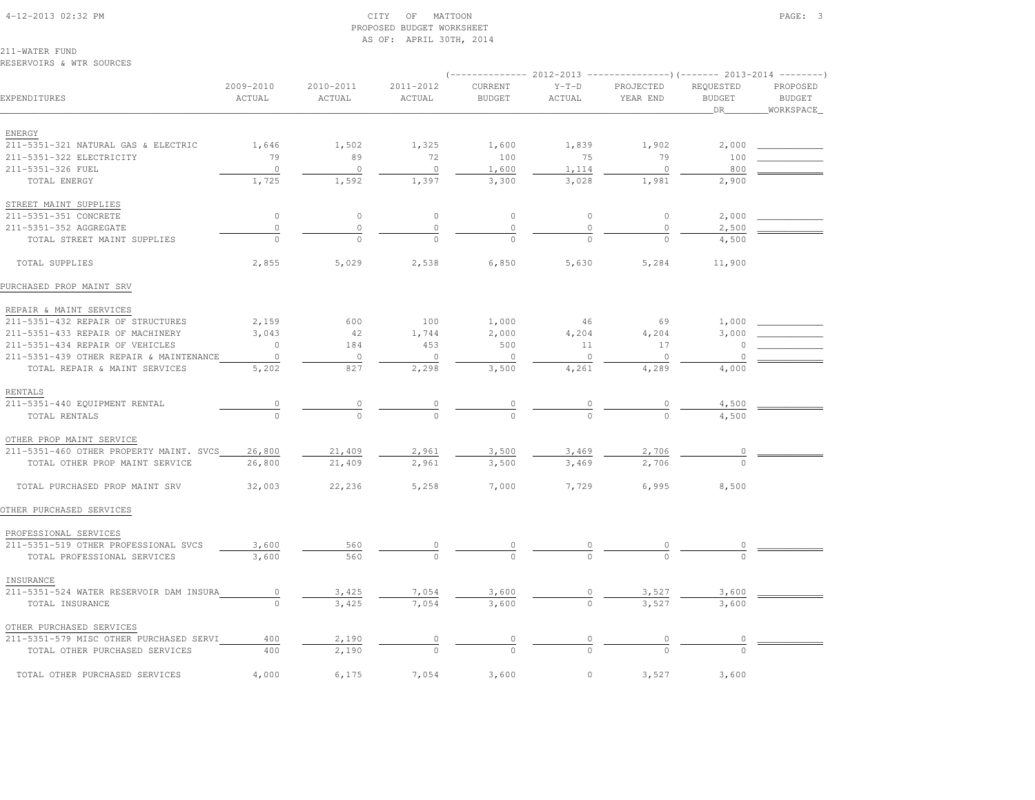#### 4-12-2013 02:32 PM CITY OF MATTOON PAGE: 3 PROPOSED BUDGET WORKSHEETAS OF: APRIL 30TH, 2014

211-WATER FUNDRESERVOIRS & WTR SOURCES

|                                         |                                  |                     |                     | $(-$ ------------- 2012-2013 ----------------) (------- 2013-2014 ---------) |                                  |                       |                                   |                                         |
|-----------------------------------------|----------------------------------|---------------------|---------------------|------------------------------------------------------------------------------|----------------------------------|-----------------------|-----------------------------------|-----------------------------------------|
| EXPENDITURES                            | 2009-2010<br>ACTUAL              | 2010-2011<br>ACTUAL | 2011-2012<br>ACTUAL | CURRENT<br><b>BUDGET</b>                                                     | $Y-T-D$<br>ACTUAL                | PROJECTED<br>YEAR END | REQUESTED<br><b>BUDGET</b><br>DR_ | PROPOSED<br><b>BUDGET</b><br>WORKSPACE_ |
|                                         |                                  |                     |                     |                                                                              |                                  |                       |                                   |                                         |
| ENERGY                                  | 1,646                            | 1,502               | 1,325               |                                                                              |                                  |                       |                                   |                                         |
| 211-5351-321 NATURAL GAS & ELECTRIC     |                                  |                     |                     | 1,600                                                                        | 1,839                            | 1,902                 | 2,000                             |                                         |
| 211-5351-322 ELECTRICITY                | 79                               | 89                  | 72                  | 100                                                                          | 75                               | 79                    | 100                               |                                         |
| 211-5351-326 FUEL                       | $\circ$                          | $\circ$             | $\circ$             | 1,600                                                                        | 1,114                            | $\circ$               | 800                               |                                         |
| TOTAL ENERGY                            | 1,725                            | 1,592               | 1,397               | 3,300                                                                        | 3,028                            | 1,981                 | 2,900                             |                                         |
| STREET MAINT SUPPLIES                   |                                  |                     |                     |                                                                              |                                  |                       |                                   |                                         |
| 211-5351-351 CONCRETE                   | $\circ$                          | $\circ$             | $\circ$             | $\circ$                                                                      | $\circ$                          | $\circ$               | 2,000                             |                                         |
| 211-5351-352 AGGREGATE                  | $\circ$                          | $\circ$             | $\circ$             | $\mathbb O$                                                                  | $\circ$                          | $\circ$               | 2,500                             |                                         |
| TOTAL STREET MAINT SUPPLIES             | $\Omega$                         | $\cap$              | $\cap$              | $\cap$                                                                       | $\cap$                           | $\cap$                | 4,500                             |                                         |
| TOTAL SUPPLIES                          | 2,855                            | 5,029               | 2,538               | 6,850                                                                        | 5,630                            | 5,284                 | 11,900                            |                                         |
| PURCHASED PROP MAINT SRV                |                                  |                     |                     |                                                                              |                                  |                       |                                   |                                         |
| REPAIR & MAINT SERVICES                 |                                  |                     |                     |                                                                              |                                  |                       |                                   |                                         |
| 211-5351-432 REPAIR OF STRUCTURES       | 2,159                            | 600                 | 100                 | 1,000                                                                        | 46                               | 69                    | 1,000                             |                                         |
| 211-5351-433 REPAIR OF MACHINERY        | 3,043                            | 42                  | 1,744               | 2,000                                                                        | 4,204                            | 4,204                 | 3,000                             |                                         |
| 211-5351-434 REPAIR OF VEHICLES         | $\circ$                          | 184                 | 453                 | 500                                                                          | 11                               | 17                    | 0                                 |                                         |
| 211-5351-439 OTHER REPAIR & MAINTENANCE | $\circ$                          | $\circ$             | $\circ$             | $\circ$                                                                      | $\circ$                          | $\circ$               | $\Omega$                          |                                         |
| TOTAL REPAIR & MAINT SERVICES           | 5,202                            | 827                 | 2,298               | 3,500                                                                        | 4,261                            | 4,289                 | 4,000                             |                                         |
| RENTALS                                 |                                  |                     |                     |                                                                              |                                  |                       |                                   |                                         |
| 211-5351-440 EQUIPMENT RENTAL           | $\begin{array}{c} 0 \end{array}$ | $\circ$             | $\overline{0}$      |                                                                              |                                  | $\circ$               | 4,500                             |                                         |
| TOTAL RENTALS                           |                                  |                     |                     | $\frac{0}{0}$                                                                | $\frac{0}{0}$                    |                       | 4,500                             |                                         |
| OTHER PROP MAINT SERVICE                |                                  |                     |                     |                                                                              |                                  |                       |                                   |                                         |
| 211-5351-460 OTHER PROPERTY MAINT. SVCS | 26,800                           | 21,409              | 2,961               | 3,500                                                                        | 3,469                            | 2,706                 | 0                                 |                                         |
| TOTAL OTHER PROP MAINT SERVICE          | 26,800                           | 21,409              | 2,961               | 3,500                                                                        | 3,469                            | 2,706                 |                                   |                                         |
| TOTAL PURCHASED PROP MAINT SRV          | 32,003                           | 22,236              | 5,258               | 7,000                                                                        | 7,729                            | 6,995                 | 8,500                             |                                         |
| OTHER PURCHASED SERVICES                |                                  |                     |                     |                                                                              |                                  |                       |                                   |                                         |
| PROFESSIONAL SERVICES                   |                                  |                     |                     |                                                                              |                                  |                       |                                   |                                         |
| 211-5351-519 OTHER PROFESSIONAL SVCS    | 3,600                            | 560                 |                     |                                                                              |                                  |                       |                                   |                                         |
| TOTAL PROFESSIONAL SERVICES             | 3,600                            | 560                 |                     |                                                                              |                                  |                       |                                   |                                         |
| INSURANCE                               |                                  |                     |                     |                                                                              |                                  |                       |                                   |                                         |
| 211-5351-524 WATER RESERVOIR DAM INSURA | $\circ$                          | 3,425               | 7,054               | 3,600                                                                        |                                  | 3,527                 | 3,600                             |                                         |
| TOTAL INSURANCE                         | $\Omega$                         | 3,425               | 7,054               | 3,600                                                                        | $\circ$                          | 3,527                 | 3,600                             |                                         |
| OTHER PURCHASED SERVICES                |                                  |                     |                     |                                                                              |                                  |                       |                                   |                                         |
| 211-5351-579 MISC OTHER PURCHASED SERVI | 400                              | 2,190               | $\circ$             |                                                                              | $\begin{array}{c} 0 \end{array}$ | $\overline{0}$        | 0                                 |                                         |
| TOTAL OTHER PURCHASED SERVICES          | 400                              | 2,190               |                     | $\frac{0}{\sqrt{2}}$                                                         |                                  |                       |                                   |                                         |
| TOTAL OTHER PURCHASED SERVICES          | 4,000                            | 6,175               | 7,054               | 3,600                                                                        | $\circ$                          | 3,527                 | 3,600                             |                                         |
|                                         |                                  |                     |                     |                                                                              |                                  |                       |                                   |                                         |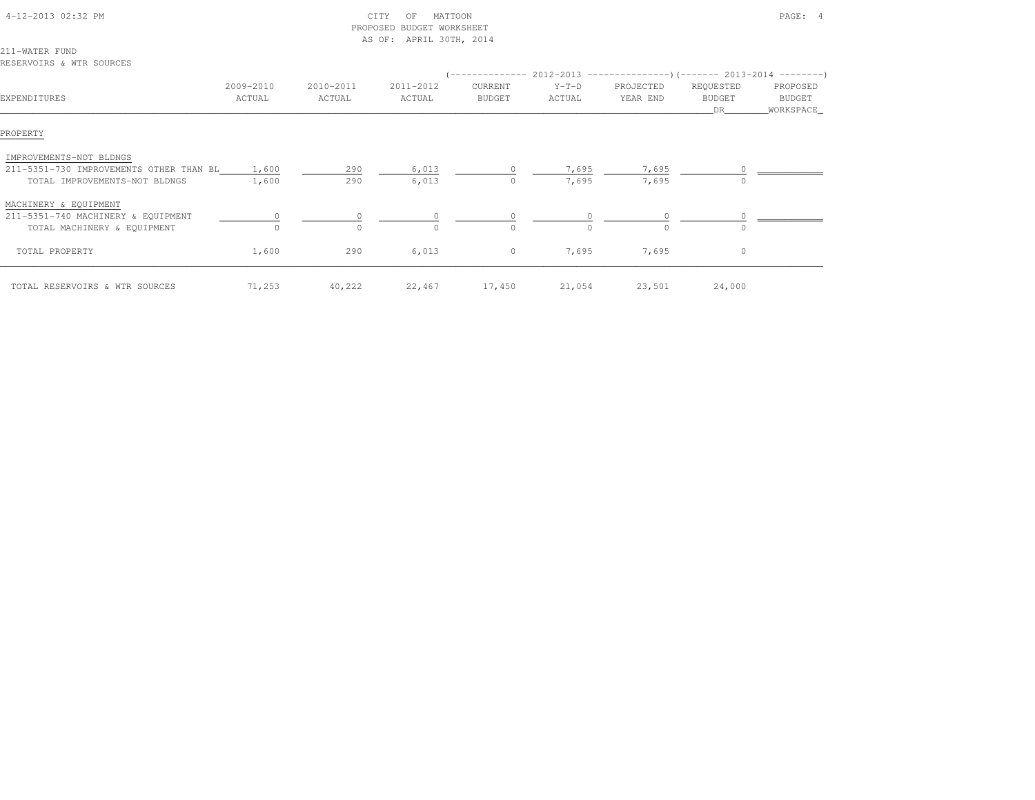| 4-12-2013 02:32 PM                            |           | PROPOSED  | CITY<br>MATTOON<br>OF<br>BUDGET WORKSHEET<br>AS OF: APRIL 30TH, 2014 |               |          |                                                                           |               | PAGE: 4    |
|-----------------------------------------------|-----------|-----------|----------------------------------------------------------------------|---------------|----------|---------------------------------------------------------------------------|---------------|------------|
| 211-WATER FUND                                |           |           |                                                                      |               |          |                                                                           |               |            |
| RESERVOIRS & WTR SOURCES                      |           |           |                                                                      |               |          |                                                                           |               |            |
|                                               |           |           |                                                                      |               |          | (-------------- 2012-2013 ----------------) (------- 2013-2014 ---------) |               |            |
|                                               | 2009-2010 | 2010-2011 | 2011-2012                                                            | CURRENT       | $Y-T-D$  | PROJECTED                                                                 | REQUESTED     | PROPOSED   |
| EXPENDITURES                                  | ACTUAL    | ACTUAL    | ACTUAL                                                               | <b>BUDGET</b> | ACTUAL   | YEAR END                                                                  | <b>BUDGET</b> | BUDGET     |
|                                               |           |           |                                                                      |               |          |                                                                           | DR            | WORKSPACE_ |
| PROPERTY                                      |           |           |                                                                      |               |          |                                                                           |               |            |
| IMPROVEMENTS-NOT BLDNGS                       |           |           |                                                                      |               |          |                                                                           |               |            |
| 211-5351-730 IMPROVEMENTS OTHER THAN BL 1,600 |           | 290       | 6,013                                                                |               | 7,695    | 7,695                                                                     |               |            |
| TOTAL IMPROVEMENTS-NOT BLDNGS                 | 1,600     | 290       | 6,013                                                                | 0             | 7,695    | 7,695                                                                     |               |            |
| MACHINERY & EQUIPMENT                         |           |           |                                                                      |               |          |                                                                           |               |            |
| 211-5351-740 MACHINERY & EQUIPMENT            |           | 0         |                                                                      |               |          | $\circ$                                                                   |               |            |
| TOTAL MACHINERY & EQUIPMENT                   |           | $\Omega$  |                                                                      | $\Omega$      | $\Omega$ | $\Omega$                                                                  |               |            |
| TOTAL PROPERTY                                | 1,600     | 290       | 6,013                                                                | $\circ$       | 7,695    | 7,695                                                                     | $\circ$       |            |
| TOTAL RESERVOIRS & WTR SOURCES                | 71,253    | 40,222    |                                                                      | 22,467 17,450 | 21,054   | 23,501                                                                    | 24,000        |            |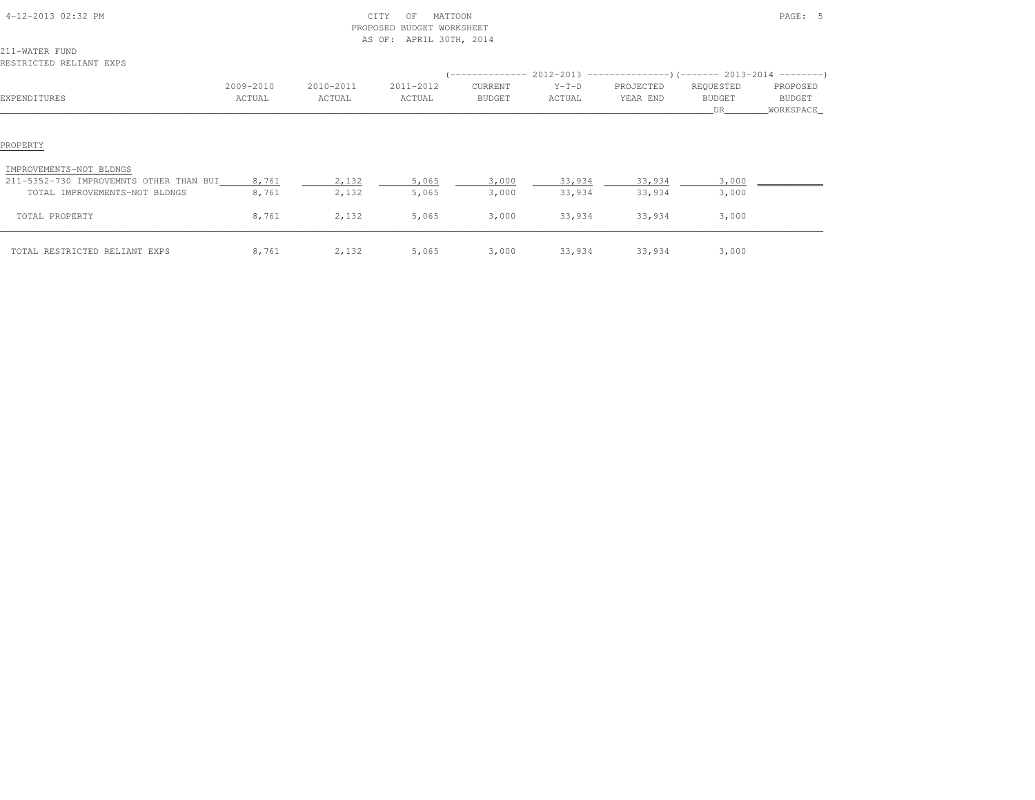| 4-12-2013 02:32 PM                      |           |           | CITY<br>MATTOON<br>OF<br>PROPOSED BUDGET WORKSHEET<br>AS OF: APRIL 30TH, 2014 |         |         |           |                                                                               | PAGE: 5   |
|-----------------------------------------|-----------|-----------|-------------------------------------------------------------------------------|---------|---------|-----------|-------------------------------------------------------------------------------|-----------|
| 211-WATER FUND                          |           |           |                                                                               |         |         |           |                                                                               |           |
| RESTRICTED RELIANT EXPS                 |           |           |                                                                               |         |         |           |                                                                               |           |
|                                         |           |           |                                                                               |         |         |           | $(-$ -------------- 2012-2013 -----------------)(------- 2013-2014 ---------) |           |
|                                         | 2009-2010 | 2010-2011 | 2011-2012                                                                     | CURRENT | $Y-T-D$ | PROJECTED | REQUESTED                                                                     | PROPOSED  |
| EXPENDITURES                            | ACTUAL    | ACTUAL    | ACTUAL                                                                        | BUDGET  | ACTUAL  | YEAR END  | <b>BUDGET</b>                                                                 | BUDGET    |
|                                         |           |           |                                                                               |         |         |           | DR.                                                                           | WORKSPACE |
| PROPERTY<br>IMPROVEMENTS-NOT BLDNGS     |           |           |                                                                               |         |         |           |                                                                               |           |
| 211-5352-730 IMPROVEMNTS OTHER THAN BUI | 8,761     | 2,132     | 5,065                                                                         | 3,000   | 33,934  | 33,934    | 3,000                                                                         |           |
| TOTAL IMPROVEMENTS-NOT BLDNGS           | 8,761     | 2,132     | 5,065                                                                         | 3,000   | 33,934  | 33,934    | 3,000                                                                         |           |
| TOTAL PROPERTY                          | 8,761     | 2,132     | 5,065                                                                         | 3,000   | 33,934  | 33,934    | 3,000                                                                         |           |
| TOTAL RESTRICTED RELIANT EXPS           | 8,761     | 2,132     | 5,065                                                                         | 3,000   | 33,934  | 33,934    | 3,000                                                                         |           |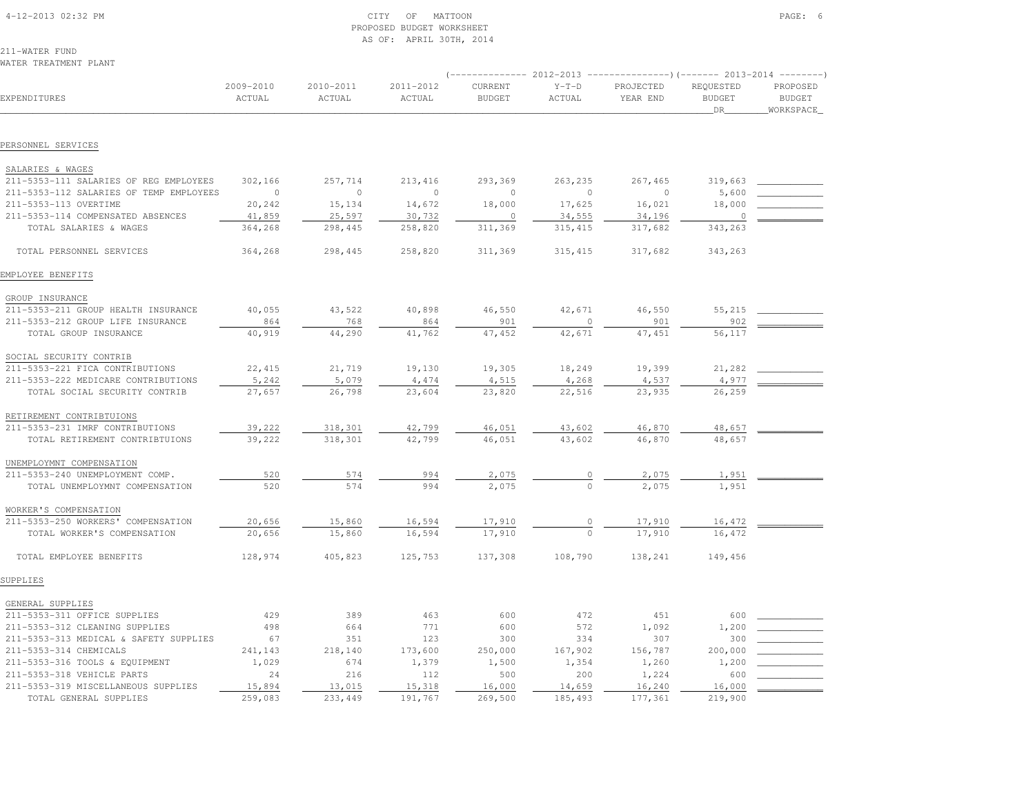| 4-12-2013 02:32 PM |  |
|--------------------|--|

#### $\text{CITY}$  of MATTOON PAGE: 6 PROPOSED BUDGET WORKSHEETAS OF: APRIL 30TH, 2014

211-WATER FUNDWATER TREATMENT PLANT

|                                                             |                     |                     |                     |                          |                    |                       | $(----------2012-2013$ ---------------) (------- 2013-2014 -------) |                                        |  |
|-------------------------------------------------------------|---------------------|---------------------|---------------------|--------------------------|--------------------|-----------------------|---------------------------------------------------------------------|----------------------------------------|--|
| EXPENDITURES                                                | 2009-2010<br>ACTUAL | 2010-2011<br>ACTUAL | 2011-2012<br>ACTUAL | CURRENT<br><b>BUDGET</b> | $Y-T-D$<br>ACTUAL  | PROJECTED<br>YEAR END | REQUESTED<br><b>BUDGET</b><br>DR.                                   | PROPOSED<br><b>BUDGET</b><br>WORKSPACE |  |
| PERSONNEL SERVICES                                          |                     |                     |                     |                          |                    |                       |                                                                     |                                        |  |
|                                                             |                     |                     |                     |                          |                    |                       |                                                                     |                                        |  |
| SALARIES & WAGES                                            |                     |                     |                     |                          |                    |                       |                                                                     |                                        |  |
| 211-5353-111 SALARIES OF REG EMPLOYEES                      | 302,166             | 257,714             | 213, 416            | 293,369                  | 263,235            | 267,465               | 319,663                                                             |                                        |  |
| 211-5353-112 SALARIES OF TEMP EMPLOYEES                     | $\overline{0}$      | $\circ$             | $\circ$             | $\circ$                  | $\circ$            | $\overline{0}$        | 5,600                                                               |                                        |  |
| 211-5353-113 OVERTIME                                       | 20,242              | 15,134              | 14,672              | 18,000                   | 17,625             | 16,021                | 18,000                                                              |                                        |  |
| 211-5353-114 COMPENSATED ABSENCES<br>TOTAL SALARIES & WAGES | 41,859<br>364,268   | 25,597<br>298,445   | 30,732<br>258,820   | $\circ$<br>311,369       | 34,555<br>315, 415 | 34,196<br>317,682     | $\circ$<br>343,263                                                  |                                        |  |
|                                                             |                     |                     |                     |                          |                    |                       |                                                                     |                                        |  |
| TOTAL PERSONNEL SERVICES                                    | 364,268             | 298,445             | 258,820             | 311,369                  | 315, 415           | 317,682               | 343,263                                                             |                                        |  |
| EMPLOYEE BENEFITS                                           |                     |                     |                     |                          |                    |                       |                                                                     |                                        |  |
| GROUP INSURANCE                                             |                     |                     |                     |                          |                    |                       |                                                                     |                                        |  |
| 211-5353-211 GROUP HEALTH INSURANCE                         | 40,055              | 43,522              | 40,898              | 46,550                   | 42,671             | 46,550                | 55,215                                                              |                                        |  |
| 211-5353-212 GROUP LIFE INSURANCE                           | 864                 | 768                 | 864                 | 901                      | $\mathbf{0}$       | 901                   | 902                                                                 |                                        |  |
| TOTAL GROUP INSURANCE                                       | 40,919              | 44,290              | 41,762              | 47,452                   | 42,671             | 47,451                | 56,117                                                              |                                        |  |
| SOCIAL SECURITY CONTRIB                                     |                     |                     |                     |                          |                    |                       |                                                                     |                                        |  |
| 211-5353-221 FICA CONTRIBUTIONS                             | 22,415              | 21,719              | 19,130              | 19,305                   | 18,249             | 19,399                | 21,282                                                              |                                        |  |
| 211-5353-222 MEDICARE CONTRIBUTIONS                         | 5,242               | 5,079               | 4,474               | 4,515                    | 4,268              | 4,537                 | 4,977                                                               |                                        |  |
| TOTAL SOCIAL SECURITY CONTRIB                               | 27,657              | 26,798              | 23,604              | 23,820                   | 22,516             | 23,935                | 26,259                                                              |                                        |  |
| RETIREMENT CONTRIBTUIONS                                    |                     |                     |                     |                          |                    |                       |                                                                     |                                        |  |
| 211-5353-231 IMRF CONTRIBUTIONS                             | 39,222              | 318,301             | 42,799              | 46,051                   | 43,602             | 46,870                | 48,657                                                              |                                        |  |
| TOTAL RETIREMENT CONTRIBTUIONS                              | 39,222              | 318,301             | 42,799              | 46,051                   | 43,602             | 46,870                | 48,657                                                              |                                        |  |
|                                                             |                     |                     |                     |                          |                    |                       |                                                                     |                                        |  |
| UNEMPLOYMNT COMPENSATION                                    |                     |                     |                     |                          |                    |                       |                                                                     |                                        |  |
| 211-5353-240 UNEMPLOYMENT COMP.                             | 520                 | 574                 | 994                 | 2,075                    |                    | 2,075                 | 1,951                                                               |                                        |  |
| TOTAL UNEMPLOYMNT COMPENSATION                              | 520                 | 574                 | 994                 | 2,075                    |                    | 2.075                 | 1,951                                                               |                                        |  |
| WORKER'S COMPENSATION                                       |                     |                     |                     |                          |                    |                       |                                                                     |                                        |  |
| 211-5353-250 WORKERS' COMPENSATION                          | 20,656              | 15,860              | 16,594              | 17,910                   |                    | 17,910                | 16,472                                                              |                                        |  |
| TOTAL WORKER'S COMPENSATION                                 | 20,656              | 15,860              | 16,594              | 17,910                   |                    | 17,910                | 16,472                                                              |                                        |  |
| TOTAL EMPLOYEE BENEFITS                                     | 128,974             | 405,823             | 125,753             | 137,308                  | 108,790            | 138,241               | 149,456                                                             |                                        |  |
| SUPPLIES                                                    |                     |                     |                     |                          |                    |                       |                                                                     |                                        |  |
| GENERAL SUPPLIES                                            |                     |                     |                     |                          |                    |                       |                                                                     |                                        |  |
| 211-5353-311 OFFICE SUPPLIES                                | 429                 | 389                 | 463                 | 600                      | 472                | 451                   | 600                                                                 |                                        |  |
| 211-5353-312 CLEANING SUPPLIES                              | 498                 | 664                 | 771                 | 600                      | 572                | 1,092                 | 1,200                                                               |                                        |  |
| 211-5353-313 MEDICAL & SAFETY SUPPLIES                      | 67                  | 351                 | 123                 | 300                      | 334                | 307                   | 300                                                                 |                                        |  |
| 211-5353-314 CHEMICALS                                      | 241,143             | 218,140             | 173,600             | 250,000                  | 167,902            | 156,787               | 200,000                                                             |                                        |  |
| 211-5353-316 TOOLS & EQUIPMENT                              | 1,029               | 674                 | 1,379               | 1,500                    | 1,354              | 1,260                 | 1,200                                                               |                                        |  |
| 211-5353-318 VEHICLE PARTS                                  | 24                  | 216                 | 112                 | 500                      | 200                | 1,224                 | 600                                                                 |                                        |  |
| 211-5353-319 MISCELLANEOUS SUPPLIES                         | 15,894              | 13,015              | 15,318              | 16,000                   | 14,659             | 16,240                | 16,000                                                              |                                        |  |
| TOTAL GENERAL SUPPLIES                                      | 259,083             | 233,449             | 191,767             | 269,500                  | 185,493            | 177,361               | 219,900                                                             |                                        |  |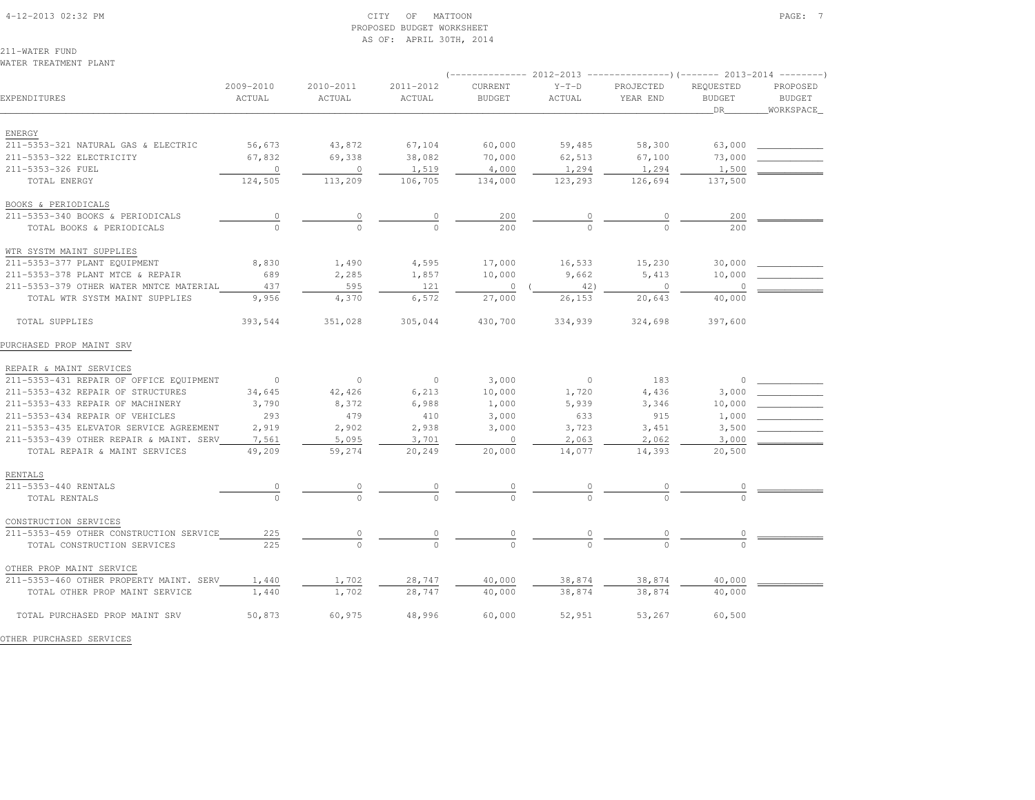#### 4-12-2013 02:32 PM CITY OF MATTOON PAGE: 7 PROPOSED BUDGET WORKSHEETAS OF: APRIL 30TH, 2014

211-WATER FUNDWATER TREATMENT PLANT

|                                         |                     |                     |                     |                          | 2012-2013         |                       | ---)(------- 2013-2014            |                                        |
|-----------------------------------------|---------------------|---------------------|---------------------|--------------------------|-------------------|-----------------------|-----------------------------------|----------------------------------------|
| EXPENDITURES                            | 2009-2010<br>ACTUAL | 2010-2011<br>ACTUAL | 2011-2012<br>ACTUAL | CURRENT<br><b>BUDGET</b> | $Y-T-D$<br>ACTUAL | PROJECTED<br>YEAR END | REQUESTED<br><b>BUDGET</b><br>DR. | PROPOSED<br><b>BUDGET</b><br>WORKSPACE |
| ENERGY                                  |                     |                     |                     |                          |                   |                       |                                   |                                        |
| 211-5353-321 NATURAL GAS & ELECTRIC     | 56,673              | 43,872              | 67,104              | 60,000                   | 59,485            | 58,300                | 63,000                            |                                        |
| 211-5353-322 ELECTRICITY                | 67,832              | 69,338              | 38,082              | 70,000                   | 62,513            | 67,100                | 73,000                            |                                        |
| 211-5353-326 FUEL                       | $\circ$             | $\circ$             | 1,519               | 4,000                    | 1,294             | 1,294                 | 1,500                             |                                        |
| TOTAL ENERGY                            | 124,505             | 113,209             | 106,705             | 134,000                  | 123,293           | 126,694               | 137,500                           |                                        |
| BOOKS & PERIODICALS                     |                     |                     |                     |                          |                   |                       |                                   |                                        |
| 211-5353-340 BOOKS & PERIODICALS        | $\circ$             | 0                   | 0                   | 200                      | 0                 | 0                     | 200                               |                                        |
| TOTAL BOOKS & PERIODICALS               | $\Omega$            | $\Omega$            | $\cap$              | 200                      | $\Omega$          | $\Omega$              | 200                               |                                        |
| WTR SYSTM MAINT SUPPLIES                |                     |                     |                     |                          |                   |                       |                                   |                                        |
| 211-5353-377 PLANT EQUIPMENT            | 8,830               | 1,490               | 4,595               | 17,000                   | 16,533            | 15,230                | 30,000                            |                                        |
| 211-5353-378 PLANT MTCE & REPAIR        | 689                 | 2,285               | 1,857               | 10,000                   | 9,662             | 5,413                 | 10,000                            |                                        |
| 211-5353-379 OTHER WATER MNTCE MATERIAL | 437                 | 595                 | 121                 | $\circ$                  | 42)               | $\circ$               | $\Omega$                          |                                        |
| TOTAL WTR SYSTM MAINT SUPPLIES          | 9,956               | 4,370               | 6,572               | 27,000                   | 26,153            | 20,643                | 40,000                            |                                        |
| TOTAL SUPPLIES                          | 393,544             | 351,028             | 305,044             | 430,700                  | 334,939           | 324,698               | 397,600                           |                                        |
| PURCHASED PROP MAINT SRV                |                     |                     |                     |                          |                   |                       |                                   |                                        |
| REPAIR & MAINT SERVICES                 |                     |                     |                     |                          |                   |                       |                                   |                                        |
| 211-5353-431 REPAIR OF OFFICE EQUIPMENT | $\circ$             | $\circ$             | $\circ$             | 3,000                    | $\circ$           | 183                   |                                   |                                        |
| 211-5353-432 REPAIR OF STRUCTURES       | 34,645              | 42,426              | 6,213               | 10,000                   | 1,720             | 4,436                 | 3,000                             |                                        |
| 211-5353-433 REPAIR OF MACHINERY        | 3,790               | 8,372               | 6,988               | 1,000                    | 5,939             | 3,346                 | 10,000                            |                                        |
| 211-5353-434 REPAIR OF VEHICLES         | 293                 | 479                 | 410                 | 3,000                    | 633               | 915                   | 1,000                             |                                        |
| 211-5353-435 ELEVATOR SERVICE AGREEMENT | 2,919               | 2,902               | 2,938               | 3,000                    | 3,723             | 3,451                 | 3,500                             |                                        |
| 211-5353-439 OTHER REPAIR & MAINT. SERV | 7,561               | 5,095               | 3,701               | $\circ$                  | 2,063             | 2,062                 | 3,000                             |                                        |
| TOTAL REPAIR & MAINT SERVICES           | 49,209              | 59,274              | 20,249              | 20,000                   | 14,077            | 14,393                | 20,500                            |                                        |
| RENTALS                                 |                     |                     |                     |                          |                   |                       |                                   |                                        |
| 211-5353-440 RENTALS                    |                     |                     |                     |                          |                   |                       |                                   |                                        |
| TOTAL RENTALS                           | $\circ$             |                     |                     | $\cap$                   |                   |                       |                                   |                                        |
| CONSTRUCTION SERVICES                   |                     |                     |                     |                          |                   |                       |                                   |                                        |
| 211-5353-459 OTHER CONSTRUCTION SERVICE | 225                 | 0                   | $\circ$             | 0                        | 0                 | $\circ$               |                                   |                                        |
| TOTAL CONSTRUCTION SERVICES             | 225                 | $\Omega$            |                     | $\Omega$                 | $\cap$            | $\Omega$              |                                   |                                        |
| OTHER PROP MAINT SERVICE                |                     |                     |                     |                          |                   |                       |                                   |                                        |
| 211-5353-460 OTHER PROPERTY MAINT. SERV | 1,440               | 1,702               | 28,747              | 40,000                   | 38,874            | 38,874                | 40,000                            |                                        |
| TOTAL OTHER PROP MAINT SERVICE          | 1,440               | 1,702               | 28,747              | 40,000                   | 38,874            | 38,874                | 40,000                            |                                        |
| TOTAL PURCHASED PROP MAINT SRV          | 50,873              | 60,975              | 48,996              | 60,000                   | 52,951            | 53,267                | 60,500                            |                                        |

OTHER PURCHASED SERVICES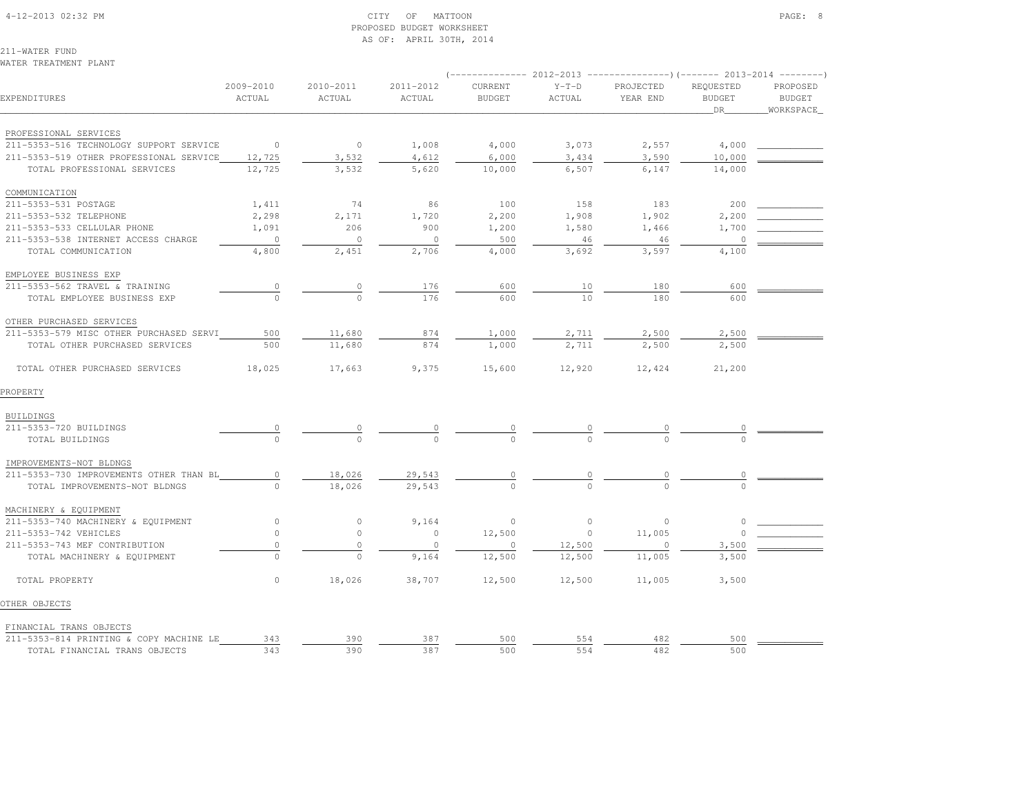#### 4-12-2013 02:32 PM CITY OF MATTOON PAGE: 8 PROPOSED BUDGET WORKSHEETAS OF: APRIL 30TH, 2014

211-WATER FUNDWATER TREATMENT PLANT

| EXPENDITURES                            | 2009-2010<br>ACTUAL | 2010-2011<br>ACTUAL | 2011-2012<br>ACTUAL | <b>CURRENT</b><br><b>BUDGET</b> | $Y-T-D$<br>ACTUAL | PROJECTED<br>YEAR END | REQUESTED<br><b>BUDGET</b><br>DR | PROPOSED<br><b>BUDGET</b><br>WORKSPACE |  |
|-----------------------------------------|---------------------|---------------------|---------------------|---------------------------------|-------------------|-----------------------|----------------------------------|----------------------------------------|--|
| PROFESSIONAL SERVICES                   |                     |                     |                     |                                 |                   |                       |                                  |                                        |  |
| 211-5353-516 TECHNOLOGY SUPPORT SERVICE | $\overline{0}$      | $\circ$             | 1,008               | 4,000                           | 3,073             | 2,557                 | 4,000                            |                                        |  |
| 211-5353-519 OTHER PROFESSIONAL SERVICE | 12,725              | 3,532               | 4,612               | 6,000                           | 3,434             | 3,590                 | 10,000                           |                                        |  |
| TOTAL PROFESSIONAL SERVICES             | 12,725              | 3,532               | 5,620               | 10,000                          | 6,507             | 6,147                 | 14,000                           |                                        |  |
| COMMUNICATION                           |                     |                     |                     |                                 |                   |                       |                                  |                                        |  |
| 211-5353-531 POSTAGE                    | 1,411               | 74                  | 86                  | 100                             | 158               | 183                   | 200                              |                                        |  |
| 211-5353-532 TELEPHONE                  | 2,298               | 2,171               | 1,720               | 2,200                           | 1,908             | 1,902                 | 2,200                            |                                        |  |
| 211-5353-533 CELLULAR PHONE             | 1,091               | 206                 | 900                 | 1,200                           | 1,580             | 1,466                 | 1,700                            |                                        |  |
| 211-5353-538 INTERNET ACCESS CHARGE     | $\circ$             | $\circ$             | $\circ$             | 500                             | 46                | 46                    | $\circ$                          |                                        |  |
| TOTAL COMMUNICATION                     | 4,800               | 2,451               | 2,706               | 4,000                           | 3,692             | 3,597                 | 4,100                            |                                        |  |
| EMPLOYEE BUSINESS EXP                   |                     |                     |                     |                                 |                   |                       |                                  |                                        |  |
| 211-5353-562 TRAVEL & TRAINING          | $\circ$             | 0                   | 176                 | 600                             | 10                | 180                   | 600                              |                                        |  |
| TOTAL EMPLOYEE BUSINESS EXP             | $\Omega$            | $\Omega$            | 176                 | 600                             | 10                | 180                   | 600                              |                                        |  |
| OTHER PURCHASED SERVICES                |                     |                     |                     |                                 |                   |                       |                                  |                                        |  |
| 211-5353-579 MISC OTHER PURCHASED SERVI | 500                 | 11,680              | 874                 | 1,000                           | 2,711             | 2,500                 | 2,500                            |                                        |  |
| TOTAL OTHER PURCHASED SERVICES          | 500                 | 11,680              | 874                 | 1,000                           | 2,711             | 2,500                 | 2,500                            |                                        |  |
| TOTAL OTHER PURCHASED SERVICES          | 18,025              | 17,663              | 9,375               | 15,600                          | 12,920            | 12,424                | 21,200                           |                                        |  |
| PROPERTY                                |                     |                     |                     |                                 |                   |                       |                                  |                                        |  |
| BUILDINGS                               |                     |                     |                     |                                 |                   |                       |                                  |                                        |  |
| 211-5353-720 BUILDINGS                  |                     | 0                   | $\circ$             | $\theta$                        |                   |                       |                                  |                                        |  |
| TOTAL BUILDINGS                         |                     |                     |                     |                                 |                   |                       |                                  |                                        |  |
| IMPROVEMENTS-NOT BLDNGS                 |                     |                     |                     |                                 |                   |                       |                                  |                                        |  |
| 211-5353-730 IMPROVEMENTS OTHER THAN BL | $\circ$             | 18,026              | 29,543              | 0                               | 0                 | $\circ$               | 0                                |                                        |  |
| TOTAL IMPROVEMENTS-NOT BLDNGS           | $\Omega$            | 18,026              | 29,543              | $\Omega$                        | $\Omega$          | $\cap$                | $\cap$                           |                                        |  |
| MACHINERY & EQUIPMENT                   |                     |                     |                     |                                 |                   |                       |                                  |                                        |  |
| 211-5353-740 MACHINERY & EQUIPMENT      | $\circ$             | $\circ$             | 9,164               | $\circ$                         | $\circ$           | $\circ$               | $\circ$                          |                                        |  |
| 211-5353-742 VEHICLES                   | $\circ$             | $\circ$             | $\circ$             | 12,500                          | $\circ$           | 11,005                | $\Omega$                         |                                        |  |
| 211-5353-743 MEF CONTRIBUTION           | $\mathbb O$         | $\mathbb O$         | $\circ$             | $\circ$                         | 12,500            | $\circ$               | 3,500                            |                                        |  |
| TOTAL MACHINERY & EQUIPMENT             | $\Omega$            | $\Omega$            | 9,164               | 12,500                          | 12,500            | 11,005                | 3,500                            |                                        |  |
| TOTAL PROPERTY                          | $\circ$             | 18,026              | 38,707              | 12,500                          | 12,500            | 11,005                | 3,500                            |                                        |  |
| OTHER OBJECTS                           |                     |                     |                     |                                 |                   |                       |                                  |                                        |  |
| FINANCIAL TRANS OBJECTS                 |                     |                     |                     |                                 |                   |                       |                                  |                                        |  |
| 211-5353-814 PRINTING & COPY MACHINE LE | 343                 | 390                 | 387                 | 500                             | 554               | 482                   | 500                              |                                        |  |
| TOTAL FINANCIAL TRANS OBJECTS           | 343                 | 390                 | 387                 | 500                             | 554               | 482                   | 500                              |                                        |  |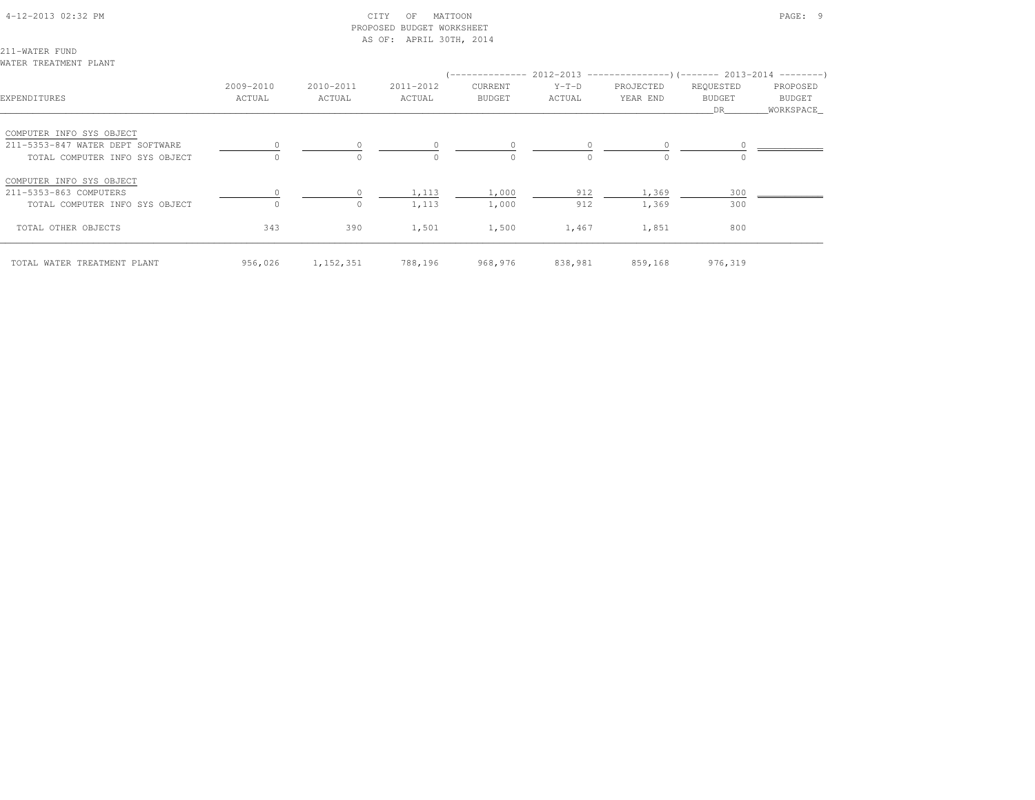### 4-12-2013 02:32 PM CITY OF MATTOON PAGE: 9 PROPOSED BUDGET WORKSHEETAS OF: APRIL 30TH, 2014

211-WATER FUNDWATER TREATMENT PLANT

| EXPENDITURES                     | 2009-2010<br>ACTUAL | 2010-2011<br>ACTUAL | 2011-2012<br>ACTUAL | CURRENT<br><b>BUDGET</b> | $Y-T-D$<br>ACTUAL | PROJECTED<br>YEAR END | REQUESTED<br><b>BUDGET</b><br>DR | PROPOSED<br>BUDGET<br>WORKSPACE |
|----------------------------------|---------------------|---------------------|---------------------|--------------------------|-------------------|-----------------------|----------------------------------|---------------------------------|
| COMPUTER INFO SYS OBJECT         |                     |                     |                     |                          |                   |                       |                                  |                                 |
| 211-5353-847 WATER DEPT SOFTWARE |                     |                     |                     |                          |                   |                       |                                  |                                 |
| TOTAL COMPUTER INFO SYS OBJECT   |                     | $\Omega$            |                     | $\Omega$                 | $\Omega$          | $\Omega$              | $\Omega$                         |                                 |
| COMPUTER INFO SYS OBJECT         |                     |                     |                     |                          |                   |                       |                                  |                                 |
| 211-5353-863 COMPUTERS           |                     |                     | 1,113               | 1,000                    | 912               | 1,369                 | 300                              |                                 |
| TOTAL COMPUTER INFO SYS OBJECT   |                     | $\circ$             | 1,113               | 1,000                    | 912               | 1,369                 | 300                              |                                 |
| TOTAL OTHER OBJECTS              | 343                 | 390                 | 1,501               | 1,500                    | 1,467             | 1,851                 | 800                              |                                 |
| TOTAL WATER TREATMENT PLANT      | 956,026             | 1, 152, 351         | 788,196             | 968,976                  | 838,981           | 859,168               | 976,319                          |                                 |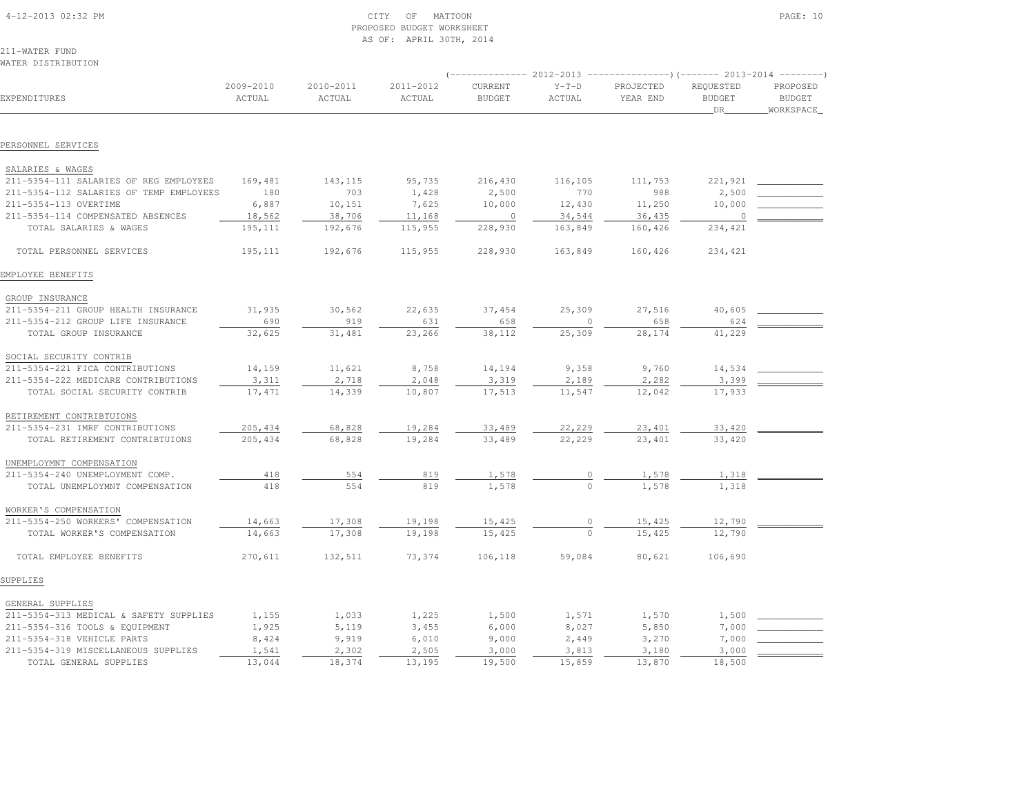| 4-12-2013 02:32 PM |  |
|--------------------|--|
|                    |  |

#### $\begin{array}{ccc} \text{CITY} & \text{OF} & \text{MATION} \end{array}$  PROPOSED BUDGET WORKSHEETAS OF: APRIL 30TH, 2014

211-WATER FUNDWATER DISTRIBUTION

|                                         |                     |                     |                     |                          |                   | -------------        2012-2013 ---------------------        2013-2014 ---------- |                                  |                                        |
|-----------------------------------------|---------------------|---------------------|---------------------|--------------------------|-------------------|----------------------------------------------------------------------------------|----------------------------------|----------------------------------------|
| EXPENDITURES                            | 2009-2010<br>ACTUAL | 2010-2011<br>ACTUAL | 2011-2012<br>ACTUAL | CURRENT<br><b>BUDGET</b> | $Y-T-D$<br>ACTUAL | PROJECTED<br>YEAR END                                                            | REQUESTED<br><b>BUDGET</b><br>DR | PROPOSED<br><b>BUDGET</b><br>WORKSPACE |
|                                         |                     |                     |                     |                          |                   |                                                                                  |                                  |                                        |
| PERSONNEL SERVICES                      |                     |                     |                     |                          |                   |                                                                                  |                                  |                                        |
| SALARIES & WAGES                        |                     |                     |                     |                          |                   |                                                                                  |                                  |                                        |
| 211-5354-111 SALARIES OF REG EMPLOYEES  | 169,481             | 143,115             | 95,735              | 216,430                  | 116,105           | 111,753                                                                          | 221,921                          |                                        |
| 211-5354-112 SALARIES OF TEMP EMPLOYEES | 180                 | 703                 | 1,428               | 2,500                    | 770               | 988                                                                              | 2,500                            |                                        |
| 211-5354-113 OVERTIME                   | 6,887               | 10,151              | 7,625               | 10,000                   | 12,430            | 11,250                                                                           | 10,000                           |                                        |
| 211-5354-114 COMPENSATED ABSENCES       | 18,562              | 38,706              | 11,168              | $\mathbf{0}$             | 34,544            | 36,435                                                                           | $\overline{0}$                   |                                        |
| TOTAL SALARIES & WAGES                  | 195,111             | 192,676             | 115,955             | 228,930                  | 163,849           | 160,426                                                                          | 234,421                          |                                        |
| TOTAL PERSONNEL SERVICES                | 195,111             | 192,676             | 115,955             | 228,930                  | 163,849           | 160,426                                                                          | 234,421                          |                                        |
| EMPLOYEE BENEFITS                       |                     |                     |                     |                          |                   |                                                                                  |                                  |                                        |
| GROUP INSURANCE                         |                     |                     |                     |                          |                   |                                                                                  |                                  |                                        |
| 211-5354-211 GROUP HEALTH INSURANCE     | 31,935              | 30,562              | 22,635              | 37,454                   | 25,309            | 27,516                                                                           | 40,605                           |                                        |
| 211-5354-212 GROUP LIFE INSURANCE       | 690                 | 919                 | 631                 | 658                      | $\circ$           | 658                                                                              | 624                              |                                        |
| TOTAL GROUP INSURANCE                   | 32,625              | 31,481              | 23,266              | 38,112                   | 25,309            | 28,174                                                                           | 41,229                           |                                        |
| SOCIAL SECURITY CONTRIB                 |                     |                     |                     |                          |                   |                                                                                  |                                  |                                        |
| 211-5354-221 FICA CONTRIBUTIONS         | 14,159              | 11,621              | 8,758               | 14,194                   | 9,358             | 9,760                                                                            | 14,534                           |                                        |
| 211-5354-222 MEDICARE CONTRIBUTIONS     | 3,311               | 2,718               | 2,048               | 3,319                    | 2,189             | 2,282                                                                            | 3,399                            |                                        |
| TOTAL SOCIAL SECURITY CONTRIB           | 17,471              | 14,339              | 10,807              | 17,513                   | 11,547            | 12,042                                                                           | 17,933                           |                                        |
| RETIREMENT CONTRIBTUIONS                |                     |                     |                     |                          |                   |                                                                                  |                                  |                                        |
| 211-5354-231 IMRF CONTRIBUTIONS         | 205,434             | 68,828              | 19,284              | 33,489                   | 22,229            | 23,401                                                                           | 33,420                           |                                        |
| TOTAL RETIREMENT CONTRIBTUIONS          | 205, 434            | 68,828              | 19,284              | 33,489                   | 22,229            | 23,401                                                                           | 33,420                           |                                        |
| UNEMPLOYMNT COMPENSATION                |                     |                     |                     |                          |                   |                                                                                  |                                  |                                        |
| 211-5354-240 UNEMPLOYMENT COMP.         | 418                 | 554                 | 819                 | 1,578                    | 0                 | 1,578                                                                            | 1,318                            |                                        |
| TOTAL UNEMPLOYMNT COMPENSATION          | 418                 | 554                 | 819                 | 1,578                    | $\circ$           | 1,578                                                                            | 1,318                            |                                        |
| WORKER'S COMPENSATION                   |                     |                     |                     |                          |                   |                                                                                  |                                  |                                        |
| 211-5354-250 WORKERS' COMPENSATION      | 14,663              | 17,308              | 19,198              | 15,425                   |                   | 15,425                                                                           | 12,790                           |                                        |
| TOTAL WORKER'S COMPENSATION             | 14,663              | 17,308              | 19,198              | 15,425                   | $\Omega$          | 15,425                                                                           | 12,790                           |                                        |
| TOTAL EMPLOYEE BENEFITS                 | 270,611             | 132,511             | 73,374              | 106,118                  | 59,084            | 80,621                                                                           | 106,690                          |                                        |
| SUPPLIES                                |                     |                     |                     |                          |                   |                                                                                  |                                  |                                        |
| GENERAL SUPPLIES                        |                     |                     |                     |                          |                   |                                                                                  |                                  |                                        |
| 211-5354-313 MEDICAL & SAFETY SUPPLIES  | 1,155               | 1,033               | 1,225               | 1,500                    | 1,571             | 1,570                                                                            | 1,500                            |                                        |
| 211-5354-316 TOOLS & EQUIPMENT          | 1,925               | 5,119               | 3,455               | 6,000                    | 8,027             | 5,850                                                                            | 7,000                            |                                        |
| 211-5354-318 VEHICLE PARTS              | 8,424               | 9,919               | 6,010               | 9,000                    | 2,449             | 3,270                                                                            | 7,000                            |                                        |
| 211-5354-319 MISCELLANEOUS SUPPLIES     | 1,541               | 2,302               | 2,505               | 3,000                    | 3,813             | 3,180                                                                            | 3,000                            |                                        |
| TOTAL GENERAL SUPPLIES                  | 13,044              | 18,374              | 13,195              | 19,500                   | 15,859            | 13,870                                                                           | 18,500                           |                                        |
|                                         |                     |                     |                     |                          |                   |                                                                                  |                                  |                                        |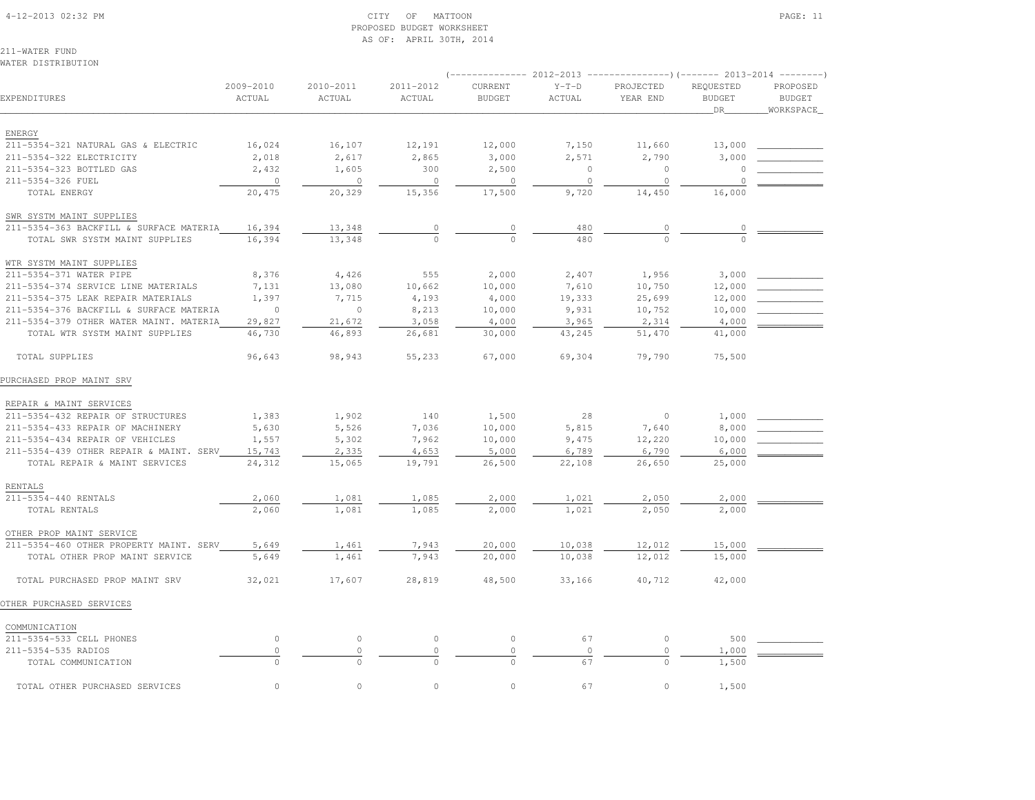#### 4-12-2013 02:32 PM CITY OF MATTOON PAGE: 11 PROPOSED BUDGET WORKSHEETAS OF: APRIL 30TH, 2014

211-WATER FUND

| WATER DISTRIBUTION                      |                     |                     |                     |                          |                   |                       | ---------                        |                                        |
|-----------------------------------------|---------------------|---------------------|---------------------|--------------------------|-------------------|-----------------------|----------------------------------|----------------------------------------|
| EXPENDITURES                            | 2009-2010<br>ACTUAL | 2010-2011<br>ACTUAL | 2011-2012<br>ACTUAL | CURRENT<br><b>BUDGET</b> | $Y-T-D$<br>ACTUAL | PROJECTED<br>YEAR END | REQUESTED<br><b>BUDGET</b><br>DR | PROPOSED<br><b>BUDGET</b><br>WORKSPACE |
| ENERGY                                  |                     |                     |                     |                          |                   |                       |                                  |                                        |
| 211-5354-321 NATURAL GAS & ELECTRIC     | 16,024              | 16,107              | 12,191              | 12,000                   | 7,150             | 11,660                | 13,000                           |                                        |
| 211-5354-322 ELECTRICITY                | 2,018               | 2,617               | 2,865               | 3,000                    | 2,571             | 2,790                 | 3,000                            |                                        |
| 211-5354-323 BOTTLED GAS                | 2,432               | 1,605               | 300                 | 2,500                    | $\circ$           | $\circ$               | $\circ$                          |                                        |
| 211-5354-326 FUEL                       | $\circ$             | $\circ$             | $\circ$             | $\circ$                  | $\circ$           | $\circ$               | $\Omega$                         |                                        |
| TOTAL ENERGY                            | 20,475              | 20,329              | 15,356              | 17,500                   | 9,720             | 14,450                | 16,000                           |                                        |
| SWR SYSTM MAINT SUPPLIES                |                     |                     |                     |                          |                   |                       |                                  |                                        |
| 211-5354-363 BACKFILL & SURFACE MATERIA | 16,394              | 13,348              | $\circ$             | $\mathbf 0$              | 480               | $\circ$               | $\circ$                          |                                        |
| TOTAL SWR SYSTM MAINT SUPPLIES          | 16,394              | 13,348              | $\Omega$            | $\Omega$                 | 480               |                       |                                  |                                        |
| WTR SYSTM MAINT SUPPLIES                |                     |                     |                     |                          |                   |                       |                                  |                                        |
| 211-5354-371 WATER PIPE                 | 8,376               | 4,426               | 555                 | 2,000                    | 2,407             | 1,956                 | 3,000                            |                                        |
| 211-5354-374 SERVICE LINE MATERIALS     | 7,131               | 13,080              | 10,662              | 10,000                   | 7,610             | 10,750                | 12,000                           |                                        |
| 211-5354-375 LEAK REPAIR MATERIALS      | 1,397               | 7,715               | 4,193               | 4,000                    | 19,333            | 25,699                | 12,000                           |                                        |
| 211-5354-376 BACKFILL & SURFACE MATERIA | $\Omega$            | $\circ$             | 8,213               | 10,000                   | 9,931             | 10,752                | 10,000                           |                                        |
| 211-5354-379 OTHER WATER MAINT, MATERIA | 29,827              | 21,672              | 3,058               | 4,000                    | 3,965             | 2,314                 | 4,000                            |                                        |
| TOTAL WTR SYSTM MAINT SUPPLIES          | 46,730              | 46,893              | 26,681              | 30,000                   | 43,245            | 51,470                | 41,000                           |                                        |
| TOTAL SUPPLIES                          | 96,643              | 98,943              | 55,233              | 67,000                   | 69,304            | 79,790                | 75,500                           |                                        |
| PURCHASED PROP MAINT SRV                |                     |                     |                     |                          |                   |                       |                                  |                                        |
| REPAIR & MAINT SERVICES                 |                     |                     |                     |                          |                   |                       |                                  |                                        |
| 211-5354-432 REPAIR OF STRUCTURES       | 1,383               | 1,902               | 140                 | 1,500                    | 28                | $\circ$               | 1,000                            |                                        |
| 211-5354-433 REPAIR OF MACHINERY        | 5,630               | 5,526               | 7,036               | 10,000                   | 5,815             | 7,640                 | 8,000                            |                                        |
| 211-5354-434 REPAIR OF VEHICLES         | 1,557               | 5,302               | 7,962               | 10,000                   | 9,475             | 12,220                | 10,000                           |                                        |
| 211-5354-439 OTHER REPAIR & MAINT. SERV | 15,743              | 2,335               | 4,653               | 5,000                    | 6,789             | 6,790                 | 6,000                            |                                        |
| TOTAL REPAIR & MAINT SERVICES           | 24,312              | 15,065              | 19,791              | 26,500                   | 22,108            | 26,650                | 25,000                           |                                        |
| RENTALS                                 |                     |                     |                     |                          |                   |                       |                                  |                                        |
| 211-5354-440 RENTALS                    | 2,060               | 1,081               | 1,085               | 2,000                    | 1,021             | 2,050                 | 2,000                            |                                        |
| TOTAL RENTALS                           | 2,060               | 1,081               | 1,085               | 2,000                    | 1,021             | 2,050                 | 2,000                            |                                        |
| OTHER PROP MAINT SERVICE                |                     |                     |                     |                          |                   |                       |                                  |                                        |
| 211-5354-460 OTHER PROPERTY MAINT. SERV | 5,649               | 1,461               | 7,943               | 20,000                   | 10,038            | 12,012                | 15,000                           |                                        |
| TOTAL OTHER PROP MAINT SERVICE          | 5,649               | 1,461               | 7,943               | 20,000                   | 10,038            | 12,012                | 15,000                           |                                        |
| TOTAL PURCHASED PROP MAINT SRV          | 32,021              | 17,607              | 28,819              | 48,500                   | 33,166            | 40,712                | 42,000                           |                                        |
| OTHER PURCHASED SERVICES                |                     |                     |                     |                          |                   |                       |                                  |                                        |
| COMMUNICATION                           |                     |                     |                     |                          |                   |                       |                                  |                                        |
| 211-5354-533 CELL PHONES                | $\circ$             | $\circ$             | $\circ$             | $\circ$                  | 67                | $\circ$               | 500                              |                                        |
| 211-5354-535 RADIOS                     | 0                   | $\mathbb O$         | $\mathbb O$         | $\mathbb O$              | $\circ$           | $\circ$               | 1,000                            |                                        |
| TOTAL COMMUNICATION                     | $\overline{0}$      | $\mathbf 0$         | $\Omega$            | $\circ$                  | 67                | $\mathbf 0$           | 1,500                            |                                        |
| TOTAL OTHER PURCHASED SERVICES          | $\circ$             | $\circ$             | $\circ$             | $\circ$                  | 67                | 0                     | 1,500                            |                                        |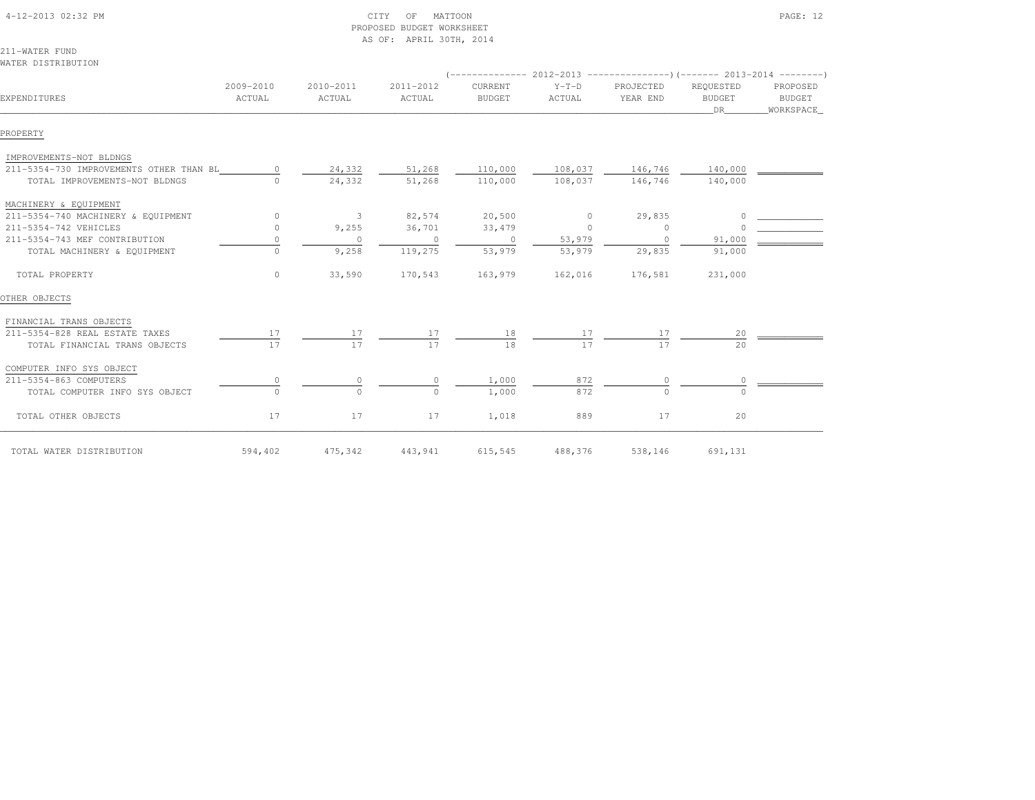| 4-12-2013 02:32 PM                      |                     |                     | MATTOON<br>CITY<br>OF<br>PROPOSED BUDGET WORKSHEET<br>AS OF: APRIL 30TH, 2014 |                          |                   |                       | PAGE: 12                         |                                        |  |  |
|-----------------------------------------|---------------------|---------------------|-------------------------------------------------------------------------------|--------------------------|-------------------|-----------------------|----------------------------------|----------------------------------------|--|--|
| 211-WATER FUND                          |                     |                     |                                                                               |                          |                   |                       |                                  |                                        |  |  |
| WATER DISTRIBUTION                      |                     |                     |                                                                               |                          |                   |                       |                                  |                                        |  |  |
|                                         |                     |                     |                                                                               |                          |                   |                       |                                  |                                        |  |  |
| EXPENDITURES                            | 2009-2010<br>ACTUAL | 2010-2011<br>ACTUAL | 2011-2012<br>ACTUAL                                                           | CURRENT<br><b>BUDGET</b> | $Y-T-D$<br>ACTUAL | PROJECTED<br>YEAR END | REQUESTED<br><b>BUDGET</b><br>DR | PROPOSED<br><b>BUDGET</b><br>WORKSPACE |  |  |
| PROPERTY                                |                     |                     |                                                                               |                          |                   |                       |                                  |                                        |  |  |
| IMPROVEMENTS-NOT BLDNGS                 |                     |                     |                                                                               |                          |                   |                       |                                  |                                        |  |  |
| 211-5354-730 IMPROVEMENTS OTHER THAN BL | $\circ$             | 24,332              | 51,268                                                                        | 110,000                  | 108,037           | 146,746               | 140,000                          |                                        |  |  |
| TOTAL IMPROVEMENTS-NOT BLDNGS           | $\Omega$            | 24,332              | 51,268                                                                        | 110,000                  | 108,037           | 146,746               | 140,000                          |                                        |  |  |
| MACHINERY & EQUIPMENT                   |                     |                     |                                                                               |                          |                   |                       |                                  |                                        |  |  |
| 211-5354-740 MACHINERY & EQUIPMENT      | $\circ$             | 3                   | 82,574                                                                        | 20,500                   | $\circ$           | 29,835                | $\circ$                          |                                        |  |  |
| 211-5354-742 VEHICLES                   | $\circ$             | 9,255               | 36,701                                                                        | 33, 479                  | $\mathbf{0}$      | $\circ$               | $\Omega$                         |                                        |  |  |
| 211-5354-743 MEF CONTRIBUTION           | $\circ$             | $\circ$             | $\circ$                                                                       | $\circ$                  | 53,979            | $\circ$               | 91,000                           |                                        |  |  |
| TOTAL MACHINERY & EQUIPMENT             | $\circ$             | 9,258               | 119,275                                                                       | 53,979                   | 53,979            | 29,835                | 91,000                           |                                        |  |  |
| TOTAL PROPERTY                          | $\circ$             | 33,590              | 170,543                                                                       | 163,979                  | 162,016           | 176,581               | 231,000                          |                                        |  |  |
| OTHER OBJECTS                           |                     |                     |                                                                               |                          |                   |                       |                                  |                                        |  |  |
| FINANCIAL TRANS OBJECTS                 |                     |                     |                                                                               |                          |                   |                       |                                  |                                        |  |  |
| 211-5354-828 REAL ESTATE TAXES          | 17                  | 17                  | 17                                                                            | 18                       | 17                | 17                    | 20                               |                                        |  |  |
| TOTAL FINANCIAL TRANS OBJECTS           | 17                  | 17                  | 17                                                                            | 18                       | 17                | 17                    | 20                               |                                        |  |  |
| COMPUTER INFO SYS OBJECT                |                     |                     |                                                                               |                          |                   |                       |                                  |                                        |  |  |
| 211-5354-863 COMPUTERS                  | $\circ$             | $\circ$             | 0                                                                             | 1,000                    | 872               | 0                     | 0                                |                                        |  |  |
| TOTAL COMPUTER INFO SYS OBJECT          | $\circ$             | $\Omega$            | $\Omega$                                                                      | 1,000                    | 872               | $\cap$                | $\Omega$                         |                                        |  |  |
| TOTAL OTHER OBJECTS                     | 17                  | 17                  | 17                                                                            | 1,018                    | 889               | 17                    | 20                               |                                        |  |  |
| TOTAL WATER DISTRIBUTION                | 594,402             | 475,342             | 443,941                                                                       | 615,545                  | 488,376           | 538,146               | 691,131                          |                                        |  |  |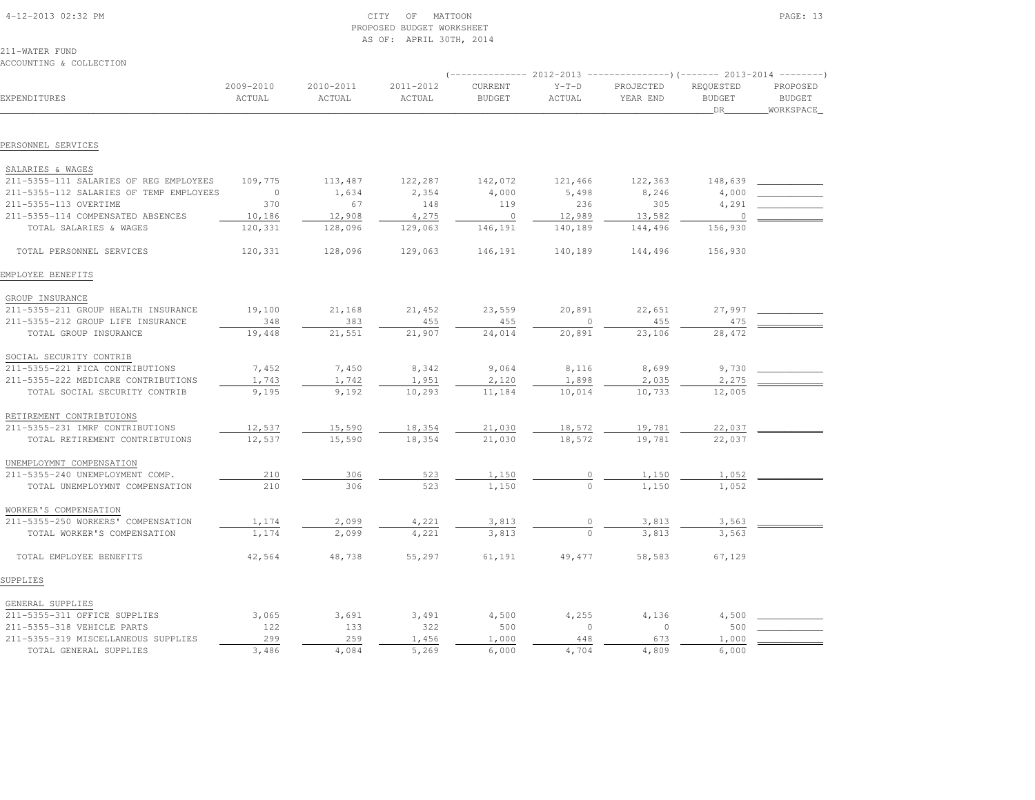| 4-12-2013 02:32 PM |  |
|--------------------|--|

#### $\begin{array}{ccc} \text{CITY} & \text{OF} & \text{MATION} \end{array}$  PROPOSED BUDGET WORKSHEETAS OF: APRIL 30TH, 2014

211-WATER FUNDACCOUNTING & COLLECTION

| EXPENDITURES                            | 2009-2010<br>ACTUAL | 2010-2011<br>ACTUAL | 2011-2012<br>ACTUAL | CURRENT<br><b>BUDGET</b> | $Y-T-D$<br>ACTUAL | PROJECTED<br>YEAR END | REQUESTED<br><b>BUDGET</b><br>DR | PROPOSED<br><b>BUDGET</b><br>WORKSPACE |
|-----------------------------------------|---------------------|---------------------|---------------------|--------------------------|-------------------|-----------------------|----------------------------------|----------------------------------------|
|                                         |                     |                     |                     |                          |                   |                       |                                  |                                        |
| PERSONNEL SERVICES                      |                     |                     |                     |                          |                   |                       |                                  |                                        |
| SALARIES & WAGES                        |                     |                     |                     |                          |                   |                       |                                  |                                        |
| 211-5355-111 SALARIES OF REG EMPLOYEES  | 109,775             | 113,487             | 122,287             | 142,072                  | 121,466           | 122,363               | 148,639                          |                                        |
| 211-5355-112 SALARIES OF TEMP EMPLOYEES | $\overline{0}$      | 1,634               | 2,354               | 4,000                    | 5,498             | 8,246                 | 4,000                            |                                        |
| 211-5355-113 OVERTIME                   | 370                 | 67                  | 148                 | 119                      | 236               | 305                   | 4,291                            |                                        |
| 211-5355-114 COMPENSATED ABSENCES       | 10,186              | 12,908              | 4,275               | $\overline{0}$           | 12,989            | 13,582                | $\circ$                          |                                        |
| TOTAL SALARIES & WAGES                  | 120,331             | 128,096             | 129,063             | 146,191                  | 140,189           | 144,496               | 156,930                          |                                        |
| TOTAL PERSONNEL SERVICES                | 120,331             | 128,096             | 129,063             | 146,191                  | 140,189           | 144,496               | 156,930                          |                                        |
| EMPLOYEE BENEFITS                       |                     |                     |                     |                          |                   |                       |                                  |                                        |
| GROUP INSURANCE                         |                     |                     |                     |                          |                   |                       |                                  |                                        |
| 211-5355-211 GROUP HEALTH INSURANCE     | 19,100              | 21,168              | 21,452              | 23,559                   | 20,891            | 22,651                | 27,997                           |                                        |
| 211-5355-212 GROUP LIFE INSURANCE       | 348                 | 383                 | 455                 | 455                      | $\circ$           | 455                   | 475                              |                                        |
| TOTAL GROUP INSURANCE                   | 19,448              | 21,551              | 21,907              | 24,014                   | 20,891            | 23,106                | 28,472                           |                                        |
| SOCIAL SECURITY CONTRIB                 |                     |                     |                     |                          |                   |                       |                                  |                                        |
| 211-5355-221 FICA CONTRIBUTIONS         | 7,452               | 7,450               | 8,342               | 9,064                    | 8,116             | 8,699                 | 9,730                            |                                        |
| 211-5355-222 MEDICARE CONTRIBUTIONS     | 1,743               | 1,742               | 1,951               | 2,120                    | 1,898             | 2,035                 | 2,275                            |                                        |
| TOTAL SOCIAL SECURITY CONTRIB           | 9,195               | 9,192               | 10,293              | 11,184                   | 10,014            | 10,733                | 12,005                           |                                        |
| RETIREMENT CONTRIBTUIONS                |                     |                     |                     |                          |                   |                       |                                  |                                        |
| 211-5355-231 IMRF CONTRIBUTIONS         | 12,537              | 15,590              | 18,354              | 21,030                   | 18,572            | 19,781                | 22,037                           |                                        |
| TOTAL RETIREMENT CONTRIBTUIONS          | 12,537              | 15,590              | 18,354              | 21,030                   | 18,572            | 19,781                | 22,037                           |                                        |
| UNEMPLOYMNT COMPENSATION                |                     |                     |                     |                          |                   |                       |                                  |                                        |
| 211-5355-240 UNEMPLOYMENT COMP.         | 210                 | 306                 | 523                 | 1,150                    |                   | 1,150                 | 1,052                            |                                        |
| TOTAL UNEMPLOYMNT COMPENSATION          | 210                 | 306                 | 523                 | 1,150                    |                   | 1,150                 | 1,052                            |                                        |
| WORKER'S COMPENSATION                   |                     |                     |                     |                          |                   |                       |                                  |                                        |
| 211-5355-250 WORKERS' COMPENSATION      | 1,174               | 2,099               | 4,221               | 3,813                    |                   | 3,813                 | 3,563                            |                                        |
| TOTAL WORKER'S COMPENSATION             | 1,174               | 2,099               | 4,221               | 3,813                    |                   | 3,813                 | 3,563                            |                                        |
| TOTAL EMPLOYEE BENEFITS                 | 42,564              | 48,738              | 55,297              | 61,191                   | 49,477            | 58,583                | 67,129                           |                                        |
| SUPPLIES                                |                     |                     |                     |                          |                   |                       |                                  |                                        |
| GENERAL SUPPLIES                        |                     |                     |                     |                          |                   |                       |                                  |                                        |
| 211-5355-311 OFFICE SUPPLIES            | 3,065               | 3,691               | 3,491               | 4,500                    | 4,255             | 4,136                 | 4,500                            |                                        |
| 211-5355-318 VEHICLE PARTS              | 122                 | 133                 | 322                 | 500                      | $\circ$           | $\circ$               | 500                              |                                        |
| 211-5355-319 MISCELLANEOUS SUPPLIES     | 299                 | 259                 | 1,456               | 1,000                    | 448               | 673                   | 1,000                            |                                        |
| TOTAL GENERAL SUPPLIES                  | 3,486               | 4,084               | 5,269               | 6,000                    | 4,704             | 4,809                 | 6,000                            |                                        |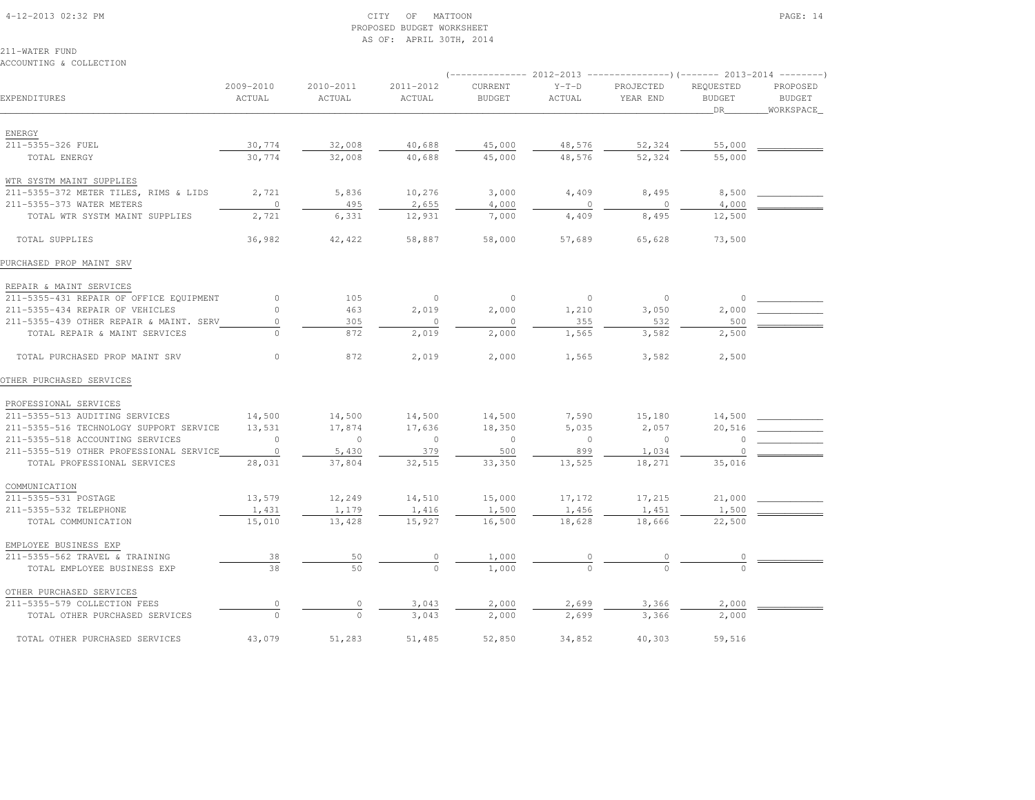#### 4-12-2013 02:32 PM CITY OF MATTOON PAGE: 14 PROPOSED BUDGET WORKSHEETAS OF: APRIL 30TH, 2014

211-WATER FUNDACCOUNTING & COLLECTION

|                                         |                     |                     |                     |                          |                   | ----------- 2012-2013 ----------------)(------- 2013-2014 --------) |                                  |                                        |  |
|-----------------------------------------|---------------------|---------------------|---------------------|--------------------------|-------------------|---------------------------------------------------------------------|----------------------------------|----------------------------------------|--|
| EXPENDITURES                            | 2009-2010<br>ACTUAL | 2010-2011<br>ACTUAL | 2011-2012<br>ACTUAL | CURRENT<br><b>BUDGET</b> | $Y-T-D$<br>ACTUAL | PROJECTED<br>YEAR END                                               | REQUESTED<br><b>BUDGET</b><br>DR | PROPOSED<br><b>BUDGET</b><br>WORKSPACE |  |
|                                         |                     |                     |                     |                          |                   |                                                                     |                                  |                                        |  |
| ENERGY                                  |                     |                     |                     |                          |                   |                                                                     |                                  |                                        |  |
| 211-5355-326 FUEL                       | 30,774              | 32,008              | 40,688              | 45,000                   | 48,576            | 52,324                                                              | 55,000                           |                                        |  |
| TOTAL ENERGY                            | 30,774              | 32,008              | 40,688              | 45,000                   | 48,576            | 52,324                                                              | 55,000                           |                                        |  |
| WTR SYSTM MAINT SUPPLIES                |                     |                     |                     |                          |                   |                                                                     |                                  |                                        |  |
| 211-5355-372 METER TILES, RIMS & LIDS   | 2,721               | 5,836               | 10,276              | 3,000                    | 4,409             | 8,495                                                               | 8,500                            |                                        |  |
| 211-5355-373 WATER METERS               | $\circ$             | 495                 | 2,655               | 4,000                    | $\mathbf{0}$      | $\overline{0}$                                                      | 4,000                            |                                        |  |
| TOTAL WTR SYSTM MAINT SUPPLIES          | 2,721               | 6,331               | 12,931              | 7,000                    | 4,409             | 8,495                                                               | 12,500                           |                                        |  |
| TOTAL SUPPLIES                          | 36,982              | 42,422              | 58,887              | 58,000                   | 57,689            | 65,628                                                              | 73,500                           |                                        |  |
| PURCHASED PROP MAINT SRV                |                     |                     |                     |                          |                   |                                                                     |                                  |                                        |  |
| REPAIR & MAINT SERVICES                 |                     |                     |                     |                          |                   |                                                                     |                                  |                                        |  |
| 211-5355-431 REPAIR OF OFFICE EQUIPMENT | $\circ$             | 105                 | $\circ$             | $\circ$                  | $\circ$           | $\circ$                                                             | $\circ$                          |                                        |  |
| 211-5355-434 REPAIR OF VEHICLES         | $\Omega$            | 463                 | 2,019               | 2,000                    | 1,210             | 3,050                                                               | 2,000                            |                                        |  |
| 211-5355-439 OTHER REPAIR & MAINT. SERV | $\circ$             | 305                 | $\circ$             | $\circ$                  | 355               | 532                                                                 | 500                              |                                        |  |
| TOTAL REPAIR & MAINT SERVICES           |                     | 872                 | 2,019               | 2,000                    | 1,565             | 3,582                                                               | 2,500                            |                                        |  |
| TOTAL PURCHASED PROP MAINT SRV          | $\circ$             | 872                 | 2,019               | 2,000                    | 1,565             | 3,582                                                               | 2,500                            |                                        |  |
| OTHER PURCHASED SERVICES                |                     |                     |                     |                          |                   |                                                                     |                                  |                                        |  |
| PROFESSIONAL SERVICES                   |                     |                     |                     |                          |                   |                                                                     |                                  |                                        |  |
| 211-5355-513 AUDITING SERVICES          | 14,500              | 14,500              | 14,500              | 14,500                   | 7,590             | 15,180                                                              | 14,500                           |                                        |  |
| 211-5355-516 TECHNOLOGY SUPPORT SERVICE | 13,531              | 17,874              | 17,636              | 18,350                   | 5,035             | 2,057                                                               | 20,516                           |                                        |  |
| 211-5355-518 ACCOUNTING SERVICES        | $\Omega$            | $\overline{0}$      | $\circ$             | $\circ$                  | $\circ$           | $\overline{0}$                                                      | 0                                |                                        |  |
| 211-5355-519 OTHER PROFESSIONAL SERVICE | $\overline{0}$      | 5,430               | 379                 | 500                      | 899               | 1,034                                                               | $\Omega$                         |                                        |  |
| TOTAL PROFESSIONAL SERVICES             | 28,031              | 37,804              | 32,515              | 33,350                   | 13,525            | 18,271                                                              | 35,016                           |                                        |  |
| COMMUNICATION                           |                     |                     |                     |                          |                   |                                                                     |                                  |                                        |  |
| 211-5355-531 POSTAGE                    | 13,579              | 12,249              | 14,510              | 15,000                   | 17,172            | 17,215                                                              | 21,000                           |                                        |  |
| 211-5355-532 TELEPHONE                  | 1,431               | 1,179               | 1,416               | 1,500                    | 1,456             | 1,451                                                               | 1,500                            |                                        |  |
| TOTAL COMMUNICATION                     | 15,010              | 13,428              | 15,927              | 16,500                   | 18,628            | 18,666                                                              | 22,500                           |                                        |  |
| EMPLOYEE BUSINESS EXP                   |                     |                     |                     |                          |                   |                                                                     |                                  |                                        |  |
| 211-5355-562 TRAVEL & TRAINING          | 38                  | 50                  | 0                   | 1,000                    |                   |                                                                     |                                  |                                        |  |
| TOTAL EMPLOYEE BUSINESS EXP             | 38                  | 50                  | $\Omega$            | 1,000                    |                   |                                                                     |                                  |                                        |  |
| OTHER PURCHASED SERVICES                |                     |                     |                     |                          |                   |                                                                     |                                  |                                        |  |
| 211-5355-579 COLLECTION FEES            | $\circ$             | $\circ$             | 3,043               | 2,000                    | 2,699             | 3,366                                                               | 2,000                            |                                        |  |
| TOTAL OTHER PURCHASED SERVICES          |                     | $\Omega$            | 3,043               | 2,000                    | 2,699             | 3,366                                                               | 2,000                            |                                        |  |
| TOTAL OTHER PURCHASED SERVICES          | 43,079              | 51,283              | 51,485              | 52,850                   | 34,852            | 40,303                                                              | 59,516                           |                                        |  |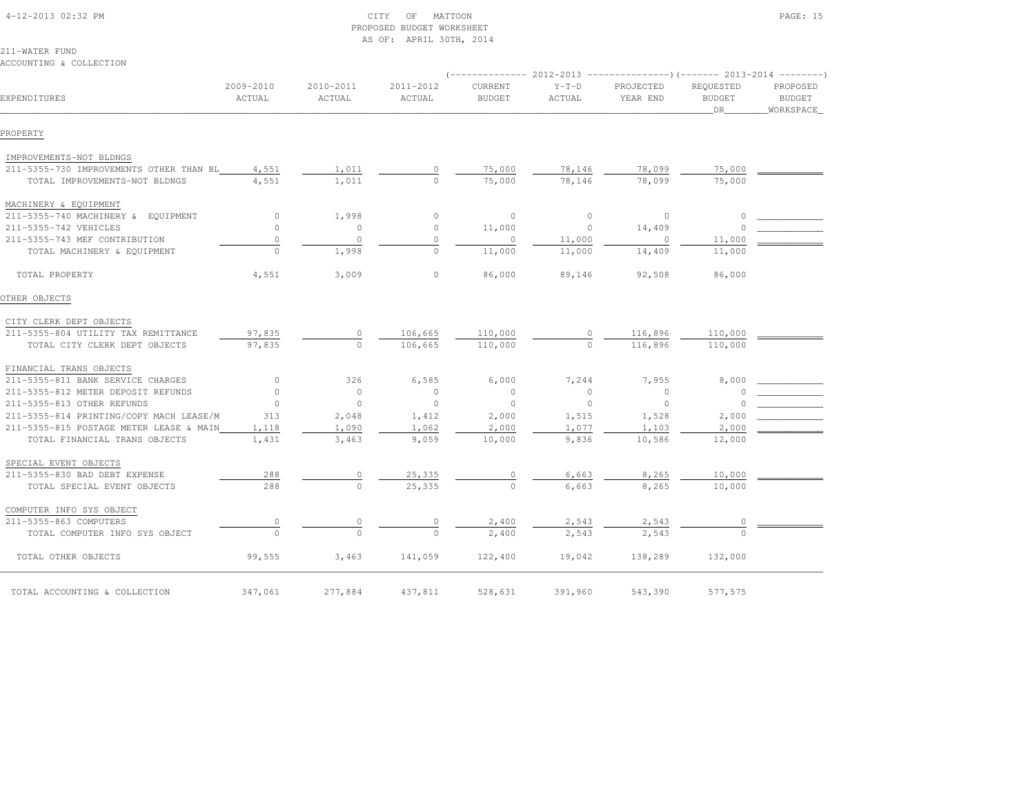| 4-12-2013 02:32 PM |  |
|--------------------|--|

#### $\begin{array}{ccc} \text{CITY} & \text{OF} & \text{MATTON} \end{array}$  PROPOSED BUDGET WORKSHEETAS OF: APRIL 30TH, 2014

211-WATER FUNDACCOUNTING & COLLECTION

|                                         |                     |                     |                     |                          |                   | $(-$ ------------- 2012-2013 -----------------) (------- 2013-2014 --------) |                                    |                                        |
|-----------------------------------------|---------------------|---------------------|---------------------|--------------------------|-------------------|------------------------------------------------------------------------------|------------------------------------|----------------------------------------|
| EXPENDITURES                            | 2009-2010<br>ACTUAL | 2010-2011<br>ACTUAL | 2011-2012<br>ACTUAL | CURRENT<br><b>BUDGET</b> | $Y-T-D$<br>ACTUAL | PROJECTED<br>YEAR END                                                        | REQUESTED<br><b>BUDGET</b><br>DR . | PROPOSED<br><b>BUDGET</b><br>WORKSPACE |
|                                         |                     |                     |                     |                          |                   |                                                                              |                                    |                                        |
| PROPERTY                                |                     |                     |                     |                          |                   |                                                                              |                                    |                                        |
| IMPROVEMENTS-NOT BLDNGS                 |                     |                     |                     |                          |                   |                                                                              |                                    |                                        |
| 211-5355-730 IMPROVEMENTS OTHER THAN BL | 4,551               | 1,011               |                     | 75,000                   | 78,146            | 78,099                                                                       | 75,000                             |                                        |
| TOTAL IMPROVEMENTS-NOT BLDNGS           | 4,551               | 1,011               |                     | 75,000                   | 78,146            | 78,099                                                                       | 75,000                             |                                        |
| MACHINERY & EQUIPMENT                   |                     |                     |                     |                          |                   |                                                                              |                                    |                                        |
| 211-5355-740 MACHINERY & EQUIPMENT      | $\circ$             | 1,998               | $\circ$             | $\circ$                  | $\circ$           | $\circ$                                                                      |                                    |                                        |
| 211-5355-742 VEHICLES                   | $\Omega$            | $\circ$             | $\circ$             | 11,000                   | $\circ$           | 14,409                                                                       |                                    |                                        |
| 211-5355-743 MEF CONTRIBUTION           | $\circ$             | $\circ$             | $\circ$             | $\circ$                  | 11,000            | 0                                                                            | 11,000                             |                                        |
| TOTAL MACHINERY & EQUIPMENT             | $\Omega$            | 1,998               | $\Omega$            | 11,000                   | 11,000            | 14,409                                                                       | 11,000                             |                                        |
| TOTAL PROPERTY                          | 4,551               | 3,009               | $\circ$             | 86,000                   | 89,146            | 92,508                                                                       | 86,000                             |                                        |
| OTHER OBJECTS                           |                     |                     |                     |                          |                   |                                                                              |                                    |                                        |
| CITY CLERK DEPT OBJECTS                 |                     |                     |                     |                          |                   |                                                                              |                                    |                                        |
| 211-5355-804 UTILITY TAX REMITTANCE     | 97,835              | $\circ$             | 106,665             | 110,000                  | $\circ$           | 116,896                                                                      | 110,000                            |                                        |
| TOTAL CITY CLERK DEPT OBJECTS           | 97,835              | $\circ$             | 106,665             | 110,000                  | $\Omega$          | 116,896                                                                      | 110,000                            |                                        |
| FINANCIAL TRANS OBJECTS                 |                     |                     |                     |                          |                   |                                                                              |                                    |                                        |
| 211-5355-811 BANK SERVICE CHARGES       | $\circ$             | 326                 | 6,585               | 6,000                    | 7,244             | 7,955                                                                        | 8,000                              |                                        |
| 211-5355-812 METER DEPOSIT REFUNDS      | $\circ$             | $\circ$             | $\overline{0}$      | $\Omega$                 | $\circ$           | $\circ$                                                                      |                                    |                                        |
| 211-5355-813 OTHER REFUNDS              | $\Omega$            | $\circ$             | $\circ$             | $\overline{0}$           | $\circ$           | $\circ$                                                                      |                                    |                                        |
| 211-5355-814 PRINTING/COPY MACH LEASE/M | 313                 | 2,048               | 1,412               | 2,000                    | 1,515             | 1,528                                                                        | 2,000                              |                                        |
| 211-5355-815 POSTAGE METER LEASE & MAIN | 1,118               | 1,090               | 1,062               | 2,000                    | 1,077             | 1,103                                                                        | 2,000                              |                                        |
| TOTAL FINANCIAL TRANS OBJECTS           | 1,431               | 3,463               | 9,059               | 10,000                   | 9,836             | 10,586                                                                       | 12,000                             |                                        |
| SPECIAL EVENT OBJECTS                   |                     |                     |                     |                          |                   |                                                                              |                                    |                                        |
| 211-5355-830 BAD DEBT EXPENSE           | 288                 | 0                   | 25,335              | $\mathbf{0}$             | 6,663             | 8,265                                                                        | 10,000                             |                                        |
| TOTAL SPECIAL EVENT OBJECTS             | 288                 | $\Omega$            | 25,335              | $\Omega$                 | 6,663             | 8,265                                                                        | 10,000                             |                                        |
| COMPUTER INFO SYS OBJECT                |                     |                     |                     |                          |                   |                                                                              |                                    |                                        |
| 211-5355-863 COMPUTERS                  | 0                   |                     |                     | 2,400                    | 2,543             | 2,543                                                                        |                                    |                                        |
| TOTAL COMPUTER INFO SYS OBJECT          | $\Omega$            |                     |                     | 2,400                    | 2,543             | 2,543                                                                        |                                    |                                        |
| TOTAL OTHER OBJECTS                     | 99,555              | 3,463               | 141,059             | 122,400                  | 19,042            | 138,289                                                                      | 132,000                            |                                        |
| TOTAL ACCOUNTING & COLLECTION           | 347,061             | 277,884             | 437,811             | 528,631                  | 391,960           | 543,390                                                                      | 577,575                            |                                        |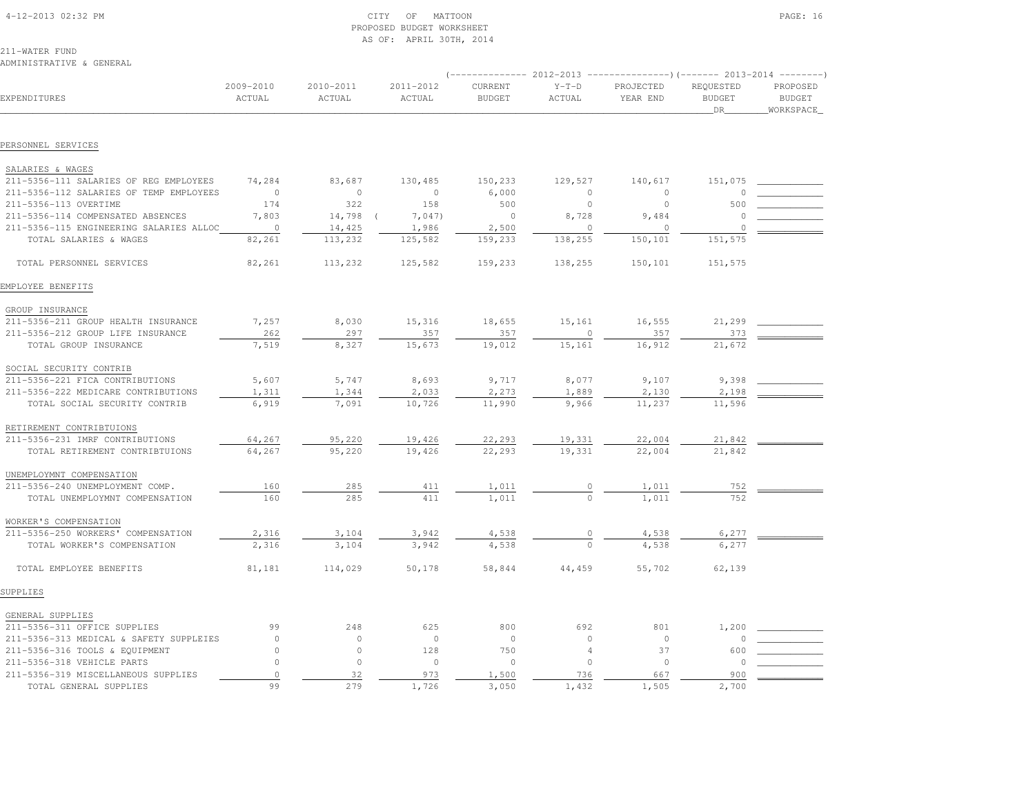| 4-12-2013 02:32 PM |  |
|--------------------|--|
|                    |  |

#### $\text{CITY}$  of MATTOON PAGE: 16 PROPOSED BUDGET WORKSHEETAS OF: APRIL 30TH, 2014

211-WATER FUND

#### ADMINISTRATIVE & GENERAL

| EXPENDITURES                            | 2009-2010<br>ACTUAL | 2010-2011<br>ACTUAL | 2011-2012<br>ACTUAL | CURRENT<br><b>BUDGET</b> | $Y-T-D$<br>ACTUAL | PROJECTED<br>YEAR END | REQUESTED<br><b>BUDGET</b><br><b>DR</b> | PROPOSED<br><b>BUDGET</b><br>WORKSPACE |
|-----------------------------------------|---------------------|---------------------|---------------------|--------------------------|-------------------|-----------------------|-----------------------------------------|----------------------------------------|
|                                         |                     |                     |                     |                          |                   |                       |                                         |                                        |
| PERSONNEL SERVICES                      |                     |                     |                     |                          |                   |                       |                                         |                                        |
| SALARIES & WAGES                        |                     |                     |                     |                          |                   |                       |                                         |                                        |
| 211-5356-111 SALARIES OF REG EMPLOYEES  | 74,284              | 83,687              | 130,485             | 150,233                  | 129,527           | 140,617               | 151,075                                 |                                        |
| 211-5356-112 SALARIES OF TEMP EMPLOYEES | $\Omega$            | $\Omega$            | $\circ$             | 6,000                    | $\circ$           | $\Omega$              | 0                                       |                                        |
| 211-5356-113 OVERTIME                   | 174                 | 322                 | 158                 | 500                      | $\circ$           | $\circ$               | 500                                     |                                        |
| 211-5356-114 COMPENSATED ABSENCES       | 7,803               | 14,798 (            | 7,047               | $\overline{0}$           | 8,728             | 9,484                 |                                         |                                        |
| 211-5356-115 ENGINEERING SALARIES ALLOC | $\overline{0}$      | 14,425              | 1,986               | 2,500                    | $\circ$           | 0                     | 0                                       |                                        |
| TOTAL SALARIES & WAGES                  | 82,261              | 113,232             | 125,582             | 159,233                  | 138,255           | 150,101               | 151,575                                 |                                        |
| TOTAL PERSONNEL SERVICES                | 82,261              | 113,232             | 125,582             | 159,233                  | 138,255           | 150,101               | 151,575                                 |                                        |
| EMPLOYEE BENEFITS                       |                     |                     |                     |                          |                   |                       |                                         |                                        |
| GROUP INSURANCE                         |                     |                     |                     |                          |                   |                       |                                         |                                        |
| 211-5356-211 GROUP HEALTH INSURANCE     | 7,257               | 8,030               | 15,316              | 18,655                   | 15,161            | 16,555                | 21,299                                  |                                        |
| 211-5356-212 GROUP LIFE INSURANCE       | 262                 | 297                 | 357                 | 357                      | $\cap$            | 357                   | 373                                     |                                        |
| TOTAL GROUP INSURANCE                   | 7,519               | 8,327               | 15,673              | 19,012                   | 15,161            | 16,912                | 21,672                                  |                                        |
| SOCIAL SECURITY CONTRIB                 |                     |                     |                     |                          |                   |                       |                                         |                                        |
| 211-5356-221 FICA CONTRIBUTIONS         | 5,607               | 5,747               | 8,693               | 9,717                    | 8,077             | 9,107                 | 9,398                                   |                                        |
| 211-5356-222 MEDICARE CONTRIBUTIONS     | 1,311               | 1,344               | 2,033               | 2,273                    | 1,889             | 2,130                 | 2,198                                   |                                        |
| TOTAL SOCIAL SECURITY CONTRIB           | 6,919               | 7,091               | 10,726              | 11,990                   | 9,966             | 11,237                | 11,596                                  |                                        |
| RETIREMENT CONTRIBTUIONS                |                     |                     |                     |                          |                   |                       |                                         |                                        |
| 211-5356-231 IMRF CONTRIBUTIONS         | 64,267              | 95,220              | 19,426              | 22,293                   | 19,331            | 22,004                | 21,842                                  |                                        |
| TOTAL RETIREMENT CONTRIBTUIONS          | 64,267              | 95,220              | 19,426              | 22,293                   | 19,331            | 22,004                | 21,842                                  |                                        |
| UNEMPLOYMNT COMPENSATION                |                     |                     |                     |                          |                   |                       |                                         |                                        |
| 211-5356-240 UNEMPLOYMENT COMP.         | 160                 | 285                 | 411                 | 1,011                    |                   | 1,011                 | 752                                     |                                        |
| TOTAL UNEMPLOYMNT COMPENSATION          | 160                 | 285                 | 411                 | 1,011                    |                   | 1,011                 | 752                                     |                                        |
| WORKER'S COMPENSATION                   |                     |                     |                     |                          |                   |                       |                                         |                                        |
| 211-5356-250 WORKERS' COMPENSATION      | 2,316               | 3,104               | 3,942               | 4,538                    | $\circ$           | 4,538                 | 6,277                                   |                                        |
| TOTAL WORKER'S COMPENSATION             | 2,316               | 3,104               | 3,942               | 4,538                    |                   | 4,538                 | 6,277                                   |                                        |
| TOTAL EMPLOYEE BENEFITS                 | 81,181              | 114,029             | 50,178              | 58,844                   | 44,459            | 55,702                | 62,139                                  |                                        |
| SUPPLIES                                |                     |                     |                     |                          |                   |                       |                                         |                                        |
| GENERAL SUPPLIES                        |                     |                     |                     |                          |                   |                       |                                         |                                        |
| 211-5356-311 OFFICE SUPPLIES            | 99                  | 248                 | 625                 | 800                      | 692               | 801                   | 1,200                                   |                                        |
| 211-5356-313 MEDICAL & SAFETY SUPPLEIES | $\circ$             | $\circ$             | $\circ$             | $\circ$                  | $\circ$           | $\circ$               |                                         |                                        |
| 211-5356-316 TOOLS & EQUIPMENT          | $\circ$             | $\circ$             | 128                 | 750                      | $\overline{4}$    | 37                    | 600                                     |                                        |
| 211-5356-318 VEHICLE PARTS              | $\Omega$            | $\Omega$            | $\circ$             | $\Omega$                 | $\Omega$          | $\Omega$              | $\cup$                                  |                                        |
| 211-5356-319 MISCELLANEOUS SUPPLIES     | $\circ$             | 32                  | 973                 | 1,500                    | 736               | 667                   | 900                                     |                                        |
| TOTAL GENERAL SUPPLIES                  | 99                  | 279                 | 1,726               | 3,050                    | 1,432             | 1,505                 | 2,700                                   |                                        |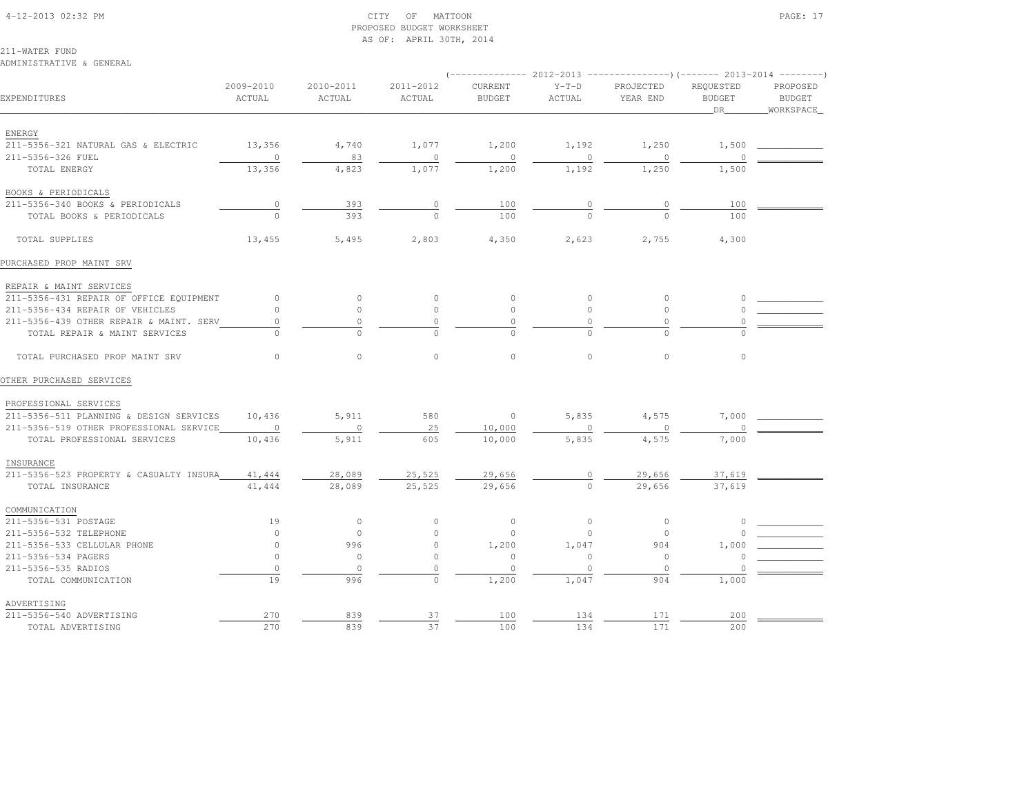#### 4-12-2013 02:32 PM CITY OF MATTOON PAGE: 17 PROPOSED BUDGET WORKSHEETAS OF: APRIL 30TH, 2014

211-WATER FUND

ADVERTISING

 $211 - 5356 - 540$  ADVERTISING

ADMINISTRATIVE & GENERAL

(-------------- 2012-2013 ---------------)(------- 2013-2014 --------)

| EXPENDITURES                            | 2009-2010<br>ACTUAL | 2010-2011<br><b>ACTUAL</b> | 2011-2012<br><b>ACTUAL</b> | CURRENT<br><b>BUDGET</b> | $Y-T-D$<br>ACTUAL | PROJECTED<br>YEAR END | REQUESTED<br><b>BUDGET</b><br>DR | PROPOSED<br><b>BUDGET</b><br>WORKSPACE |
|-----------------------------------------|---------------------|----------------------------|----------------------------|--------------------------|-------------------|-----------------------|----------------------------------|----------------------------------------|
| ENERGY                                  |                     |                            |                            |                          |                   |                       |                                  |                                        |
| 211-5356-321 NATURAL GAS & ELECTRIC     | 13,356              | 4,740                      | 1,077                      | 1,200                    | 1,192             | 1,250                 | 1,500                            |                                        |
| 211-5356-326 FUEL                       | $\circ$             | 83                         | $\circ$                    | $\circ$                  | $\circ$           | $\circ$               |                                  |                                        |
| TOTAL ENERGY                            | 13,356              | 4,823                      | 1,077                      | 1,200                    | 1,192             | 1,250                 | 1,500                            |                                        |
| BOOKS & PERIODICALS                     |                     |                            |                            |                          |                   |                       |                                  |                                        |
| 211-5356-340 BOOKS & PERIODICALS        | $\circ$             | 393                        | 0                          | 100                      | 0                 | $\circ$               | 100                              |                                        |
| TOTAL BOOKS & PERIODICALS               | $\Omega$            | 393                        | $\Omega$                   | 100                      | $\Omega$          | $\Omega$              | 100                              |                                        |
| TOTAL SUPPLIES                          | 13,455              | 5,495                      | 2,803                      | 4,350                    | 2,623             | 2,755                 | 4,300                            |                                        |
| PURCHASED PROP MAINT SRV                |                     |                            |                            |                          |                   |                       |                                  |                                        |
| REPAIR & MAINT SERVICES                 |                     |                            |                            |                          |                   |                       |                                  |                                        |
| 211-5356-431 REPAIR OF OFFICE EQUIPMENT | $\circ$             | $\circ$                    | $\circ$                    | $\circ$                  | $\circ$           | $\circ$               | $\cap$                           |                                        |
| 211-5356-434 REPAIR OF VEHICLES         | $\circ$             | $\circ$                    | $\circ$                    | $\circ$                  | $\circ$           | $\circ$               | $\cap$                           |                                        |
| 211-5356-439 OTHER REPAIR & MAINT. SERV | $\mathbb O$         | $\Omega$                   | $\Omega$                   | $\Omega$                 | 0                 | $\circ$               | $\Omega$                         |                                        |
| TOTAL REPAIR & MAINT SERVICES           | $\Omega$            | $\Omega$                   | $\Omega$                   | $\Omega$                 | $\Omega$          | $\Omega$              | $\Omega$                         |                                        |
| TOTAL PURCHASED PROP MAINT SRV          | $\circ$             | $\mathbb O$                | $\circ$                    | $\circ$                  | $\circ$           | $\circ$               | $\circ$                          |                                        |
| OTHER PURCHASED SERVICES                |                     |                            |                            |                          |                   |                       |                                  |                                        |
| PROFESSIONAL SERVICES                   |                     |                            |                            |                          |                   |                       |                                  |                                        |
| 211-5356-511 PLANNING & DESIGN SERVICES | 10,436              | 5,911                      | 580                        | $\circ$                  | 5,835             | 4,575                 | 7,000                            |                                        |
| 211-5356-519 OTHER PROFESSIONAL SERVICE | $\circ$             | $\circ$                    | 25                         | 10,000                   | $\Omega$          | $\circ$               | $\circ$                          |                                        |
| TOTAL PROFESSIONAL SERVICES             | 10,436              | 5,911                      | 605                        | 10,000                   | 5,835             | 4,575                 | 7,000                            |                                        |
| INSURANCE                               |                     |                            |                            |                          |                   |                       |                                  |                                        |
| 211-5356-523 PROPERTY & CASUALTY INSURA | 41,444              | 28,089                     | 25,525                     | 29,656                   | 0                 | 29,656                | 37,619                           |                                        |
| TOTAL INSURANCE                         | 41,444              | 28,089                     | 25,525                     | 29,656                   | $\Omega$          | 29,656                | 37,619                           |                                        |
| COMMUNICATION                           |                     |                            |                            |                          |                   |                       |                                  |                                        |
| 211-5356-531 POSTAGE                    | 19                  | $\circ$                    | $\circ$                    | $\circ$                  | $\circ$           | $\circ$               | $\Omega$                         |                                        |
| 211-5356-532 TELEPHONE                  | $\circ$             | $\circ$                    | $\circ$                    | $\circ$                  | $\circ$           | $\circ$               |                                  |                                        |
| 211-5356-533 CELLULAR PHONE             | $\circ$             | 996                        | $\mathsf{O}\xspace$        | 1,200                    | 1,047             | 904                   | 1,000                            |                                        |
| 211-5356-534 PAGERS                     | $\circ$             | $\circ$                    | $\circ$                    | $\circ$                  | $\circ$           | $\circ$               | $\circ$                          |                                        |
| 211-5356-535 RADIOS                     | $\circ$             | $\circ$                    | $\cap$                     | $\circ$                  | $\mathbf{0}$      | $\circ$               |                                  |                                        |
| TOTAL COMMUNICATION                     | 19                  | 996                        | $\circ$                    | 1,200                    | 1,047             | 904                   | 1,000                            |                                        |

211-5356-540 ADVERTISING 270 839 37 100 134 171 200 \_\_\_\_\_\_\_\_\_\_\_\_ TOTAL ADVERTISING 270 839 37 100 134 171 200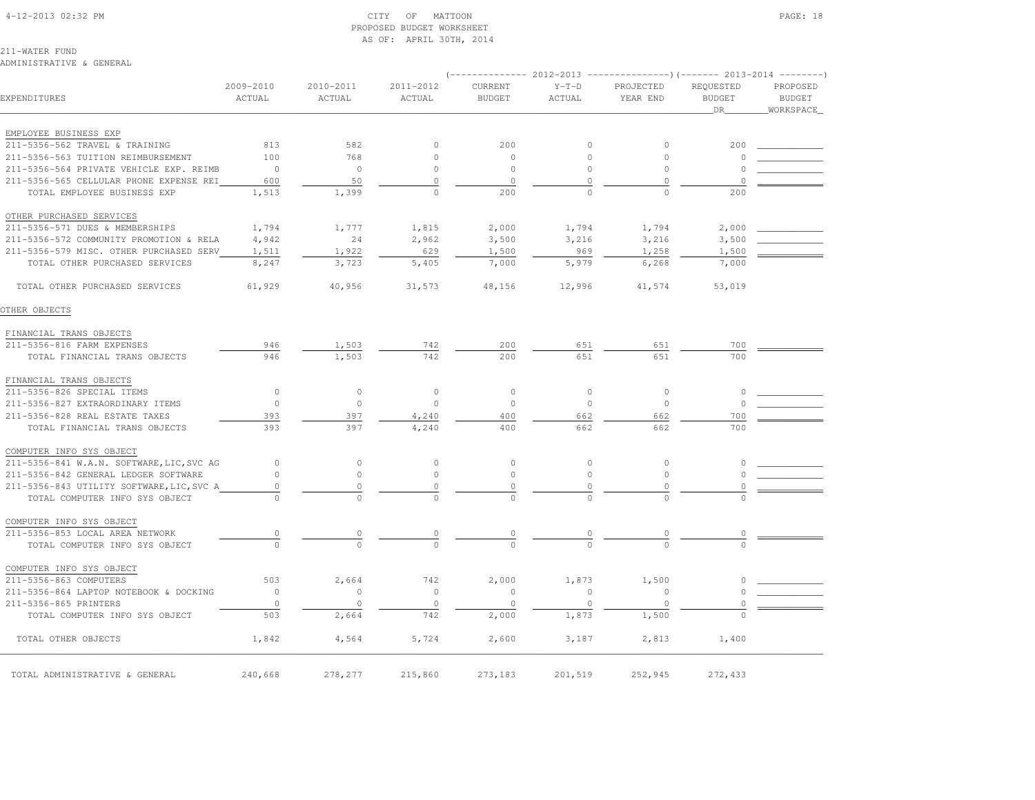#### 4-12-2013 02:32 PM CITY OF MATTOON PAGE: 18 PROPOSED BUDGET WORKSHEETAS OF: APRIL 30TH, 2014

211-WATER FUND

ADMINISTRATIVE & GENERAL

## $(-------2012-2013$   $---------2013-2013$  2009-2010 2010-2011 2011-2012 CURRENT Y-T-D PROJECTED REQUESTED PROPOSED**BUDGET** EXPENDITURES ACTUAL ACTUAL ACTUAL BUDGET ACTUAL YEAR END BUDGET BUDGETWORKSPACE \_\_\_\_\_\_\_\_\_\_\_\_\_\_\_\_\_\_\_\_\_\_\_\_\_\_\_\_\_\_\_\_\_\_\_\_\_\_\_\_\_\_\_\_\_\_\_\_\_\_\_\_\_\_\_\_\_\_\_\_\_\_\_\_\_\_\_\_\_\_\_\_\_\_\_\_\_\_\_\_\_\_\_\_\_\_\_\_\_\_\_\_\_\_\_\_\_\_\_\_\_\_\_\_\_\_\_\_\_\_\_\_\_\_\_\_\_\_\_\_\_\_\_\_\_\_\_\_\_\_DR\_\_\_\_\_\_\_\_WORKSPACE\_ EMPLOYEE BUSINESS EXP 211-5356-562 TRAVEL & TRAINING 813 582 0 200 0 0 200 \_\_\_\_\_\_\_\_\_\_\_\_ 211-5356-563 TUITION REIMBURSEMENT 100 768 0 0 0 0 0 \_\_\_\_\_\_\_\_\_\_\_\_ 211-5356-564 PRIVATE VEHICLE EXP. REIMB 0 0 0 0 0 0 0 \_\_\_\_\_\_\_\_\_\_\_\_ 211-5356-565 CELLULAR PHONE EXPENSE REI 600 50 0 0 0 0 0 \_\_\_\_\_\_\_\_\_\_\_\_ TOTAL EMPLOYEE BUSINESS EXP 1,513 1,399 0 200 0 0 200 OTHER PURCHASED SERVICES 211-5356-571 DUES & MEMBERSHIPS 1,794 1,777 1,815 2,000 1,794 1,794 2,000 \_\_\_\_\_\_\_\_\_\_\_\_211-5356-572 COMMUNITY PROMOTION & RELA  $4,942$  24 2,962 3,500 3,216 3,216 3,500 211-5356-579 MISC. OTHER PURCHASED SERV 1,511 1,922 629 1,500 969 1,258 1,500 TOTAL OTHER PURCHASED SERVICES 8,247 3,723 5,405 7,000 5,979 6,268 7,000 TOTAL OTHER PURCHASED SERVICES 61,929 40,956 31,573 48,156 12,996 41,574 53,019OTHER OBJECTS FINANCIAL TRANS OBJECTS 211-5356-816 FARM EXPENSES 946 1,503 742 200 651 651 700 \_\_\_\_\_\_\_\_\_\_\_\_TOTAL FINANCIAL TRANS OBJECTS 946 1,503 742 700 651 651 651 700 FINANCIAL TRANS OBJECTS 211-5356-826 SPECIAL ITEMS 0 0 0 0 0 0 0 \_\_\_\_\_\_\_\_\_\_\_\_ 211-5356-827 EXTRAORDINARY ITEMS 0 0 0 0 0 0 0 \_\_\_\_\_\_\_\_\_\_\_\_ 211-5356-828 REAL ESTATE TAXES 393 397 4,240 400 662 662 700 \_\_\_\_\_\_\_\_\_\_\_\_ TOTAL FINANCIAL TRANS OBJECTS 393 397 4,240 400 662 662 700 COMPUTER INFO SYS OBJECT 211-5356-841 W.A.N. SOFTWARE,LIC,SVC AG 0 0 0 0 0 0 0 \_\_\_\_\_\_\_\_\_\_\_\_ 211-5356-842 GENERAL LEDGER SOFTWARE 0 0 0 0 0 0 0 \_\_\_\_\_\_\_\_\_\_\_\_ 211-5356-843 UTILITY SOFTWARE,LIC,SVC A 0 0 0 0 0 0 0 \_\_\_\_\_\_\_\_\_\_\_\_TOTAL COMPUTER INFO SYS OBJECT  $\begin{array}{cccccccccc} & & & & 0 & & & & 0 & & & 0 & & & 0 & & & 0 \end{array}$  COMPUTER INFO SYS OBJECT211-5356-853 LOCAL AREA NETWORK 211-5356-853 LOCAL AREA NETWORK 0 0 0 0 0 0 0 \_\_\_\_\_\_\_\_\_\_\_\_ TOTAL COMPUTER INFO SYS OBJECT 0 0 0 0 0 0 0 COMPUTER INFO SYS OBJECT211-5356-863 COMPUTERS 600 503 2,664 742 2,000 1,873 1,500 0 211-5356-864 LAPTOP NOTEBOOK & DOCKING 0 0 0 0 0 0 0 \_\_\_\_\_\_\_\_\_\_\_\_ 211-5356-865 PRINTERS 0 0 0 0 0 0 0 \_\_\_\_\_\_\_\_\_\_\_\_ TOTAL COMPUTER INFO SYS OBJECT 503 2,664 742 2,000 1,873 1,500 0TOTAL OTHER OBJECTS 1,842 4,564 5,724 2,600 3,187 2,813 1,400

\_\_\_\_\_\_\_\_\_\_\_\_\_\_\_\_\_\_\_\_\_\_\_\_\_\_\_\_\_\_\_\_\_\_\_\_\_\_\_\_\_\_\_\_\_\_\_\_\_\_\_\_\_\_\_\_\_\_\_\_\_\_\_\_\_\_\_\_\_\_\_\_\_\_\_\_\_\_\_\_\_\_\_\_\_\_\_\_\_\_\_\_\_\_\_\_\_\_\_\_\_\_\_\_\_\_\_\_\_\_\_\_\_\_\_\_\_\_\_\_\_\_\_\_\_\_\_\_\_\_\_\_\_\_\_\_\_\_\_\_\_\_\_\_\_\_\_\_\_\_ TOTAL ADMINISTRATIVE & GENERAL 240,668 278,277 215,860 273,183 201,519 252,945 272,433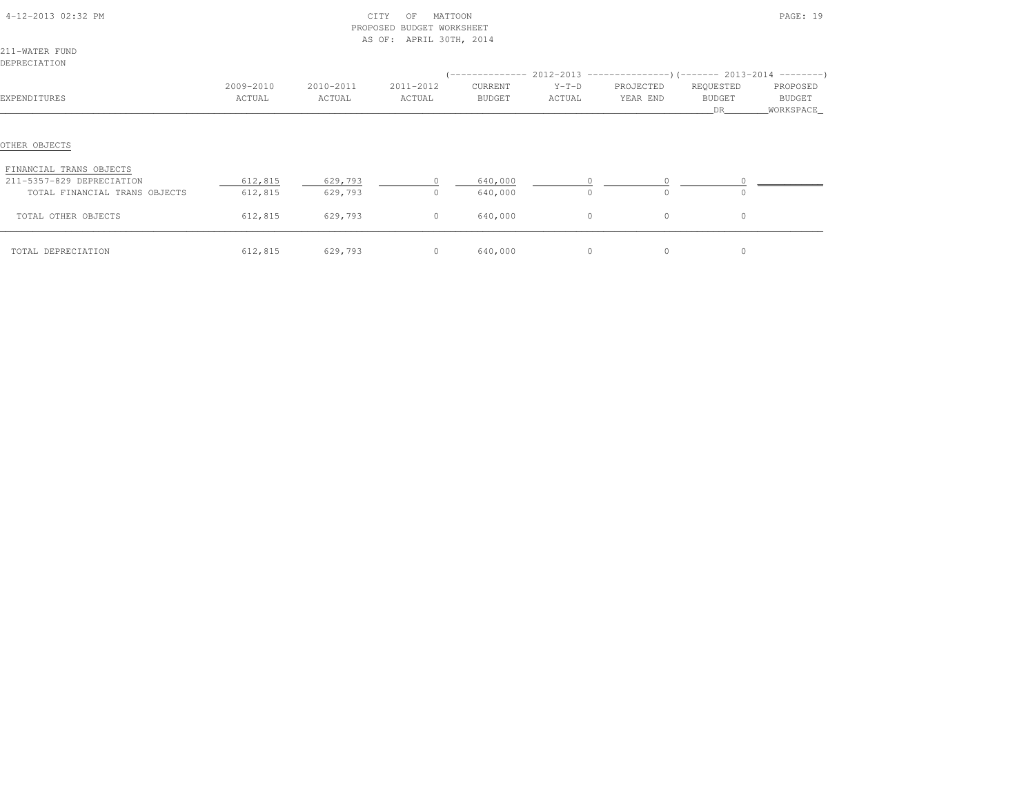| 4-12-2013 02:32 PM<br>CITY<br>MATTOON<br>OF<br>PROPOSED BUDGET WORKSHEET<br>AS OF: APRIL 30TH, 2014 |           |           |                |         |         |                                                                                | PAGE: 19      |             |
|-----------------------------------------------------------------------------------------------------|-----------|-----------|----------------|---------|---------|--------------------------------------------------------------------------------|---------------|-------------|
| 211-WATER FUND                                                                                      |           |           |                |         |         |                                                                                |               |             |
| DEPRECIATION                                                                                        |           |           |                |         |         |                                                                                |               |             |
|                                                                                                     |           |           |                |         |         | $(-$ -------------- 2012-2013 -----------------) (------- 2013-2014 ---------) |               |             |
|                                                                                                     | 2009-2010 | 2010-2011 | 2011-2012      | CURRENT | $Y-T-D$ | PROJECTED                                                                      | REQUESTED     | PROPOSED    |
| EXPENDITURES                                                                                        | ACTUAL    | ACTUAL    | ACTUAL         | BUDGET  | ACTUAL  | YEAR END                                                                       | <b>BUDGET</b> | BUDGET      |
|                                                                                                     |           |           |                |         |         |                                                                                | DR            | _WORKSPACE_ |
| OTHER OBJECTS<br>FINANCIAL TRANS OBJECTS<br>211-5357-829 DEPRECIATION                               | 612,815   | 629,793   |                | 640,000 |         |                                                                                |               |             |
| TOTAL FINANCIAL TRANS OBJECTS                                                                       | 612,815   | 629,793   | $\circ$        | 640,000 | $\circ$ | $\circ$                                                                        |               |             |
| TOTAL OTHER OBJECTS                                                                                 | 612,815   | 629,793   | $\circ$        | 640,000 | $\circ$ | $\circ$                                                                        | $\circ$       |             |
| TOTAL DEPRECIATION                                                                                  | 612,815   | 629,793   | $\overline{0}$ | 640,000 | $\circ$ | $\circ$                                                                        | $\circ$       |             |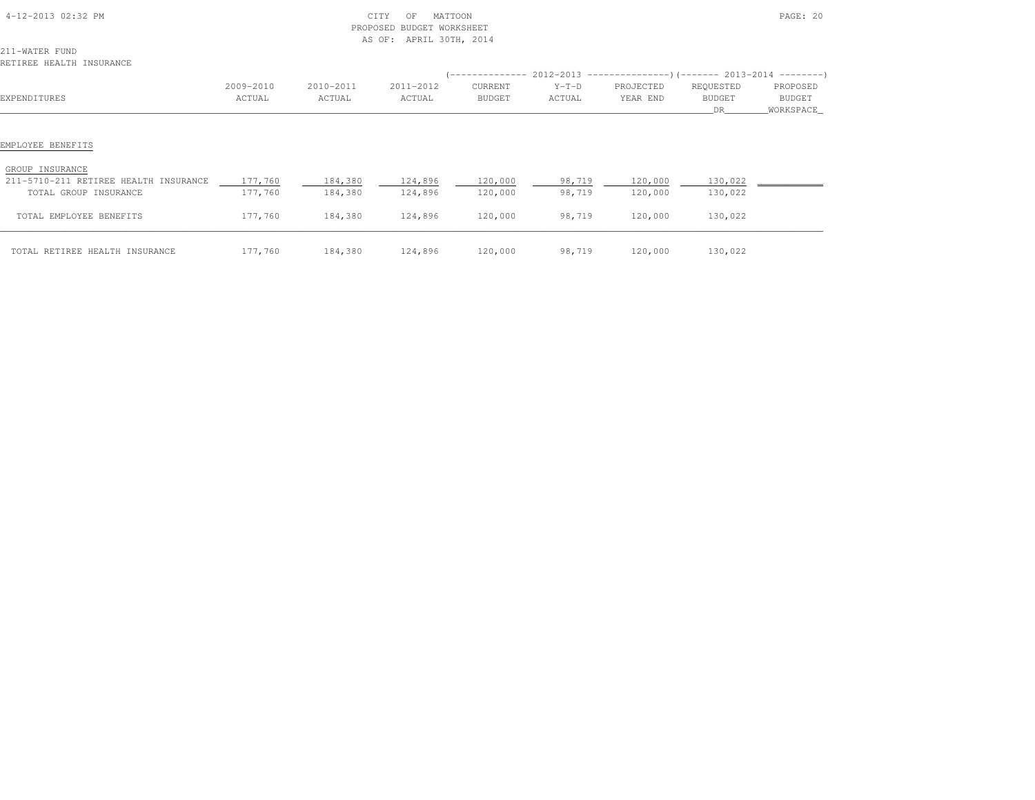| 4-12-2013 02:32 PM                                             |                     |                     | CITY<br>MATTOON<br>OF<br>PROPOSED BUDGET WORKSHEET<br>AS OF: APRIL 30TH, 2014 |                    |                   | PAGE: 20                                                                                     |                           |                                 |  |
|----------------------------------------------------------------|---------------------|---------------------|-------------------------------------------------------------------------------|--------------------|-------------------|----------------------------------------------------------------------------------------------|---------------------------|---------------------------------|--|
| 211-WATER FUND<br>RETIREE HEALTH INSURANCE                     |                     |                     |                                                                               |                    |                   |                                                                                              |                           |                                 |  |
| EXPENDITURES                                                   | 2009-2010<br>ACTUAL | 2010-2011<br>ACTUAL | 2011-2012<br>ACTUAL                                                           | CURRENT<br>BUDGET  | $Y-T-D$<br>ACTUAL | $(----------2012-2013$ ---------------) (------- 2013-2014 -------)<br>PROJECTED<br>YEAR END | REQUESTED<br>BUDGET<br>DR | PROPOSED<br>BUDGET<br>WORKSPACE |  |
| EMPLOYEE BENEFITS<br>GROUP INSURANCE                           |                     |                     |                                                                               |                    |                   |                                                                                              |                           |                                 |  |
| 211-5710-211 RETIREE HEALTH INSURANCE<br>TOTAL GROUP INSURANCE | 177,760<br>177,760  | 184,380<br>184,380  | 124,896<br>124,896                                                            | 120,000<br>120,000 | 98,719<br>98,719  | 120,000<br>120,000                                                                           | 130,022<br>130,022        |                                 |  |
| TOTAL EMPLOYEE BENEFITS                                        | 177,760             | 184,380             | 124,896                                                                       | 120,000            | 98,719            | 120,000                                                                                      | 130,022                   |                                 |  |
| TOTAL RETIREE HEALTH INSURANCE                                 | 177,760             | 184,380             | 124,896 120,000                                                               |                    | 98,719            | 120,000                                                                                      | 130,022                   |                                 |  |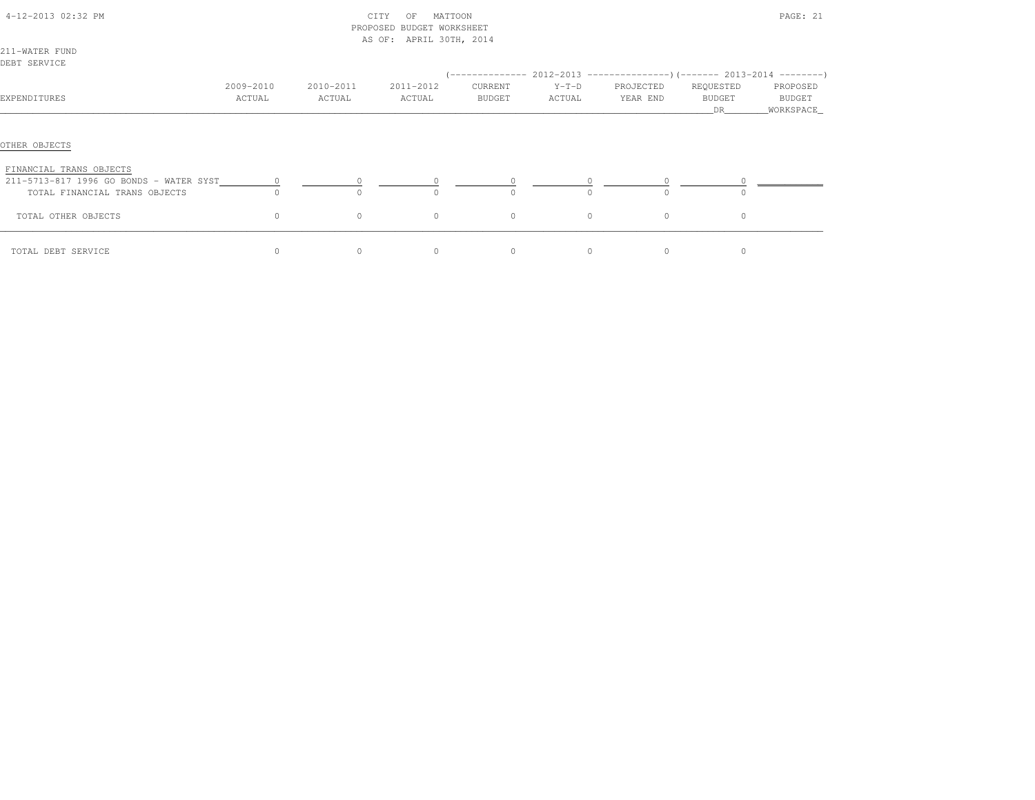| 4-12-2013 02:32 PM                       |           |           | MATTOON<br>CITY<br>OF<br>PROPOSED BUDGET WORKSHEET<br>AS OF: APRIL 30TH, 2014 |               | PAGE: 21 |           |                     |                      |  |
|------------------------------------------|-----------|-----------|-------------------------------------------------------------------------------|---------------|----------|-----------|---------------------|----------------------|--|
| 211-WATER FUND                           |           |           |                                                                               |               |          |           |                     |                      |  |
| DEBT SERVICE                             |           |           |                                                                               |               |          |           |                     |                      |  |
|                                          |           |           |                                                                               |               |          |           |                     |                      |  |
|                                          | 2009-2010 | 2010-2011 | 2011-2012                                                                     | CURRENT       | $Y-T-D$  | PROJECTED | REQUESTED           | PROPOSED             |  |
| EXPENDITURES                             | ACTUAL    | ACTUAL    | ACTUAL                                                                        | <b>BUDGET</b> | ACTUAL   | YEAR END  | <b>BUDGET</b><br>DR | BUDGET<br>WORKSPACE_ |  |
| OTHER OBJECTS<br>FINANCIAL TRANS OBJECTS |           |           |                                                                               |               |          |           |                     |                      |  |
| 211-5713-817 1996 GO BONDS - WATER SYST  | $\circ$   |           | $\circ$                                                                       | $\circ$       |          |           |                     |                      |  |
| TOTAL FINANCIAL TRANS OBJECTS            | $\circ$   |           | $\Omega$                                                                      | $\Omega$      |          | $\Omega$  | $\circ$             |                      |  |
| TOTAL OTHER OBJECTS                      | $\circ$   | $\circ$   | $\circ$                                                                       | $\circ$       | $\circ$  | $\circ$   | $\circ$             |                      |  |
| TOTAL DEBT SERVICE                       | $\Omega$  | $\Omega$  | $\Omega$                                                                      | $\Omega$      | $\Omega$ | $\Omega$  | $\Omega$            |                      |  |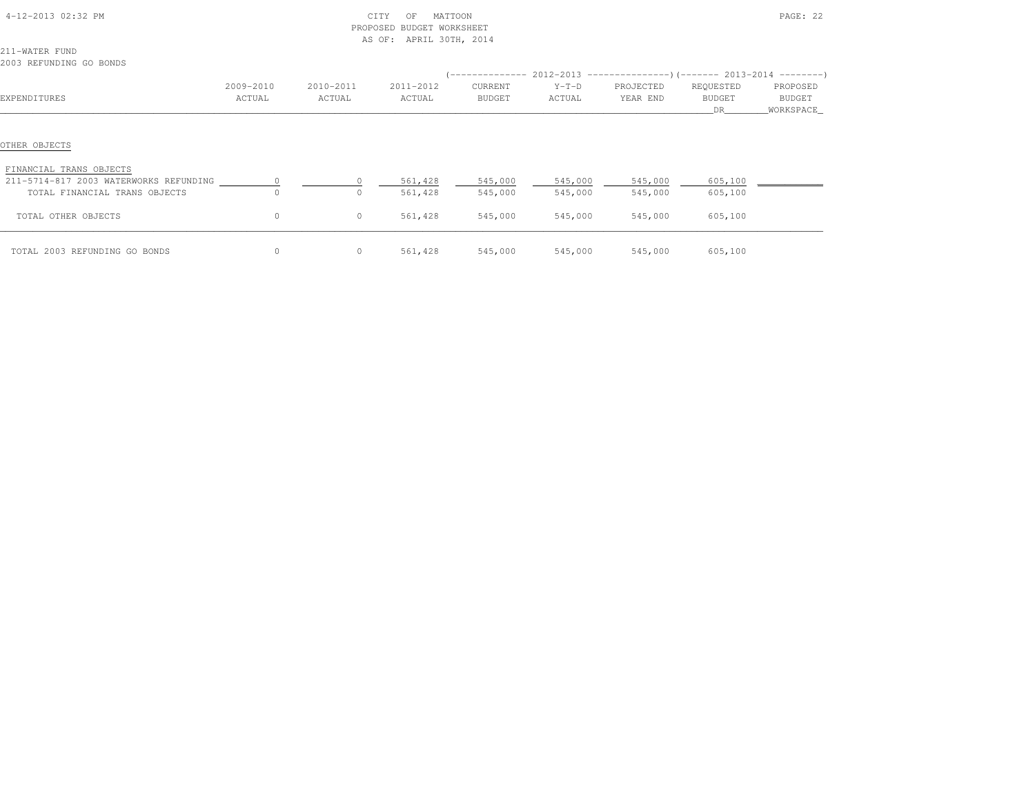| 4-12-2013 02:32 PM                                                      |                      |                     | CITY<br>MATTOON<br>OF<br>PROPOSED BUDGET WORKSHEET<br>AS OF: APRIL 30TH, 2014 |                    |                    | PAGE: 22              |                                  |                                   |  |
|-------------------------------------------------------------------------|----------------------|---------------------|-------------------------------------------------------------------------------|--------------------|--------------------|-----------------------|----------------------------------|-----------------------------------|--|
| 211-WATER FUND<br>2003 REFUNDING GO BONDS                               |                      |                     |                                                                               |                    |                    |                       |                                  |                                   |  |
|                                                                         |                      |                     |                                                                               |                    |                    |                       |                                  |                                   |  |
| EXPENDITURES                                                            | 2009-2010<br>ACTUAL  | 2010-2011<br>ACTUAL | 2011-2012<br>ACTUAL                                                           | CURRENT<br>BUDGET  | $Y-T-D$<br>ACTUAL  | PROJECTED<br>YEAR END | REQUESTED<br><b>BUDGET</b><br>DR | PROPOSED<br>BUDGET<br>_WORKSPACE_ |  |
| OTHER OBJECTS<br>FINANCIAL TRANS OBJECTS                                |                      |                     |                                                                               |                    |                    |                       |                                  |                                   |  |
| 211-5714-817 2003 WATERWORKS REFUNDING<br>TOTAL FINANCIAL TRANS OBJECTS | $\Omega$<br>$\Omega$ | $\Box$<br>O.        | 561,428<br>561,428                                                            | 545,000<br>545,000 | 545,000<br>545,000 | 545,000<br>545,000    | 605,100<br>605,100               |                                   |  |
| TOTAL OTHER OBJECTS                                                     | 0                    | $\circ$             | 561,428                                                                       | 545,000            | 545,000            | 545,000               | 605,100                          |                                   |  |
| TOTAL 2003 REFUNDING GO BONDS                                           | $\circ$              | $\circ$             | 561,428                                                                       | 545,000            | 545,000            | 545,000               | 605,100                          |                                   |  |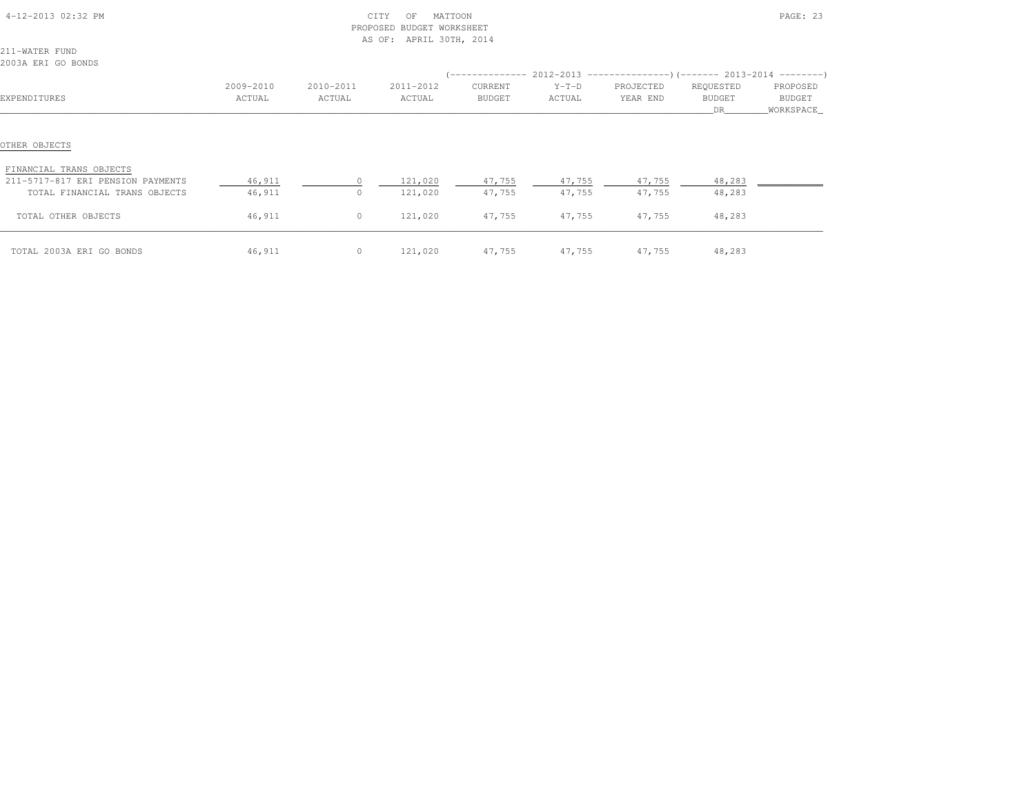| 4-12-2013 02:32 PM                                                                                             |                  |                | CITY<br>MATTOON<br>OF<br>PROPOSED BUDGET WORKSHEET<br>AS OF: APRIL 30TH, 2014 |                  |                  | PAGE: 23         |                  |            |  |
|----------------------------------------------------------------------------------------------------------------|------------------|----------------|-------------------------------------------------------------------------------|------------------|------------------|------------------|------------------|------------|--|
| 211-WATER FUND                                                                                                 |                  |                |                                                                               |                  |                  |                  |                  |            |  |
| 2003A ERI GO BONDS                                                                                             |                  |                |                                                                               |                  |                  |                  |                  |            |  |
|                                                                                                                |                  |                |                                                                               |                  |                  |                  |                  |            |  |
|                                                                                                                | 2009-2010        | 2010-2011      | 2011-2012                                                                     | CURRENT          | $Y-T-D$          | PROJECTED        | REQUESTED        | PROPOSED   |  |
| EXPENDITURES                                                                                                   | ACTUAL           | ACTUAL         | ACTUAL                                                                        | BUDGET           | ACTUAL           | YEAR END         | BUDGET           | BUDGET     |  |
|                                                                                                                |                  |                |                                                                               |                  |                  |                  | DR               | WORKSPACE_ |  |
| OTHER OBJECTS<br>FINANCIAL TRANS OBJECTS<br>211-5717-817 ERI PENSION PAYMENTS<br>TOTAL FINANCIAL TRANS OBJECTS | 46,911<br>46,911 | $\Omega$       | 121,020<br>121,020                                                            | 47,755<br>47,755 | 47,755<br>47,755 | 47,755<br>47,755 | 48,283<br>48,283 |            |  |
| TOTAL OTHER OBJECTS                                                                                            | 46,911           | $\circ$        | 121,020                                                                       | 47,755           | 47,755           | 47,755           | 48,283           |            |  |
| TOTAL 2003A ERI GO BONDS                                                                                       | 46,911           | $\overline{0}$ | 121,020                                                                       | 47,755           |                  | 47,755 47,755    | 48,283           |            |  |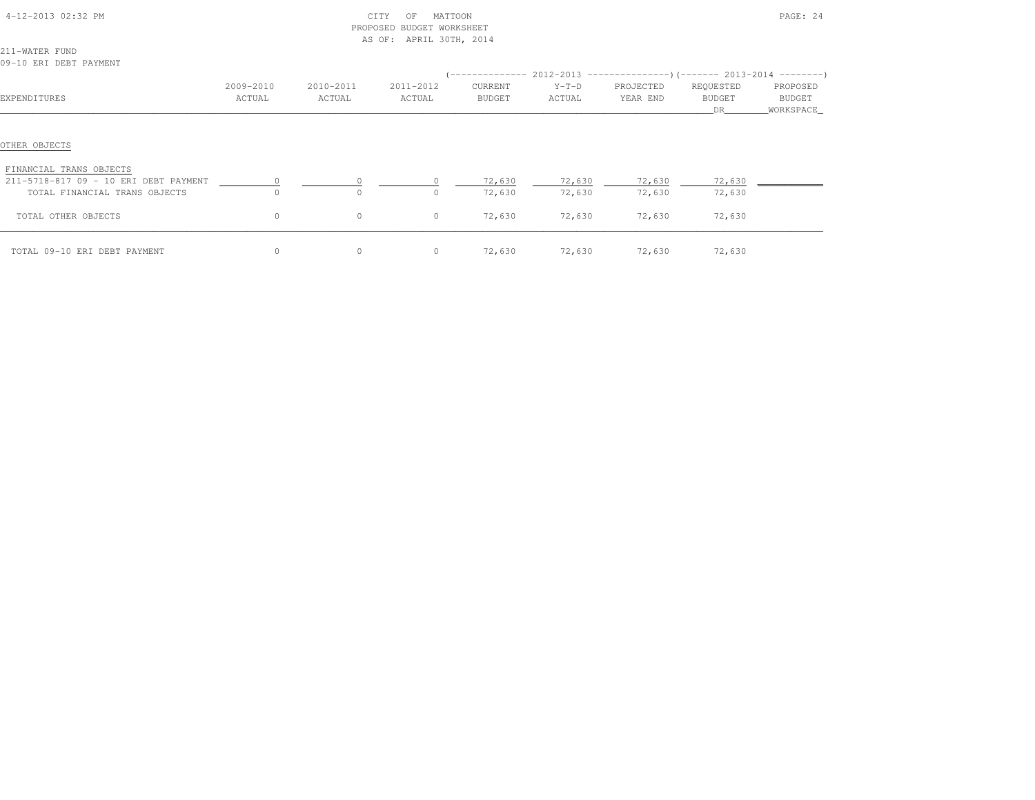| 4-12-2013 02:32 PM                       |           | CITY<br>PROPOSED BUDGET WORKSHEET<br>AS OF: APRIL 30TH, 2014 | PAGE: 24  |         |         |               |           |            |
|------------------------------------------|-----------|--------------------------------------------------------------|-----------|---------|---------|---------------|-----------|------------|
| 211-WATER FUND                           |           |                                                              |           |         |         |               |           |            |
| 09-10 ERI DEBT PAYMENT                   |           |                                                              |           |         |         |               |           |            |
|                                          |           |                                                              |           |         |         |               |           |            |
|                                          | 2009-2010 | 2010-2011                                                    | 2011-2012 | CURRENT | $Y-T-D$ | PROJECTED     | REQUESTED | PROPOSED   |
| EXPENDITURES                             | ACTUAL    | ACTUAL                                                       | ACTUAL    | BUDGET  | ACTUAL  | YEAR END      | BUDGET    | BUDGET     |
|                                          |           |                                                              |           |         |         |               | DR        | WORKSPACE_ |
| OTHER OBJECTS<br>FINANCIAL TRANS OBJECTS |           |                                                              |           |         |         |               |           |            |
| 211-5718-817 09 - 10 ERI DEBT PAYMENT    |           |                                                              |           | 72,630  | 72,630  | 72,630        | 72,630    |            |
| TOTAL FINANCIAL TRANS OBJECTS            |           | $\Omega$                                                     |           | 72,630  | 72,630  | 72,630        | 72,630    |            |
| TOTAL OTHER OBJECTS                      | $\circ$   | $\circ$                                                      | $\circ$   | 72,630  | 72,630  | 72,630        | 72,630    |            |
| TOTAL 09-10 ERI DEBT PAYMENT             | $\circ$   | $\circ$                                                      | $\circ$   | 72,630  |         | 72,630 72,630 | 72,630    |            |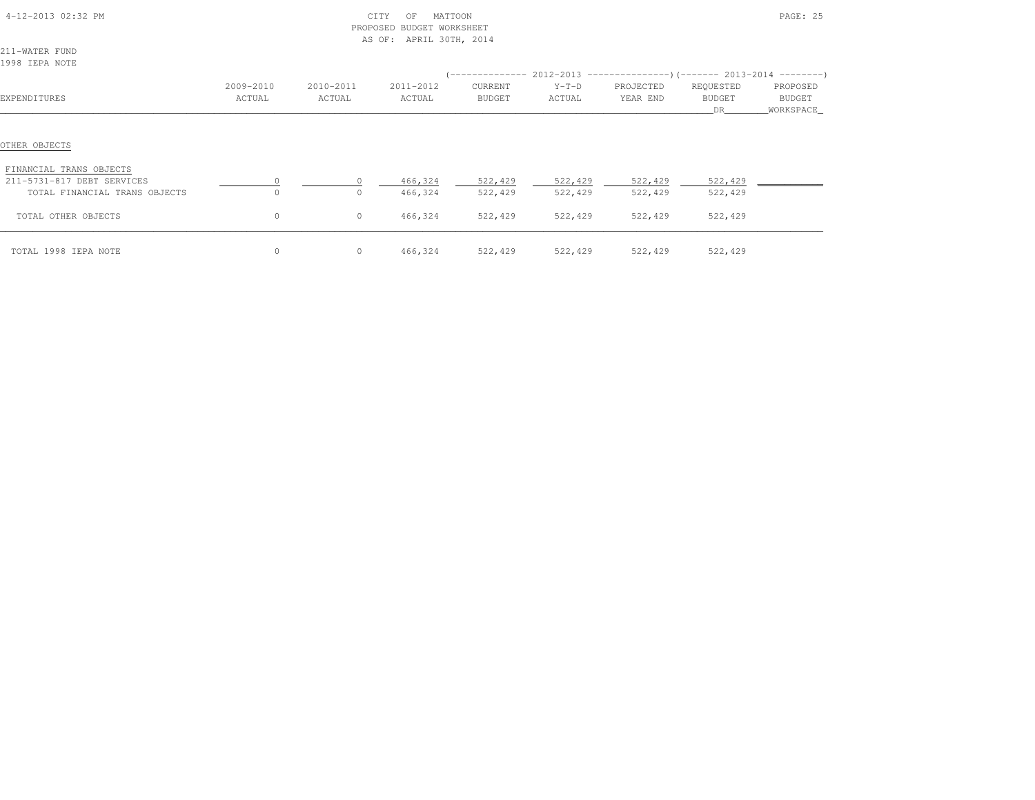| 4-12-2013 02:32 PM                       |           | CITY<br>PROPOSED BUDGET WORKSHEET<br>AS OF: APRIL 30TH, 2014 |           |               | PAGE: 25 |           |                                                                               |           |
|------------------------------------------|-----------|--------------------------------------------------------------|-----------|---------------|----------|-----------|-------------------------------------------------------------------------------|-----------|
| 211-WATER FUND                           |           |                                                              |           |               |          |           |                                                                               |           |
| 1998 IEPA NOTE                           |           |                                                              |           |               |          |           |                                                                               |           |
|                                          |           |                                                              |           |               |          |           | $(-$ -------------- 2012-2013 -----------------)(------- 2013-2014 ---------) |           |
|                                          | 2009-2010 | 2010-2011                                                    | 2011-2012 | CURRENT       | $Y-T-D$  | PROJECTED | REQUESTED                                                                     | PROPOSED  |
| EXPENDITURES                             | ACTUAL    | ACTUAL                                                       | ACTUAL    | <b>BUDGET</b> | ACTUAL   | YEAR END  | BUDGET                                                                        | BUDGET    |
|                                          |           |                                                              |           |               |          |           | DR.                                                                           | WORKSPACE |
| OTHER OBJECTS<br>FINANCIAL TRANS OBJECTS |           |                                                              |           |               |          |           |                                                                               |           |
| 211-5731-817 DEBT SERVICES               |           |                                                              | 466,324   | 522,429       | 522,429  | 522,429   | 522,429                                                                       |           |
| TOTAL FINANCIAL TRANS OBJECTS            | $\Omega$  | $\Omega$                                                     | 466,324   | 522,429       | 522,429  | 522,429   | 522,429                                                                       |           |
| TOTAL OTHER OBJECTS                      | 0         | $\circ$                                                      | 466,324   | 522,429       | 522,429  | 522,429   | 522,429                                                                       |           |
| TOTAL 1998 IEPA NOTE                     | 0         | $\circ$                                                      | 466,324   | 522,429       | 522,429  | 522,429   | 522,429                                                                       |           |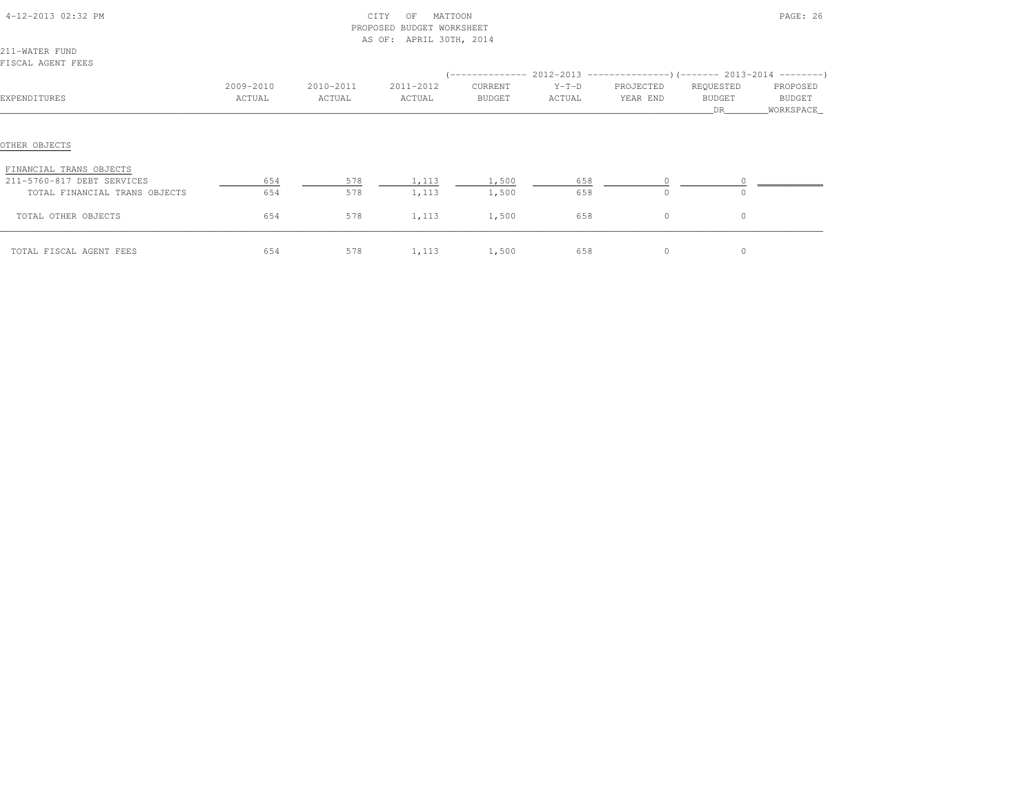| 4-12-2013 02:32 PM                       |           | CITY<br>PROPOSED BUDGET WORKSHEET<br>AS OF: APRIL 30TH, 2014 |           |         | PAGE: 26 |                                                                               |               |             |
|------------------------------------------|-----------|--------------------------------------------------------------|-----------|---------|----------|-------------------------------------------------------------------------------|---------------|-------------|
| 211-WATER FUND                           |           |                                                              |           |         |          |                                                                               |               |             |
| FISCAL AGENT FEES                        |           |                                                              |           |         |          |                                                                               |               |             |
|                                          |           |                                                              |           |         |          | $(-$ -------------- 2012-2013 -----------------)(------- 2013-2014 ---------) |               |             |
|                                          | 2009-2010 | 2010-2011                                                    | 2011-2012 | CURRENT | $Y-T-D$  | PROJECTED                                                                     | REQUESTED     | PROPOSED    |
| EXPENDITURES                             | ACTUAL    | ACTUAL                                                       | ACTUAL    | BUDGET  | ACTUAL   | YEAR END                                                                      | <b>BUDGET</b> | BUDGET      |
|                                          |           |                                                              |           |         |          |                                                                               | DR.           | _WORKSPACE_ |
| OTHER OBJECTS<br>FINANCIAL TRANS OBJECTS |           |                                                              |           |         |          |                                                                               |               |             |
| 211-5760-817 DEBT SERVICES               | 654       | 578                                                          | 1,113     | 1,500   | 658      |                                                                               |               |             |
| TOTAL FINANCIAL TRANS OBJECTS            | 654       | 578                                                          | 1,113     | 1,500   | 658      | $\circ$                                                                       | 0             |             |
| TOTAL OTHER OBJECTS                      | 654       | 578                                                          | 1,113     | 1,500   | 658      | 0                                                                             | $\circ$       |             |
| TOTAL FISCAL AGENT FEES                  | 654       | 578                                                          | 1,113     | 1,500   | 658      | 0                                                                             | 0             |             |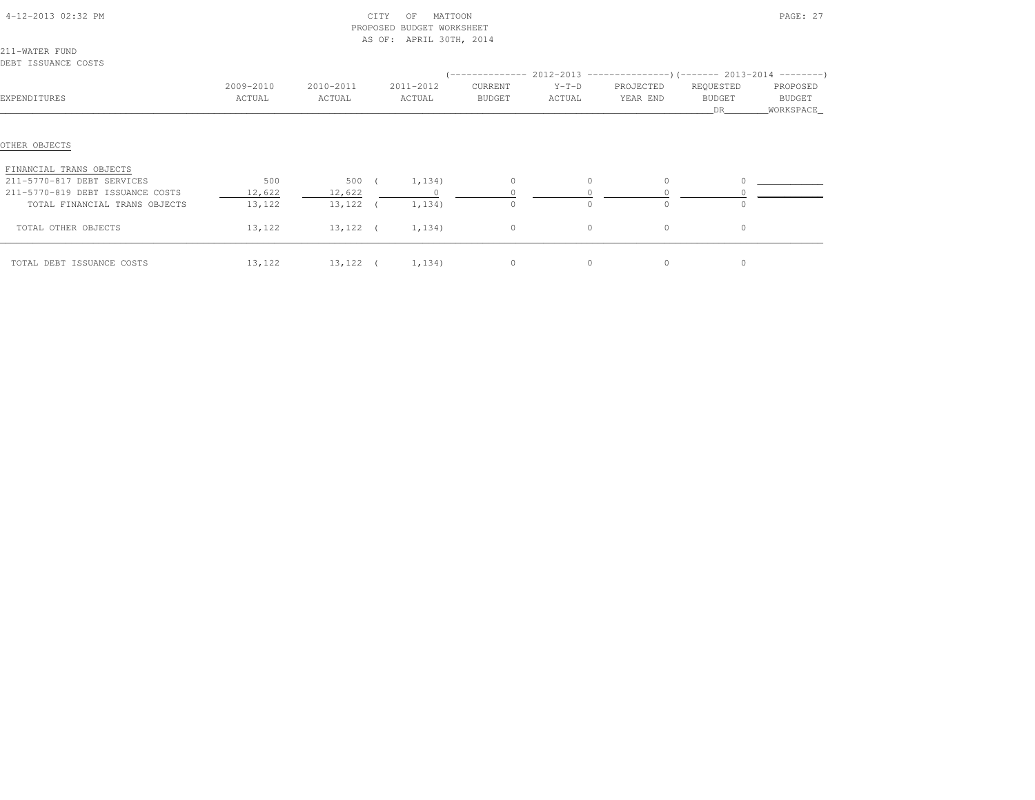|                                  |           |                   |            | PROPOSED BUDGET WORKSHEET |                |          |                                                                              |               |             |
|----------------------------------|-----------|-------------------|------------|---------------------------|----------------|----------|------------------------------------------------------------------------------|---------------|-------------|
|                                  |           |                   |            | AS OF: APRIL 30TH, 2014   |                |          |                                                                              |               |             |
| 211-WATER FUND                   |           |                   |            |                           |                |          |                                                                              |               |             |
| DEBT ISSUANCE COSTS              |           |                   |            |                           |                |          |                                                                              |               |             |
|                                  |           |                   |            |                           |                |          | $($ -------------- 2012-2013 ----------------) (------- 2013-2014 ---------) |               |             |
|                                  | 2009-2010 | 2010-2011         |            | 2011-2012                 | CURRENT        | $Y-T-D$  | PROJECTED                                                                    | REQUESTED     | PROPOSED    |
| EXPENDITURES                     | ACTUAL    | ACTUAL            |            | ACTUAL                    | BUDGET         | ACTUAL   | YEAR END                                                                     | <b>BUDGET</b> | BUDGET      |
|                                  |           |                   |            |                           |                |          |                                                                              | DR            | _WORKSPACE_ |
|                                  |           |                   |            |                           |                |          |                                                                              |               |             |
| OTHER OBJECTS                    |           |                   |            |                           |                |          |                                                                              |               |             |
| FINANCIAL TRANS OBJECTS          |           |                   |            |                           |                |          |                                                                              |               |             |
| 211-5770-817 DEBT SERVICES       | 500       | 500               | $\sqrt{2}$ | 1,134)                    | $\Omega$       | $\circ$  | $\Omega$                                                                     | $\circ$       |             |
| 211-5770-819 DEBT ISSUANCE COSTS | 12,622    | 12,622            |            | $\sim$ 0                  |                |          |                                                                              |               |             |
| TOTAL FINANCIAL TRANS OBJECTS    | 13,122    | $13,122$ (        |            | 1,134)                    | $\Omega$       | $\Omega$ | $\cap$                                                                       |               |             |
| TOTAL OTHER OBJECTS              | 13,122    | 13,122 (          |            | 1,134)                    | $\overline{0}$ | $\circ$  | $\circ$                                                                      | $\circ$       |             |
| TOTAL DEBT ISSUANCE COSTS        | 13,122    | 13, 122 ( 1, 134) |            |                           | $\circ$        | $\circ$  | $\circ$                                                                      | $\circ$       |             |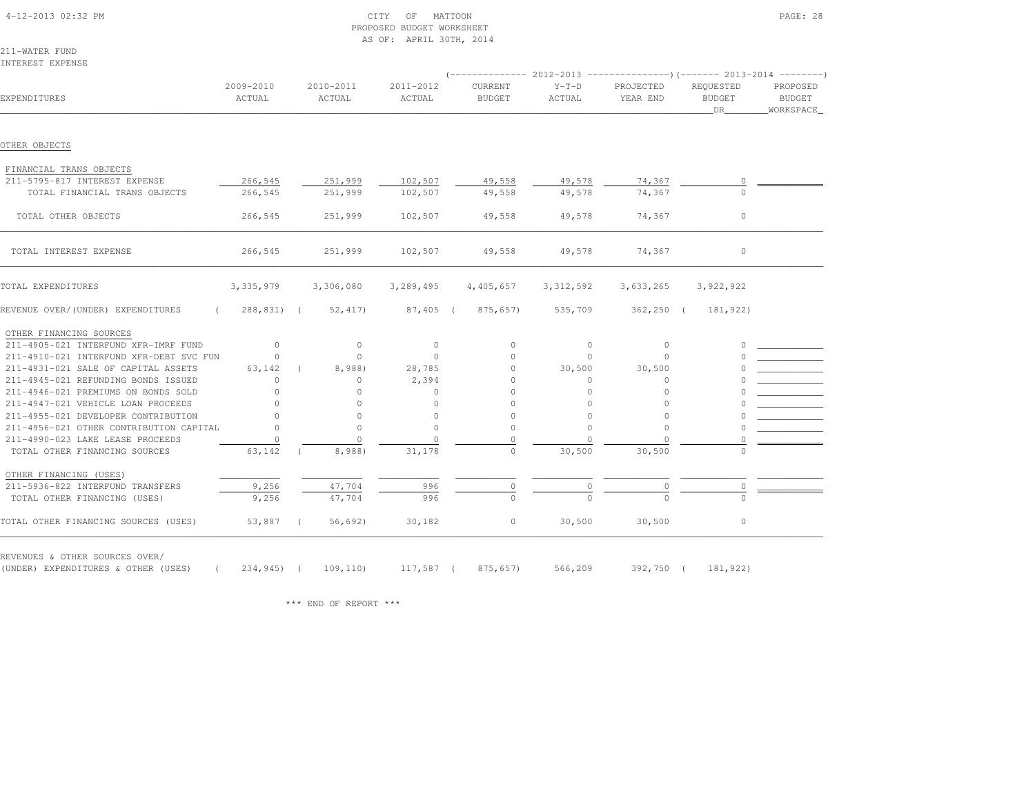| 4-12-2013 02:32 PM |  |
|--------------------|--|
|                    |  |

# $\begin{array}{ccc} \text{CITY} & \text{OF} & \text{MATTOON} \end{array}$  PROPOSED BUDGET WORKSHEETAS OF: APRIL 30TH, 2014

211-WATER FUNDINTEREST EXPENSE

|                                         |                     |                     |                     |                                 |                   |                       | (-------------- 2012-2013 ----------------) (------- 2013-2014 ---------) |                                 |
|-----------------------------------------|---------------------|---------------------|---------------------|---------------------------------|-------------------|-----------------------|---------------------------------------------------------------------------|---------------------------------|
| EXPENDITURES                            | 2009-2010<br>ACTUAL | 2010-2011<br>ACTUAL | 2011-2012<br>ACTUAL | <b>CURRENT</b><br><b>BUDGET</b> | $Y-T-D$<br>ACTUAL | PROJECTED<br>YEAR END | REQUESTED<br><b>BUDGET</b><br>DR                                          | PROPOSED<br>BUDGET<br>WORKSPACE |
| OTHER OBJECTS                           |                     |                     |                     |                                 |                   |                       |                                                                           |                                 |
| FINANCIAL TRANS OBJECTS                 |                     |                     |                     |                                 |                   |                       |                                                                           |                                 |
| 211-5795-817 INTEREST EXPENSE           | 266,545             | 251,999             | 102,507             | 49,558                          | 49,578            | 74,367                | $\circ$                                                                   |                                 |
| TOTAL FINANCIAL TRANS OBJECTS           | 266,545             | 251,999             | 102,507             | 49,558                          | 49,578            | 74,367                | $\cap$                                                                    |                                 |
| TOTAL OTHER OBJECTS                     | 266,545             | 251,999             | 102,507             | 49,558                          | 49,578            | 74,367                | $\circ$                                                                   |                                 |
| TOTAL INTEREST EXPENSE                  | 266,545             | 251,999             | 102,507             | 49,558                          | 49,578            | 74,367                | $\circ$                                                                   |                                 |
| TOTAL EXPENDITURES                      | 3,335,979           | 3,306,080           | 3,289,495           | 4,405,657                       | 3, 312, 592       | 3,633,265             | 3,922,922                                                                 |                                 |
| REVENUE OVER/(UNDER) EXPENDITURES       | 288,831) (          | 52,417              | $87,405$ (          | 875,657)                        | 535,709           | $362, 250$ (          | 181,922)                                                                  |                                 |
| OTHER FINANCING SOURCES                 |                     |                     |                     |                                 |                   |                       |                                                                           |                                 |
| 211-4905-021 INTERFUND XFR-IMRF FUND    | $\circ$             | $\circ$             | $\circ$             | $\circ$                         | $\circ$           | $\circ$               | $\Omega$                                                                  |                                 |
| 211-4910-021 INTERFUND XFR-DEBT SVC FUN | $\Omega$            | $\circ$             | $\Omega$            | $\Omega$                        | $\Omega$          | $\Omega$              |                                                                           |                                 |
| 211-4931-021 SALE OF CAPITAL ASSETS     | 63,142              | 8,988)              | 28,785              | $\Omega$                        | 30,500            | 30,500                |                                                                           |                                 |
| 211-4945-021 REFUNDING BONDS ISSUED     | $\circ$             | $\circ$             | 2,394               | 0                               | $\mathbf{0}$      | 0                     |                                                                           |                                 |
| 211-4946-021 PREMIUMS ON BONDS SOLD     | $\cap$              | $\cap$              | $\circ$             | $\circ$                         | $\circ$           | $\Omega$              |                                                                           |                                 |
| 211-4947-021 VEHICLE LOAN PROCEEDS      | $\Omega$            | $\cap$              | $\circ$             | $\cap$                          | $\Omega$          | $\cap$                |                                                                           |                                 |
| 211-4955-021 DEVELOPER CONTRIBUTION     | $\Omega$            | $\bigcap$           | $\Omega$            | $\Omega$                        | $\Omega$          | $\Omega$              |                                                                           |                                 |
| 211-4956-021 OTHER CONTRIBUTION CAPITAL | $\Omega$            | $\bigcap$           | $\bigcap$           | $\Omega$                        | $\Omega$          | $\Omega$              |                                                                           |                                 |
| 211-4990-023 LAKE LEASE PROCEEDS        | $\cap$              | $\Omega$            | $\Omega$            | $\Omega$                        | $\Omega$          | $\Omega$              |                                                                           |                                 |
| TOTAL OTHER FINANCING SOURCES           | 63,142              | 8,988)              | 31,178              | $\Omega$                        | 30,500            | 30,500                |                                                                           |                                 |
| OTHER FINANCING (USES)                  |                     |                     |                     |                                 |                   |                       |                                                                           |                                 |
| 211-5936-822 INTERFUND TRANSFERS        | 9,256               | 47,704              | 996                 | 0                               | $\circ$           | $\circ$               | 0                                                                         |                                 |
| TOTAL OTHER FINANCING (USES)            | 9,256               | 47,704              | 996                 | $\Omega$                        | $\Omega$          | $\Omega$              | $\cap$                                                                    |                                 |
| TOTAL OTHER FINANCING SOURCES (USES)    | 53,887 (            | 56,692)             | 30,182              | $\circ$                         | 30,500            | 30,500                | $\circ$                                                                   |                                 |

REVENUES & OTHER SOURCES OVER/

(UNDER) EXPENDITURES & OTHER (USES) ( 234,945) ( 109,110) 117,587 ( 875,657) 566,209 392,750 ( 181,922)

\*\*\* END OF REPORT \*\*\*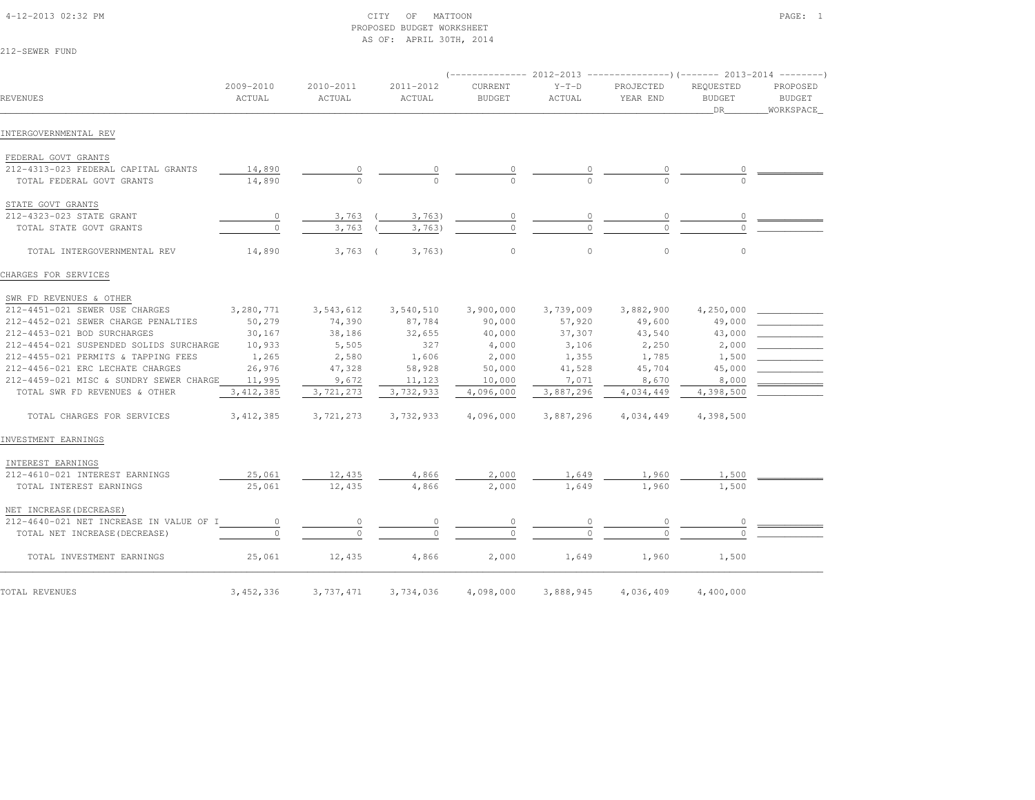# 4-12-2013 02:32 PM CITY OF MATTOON PAGE: 1 PROPOSED BUDGET WORKSHEETAS OF: APRIL 30TH, 2014

212-SEWER FUND

|                                         |                     |                     |                     |                          |                   | (-------------- 2012-2013 ----------------) (------- 2013-2014 --------' |                                  |                                        |
|-----------------------------------------|---------------------|---------------------|---------------------|--------------------------|-------------------|--------------------------------------------------------------------------|----------------------------------|----------------------------------------|
| REVENUES                                | 2009-2010<br>ACTUAL | 2010-2011<br>ACTUAL | 2011-2012<br>ACTUAL | CURRENT<br><b>BUDGET</b> | $Y-T-D$<br>ACTUAL | PROJECTED<br>YEAR END                                                    | REQUESTED<br><b>BUDGET</b><br>DR | PROPOSED<br><b>BUDGET</b><br>WORKSPACE |
| INTERGOVERNMENTAL REV                   |                     |                     |                     |                          |                   |                                                                          |                                  |                                        |
| FEDERAL GOVT GRANTS                     |                     |                     |                     |                          |                   |                                                                          |                                  |                                        |
| 212-4313-023 FEDERAL CAPITAL GRANTS     | 14,890              | 0                   |                     |                          |                   |                                                                          |                                  |                                        |
| TOTAL FEDERAL GOVT GRANTS               | 14,890              | $\circ$             | $\Omega$            | $\Omega$                 |                   |                                                                          |                                  |                                        |
| STATE GOVT GRANTS                       |                     |                     |                     |                          |                   |                                                                          |                                  |                                        |
| 212-4323-023 STATE GRANT                | 0                   | 3,763               | 3,763               | $\circ$                  | $\circ$           | $\circ$                                                                  | $\circ$                          |                                        |
| TOTAL STATE GOVT GRANTS                 | $\circ$             | 3,763               | 3,763               | 0                        | O                 | $\Omega$                                                                 |                                  |                                        |
| TOTAL INTERGOVERNMENTAL REV             | 14,890              | $3,763$ (           | 3,763)              | $\mathbb O$              | $\mathbb O$       | $\mathbb O$                                                              | $\circ$                          |                                        |
| CHARGES FOR SERVICES                    |                     |                     |                     |                          |                   |                                                                          |                                  |                                        |
| SWR FD REVENUES & OTHER                 |                     |                     |                     |                          |                   |                                                                          |                                  |                                        |
| 212-4451-021 SEWER USE CHARGES          | 3,280,771           | 3,543,612           | 3,540,510           | 3,900,000                | 3,739,009         | 3,882,900                                                                | 4,250,000                        |                                        |
| 212-4452-021 SEWER CHARGE PENALTIES     | 50,279              | 74,390              | 87,784              | 90,000                   | 57,920            | 49,600                                                                   | 49,000                           |                                        |
| 212-4453-021 BOD SURCHARGES             | 30,167              | 38,186              | 32,655              | 40,000                   | 37,307            | 43,540                                                                   | 43,000                           |                                        |
| 212-4454-021 SUSPENDED SOLIDS SURCHARGE | 10,933              | 5,505               | 327                 | 4,000                    | 3,106             | 2,250                                                                    | 2,000                            |                                        |
| 212-4455-021 PERMITS & TAPPING FEES     | 1,265               | 2,580               | 1,606               | 2,000                    | 1,355             | 1,785                                                                    | 1,500                            |                                        |
| 212-4456-021 ERC LECHATE CHARGES        | 26,976              | 47,328              | 58,928              | 50,000                   | 41,528            | 45,704                                                                   | 45,000                           |                                        |
| 212-4459-021 MISC & SUNDRY SEWER CHARGE | 11,995              | 9,672               | 11,123              | 10,000                   | 7,071             | 8,670                                                                    | 8,000                            |                                        |
| TOTAL SWR FD REVENUES & OTHER           | 3, 412, 385         | 3,721,273           | 3,732,933           | 4,096,000                | 3,887,296         | 4,034,449                                                                | 4,398,500                        |                                        |
| TOTAL CHARGES FOR SERVICES              | 3, 412, 385         | 3,721,273           | 3,732,933           | 4,096,000                | 3,887,296         | 4,034,449                                                                | 4,398,500                        |                                        |
| INVESTMENT EARNINGS                     |                     |                     |                     |                          |                   |                                                                          |                                  |                                        |
| INTEREST EARNINGS                       |                     |                     |                     |                          |                   |                                                                          |                                  |                                        |
| 212-4610-021 INTEREST EARNINGS          | 25,061              | 12,435              | 4,866               | 2,000                    | 1,649             | 1,960                                                                    | 1,500                            |                                        |
| TOTAL INTEREST EARNINGS                 | 25,061              | 12,435              | 4,866               | 2,000                    | 1,649             | 1,960                                                                    | 1,500                            |                                        |
| NET INCREASE (DECREASE)                 |                     |                     |                     |                          |                   |                                                                          |                                  |                                        |
| 212-4640-021 NET INCREASE IN VALUE OF I | $\circ$             | $\circ$             | $\circ$             | $\circ$                  | 0                 | $\circ$                                                                  | $\circ$                          |                                        |
| TOTAL NET INCREASE (DECREASE)           | 0                   | $\circ$             | $\circ$             | $\circ$                  |                   | $\circ$                                                                  |                                  |                                        |
| TOTAL INVESTMENT EARNINGS               | 25,061              | 12,435              | 4,866               | 2,000                    | 1,649             | 1,960                                                                    | 1,500                            |                                        |
| TOTAL REVENUES                          | 3,452,336           | 3,737,471           | 3,734,036           | 4,098,000                | 3,888,945         | 4,036,409                                                                | 4,400,000                        |                                        |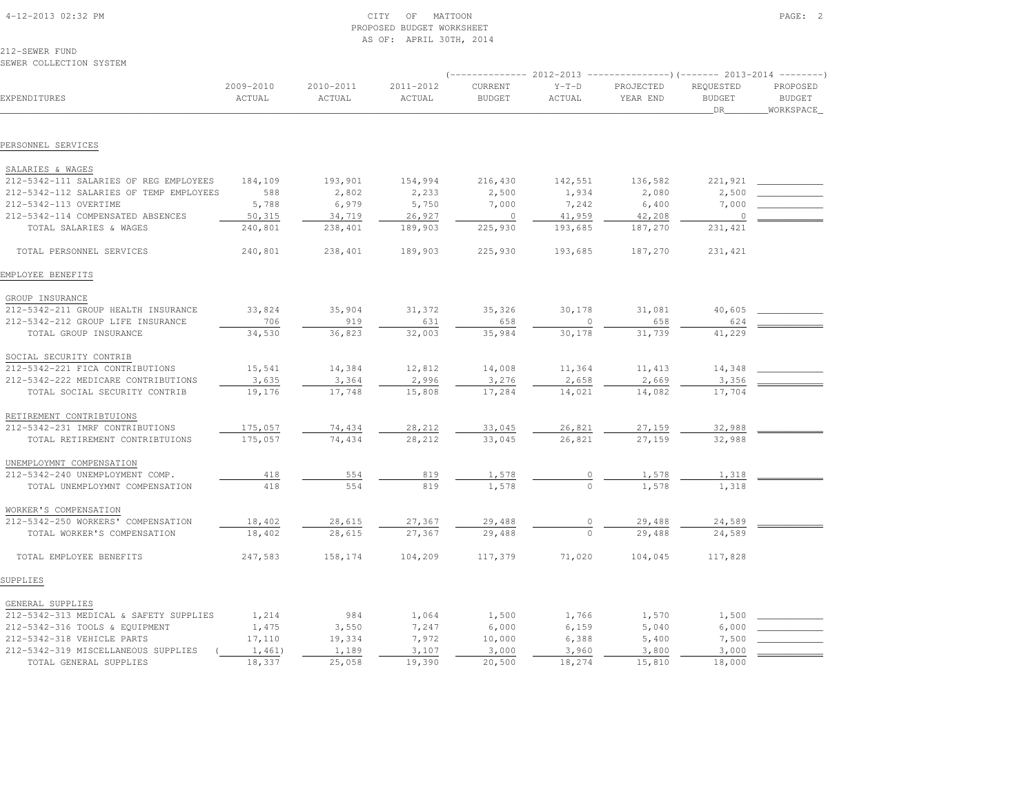# 4-12-2013 OF MATTOON PAGE: 2 PROPOSED BUDGET WORKSHEETAS OF: APRIL 30TH, 2014

212-SEWER FUNDSEWER COLLECTION SYSTEM

|                                         |                     |                     |                     | ----------------) (------- 2013-2014 ---------) |                   |                       |                                         |                                        |
|-----------------------------------------|---------------------|---------------------|---------------------|-------------------------------------------------|-------------------|-----------------------|-----------------------------------------|----------------------------------------|
| EXPENDITURES                            | 2009-2010<br>ACTUAL | 2010-2011<br>ACTUAL | 2011-2012<br>ACTUAL | CURRENT<br><b>BUDGET</b>                        | $Y-T-D$<br>ACTUAL | PROJECTED<br>YEAR END | REQUESTED<br><b>BUDGET</b><br><b>DR</b> | PROPOSED<br><b>BUDGET</b><br>WORKSPACE |
|                                         |                     |                     |                     |                                                 |                   |                       |                                         |                                        |
| PERSONNEL SERVICES                      |                     |                     |                     |                                                 |                   |                       |                                         |                                        |
| SALARIES & WAGES                        |                     |                     |                     |                                                 |                   |                       |                                         |                                        |
| 212-5342-111 SALARIES OF REG EMPLOYEES  | 184,109             | 193,901             | 154,994             | 216,430                                         | 142,551           | 136,582               | 221,921                                 |                                        |
| 212-5342-112 SALARIES OF TEMP EMPLOYEES | 588                 | 2,802               | 2,233               | 2,500                                           | 1,934             | 2,080                 | 2,500                                   |                                        |
| 212-5342-113 OVERTIME                   | 5,788               | 6,979               | 5,750               | 7,000                                           | 7,242             | 6,400                 | 7,000                                   |                                        |
| 212-5342-114 COMPENSATED ABSENCES       | 50,315              | 34,719              | 26,927              | $\circ$                                         | 41,959            | 42,208                | $\circ$                                 |                                        |
| TOTAL SALARIES & WAGES                  | 240,801             | 238,401             | 189,903             | 225,930                                         | 193,685           | 187,270               | 231,421                                 |                                        |
| TOTAL PERSONNEL SERVICES                | 240,801             | 238,401             | 189,903             | 225,930                                         | 193,685           | 187,270               | 231,421                                 |                                        |
| EMPLOYEE BENEFITS                       |                     |                     |                     |                                                 |                   |                       |                                         |                                        |
| GROUP INSURANCE                         |                     |                     |                     |                                                 |                   |                       |                                         |                                        |
| 212-5342-211 GROUP HEALTH INSURANCE     | 33,824              | 35,904              | 31,372              | 35,326                                          | 30,178            | 31,081                | 40,605                                  |                                        |
| 212-5342-212 GROUP LIFE INSURANCE       | 706                 | 919                 | 631                 | 658                                             | $\circ$           | 658                   | 624                                     |                                        |
| TOTAL GROUP INSURANCE                   | 34,530              | 36,823              | 32,003              | 35,984                                          | 30,178            | 31,739                | 41,229                                  |                                        |
| SOCIAL SECURITY CONTRIB                 |                     |                     |                     |                                                 |                   |                       |                                         |                                        |
| 212-5342-221 FICA CONTRIBUTIONS         | 15,541              | 14,384              | 12,812              | 14,008                                          | 11,364            | 11, 413               | 14,348                                  |                                        |
| 212-5342-222 MEDICARE CONTRIBUTIONS     | 3,635               | 3,364               | 2,996               | 3,276                                           | 2,658             | 2,669                 | 3,356                                   |                                        |
| TOTAL SOCIAL SECURITY CONTRIB           | 19,176              | 17,748              | 15,808              | 17,284                                          | 14,021            | 14,082                | 17,704                                  |                                        |
| RETIREMENT CONTRIBTUIONS                |                     |                     |                     |                                                 |                   |                       |                                         |                                        |
| 212-5342-231 IMRF CONTRIBUTIONS         | 175,057             | 74,434              | 28,212              | 33,045                                          | 26,821            | 27,159                | 32,988                                  |                                        |
| TOTAL RETIREMENT CONTRIBTUIONS          | 175,057             | 74,434              | 28,212              | 33,045                                          | 26,821            | 27,159                | 32,988                                  |                                        |
| UNEMPLOYMNT COMPENSATION                |                     |                     |                     |                                                 |                   |                       |                                         |                                        |
| 212-5342-240 UNEMPLOYMENT COMP.         | 418                 | 554                 | 819                 | 1,578                                           |                   | 1,578                 | 1,318                                   |                                        |
| TOTAL UNEMPLOYMNT COMPENSATION          | 418                 | 554                 | 819                 | 1,578                                           |                   | 1,578                 | 1,318                                   |                                        |
| WORKER'S COMPENSATION                   |                     |                     |                     |                                                 |                   |                       |                                         |                                        |
| 212-5342-250 WORKERS' COMPENSATION      | 18,402              | 28,615              | 27,367              | 29,488                                          |                   | 29,488                | 24,589                                  |                                        |
| TOTAL WORKER'S COMPENSATION             | 18,402              | 28,615              | 27,367              | 29,488                                          | $\Omega$          | 29,488                | 24,589                                  |                                        |
| TOTAL EMPLOYEE BENEFITS                 | 247,583             | 158,174             | 104,209             | 117,379                                         | 71,020            | 104,045               | 117,828                                 |                                        |
| SUPPLIES                                |                     |                     |                     |                                                 |                   |                       |                                         |                                        |
| GENERAL SUPPLIES                        |                     |                     |                     |                                                 |                   |                       |                                         |                                        |
| 212-5342-313 MEDICAL & SAFETY SUPPLIES  | 1,214               | 984                 | 1,064               | 1,500                                           | 1,766             | 1,570                 | 1,500                                   |                                        |
| 212-5342-316 TOOLS & EQUIPMENT          | 1,475               | 3,550               | 7,247               | 6,000                                           | 6,159             | 5,040                 | 6,000                                   |                                        |
| 212-5342-318 VEHICLE PARTS              | 17,110              | 19,334              | 7,972               | 10,000                                          | 6,388             | 5,400                 | 7,500                                   |                                        |
| 212-5342-319 MISCELLANEOUS SUPPLIES     | 1,461)              | 1,189               | 3,107               | 3,000                                           | 3,960             | 3,800                 | 3,000                                   |                                        |
| TOTAL GENERAL SUPPLIES                  | 18,337              | 25,058              | 19,390              | 20,500                                          | 18,274            | 15,810                | 18,000                                  |                                        |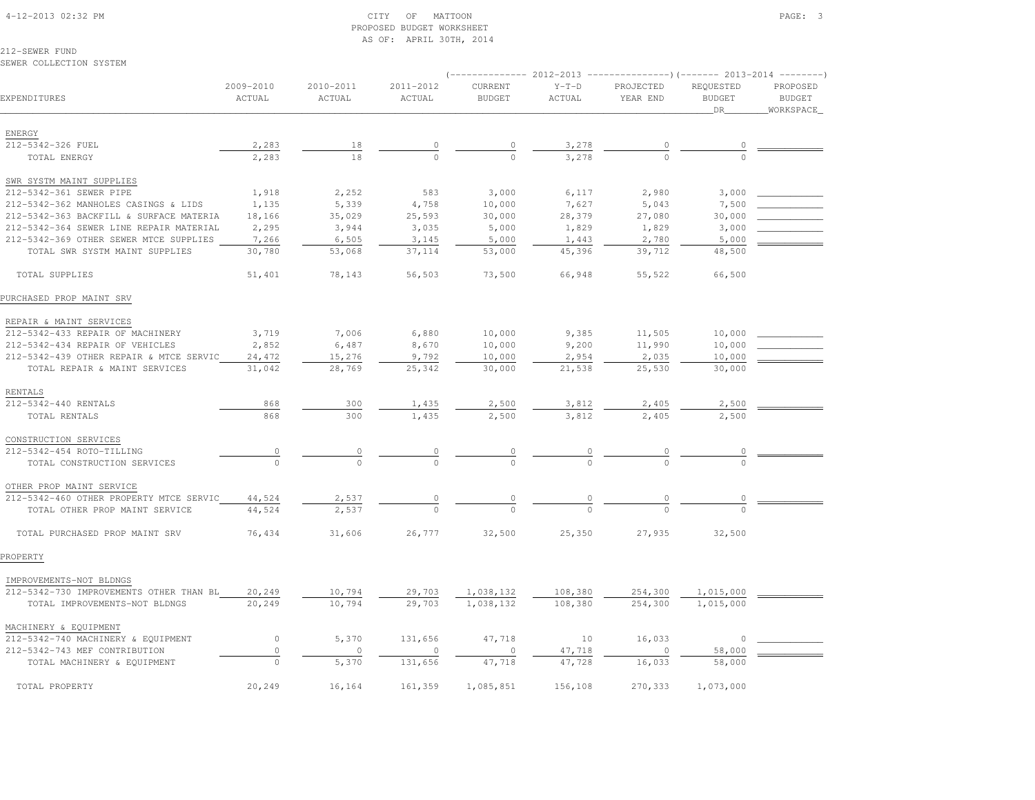## 4-12-2013 02:32 PM CITY OF MATTOON PAGE: 3 PROPOSED BUDGET WORKSHEETAS OF: APRIL 30TH, 2014

212-SEWER FUNDSEWER COLLECTION SYSTEM

# (-------------- 2012-2013 ---------------)(------- 2013-2014 --------) 2009-2010 2010-2011 2011-2012 CURRENT Y-T-D PROJECTED REQUESTED PROPOSED**BUDGET** EXPENDITURES ACTUAL ACTUAL ACTUAL BUDGET ACTUAL YEAR END BUDGET BUDGETWORKSPACE \_\_\_\_\_\_\_\_\_\_\_\_\_\_\_\_\_\_\_\_\_\_\_\_\_\_\_\_\_\_\_\_\_\_\_\_\_\_\_\_\_\_\_\_\_\_\_\_\_\_\_\_\_\_\_\_\_\_\_\_\_\_\_\_\_\_\_\_\_\_\_\_\_\_\_\_\_\_\_\_\_\_\_\_\_\_\_\_\_\_\_\_\_\_\_\_\_\_\_\_\_\_\_\_\_\_\_\_\_\_\_\_\_\_\_\_\_\_\_\_\_\_\_\_\_\_\_\_\_\_DR\_\_\_\_\_\_\_\_WORKSPACE\_ ENERGY212-5342-326 FUEL 212-5342-326 FUEL 2,283 18 0 0 3,278 0 0 \_\_\_\_\_\_\_\_\_\_\_\_ TOTAL ENERGY 2,283 18 0 0 3,278 0 0 SWR SYSTM MAINT SUPPLIES212-5342-361 SEWER PIPE 1,918 2,252 583 3,000 6,117 2,980 3,000 2,000 212-5342-362 MANHOLES CASINGS & LIDS 1,135 5,339 4,758 10,000 7,627 5,043 7,500 \_\_\_\_\_\_\_\_\_\_\_\_ 212-5342-363 BACKFILL & SURFACE MATERIA 18,166 35,029 25,593 30,000 28,379 27,080 30,000 \_\_\_\_\_\_\_\_\_\_\_\_212-5342-364 SEWER LINE REPAIR MATERIAL 2,295 3,944 3,035 5,000 1,829 1,829 3,000 212-5342-369 OTHER SEWER MTCE SUPPLIES 7,266 6,505 3,145 5,000 1,443 2,780 5,000 TOTAL SWR SYSTM MAINT SUPPLIES 30,780 53,068 37,114 53,000 45,396 39,712 48,500 TOTAL SUPPLIES 51,401 78,143 56,503 73,500 66,948 55,522 66,500PURCHASED PROP MAINT SRV REPAIR & MAINT SERVICES 212-5342-433 REPAIR OF MACHINERY 3,719 7,006 6,880 10,000 9,385 11,505 10,000 \_\_\_\_\_\_\_\_\_\_\_\_212-5342-434 REPAIR OF VEHICLES  $2,852$   $6,487$   $8,670$   $10,000$   $9,200$   $11,990$   $10,000$ 212-5342-439 OTHER REPAIR & MTCE SERVIC 24,472 15,276 9,792 10,000 2,954 2,035 10,000 TOTAL REPAIR & MAINT SERVICES 31,042 28,769 25,342 30,000 21,538 25,530 30,000 RENTALS212-5342-440 RENTALS 212-5342-440 RENTALS 868 300 1,435 2,500 3,812 2,405 2,500 \_\_\_\_\_\_\_\_\_\_\_\_ TOTAL RENTALS 868 300 1,435 2,500 3,812 2,405 2,500 CONSTRUCTION SERVICES212-5342-454 ROTO-TILLING 212-5342-454 ROTO-TILLING 0 0 0 0 0 0 0 \_\_\_\_\_\_\_\_\_\_\_\_ TOTAL CONSTRUCTION SERVICES 0 0 0 0 0 0 0 OTHER PROP MAINT SERVICE 212-5342-460 OTHER PROPERTY MTCE SERVIC 44,524 2,537 0 0 0 0 0 \_\_\_\_\_\_\_\_\_\_\_\_ $-5342-460$  OTHER PROPERTY MTCE SERVIC  $\begin{array}{cccc} 44.524 & -2.537 & - & 0 \\ \hline 10131 & 01HER & PROP MANT SFRVICF & 44.524 & 2.537 & - & 0 \end{array}$  TOTAL PURCHASED PROP MAINT SRV 76,434 31,606 26,777 32,500 25,350 27,935 32,500PROPERTY IMPROVEMENTS-NOT BLDNGS 212-5342-730 IMPROVEMENTS OTHER THAN BL 20,249 10,794 29,703 1,038,132 108,380 254,300 1,015,000 \_\_\_\_\_\_\_\_\_\_\_\_TOTAL IMPROVEMENTS-NOT BLDNGS 20,249 10,794 29,703 1,038,132 108,380 254,300 1,015,000 MACHINERY & EQUIPMENT212-5342-740 MACHINERY & EQUIPMENT  $0$  5,370 131,656 47,718 10 16,033 0 \_\_\_\_\_\_\_\_\_ 212-5342-743 MEF CONTRIBUTION 0 0 0 0 0 0 0 47,718 0 58,000 TOTAL MACHINERY & EQUIPMENT  $\overline{0}$   $\overline{5,370}$   $\overline{131,656}$   $\overline{47,718}$   $\overline{47,728}$   $\overline{16,033}$   $\overline{58,000}$ TOTAL PROPERTY 20,249 16,164 161,359 1,085,851 156,108 270,333 1,073,000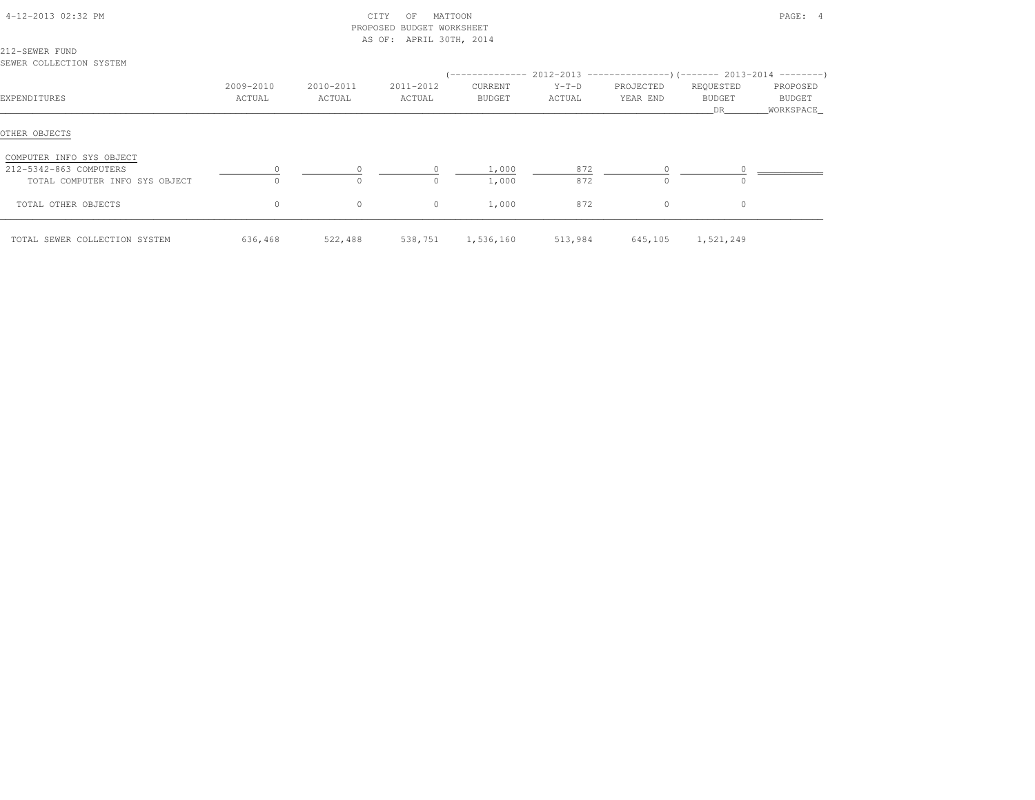| 4-12-2013 02:32 PM                        |                     | CITY<br>PROPOSED BUDGET WORKSHEET<br>AS OF: APRIL 30TH, 2014 |                     |                          | PAGE: 4                                                                   |                       |                            |                                 |
|-------------------------------------------|---------------------|--------------------------------------------------------------|---------------------|--------------------------|---------------------------------------------------------------------------|-----------------------|----------------------------|---------------------------------|
| 212-SEWER FUND<br>SEWER COLLECTION SYSTEM |                     |                                                              |                     |                          | (-------------- 2012-2013 ----------------) (------- 2013-2014 ---------) |                       |                            |                                 |
| EXPENDITURES                              | 2009-2010<br>ACTUAL | 2010-2011<br>ACTUAL                                          | 2011-2012<br>ACTUAL | CURRENT<br><b>BUDGET</b> | $Y-T-D$<br>ACTUAL                                                         | PROJECTED<br>YEAR END | REQUESTED<br>BUDGET<br>DR. | PROPOSED<br>BUDGET<br>WORKSPACE |
| OTHER OBJECTS                             |                     |                                                              |                     |                          |                                                                           |                       |                            |                                 |
| COMPUTER INFO SYS OBJECT                  |                     |                                                              |                     |                          |                                                                           |                       |                            |                                 |
| 212-5342-863 COMPUTERS                    |                     |                                                              | 0                   | 1,000                    | 872                                                                       |                       |                            |                                 |
| TOTAL COMPUTER INFO SYS OBJECT            | $\Omega$            | $\cap$                                                       | $\cap$              | 1,000                    | 872                                                                       |                       | $\Omega$                   |                                 |
| TOTAL OTHER OBJECTS                       | $\circ$             | $\circ$                                                      | $\circ$             | 1,000                    | 872                                                                       | $\circ$               | 0                          |                                 |
| TOTAL SEWER COLLECTION SYSTEM             | 636,468             | 522,488                                                      | 538,751             | 1,536,160                | 513,984                                                                   | 645,105               | 1,521,249                  |                                 |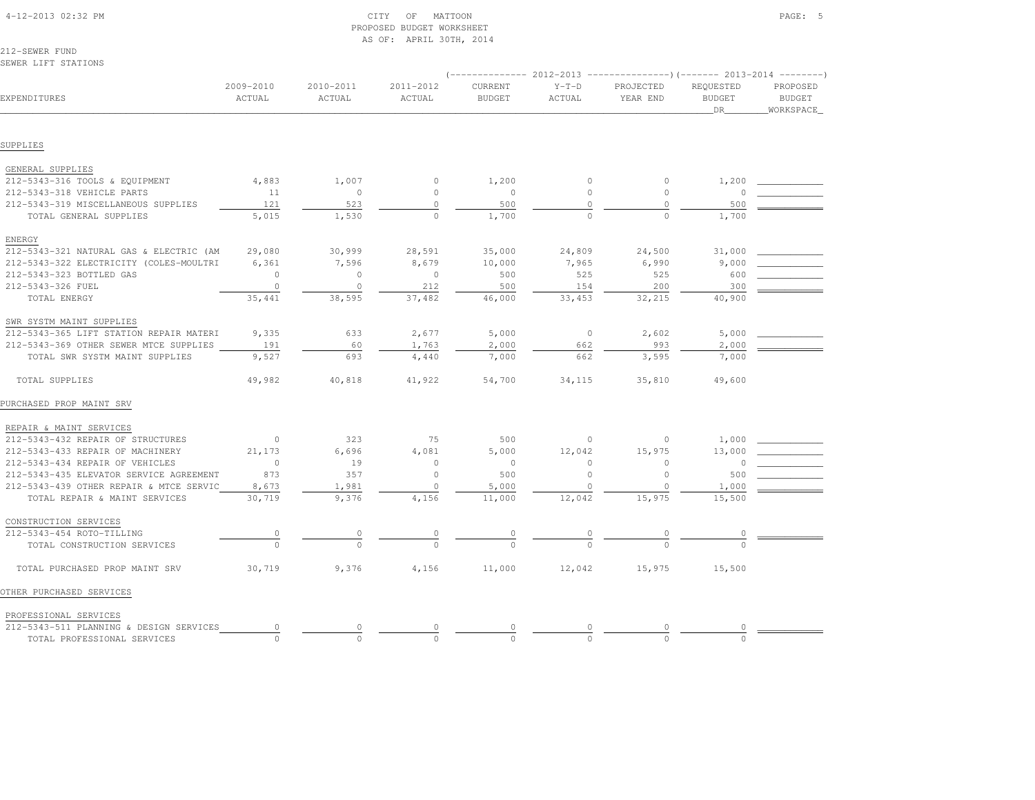|                                         |           |           | AS OF. AFRIL SOIII, 2014 |               |              |                                                                          |               |               |
|-----------------------------------------|-----------|-----------|--------------------------|---------------|--------------|--------------------------------------------------------------------------|---------------|---------------|
| 212-SEWER FUND                          |           |           |                          |               |              |                                                                          |               |               |
| SEWER LIFT STATIONS                     |           |           |                          |               |              |                                                                          |               |               |
|                                         |           |           |                          |               |              | (-------------- 2012-2013 ----------------) (------- 2013-2014 --------) |               |               |
|                                         | 2009-2010 | 2010-2011 | 2011-2012                | CURRENT       | $Y-T-D$      | PROJECTED                                                                | REQUESTED     | PROPOSED      |
| EXPENDITURES                            | ACTUAL    | ACTUAL    | ACTUAL                   | <b>BUDGET</b> | ACTUAL       | YEAR END                                                                 | <b>BUDGET</b> | <b>BUDGET</b> |
|                                         |           |           |                          |               |              |                                                                          | DR            | WORKSPACE     |
|                                         |           |           |                          |               |              |                                                                          |               |               |
| SUPPLIES                                |           |           |                          |               |              |                                                                          |               |               |
| GENERAL SUPPLIES                        |           |           |                          |               |              |                                                                          |               |               |
| 212-5343-316 TOOLS & EQUIPMENT          | 4,883     | 1,007     | 0                        | 1,200         | $\mathbf{0}$ | $\circ$                                                                  | 1,200         |               |
| 212-5343-318 VEHICLE PARTS              | 11        | $\circ$   | $\circ$                  | $\circ$       | $\mathbf{0}$ | $\circ$                                                                  | $\circ$       |               |
| 212-5343-319 MISCELLANEOUS SUPPLIES     | 121       | 523       | $\circ$                  | 500           | $\circ$      | $\circ$                                                                  | 500           |               |
| TOTAL GENERAL SUPPLIES                  | 5,015     | 1,530     | $\circ$                  | 1,700         | $\Omega$     | $\Omega$                                                                 | 1,700         |               |
| ENERGY                                  |           |           |                          |               |              |                                                                          |               |               |
| 212-5343-321 NATURAL GAS & ELECTRIC (AM | 29,080    | 30,999    | 28,591                   | 35,000        | 24,809       | 24,500                                                                   | 31,000        |               |
| 212-5343-322 ELECTRICITY (COLES-MOULTRI | 6,361     | 7,596     | 8,679                    | 10,000        | 7,965        | 6,990                                                                    | 9,000         |               |
| 212-5343-323 BOTTLED GAS                | $\circ$   | $\circ$   | $\circ$                  | 500           | 525          | 525                                                                      | 600           |               |
| 212-5343-326 FUEL                       | $\circ$   | $\circ$   | 212                      | 500           | 154          | 200                                                                      | 300           |               |
| TOTAL ENERGY                            | 35,441    | 38,595    | 37,482                   | 46,000        | 33,453       | 32,215                                                                   | 40,900        |               |
| SWR SYSTM MAINT SUPPLIES                |           |           |                          |               |              |                                                                          |               |               |
| 212-5343-365 LIFT STATION REPAIR MATERI | 9,335     | 633       | 2,677                    | 5,000         | $\circ$      | 2,602                                                                    | 5,000         |               |
| 212-5343-369 OTHER SEWER MTCE SUPPLIES  | 191       | 60        | 1,763                    | 2,000         | 662          | 993                                                                      | 2,000         |               |
| TOTAL SWR SYSTM MAINT SUPPLIES          | 9,527     | 693       | 4,440                    | 7,000         | 662          | 3,595                                                                    | 7,000         |               |
| TOTAL SUPPLIES                          | 49,982    | 40,818    | 41,922                   | 54,700        | 34,115       | 35,810                                                                   | 49,600        |               |
| PURCHASED PROP MAINT SRV                |           |           |                          |               |              |                                                                          |               |               |
| REPAIR & MAINT SERVICES                 |           |           |                          |               |              |                                                                          |               |               |
| 212-5343-432 REPAIR OF STRUCTURES       | $\circ$   | 323       | 75                       | 500           | 0            | 0                                                                        | 1,000         |               |
| 212-5343-433 REPAIR OF MACHINERY        | 21,173    | 6,696     | 4,081                    | 5,000         | 12,042       | 15,975                                                                   | 13,000        |               |
| 212-5343-434 REPAIR OF VEHICLES         | $\circ$   | 19        | $\circ$                  | $\circ$       | $\circ$      | $\circ$                                                                  | 0             |               |
| 212-5343-435 ELEVATOR SERVICE AGREEMENT | 873       | 357       | $\circ$                  | 500           | $\circ$      | $\circ$                                                                  | 500           |               |
| 212-5343-439 OTHER REPAIR & MTCE SERVIC | 8,673     | 1,981     | $\circ$                  | 5,000         | $\circ$      | $\circ$                                                                  | 1,000         |               |
| TOTAL REPAIR & MAINT SERVICES           | 30,719    | 9,376     | 4,156                    | 11,000        | 12,042       | 15,975                                                                   | 15,500        |               |
| CONSTRUCTION SERVICES                   |           |           |                          |               |              |                                                                          |               |               |
| 212-5343-454 ROTO-TILLING               | $\circ$   |           |                          |               |              |                                                                          |               |               |
| TOTAL CONSTRUCTION SERVICES             | $\Omega$  |           |                          |               |              |                                                                          |               |               |
| TOTAL PURCHASED PROP MAINT SRV          | 30,719    | 9,376     | 4,156                    | 11,000        | 12,042       | 15,975                                                                   | 15,500        |               |
| OTHER PURCHASED SERVICES                |           |           |                          |               |              |                                                                          |               |               |
| PROFESSIONAL SERVICES                   |           |           |                          |               |              |                                                                          |               |               |
| 212-5343-511 PLANNING & DESIGN SERVICES | $\circ$   | $\circ$   |                          |               |              | $\circ$                                                                  | 0             |               |
| TOTAL PROFESSIONAL SERVICES             | $\Omega$  | $\cap$    |                          | $\cap$        | $\cap$       | $\cap$                                                                   |               |               |

PROPOSED BUDGET WORKSHEET

AS OF: APRIL 30TH, 2014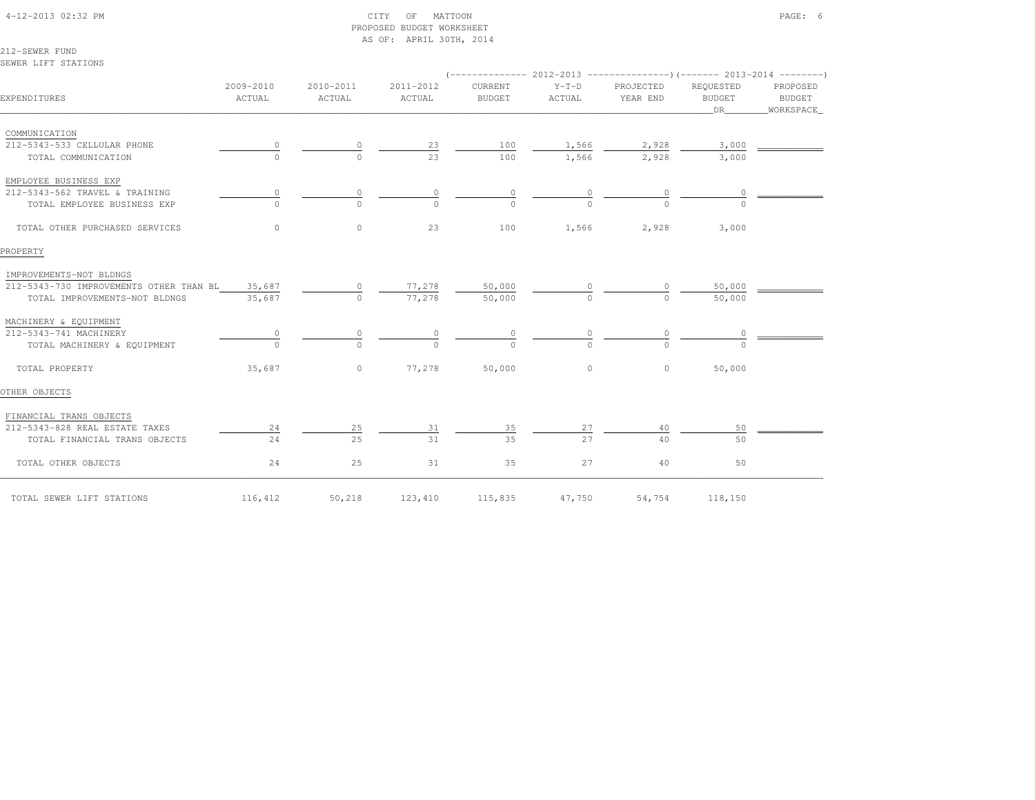# 4-12-2013 02:32 PM CITY OF MATTOON PAGE: 6 PROPOSED BUDGET WORKSHEETAS OF: APRIL 30TH, 2014

212-SEWER FUNDSEWER LIFT STATIONS

| EXPENDITURES                                   | 2009-2010<br>ACTUAL | 2010-2011<br>ACTUAL | 2011-2012<br>ACTUAL | CURRENT<br><b>BUDGET</b> | $Y-T-D$<br>ACTUAL | PROJECTED<br>YEAR END | REQUESTED<br><b>BUDGET</b><br>DR | PROPOSED<br>BUDGET<br>WORKSPACE |
|------------------------------------------------|---------------------|---------------------|---------------------|--------------------------|-------------------|-----------------------|----------------------------------|---------------------------------|
| COMMUNICATION                                  |                     |                     |                     |                          |                   |                       |                                  |                                 |
| 212-5343-533 CELLULAR PHONE                    |                     | $\circ$             | 23                  | 100                      | 1,566             | 2,928                 | 3,000                            |                                 |
| TOTAL COMMUNICATION                            |                     | $\cap$              | 23                  | 100                      | 1,566             | 2,928                 | 3,000                            |                                 |
|                                                |                     |                     |                     |                          |                   |                       |                                  |                                 |
| EMPLOYEE BUSINESS EXP                          |                     |                     |                     |                          |                   |                       |                                  |                                 |
| 212-5343-562 TRAVEL & TRAINING                 |                     | 0                   | $\circ$             | $\circ$                  |                   |                       |                                  |                                 |
| TOTAL EMPLOYEE BUSINESS EXP                    |                     | $\cap$              | $\cap$              |                          |                   |                       |                                  |                                 |
| TOTAL OTHER PURCHASED SERVICES                 | $\circ$             | $\circ$             | 23                  | 100                      | 1,566             | 2,928                 | 3,000                            |                                 |
| PROPERTY                                       |                     |                     |                     |                          |                   |                       |                                  |                                 |
| IMPROVEMENTS-NOT BLDNGS                        |                     |                     |                     |                          |                   |                       |                                  |                                 |
| 212-5343-730 IMPROVEMENTS OTHER THAN BL 35,687 |                     | $\circ$             | 77,278              | 50,000                   |                   |                       | 50,000                           |                                 |
| TOTAL IMPROVEMENTS-NOT BLDNGS                  | 35,687              | $\Omega$            | 77,278              | 50,000                   | $\Omega$          | $\Omega$              | 50,000                           |                                 |
| MACHINERY & EQUIPMENT                          |                     |                     |                     |                          |                   |                       |                                  |                                 |
| 212-5343-741 MACHINERY                         |                     |                     |                     |                          |                   |                       |                                  |                                 |
| TOTAL MACHINERY & EQUIPMENT                    | $\Omega$            | $\cap$              | $\cap$              | $\Omega$                 | $\Omega$          |                       |                                  |                                 |
| TOTAL PROPERTY                                 | 35,687              |                     | 0 $77,278$          | 50,000                   | $\circ$           | $\circ$               | 50,000                           |                                 |
| OTHER OBJECTS                                  |                     |                     |                     |                          |                   |                       |                                  |                                 |
| FINANCIAL TRANS OBJECTS                        |                     |                     |                     |                          |                   |                       |                                  |                                 |
| 212-5343-828 REAL ESTATE TAXES                 | 24                  | 25                  | 31                  | 35                       | 27                | 40                    | 50                               |                                 |
| TOTAL FINANCIAL TRANS OBJECTS                  | 24                  | 25                  | 31                  | 35                       | 2.7               | 40                    | 50                               |                                 |
| TOTAL OTHER OBJECTS                            | 24                  | 25                  | 31                  | 35                       | 27                | 40                    | 50                               |                                 |
| TOTAL SEWER LIFT STATIONS                      | 116,412             | 50,218              | 123,410             | 115,835                  | 47,750            | 54,754                | 118,150                          |                                 |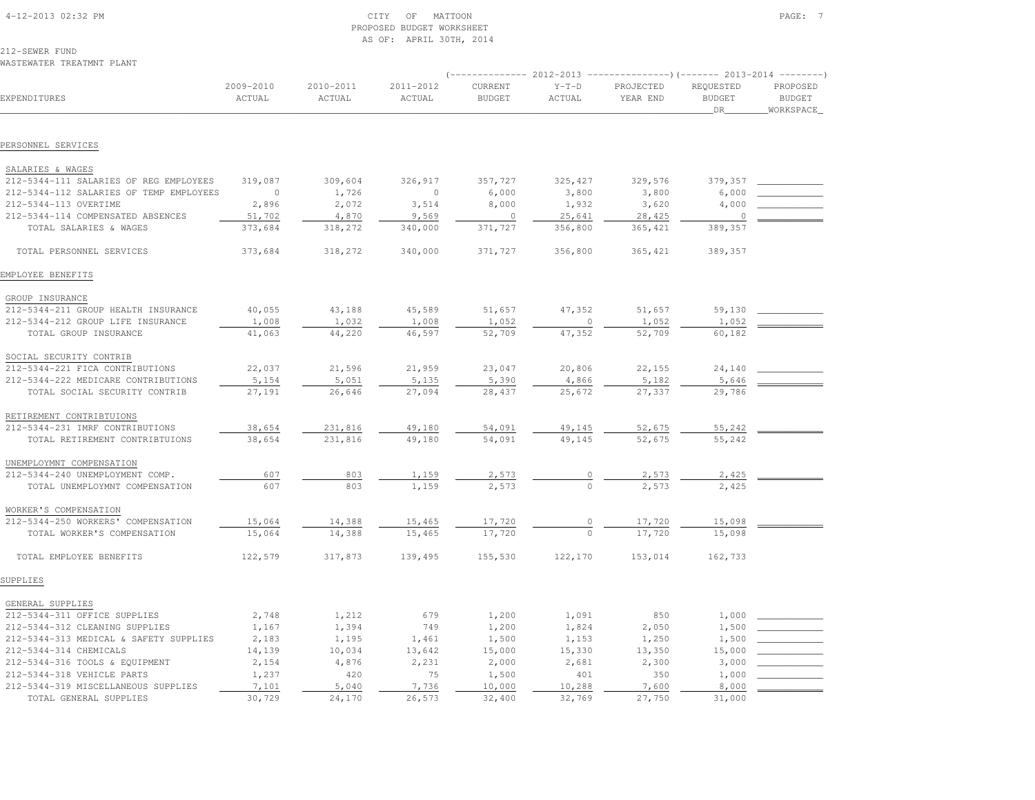| 212-SEWER FUND<br>WASTEWATER TREATMNT PLANT |                     |                     |                     |                          |                   |                                                                                                      |                                  |                                        |
|---------------------------------------------|---------------------|---------------------|---------------------|--------------------------|-------------------|------------------------------------------------------------------------------------------------------|----------------------------------|----------------------------------------|
| EXPENDITURES                                | 2009-2010<br>ACTUAL | 2010-2011<br>ACTUAL | 2011-2012<br>ACTUAL | CURRENT<br><b>BUDGET</b> | $Y-T-D$<br>ACTUAL | $($ -------------- 2012-2013 ----------------) (------- 2013-2014 --------)<br>PROJECTED<br>YEAR END | REQUESTED<br><b>BUDGET</b><br>DR | PROPOSED<br><b>BUDGET</b><br>WORKSPACE |
|                                             |                     |                     |                     |                          |                   |                                                                                                      |                                  |                                        |
| PERSONNEL SERVICES                          |                     |                     |                     |                          |                   |                                                                                                      |                                  |                                        |
| SALARIES & WAGES                            |                     |                     |                     |                          |                   |                                                                                                      |                                  |                                        |
| 212-5344-111 SALARIES OF REG EMPLOYEES      | 319,087             | 309,604             | 326,917             | 357,727                  | 325, 427          | 329,576                                                                                              | 379,357                          |                                        |
| 212-5344-112 SALARIES OF TEMP EMPLOYEES     | $\circ$             | 1,726               | $\circ$             | 6,000                    | 3,800             | 3,800                                                                                                | 6,000                            |                                        |
| 212-5344-113 OVERTIME                       | 2,896               | 2,072               | 3,514               | 8,000                    | 1,932             | 3,620                                                                                                | 4,000                            |                                        |
| 212-5344-114 COMPENSATED ABSENCES           | 51,702              | 4,870               | 9,569               | $\circ$                  | 25,641            | 28,425                                                                                               | $\Omega$                         |                                        |
| TOTAL SALARIES & WAGES                      | 373,684             | 318,272             | 340,000             | 371,727                  | 356,800           | 365, 421                                                                                             | 389,357                          |                                        |
| TOTAL PERSONNEL SERVICES                    | 373,684             | 318,272             | 340,000             | 371,727                  | 356,800           | 365, 421                                                                                             | 389,357                          |                                        |
| EMPLOYEE BENEFITS                           |                     |                     |                     |                          |                   |                                                                                                      |                                  |                                        |
| GROUP INSURANCE                             |                     |                     |                     |                          |                   |                                                                                                      |                                  |                                        |
| 212-5344-211 GROUP HEALTH INSURANCE         | 40,055              | 43,188              | 45,589              | 51,657                   | 47,352            | 51,657                                                                                               | 59,130                           |                                        |
| 212-5344-212 GROUP LIFE INSURANCE           | 1,008               | 1,032               | 1,008               | 1,052                    | $\mathbf{0}$      | 1,052                                                                                                | 1,052                            |                                        |
| TOTAL GROUP INSURANCE                       | 41,063              | 44,220              | 46,597              | 52,709                   | 47,352            | 52,709                                                                                               | 60,182                           |                                        |
| SOCIAL SECURITY CONTRIB                     |                     |                     |                     |                          |                   |                                                                                                      |                                  |                                        |
| 212-5344-221 FICA CONTRIBUTIONS             | 22,037              | 21,596              | 21,959              | 23,047                   | 20,806            | 22,155                                                                                               | 24,140                           |                                        |
| 212-5344-222 MEDICARE CONTRIBUTIONS         | 5,154               | 5,051               | 5,135               | 5,390                    | 4,866             | 5,182                                                                                                | 5,646                            |                                        |
| TOTAL SOCIAL SECURITY CONTRIB               | 27,191              | 26,646              | 27,094              | 28,437                   | 25,672            | 27,337                                                                                               | 29,786                           |                                        |
| RETIREMENT CONTRIBTUIONS                    |                     |                     |                     |                          |                   |                                                                                                      |                                  |                                        |
| 212-5344-231 IMRF CONTRIBUTIONS             | 38,654              | 231,816             | 49,180              | 54,091                   | 49,145            | 52,675                                                                                               | 55,242                           |                                        |
| TOTAL RETIREMENT CONTRIBTUIONS              | 38,654              | 231,816             | 49,180              | 54,091                   | 49,145            | 52,675                                                                                               | 55,242                           |                                        |
| UNEMPLOYMNT COMPENSATION                    |                     |                     |                     |                          |                   |                                                                                                      |                                  |                                        |
| 212-5344-240 UNEMPLOYMENT COMP.             | 607                 | 803                 | 1,159               | 2,573                    | 0                 | 2,573                                                                                                | 2,425                            |                                        |
| TOTAL UNEMPLOYMNT COMPENSATION              | 607                 | 803                 | 1,159               | 2,573                    | $\Omega$          | 2,573                                                                                                | 2,425                            |                                        |
| WORKER'S COMPENSATION                       |                     |                     |                     |                          |                   |                                                                                                      |                                  |                                        |
| 212-5344-250 WORKERS' COMPENSATION          | 15,064              | 14,388              | 15,465              | 17,720                   |                   | 17,720                                                                                               | 15,098                           |                                        |
| TOTAL WORKER'S COMPENSATION                 | 15,064              | 14,388              | 15,465              | 17,720                   | $\mathbf{0}$      | 17,720                                                                                               | 15,098                           |                                        |
| TOTAL EMPLOYEE BENEFITS                     | 122,579             | 317,873             | 139,495             | 155,530                  | 122,170           | 153,014                                                                                              | 162,733                          |                                        |
| SUPPLIES                                    |                     |                     |                     |                          |                   |                                                                                                      |                                  |                                        |
| GENERAL SUPPLIES                            |                     |                     |                     |                          |                   |                                                                                                      |                                  |                                        |
| 212-5344-311 OFFICE SUPPLIES                | 2,748               | 1,212               | 679                 | 1,200                    | 1,091             | 850                                                                                                  | 1,000                            |                                        |
| 212-5344-312 CLEANING SUPPLIES              | 1,167               | 1,394               | 749                 | 1,200                    | 1,824             | 2,050                                                                                                | 1,500                            |                                        |
| 212-5344-313 MEDICAL & SAFETY SUPPLIES      | 2,183               | 1,195               | 1,461               | 1,500                    | 1,153             | 1,250                                                                                                | 1,500                            |                                        |
| 212-5344-314 CHEMICALS                      | 14,139              | 10,034              | 13,642              | 15,000                   | 15,330            | 13,350                                                                                               | 15,000                           |                                        |
| 212-5344-316 TOOLS & EQUIPMENT              | 2,154               | 4,876               | 2,231               | 2,000                    | 2,681             | 2,300                                                                                                | 3,000                            |                                        |
| 212-5344-318 VEHICLE PARTS                  | 1,237               | 420                 | 75                  | 1,500                    | 401               | 350                                                                                                  | 1,000                            |                                        |
| 212-5344-319 MISCELLANEOUS SUPPLIES         | 7,101               | 5,040               | 7,736               | 10,000                   | 10,288            | 7,600                                                                                                | 8,000                            |                                        |
| TOTAL GENERAL SUPPLIES                      | 30,729              | 24,170              | 26,573              | 32,400                   | 32,769            | 27,750                                                                                               | 31,000                           |                                        |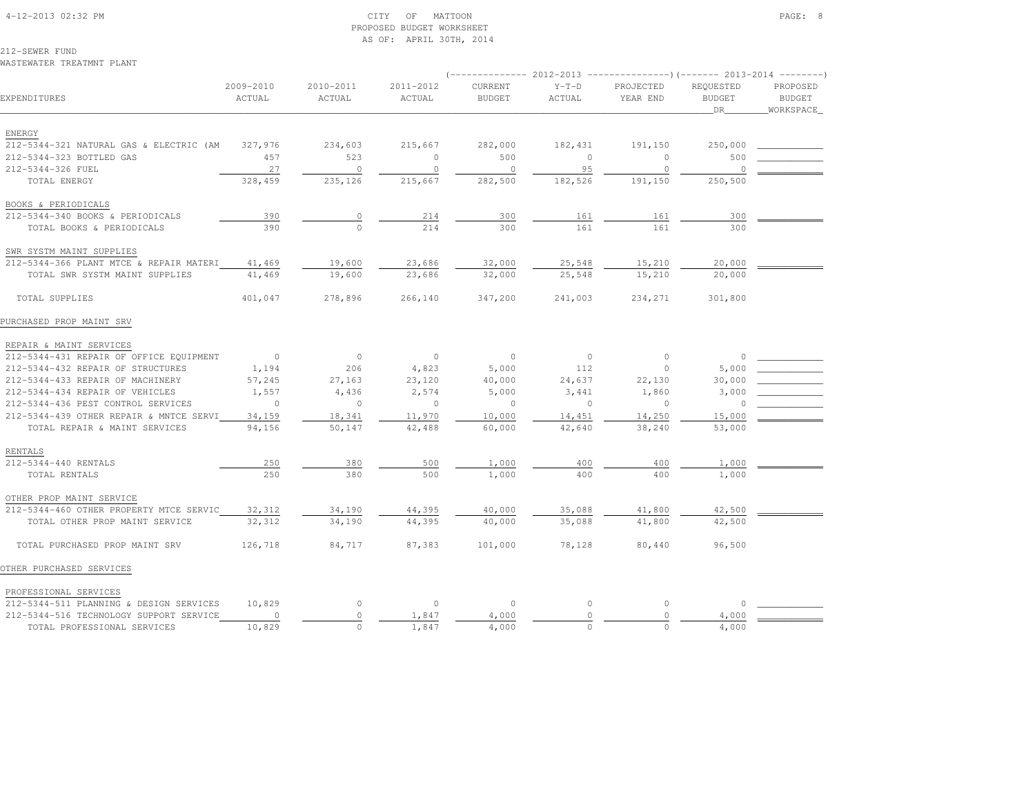# 4-12-2013 02:32 PM CITY OF MATTOON PAGE: 8 PROPOSED BUDGET WORKSHEETAS OF: APRIL 30TH, 2014

212-SEWER FUNDWASTEWATER TREATMNT PLANT

|                                         |                     |                     |                     |                          |                   | $(-$ ------------- 2012-2013 -----------------) (------- 2013-2014 --------) |                                  |                                        |
|-----------------------------------------|---------------------|---------------------|---------------------|--------------------------|-------------------|------------------------------------------------------------------------------|----------------------------------|----------------------------------------|
| EXPENDITURES                            | 2009-2010<br>ACTUAL | 2010-2011<br>ACTUAL | 2011-2012<br>ACTUAL | CURRENT<br><b>BUDGET</b> | $Y-T-D$<br>ACTUAL | PROJECTED<br>YEAR END                                                        | REQUESTED<br><b>BUDGET</b><br>DR | PROPOSED<br><b>BUDGET</b><br>WORKSPACE |
| ENERGY                                  |                     |                     |                     |                          |                   |                                                                              |                                  |                                        |
| 212-5344-321 NATURAL GAS & ELECTRIC (AM | 327,976             | 234,603             | 215,667             | 282,000                  | 182,431           | 191,150                                                                      | 250,000                          |                                        |
| 212-5344-323 BOTTLED GAS                | 457                 | 523                 | $\circ$             | 500                      | $\Omega$          | $\Omega$                                                                     | 500                              |                                        |
| 212-5344-326 FUEL                       | 27                  | $\circ$             | $\circ$             | $\overline{0}$           | 95                | $\overline{0}$                                                               | $\circ$                          |                                        |
| TOTAL ENERGY                            | 328,459             | 235,126             | 215,667             | 282,500                  | 182,526           | 191,150                                                                      | 250,500                          |                                        |
| BOOKS & PERIODICALS                     |                     |                     |                     |                          |                   |                                                                              |                                  |                                        |
| 212-5344-340 BOOKS & PERIODICALS        | 390                 | $\circ$             | 214                 | 300                      | 161               | 161                                                                          | 300                              |                                        |
| TOTAL BOOKS & PERIODICALS               | 390                 | $\cap$              | 214                 | 300                      | 161               | 161                                                                          | 300                              |                                        |
| SWR SYSTM MAINT SUPPLIES                |                     |                     |                     |                          |                   |                                                                              |                                  |                                        |
| 212-5344-366 PLANT MTCE & REPAIR MATERI | 41,469              | 19,600              | 23,686              | 32,000                   | 25,548            | 15,210                                                                       | 20,000                           |                                        |
| TOTAL SWR SYSTM MAINT SUPPLIES          | 41,469              | 19,600              | 23,686              | 32,000                   | 25,548            | 15,210                                                                       | 20,000                           |                                        |
| TOTAL SUPPLIES                          | 401,047             | 278,896             | 266,140             | 347,200                  | 241,003           | 234,271                                                                      | 301,800                          |                                        |
| PURCHASED PROP MAINT SRV                |                     |                     |                     |                          |                   |                                                                              |                                  |                                        |
| REPAIR & MAINT SERVICES                 |                     |                     |                     |                          |                   |                                                                              |                                  |                                        |
| 212-5344-431 REPAIR OF OFFICE EQUIPMENT | $\sim$ 0            | $\overline{0}$      | $\overline{0}$      | $\circ$                  | $\overline{0}$    | $\circ$                                                                      | $\Omega$                         |                                        |
| 212-5344-432 REPAIR OF STRUCTURES       | 1,194               | 206                 | 4,823               | 5,000                    | 112               | $\overline{0}$                                                               | 5,000                            |                                        |
| 212-5344-433 REPAIR OF MACHINERY        | 57,245              | 27,163              | 23,120              | 40,000                   | 24,637            | 22,130                                                                       | 30,000                           |                                        |
| 212-5344-434 REPAIR OF VEHICLES         | 1,557               | 4,436               | 2,574               | 5,000                    | 3,441             | 1,860                                                                        | 3,000                            |                                        |
| 212-5344-436 PEST CONTROL SERVICES      | $\overline{0}$      | $\circ$             | $\overline{0}$      | $\circ$                  | $\Omega$          | $\overline{0}$                                                               | $\circ$                          |                                        |
| 212-5344-439 OTHER REPAIR & MNTCE SERVI | 34,159              | 18,341              | 11,970              | 10,000                   | 14,451            | 14,250                                                                       | 15,000                           |                                        |
| TOTAL REPAIR & MAINT SERVICES           | 94,156              | 50,147              | 42,488              | 60,000                   | 42,640            | 38,240                                                                       | 53,000                           |                                        |
| RENTALS                                 |                     |                     |                     |                          |                   |                                                                              |                                  |                                        |
| 212-5344-440 RENTALS                    | 250                 | 380                 | 500                 | 1,000                    | 400               | 400                                                                          | 1,000                            |                                        |
| TOTAL RENTALS                           | 250                 | 380                 | 500                 | 1,000                    | 400               | 400                                                                          | 1,000                            |                                        |
| OTHER PROP MAINT SERVICE                |                     |                     |                     |                          |                   |                                                                              |                                  |                                        |
| 212-5344-460 OTHER PROPERTY MTCE SERVIC | 32,312              | 34,190              | 44,395              | 40,000                   | 35,088            | 41,800                                                                       | 42,500                           |                                        |
| TOTAL OTHER PROP MAINT SERVICE          | 32,312              | 34,190              | 44,395              | 40,000                   | 35,088            | 41,800                                                                       | 42,500                           |                                        |
| TOTAL PURCHASED PROP MAINT SRV          | 126,718             | 84,717              | 87,383              | 101,000                  | 78,128            | 80,440                                                                       | 96,500                           |                                        |
| OTHER PURCHASED SERVICES                |                     |                     |                     |                          |                   |                                                                              |                                  |                                        |
| PROFESSIONAL SERVICES                   |                     |                     |                     |                          |                   |                                                                              |                                  |                                        |
| 212-5344-511 PLANNING & DESIGN SERVICES | 10,829              | $\circ$             | $\circ$             | $\circ$                  | $\circ$           | $\circ$                                                                      | $\circ$                          |                                        |
| 212-5344-516 TECHNOLOGY SUPPORT SERVICE | $\circ$             | $\circ$             | 1,847               | 4,000                    | $\circ$           | $\circ$                                                                      | 4,000                            |                                        |
| TOTAL PROFESSIONAL SERVICES             | 10,829              | $\Omega$            | 1,847               | 4,000                    | $\Omega$          | $\Omega$                                                                     | 4,000                            |                                        |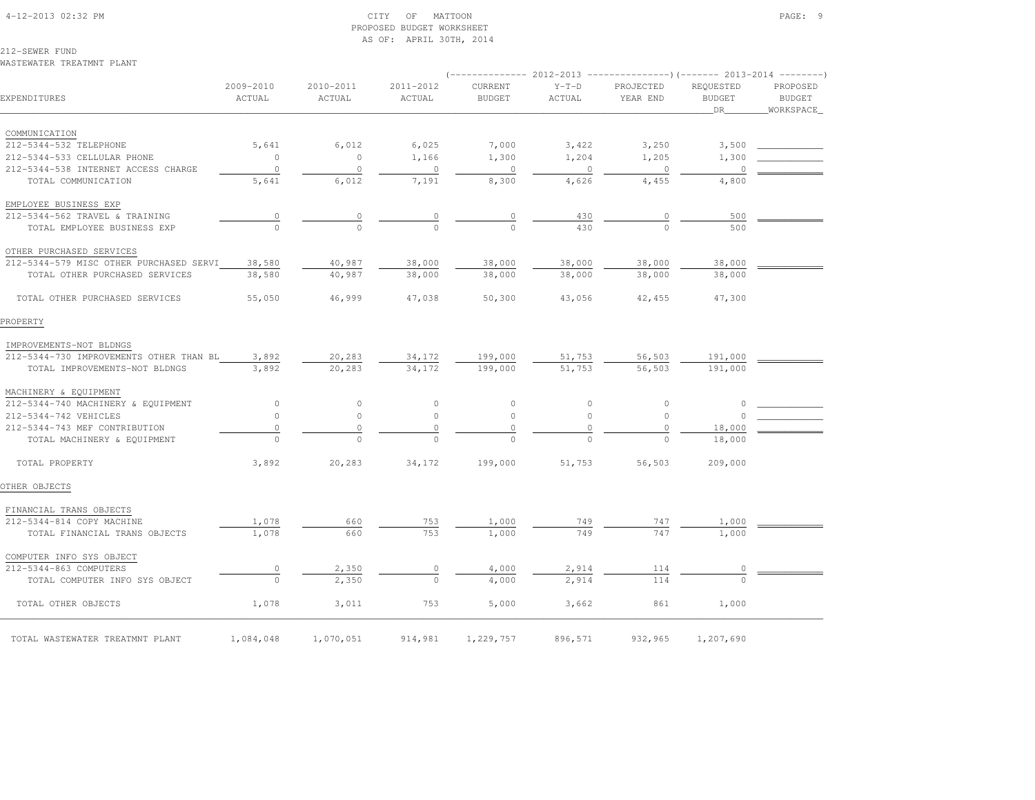# 4-12-2013 02:32 PM CITY OF MATTOON PAGE: 9 PROPOSED BUDGET WORKSHEETAS OF: APRIL 30TH, 2014

212-SEWER FUND

WASTEWATER TREATMNT PLANT

| EXPENDITURES                            | 2009-2010<br>ACTUAL | 2010-2011<br>ACTUAL | 2011-2012<br>ACTUAL | CURRENT<br><b>BUDGET</b> | $Y-T-D$<br>ACTUAL | PROJECTED<br>YEAR END | REQUESTED<br><b>BUDGET</b><br>DR | PROPOSED<br><b>BUDGET</b><br>WORKSPACE |
|-----------------------------------------|---------------------|---------------------|---------------------|--------------------------|-------------------|-----------------------|----------------------------------|----------------------------------------|
| COMMUNICATION                           |                     |                     |                     |                          |                   |                       |                                  |                                        |
| 212-5344-532 TELEPHONE                  | 5,641               | 6,012               | 6,025               | 7,000                    | 3,422             | 3,250                 | 3,500                            |                                        |
| 212-5344-533 CELLULAR PHONE             | $\circ$             | $\circ$             | 1,166               | 1,300                    | 1,204             | 1,205                 | 1,300                            |                                        |
| 212-5344-538 INTERNET ACCESS CHARGE     | $\circ$             | $\circ$             | $\circ$             | $\circ$                  | $\circ$           | $\circ$               | 0                                |                                        |
| TOTAL COMMUNICATION                     | 5,641               | 6,012               | 7,191               | 8,300                    | 4,626             | 4,455                 | 4,800                            |                                        |
| EMPLOYEE BUSINESS EXP                   |                     |                     |                     |                          |                   |                       |                                  |                                        |
| 212-5344-562 TRAVEL & TRAINING          | $\overline{0}$      | $\circ$             | $\frac{0}{0}$       | $\overline{0}$           | 430               | 0                     | 500                              |                                        |
| TOTAL EMPLOYEE BUSINESS EXP             |                     | $\Omega$            |                     | $\Omega$                 | 430               | $\Omega$              | 500                              |                                        |
| OTHER PURCHASED SERVICES                |                     |                     |                     |                          |                   |                       |                                  |                                        |
| 212-5344-579 MISC OTHER PURCHASED SERVI | 38,580              | 40,987              | 38,000              | 38,000                   | 38,000            | 38,000                | 38,000                           |                                        |
| TOTAL OTHER PURCHASED SERVICES          | 38,580              | 40,987              | 38,000              | 38,000                   | 38,000            | 38,000                | 38,000                           |                                        |
| TOTAL OTHER PURCHASED SERVICES          | 55,050              | 46,999              | 47,038              | 50,300                   | 43,056            | 42,455                | 47,300                           |                                        |
| PROPERTY                                |                     |                     |                     |                          |                   |                       |                                  |                                        |
| IMPROVEMENTS-NOT BLDNGS                 |                     |                     |                     |                          |                   |                       |                                  |                                        |
| 212-5344-730 IMPROVEMENTS OTHER THAN BL | 3,892               | 20,283              | 34,172              | 199,000                  | 51,753            | 56,503                | 191,000                          |                                        |
| TOTAL IMPROVEMENTS-NOT BLDNGS           | 3,892               | 20,283              | 34,172              | 199,000                  | 51,753            | 56,503                | 191,000                          |                                        |
| MACHINERY & EQUIPMENT                   |                     |                     |                     |                          |                   |                       |                                  |                                        |
| 212-5344-740 MACHINERY & EQUIPMENT      | $\circ$             | $\circ$             | $\circ$             | $\circ$                  | $\circ$           | $\circ$               | 0                                |                                        |
| 212-5344-742 VEHICLES                   | $\circ$             | $\circ$             | $\circ$             | $\circ$                  | $\circ$           | $\circ$               | $\circ$                          |                                        |
| 212-5344-743 MEF CONTRIBUTION           | $\circ$             | $\circ$             | $\circ$             | $\mathbb O$              | $\circ$           | $\circ$               | 18,000                           |                                        |
| TOTAL MACHINERY & EQUIPMENT             | $\Omega$            | $\Omega$            | $\Omega$            | $\Omega$                 | $\Omega$          | $\Omega$              | 18,000                           |                                        |
| TOTAL PROPERTY                          | 3,892               | 20,283              | 34,172              | 199,000                  | 51,753            | 56,503                | 209,000                          |                                        |
| OTHER OBJECTS                           |                     |                     |                     |                          |                   |                       |                                  |                                        |
| FINANCIAL TRANS OBJECTS                 |                     |                     |                     |                          |                   |                       |                                  |                                        |
| 212-5344-814 COPY MACHINE               | 1,078               | 660                 | 753                 | 1,000                    | 749               | 747                   | 1,000                            |                                        |
| TOTAL FINANCIAL TRANS OBJECTS           | 1,078               | 660                 | 753                 | 1,000                    | 749               | 747                   | 1,000                            |                                        |
| COMPUTER INFO SYS OBJECT                |                     |                     |                     |                          |                   |                       |                                  |                                        |
| 212-5344-863 COMPUTERS                  | $\mathbb O$         | 2,350               | 0                   | 4,000                    | 2,914             | 114                   | $\circ$                          |                                        |
| TOTAL COMPUTER INFO SYS OBJECT          | $\Omega$            | 2,350               | $\Omega$            | 4,000                    | 2,914             | 114                   |                                  |                                        |
| TOTAL OTHER OBJECTS                     | 1,078               | 3,011               | 753                 | 5,000                    | 3,662             | 861                   | 1,000                            |                                        |
| TOTAL WASTEWATER TREATMNT PLANT         | 1,084,048           | 1,070,051           | 914,981             | 1,229,757                | 896,571           | 932,965               | 1,207,690                        |                                        |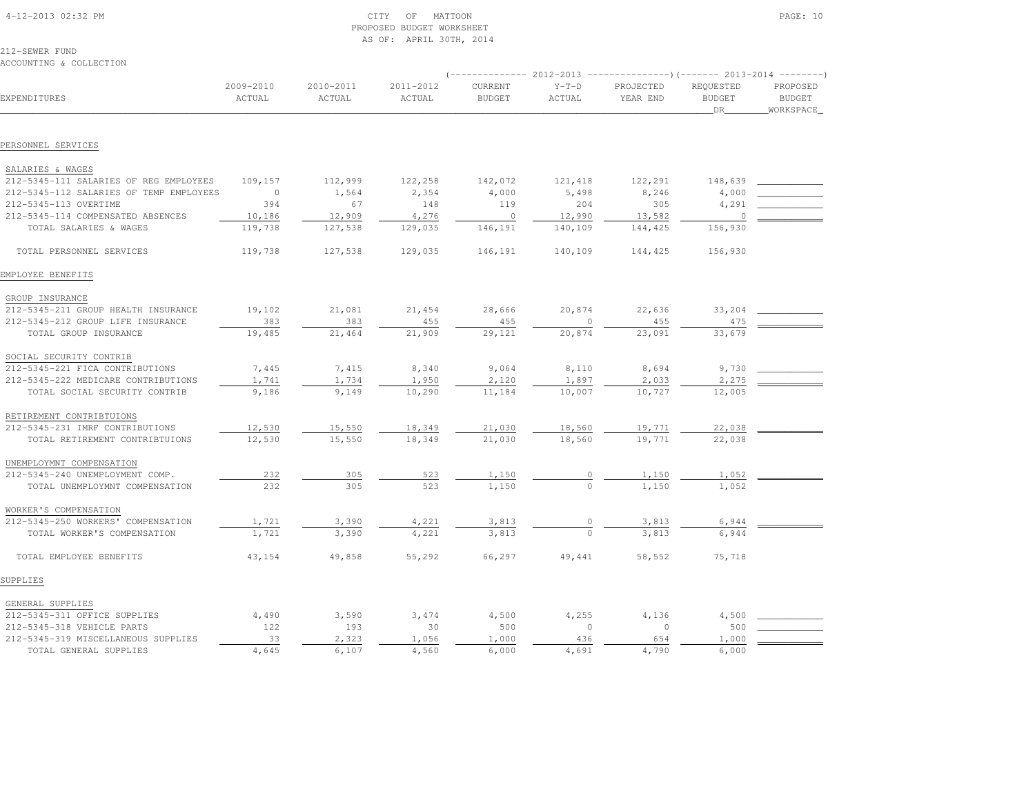| 4-12-2013 02:32 PM |  |
|--------------------|--|

# $\begin{array}{ccc} \text{CITY} & \text{OF} & \text{MATION} \end{array}$  PROPOSED BUDGET WORKSHEETAS OF: APRIL 30TH, 2014

212-SEWER FUNDACCOUNTING & COLLECTION

|                                         |                     |                     |                     | $--------- 2012-2013$    |                   | $---------() (------ 2013-2014 ------)$ |                                  |                                        |
|-----------------------------------------|---------------------|---------------------|---------------------|--------------------------|-------------------|-----------------------------------------|----------------------------------|----------------------------------------|
| EXPENDITURES                            | 2009-2010<br>ACTUAL | 2010-2011<br>ACTUAL | 2011-2012<br>ACTUAL | CURRENT<br><b>BUDGET</b> | $Y-T-D$<br>ACTUAL | PROJECTED<br>YEAR END                   | REQUESTED<br><b>BUDGET</b><br>DR | PROPOSED<br><b>BUDGET</b><br>WORKSPACE |
|                                         |                     |                     |                     |                          |                   |                                         |                                  |                                        |
| PERSONNEL SERVICES                      |                     |                     |                     |                          |                   |                                         |                                  |                                        |
| SALARIES & WAGES                        |                     |                     |                     |                          |                   |                                         |                                  |                                        |
| 212-5345-111 SALARIES OF REG EMPLOYEES  | 109,157             | 112,999             | 122,258             | 142,072                  | 121,418           | 122,291                                 | 148,639                          |                                        |
| 212-5345-112 SALARIES OF TEMP EMPLOYEES | $\overline{0}$      | 1,564               | 2,354               | 4,000                    | 5,498             | 8,246                                   | 4,000                            |                                        |
| 212-5345-113 OVERTIME                   | 394                 | 67                  | 148                 | 119                      | 204               | 305                                     | 4,291                            |                                        |
| 212-5345-114 COMPENSATED ABSENCES       | 10,186              | 12,909              | 4,276               | $\overline{0}$           | 12,990            | 13,582                                  | $\circ$                          |                                        |
| TOTAL SALARIES & WAGES                  | 119,738             | 127,538             | 129,035             | 146,191                  | 140,109           | 144,425                                 | 156,930                          |                                        |
| TOTAL PERSONNEL SERVICES                | 119,738             | 127,538             | 129,035             | 146,191                  | 140,109           | 144,425                                 | 156,930                          |                                        |
| EMPLOYEE BENEFITS                       |                     |                     |                     |                          |                   |                                         |                                  |                                        |
| GROUP INSURANCE                         |                     |                     |                     |                          |                   |                                         |                                  |                                        |
| 212-5345-211 GROUP HEALTH INSURANCE     | 19,102              | 21,081              | 21,454              | 28,666                   | 20,874            | 22,636                                  | 33,204                           |                                        |
| 212-5345-212 GROUP LIFE INSURANCE       | 383                 | 383                 | 455                 | 455                      | $\mathbb O$       | 455                                     | 475                              |                                        |
| TOTAL GROUP INSURANCE                   | 19,485              | 21,464              | 21,909              | 29,121                   | 20,874            | 23,091                                  | 33,679                           |                                        |
| SOCIAL SECURITY CONTRIB                 |                     |                     |                     |                          |                   |                                         |                                  |                                        |
| 212-5345-221 FICA CONTRIBUTIONS         | 7,445               | 7,415               | 8,340               | 9,064                    | 8,110             | 8,694                                   | 9,730                            |                                        |
| 212-5345-222 MEDICARE CONTRIBUTIONS     | 1,741               | 1,734               | 1,950               | 2,120                    | 1,897             | 2,033                                   | 2,275                            |                                        |
| TOTAL SOCIAL SECURITY CONTRIB           | 9,186               | 9,149               | 10,290              | 11,184                   | 10,007            | 10,727                                  | 12,005                           |                                        |
| RETIREMENT CONTRIBTUIONS                |                     |                     |                     |                          |                   |                                         |                                  |                                        |
| 212-5345-231 IMRF CONTRIBUTIONS         | 12,530              | 15,550              | 18,349              | 21,030                   | 18,560            | 19,771                                  | 22,038                           |                                        |
| TOTAL RETIREMENT CONTRIBTUIONS          | 12,530              | 15,550              | 18,349              | 21,030                   | 18,560            | 19,771                                  | 22,038                           |                                        |
| UNEMPLOYMNT COMPENSATION                |                     |                     |                     |                          |                   |                                         |                                  |                                        |
| 212-5345-240 UNEMPLOYMENT COMP.         | 232                 | 305                 | 523                 | 1,150                    |                   | 1,150                                   | 1,052                            |                                        |
| TOTAL UNEMPLOYMNT COMPENSATION          | 232                 | 305                 | 523                 | 1,150                    |                   | 1,150                                   | 1,052                            |                                        |
| WORKER'S COMPENSATION                   |                     |                     |                     |                          |                   |                                         |                                  |                                        |
| 212-5345-250 WORKERS' COMPENSATION      | 1,721               | 3,390               | 4,221               | 3,813                    |                   | 3,813                                   | 6,944                            |                                        |
| TOTAL WORKER'S COMPENSATION             | 1,721               | 3,390               | 4,221               | 3,813                    |                   | 3,813                                   | 6,944                            |                                        |
| TOTAL EMPLOYEE BENEFITS                 | 43,154              | 49,858              | 55,292              | 66,297                   | 49,441            | 58,552                                  | 75,718                           |                                        |
| SUPPLIES                                |                     |                     |                     |                          |                   |                                         |                                  |                                        |
| GENERAL SUPPLIES                        |                     |                     |                     |                          |                   |                                         |                                  |                                        |
| 212-5345-311 OFFICE SUPPLIES            | 4,490               | 3,590               | 3,474               | 4,500                    | 4,255             | 4,136                                   | 4,500                            |                                        |
| 212-5345-318 VEHICLE PARTS              | 122                 | 193                 | 30                  | 500                      | $\circ$           | $\circ$                                 | 500                              |                                        |
| 212-5345-319 MISCELLANEOUS SUPPLIES     | 33                  | 2,323               | 1,056               | 1,000                    | 436               | 654                                     | 1,000                            |                                        |
| TOTAL GENERAL SUPPLIES                  | 4,645               | 6,107               | 4,560               | 6,000                    | 4,691             | 4,790                                   | 6,000                            |                                        |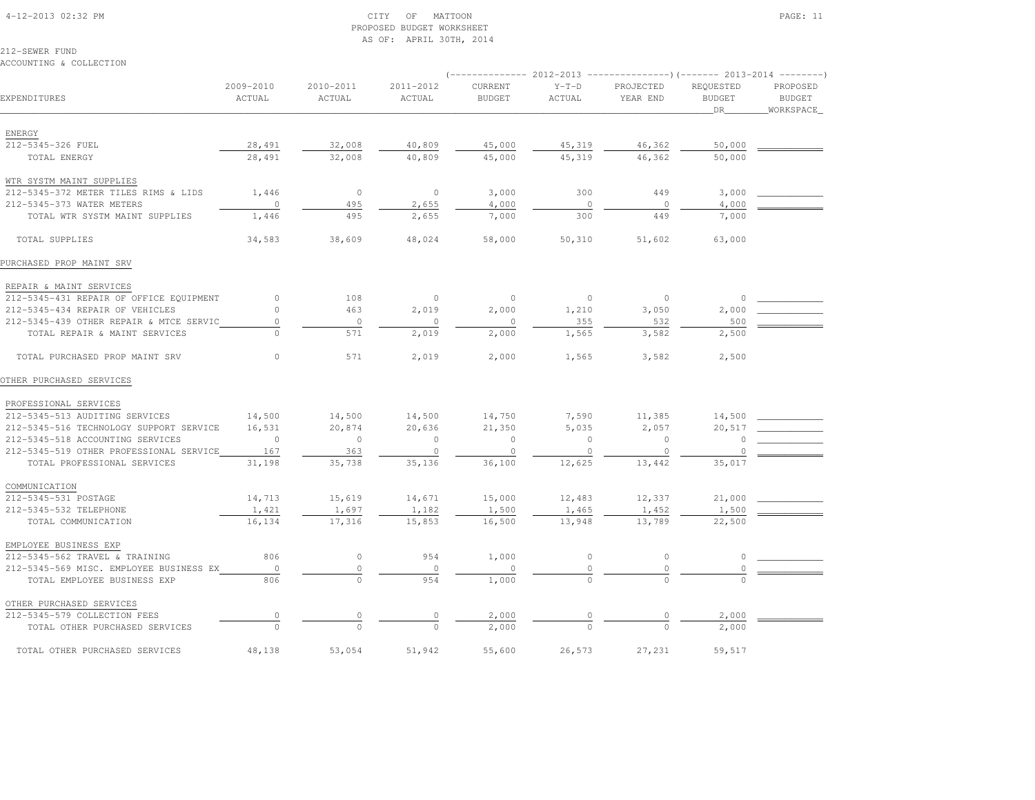#### 4-12-2013 02:32 PM CITY OF MATTOON PAGE: 11 PROPOSED BUDGET WORKSHEETAS OF: APRIL 30TH, 2014

212-SEWER FUNDACCOUNTING & COLLECTION

# (-------------- 2012-2013 ---------------)(------- 2013-2014 --------) 2009-2010 2010-2011 2011-2012 CURRENT Y-T-D PROJECTED REQUESTED PROPOSED**BUDGET** EXPENDITURES ACTUAL ACTUAL ACTUAL BUDGET ACTUAL YEAR END BUDGET BUDGETWORKSPACE \_\_\_\_\_\_\_\_\_\_\_\_\_\_\_\_\_\_\_\_\_\_\_\_\_\_\_\_\_\_\_\_\_\_\_\_\_\_\_\_\_\_\_\_\_\_\_\_\_\_\_\_\_\_\_\_\_\_\_\_\_\_\_\_\_\_\_\_\_\_\_\_\_\_\_\_\_\_\_\_\_\_\_\_\_\_\_\_\_\_\_\_\_\_\_\_\_\_\_\_\_\_\_\_\_\_\_\_\_\_\_\_\_\_\_\_\_\_\_\_\_\_\_\_\_\_\_\_\_\_DR\_\_\_\_\_\_\_\_WORKSPACE\_ ENERGY212-5345-326 FUEL 212-5345-326 FUEL 28,491 32,008 40,809 45,000 45,319 46,362 50,000 \_\_\_\_\_\_\_\_\_\_\_\_ TOTAL ENERGY 28,491 32,008 40,809 45,000 45,319 46,362 50,000 WTR SYSTM MAINT SUPPLIES212-5345-372 METER TILES RIMS & LIDS 1,446 0 0 3,000 3,000 300 449 3,000 \_\_\_\_\_\_\_\_\_\_\_\_\_\_ 212–5345–373 WATER METERS 0 495 2,655 4,000 0 0 4,000 TOTAL WTR SYSTM MAINT SUPPLIES 1,446 495 2,655 7,000 300 449 7,000 TOTAL SUPPLIES 34,583 38,609 48,024 58,000 50,310 51,602 63,000PURCHASED PROP MAINT SRV REPAIR & MAINT SERVICES 212-5345-431 REPAIR OF OFFICE EQUIPMENT 0 108 0 0 0 0 0 \_\_\_\_\_\_\_\_\_\_\_\_212-5345-434 REPAIR OF VEHICLES  $\begin{array}{cccc} 0 & 463 & 2,019 & 2,000 & 1,210 & 3,050 & 2,000 \end{array}$  212-5345-439 OTHER REPAIR & MTCE SERVIC 0 0 0 0 355 532 500 \_\_\_\_\_\_\_\_\_\_\_\_ TOTAL REPAIR & MAINT SERVICES 0 571 2,019 2,000 1,565 3,582 2,500 TOTAL PURCHASED PROP MAINT SRV 0 571 2,019 2,000 1,565 3,582 2,500OTHER PURCHASED SERVICES PROFESSIONAL SERVICES 212-5345-513 AUDITING SERVICES 14,500 14,500 14,500 14,750 7,590 11,385 14,500 \_\_\_\_\_\_\_\_\_\_\_\_ 212-5345-516 TECHNOLOGY SUPPORT SERVICE 16,531 20,874 20,636 21,350 5,035 2,057 20,517 \_\_\_\_\_\_\_\_\_\_\_\_ 212-5345-518 ACCOUNTING SERVICES 0 0 0 0 0 0 0 \_\_\_\_\_\_\_\_\_\_\_\_ 212-5345-519 OTHER PROFESSIONAL SERVICE 167 363 0 0 0 0 0 \_\_\_\_\_\_\_\_\_\_\_\_TOTAL PROFESSIONAL SERVICES 31,198 35,738 35,136 36,100 12,625 13,442 35,017 COMMUNICATION 212-5345-531 POSTAGE 14,713 15,619 14,671 15,000 12,483 12,337 21,000 \_\_\_\_\_\_\_\_\_\_\_\_212-5345-532 TELEPHONE 1,421 1,697 1,182 1,500 1,465 1,452 1,500 TOTAL COMMUNICATION 16,134 17,316 15,853 16,500 13,948 13,789 22,500 EMPLOYEE BUSINESS EXP 212-5345-562 TRAVEL & TRAINING 806 0 954 1,000 0 0 0 \_\_\_\_\_\_\_\_\_\_\_\_ 212-5345-569 MISC. EMPLOYEE BUSINESS EX 0 0 0 0 0 0 0 \_\_\_\_\_\_\_\_\_\_\_\_TOTAL EMPLOYEE BUSINESS EXP  $\overline{806}$   $\overline{0}$  0  $\overline{954}$   $\overline{954}$  1,000 OTHER PURCHASED SERVICES 212-5345-579 COLLECTION FEES 0 0 0 2,000 0 0 2,000 \_\_\_\_\_\_\_\_\_\_\_\_ $-5345-579$  COLLECTION FEES  $-0$   $-0$   $-0$   $-2,000$   $-0$   $-2,000$   $0$   $-0$   $-0$   $-2,000$

TOTAL OTHER PURCHASED SERVICES 48,138 53,054 51,942 55,600 26,573 27,231 59,517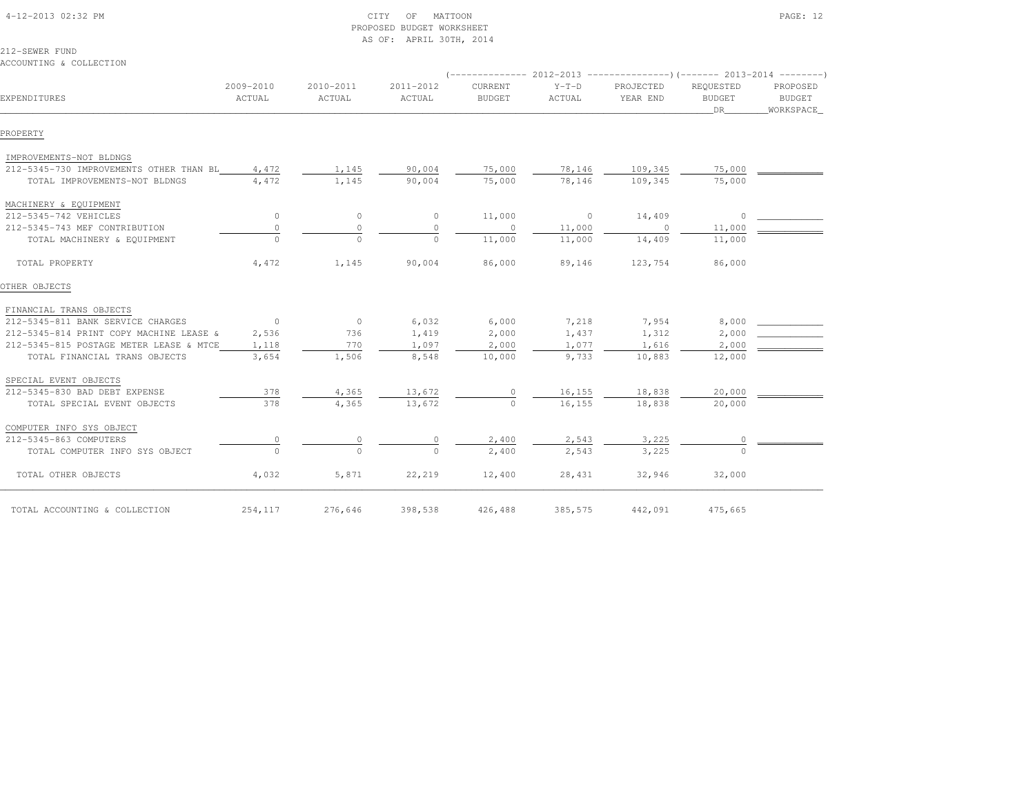# PROPOSED BUDGET WORKSHEETAS OF: APRIL 30TH, 2014

212-SEWER FUNDACCOUNTING & COLLECTION

| EXPENDITURES                                  | 2009-2010<br>ACTUAL                        | 2010-2011<br>ACTUAL | 2011-2012<br>ACTUAL | CURRENT<br><b>BUDGET</b> | $Y-T-D$<br>ACTUAL | PROJECTED<br>YEAR END | REQUESTED<br><b>BUDGET</b><br>DR | PROPOSED<br>BUDGET<br>WORKSPACE |
|-----------------------------------------------|--------------------------------------------|---------------------|---------------------|--------------------------|-------------------|-----------------------|----------------------------------|---------------------------------|
| PROPERTY                                      |                                            |                     |                     |                          |                   |                       |                                  |                                 |
| IMPROVEMENTS-NOT BLDNGS                       |                                            |                     |                     |                          |                   |                       |                                  |                                 |
| 212-5345-730 IMPROVEMENTS OTHER THAN BL 4,472 |                                            | 1,145               | 90,004              | 75,000                   | 78,146            | 109,345               | 75,000                           |                                 |
| TOTAL IMPROVEMENTS-NOT BLDNGS                 | 4,472                                      | 1,145               | 90,004              | 75,000                   | 78,146            | 109,345               | 75,000                           |                                 |
| MACHINERY & EQUIPMENT                         |                                            |                     |                     |                          |                   |                       |                                  |                                 |
| 212-5345-742 VEHICLES                         | $\circ$                                    | $\circ$             | $\overline{0}$      | 11,000                   | $\sim$ 0          | 14,409                | $\Omega$                         |                                 |
| 212-5345-743 MEF CONTRIBUTION                 | $\circ$                                    | $\circ$             | $\Omega$            | $\sim$ 0                 | 11,000            | $\sim$ 0              | 11,000                           |                                 |
| TOTAL MACHINERY & EQUIPMENT                   | $\Omega$                                   | $\Omega$            | $\bigcap$           | 11,000                   | 11,000            | 14,409                | 11,000                           |                                 |
| TOTAL PROPERTY                                | 4,472                                      | 1,145               | 90,004              | 86,000                   | 89,146            | 123,754               | 86,000                           |                                 |
| OTHER OBJECTS                                 |                                            |                     |                     |                          |                   |                       |                                  |                                 |
| FINANCIAL TRANS OBJECTS                       |                                            |                     |                     |                          |                   |                       |                                  |                                 |
| 212-5345-811 BANK SERVICE CHARGES             | $\sim$ 0 $\sim$ 0 $\sim$ 0 $\sim$ 0 $\sim$ | $\overline{0}$      | 6,032               | 6,000                    | 7,218             | 7,954                 | 8,000                            |                                 |
| 212-5345-814 PRINT COPY MACHINE LEASE &       | 2,536                                      | 736                 | 1,419               | 2,000                    | 1,437             | 1,312                 | 2,000                            |                                 |
| 212-5345-815 POSTAGE METER LEASE & MTCE       | 1,118                                      | 770                 | 1,097               | 2,000                    | 1,077             | 1,616                 | 2,000                            |                                 |
| TOTAL FINANCIAL TRANS OBJECTS                 | 3,654                                      | 1,506               | 8,548               | 10,000                   | 9,733             | 10,883                | 12,000                           |                                 |
| SPECIAL EVENT OBJECTS                         |                                            |                     |                     |                          |                   |                       |                                  |                                 |
| 212-5345-830 BAD DEBT EXPENSE                 | 378                                        | 4,365               | 13,672              | 0                        | 16,155            | 18,838                | 20,000                           |                                 |
| TOTAL SPECIAL EVENT OBJECTS                   | 378                                        | 4,365               | 13,672              | $\Omega$                 | 16,155            | 18,838                | 20,000                           |                                 |
| COMPUTER INFO SYS OBJECT                      |                                            |                     |                     |                          |                   |                       |                                  |                                 |
| 212-5345-863 COMPUTERS                        |                                            | $\circ$             |                     | 2,400                    | 2,543             | 3,225                 | $\circ$                          |                                 |
| TOTAL COMPUTER INFO SYS OBJECT                | $\Omega$                                   | $\Omega$            | $\Omega$            | 2,400                    | 2,543             | 3,225                 | $\Omega$                         |                                 |
| TOTAL OTHER OBJECTS                           | 4,032                                      | 5,871               | 22,219              | 12,400                   | 28,431            | 32,946                | 32,000                           |                                 |
| TOTAL ACCOUNTING & COLLECTION                 | 254,117                                    | 276,646             | 398,538             | 426,488                  | 385,575           | 442,091               | 475,665                          |                                 |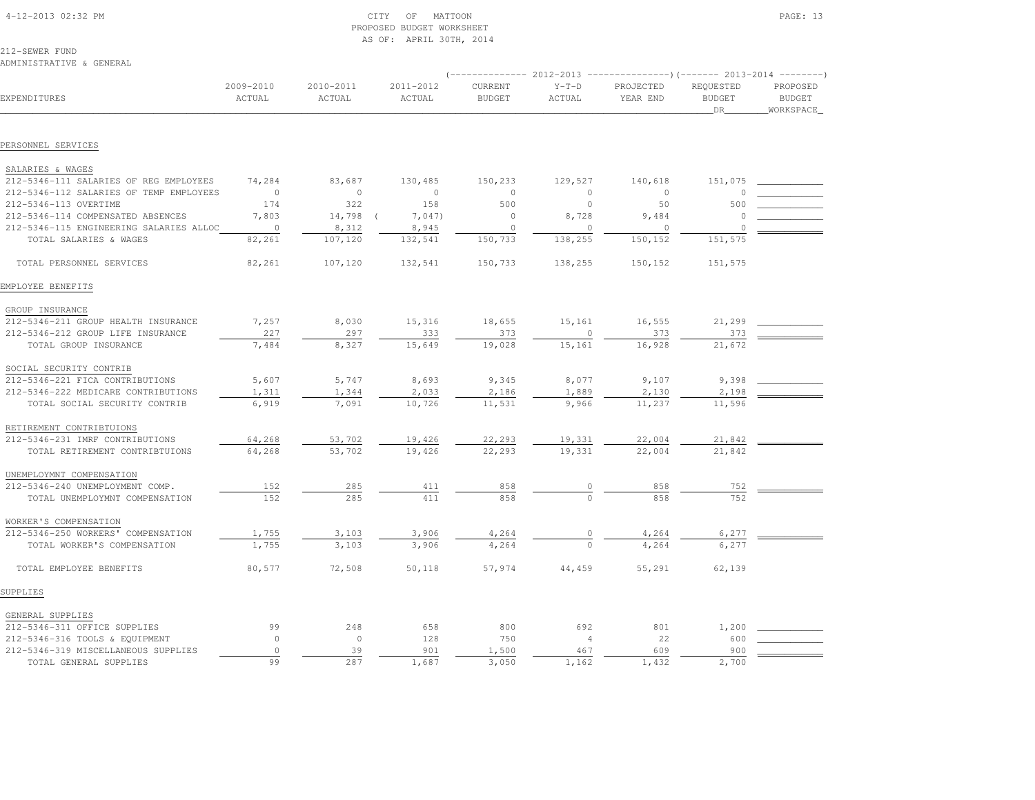| 4-12-2013 02:32 PM |
|--------------------|

# $\text{CITY}$  of MATTOON PAGE: 13 PROPOSED BUDGET WORKSHEETAS OF: APRIL 30TH, 2014

212-SEWER FUND

### ADMINISTRATIVE & GENERAL

|                                         |                     |                     |                     | ----------- 2012-2013    |                   | ----------------) (------- 2013-2014 ---------) |                                   |                                        |
|-----------------------------------------|---------------------|---------------------|---------------------|--------------------------|-------------------|-------------------------------------------------|-----------------------------------|----------------------------------------|
| EXPENDITURES                            | 2009-2010<br>ACTUAL | 2010-2011<br>ACTUAL | 2011-2012<br>ACTUAL | CURRENT<br><b>BUDGET</b> | $Y-T-D$<br>ACTUAL | PROJECTED<br>YEAR END                           | REQUESTED<br><b>BUDGET</b><br>DR. | PROPOSED<br><b>BUDGET</b><br>WORKSPACE |
|                                         |                     |                     |                     |                          |                   |                                                 |                                   |                                        |
| PERSONNEL SERVICES                      |                     |                     |                     |                          |                   |                                                 |                                   |                                        |
| SALARIES & WAGES                        |                     |                     |                     |                          |                   |                                                 |                                   |                                        |
| 212-5346-111 SALARIES OF REG EMPLOYEES  | 74,284              | 83,687              | 130,485             | 150,233                  | 129,527           | 140,618                                         | 151,075                           |                                        |
| 212-5346-112 SALARIES OF TEMP EMPLOYEES | $\overline{0}$      | $\circ$             | $\circ$             | $\circ$                  | $\circ$           | $\circ$                                         | 0                                 |                                        |
| 212-5346-113 OVERTIME                   | 174                 | 322                 | 158                 | 500                      | $\circ$           | 50                                              | 500                               |                                        |
| 212-5346-114 COMPENSATED ABSENCES       | 7,803               | 14,798 (            | 7,047               | $\circ$                  | 8,728             | 9,484                                           | 0                                 |                                        |
| 212-5346-115 ENGINEERING SALARIES ALLOC | $\sim$ 0            | 8,312               | 8,945               | $\circ$                  | $\mathbf{0}$      | $\circ$                                         | U                                 |                                        |
| TOTAL SALARIES & WAGES                  | 82,261              | 107,120             | 132,541             | 150,733                  | 138,255           | 150,152                                         | 151,575                           |                                        |
| TOTAL PERSONNEL SERVICES                | 82,261              | 107,120             | 132,541             | 150,733                  | 138,255           | 150,152                                         | 151,575                           |                                        |
| EMPLOYEE BENEFITS                       |                     |                     |                     |                          |                   |                                                 |                                   |                                        |
| GROUP INSURANCE                         |                     |                     |                     |                          |                   |                                                 |                                   |                                        |
| 212-5346-211 GROUP HEALTH INSURANCE     | 7,257               | 8,030               | 15,316              | 18,655                   | 15,161            | 16,555                                          | 21,299                            |                                        |
| 212-5346-212 GROUP LIFE INSURANCE       | 227                 | 297                 | 333                 | 373                      | 0                 | 373                                             | 373                               |                                        |
| TOTAL GROUP INSURANCE                   | 7,484               | 8,327               | 15,649              | 19,028                   | 15,161            | 16,928                                          | 21,672                            |                                        |
| SOCIAL SECURITY CONTRIB                 |                     |                     |                     |                          |                   |                                                 |                                   |                                        |
| 212-5346-221 FICA CONTRIBUTIONS         | 5,607               | 5,747               | 8,693               | 9,345                    | 8,077             | 9,107                                           | 9,398                             |                                        |
| 212-5346-222 MEDICARE CONTRIBUTIONS     | 1,311               | 1,344               | 2,033               | 2,186                    | 1,889             | 2,130                                           | 2,198                             |                                        |
| TOTAL SOCIAL SECURITY CONTRIB           | 6,919               | 7,091               | 10,726              | 11,531                   | 9,966             | 11,237                                          | 11,596                            |                                        |
| RETIREMENT CONTRIBTUIONS                |                     |                     |                     |                          |                   |                                                 |                                   |                                        |
| 212-5346-231 IMRF CONTRIBUTIONS         | 64,268              | 53,702              | 19,426              | 22,293                   | 19,331            | 22,004                                          | 21,842                            |                                        |
| TOTAL RETIREMENT CONTRIBTUIONS          | 64,268              | 53,702              | 19,426              | 22,293                   | 19,331            | 22,004                                          | 21,842                            |                                        |
| UNEMPLOYMNT COMPENSATION                |                     |                     |                     |                          |                   |                                                 |                                   |                                        |
| 212-5346-240 UNEMPLOYMENT COMP.         | 152                 | 285                 | 411                 | 858                      |                   | 858                                             | 752                               |                                        |
| TOTAL UNEMPLOYMNT COMPENSATION          | 152                 | 285                 | 411                 | 858                      |                   | 858                                             | 752                               |                                        |
| WORKER'S COMPENSATION                   |                     |                     |                     |                          |                   |                                                 |                                   |                                        |
| 212-5346-250 WORKERS' COMPENSATION      | 1,755               | 3,103               | 3,906               | 4,264                    |                   | 4,264                                           | 6,277                             |                                        |
| TOTAL WORKER'S COMPENSATION             | 1,755               | 3,103               | 3,906               | 4,264                    |                   | 4,264                                           | 6,277                             |                                        |
| TOTAL EMPLOYEE BENEFITS                 | 80,577              | 72,508              | 50,118              | 57,974                   | 44,459            | 55,291                                          | 62,139                            |                                        |
| SUPPLIES                                |                     |                     |                     |                          |                   |                                                 |                                   |                                        |
| GENERAL SUPPLIES                        |                     |                     |                     |                          |                   |                                                 |                                   |                                        |
| 212-5346-311 OFFICE SUPPLIES            | 99                  | 248                 | 658                 | 800                      | 692               | 801                                             | 1,200                             |                                        |
| 212-5346-316 TOOLS & EQUIPMENT          | $\Omega$            | $\circ$             | 128                 | 750                      | $\overline{4}$    | 22                                              | 600                               |                                        |
| 212-5346-319 MISCELLANEOUS SUPPLIES     | $\circ$             | 39                  | 901                 | 1,500                    | 467               | 609                                             | 900                               |                                        |
| TOTAL GENERAL SUPPLIES                  | 99                  | 287                 | 1,687               | 3,050                    | 1,162             | 1,432                                           | 2,700                             |                                        |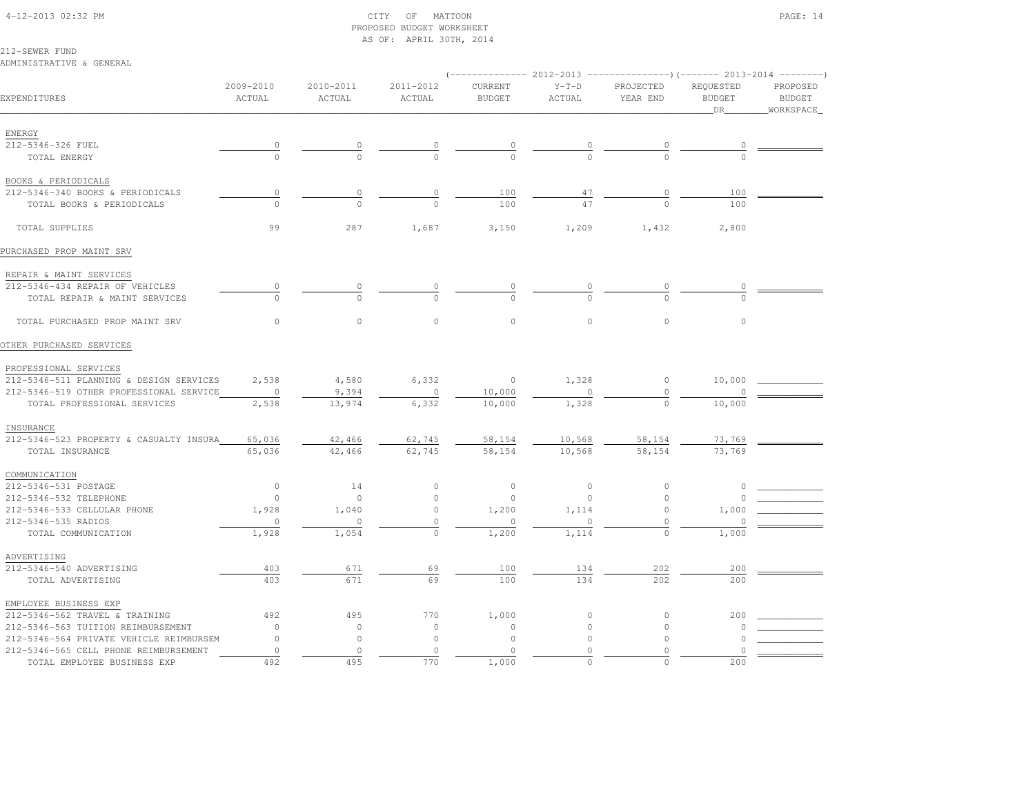# 4-12-2013 02:32 PM CITY OF MATTOON PAGE: 14 PROPOSED BUDGET WORKSHEETAS OF: APRIL 30TH, 2014

212-SEWER FUND

#### ADMINISTRATIVE & GENERAL

|                                         |                                       |                     |                     |                          |                   | (-------------- 2012-2013 ----------------)(------- 2013-2014 --------) |                                  |                                         |
|-----------------------------------------|---------------------------------------|---------------------|---------------------|--------------------------|-------------------|-------------------------------------------------------------------------|----------------------------------|-----------------------------------------|
| EXPENDITURES                            | 2009-2010<br>ACTUAL                   | 2010-2011<br>ACTUAL | 2011-2012<br>ACTUAL | CURRENT<br><b>BUDGET</b> | $Y-T-D$<br>ACTUAL | PROJECTED<br>YEAR END                                                   | REQUESTED<br><b>BUDGET</b><br>DR | PROPOSED<br><b>BUDGET</b><br>WORKSPACE_ |
|                                         |                                       |                     |                     |                          |                   |                                                                         |                                  |                                         |
| ENERGY                                  |                                       |                     |                     |                          |                   |                                                                         |                                  |                                         |
| 212-5346-326 FUEL                       | $\frac{0}{0}$                         |                     | $\frac{0}{0}$       |                          | $\frac{0}{0}$     | $\overline{0}$                                                          | $\overline{0}$                   |                                         |
| TOTAL ENERGY                            |                                       |                     |                     |                          |                   |                                                                         |                                  |                                         |
| BOOKS & PERIODICALS                     |                                       |                     |                     |                          |                   |                                                                         |                                  |                                         |
| 212-5346-340 BOOKS & PERIODICALS        | $\begin{array}{c} 0 \\ 0 \end{array}$ | $\circ$             | 0                   | 100                      | $\frac{47}{47}$   | $\begin{array}{c} 0 \end{array}$                                        | 100                              |                                         |
| TOTAL BOOKS & PERIODICALS               | $\Omega$                              | $\Omega$            | $\Omega$            | 100                      |                   |                                                                         | 100                              |                                         |
| TOTAL SUPPLIES                          | 99                                    | 287                 | 1,687               | 3,150                    | 1,209             | 1,432                                                                   | 2,800                            |                                         |
| PURCHASED PROP MAINT SRV                |                                       |                     |                     |                          |                   |                                                                         |                                  |                                         |
| REPAIR & MAINT SERVICES                 |                                       |                     |                     |                          |                   |                                                                         |                                  |                                         |
| 212-5346-434 REPAIR OF VEHICLES         | 0                                     |                     |                     |                          |                   |                                                                         |                                  |                                         |
| TOTAL REPAIR & MAINT SERVICES           | $\Omega$                              |                     |                     |                          |                   |                                                                         |                                  |                                         |
| TOTAL PURCHASED PROP MAINT SRV          | $\circ$                               | $\circ$             | $\circ$             | $\circ$                  | $\circ$           | $\circ$                                                                 | $\circ$                          |                                         |
| OTHER PURCHASED SERVICES                |                                       |                     |                     |                          |                   |                                                                         |                                  |                                         |
| PROFESSIONAL SERVICES                   |                                       |                     |                     |                          |                   |                                                                         |                                  |                                         |
| 212-5346-511 PLANNING & DESIGN SERVICES | 2,538                                 | 4,580               | 6,332               | $\sim$ 0                 | 1,328             | $\circ$                                                                 | 10,000                           |                                         |
| 212-5346-519 OTHER PROFESSIONAL SERVICE | $\overline{0}$                        | 9,394               | $\circ$             | 10,000                   | $\mathbf{0}$      | $\circ$                                                                 |                                  |                                         |
| TOTAL PROFESSIONAL SERVICES             | 2,538                                 | 13,974              | 6,332               | 10,000                   | 1,328             | $\circ$                                                                 | 10,000                           |                                         |
| INSURANCE                               |                                       |                     |                     |                          |                   |                                                                         |                                  |                                         |
| 212-5346-523 PROPERTY & CASUALTY INSURA | 65,036                                | 42,466              | 62,745              | 58,154                   | 10,568            | 58,154                                                                  | 73,769                           |                                         |
| TOTAL INSURANCE                         | 65,036                                | 42,466              | 62,745              | 58,154                   | 10,568            | 58,154                                                                  | 73,769                           |                                         |
|                                         |                                       |                     |                     |                          |                   |                                                                         |                                  |                                         |
| COMMUNICATION                           |                                       |                     |                     |                          |                   |                                                                         |                                  |                                         |
| 212-5346-531 POSTAGE                    | $\circ$                               | 14                  | $\circ$             | $\circ$                  | $\circ$           | $\circ$                                                                 | $\circ$                          |                                         |
| 212-5346-532 TELEPHONE                  | $\circ$                               | $\circ$             | $\circ$             | $\circ$                  | $\mathbf{0}$      | $\circ$                                                                 |                                  |                                         |
| 212-5346-533 CELLULAR PHONE             | 1,928                                 | 1,040               | $\circ$             | 1,200                    | 1,114             | $\circ$                                                                 | 1,000                            |                                         |
| 212-5346-535 RADIOS                     | $\circ$                               | $\circ$             | $\circ$             | $\Omega$                 | $\circ$           | $\Omega$                                                                | $\cap$                           |                                         |
| TOTAL COMMUNICATION                     | 1,928                                 | 1,054               | $\circ$             | 1,200                    | 1,114             | $\circ$                                                                 | 1,000                            |                                         |
| ADVERTISING                             |                                       |                     |                     |                          |                   |                                                                         |                                  |                                         |
| 212-5346-540 ADVERTISING                | 403                                   | 671                 | 69                  | 100                      | 134               | 202                                                                     | 200                              |                                         |
| TOTAL ADVERTISING                       | 403                                   | 671                 | 69                  | 100                      | 134               | 202                                                                     | 200                              |                                         |
| EMPLOYEE BUSINESS EXP                   |                                       |                     |                     |                          |                   |                                                                         |                                  |                                         |
| 212-5346-562 TRAVEL & TRAINING          | 492                                   | 495                 | 770                 | 1,000                    | $\circ$           | $\circ$                                                                 | 200                              |                                         |
| 212-5346-563 TUITION REIMBURSEMENT      | $\circ$                               | $\circ$             | $\circ$             | $\circ$                  | $\circ$           | 0                                                                       | <sup>o</sup>                     |                                         |
| 212-5346-564 PRIVATE VEHICLE REIMBURSEM | $\Omega$                              | $\circ$             | $\circ$             | $\circ$                  | $\circ$           | $\Omega$                                                                |                                  |                                         |
| 212-5346-565 CELL PHONE REIMBURSEMENT   | $\circ$                               | $\circ$             | $\circ$             | $\circ$                  | $\Omega$          | $\circ$                                                                 |                                  |                                         |
| TOTAL EMPLOYEE BUSINESS EXP             | 492                                   | 495                 | 770                 | 1,000                    | $\Omega$          |                                                                         | 200                              |                                         |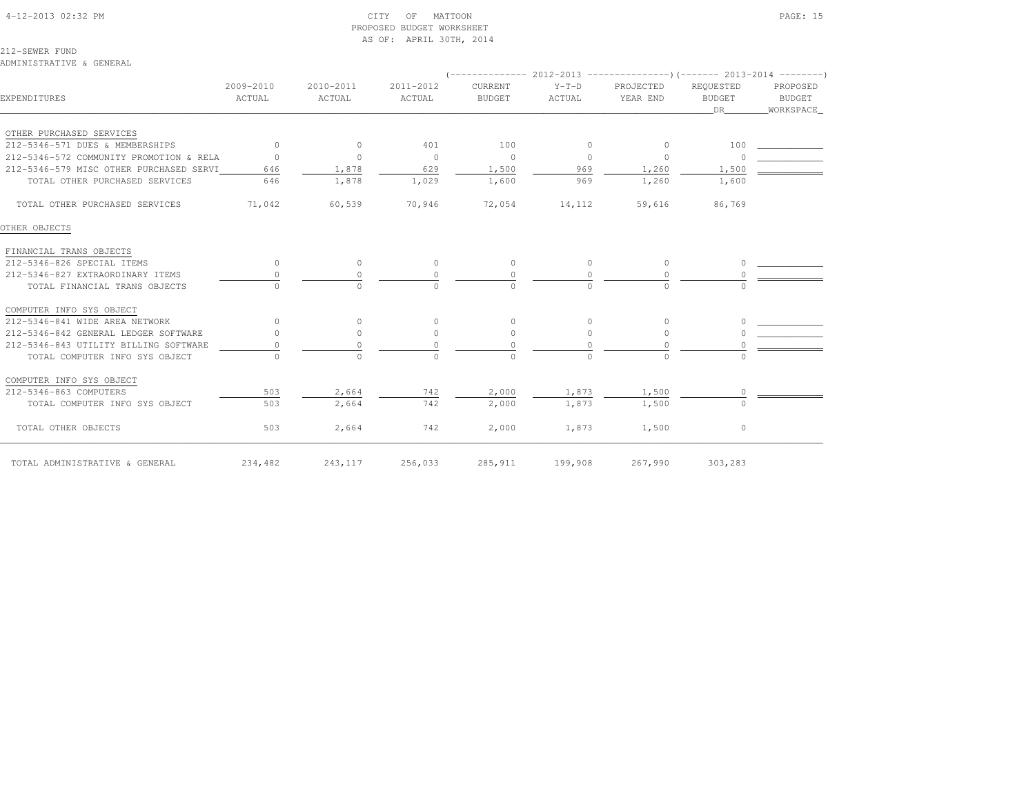| 4-12-2013 02:32 PM |  |  |
|--------------------|--|--|

# $\text{CITY}$  of MATTOON PAGE: 15 PROPOSED BUDGET WORKSHEETAS OF: APRIL 30TH, 2014

212-SEWER FUND

ADMINISTRATIVE & GENERAL

|                                         |            |           |                |               |                | (-------------- 2012-2013 ----------------) (------- 2013-2014 ---------) |               |           |
|-----------------------------------------|------------|-----------|----------------|---------------|----------------|---------------------------------------------------------------------------|---------------|-----------|
|                                         | 2009-2010  | 2010-2011 | 2011-2012      | CURRENT       | $Y-T-D$        | PROJECTED                                                                 | REQUESTED     | PROPOSED  |
| EXPENDITURES                            | ACTUAL     | ACTUAL    | ACTUAL         | <b>BUDGET</b> | ACTUAL         | YEAR END                                                                  | <b>BUDGET</b> | BUDGET    |
|                                         |            |           |                |               |                |                                                                           | DR 1          | WORKSPACE |
| OTHER PURCHASED SERVICES                |            |           |                |               |                |                                                                           |               |           |
| 212-5346-571 DUES & MEMBERSHIPS         | $\Omega$   | $\circ$   | 401            | 100           | $\overline{0}$ | $\circ$                                                                   | 100           |           |
| 212-5346-572 COMMUNITY PROMOTION & RELA | $\bigcirc$ | $\circ$   | $\overline{0}$ | $\sim$ 0      | $\overline{0}$ | $\circ$                                                                   |               |           |
| 212-5346-579 MISC OTHER PURCHASED SERVI | 646        | 1,878     | 629            | 1,500         | 969            | 1,260                                                                     | 1,500         |           |
| TOTAL OTHER PURCHASED SERVICES          | 646        | 1,878     | 1,029          | 1,600         | 969            | 1,260                                                                     | 1,600         |           |
| TOTAL OTHER PURCHASED SERVICES          | 71,042     | 60,539    | 70,946         | 72,054 14,112 |                | 59,616                                                                    | 86,769        |           |
| OTHER OBJECTS                           |            |           |                |               |                |                                                                           |               |           |
| FINANCIAL TRANS OBJECTS                 |            |           |                |               |                |                                                                           |               |           |
| 212-5346-826 SPECIAL ITEMS              | $\circ$    | $\circ$   | $\circ$        | $\circ$       | $\circ$        | $\circ$                                                                   | $\Omega$      |           |
| 212-5346-827 EXTRAORDINARY ITEMS        |            | $\circ$   |                |               |                | $\Omega$                                                                  |               |           |
| TOTAL FINANCIAL TRANS OBJECTS           |            | $\cap$    | $\cap$         | $\Omega$      | $\Omega$       | $\cap$                                                                    |               |           |
| COMPUTER INFO SYS OBJECT                |            |           |                |               |                |                                                                           |               |           |
| 212-5346-841 WIDE AREA NETWORK          | $\Omega$   | $\Omega$  | $\Omega$       | $\Omega$      | $\Omega$       | $\Omega$                                                                  |               |           |
| 212-5346-842 GENERAL LEDGER SOFTWARE    | $\circ$    | $\circ$   | $\circ$        | $\circ$       | $\mathbf{0}$   | $\circ$                                                                   |               |           |
| 212-5346-843 UTILITY BILLING SOFTWARE   |            |           |                |               |                | $\cap$                                                                    |               |           |
| TOTAL COMPUTER INFO SYS OBJECT          |            | $\Omega$  | $\Omega$       | $\Omega$      | $\Omega$       | $\Omega$                                                                  |               |           |
| COMPUTER INFO SYS OBJECT                |            |           |                |               |                |                                                                           |               |           |
| 212-5346-863 COMPUTERS                  | 503        | 2,664     | 742            | 2,000         | 1,873          | 1,500                                                                     | 0             |           |
| TOTAL COMPUTER INFO SYS OBJECT          | 503        | 2,664     | 742            | 2,000         | 1,873          | 1,500                                                                     | $\cap$        |           |
| TOTAL OTHER OBJECTS                     | 503        | 2,664     | 742            | 2,000         | 1,873          | 1,500                                                                     | $\circ$       |           |
| TOTAL ADMINISTRATIVE & GENERAL          | 234,482    | 243,117   | 256,033        | 285,911       | 199,908        | 267,990                                                                   | 303,283       |           |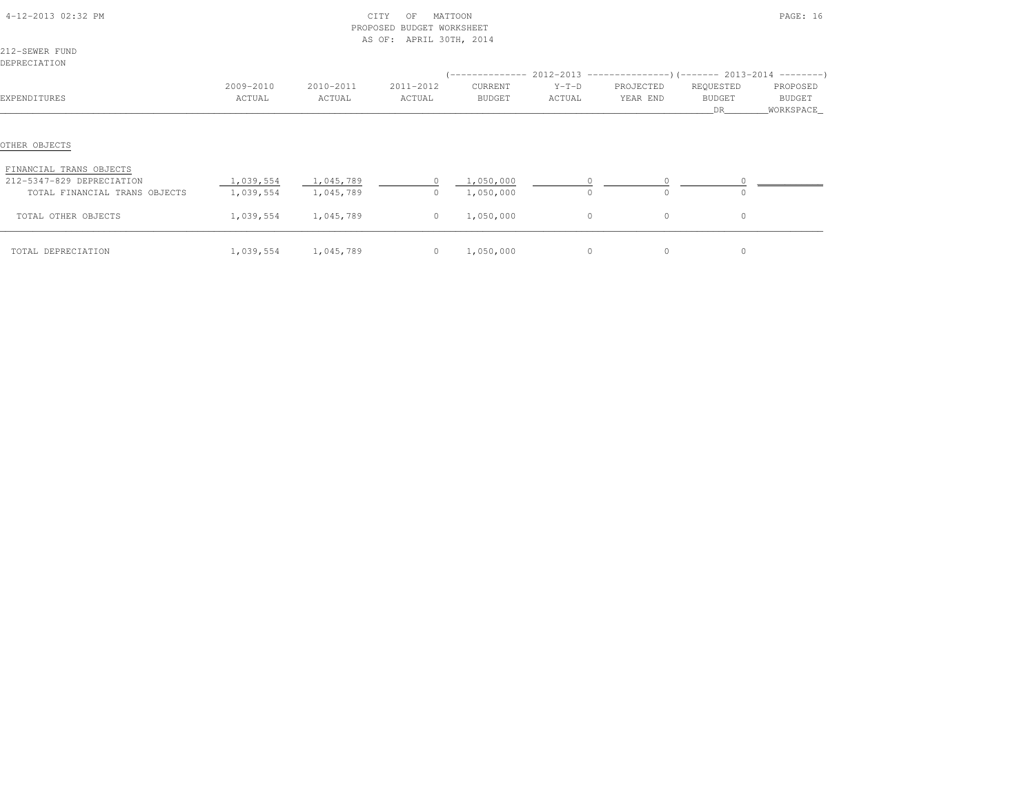| 4-12-2013 02:32 PM                                         |                        | PROPOSED               | CITY<br>OF<br><b>BUDGET WORKSHEET</b><br>AS OF: APRIL 30TH, 2014 | MATTOON                |                   |                       |                           | PAGE: 16                          |
|------------------------------------------------------------|------------------------|------------------------|------------------------------------------------------------------|------------------------|-------------------|-----------------------|---------------------------|-----------------------------------|
| 212-SEWER FUND<br>DEPRECIATION                             |                        |                        |                                                                  |                        |                   |                       |                           |                                   |
| EXPENDITURES                                               | 2009-2010<br>ACTUAL    | 2010-2011<br>ACTUAL    | 2011-2012<br>ACTUAL                                              | CURRENT<br>BUDGET      | $Y-T-D$<br>ACTUAL | PROJECTED<br>YEAR END | REQUESTED<br>BUDGET<br>DR | PROPOSED<br>BUDGET<br>_WORKSPACE_ |
| OTHER OBJECTS                                              |                        |                        |                                                                  |                        |                   |                       |                           |                                   |
| FINANCIAL TRANS OBJECTS                                    |                        |                        |                                                                  |                        |                   |                       |                           |                                   |
| 212-5347-829 DEPRECIATION<br>TOTAL FINANCIAL TRANS OBJECTS | 1,039,554<br>1,039,554 | 1,045,789<br>1,045,789 | $\circ$<br>$\circ$                                               | 1,050,000<br>1,050,000 | $\circ$           | $\Omega$              |                           |                                   |
| TOTAL OTHER OBJECTS                                        | 1,039,554              | 1,045,789              | $\circ$                                                          | 1,050,000              | $\circ$           | $\circ$               | $\circ$                   |                                   |
| TOTAL DEPRECIATION                                         | 1,039,554              | 1,045,789              |                                                                  | $0 \qquad 1,050,000$   | $\circ$           | $\circ$               | $\circ$                   |                                   |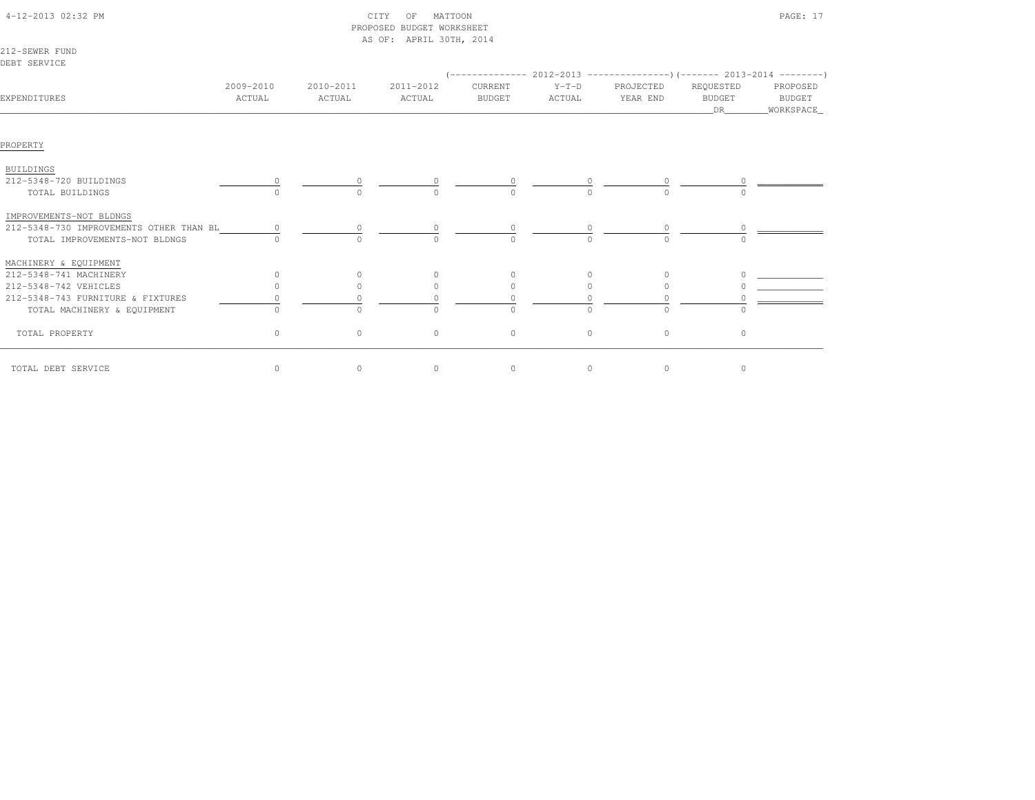|                                         |                     |                     | PROPOSED BUDGET WORKSHEET<br>AS OF: APRIL 30TH, 2014 |                          |                   |                                                                                                       |                                  |                                          |
|-----------------------------------------|---------------------|---------------------|------------------------------------------------------|--------------------------|-------------------|-------------------------------------------------------------------------------------------------------|----------------------------------|------------------------------------------|
| 212-SEWER FUND<br>DEBT SERVICE          |                     |                     |                                                      |                          |                   |                                                                                                       |                                  |                                          |
| EXPENDITURES                            | 2009-2010<br>ACTUAL | 2010-2011<br>ACTUAL | 2011-2012<br>ACTUAL                                  | CURRENT<br><b>BUDGET</b> | $Y-T-D$<br>ACTUAL | $($ -------------- 2012-2013 ----------------) (------- 2013-2014 ---------)<br>PROJECTED<br>YEAR END | REQUESTED<br><b>BUDGET</b><br>DR | PROPOSED<br><b>BUDGET</b><br>_WORKSPACE_ |
| PROPERTY                                |                     |                     |                                                      |                          |                   |                                                                                                       |                                  |                                          |
| <b>BUILDINGS</b>                        |                     |                     |                                                      |                          |                   |                                                                                                       |                                  |                                          |
| 212-5348-720 BUILDINGS                  |                     |                     |                                                      |                          |                   |                                                                                                       |                                  |                                          |
| TOTAL BUILDINGS                         |                     | $\bigcap$           | $\cap$                                               | $\Omega$                 | $\cap$            | $\cap$                                                                                                |                                  |                                          |
| IMPROVEMENTS-NOT BLDNGS                 |                     |                     |                                                      |                          |                   |                                                                                                       |                                  |                                          |
| 212-5348-730 IMPROVEMENTS OTHER THAN BL |                     |                     |                                                      |                          |                   |                                                                                                       |                                  |                                          |
| TOTAL IMPROVEMENTS-NOT BLDNGS           |                     | $\bigcap$           | $\bigcap$                                            | $\Omega$                 | $\Omega$          | $\cap$                                                                                                |                                  |                                          |
| MACHINERY & EQUIPMENT                   |                     |                     |                                                      |                          |                   |                                                                                                       |                                  |                                          |
| 212-5348-741 MACHINERY                  | $\Omega$            | $\Omega$            | $\circ$                                              | $\circ$                  | 0                 | $\Omega$                                                                                              |                                  |                                          |
| 212-5348-742 VEHICLES                   | $\cap$              | $\Omega$            | $\Omega$                                             | $\mathbf{0}$             | $\Omega$          | $\Omega$                                                                                              |                                  |                                          |
| 212-5348-743 FURNITURE & FIXTURES       |                     |                     |                                                      |                          |                   |                                                                                                       |                                  |                                          |
| TOTAL MACHINERY & EQUIPMENT             |                     | $\Omega$            | $\Omega$                                             | $\Omega$                 |                   | $\Omega$                                                                                              |                                  |                                          |
| TOTAL PROPERTY                          | $\Omega$            | $\circ$             | $\circ$                                              | $\mathbf{0}$             | $\Omega$          | $\circ$                                                                                               | $\Omega$                         |                                          |
| TOTAL DEBT SERVICE                      | $\circ$             | $\circ$             | $\circ$                                              | $\circ$                  | $\circ$           | 0                                                                                                     | 0                                |                                          |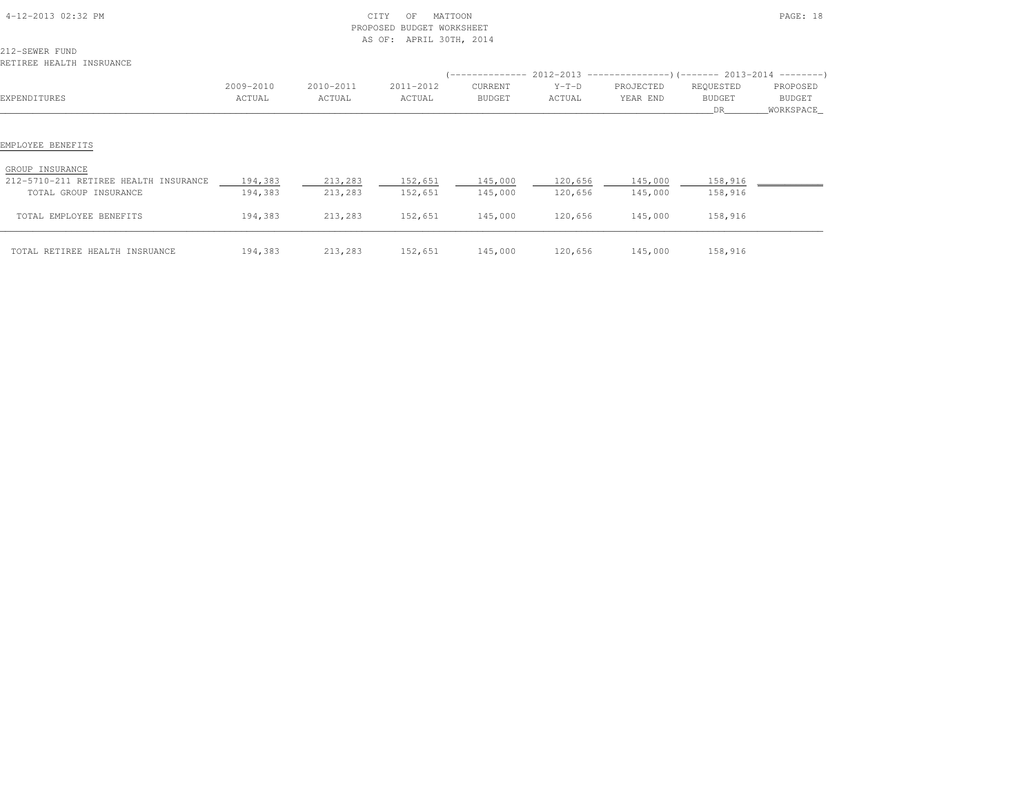| 4-12-2013 02:32 PM                                       |                     | PROPOSED            | CITY<br>MATTOON<br>OF<br><b>BUDGET WORKSHEET</b><br>AS OF: APRIL 30TH, 2014 |                   |                   |                                                                                               |                     | PAGE: 18           |
|----------------------------------------------------------|---------------------|---------------------|-----------------------------------------------------------------------------|-------------------|-------------------|-----------------------------------------------------------------------------------------------|---------------------|--------------------|
| 212-SEWER FUND<br>RETIREE HEALTH INSRUANCE               |                     |                     |                                                                             |                   |                   |                                                                                               |                     |                    |
| EXPENDITURES                                             | 2009-2010<br>ACTUAL | 2010-2011<br>ACTUAL | 2011-2012<br>ACTUAL                                                         | CURRENT<br>BUDGET | $Y-T-D$<br>ACTUAL | $(---------- 2012-2013$ ---------------) (------- 2013-2014 -------)<br>PROJECTED<br>YEAR END | REQUESTED<br>BUDGET | PROPOSED<br>BUDGET |
| EMPLOYEE BENEFITS                                        |                     |                     |                                                                             |                   |                   |                                                                                               | DR                  | WORKSPACE          |
| GROUP INSURANCE<br>212-5710-211 RETIREE HEALTH INSURANCE | 194,383             | 213,283             | 152,651                                                                     | 145,000           | 120,656           | 145,000                                                                                       | 158,916             |                    |
| TOTAL GROUP INSURANCE                                    | 194,383             | 213,283             | 152,651                                                                     | 145,000           | 120,656           | 145,000                                                                                       | 158,916             |                    |
| TOTAL EMPLOYEE BENEFITS                                  | 194,383             | 213,283             | 152,651                                                                     | 145,000           | 120,656           | 145,000                                                                                       | 158,916             |                    |
| TOTAL RETIREE HEALTH INSRUANCE                           | 194,383             | 213,283             | 152,651                                                                     | 145,000           | 120,656           | 145,000                                                                                       | 158,916             |                    |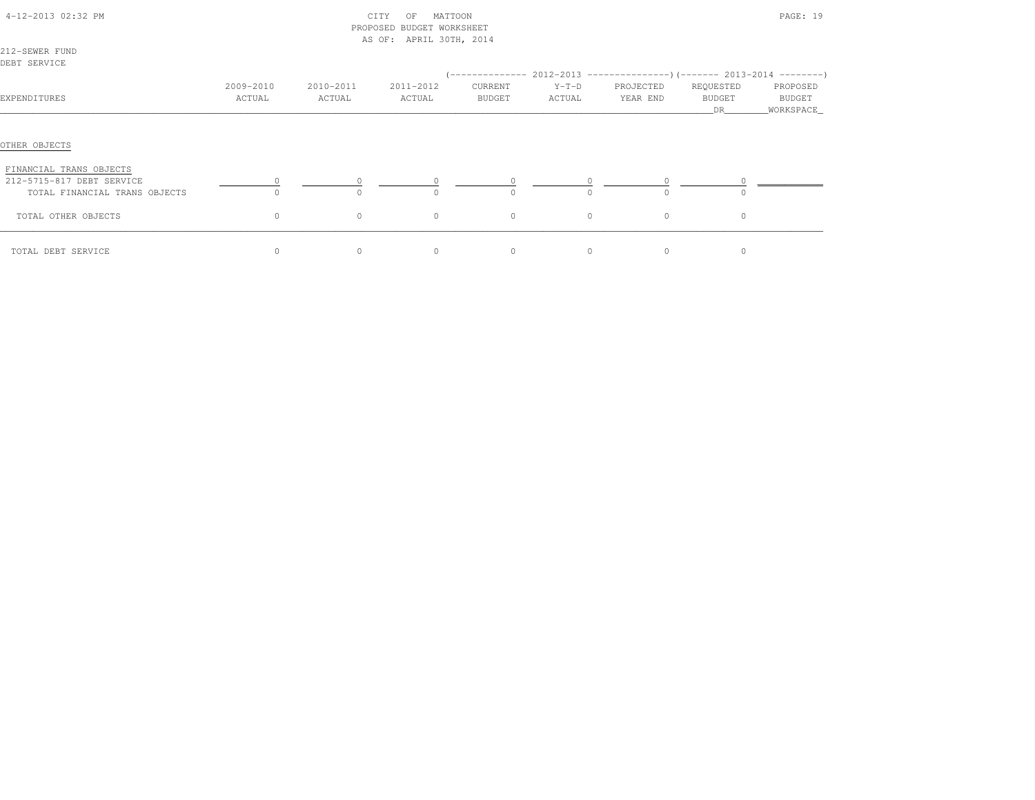| 4-12-2013 02:32 PM                                                                    |                     |                     | CITY<br>MATTOON<br>OF<br>PROPOSED BUDGET WORKSHEET<br>AS OF: APRIL 30TH, 2014 |                   |                   |                                                                                                        |                                  | PAGE: 19                         |
|---------------------------------------------------------------------------------------|---------------------|---------------------|-------------------------------------------------------------------------------|-------------------|-------------------|--------------------------------------------------------------------------------------------------------|----------------------------------|----------------------------------|
| 212-SEWER FUND<br>DEBT SERVICE                                                        |                     |                     |                                                                               |                   |                   |                                                                                                        |                                  |                                  |
| EXPENDITURES                                                                          | 2009-2010<br>ACTUAL | 2010-2011<br>ACTUAL | 2011-2012<br>ACTUAL                                                           | CURRENT<br>BUDGET | $Y-T-D$<br>ACTUAL | $(-$ ------------- 2012-2013 -----------------) (------- 2013-2014 ---------)<br>PROJECTED<br>YEAR END | REQUESTED<br><b>BUDGET</b><br>DR | PROPOSED<br>BUDGET<br>WORKSPACE_ |
| OTHER OBJECTS                                                                         |                     |                     |                                                                               |                   |                   |                                                                                                        |                                  |                                  |
| FINANCIAL TRANS OBJECTS<br>212-5715-817 DEBT SERVICE<br>TOTAL FINANCIAL TRANS OBJECTS | $\Omega$            | $\Omega$            | $\Omega$                                                                      | $\Omega$          | $\Omega$          | $\Omega$                                                                                               |                                  |                                  |
| TOTAL OTHER OBJECTS                                                                   | 0                   | $\circ$             | $\circ$                                                                       | $\circ$           | $\circ$           | $\circ$                                                                                                | $\circ$                          |                                  |
| TOTAL DEBT SERVICE                                                                    | 0                   | $\circ$             | $\circ$                                                                       | $\circ$           | $\circ$           | $\circ$                                                                                                | 0                                |                                  |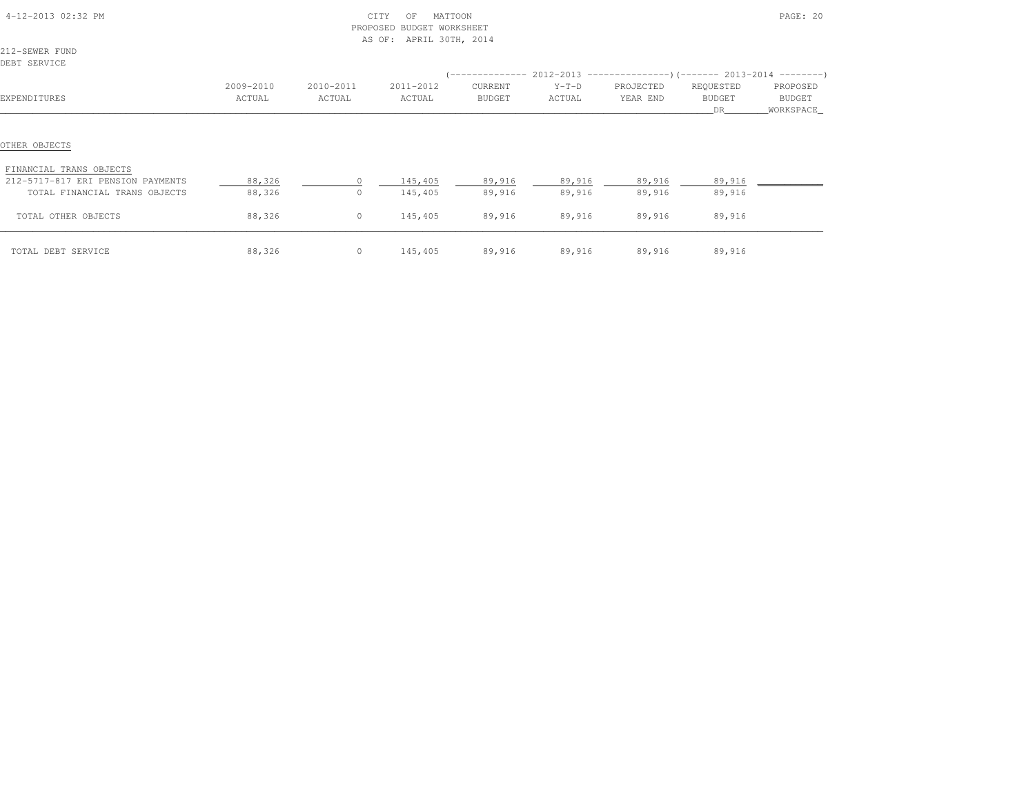| 4-12-2013 02:32 PM                       |           | PROPOSED        | MATTOON<br>CITY<br>OF<br>BUDGET WORKSHEET<br>AS OF: APRIL 30TH, 2014 |               |                                                                                |               |                     | PAGE: 20              |
|------------------------------------------|-----------|-----------------|----------------------------------------------------------------------|---------------|--------------------------------------------------------------------------------|---------------|---------------------|-----------------------|
| 212-SEWER FUND                           |           |                 |                                                                      |               |                                                                                |               |                     |                       |
| DEBT SERVICE                             |           |                 |                                                                      |               | $(-$ -------------- 2012-2013 -----------------) (------- 2013-2014 ---------) |               |                     |                       |
|                                          | 2009-2010 | 2010-2011       | 2011-2012                                                            | CURRENT       | $Y-T-D$                                                                        | PROJECTED     | REQUESTED           | PROPOSED              |
| EXPENDITURES                             | ACTUAL    | ACTUAL          | ACTUAL                                                               | <b>BUDGET</b> | ACTUAL                                                                         | YEAR END      | <b>BUDGET</b><br>DR | BUDGET<br>_WORKSPACE_ |
| OTHER OBJECTS<br>FINANCIAL TRANS OBJECTS |           |                 |                                                                      |               |                                                                                |               |                     |                       |
| 212-5717-817 ERI PENSION PAYMENTS        | 88,326    |                 | 145,405                                                              | 89,916        |                                                                                | 89,916 89,916 | 89,916              |                       |
| TOTAL FINANCIAL TRANS OBJECTS            | 88,326    | $\circ$         | 145,405                                                              | 89,916        | 89,916                                                                         | 89,916        | 89,916              |                       |
| TOTAL OTHER OBJECTS                      | 88,326    | $\overline{0}$  | 145,405                                                              | 89,916        | 89,916                                                                         | 89,916        | 89,916              |                       |
| TOTAL DEBT SERVICE                       | 88,326    | $0 \t 145, 405$ |                                                                      |               | 89,916 89,916                                                                  | 89,916        | 89,916              |                       |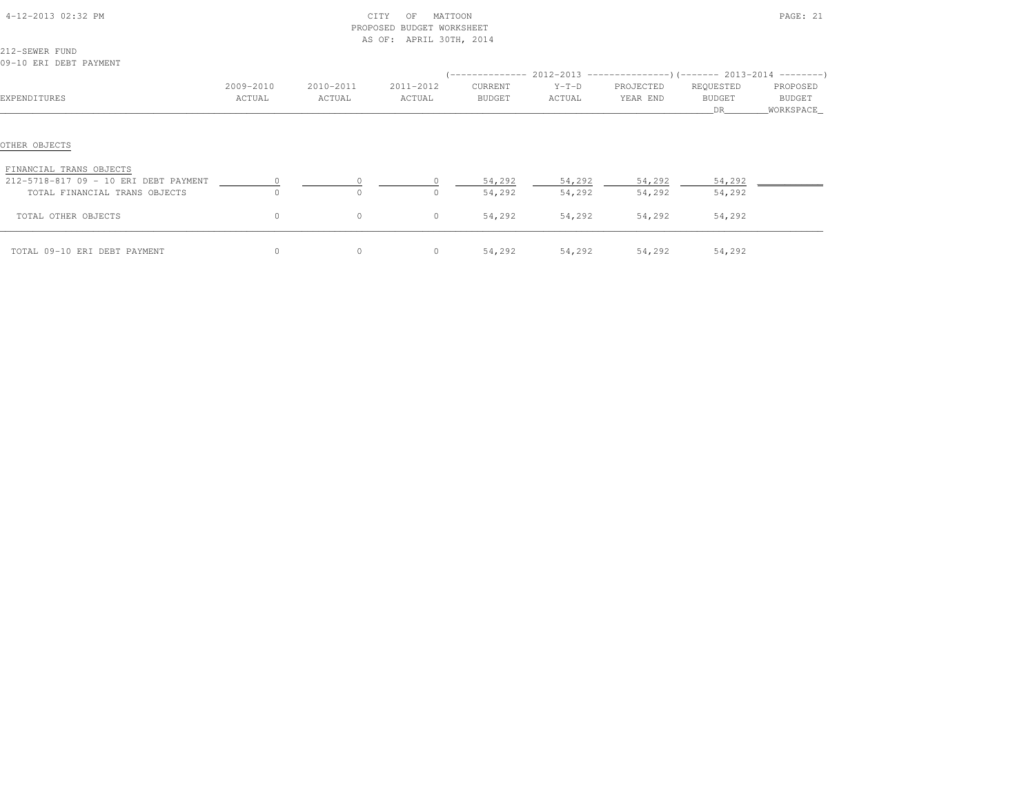| 4-12-2013 02:32 PM                       |           |           | MATTOON<br>CITY<br>OF<br>BUDGET WORKSHEET<br>PROPOSED<br>AS OF: APRIL 30TH, 2014 |         |         |               |           | PAGE: 21   |
|------------------------------------------|-----------|-----------|----------------------------------------------------------------------------------|---------|---------|---------------|-----------|------------|
| 212-SEWER FUND                           |           |           |                                                                                  |         |         |               |           |            |
| 09-10 ERI DEBT PAYMENT                   |           |           |                                                                                  |         |         |               |           |            |
|                                          |           |           |                                                                                  |         |         |               |           |            |
|                                          | 2009-2010 | 2010-2011 | 2011-2012                                                                        | CURRENT | $Y-T-D$ | PROJECTED     | REQUESTED | PROPOSED   |
| EXPENDITURES                             | ACTUAL    | ACTUAL    | ACTUAL                                                                           | BUDGET  | ACTUAL  | YEAR END      | BUDGET    | BUDGET     |
|                                          |           |           |                                                                                  |         |         |               | DR        | WORKSPACE_ |
| OTHER OBJECTS<br>FINANCIAL TRANS OBJECTS |           |           |                                                                                  |         |         |               |           |            |
| 212-5718-817 09 - 10 ERI DEBT PAYMENT    |           |           |                                                                                  | 54,292  | 54,292  | 54,292        | 54,292    |            |
| TOTAL FINANCIAL TRANS OBJECTS            | $\Omega$  | $\Omega$  | $\Omega$                                                                         | 54,292  | 54,292  | 54,292        | 54,292    |            |
| TOTAL OTHER OBJECTS                      | $\circ$   | $\circ$   | $\circ$                                                                          | 54,292  | 54,292  | 54,292        | 54,292    |            |
| TOTAL 09-10 ERI DEBT PAYMENT             | 0         | $\circ$   | $\overline{0}$                                                                   | 54,292  |         | 54,292 54,292 | 54,292    |            |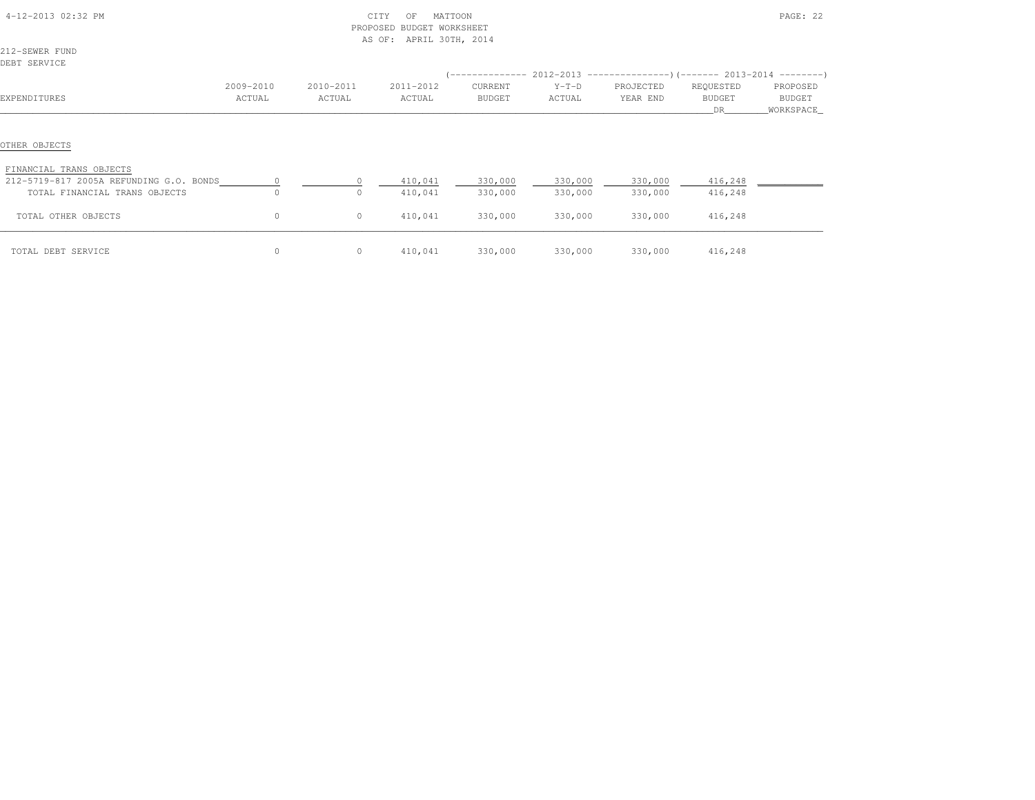| 4-12-2013 02:32 PM                                                                  |           |           | CITY<br>MATTOON<br>OF<br>PROPOSED<br>BUDGET WORKSHEET<br>AS OF: APRIL 30TH, 2014 |               |         |           |                     | PAGE: 22                   |
|-------------------------------------------------------------------------------------|-----------|-----------|----------------------------------------------------------------------------------|---------------|---------|-----------|---------------------|----------------------------|
| 212-SEWER FUND                                                                      |           |           |                                                                                  |               |         |           |                     |                            |
| DEBT SERVICE                                                                        |           |           |                                                                                  |               |         |           |                     |                            |
|                                                                                     |           |           |                                                                                  |               |         |           |                     |                            |
|                                                                                     | 2009-2010 | 2010-2011 | 2011-2012                                                                        | CURRENT       | $Y-T-D$ | PROJECTED | REQUESTED           | PROPOSED                   |
| EXPENDITURES                                                                        | ACTUAL    | ACTUAL    | ACTUAL                                                                           | <b>BUDGET</b> | ACTUAL  | YEAR END  | <b>BUDGET</b><br>DR | <b>BUDGET</b><br>WORKSPACE |
| OTHER OBJECTS<br>FINANCIAL TRANS OBJECTS<br>212-5719-817 2005A REFUNDING G.O. BONDS |           |           | 410,041                                                                          | 330,000       | 330,000 | 330,000   | 416,248             |                            |
| TOTAL FINANCIAL TRANS OBJECTS                                                       | $\circ$   | $\circ$   | 410,041                                                                          | 330,000       | 330,000 | 330,000   | 416,248             |                            |
| TOTAL OTHER OBJECTS                                                                 | $\circ$   | $\circ$   | 410,041                                                                          | 330,000       | 330,000 | 330,000   | 416,248             |                            |
| TOTAL DEBT SERVICE                                                                  | $\circ$   | $\circ$   | 410,041                                                                          | 330,000       | 330,000 | 330,000   | 416,248             |                            |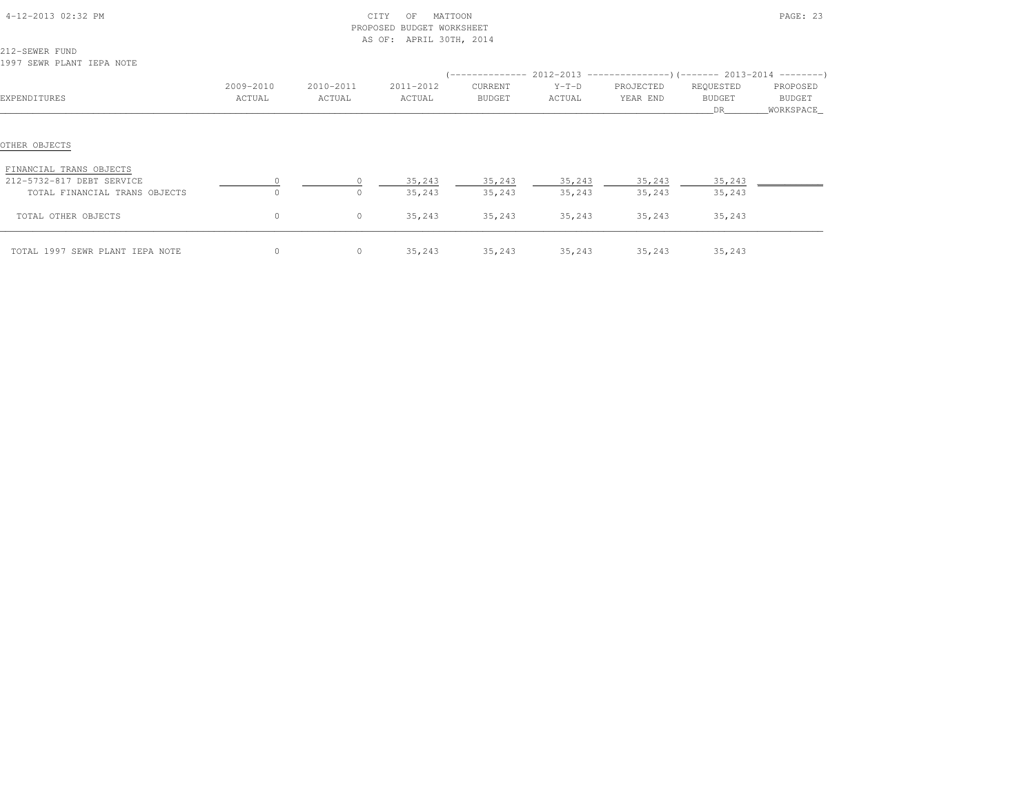| 4-12-2013 02:32 PM                                                    |           |                     | CITY<br>MATTOON<br>OF<br>BUDGET WORKSHEET<br>PROPOSED<br>AS OF: APRIL 30TH, 2014 |                  |                         |                  |                  | PAGE: 23<br>PROPOSED<br>BUDGET<br>WORKSPACE_ |  |  |
|-----------------------------------------------------------------------|-----------|---------------------|----------------------------------------------------------------------------------|------------------|-------------------------|------------------|------------------|----------------------------------------------|--|--|
| 212-SEWER FUND<br>1997 SEWR PLANT IEPA NOTE                           |           |                     |                                                                                  |                  |                         |                  |                  |                                              |  |  |
|                                                                       |           |                     |                                                                                  |                  |                         |                  |                  |                                              |  |  |
|                                                                       | 2009-2010 | 2010-2011           | 2011-2012                                                                        | CURRENT          | $Y-T-D$                 | PROJECTED        | REQUESTED        |                                              |  |  |
| EXPENDITURES                                                          | ACTUAL    | ACTUAL              | ACTUAL                                                                           | BUDGET           | ACTUAL                  | YEAR END         | BUDGET<br>DR     |                                              |  |  |
| OTHER OBJECTS<br>FINANCIAL TRANS OBJECTS<br>212-5732-817 DEBT SERVICE |           |                     | 35,243                                                                           |                  | 35, 243 35, 243 35, 243 |                  | 35,243           |                                              |  |  |
| TOTAL FINANCIAL TRANS OBJECTS<br>TOTAL OTHER OBJECTS                  | $\circ$   | $\Omega$<br>$\circ$ | 35,243<br>35,243                                                                 | 35,243<br>35,243 | 35,243<br>35,243        | 35,243<br>35,243 | 35,243<br>35,243 |                                              |  |  |
| TOTAL 1997 SEWR PLANT IEPA NOTE                                       | $\circ$   | $\circ$             | 35,243                                                                           | 35, 243 35, 243  |                         | 35,243           | 35,243           |                                              |  |  |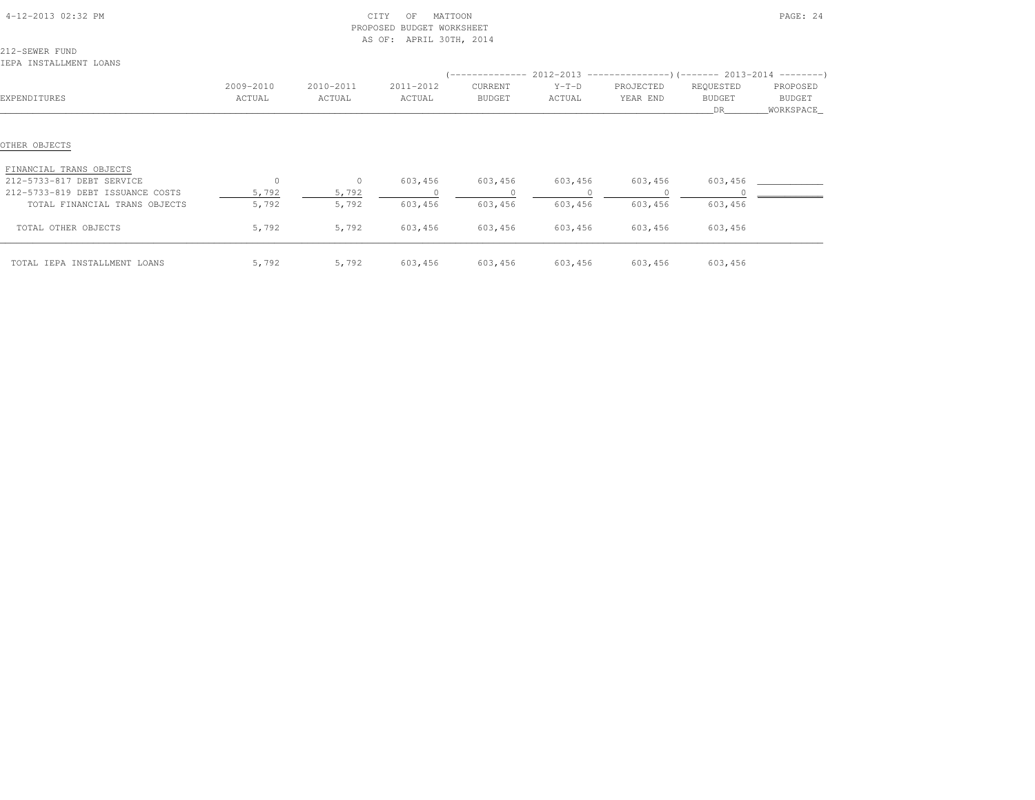|                                                      |                     |                     | PROPOSED BUDGET WORKSHEET<br>AS OF: APRIL 30TH, 2014 |                     |                           |                       |                           |                                 |
|------------------------------------------------------|---------------------|---------------------|------------------------------------------------------|---------------------|---------------------------|-----------------------|---------------------------|---------------------------------|
| 212-SEWER FUND<br>IEPA INSTALLMENT LOANS             |                     |                     |                                                      |                     |                           |                       |                           |                                 |
| EXPENDITURES                                         | 2009-2010<br>ACTUAL | 2010-2011<br>ACTUAL | 2011-2012<br>ACTUAL                                  | CURRENT<br>BUDGET   | $Y-T-D$<br>ACTUAL         | PROJECTED<br>YEAR END | REQUESTED<br>BUDGET<br>DR | PROPOSED<br>BUDGET<br>WORKSPACE |
| OTHER OBJECTS                                        |                     |                     |                                                      |                     |                           |                       |                           |                                 |
| FINANCIAL TRANS OBJECTS<br>212-5733-817 DEBT SERVICE | $\circ$             | $\sim$ 0            |                                                      |                     |                           |                       | 603,456                   |                                 |
| 212-5733-819 DEBT ISSUANCE COSTS                     | 5,792               | 5,792               | 603,456<br>$\sim$ 0                                  | 603,456<br>$\sim$ 0 | 603,456<br>$\overline{0}$ | 603,456               |                           |                                 |
| TOTAL FINANCIAL TRANS OBJECTS                        | 5,792               | 5,792               | 603,456                                              | 603,456             | 603,456                   | 603,456               | 603,456                   |                                 |
| TOTAL OTHER OBJECTS                                  | 5,792               | 5,792               | 603,456                                              | 603,456             | 603,456                   | 603,456               | 603,456                   |                                 |
| TOTAL IEPA INSTALLMENT LOANS                         | 5,792               | 5,792               | 603,456                                              |                     | 603,456 603,456           |                       | 603,456 603,456           |                                 |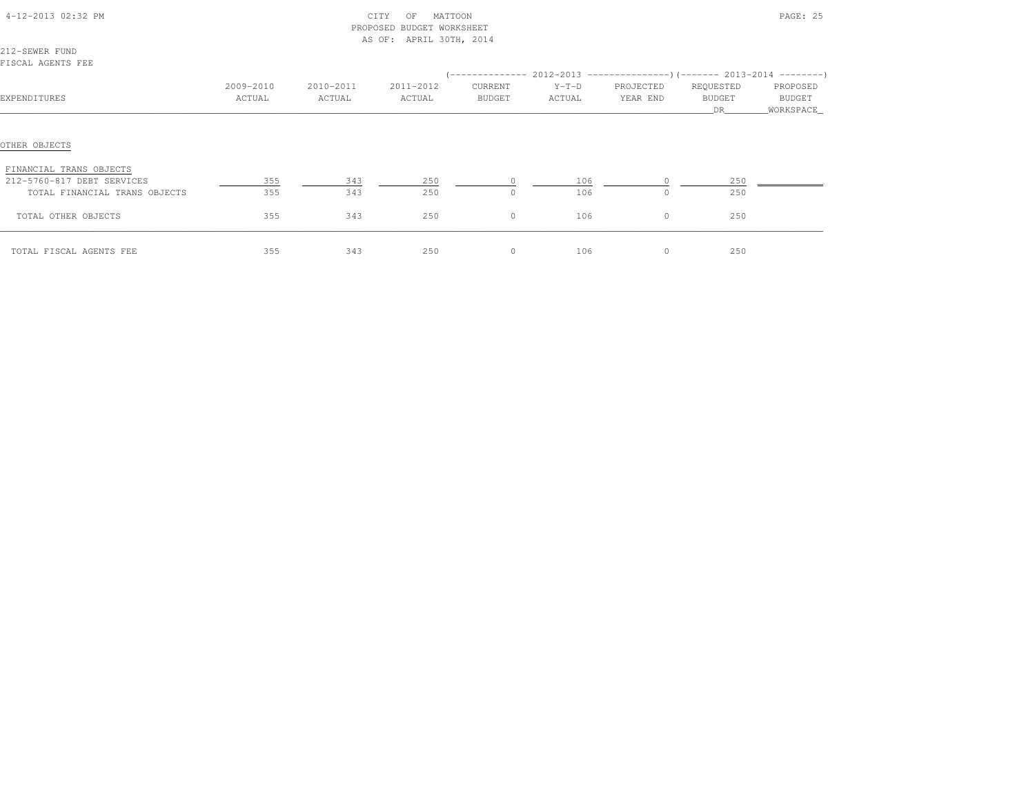| 4-12-2013 02:32 PM<br>212-SEWER FUND |           |           | CITY<br>MATTOON<br>OF<br>PROPOSED BUDGET WORKSHEET<br>AS OF: APRIL 30TH, 2014 |         |         |           |               | PAGE: 25   |
|--------------------------------------|-----------|-----------|-------------------------------------------------------------------------------|---------|---------|-----------|---------------|------------|
| FISCAL AGENTS FEE                    |           |           |                                                                               |         |         |           |               |            |
|                                      |           |           |                                                                               |         |         |           |               |            |
|                                      | 2009-2010 | 2010-2011 | 2011-2012                                                                     | CURRENT | $Y-T-D$ | PROJECTED | REQUESTED     | PROPOSED   |
| EXPENDITURES                         | ACTUAL    | ACTUAL    | ACTUAL                                                                        | BUDGET  | ACTUAL  | YEAR END  | <b>BUDGET</b> | BUDGET     |
|                                      |           |           |                                                                               |         |         |           | DR            | WORKSPACE_ |
| OTHER OBJECTS                        |           |           |                                                                               |         |         |           |               |            |
| FINANCIAL TRANS OBJECTS              |           |           |                                                                               |         |         |           |               |            |
| 212-5760-817 DEBT SERVICES           | 355       | 343       | 250                                                                           |         | 106     |           | 250           |            |
| TOTAL FINANCIAL TRANS OBJECTS        | 355       | 343       | 250                                                                           | $\circ$ | 106     | $\Omega$  | 250           |            |
| TOTAL OTHER OBJECTS                  | 355       | 343       | 250                                                                           | $\circ$ | 106     | $\circ$   | 250           |            |
| TOTAL FISCAL AGENTS FEE              | 355       | 343       | 250                                                                           | $\circ$ | 106     | $\circ$   | 250           |            |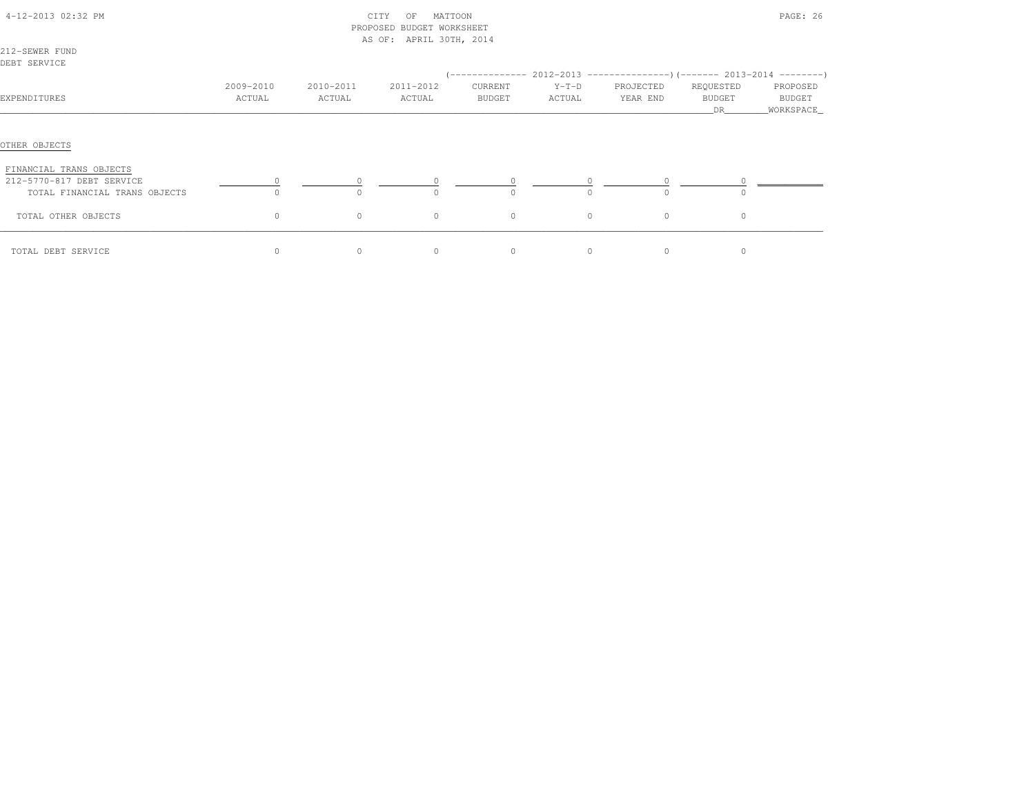| 4-12-2013 02:32 PM                                                                    |                     |                     | MATTOON<br>CITY<br>OF<br>PROPOSED BUDGET WORKSHEET<br>AS OF: APRIL 30TH, 2014 |                   |                                                                                |                       |                           | PAGE: 26                         |
|---------------------------------------------------------------------------------------|---------------------|---------------------|-------------------------------------------------------------------------------|-------------------|--------------------------------------------------------------------------------|-----------------------|---------------------------|----------------------------------|
| 212-SEWER FUND<br>DEBT SERVICE                                                        |                     |                     |                                                                               |                   |                                                                                |                       |                           |                                  |
|                                                                                       |                     |                     |                                                                               |                   | $(-$ -------------- 2012-2013 -----------------) (------- 2013-2014 ---------) |                       |                           |                                  |
| EXPENDITURES                                                                          | 2009-2010<br>ACTUAL | 2010-2011<br>ACTUAL | 2011-2012<br>ACTUAL                                                           | CURRENT<br>BUDGET | $Y-T-D$<br>ACTUAL                                                              | PROJECTED<br>YEAR END | REQUESTED<br>BUDGET<br>DR | PROPOSED<br>BUDGET<br>WORKSPACE_ |
| OTHER OBJECTS                                                                         |                     |                     |                                                                               |                   |                                                                                |                       |                           |                                  |
| FINANCIAL TRANS OBJECTS<br>212-5770-817 DEBT SERVICE<br>TOTAL FINANCIAL TRANS OBJECTS | $\Omega$            | $\Omega$            | $\Omega$                                                                      | $\Omega$          | $\Omega$                                                                       | $\cap$                | $\Omega$                  |                                  |
| TOTAL OTHER OBJECTS                                                                   | 0                   | $\circ$             | $\circ$                                                                       | $\circ$           | $\circ$                                                                        | $\circ$               | $\circ$                   |                                  |
| TOTAL DEBT SERVICE                                                                    | 0                   | $\circ$             | $\circ$                                                                       | 0                 | $\circ$                                                                        | $\circ$               | 0                         |                                  |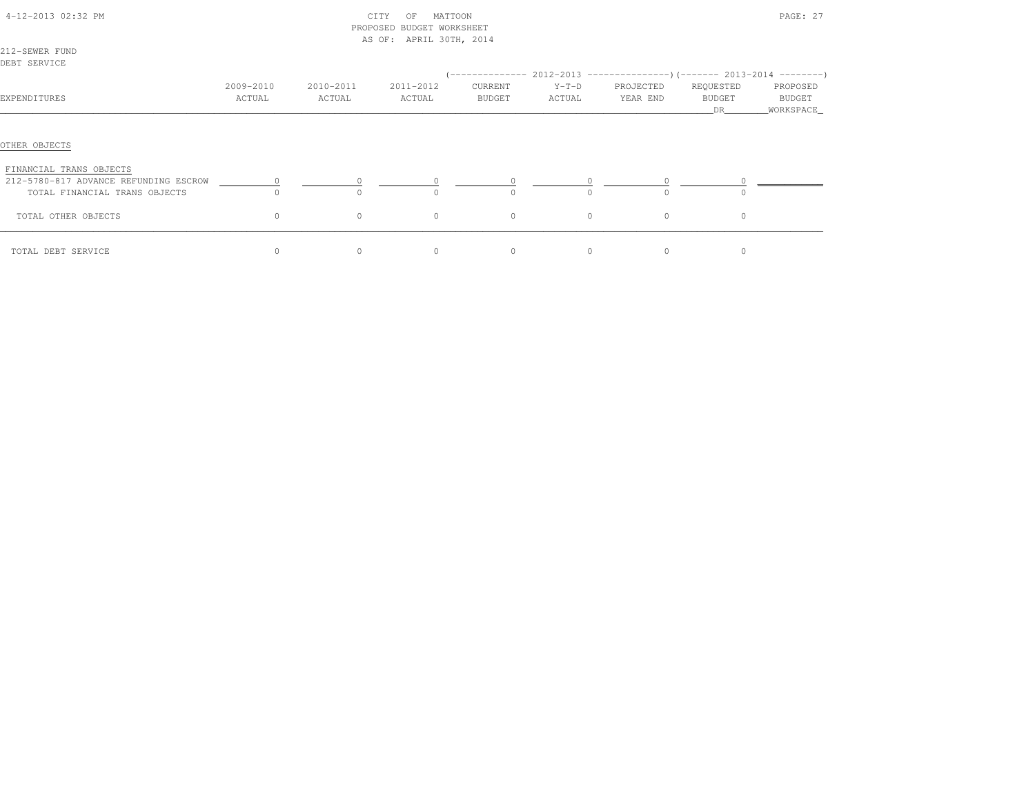| 4-12-2013 02:32 PM                       |           |           | CITY<br>MATTOON<br>OF<br>PROPOSED BUDGET WORKSHEET<br>AS OF: APRIL 30TH, 2014 |          |          |           |                     | PAGE: 27             |
|------------------------------------------|-----------|-----------|-------------------------------------------------------------------------------|----------|----------|-----------|---------------------|----------------------|
| 212-SEWER FUND                           |           |           |                                                                               |          |          |           |                     |                      |
| DEBT SERVICE                             |           |           |                                                                               |          |          |           |                     |                      |
|                                          |           |           |                                                                               |          |          |           |                     |                      |
|                                          | 2009-2010 | 2010-2011 | 2011-2012                                                                     | CURRENT  | $Y-T-D$  | PROJECTED | REQUESTED           | PROPOSED             |
| EXPENDITURES                             | ACTUAL    | ACTUAL    | ACTUAL                                                                        | BUDGET   | ACTUAL   | YEAR END  | <b>BUDGET</b><br>DR | BUDGET<br>WORKSPACE_ |
| OTHER OBJECTS<br>FINANCIAL TRANS OBJECTS |           |           |                                                                               |          |          |           |                     |                      |
| 212-5780-817 ADVANCE REFUNDING ESCROW    | $\circ$   |           | $\circ$                                                                       |          |          | $\circ$   |                     |                      |
| TOTAL FINANCIAL TRANS OBJECTS            |           |           | $\Omega$                                                                      | $\Omega$ | $\Omega$ | $\Omega$  |                     |                      |
| TOTAL OTHER OBJECTS                      | $\circ$   | $\circ$   | $\circ$                                                                       | $\circ$  | $\circ$  | $\circ$   | $\Omega$            |                      |
| TOTAL DEBT SERVICE                       | $\Omega$  | $\Omega$  | $\Omega$                                                                      | $\Omega$ | $\Omega$ | $\Omega$  | $\Omega$            |                      |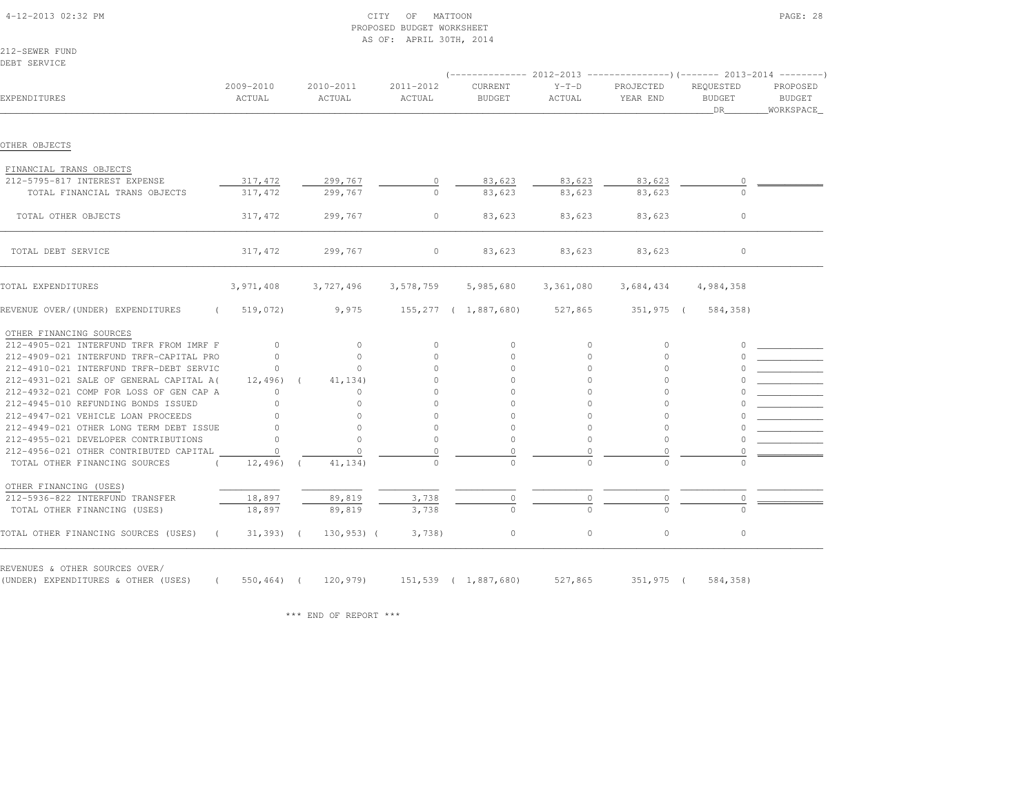|                                                    |                     |                     | PROPOSED BUDGET WORKSHEET<br>AS OF: APRIL 30TH, 2014 |                          |                   |                       |                                  |                                 |
|----------------------------------------------------|---------------------|---------------------|------------------------------------------------------|--------------------------|-------------------|-----------------------|----------------------------------|---------------------------------|
| 212-SEWER FUND                                     |                     |                     |                                                      |                          |                   |                       |                                  |                                 |
| DEBT SERVICE                                       |                     |                     |                                                      |                          |                   |                       |                                  |                                 |
|                                                    |                     |                     |                                                      |                          |                   |                       |                                  |                                 |
| EXPENDITURES                                       | 2009-2010<br>ACTUAL | 2010-2011<br>ACTUAL | 2011-2012<br>ACTUAL                                  | CURRENT<br><b>BUDGET</b> | $Y-T-D$<br>ACTUAL | PROJECTED<br>YEAR END | REQUESTED<br><b>BUDGET</b><br>DR | PROPOSED<br>BUDGET<br>WORKSPACE |
|                                                    |                     |                     |                                                      |                          |                   |                       |                                  |                                 |
| OTHER OBJECTS                                      |                     |                     |                                                      |                          |                   |                       |                                  |                                 |
| FINANCIAL TRANS OBJECTS                            |                     |                     |                                                      |                          |                   |                       |                                  |                                 |
| 212-5795-817 INTEREST EXPENSE                      | 317,472             | 299,767             | $\circ$                                              | 83,623                   | 83,623            | 83,623                | 0                                |                                 |
| TOTAL FINANCIAL TRANS OBJECTS                      | 317,472             | 299,767             | $\cap$                                               | 83,623                   | 83,623            | 83,623                |                                  |                                 |
| TOTAL OTHER OBJECTS                                | 317,472             | 299,767             | $\circ$                                              | 83,623                   | 83,623            | 83,623                | $\circ$                          |                                 |
| TOTAL DEBT SERVICE                                 | 317,472             | 299,767             | $\circ$                                              | 83,623                   | 83,623            | 83,623                | $\circ$                          |                                 |
| TOTAL EXPENDITURES                                 | 3,971,408           | 3,727,496           | 3,578,759                                            | 5,985,680                | 3,361,080         | 3,684,434             | 4,984,358                        |                                 |
| REVENUE OVER/(UNDER) EXPENDITURES<br>$\left($      | 519,072)            | 9,975               |                                                      | 155,277 ( 1,887,680)     | 527,865           | $351,975$ (           | 584,358)                         |                                 |
| OTHER FINANCING SOURCES                            |                     |                     |                                                      |                          |                   |                       |                                  |                                 |
| 212-4905-021 INTERFUND TRFR FROM IMRF F            | $\circ$             | $\circ$             | $\circ$                                              | 0                        | 0                 | $\circ$               | 0                                |                                 |
| 212-4909-021 INTERFUND TRFR-CAPITAL PRO            | $\Omega$            | $\Omega$            | $\Omega$                                             | $\Omega$                 | $\circ$           | $\Omega$              |                                  |                                 |
| 212-4910-021 INTERFUND TRFR-DEBT SERVIC            | $\Omega$            | $\cap$              | $\cap$                                               | $\cap$                   | $\Omega$          | $\cap$                |                                  |                                 |
| 212-4931-021 SALE OF GENERAL CAPITAL A(            | 12,496)             | 41,134)             | $\circ$                                              | $\circ$                  | $\circ$           | $\Omega$              |                                  |                                 |
| 212-4932-021 COMP FOR LOSS OF GEN CAP A            | 0                   | 0                   | $\cap$                                               | $\cap$                   | $\Omega$          | $\cap$                |                                  |                                 |
| 212-4945-010 REFUNDING BONDS ISSUED                | $\cap$              | $\cap$              | $\cap$                                               |                          | $\Omega$          |                       |                                  |                                 |
| 212-4947-021 VEHICLE LOAN PROCEEDS                 | $\cap$              | $\Omega$            | $\cap$                                               | $\Omega$                 | $\Omega$          | $\Omega$              |                                  |                                 |
| 212-4949-021 OTHER LONG TERM DEBT ISSUE            | $\cap$              | $\circ$             | $\circ$                                              | $\mathbf{0}$             | $\mathbf{0}$      | 0                     |                                  |                                 |
| 212-4955-021 DEVELOPER CONTRIBUTIONS               |                     | $\bigcap$           | $\Omega$                                             | $\circ$                  | $\Omega$          | $\Omega$              |                                  |                                 |
| 212-4956-021 OTHER CONTRIBUTED CAPITAL             | $\cap$              | $\Omega$            | $\Omega$                                             | $\circ$                  | $\Omega$          | $\Omega$              |                                  |                                 |
| TOTAL OTHER FINANCING SOURCES                      | 12,496)             | 41,134)             | $\Omega$                                             | $\Omega$                 | $\Omega$          | $\cap$                |                                  |                                 |
| OTHER FINANCING (USES)                             |                     |                     |                                                      |                          |                   |                       |                                  |                                 |
| 212-5936-822 INTERFUND TRANSFER                    | 18,897              | 89,819              | 3,738                                                | 0                        | 0                 | $\circ$               |                                  |                                 |
| TOTAL OTHER FINANCING (USES)                       | 18,897              | 89,819              | 3,738                                                |                          |                   |                       |                                  |                                 |
| TOTAL OTHER FINANCING SOURCES (USES)<br>$\sqrt{2}$ | $31,393)$ (         | $130,953$ ) (       | 3,738                                                | $\circ$                  | $\circ$           | $\circ$               | $\circ$                          |                                 |

REVENUES & OTHER SOURCES OVER/

(UNDER) EXPENDITURES & OTHER (USES) ( 550,464) ( 120,979) 151,539 ( 1,887,680) 527,865 351,975 ( 584,358)

\*\*\* END OF REPORT \*\*\*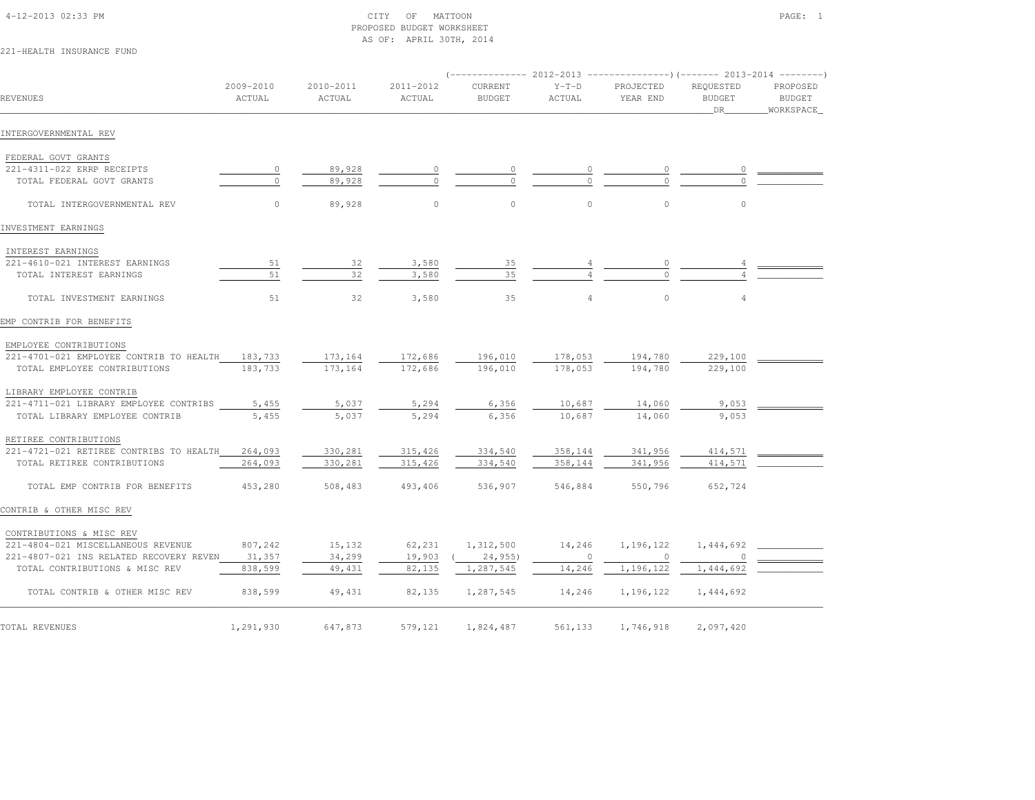# 4-12-2013 02:33 PM CITY OF MATTOON PAGE: 1 PROPOSED BUDGET WORKSHEETAS OF: APRIL 30TH, 2014

# 221-HEALTH INSURANCE FUND

|                                         |                     |                     |                     |                          |                   | $(-$ -------------- 2012-2013 -----------------) (------- 2013-2014 ---------) |                                  |                                          |
|-----------------------------------------|---------------------|---------------------|---------------------|--------------------------|-------------------|--------------------------------------------------------------------------------|----------------------------------|------------------------------------------|
| REVENUES                                | 2009-2010<br>ACTUAL | 2010-2011<br>ACTUAL | 2011-2012<br>ACTUAL | CURRENT<br><b>BUDGET</b> | $Y-T-D$<br>ACTUAL | PROJECTED<br>YEAR END                                                          | REQUESTED<br><b>BUDGET</b><br>DR | PROPOSED<br><b>BUDGET</b><br>_WORKSPACE_ |
| INTERGOVERNMENTAL REV                   |                     |                     |                     |                          |                   |                                                                                |                                  |                                          |
| FEDERAL GOVT GRANTS                     |                     |                     |                     |                          |                   |                                                                                |                                  |                                          |
| 221-4311-022 ERRP RECEIPTS              | 0                   | 89,928              |                     | 0                        |                   |                                                                                |                                  |                                          |
| TOTAL FEDERAL GOVT GRANTS               | $\bigcap$           | 89,928              | $\cap$              | $\Omega$                 |                   | $\Omega$                                                                       |                                  |                                          |
| TOTAL INTERGOVERNMENTAL REV             | $\circ$             | 89,928              | $\circ$             | $\mathbb O$              | $\circ$           | $\circ$                                                                        | $\circ$                          |                                          |
| INVESTMENT EARNINGS                     |                     |                     |                     |                          |                   |                                                                                |                                  |                                          |
| INTEREST EARNINGS                       |                     |                     |                     |                          |                   |                                                                                |                                  |                                          |
| 221-4610-021 INTEREST EARNINGS          | 51                  | 32                  | 3,580               | 35                       |                   |                                                                                |                                  |                                          |
| TOTAL INTEREST EARNINGS                 | 51                  | 32                  | 3,580               | 35                       |                   | $\Omega$                                                                       |                                  |                                          |
| TOTAL INVESTMENT EARNINGS               | 51                  | 32                  | 3,580               | 35                       | $\overline{4}$    | $\circ$                                                                        | $\overline{4}$                   |                                          |
| EMP CONTRIB FOR BENEFITS                |                     |                     |                     |                          |                   |                                                                                |                                  |                                          |
| EMPLOYEE CONTRIBUTIONS                  |                     |                     |                     |                          |                   |                                                                                |                                  |                                          |
| 221-4701-021 EMPLOYEE CONTRIB TO HEALTH | 183,733             | 173,164             | 172,686             | 196,010                  | 178,053           | 194,780                                                                        | 229,100                          |                                          |
| TOTAL EMPLOYEE CONTRIBUTIONS            | 183,733             | 173,164             | 172,686             | 196,010                  | 178,053           | 194,780                                                                        | 229,100                          |                                          |
| LIBRARY EMPLOYEE CONTRIB                |                     |                     |                     |                          |                   |                                                                                |                                  |                                          |
| 221-4711-021 LIBRARY EMPLOYEE CONTRIBS  | 5,455               | 5,037               | 5,294               | 6,356                    | 10,687            | 14,060                                                                         | 9,053                            |                                          |
| TOTAL LIBRARY EMPLOYEE CONTRIB          | 5,455               | 5,037               | 5,294               | 6,356                    | 10,687            | 14,060                                                                         | 9,053                            |                                          |
| RETIREE CONTRIBUTIONS                   |                     |                     |                     |                          |                   |                                                                                |                                  |                                          |
| 221-4721-021 RETIREE CONTRIBS TO HEALTH | 264,093             | 330,281             | 315,426             | 334,540                  | 358,144           | 341,956                                                                        | 414,571                          |                                          |
| TOTAL RETIREE CONTRIBUTIONS             | 264,093             | 330,281             | 315,426             | 334,540                  | 358,144           | 341,956                                                                        | 414,571                          |                                          |
| TOTAL EMP CONTRIB FOR BENEFITS          | 453,280             | 508,483             | 493,406             | 536,907                  | 546,884           | 550,796                                                                        | 652,724                          |                                          |
| CONTRIB & OTHER MISC REV                |                     |                     |                     |                          |                   |                                                                                |                                  |                                          |
| CONTRIBUTIONS & MISC REV                |                     |                     |                     |                          |                   |                                                                                |                                  |                                          |
| 221-4804-021 MISCELLANEOUS REVENUE      | 807,242             | 15,132              | 62,231              | 1,312,500                | 14,246            | 1,196,122                                                                      | 1,444,692                        |                                          |
| 221-4807-021 INS RELATED RECOVERY REVEN | 31,357              | 34,299              | 19,903              | (24, 955)                | $\overline{0}$    | $\circ$                                                                        |                                  |                                          |
| TOTAL CONTRIBUTIONS & MISC REV          | 838,599             | 49,431              | 82,135              | 1,287,545                | 14,246            | 1,196,122                                                                      | 1,444,692                        |                                          |
| TOTAL CONTRIB & OTHER MISC REV          | 838,599             | 49,431              | 82,135              | 1,287,545                | 14,246            | 1,196,122                                                                      | 1,444,692                        |                                          |
| TOTAL REVENUES                          | 1,291,930           | 647,873             | 579,121             | 1,824,487                | 561,133           | 1,746,918                                                                      | 2,097,420                        |                                          |
|                                         |                     |                     |                     |                          |                   |                                                                                |                                  |                                          |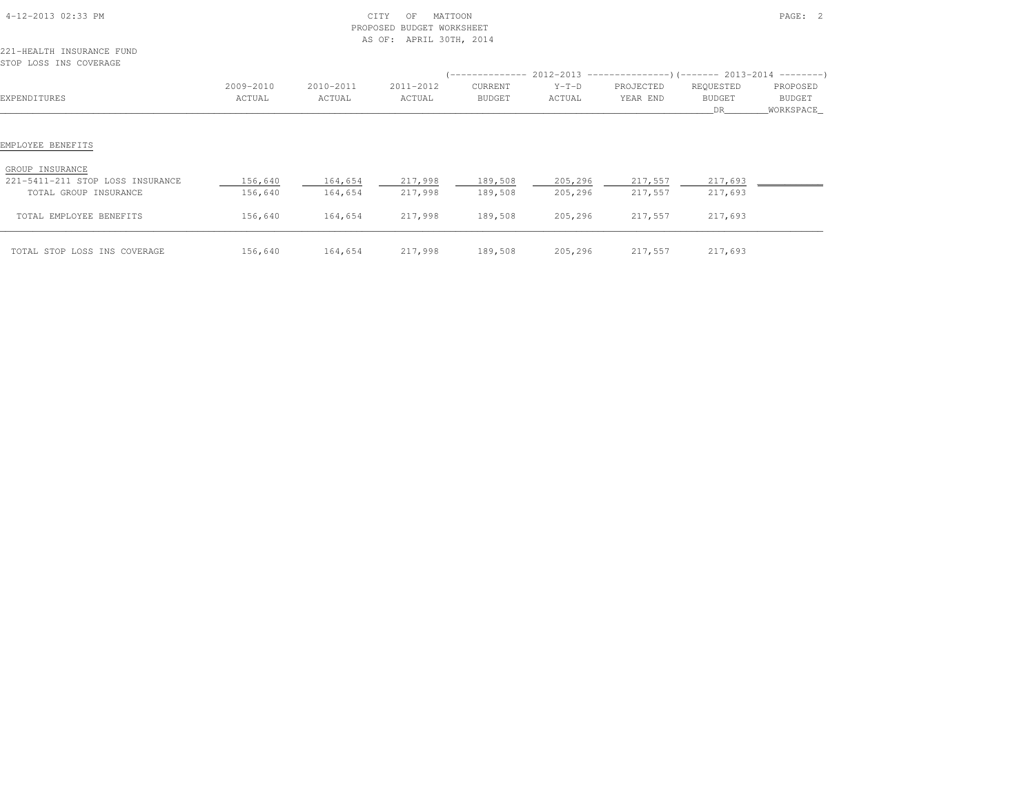| 4-12-2013 02:33 PM                                                       | CITY<br>MATTOON<br>OF<br>PROPOSED<br><b>BUDGET WORKSHEET</b><br>AS OF: APRIL 30TH, 2014 |           |           |         |         | PAGE: 2   |                     |                       |  |
|--------------------------------------------------------------------------|-----------------------------------------------------------------------------------------|-----------|-----------|---------|---------|-----------|---------------------|-----------------------|--|
| 221-HEALTH INSURANCE FUND<br>STOP LOSS INS COVERAGE                      |                                                                                         |           |           |         |         |           |                     |                       |  |
|                                                                          |                                                                                         |           |           |         |         |           |                     |                       |  |
|                                                                          | 2009-2010                                                                               | 2010-2011 | 2011-2012 | CURRENT | $Y-T-D$ | PROJECTED | REQUESTED           | PROPOSED              |  |
| EXPENDITURES                                                             | ACTUAL                                                                                  | ACTUAL    | ACTUAL    | BUDGET  | ACTUAL  | YEAR END  | <b>BUDGET</b><br>DR | BUDGET<br>_WORKSPACE_ |  |
| EMPLOYEE BENEFITS<br>GROUP INSURANCE<br>221-5411-211 STOP LOSS INSURANCE | 156,640                                                                                 | 164,654   | 217,998   | 189,508 | 205,296 | 217,557   | 217,693             |                       |  |
| TOTAL GROUP INSURANCE                                                    | 156,640                                                                                 | 164,654   | 217,998   | 189,508 | 205,296 | 217,557   | 217,693             |                       |  |
| TOTAL EMPLOYEE BENEFITS                                                  | 156,640                                                                                 | 164,654   | 217,998   | 189,508 | 205,296 | 217,557   | 217,693             |                       |  |
| TOTAL STOP LOSS INS COVERAGE                                             | 156,640                                                                                 | 164,654   | 217,998   | 189,508 | 205,296 | 217,557   | 217,693             |                       |  |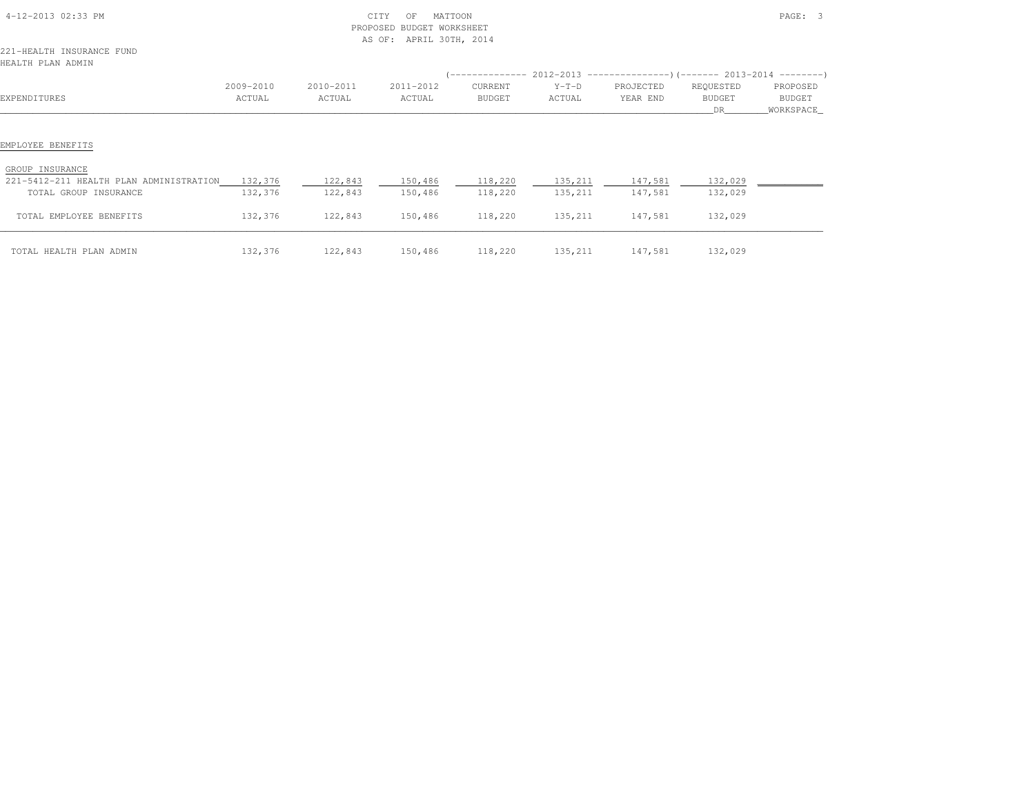| 4-12-2013 02:33 PM                                                              | CITY<br>MATTOON<br>OF<br>PROPOSED BUDGET WORKSHEET<br>AS OF:<br>APRIL 30TH, 2014 |                     |                     |                   |                   | PAGE: 3               |                                   |                                 |  |
|---------------------------------------------------------------------------------|----------------------------------------------------------------------------------|---------------------|---------------------|-------------------|-------------------|-----------------------|-----------------------------------|---------------------------------|--|
| 221-HEALTH INSURANCE FUND<br>HEALTH PLAN ADMIN                                  |                                                                                  |                     |                     |                   |                   |                       |                                   |                                 |  |
|                                                                                 |                                                                                  |                     |                     |                   |                   |                       |                                   |                                 |  |
| EXPENDITURES                                                                    | 2009-2010<br>ACTUAL                                                              | 2010-2011<br>ACTUAL | 2011-2012<br>ACTUAL | CURRENT<br>BUDGET | $Y-T-D$<br>ACTUAL | PROJECTED<br>YEAR END | REQUESTED<br><b>BUDGET</b><br>DR. | PROPOSED<br>BUDGET<br>WORKSPACE |  |
| EMPLOYEE BENEFITS<br>GROUP INSURANCE<br>221-5412-211 HEALTH PLAN ADMINISTRATION | 132,376                                                                          | 122,843             | 150,486             | 118,220           | 135,211           | 147,581               | 132,029                           |                                 |  |
| TOTAL GROUP INSURANCE                                                           | 132,376                                                                          | 122,843             | 150,486             | 118,220           | 135,211           | 147,581               | 132,029                           |                                 |  |
| TOTAL EMPLOYEE BENEFITS                                                         | 132,376                                                                          | 122,843             | 150,486             | 118,220           | 135,211           | 147,581               | 132,029                           |                                 |  |
| TOTAL HEALTH PLAN ADMIN                                                         | 132,376                                                                          | 122,843             | 150,486             | 118,220           | 135,211           | 147,581               | 132,029                           |                                 |  |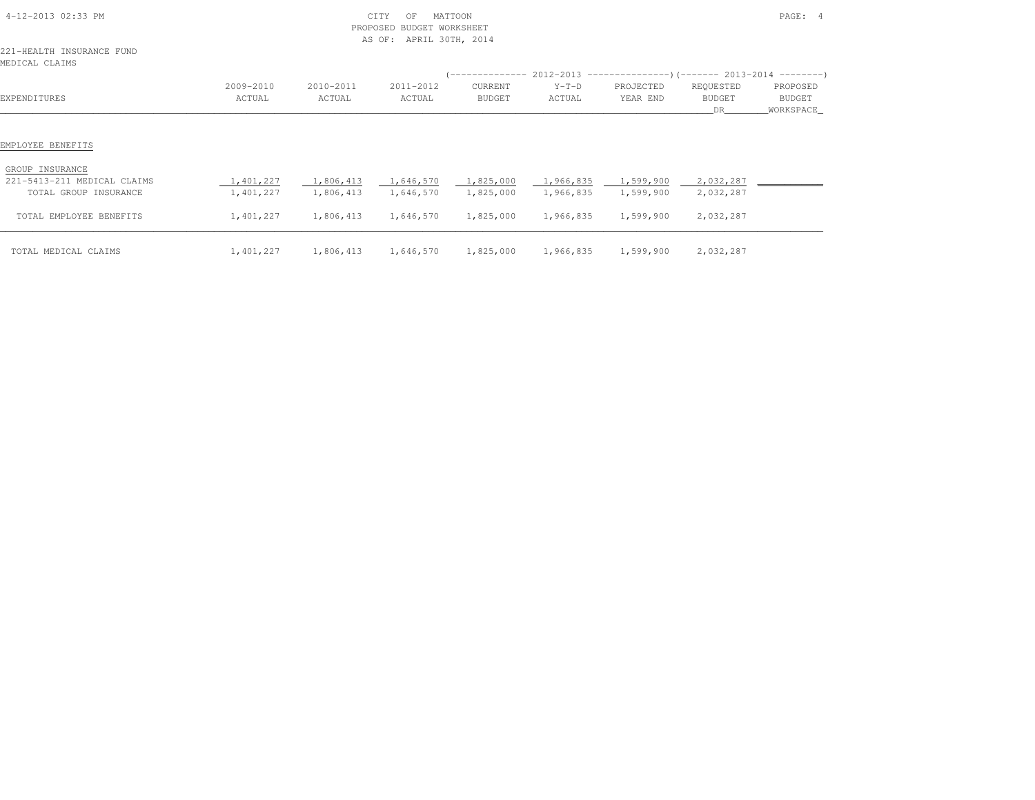| 4-12-2013 02:33 PM                                                                           |                        | CITY<br>MATTOON<br>OF<br><b>BUDGET WORKSHEET</b><br>PROPOSED<br>APRIL 30TH, 2014<br>AS OF: |                        |                        |                                  |                                                                          | PAGE: 4                |                     |  |
|----------------------------------------------------------------------------------------------|------------------------|--------------------------------------------------------------------------------------------|------------------------|------------------------|----------------------------------|--------------------------------------------------------------------------|------------------------|---------------------|--|
| 221-HEALTH INSURANCE FUND<br>MEDICAL CLAIMS                                                  |                        |                                                                                            |                        |                        |                                  |                                                                          |                        |                     |  |
|                                                                                              |                        |                                                                                            |                        |                        |                                  | (-------------- 2012-2013 ----------------) (------- 2013-2014 --------) |                        |                     |  |
|                                                                                              | 2009-2010              | 2010-2011                                                                                  | 2011-2012              | CURRENT                | $Y-T-D$                          | PROJECTED                                                                | REQUESTED              | PROPOSED            |  |
| EXPENDITURES                                                                                 | ACTUAL                 | ACTUAL                                                                                     | ACTUAL                 | BUDGET                 | ACTUAL                           | YEAR END                                                                 | BUDGET<br>DR           | BUDGET<br>WORKSPACE |  |
| EMPLOYEE BENEFITS<br>GROUP INSURANCE<br>221-5413-211 MEDICAL CLAIMS<br>TOTAL GROUP INSURANCE | 1,401,227<br>1,401,227 | 1,806,413<br>1,806,413                                                                     | 1,646,570<br>1,646,570 | 1,825,000<br>1,825,000 | 1,966,835 1,599,900<br>1,966,835 | 1,599,900                                                                | 2,032,287<br>2,032,287 |                     |  |
| TOTAL EMPLOYEE BENEFITS                                                                      | 1,401,227              | 1,806,413                                                                                  | 1,646,570              | 1,825,000              | 1,966,835                        | 1,599,900                                                                | 2,032,287              |                     |  |
| TOTAL MEDICAL CLAIMS                                                                         | 1,401,227              |                                                                                            | 1,806,413 1,646,570    |                        | 1,825,000 1,966,835 1,599,900    |                                                                          | 2,032,287              |                     |  |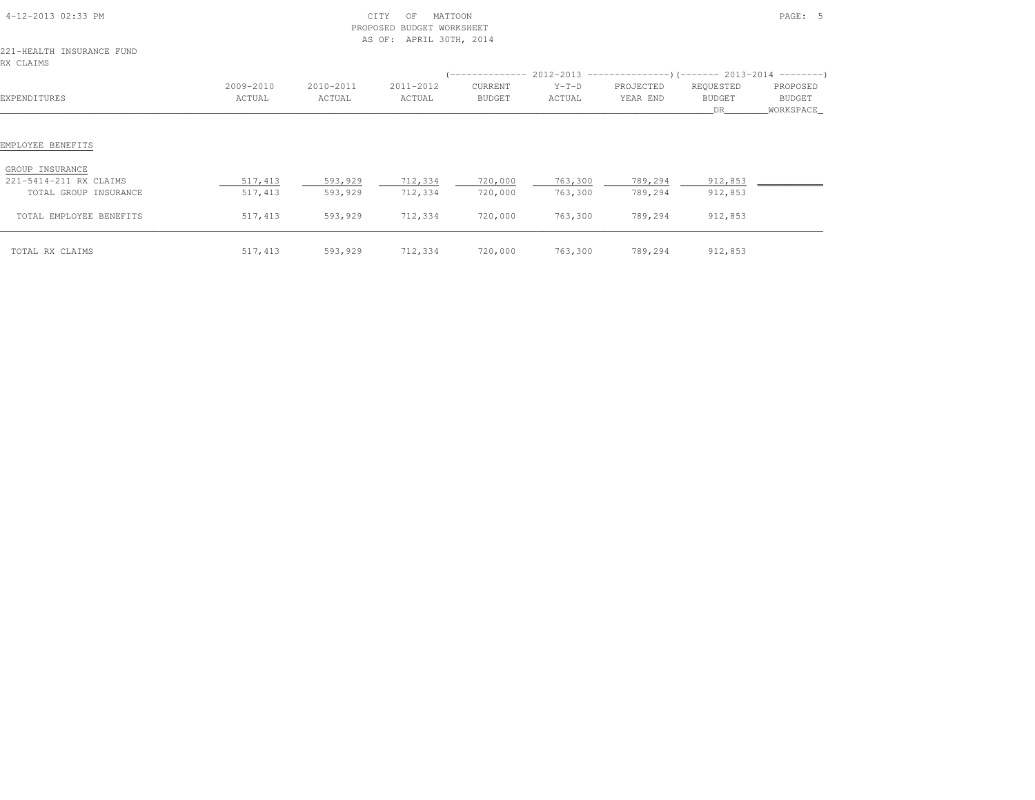|                                                                    |                     |                     | PROPOSED BUDGET WORKSHEET<br>APRIL 30TH, 2014<br>AS OF: |                          |                    |                                                                                                       |                                   |                                   |
|--------------------------------------------------------------------|---------------------|---------------------|---------------------------------------------------------|--------------------------|--------------------|-------------------------------------------------------------------------------------------------------|-----------------------------------|-----------------------------------|
| 221-HEALTH INSURANCE FUND<br>RX CLAIMS                             |                     |                     |                                                         |                          |                    |                                                                                                       |                                   |                                   |
| EXPENDITURES                                                       | 2009-2010<br>ACTUAL | 2010-2011<br>ACTUAL | 2011-2012<br>ACTUAL                                     | CURRENT<br><b>BUDGET</b> | $Y-T-D$<br>ACTUAL  | $($ -------------- 2012-2013 ----------------) (------- 2013-2014 ---------)<br>PROJECTED<br>YEAR END | REQUESTED<br><b>BUDGET</b><br>DR. | PROPOSED<br>BUDGET<br>_WORKSPACE_ |
| EMPLOYEE BENEFITS                                                  |                     |                     |                                                         |                          |                    |                                                                                                       |                                   |                                   |
| GROUP INSURANCE<br>221-5414-211 RX CLAIMS<br>TOTAL GROUP INSURANCE | 517,413<br>517,413  | 593,929<br>593,929  | 712,334<br>712,334                                      | 720,000<br>720,000       | 763,300<br>763,300 | 789,294<br>789,294                                                                                    | 912,853<br>912,853                |                                   |
| TOTAL EMPLOYEE BENEFITS                                            | 517,413             | 593,929             | 712,334                                                 | 720,000                  | 763,300            | 789,294                                                                                               | 912,853                           |                                   |
| TOTAL RX CLAIMS                                                    | 517,413             | 593,929             | 712,334                                                 | 720,000                  | 763,300            | 789,294                                                                                               | 912,853                           |                                   |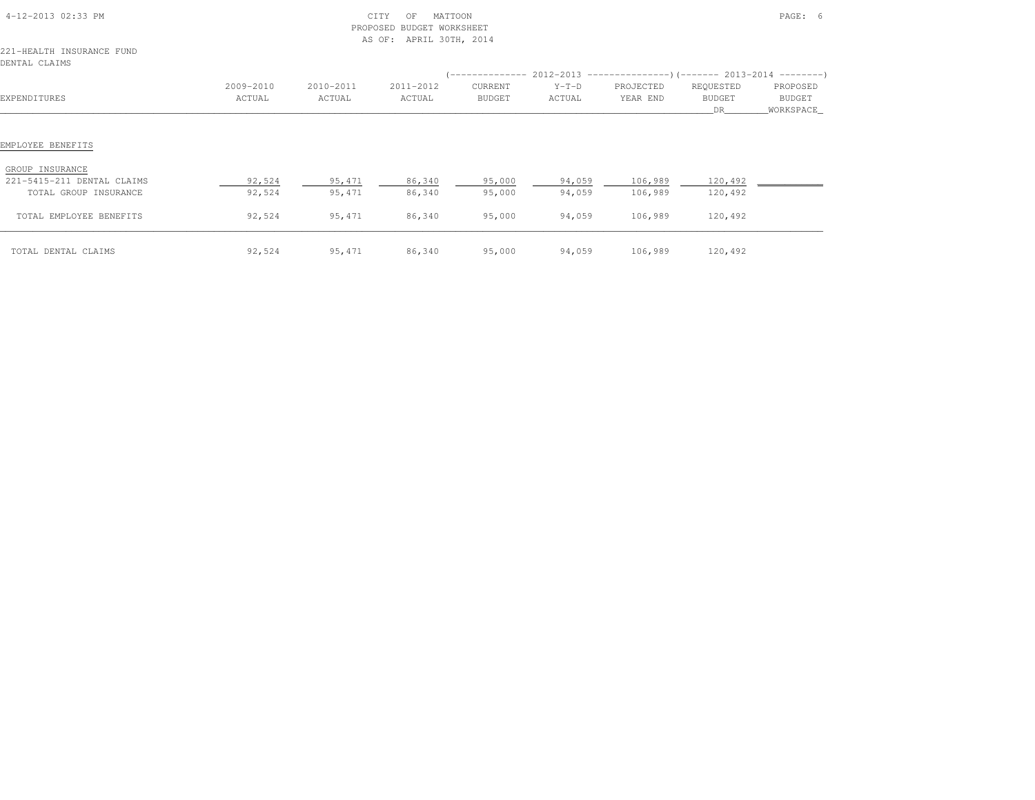| 4-12-2013 02:33 PM<br>221-HEALTH INSURANCE FUND<br>DENTAL CLAIMS                                                       |                            |                            | CITY<br>MATTOON<br>OF<br>PROPOSED BUDGET WORKSHEET<br>AS OF: APRIL 30TH, 2014 |                            |                            |                               |                               | PAGE: 6              |
|------------------------------------------------------------------------------------------------------------------------|----------------------------|----------------------------|-------------------------------------------------------------------------------|----------------------------|----------------------------|-------------------------------|-------------------------------|----------------------|
|                                                                                                                        |                            |                            |                                                                               |                            |                            |                               |                               |                      |
|                                                                                                                        | 2009-2010                  | 2010-2011                  | 2011-2012                                                                     | CURRENT                    | $Y-T-D$                    | PROJECTED                     | REQUESTED                     | PROPOSED             |
| EXPENDITURES                                                                                                           | ACTUAL                     | ACTUAL                     | ACTUAL                                                                        | BUDGET                     | ACTUAL                     | YEAR END                      | <b>BUDGET</b><br>DR           | BUDGET<br>WORKSPACE_ |
| EMPLOYEE BENEFITS<br>GROUP INSURANCE<br>221-5415-211 DENTAL CLAIMS<br>TOTAL GROUP INSURANCE<br>TOTAL EMPLOYEE BENEFITS | 92,524<br>92,524<br>92,524 | 95,471<br>95,471<br>95,471 | 86,340<br>86,340<br>86,340                                                    | 95,000<br>95,000<br>95,000 | 94,059<br>94,059<br>94,059 | 106,989<br>106,989<br>106,989 | 120,492<br>120,492<br>120,492 |                      |
| TOTAL DENTAL CLAIMS                                                                                                    | 92,524                     | 95,471                     | 86,340                                                                        | 95,000                     | 94,059                     | 106,989                       | 120,492                       |                      |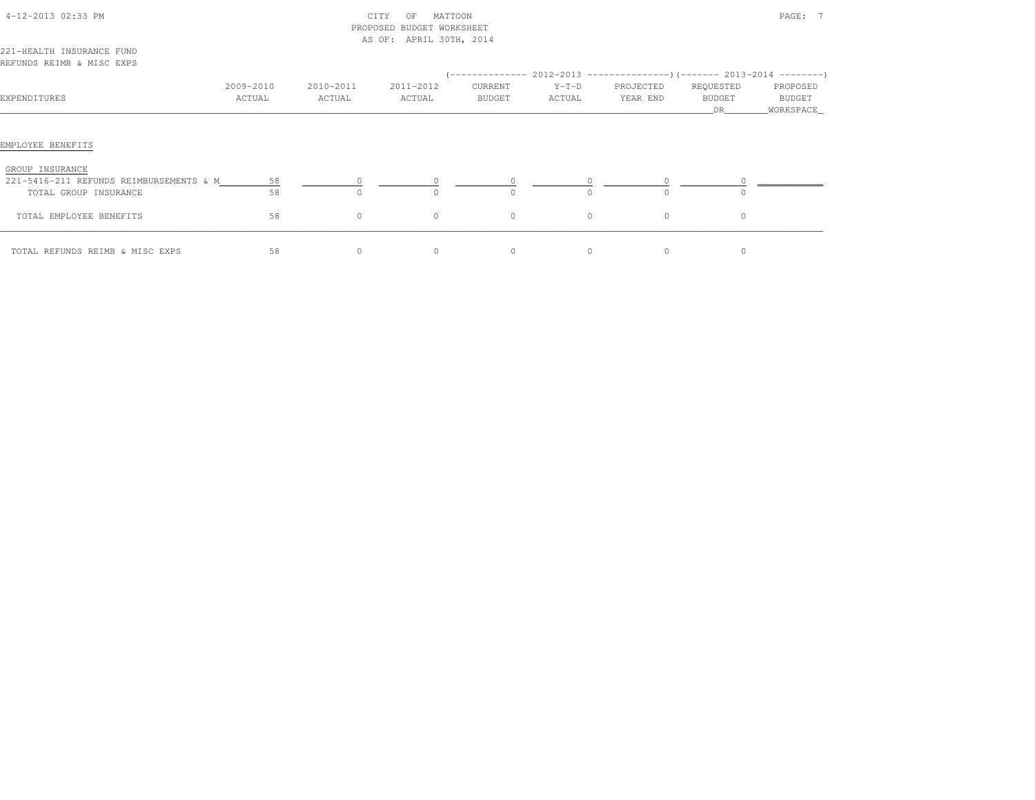| 4-12-2013 02:33 PM                                                                  |                     | CITY<br>MATTOON<br>OF<br>PROPOSED BUDGET WORKSHEET<br>AS OF: APRIL 30TH, 2014 |                     |                   |                   |                       | PAGE: 7                    |                                   |  |  |
|-------------------------------------------------------------------------------------|---------------------|-------------------------------------------------------------------------------|---------------------|-------------------|-------------------|-----------------------|----------------------------|-----------------------------------|--|--|
| 221-HEALTH INSURANCE FUND<br>REFUNDS REIMB & MISC EXPS                              |                     |                                                                               |                     |                   |                   |                       |                            |                                   |  |  |
| EXPENDITURES                                                                        | 2009-2010<br>ACTUAL | 2010-2011<br>ACTUAL                                                           | 2011-2012<br>ACTUAL | CURRENT<br>BUDGET | $Y-T-D$<br>ACTUAL | PROJECTED<br>YEAR END | REQUESTED<br>BUDGET<br>DR. | PROPOSED<br>BUDGET<br>_WORKSPACE_ |  |  |
| EMPLOYEE BENEFITS                                                                   |                     |                                                                               |                     |                   |                   |                       |                            |                                   |  |  |
| GROUP INSURANCE<br>221-5416-211 REFUNDS REIMBURSEMENTS & M<br>TOTAL GROUP INSURANCE | 58<br>58            | $\Omega$                                                                      | $\Omega$            | $\Omega$          | $\Omega$          |                       |                            |                                   |  |  |
| TOTAL EMPLOYEE BENEFITS                                                             | 58                  | $\circ$                                                                       | $\circ$             | $\circ$           | $\circ$           | $\circ$               | $\circ$                    |                                   |  |  |
| TOTAL REFUNDS REIMB & MISC EXPS                                                     | 58                  | $\circ$                                                                       | $\circ$             | $\circ$           | $\circ$           | $\circ$               | 0                          |                                   |  |  |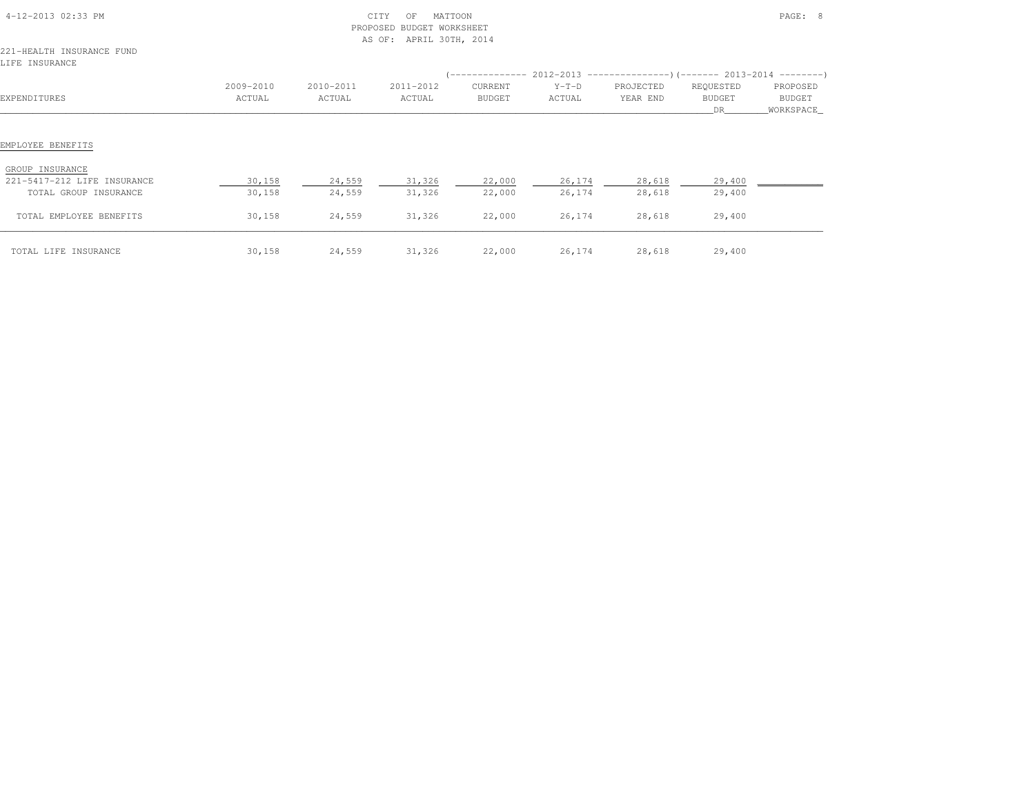| 4-12-2013 02:33 PM                          |           | PROPOSED  | CITY<br>MATTOON<br>OF<br>BUDGET WORKSHEET<br>AS OF: APRIL 30TH, 2014 |               |         |           |               | PAGE: 8    |
|---------------------------------------------|-----------|-----------|----------------------------------------------------------------------|---------------|---------|-----------|---------------|------------|
| 221-HEALTH INSURANCE FUND<br>LIFE INSURANCE |           |           |                                                                      |               |         |           |               |            |
|                                             |           |           |                                                                      |               |         |           |               |            |
|                                             | 2009-2010 | 2010-2011 | 2011-2012                                                            | CURRENT       | $Y-T-D$ | PROJECTED | REQUESTED     | PROPOSED   |
| EXPENDITURES                                | ACTUAL    | ACTUAL    | ACTUAL                                                               | <b>BUDGET</b> | ACTUAL  | YEAR END  | <b>BUDGET</b> | BUDGET     |
|                                             |           |           |                                                                      |               |         |           | DR.           | WORKSPACE_ |
| EMPLOYEE BENEFITS<br>GROUP INSURANCE        |           |           |                                                                      |               |         |           |               |            |
| 221-5417-212 LIFE INSURANCE                 | 30,158    | 24,559    | 31,326                                                               | 22,000        | 26,174  | 28,618    | 29,400        |            |
| TOTAL GROUP INSURANCE                       | 30,158    | 24,559    | 31,326                                                               | 22,000        | 26,174  | 28,618    | 29,400        |            |
| TOTAL EMPLOYEE BENEFITS                     | 30,158    | 24,559    | 31,326                                                               | 22,000        | 26,174  | 28,618    | 29,400        |            |
| TOTAL LIFE INSURANCE                        | 30,158    | 24,559    | 31,326                                                               | 22,000        | 26,174  | 28,618    | 29,400        |            |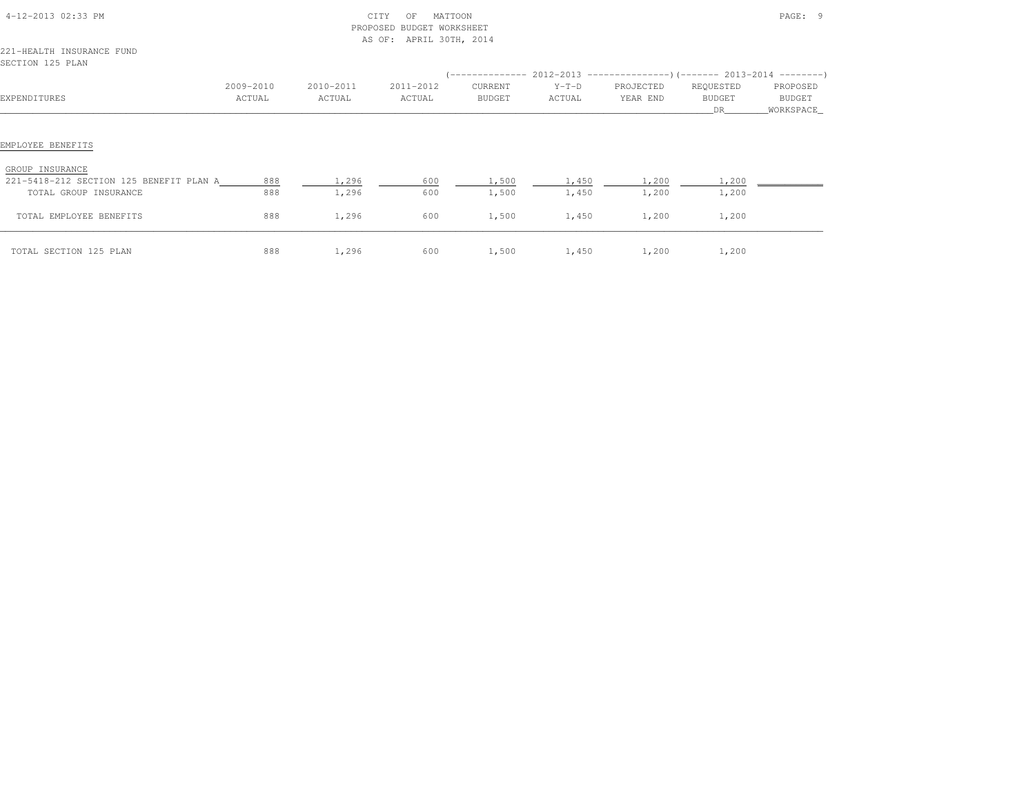| 4-12-2013 02:33 PM<br>221-HEALTH INSURANCE FUND                                                          |                     |                     | CITY<br>MATTOON<br>OF<br>PROPOSED BUDGET WORKSHEET<br>AS OF: APRIL 30TH, 2014 |                          |                   |                                                                       |                                   | PAGE: 9                          |
|----------------------------------------------------------------------------------------------------------|---------------------|---------------------|-------------------------------------------------------------------------------|--------------------------|-------------------|-----------------------------------------------------------------------|-----------------------------------|----------------------------------|
| SECTION 125 PLAN                                                                                         |                     |                     |                                                                               |                          |                   |                                                                       |                                   |                                  |
|                                                                                                          |                     |                     |                                                                               |                          |                   | $(----------2012-2013$ ----------------) (------- 2013-2014 --------) |                                   |                                  |
| EXPENDITURES                                                                                             | 2009-2010<br>ACTUAL | 2010-2011<br>ACTUAL | 2011-2012<br>ACTUAL                                                           | CURRENT<br><b>BUDGET</b> | $Y-T-D$<br>ACTUAL | PROJECTED<br>YEAR END                                                 | REQUESTED<br><b>BUDGET</b><br>DR. | PROPOSED<br>BUDGET<br>WORKSPACE_ |
| EMPLOYEE BENEFITS<br>GROUP INSURANCE<br>221-5418-212 SECTION 125 BENEFIT PLAN A<br>TOTAL GROUP INSURANCE | 888<br>888          | 1,296<br>1,296      | 600<br>600                                                                    | 1,500<br>1,500           | 1,450<br>1,450    | 1,200<br>1,200                                                        | 1,200<br>1,200                    |                                  |
| TOTAL EMPLOYEE BENEFITS                                                                                  | 888                 | 1,296               | 600                                                                           | 1,500                    | 1,450             | 1,200                                                                 | 1,200                             |                                  |
| TOTAL SECTION 125 PLAN                                                                                   | 888                 | 1,296               | 600                                                                           | 1,500                    | 1,450             | 1,200                                                                 | 1,200                             |                                  |